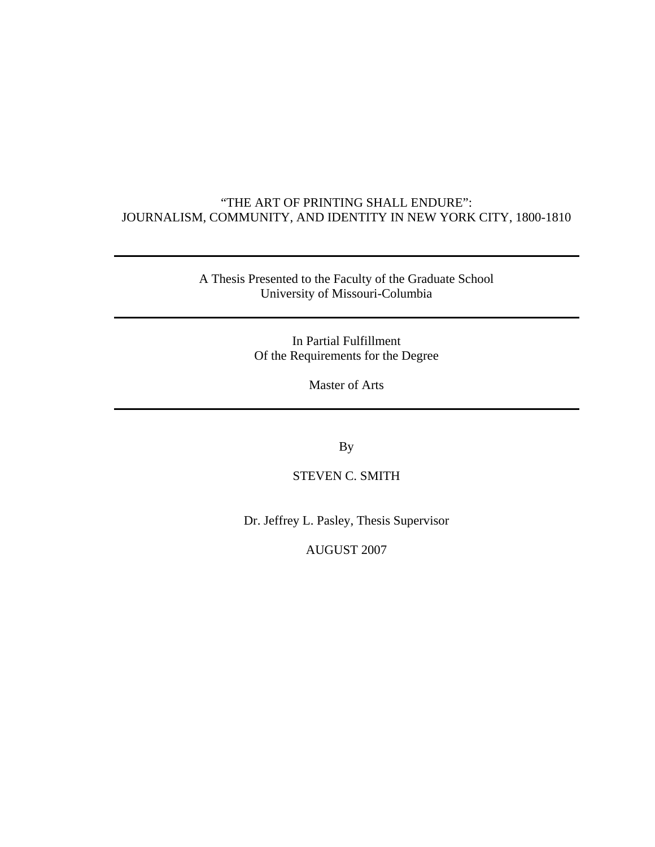#### "THE ART OF PRINTING SHALL ENDURE": JOURNALISM, COMMUNITY, AND IDENTITY IN NEW YORK CITY, 1800-1810

A Thesis Presented to the Faculty of the Graduate School University of Missouri-Columbia

> In Partial Fulfillment Of the Requirements for the Degree

> > Master of Arts

By

STEVEN C. SMITH

Dr. Jeffrey L. Pasley, Thesis Supervisor

AUGUST 2007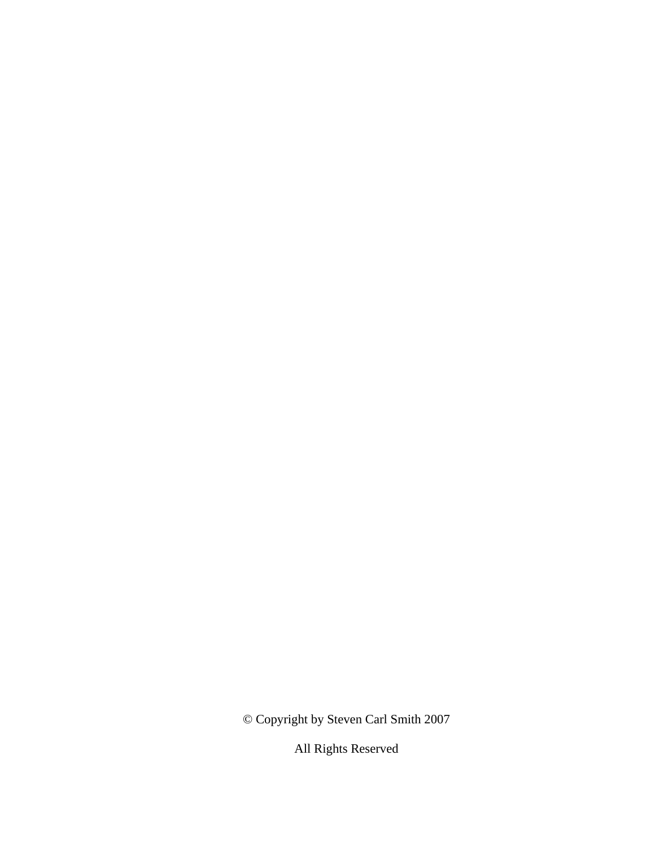© Copyright by Steven Carl Smith 2007

All Rights Reserved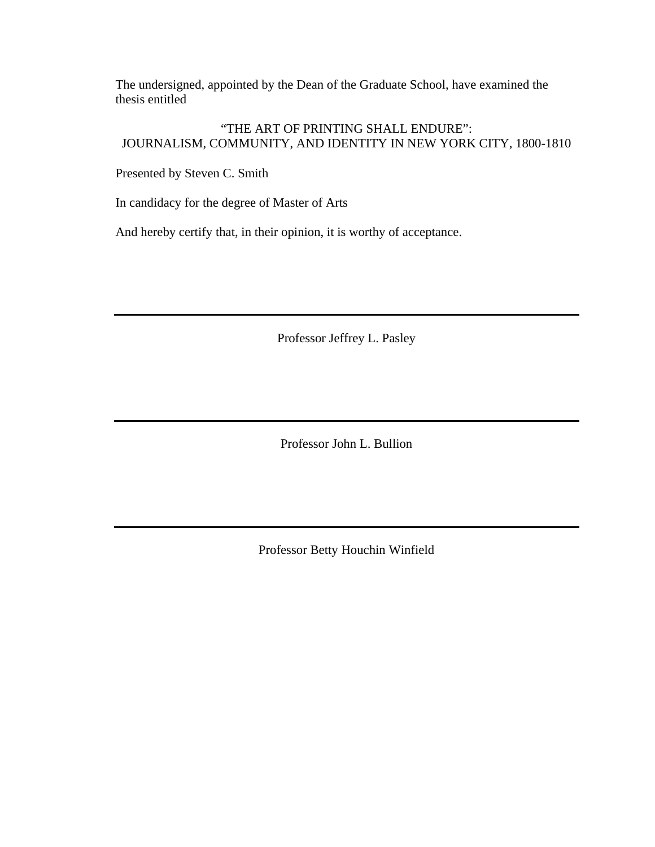The undersigned, appointed by the Dean of the Graduate School, have examined the thesis entitled

#### "THE ART OF PRINTING SHALL ENDURE": JOURNALISM, COMMUNITY, AND IDENTITY IN NEW YORK CITY, 1800-1810

Presented by Steven C. Smith

In candidacy for the degree of Master of Arts

And hereby certify that, in their opinion, it is worthy of acceptance.

Professor Jeffrey L. Pasley

Professor John L. Bullion

Professor Betty Houchin Winfield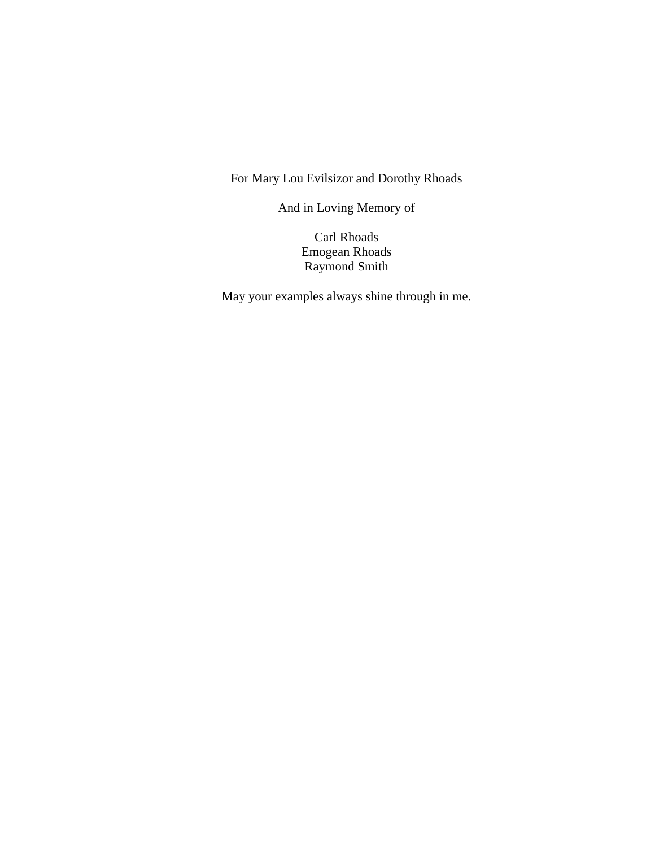For Mary Lou Evilsizor and Dorothy Rhoads

And in Loving Memory of

Carl Rhoads Emogean Rhoads Raymond Smith

May your examples always shine through in me.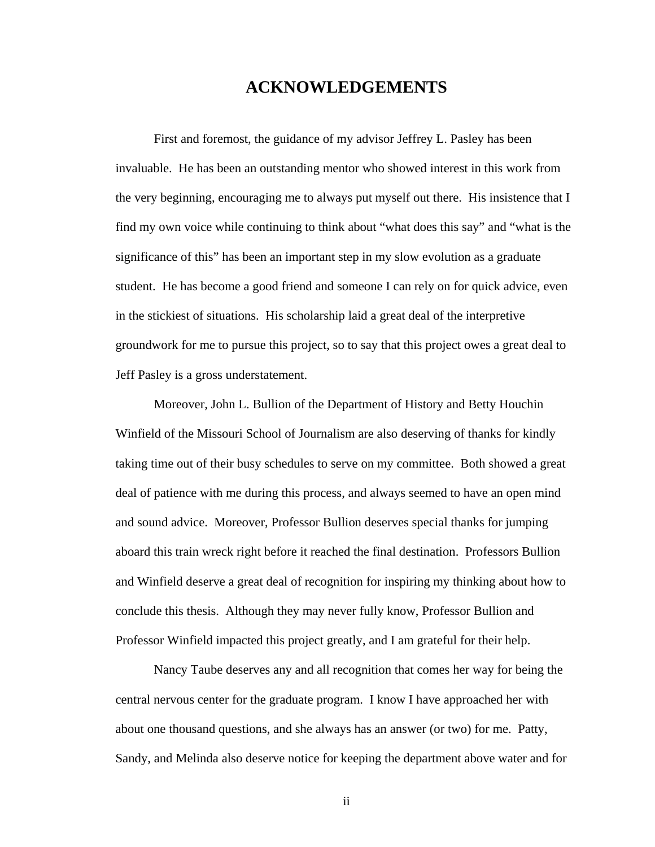### **ACKNOWLEDGEMENTS**

 First and foremost, the guidance of my advisor Jeffrey L. Pasley has been invaluable. He has been an outstanding mentor who showed interest in this work from the very beginning, encouraging me to always put myself out there. His insistence that I find my own voice while continuing to think about "what does this say" and "what is the significance of this" has been an important step in my slow evolution as a graduate student. He has become a good friend and someone I can rely on for quick advice, even in the stickiest of situations. His scholarship laid a great deal of the interpretive groundwork for me to pursue this project, so to say that this project owes a great deal to Jeff Pasley is a gross understatement.

Moreover, John L. Bullion of the Department of History and Betty Houchin Winfield of the Missouri School of Journalism are also deserving of thanks for kindly taking time out of their busy schedules to serve on my committee. Both showed a great deal of patience with me during this process, and always seemed to have an open mind and sound advice. Moreover, Professor Bullion deserves special thanks for jumping aboard this train wreck right before it reached the final destination. Professors Bullion and Winfield deserve a great deal of recognition for inspiring my thinking about how to conclude this thesis. Although they may never fully know, Professor Bullion and Professor Winfield impacted this project greatly, and I am grateful for their help.

 Nancy Taube deserves any and all recognition that comes her way for being the central nervous center for the graduate program. I know I have approached her with about one thousand questions, and she always has an answer (or two) for me. Patty, Sandy, and Melinda also deserve notice for keeping the department above water and for

ii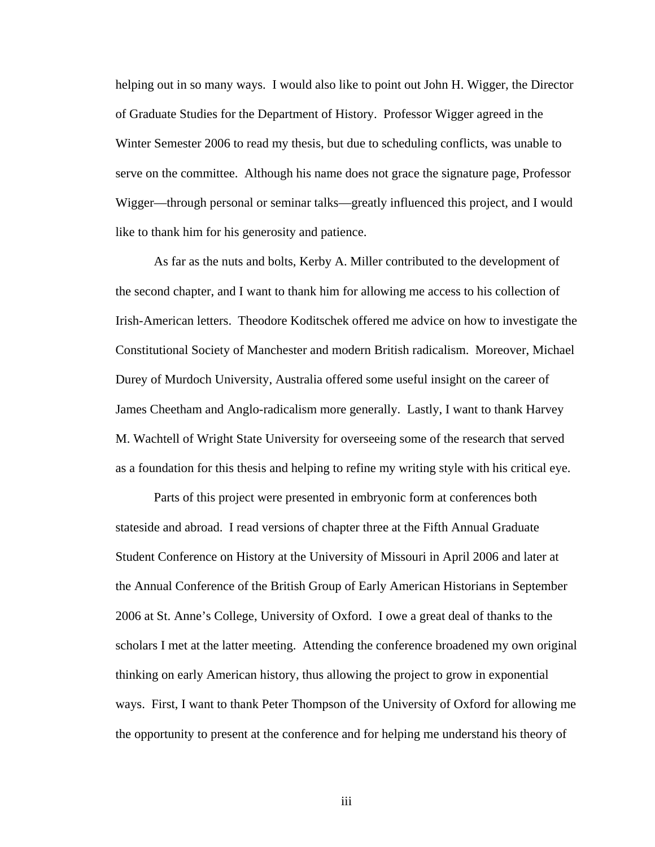helping out in so many ways. I would also like to point out John H. Wigger, the Director of Graduate Studies for the Department of History. Professor Wigger agreed in the Winter Semester 2006 to read my thesis, but due to scheduling conflicts, was unable to serve on the committee. Although his name does not grace the signature page, Professor Wigger—through personal or seminar talks—greatly influenced this project, and I would like to thank him for his generosity and patience.

As far as the nuts and bolts, Kerby A. Miller contributed to the development of the second chapter, and I want to thank him for allowing me access to his collection of Irish-American letters. Theodore Koditschek offered me advice on how to investigate the Constitutional Society of Manchester and modern British radicalism. Moreover, Michael Durey of Murdoch University, Australia offered some useful insight on the career of James Cheetham and Anglo-radicalism more generally. Lastly, I want to thank Harvey M. Wachtell of Wright State University for overseeing some of the research that served as a foundation for this thesis and helping to refine my writing style with his critical eye.

Parts of this project were presented in embryonic form at conferences both stateside and abroad. I read versions of chapter three at the Fifth Annual Graduate Student Conference on History at the University of Missouri in April 2006 and later at the Annual Conference of the British Group of Early American Historians in September 2006 at St. Anne's College, University of Oxford. I owe a great deal of thanks to the scholars I met at the latter meeting. Attending the conference broadened my own original thinking on early American history, thus allowing the project to grow in exponential ways. First, I want to thank Peter Thompson of the University of Oxford for allowing me the opportunity to present at the conference and for helping me understand his theory of

iii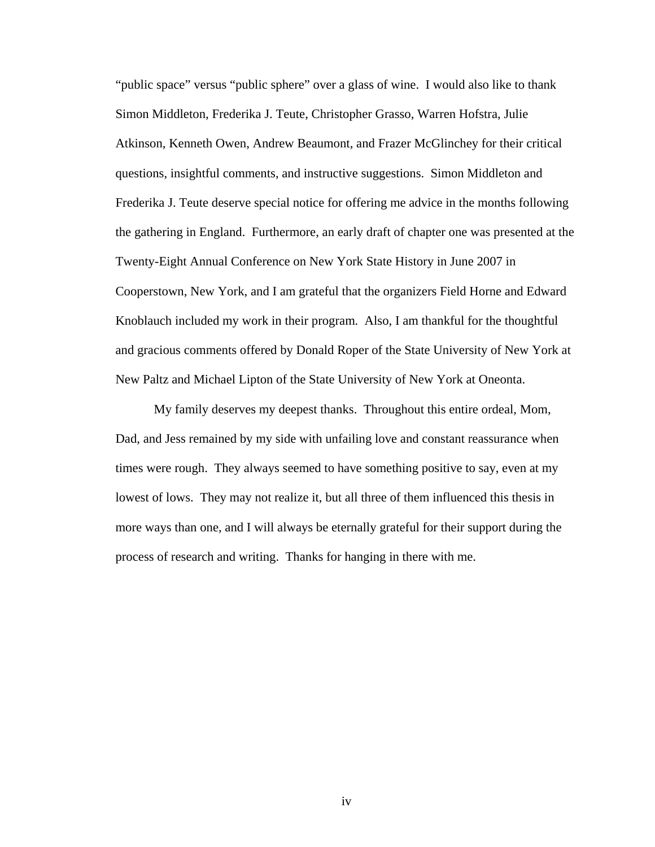"public space" versus "public sphere" over a glass of wine. I would also like to thank Simon Middleton, Frederika J. Teute, Christopher Grasso, Warren Hofstra, Julie Atkinson, Kenneth Owen, Andrew Beaumont, and Frazer McGlinchey for their critical questions, insightful comments, and instructive suggestions. Simon Middleton and Frederika J. Teute deserve special notice for offering me advice in the months following the gathering in England. Furthermore, an early draft of chapter one was presented at the Twenty-Eight Annual Conference on New York State History in June 2007 in Cooperstown, New York, and I am grateful that the organizers Field Horne and Edward Knoblauch included my work in their program. Also, I am thankful for the thoughtful and gracious comments offered by Donald Roper of the State University of New York at New Paltz and Michael Lipton of the State University of New York at Oneonta.

 My family deserves my deepest thanks. Throughout this entire ordeal, Mom, Dad, and Jess remained by my side with unfailing love and constant reassurance when times were rough. They always seemed to have something positive to say, even at my lowest of lows. They may not realize it, but all three of them influenced this thesis in more ways than one, and I will always be eternally grateful for their support during the process of research and writing. Thanks for hanging in there with me.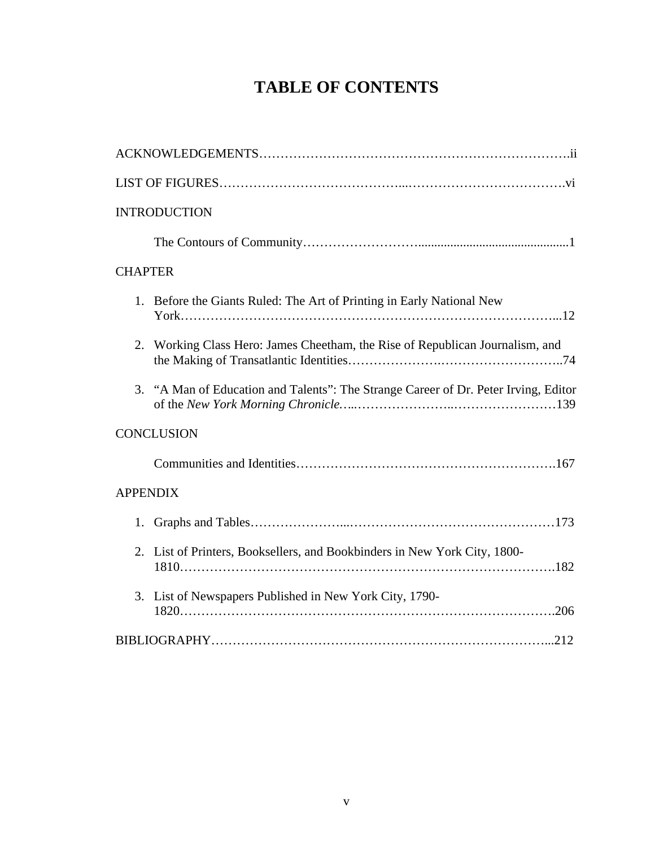# **TABLE OF CONTENTS**

| <b>INTRODUCTION</b>                                                                 |
|-------------------------------------------------------------------------------------|
|                                                                                     |
| <b>CHAPTER</b>                                                                      |
| 1. Before the Giants Ruled: The Art of Printing in Early National New               |
| 2.<br>Working Class Hero: James Cheetham, the Rise of Republican Journalism, and    |
| 3. "A Man of Education and Talents": The Strange Career of Dr. Peter Irving, Editor |
| <b>CONCLUSION</b>                                                                   |
|                                                                                     |
| <b>APPENDIX</b>                                                                     |
| 1.                                                                                  |
| 2. List of Printers, Booksellers, and Bookbinders in New York City, 1800-           |
| List of Newspapers Published in New York City, 1790-<br>3.                          |
|                                                                                     |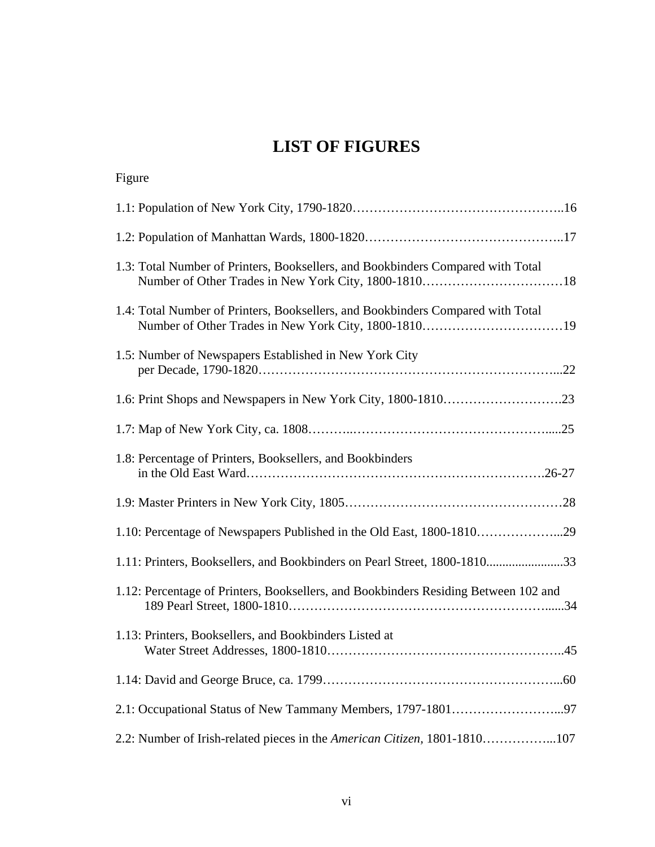# **LIST OF FIGURES**

| Figure                                                                              |
|-------------------------------------------------------------------------------------|
|                                                                                     |
|                                                                                     |
| 1.3: Total Number of Printers, Booksellers, and Bookbinders Compared with Total     |
| 1.4: Total Number of Printers, Booksellers, and Bookbinders Compared with Total     |
| 1.5: Number of Newspapers Established in New York City                              |
|                                                                                     |
|                                                                                     |
| 1.8: Percentage of Printers, Booksellers, and Bookbinders                           |
|                                                                                     |
| 1.10: Percentage of Newspapers Published in the Old East, 1800-181029               |
| 1.11: Printers, Booksellers, and Bookbinders on Pearl Street, 1800-181033           |
| 1.12: Percentage of Printers, Booksellers, and Bookbinders Residing Between 102 and |
| 1.13: Printers, Booksellers, and Bookbinders Listed at                              |
|                                                                                     |
|                                                                                     |
| 2.2: Number of Irish-related pieces in the American Citizen, 1801-1810107           |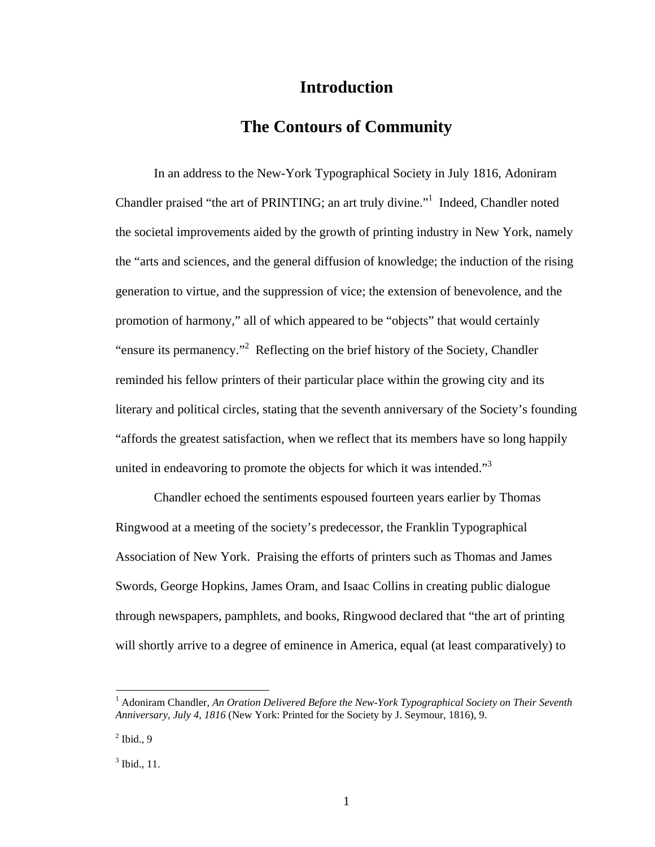## **Introduction**

### **The Contours of Community**

In an address to the New-York Typographical Society in July 1816, Adoniram Chandler praised "the art of PRINTING; an art truly divine."<sup>1</sup> Indeed, Chandler noted the societal improvements aided by the growth of printing industry in New York, namely the "arts and sciences, and the general diffusion of knowledge; the induction of the rising generation to virtue, and the suppression of vice; the extension of benevolence, and the promotion of harmony," all of which appeared to be "objects" that would certainly "ensure its permanency."<sup>2</sup> Reflecting on the brief history of the Society, Chandler reminded his fellow printers of their particular place within the growing city and its literary and political circles, stating that the seventh anniversary of the Society's founding "affords the greatest satisfaction, when we reflect that its members have so long happily united in endeavoring to promote the objects for which it was intended." $3$ 

Chandler echoed the sentiments espoused fourteen years earlier by Thomas Ringwood at a meeting of the society's predecessor, the Franklin Typographical Association of New York. Praising the efforts of printers such as Thomas and James Swords, George Hopkins, James Oram, and Isaac Collins in creating public dialogue through newspapers, pamphlets, and books, Ringwood declared that "the art of printing will shortly arrive to a degree of eminence in America, equal (at least comparatively) to

<sup>&</sup>lt;sup>1</sup> Adoniram Chandler, An Oration Delivered Before the New-York Typographical Society on Their Seventh *Anniversary, July 4, 1816* (New York: Printed for the Society by J. Seymour, 1816), 9.

 $<sup>2</sup>$  Ibid., 9</sup>

 $3$  Ibid., 11.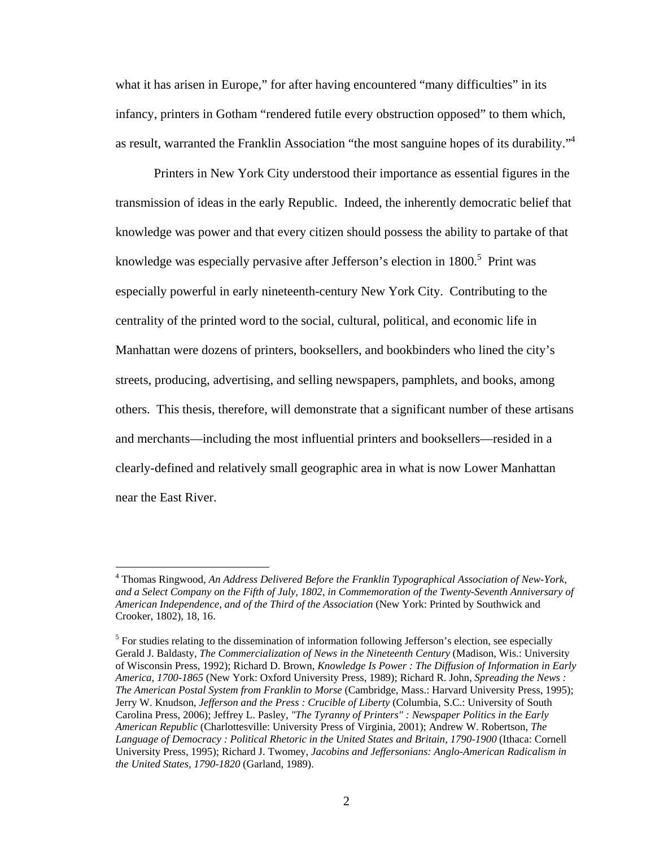what it has arisen in Europe," for after having encountered "many difficulties" in its infancy, printers in Gotham "rendered futile every obstruction opposed" to them which, as result, warranted the Franklin Association "the most sanguine hopes of its durability."<sup>4</sup>

Printers in New York City understood their importance as essential figures in the transmission of ideas in the early Republic. Indeed, the inherently democratic belief that knowledge was power and that every citizen should possess the ability to partake of that knowledge was especially pervasive after Jefferson's election in 1800.<sup>5</sup> Print was especially powerful in early nineteenth-century New York City. Contributing to the centrality of the printed word to the social, cultural, political, and economic life in Manhattan were dozens of printers, booksellers, and bookbinders who lined the city's streets, producing, advertising, and selling newspapers, pamphlets, and books, among others. This thesis, therefore, will demonstrate that a significant number of these artisans and merchants—including the most influential printers and booksellers—resided in a clearly-defined and relatively small geographic area in what is now Lower Manhattan near the East River.

<sup>4</sup> Thomas Ringwood, *An Address Delivered Before the Franklin Typographical Association of New-York, and a Select Company on the Fifth of July, 1802, in Commemoration of the Twenty-Seventh Anniversary of American Independence, and of the Third of the Association* (New York: Printed by Southwick and Crooker, 1802), 18, 16.

 $<sup>5</sup>$  For studies relating to the dissemination of information following Jefferson's election, see especially</sup> Gerald J. Baldasty, *The Commercialization of News in the Nineteenth Century* (Madison, Wis.: University of Wisconsin Press, 1992); Richard D. Brown, *Knowledge Is Power : The Diffusion of Information in Early America, 1700-1865* (New York: Oxford University Press, 1989); Richard R. John, *Spreading the News : The American Postal System from Franklin to Morse* (Cambridge, Mass.: Harvard University Press, 1995); Jerry W. Knudson, *Jefferson and the Press : Crucible of Liberty* (Columbia, S.C.: University of South Carolina Press, 2006); Jeffrey L. Pasley, *"The Tyranny of Printers" : Newspaper Politics in the Early American Republic* (Charlottesville: University Press of Virginia, 2001); Andrew W. Robertson, *The Language of Democracy : Political Rhetoric in the United States and Britain, 1790-1900* (Ithaca: Cornell University Press, 1995); Richard J. Twomey, *Jacobins and Jeffersonians: Anglo-American Radicalism in the United States, 1790-1820* (Garland, 1989).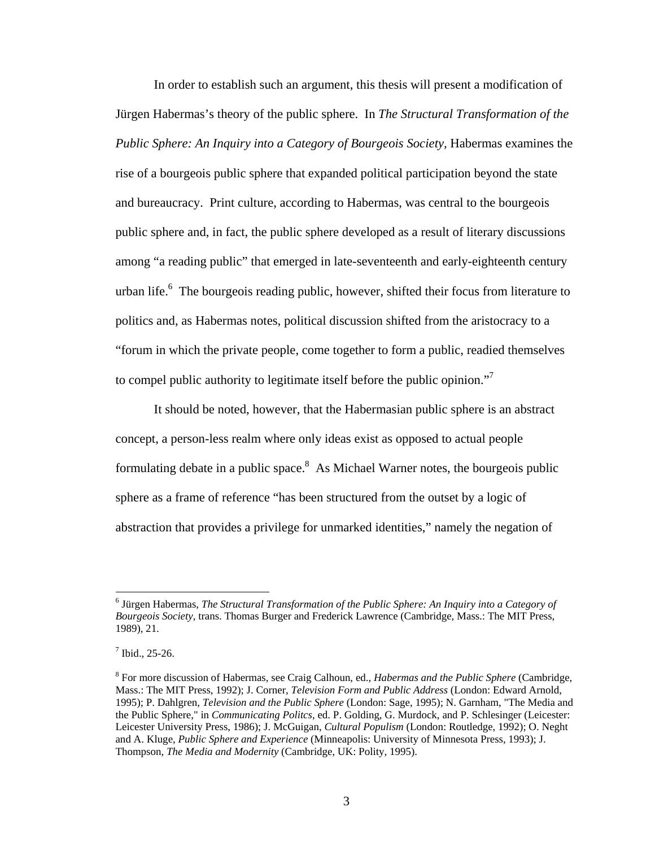In order to establish such an argument, this thesis will present a modification of Jürgen Habermas's theory of the public sphere. In *The Structural Transformation of the Public Sphere: An Inquiry into a Category of Bourgeois Society, Habermas examines the* rise of a bourgeois public sphere that expanded political participation beyond the state and bureaucracy. Print culture, according to Habermas, was central to the bourgeois public sphere and, in fact, the public sphere developed as a result of literary discussions among "a reading public" that emerged in late-seventeenth and early-eighteenth century urban life.<sup>6</sup> The bourgeois reading public, however, shifted their focus from literature to politics and, as Habermas notes, political discussion shifted from the aristocracy to a "forum in which the private people, come together to form a public, readied themselves to compel public authority to legitimate itself before the public opinion."<sup>7</sup>

 It should be noted, however, that the Habermasian public sphere is an abstract concept, a person-less realm where only ideas exist as opposed to actual people formulating debate in a public space.<sup>8</sup> As Michael Warner notes, the bourgeois public sphere as a frame of reference "has been structured from the outset by a logic of abstraction that provides a privilege for unmarked identities," namely the negation of

<sup>&</sup>lt;sup>6</sup> Jürgen Habermas, *The Structural Transformation of the Public Sphere: An Inquiry into a Category of Bourgeois Society*, trans. Thomas Burger and Frederick Lawrence (Cambridge, Mass.: The MIT Press, 1989), 21.

 $<sup>7</sup>$  Ibid., 25-26.</sup>

<sup>8</sup> For more discussion of Habermas, see Craig Calhoun, ed., *Habermas and the Public Sphere* (Cambridge, Mass.: The MIT Press, 1992); J. Corner, *Television Form and Public Address* (London: Edward Arnold, 1995); P. Dahlgren, *Television and the Public Sphere* (London: Sage, 1995); N. Garnham, "The Media and the Public Sphere," in *Communicating Politcs*, ed. P. Golding, G. Murdock, and P. Schlesinger (Leicester: Leicester University Press, 1986); J. McGuigan, *Cultural Populism* (London: Routledge, 1992); O. Neght and A. Kluge, *Public Sphere and Experience* (Minneapolis: University of Minnesota Press, 1993); J. Thompson, *The Media and Modernity* (Cambridge, UK: Polity, 1995).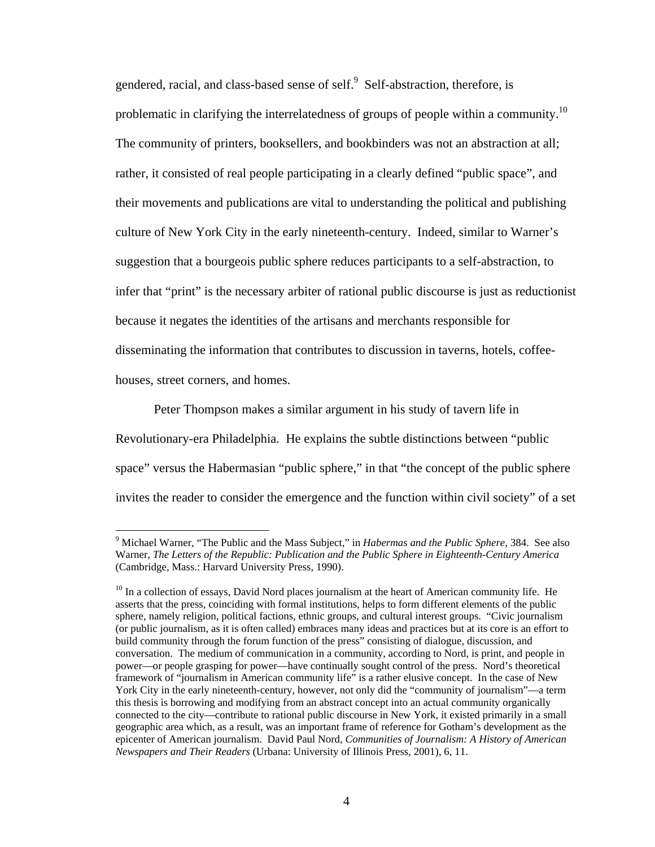gendered, racial, and class-based sense of self.<sup>9</sup> Self-abstraction, therefore, is problematic in clarifying the interrelatedness of groups of people within a community.<sup>10</sup> The community of printers, booksellers, and bookbinders was not an abstraction at all; rather, it consisted of real people participating in a clearly defined "public space", and their movements and publications are vital to understanding the political and publishing culture of New York City in the early nineteenth-century. Indeed, similar to Warner's suggestion that a bourgeois public sphere reduces participants to a self-abstraction, to infer that "print" is the necessary arbiter of rational public discourse is just as reductionist because it negates the identities of the artisans and merchants responsible for disseminating the information that contributes to discussion in taverns, hotels, coffeehouses, street corners, and homes.

Peter Thompson makes a similar argument in his study of tavern life in Revolutionary-era Philadelphia. He explains the subtle distinctions between "public space" versus the Habermasian "public sphere," in that "the concept of the public sphere invites the reader to consider the emergence and the function within civil society" of a set

<sup>9</sup> Michael Warner, "The Public and the Mass Subject," in *Habermas and the Public Sphere*, 384. See also Warner, *The Letters of the Republic: Publication and the Public Sphere in Eighteenth-Century America*  (Cambridge, Mass.: Harvard University Press, 1990).

 $10$  In a collection of essays, David Nord places journalism at the heart of American community life. He asserts that the press, coinciding with formal institutions, helps to form different elements of the public sphere, namely religion, political factions, ethnic groups, and cultural interest groups. "Civic journalism (or public journalism, as it is often called) embraces many ideas and practices but at its core is an effort to build community through the forum function of the press" consisting of dialogue, discussion, and conversation. The medium of communication in a community, according to Nord, is print, and people in power—or people grasping for power—have continually sought control of the press. Nord's theoretical framework of "journalism in American community life" is a rather elusive concept. In the case of New York City in the early nineteenth-century, however, not only did the "community of journalism"—a term this thesis is borrowing and modifying from an abstract concept into an actual community organically connected to the city—contribute to rational public discourse in New York, it existed primarily in a small geographic area which, as a result, was an important frame of reference for Gotham's development as the epicenter of American journalism. David Paul Nord, *Communities of Journalism: A History of American Newspapers and Their Readers* (Urbana: University of Illinois Press, 2001), 6, 11.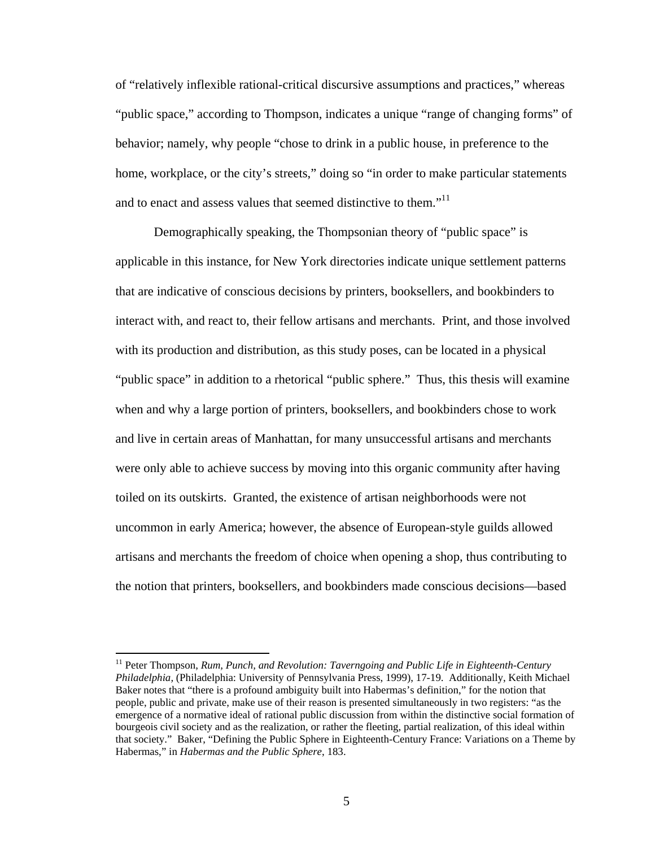of "relatively inflexible rational-critical discursive assumptions and practices," whereas "public space," according to Thompson, indicates a unique "range of changing forms" of behavior; namely, why people "chose to drink in a public house, in preference to the home, workplace, or the city's streets," doing so "in order to make particular statements and to enact and assess values that seemed distinctive to them."<sup>11</sup>

Demographically speaking, the Thompsonian theory of "public space" is applicable in this instance, for New York directories indicate unique settlement patterns that are indicative of conscious decisions by printers, booksellers, and bookbinders to interact with, and react to, their fellow artisans and merchants. Print, and those involved with its production and distribution, as this study poses, can be located in a physical "public space" in addition to a rhetorical "public sphere." Thus, this thesis will examine when and why a large portion of printers, booksellers, and bookbinders chose to work and live in certain areas of Manhattan, for many unsuccessful artisans and merchants were only able to achieve success by moving into this organic community after having toiled on its outskirts. Granted, the existence of artisan neighborhoods were not uncommon in early America; however, the absence of European-style guilds allowed artisans and merchants the freedom of choice when opening a shop, thus contributing to the notion that printers, booksellers, and bookbinders made conscious decisions—based

<sup>&</sup>lt;sup>11</sup> Peter Thompson, *Rum, Punch, and Revolution: Taverngoing and Public Life in Eighteenth-Century Philadelphia,* (Philadelphia: University of Pennsylvania Press, 1999), 17-19. Additionally, Keith Michael Baker notes that "there is a profound ambiguity built into Habermas's definition," for the notion that people, public and private, make use of their reason is presented simultaneously in two registers: "as the emergence of a normative ideal of rational public discussion from within the distinctive social formation of bourgeois civil society and as the realization, or rather the fleeting, partial realization, of this ideal within that society." Baker, "Defining the Public Sphere in Eighteenth-Century France: Variations on a Theme by Habermas," in *Habermas and the Public Sphere*, 183.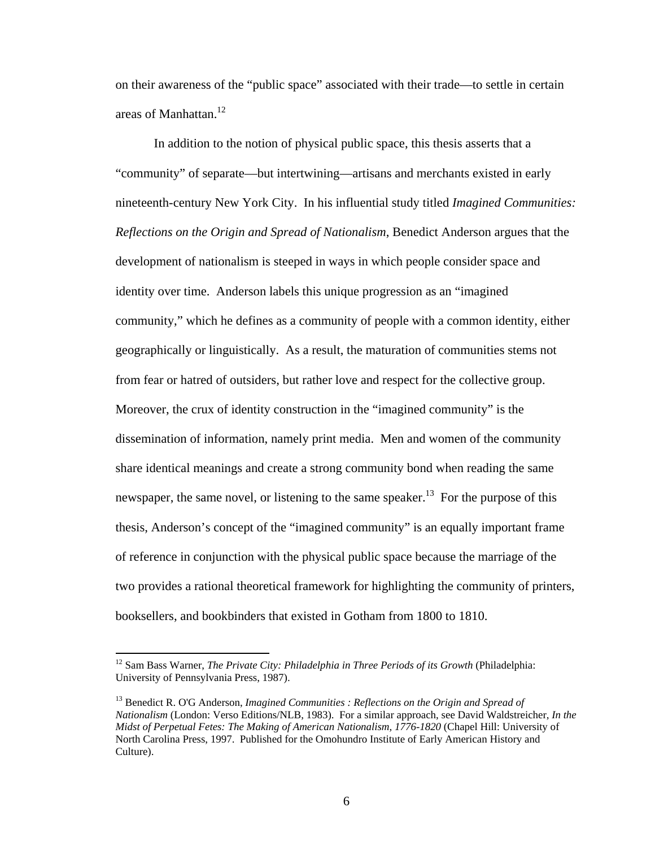on their awareness of the "public space" associated with their trade—to settle in certain areas of Manhattan.<sup>12</sup>

In addition to the notion of physical public space, this thesis asserts that a "community" of separate—but intertwining—artisans and merchants existed in early nineteenth-century New York City. In his influential study titled *Imagined Communities: Reflections on the Origin and Spread of Nationalism*, Benedict Anderson argues that the development of nationalism is steeped in ways in which people consider space and identity over time. Anderson labels this unique progression as an "imagined community," which he defines as a community of people with a common identity, either geographically or linguistically. As a result, the maturation of communities stems not from fear or hatred of outsiders, but rather love and respect for the collective group. Moreover, the crux of identity construction in the "imagined community" is the dissemination of information, namely print media. Men and women of the community share identical meanings and create a strong community bond when reading the same newspaper, the same novel, or listening to the same speaker.<sup>13</sup> For the purpose of this thesis, Anderson's concept of the "imagined community" is an equally important frame of reference in conjunction with the physical public space because the marriage of the two provides a rational theoretical framework for highlighting the community of printers, booksellers, and bookbinders that existed in Gotham from 1800 to 1810.

<sup>&</sup>lt;sup>12</sup> Sam Bass Warner, *The Private City: Philadelphia in Three Periods of its Growth* (Philadelphia: University of Pennsylvania Press, 1987).

<sup>13</sup> Benedict R. O'G Anderson, *Imagined Communities : Reflections on the Origin and Spread of Nationalism* (London: Verso Editions/NLB, 1983). For a similar approach, see David Waldstreicher, *In the Midst of Perpetual Fetes: The Making of American Nationalism, 1776-1820* (Chapel Hill: University of North Carolina Press, 1997. Published for the Omohundro Institute of Early American History and Culture).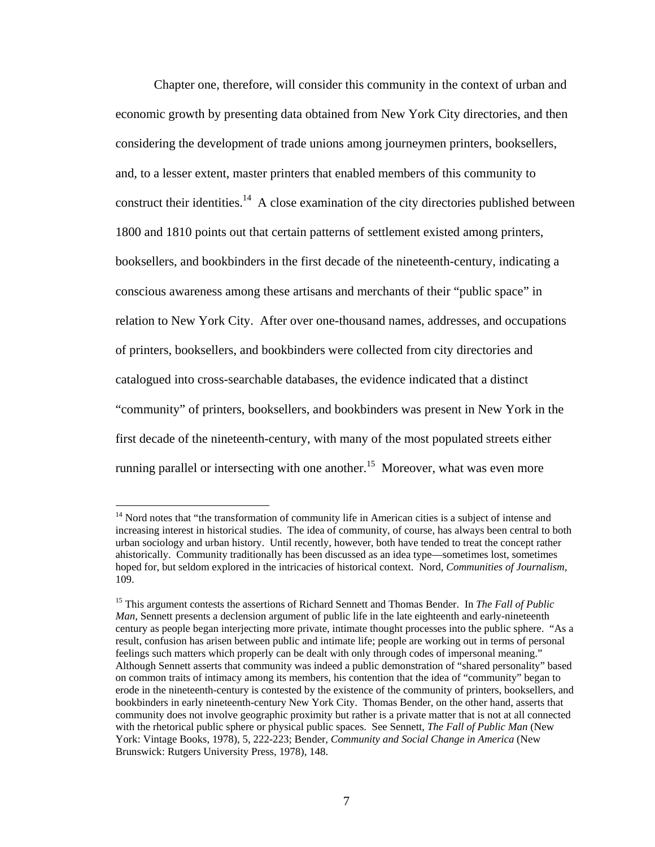Chapter one, therefore, will consider this community in the context of urban and economic growth by presenting data obtained from New York City directories, and then considering the development of trade unions among journeymen printers, booksellers, and, to a lesser extent, master printers that enabled members of this community to construct their identities.<sup>14</sup> A close examination of the city directories published between 1800 and 1810 points out that certain patterns of settlement existed among printers, booksellers, and bookbinders in the first decade of the nineteenth-century, indicating a conscious awareness among these artisans and merchants of their "public space" in relation to New York City. After over one-thousand names, addresses, and occupations of printers, booksellers, and bookbinders were collected from city directories and catalogued into cross-searchable databases, the evidence indicated that a distinct "community" of printers, booksellers, and bookbinders was present in New York in the first decade of the nineteenth-century, with many of the most populated streets either running parallel or intersecting with one another.<sup>15</sup> Moreover, what was even more

1

<sup>&</sup>lt;sup>14</sup> Nord notes that "the transformation of community life in American cities is a subject of intense and increasing interest in historical studies. The idea of community, of course, has always been central to both urban sociology and urban history. Until recently, however, both have tended to treat the concept rather ahistorically. Community traditionally has been discussed as an idea type—sometimes lost, sometimes hoped for, but seldom explored in the intricacies of historical context. Nord, *Communities of Journalism,*  109.

<sup>15</sup> This argument contests the assertions of Richard Sennett and Thomas Bender. In *The Fall of Public Man,* Sennett presents a declension argument of public life in the late eighteenth and early-nineteenth century as people began interjecting more private, intimate thought processes into the public sphere. "As a result, confusion has arisen between public and intimate life; people are working out in terms of personal feelings such matters which properly can be dealt with only through codes of impersonal meaning." Although Sennett asserts that community was indeed a public demonstration of "shared personality" based on common traits of intimacy among its members, his contention that the idea of "community" began to erode in the nineteenth-century is contested by the existence of the community of printers, booksellers, and bookbinders in early nineteenth-century New York City. Thomas Bender, on the other hand, asserts that community does not involve geographic proximity but rather is a private matter that is not at all connected with the rhetorical public sphere or physical public spaces. See Sennett, *The Fall of Public Man* (New York: Vintage Books, 1978), 5, 222-223; Bender, *Community and Social Change in America* (New Brunswick: Rutgers University Press, 1978), 148.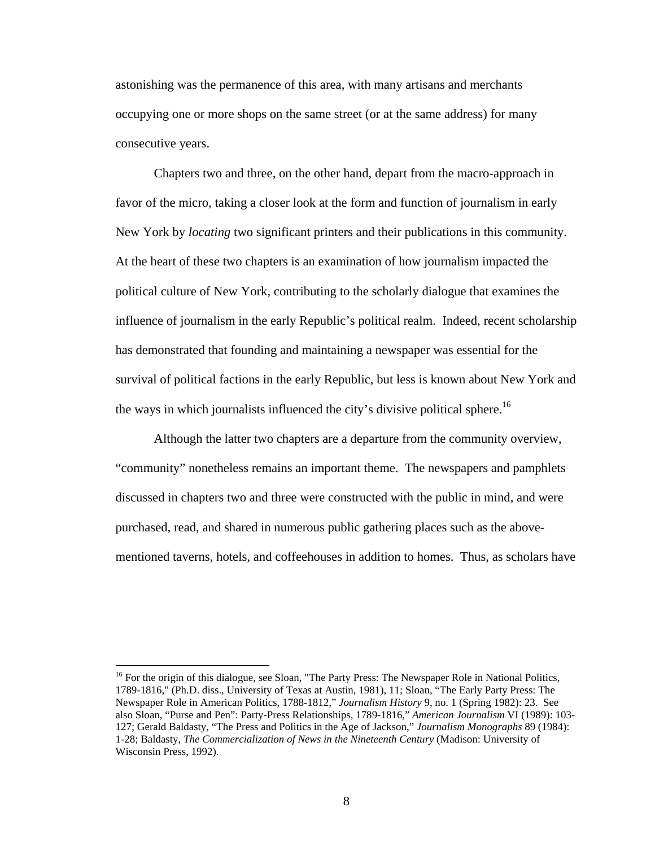astonishing was the permanence of this area, with many artisans and merchants occupying one or more shops on the same street (or at the same address) for many consecutive years.

 Chapters two and three, on the other hand, depart from the macro-approach in favor of the micro, taking a closer look at the form and function of journalism in early New York by *locating* two significant printers and their publications in this community. At the heart of these two chapters is an examination of how journalism impacted the political culture of New York, contributing to the scholarly dialogue that examines the influence of journalism in the early Republic's political realm. Indeed, recent scholarship has demonstrated that founding and maintaining a newspaper was essential for the survival of political factions in the early Republic, but less is known about New York and the ways in which journalists influenced the city's divisive political sphere.<sup>16</sup>

Although the latter two chapters are a departure from the community overview, "community" nonetheless remains an important theme. The newspapers and pamphlets discussed in chapters two and three were constructed with the public in mind, and were purchased, read, and shared in numerous public gathering places such as the abovementioned taverns, hotels, and coffeehouses in addition to homes. Thus, as scholars have

<sup>&</sup>lt;sup>16</sup> For the origin of this dialogue, see Sloan, "The Party Press: The Newspaper Role in National Politics, 1789-1816," (Ph.D. diss., University of Texas at Austin, 1981), 11; Sloan, "The Early Party Press: The Newspaper Role in American Politics, 1788-1812," *Journalism History* 9, no. 1 (Spring 1982): 23. See also Sloan, "Purse and Pen": Party-Press Relationships, 1789-1816," *American Journalism* VI (1989): 103- 127; Gerald Baldasty, "The Press and Politics in the Age of Jackson," *Journalism Monographs* 89 (1984): 1-28; Baldasty, *The Commercialization of News in the Nineteenth Century* (Madison: University of Wisconsin Press, 1992).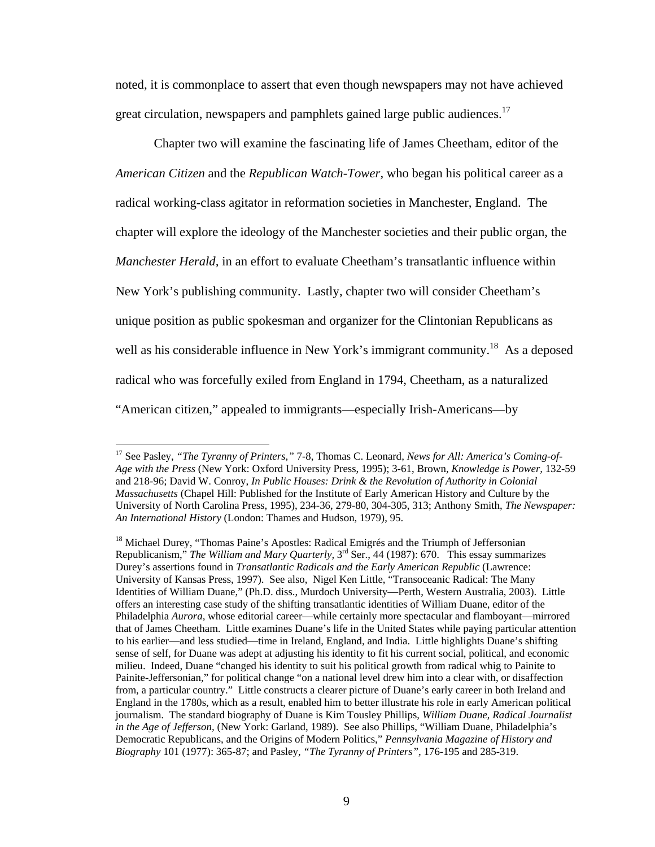noted, it is commonplace to assert that even though newspapers may not have achieved great circulation, newspapers and pamphlets gained large public audiences.<sup>17</sup>

Chapter two will examine the fascinating life of James Cheetham, editor of the *American Citizen* and the *Republican Watch-Tower,* who began his political career as a radical working-class agitator in reformation societies in Manchester, England. The chapter will explore the ideology of the Manchester societies and their public organ, the *Manchester Herald,* in an effort to evaluate Cheetham's transatlantic influence within New York's publishing community. Lastly, chapter two will consider Cheetham's unique position as public spokesman and organizer for the Clintonian Republicans as well as his considerable influence in New York's immigrant community.<sup>18</sup> As a deposed radical who was forcefully exiled from England in 1794, Cheetham, as a naturalized "American citizen," appealed to immigrants—especially Irish-Americans—by

<sup>17</sup> See Pasley, *"The Tyranny of Printers,"* 7-8, Thomas C. Leonard, *News for All: America's Coming-of-Age with the Press* (New York: Oxford University Press, 1995); 3-61, Brown, *Knowledge is Power,* 132-59 and 218-96; David W. Conroy, *In Public Houses: Drink & the Revolution of Authority in Colonial Massachusetts* (Chapel Hill: Published for the Institute of Early American History and Culture by the University of North Carolina Press, 1995), 234-36, 279-80, 304-305, 313; Anthony Smith, *The Newspaper: An International History* (London: Thames and Hudson, 1979), 95.

<sup>&</sup>lt;sup>18</sup> Michael Durey, "Thomas Paine's Apostles: Radical Emigrés and the Triumph of Jeffersonian Republicanism," *The William and Mary Quarterly*, 3<sup>rd</sup> Ser., 44 (1987): 670. This essay summarizes Durey's assertions found in *Transatlantic Radicals and the Early American Republic* (Lawrence: University of Kansas Press, 1997). See also, Nigel Ken Little, "Transoceanic Radical: The Many Identities of William Duane," (Ph.D. diss., Murdoch University—Perth, Western Australia, 2003). Little offers an interesting case study of the shifting transatlantic identities of William Duane, editor of the Philadelphia *Aurora,* whose editorial career—while certainly more spectacular and flamboyant—mirrored that of James Cheetham. Little examines Duane's life in the United States while paying particular attention to his earlier—and less studied—time in Ireland, England, and India. Little highlights Duane's shifting sense of self, for Duane was adept at adjusting his identity to fit his current social, political, and economic milieu. Indeed, Duane "changed his identity to suit his political growth from radical whig to Painite to Painite-Jeffersonian," for political change "on a national level drew him into a clear with, or disaffection from, a particular country." Little constructs a clearer picture of Duane's early career in both Ireland and England in the 1780s, which as a result, enabled him to better illustrate his role in early American political journalism. The standard biography of Duane is Kim Tousley Phillips, *William Duane, Radical Journalist in the Age of Jefferson,* (New York: Garland, 1989). See also Phillips, "William Duane, Philadelphia's Democratic Republicans, and the Origins of Modern Politics," *Pennsylvania Magazine of History and Biography* 101 (1977): 365-87; and Pasley, *"The Tyranny of Printers",* 176-195 and 285-319.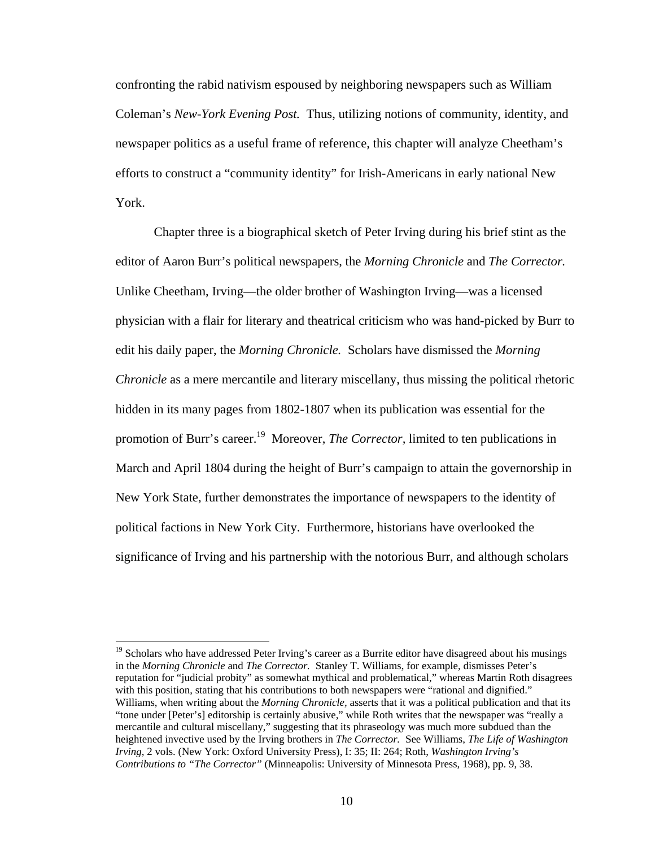confronting the rabid nativism espoused by neighboring newspapers such as William Coleman's *New-York Evening Post.* Thus, utilizing notions of community, identity, and newspaper politics as a useful frame of reference, this chapter will analyze Cheetham's efforts to construct a "community identity" for Irish-Americans in early national New York.

Chapter three is a biographical sketch of Peter Irving during his brief stint as the editor of Aaron Burr's political newspapers, the *Morning Chronicle* and *The Corrector.*  Unlike Cheetham, Irving—the older brother of Washington Irving—was a licensed physician with a flair for literary and theatrical criticism who was hand-picked by Burr to edit his daily paper, the *Morning Chronicle.* Scholars have dismissed the *Morning Chronicle* as a mere mercantile and literary miscellany, thus missing the political rhetoric hidden in its many pages from 1802-1807 when its publication was essential for the promotion of Burr's career.19 Moreover, *The Corrector,* limited to ten publications in March and April 1804 during the height of Burr's campaign to attain the governorship in New York State, further demonstrates the importance of newspapers to the identity of political factions in New York City. Furthermore, historians have overlooked the significance of Irving and his partnership with the notorious Burr, and although scholars

 $19$  Scholars who have addressed Peter Irving's career as a Burrite editor have disagreed about his musings in the *Morning Chronicle* and *The Corrector.* Stanley T. Williams, for example, dismisses Peter's reputation for "judicial probity" as somewhat mythical and problematical," whereas Martin Roth disagrees with this position, stating that his contributions to both newspapers were "rational and dignified." Williams, when writing about the *Morning Chronicle,* asserts that it was a political publication and that its "tone under [Peter's] editorship is certainly abusive," while Roth writes that the newspaper was "really a mercantile and cultural miscellany," suggesting that its phraseology was much more subdued than the heightened invective used by the Irving brothers in *The Corrector.* See Williams, *The Life of Washington Irving,* 2 vols. (New York: Oxford University Press), I: 35; II: 264; Roth, *Washington Irving's Contributions to "The Corrector"* (Minneapolis: University of Minnesota Press, 1968), pp. 9, 38.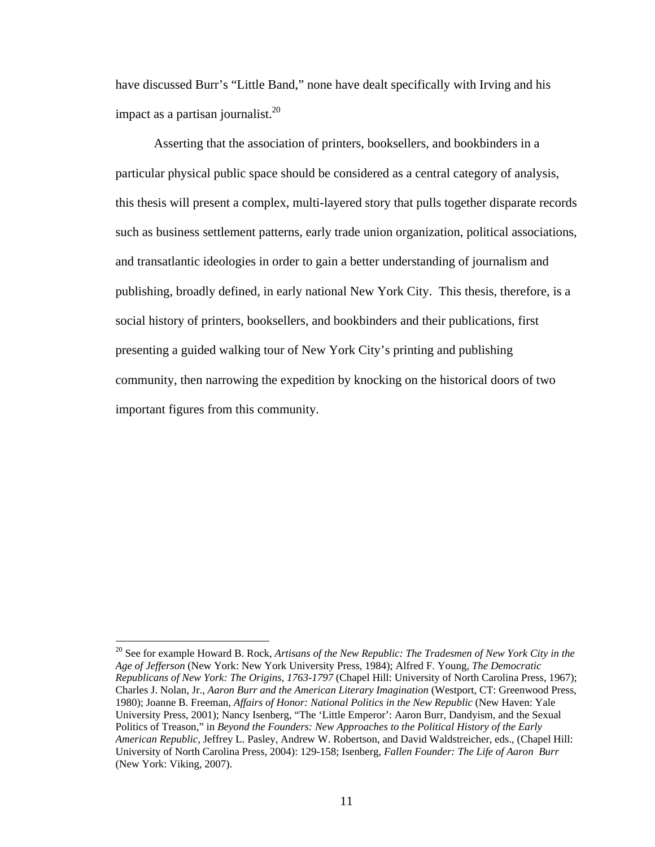have discussed Burr's "Little Band," none have dealt specifically with Irving and his impact as a partisan journalist.<sup>20</sup>

Asserting that the association of printers, booksellers, and bookbinders in a particular physical public space should be considered as a central category of analysis, this thesis will present a complex, multi-layered story that pulls together disparate records such as business settlement patterns, early trade union organization, political associations, and transatlantic ideologies in order to gain a better understanding of journalism and publishing, broadly defined, in early national New York City. This thesis, therefore, is a social history of printers, booksellers, and bookbinders and their publications, first presenting a guided walking tour of New York City's printing and publishing community, then narrowing the expedition by knocking on the historical doors of two important figures from this community.

1

<sup>&</sup>lt;sup>20</sup> See for example Howard B. Rock, *Artisans of the New Republic: The Tradesmen of New York City in the Age of Jefferson* (New York: New York University Press, 1984); Alfred F. Young, *The Democratic Republicans of New York: The Origins, 1763-1797* (Chapel Hill: University of North Carolina Press, 1967); Charles J. Nolan, Jr., *Aaron Burr and the American Literary Imagination* (Westport, CT: Greenwood Press, 1980); Joanne B. Freeman, *Affairs of Honor: National Politics in the New Republic* (New Haven: Yale University Press, 2001); Nancy Isenberg, "The 'Little Emperor': Aaron Burr, Dandyism, and the Sexual Politics of Treason," in *Beyond the Founders: New Approaches to the Political History of the Early American Republic,* Jeffrey L. Pasley, Andrew W. Robertson, and David Waldstreicher, eds., (Chapel Hill: University of North Carolina Press, 2004): 129-158; Isenberg, *Fallen Founder: The Life of Aaron Burr*  (New York: Viking, 2007).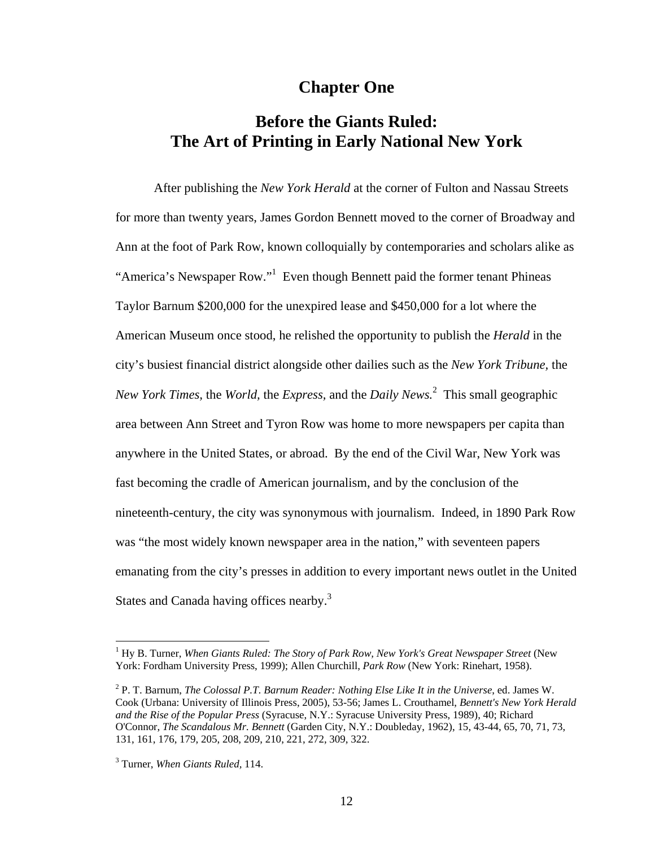### **Chapter One**

## **Before the Giants Ruled: The Art of Printing in Early National New York**

After publishing the *New York Herald* at the corner of Fulton and Nassau Streets for more than twenty years, James Gordon Bennett moved to the corner of Broadway and Ann at the foot of Park Row, known colloquially by contemporaries and scholars alike as "America's Newspaper Row."<sup>1</sup> Even though Bennett paid the former tenant Phineas Taylor Barnum \$200,000 for the unexpired lease and \$450,000 for a lot where the American Museum once stood, he relished the opportunity to publish the *Herald* in the city's busiest financial district alongside other dailies such as the *New York Tribune,* the *New York Times,* the *World,* the *Express,* and the *Daily News.*<sup>2</sup> This small geographic area between Ann Street and Tyron Row was home to more newspapers per capita than anywhere in the United States, or abroad. By the end of the Civil War, New York was fast becoming the cradle of American journalism, and by the conclusion of the nineteenth-century, the city was synonymous with journalism. Indeed, in 1890 Park Row was "the most widely known newspaper area in the nation," with seventeen papers emanating from the city's presses in addition to every important news outlet in the United States and Canada having offices nearby.<sup>3</sup>

<sup>&</sup>lt;sup>1</sup> Hy B. Turner, *When Giants Ruled: The Story of Park Row, New York's Great Newspaper Street* (New York: Fordham University Press, 1999); Allen Churchill, *Park Row* (New York: Rinehart, 1958).

<sup>2</sup> P. T. Barnum, *The Colossal P.T. Barnum Reader: Nothing Else Like It in the Universe*, ed. James W. Cook (Urbana: University of Illinois Press, 2005), 53-56; James L. Crouthamel, *Bennett's New York Herald and the Rise of the Popular Press* (Syracuse, N.Y.: Syracuse University Press, 1989), 40; Richard O'Connor, *The Scandalous Mr. Bennett* (Garden City, N.Y.: Doubleday, 1962), 15, 43-44, 65, 70, 71, 73, 131, 161, 176, 179, 205, 208, 209, 210, 221, 272, 309, 322.

<sup>3</sup> Turner, *When Giants Ruled,* 114.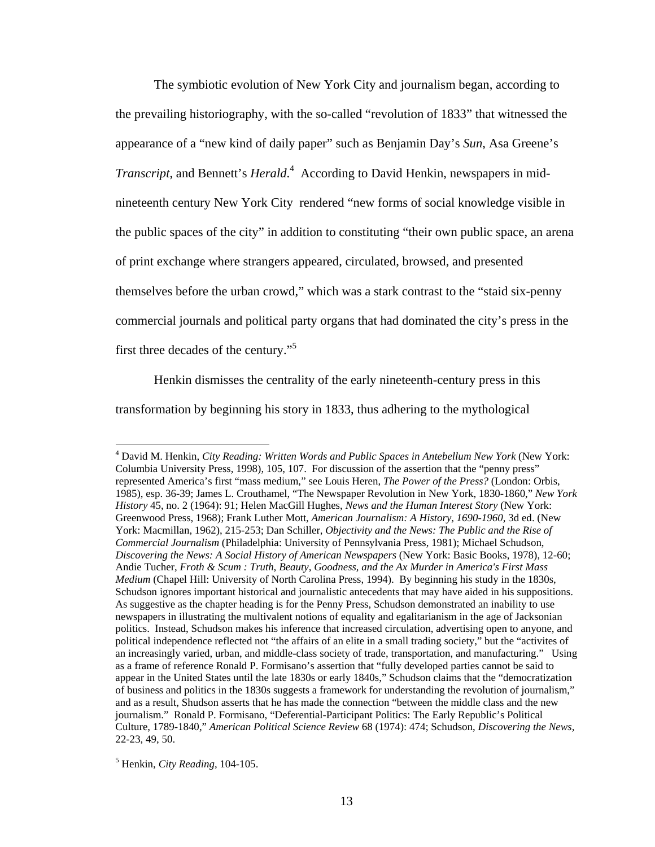The symbiotic evolution of New York City and journalism began, according to the prevailing historiography, with the so-called "revolution of 1833" that witnessed the appearance of a "new kind of daily paper" such as Benjamin Day's *Sun*, Asa Greene's *Transcript*, and Bennett's *Herald*. 4 According to David Henkin, newspapers in midnineteenth century New York City rendered "new forms of social knowledge visible in the public spaces of the city" in addition to constituting "their own public space, an arena of print exchange where strangers appeared, circulated, browsed, and presented themselves before the urban crowd," which was a stark contrast to the "staid six-penny commercial journals and political party organs that had dominated the city's press in the first three decades of the century."<sup>5</sup>

Henkin dismisses the centrality of the early nineteenth-century press in this transformation by beginning his story in 1833, thus adhering to the mythological

<sup>4</sup> David M. Henkin, *City Reading: Written Words and Public Spaces in Antebellum New York* (New York: Columbia University Press, 1998), 105, 107. For discussion of the assertion that the "penny press" represented America's first "mass medium," see Louis Heren, *The Power of the Press?* (London: Orbis, 1985), esp. 36-39; James L. Crouthamel, "The Newspaper Revolution in New York, 1830-1860," *New York History* 45, no. 2 (1964): 91; Helen MacGill Hughes, *News and the Human Interest Story* (New York: Greenwood Press, 1968); Frank Luther Mott, *American Journalism: A History, 1690-1960*, 3d ed. (New York: Macmillan, 1962), 215-253; Dan Schiller, *Objectivity and the News: The Public and the Rise of Commercial Journalism* (Philadelphia: University of Pennsylvania Press, 1981); Michael Schudson, *Discovering the News: A Social History of American Newspapers* (New York: Basic Books, 1978), 12-60; Andie Tucher, *Froth & Scum : Truth, Beauty, Goodness, and the Ax Murder in America's First Mass Medium* (Chapel Hill: University of North Carolina Press, 1994). By beginning his study in the 1830s, Schudson ignores important historical and journalistic antecedents that may have aided in his suppositions. As suggestive as the chapter heading is for the Penny Press, Schudson demonstrated an inability to use newspapers in illustrating the multivalent notions of equality and egalitarianism in the age of Jacksonian politics. Instead, Schudson makes his inference that increased circulation, advertising open to anyone, and political independence reflected not "the affairs of an elite in a small trading society," but the "activites of an increasingly varied, urban, and middle-class society of trade, transportation, and manufacturing." Using as a frame of reference Ronald P. Formisano's assertion that "fully developed parties cannot be said to appear in the United States until the late 1830s or early 1840s," Schudson claims that the "democratization of business and politics in the 1830s suggests a framework for understanding the revolution of journalism," and as a result, Shudson asserts that he has made the connection "between the middle class and the new journalism." Ronald P. Formisano, "Deferential-Participant Politics: The Early Republic's Political Culture, 1789-1840," *American Political Science Review* 68 (1974): 474; Schudson, *Discovering the News,* 22-23, 49, 50.

<sup>5</sup> Henkin, *City Reading*, 104-105.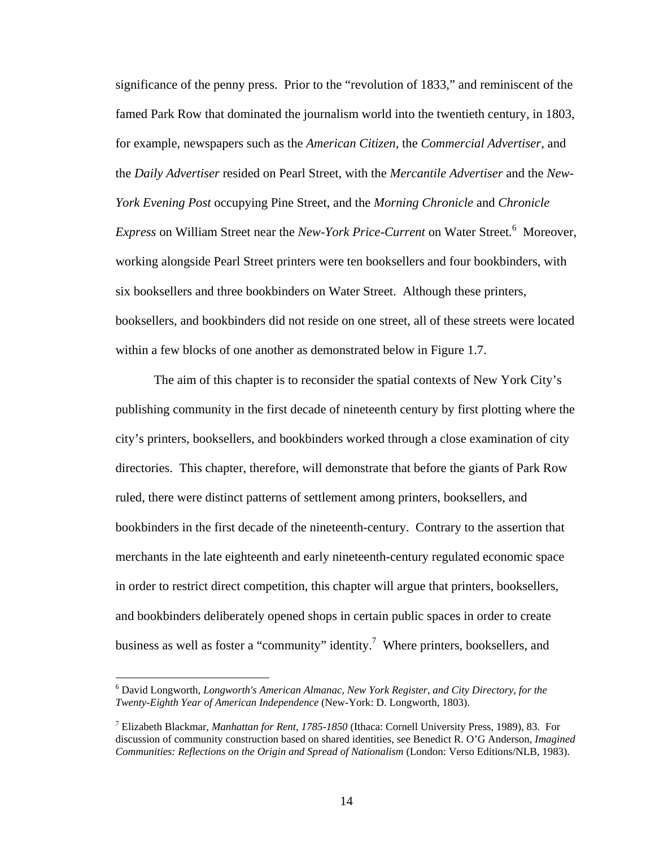significance of the penny press. Prior to the "revolution of 1833," and reminiscent of the famed Park Row that dominated the journalism world into the twentieth century, in 1803, for example, newspapers such as the *American Citizen,* the *Commercial Advertiser,* and the *Daily Advertiser* resided on Pearl Street, with the *Mercantile Advertiser* and the *New-York Evening Post* occupying Pine Street, and the *Morning Chronicle* and *Chronicle*  Express on William Street near the *New-York Price-Current* on Water Street.<sup>6</sup> Moreover, working alongside Pearl Street printers were ten booksellers and four bookbinders, with six booksellers and three bookbinders on Water Street. Although these printers, booksellers, and bookbinders did not reside on one street, all of these streets were located within a few blocks of one another as demonstrated below in Figure 1.7.

The aim of this chapter is to reconsider the spatial contexts of New York City's publishing community in the first decade of nineteenth century by first plotting where the city's printers, booksellers, and bookbinders worked through a close examination of city directories. This chapter, therefore, will demonstrate that before the giants of Park Row ruled, there were distinct patterns of settlement among printers, booksellers, and bookbinders in the first decade of the nineteenth-century. Contrary to the assertion that merchants in the late eighteenth and early nineteenth-century regulated economic space in order to restrict direct competition, this chapter will argue that printers, booksellers, and bookbinders deliberately opened shops in certain public spaces in order to create business as well as foster a "community" identity.<sup>7</sup> Where printers, booksellers, and

<sup>6</sup> David Longworth, *Longworth's American Almanac, New York Register, and City Directory, for the Twenty-Eighth Year of American Independence* (New-York: D. Longworth, 1803).

<sup>7</sup> Elizabeth Blackmar, *Manhattan for Rent, 1785-1850* (Ithaca: Cornell University Press, 1989), 83. For discussion of community construction based on shared identities, see Benedict R. O'G Anderson, *Imagined Communities: Reflections on the Origin and Spread of Nationalism* (London: Verso Editions/NLB, 1983).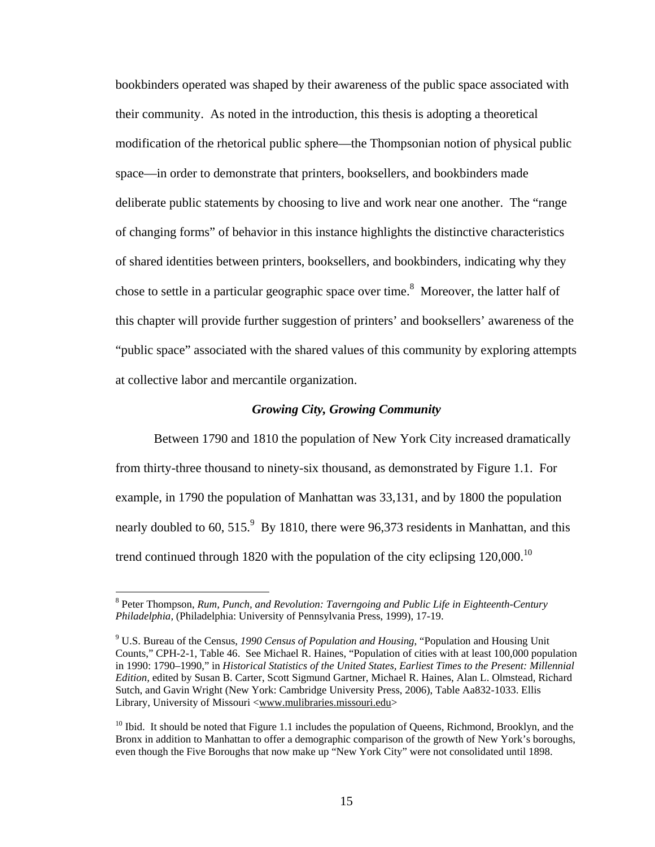bookbinders operated was shaped by their awareness of the public space associated with their community. As noted in the introduction, this thesis is adopting a theoretical modification of the rhetorical public sphere—the Thompsonian notion of physical public space—in order to demonstrate that printers, booksellers, and bookbinders made deliberate public statements by choosing to live and work near one another. The "range of changing forms" of behavior in this instance highlights the distinctive characteristics of shared identities between printers, booksellers, and bookbinders, indicating why they chose to settle in a particular geographic space over time.<sup>8</sup> Moreover, the latter half of this chapter will provide further suggestion of printers' and booksellers' awareness of the "public space" associated with the shared values of this community by exploring attempts at collective labor and mercantile organization.

#### *Growing City, Growing Community*

Between 1790 and 1810 the population of New York City increased dramatically from thirty-three thousand to ninety-six thousand, as demonstrated by Figure 1.1. For example, in 1790 the population of Manhattan was 33,131, and by 1800 the population nearly doubled to 60,  $515.<sup>9</sup>$  By 1810, there were 96,373 residents in Manhattan, and this trend continued through 1820 with the population of the city eclipsing  $120,000$ .<sup>10</sup>

<sup>&</sup>lt;sup>8</sup> Peter Thompson, *Rum, Punch, and Revolution: Taverngoing and Public Life in Eighteenth-Century Philadelphia,* (Philadelphia: University of Pennsylvania Press, 1999), 17-19.

<sup>9</sup> U.S. Bureau of the Census, *1990 Census of Population and Housing*, "Population and Housing Unit Counts," CPH-2-1, Table 46. See Michael R. Haines, "Population of cities with at least 100,000 population in 1990: 1790–1990," in *Historical Statistics of the United States, Earliest Times to the Present: Millennial Edition,* edited by Susan B. Carter, Scott Sigmund Gartner, Michael R. Haines, Alan L. Olmstead, Richard Sutch, and Gavin Wright (New York: Cambridge University Press, 2006), Table Aa832-1033. Ellis Library, University of Missouri <www.mulibraries.missouri.edu>

 $10$  Ibid. It should be noted that Figure 1.1 includes the population of Queens, Richmond, Brooklyn, and the Bronx in addition to Manhattan to offer a demographic comparison of the growth of New York's boroughs, even though the Five Boroughs that now make up "New York City" were not consolidated until 1898.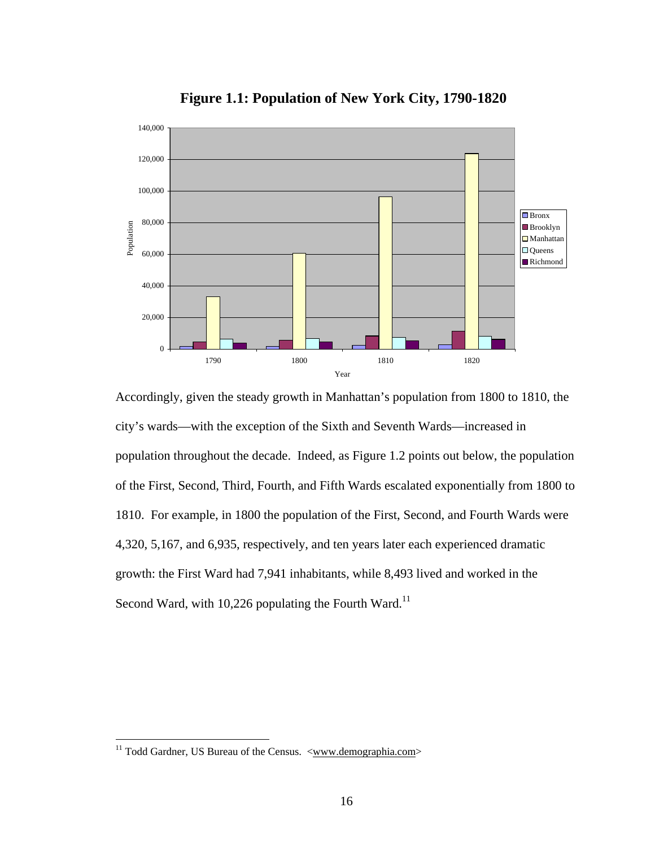

**Figure 1.1: Population of New York City, 1790-1820**

Accordingly, given the steady growth in Manhattan's population from 1800 to 1810, the city's wards—with the exception of the Sixth and Seventh Wards—increased in population throughout the decade. Indeed, as Figure 1.2 points out below, the population of the First, Second, Third, Fourth, and Fifth Wards escalated exponentially from 1800 to 1810. For example, in 1800 the population of the First, Second, and Fourth Wards were 4,320, 5,167, and 6,935, respectively, and ten years later each experienced dramatic growth: the First Ward had 7,941 inhabitants, while 8,493 lived and worked in the Second Ward, with 10,226 populating the Fourth Ward.<sup>11</sup>

<sup>&</sup>lt;sup>11</sup> Todd Gardner, US Bureau of the Census.  $\langle$ www.demographia.com>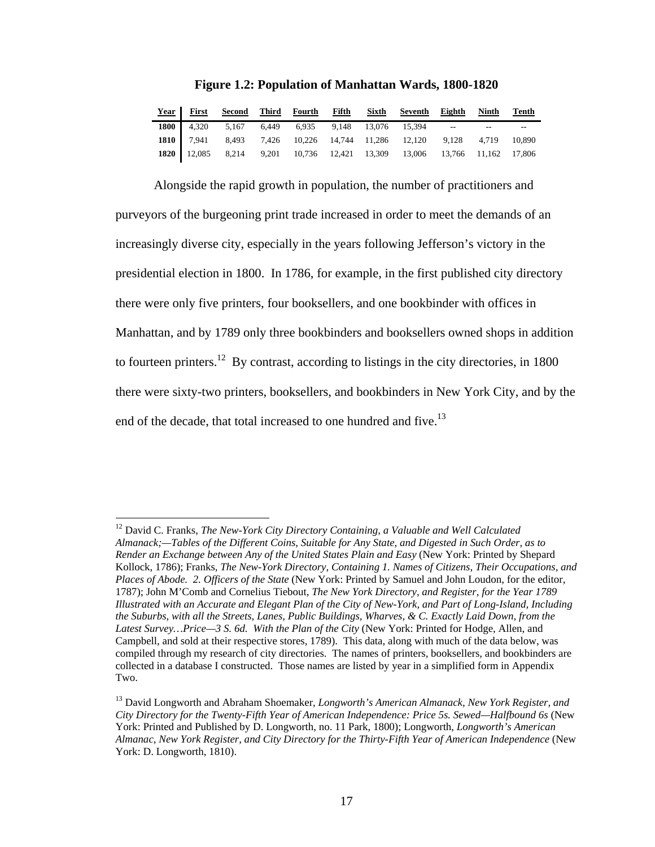|  |  |  | Year First Second Third Fourth Fifth Sixth Seventh Eighth Ninth Tenth                                                                                                                                                            |  |  |
|--|--|--|----------------------------------------------------------------------------------------------------------------------------------------------------------------------------------------------------------------------------------|--|--|
|  |  |  |                                                                                                                                                                                                                                  |  |  |
|  |  |  | <b>1800</b> 4,320 5,167 6,449 6,935 9,148 13,076 15,394 -- -- --<br><b>1810</b> 7,941 8,493 7,426 10,226 14,744 11,286 12,120 9,128 4,719 10,890 <b>1820</b> 12,085 8,214 9,201 10,736 12,421 13,309 13,006 13,766 11,162 17,806 |  |  |
|  |  |  |                                                                                                                                                                                                                                  |  |  |

**Figure 1.2: Population of Manhattan Wards, 1800-1820** 

Alongside the rapid growth in population, the number of practitioners and purveyors of the burgeoning print trade increased in order to meet the demands of an increasingly diverse city, especially in the years following Jefferson's victory in the presidential election in 1800. In 1786, for example, in the first published city directory there were only five printers, four booksellers, and one bookbinder with offices in Manhattan, and by 1789 only three bookbinders and booksellers owned shops in addition to fourteen printers.<sup>12</sup> By contrast, according to listings in the city directories, in  $1800$ there were sixty-two printers, booksellers, and bookbinders in New York City, and by the end of the decade, that total increased to one hundred and five.<sup>13</sup>

<sup>&</sup>lt;sup>12</sup> David C. Franks, *The New-York City Directory Containing, a Valuable and Well Calculated Almanack;—Tables of the Different Coins, Suitable for Any State, and Digested in Such Order, as to Render an Exchange between Any of the United States Plain and Easy* (New York: Printed by Shepard Kollock, 1786); Franks, *The New-York Directory, Containing 1. Names of Citizens, Their Occupations, and Places of Abode. 2. Officers of the State* (New York: Printed by Samuel and John Loudon, for the editor, 1787); John M'Comb and Cornelius Tiebout, *The New York Directory, and Register, for the Year 1789 Illustrated with an Accurate and Elegant Plan of the City of New-York, and Part of Long-Island, Including the Suburbs, with all the Streets, Lanes, Public Buildings, Wharves, & C. Exactly Laid Down, from the*  Latest Survey... Price—3 S. 6d. With the Plan of the City (New York: Printed for Hodge, Allen, and Campbell, and sold at their respective stores, 1789). This data, along with much of the data below, was compiled through my research of city directories. The names of printers, booksellers, and bookbinders are collected in a database I constructed. Those names are listed by year in a simplified form in Appendix Two.

<sup>13</sup> David Longworth and Abraham Shoemaker, *Longworth's American Almanack, New York Register, and City Directory for the Twenty-Fifth Year of American Independence: Price 5s. Sewed—Halfbound 6s* (New York: Printed and Published by D. Longworth, no. 11 Park, 1800); Longworth, *Longworth's American Almanac, New York Register, and City Directory for the Thirty-Fifth Year of American Independence* (New York: D. Longworth, 1810).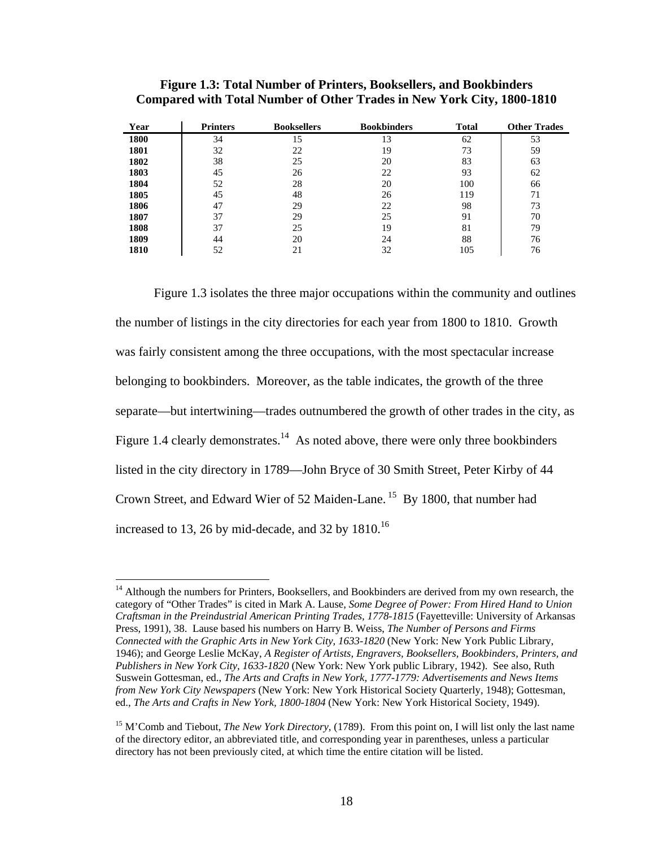| Year | <b>Printers</b> | <b>Booksellers</b> | <b>Bookbinders</b> | <b>Total</b> | <b>Other Trades</b> |
|------|-----------------|--------------------|--------------------|--------------|---------------------|
| 1800 | 34              | 15                 | 13                 | 62           | 53                  |
| 1801 | 32              | 22                 | 19                 | 73           | 59                  |
| 1802 | 38              | 25                 | 20                 | 83           | 63                  |
| 1803 | 45              | 26                 | 22                 | 93           | 62                  |
| 1804 | 52              | 28                 | 20                 | 100          | 66                  |
| 1805 | 45              | 48                 | 26                 | 119          | 71                  |
| 1806 | 47              | 29                 | 22                 | 98           | 73                  |
| 1807 | 37              | 29                 | 25                 | 91           | 70                  |
| 1808 | 37              | 25                 | 19                 | 81           | 79                  |
| 1809 | 44              | 20                 | 24                 | 88           | 76                  |
| 1810 | 52              | 21                 | 32                 | 105          | 76                  |

| Figure 1.3: Total Number of Printers, Booksellers, and Bookbinders |  |                                                                               |
|--------------------------------------------------------------------|--|-------------------------------------------------------------------------------|
|                                                                    |  | <b>Compared with Total Number of Other Trades in New York City, 1800-1810</b> |

 Figure 1.3 isolates the three major occupations within the community and outlines the number of listings in the city directories for each year from 1800 to 1810. Growth was fairly consistent among the three occupations, with the most spectacular increase belonging to bookbinders. Moreover, as the table indicates, the growth of the three separate—but intertwining—trades outnumbered the growth of other trades in the city, as Figure 1.4 clearly demonstrates.<sup>14</sup> As noted above, there were only three bookbinders listed in the city directory in 1789—John Bryce of 30 Smith Street, Peter Kirby of 44 Crown Street, and Edward Wier of 52 Maiden-Lane. 15 By 1800, that number had increased to 13, 26 by mid-decade, and 32 by  $1810^{16}$ 

<sup>&</sup>lt;sup>14</sup> Although the numbers for Printers, Booksellers, and Bookbinders are derived from my own research, the category of "Other Trades" is cited in Mark A. Lause, *Some Degree of Power: From Hired Hand to Union Craftsman in the Preindustrial American Printing Trades, 1778-1815* (Fayetteville: University of Arkansas Press, 1991), 38. Lause based his numbers on Harry B. Weiss, *The Number of Persons and Firms Connected with the Graphic Arts in New York City, 1633-1820* (New York: New York Public Library, 1946); and George Leslie McKay, *A Register of Artists, Engravers, Booksellers, Bookbinders, Printers, and Publishers in New York City, 1633-1820* (New York: New York public Library, 1942). See also, Ruth Suswein Gottesman, ed., *The Arts and Crafts in New York, 1777-1779: Advertisements and News Items from New York City Newspapers* (New York: New York Historical Society Quarterly, 1948); Gottesman, ed., *The Arts and Crafts in New York, 1800-1804* (New York: New York Historical Society, 1949).

<sup>15</sup> M'Comb and Tiebout, *The New York Directory,* (1789). From this point on, I will list only the last name of the directory editor, an abbreviated title, and corresponding year in parentheses, unless a particular directory has not been previously cited, at which time the entire citation will be listed.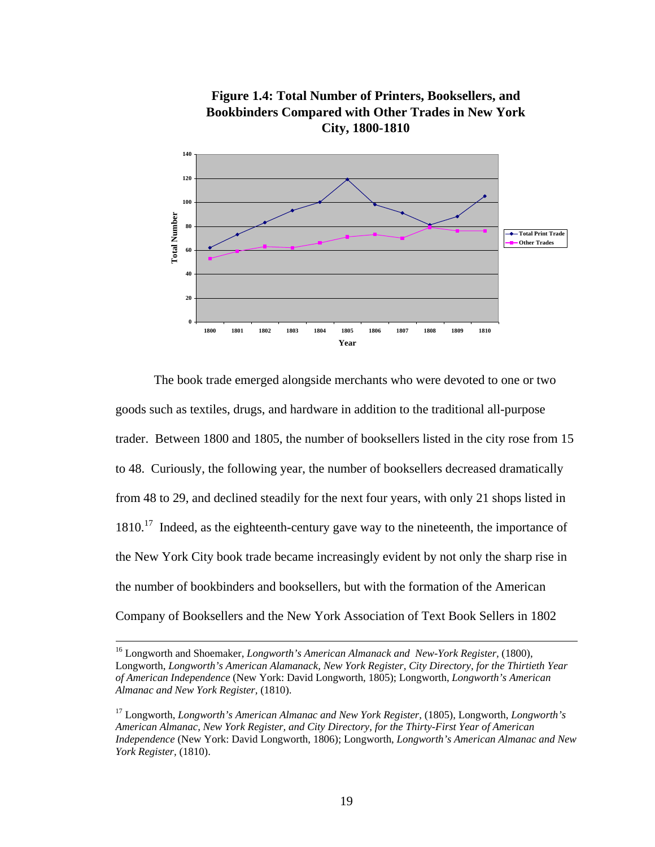

**Figure 1.4: Total Number of Printers, Booksellers, and Bookbinders Compared with Other Trades in New York City, 1800-1810**

The book trade emerged alongside merchants who were devoted to one or two goods such as textiles, drugs, and hardware in addition to the traditional all-purpose trader. Between 1800 and 1805, the number of booksellers listed in the city rose from 15 to 48. Curiously, the following year, the number of booksellers decreased dramatically from 48 to 29, and declined steadily for the next four years, with only 21 shops listed in  $1810.<sup>17</sup>$  Indeed, as the eighteenth-century gave way to the nineteenth, the importance of the New York City book trade became increasingly evident by not only the sharp rise in the number of bookbinders and booksellers, but with the formation of the American Company of Booksellers and the New York Association of Text Book Sellers in 1802

<sup>&</sup>lt;sup>16</sup> Longworth and Shoemaker, *Longworth's American Almanack and New-York Register*, (1800), Longworth, *Longworth's American Alamanack, New York Register, City Directory, for the Thirtieth Year of American Independence* (New York: David Longworth, 1805); Longworth, *Longworth's American Almanac and New York Register,* (1810).

<sup>&</sup>lt;sup>17</sup> Longworth, *Longworth's American Almanac and New York Register,* (1805), Longworth, *Longworth's American Almanac, New York Register, and City Directory, for the Thirty-First Year of American Independence* (New York: David Longworth, 1806); Longworth, *Longworth's American Almanac and New York Register,* (1810).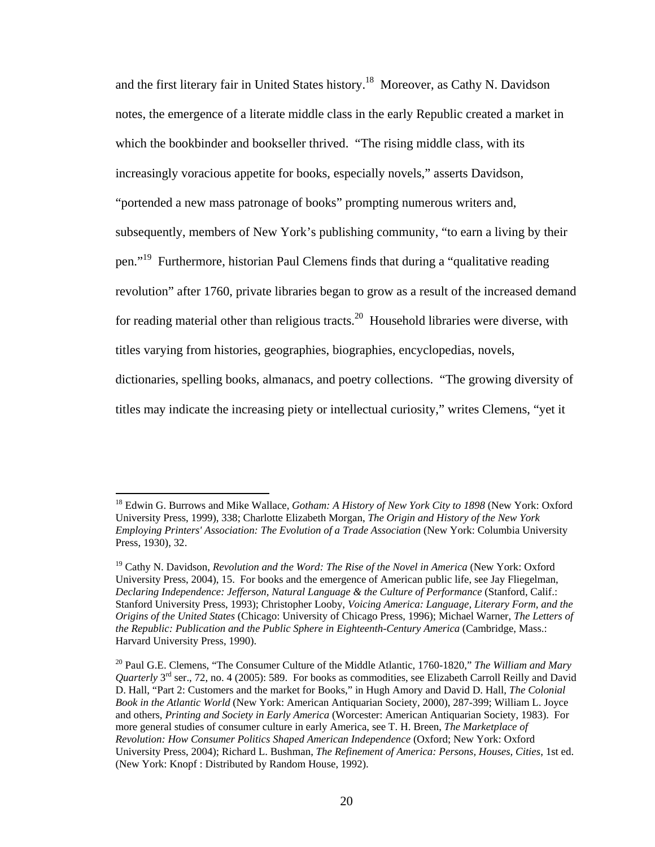and the first literary fair in United States history.<sup>18</sup> Moreover, as Cathy N. Davidson notes, the emergence of a literate middle class in the early Republic created a market in which the bookbinder and bookseller thrived. "The rising middle class, with its increasingly voracious appetite for books, especially novels," asserts Davidson, "portended a new mass patronage of books" prompting numerous writers and, subsequently, members of New York's publishing community, "to earn a living by their pen."19 Furthermore, historian Paul Clemens finds that during a "qualitative reading revolution" after 1760, private libraries began to grow as a result of the increased demand for reading material other than religious tracts.<sup>20</sup> Household libraries were diverse, with titles varying from histories, geographies, biographies, encyclopedias, novels, dictionaries, spelling books, almanacs, and poetry collections. "The growing diversity of titles may indicate the increasing piety or intellectual curiosity," writes Clemens, "yet it

<sup>18</sup> Edwin G. Burrows and Mike Wallace, *Gotham: A History of New York City to 1898* (New York: Oxford University Press, 1999), 338; Charlotte Elizabeth Morgan, *The Origin and History of the New York Employing Printers' Association: The Evolution of a Trade Association* (New York: Columbia University Press, 1930), 32.

<sup>&</sup>lt;sup>19</sup> Cathy N. Davidson, *Revolution and the Word: The Rise of the Novel in America* (New York: Oxford University Press, 2004), 15. For books and the emergence of American public life, see Jay Fliegelman, *Declaring Independence: Jefferson, Natural Language & the Culture of Performance* (Stanford, Calif.: Stanford University Press, 1993); Christopher Looby, *Voicing America: Language, Literary Form, and the Origins of the United States* (Chicago: University of Chicago Press, 1996); Michael Warner, *The Letters of the Republic: Publication and the Public Sphere in Eighteenth-Century America* (Cambridge, Mass.: Harvard University Press, 1990).

<sup>20</sup> Paul G.E. Clemens, "The Consumer Culture of the Middle Atlantic, 1760-1820," *The William and Mary Quarterly* 3rd ser., 72, no. 4 (2005): 589. For books as commodities, see Elizabeth Carroll Reilly and David D. Hall, "Part 2: Customers and the market for Books," in Hugh Amory and David D. Hall, *The Colonial Book in the Atlantic World* (New York: American Antiquarian Society, 2000), 287-399; William L. Joyce and others, *Printing and Society in Early America* (Worcester: American Antiquarian Society, 1983). For more general studies of consumer culture in early America, see T. H. Breen, *The Marketplace of Revolution: How Consumer Politics Shaped American Independence* (Oxford; New York: Oxford University Press, 2004); Richard L. Bushman, *The Refinement of America: Persons, Houses, Cities*, 1st ed. (New York: Knopf : Distributed by Random House, 1992).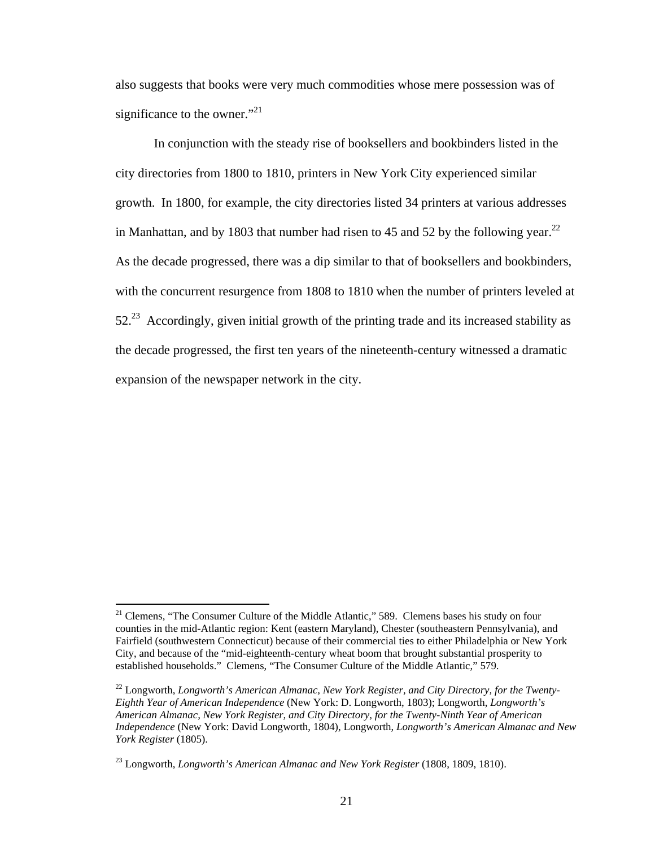also suggests that books were very much commodities whose mere possession was of significance to the owner."<sup>21</sup>

In conjunction with the steady rise of booksellers and bookbinders listed in the city directories from 1800 to 1810, printers in New York City experienced similar growth. In 1800, for example, the city directories listed 34 printers at various addresses in Manhattan, and by 1803 that number had risen to 45 and 52 by the following year.<sup>22</sup> As the decade progressed, there was a dip similar to that of booksellers and bookbinders, with the concurrent resurgence from 1808 to 1810 when the number of printers leveled at  $52<sup>23</sup>$  Accordingly, given initial growth of the printing trade and its increased stability as the decade progressed, the first ten years of the nineteenth-century witnessed a dramatic expansion of the newspaper network in the city.

1

<sup>&</sup>lt;sup>21</sup> Clemens, "The Consumer Culture of the Middle Atlantic," 589. Clemens bases his study on four counties in the mid-Atlantic region: Kent (eastern Maryland), Chester (southeastern Pennsylvania), and Fairfield (southwestern Connecticut) because of their commercial ties to either Philadelphia or New York City, and because of the "mid-eighteenth-century wheat boom that brought substantial prosperity to established households." Clemens, "The Consumer Culture of the Middle Atlantic," 579.

<sup>&</sup>lt;sup>22</sup> Longworth, *Longworth's American Almanac, New York Register, and City Directory, for the Twenty-Eighth Year of American Independence* (New York: D. Longworth, 1803); Longworth, *Longworth's American Almanac, New York Register, and City Directory, for the Twenty-Ninth Year of American Independence* (New York: David Longworth, 1804), Longworth, *Longworth's American Almanac and New York Register* (1805).

<sup>23</sup> Longworth, *Longworth's American Almanac and New York Register* (1808, 1809, 1810).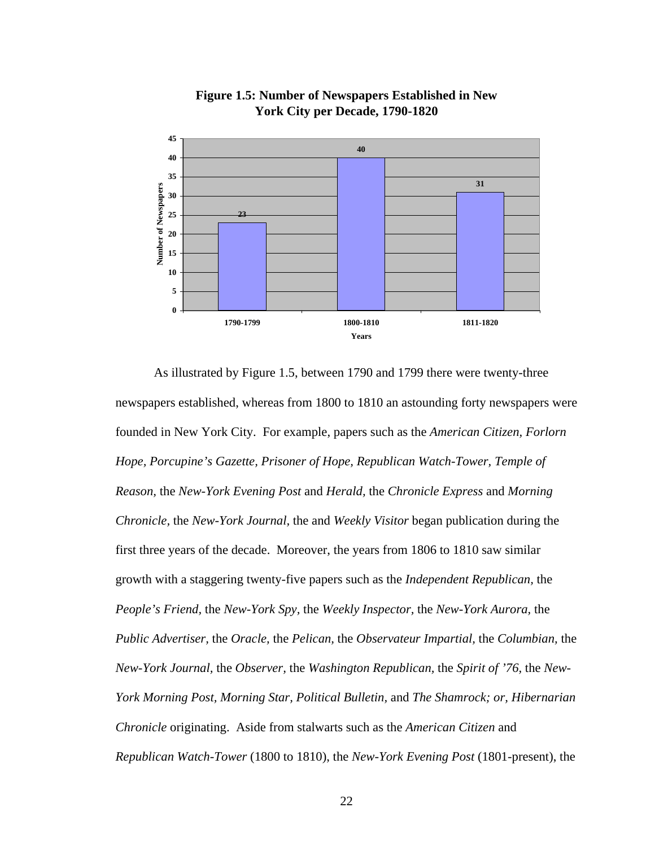

**Figure 1.5: Number of Newspapers Established in New York City per Decade, 1790-1820**

As illustrated by Figure 1.5, between 1790 and 1799 there were twenty-three newspapers established, whereas from 1800 to 1810 an astounding forty newspapers were founded in New York City. For example, papers such as the *American Citizen, Forlorn Hope, Porcupine's Gazette, Prisoner of Hope, Republican Watch-Tower, Temple of Reason,* the *New-York Evening Post* and *Herald,* the *Chronicle Express* and *Morning Chronicle,* the *New-York Journal,* the and *Weekly Visitor* began publication during the first three years of the decade. Moreover, the years from 1806 to 1810 saw similar growth with a staggering twenty-five papers such as the *Independent Republican,* the *People's Friend,* the *New-York Spy,* the *Weekly Inspector,* the *New-York Aurora,* the *Public Advertiser,* the *Oracle,* the *Pelican,* the *Observateur Impartial,* the *Columbian,* the *New-York Journal,* the *Observer,* the *Washington Republican,* the *Spirit of '76,* the *New-York Morning Post, Morning Star, Political Bulletin,* and *The Shamrock; or, Hibernarian Chronicle* originating. Aside from stalwarts such as the *American Citizen* and *Republican Watch-Tower* (1800 to 1810), the *New-York Evening Post* (1801-present), the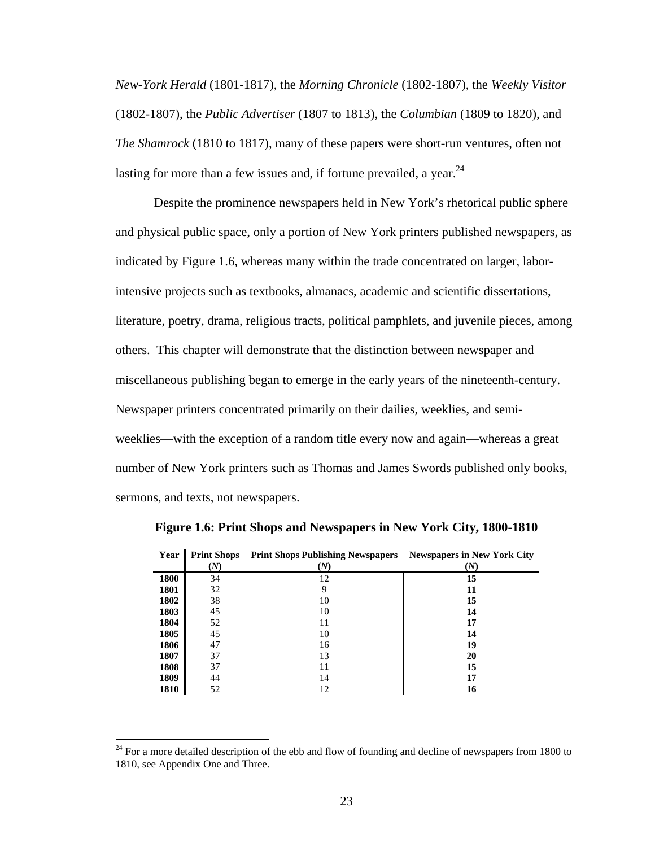*New-York Herald* (1801-1817), the *Morning Chronicle* (1802-1807), the *Weekly Visitor*  (1802-1807), the *Public Advertiser* (1807 to 1813), the *Columbian* (1809 to 1820), and *The Shamrock* (1810 to 1817), many of these papers were short-run ventures, often not lasting for more than a few issues and, if fortune prevailed, a year.  $24$ 

Despite the prominence newspapers held in New York's rhetorical public sphere and physical public space, only a portion of New York printers published newspapers, as indicated by Figure 1.6, whereas many within the trade concentrated on larger, laborintensive projects such as textbooks, almanacs, academic and scientific dissertations, literature, poetry, drama, religious tracts, political pamphlets, and juvenile pieces, among others. This chapter will demonstrate that the distinction between newspaper and miscellaneous publishing began to emerge in the early years of the nineteenth-century. Newspaper printers concentrated primarily on their dailies, weeklies, and semiweeklies—with the exception of a random title every now and again—whereas a great number of New York printers such as Thomas and James Swords published only books, sermons, and texts, not newspapers.

| Year | <b>Print Shops</b><br>(N) | <b>Print Shops Publishing Newspapers</b><br>(N) | <b>Newspapers in New York City</b><br>(N) |
|------|---------------------------|-------------------------------------------------|-------------------------------------------|
| 1800 | 34                        | 12                                              | 15                                        |
|      |                           |                                                 |                                           |
| 1801 | 32                        | 9                                               | 11                                        |
| 1802 | 38                        | 10                                              | 15                                        |
| 1803 | 45                        | 10                                              | 14                                        |
| 1804 | 52                        | 11                                              | 17                                        |
| 1805 | 45                        | 10                                              | 14                                        |
| 1806 | 47                        | 16                                              | 19                                        |
| 1807 | 37                        | 13                                              | 20                                        |
| 1808 | 37                        | 11                                              | 15                                        |
| 1809 | 44                        | 14                                              | 17                                        |
| 1810 | 52                        | 12                                              | 16                                        |

**Figure 1.6: Print Shops and Newspapers in New York City, 1800-1810** 

 $24$  For a more detailed description of the ebb and flow of founding and decline of newspapers from 1800 to 1810, see Appendix One and Three.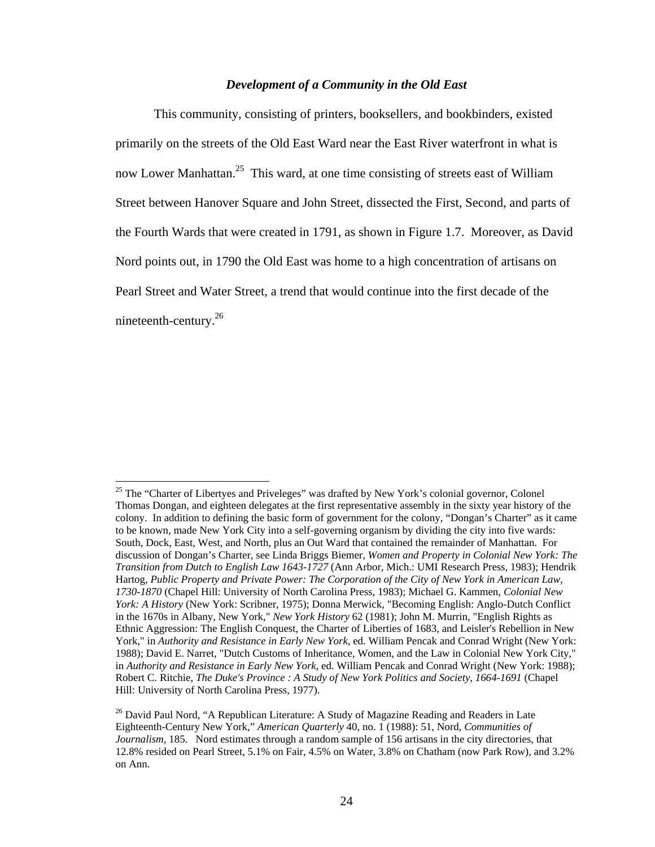#### *Development of a Community in the Old East*

This community, consisting of printers, booksellers, and bookbinders, existed primarily on the streets of the Old East Ward near the East River waterfront in what is now Lower Manhattan.<sup>25</sup> This ward, at one time consisting of streets east of William Street between Hanover Square and John Street, dissected the First, Second, and parts of the Fourth Wards that were created in 1791, as shown in Figure 1.7. Moreover, as David Nord points out, in 1790 the Old East was home to a high concentration of artisans on Pearl Street and Water Street, a trend that would continue into the first decade of the nineteenth-century.26

<sup>&</sup>lt;sup>25</sup> The "Charter of Libertyes and Priveleges" was drafted by New York's colonial governor, Colonel Thomas Dongan, and eighteen delegates at the first representative assembly in the sixty year history of the colony. In addition to defining the basic form of government for the colony, "Dongan's Charter" as it came to be known, made New York City into a self-governing organism by dividing the city into five wards: South, Dock, East, West, and North, plus an Out Ward that contained the remainder of Manhattan. For discussion of Dongan's Charter, see Linda Briggs Biemer, *Women and Property in Colonial New York: The Transition from Dutch to English Law 1643-1727* (Ann Arbor, Mich.: UMI Research Press, 1983); Hendrik Hartog, *Public Property and Private Power: The Corporation of the City of New York in American Law, 1730-1870* (Chapel Hill: University of North Carolina Press, 1983); Michael G. Kammen, *Colonial New York: A History* (New York: Scribner, 1975); Donna Merwick, "Becoming English: Anglo-Dutch Conflict in the 1670s in Albany, New York," *New York History* 62 (1981); John M. Murrin, "English Rights as Ethnic Aggression: The English Conquest, the Charter of Liberties of 1683, and Leisler's Rebellion in New York," in *Authority and Resistance in Early New York*, ed. William Pencak and Conrad Wright (New York: 1988); David E. Narret, "Dutch Customs of Inheritance, Women, and the Law in Colonial New York City," in *Authority and Resistance in Early New York*, ed. William Pencak and Conrad Wright (New York: 1988); Robert C. Ritchie, *The Duke's Province : A Study of New York Politics and Society, 1664-1691* (Chapel Hill: University of North Carolina Press, 1977).

 $26$  David Paul Nord, "A Republican Literature: A Study of Magazine Reading and Readers in Late Eighteenth-Century New York," *American Quarterly* 40, no. 1 (1988): 51, Nord, *Communities of Journalism*, 185. Nord estimates through a random sample of 156 artisans in the city directories, that 12.8% resided on Pearl Street, 5.1% on Fair, 4.5% on Water, 3.8% on Chatham (now Park Row), and 3.2% on Ann.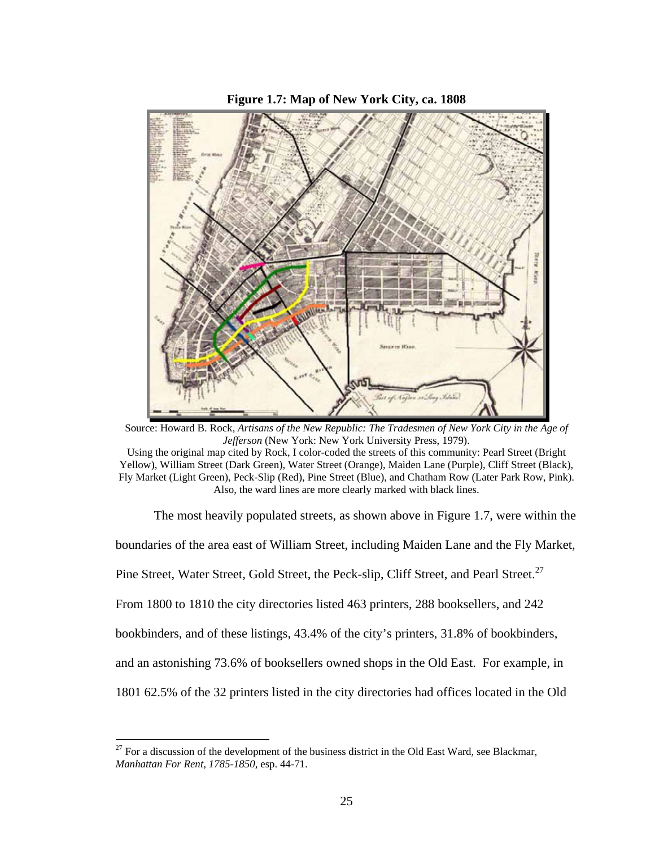



Source: Howard B. Rock, *Artisans of the New Republic: The Tradesmen of New York City in the Age of Jefferson* (New York: New York University Press, 1979).

The most heavily populated streets, as shown above in Figure 1.7, were within the boundaries of the area east of William Street, including Maiden Lane and the Fly Market, Pine Street, Water Street, Gold Street, the Peck-slip, Cliff Street, and Pearl Street.<sup>27</sup> From 1800 to 1810 the city directories listed 463 printers, 288 booksellers, and 242 bookbinders, and of these listings, 43.4% of the city's printers, 31.8% of bookbinders, and an astonishing 73.6% of booksellers owned shops in the Old East. For example, in 1801 62.5% of the 32 printers listed in the city directories had offices located in the Old

1

Using the original map cited by Rock, I color-coded the streets of this community: Pearl Street (Bright Yellow), William Street (Dark Green), Water Street (Orange), Maiden Lane (Purple), Cliff Street (Black), Fly Market (Light Green), Peck-Slip (Red), Pine Street (Blue), and Chatham Row (Later Park Row, Pink). Also, the ward lines are more clearly marked with black lines.

 $^{27}$  For a discussion of the development of the business district in the Old East Ward, see Blackmar, *Manhattan For Rent, 1785-1850,* esp. 44-71.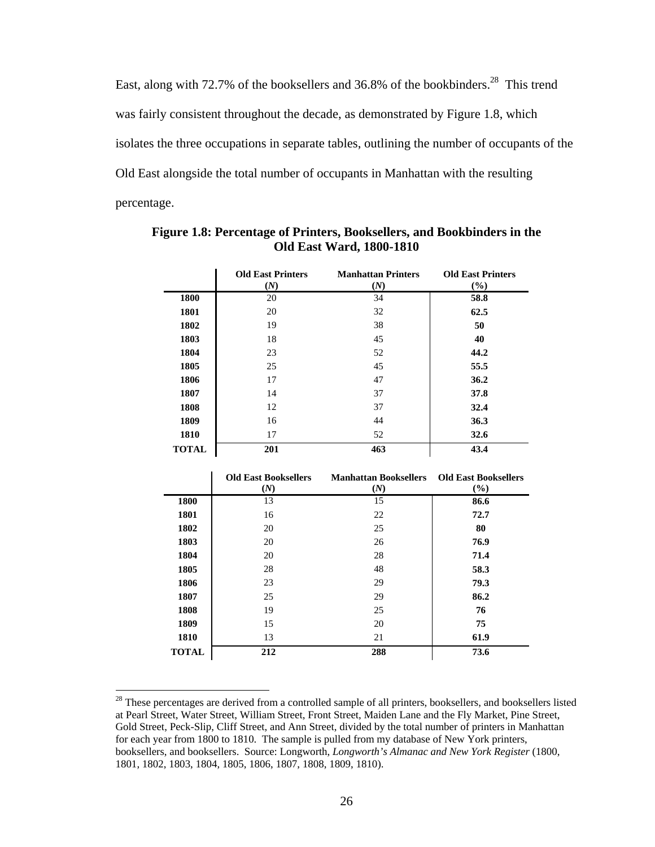East, along with 72.7% of the booksellers and 36.8% of the bookbinders.<sup>28</sup> This trend was fairly consistent throughout the decade, as demonstrated by Figure 1.8, which isolates the three occupations in separate tables, outlining the number of occupants of the Old East alongside the total number of occupants in Manhattan with the resulting percentage.

|              | <b>Old East Printers</b><br>(N) | <b>Manhattan Printers</b><br>(N) | <b>Old East Printers</b><br>$(\%)$ |
|--------------|---------------------------------|----------------------------------|------------------------------------|
| 1800         | 20                              | 34                               | 58.8                               |
| 1801         | 20                              | 32                               | 62.5                               |
| 1802         | 19                              | 38                               | 50                                 |
| 1803         | 18                              | 45                               | 40                                 |
| 1804         | 23                              | 52                               | 44.2                               |
| 1805         | 25                              | 45                               | 55.5                               |
| 1806         | 17                              | 47                               | 36.2                               |
| 1807         | 14                              | 37                               | 37.8                               |
| 1808         | 12                              | 37                               | 32.4                               |
| 1809         | 16                              | 44                               | 36.3                               |
| 1810         | 17                              | 52                               | 32.6                               |
| <b>TOTAL</b> | 201                             | 463                              | 43.4                               |

**Figure 1.8: Percentage of Printers, Booksellers, and Bookbinders in the Old East Ward, 1800-1810** 

|              | <b>Old East Booksellers</b> | <b>Manhattan Booksellers</b> | <b>Old East Booksellers</b> |
|--------------|-----------------------------|------------------------------|-----------------------------|
|              | (N)                         | (N)                          | $($ %)                      |
| 1800         | 13                          | 15                           | 86.6                        |
| 1801         | 16                          | 22                           | 72.7                        |
| 1802         | 20                          | 25                           | 80                          |
| 1803         | 20                          | 26                           | 76.9                        |
| 1804         | 20                          | 28                           | 71.4                        |
| 1805         | 28                          | 48                           | 58.3                        |
| 1806         | 23                          | 29                           | 79.3                        |
| 1807         | 25                          | 29                           | 86.2                        |
| 1808         | 19                          | 25                           | 76                          |
| 1809         | 15                          | 20                           | 75                          |
| 1810         | 13                          | 21                           | 61.9                        |
| <b>TOTAL</b> | 212                         | 288                          | 73.6                        |

<sup>&</sup>lt;sup>28</sup> These percentages are derived from a controlled sample of all printers, booksellers, and booksellers listed at Pearl Street, Water Street, William Street, Front Street, Maiden Lane and the Fly Market, Pine Street, Gold Street, Peck-Slip, Cliff Street, and Ann Street, divided by the total number of printers in Manhattan for each year from 1800 to 1810. The sample is pulled from my database of New York printers, booksellers, and booksellers. Source: Longworth, *Longworth's Almanac and New York Register* (1800, 1801, 1802, 1803, 1804, 1805, 1806, 1807, 1808, 1809, 1810).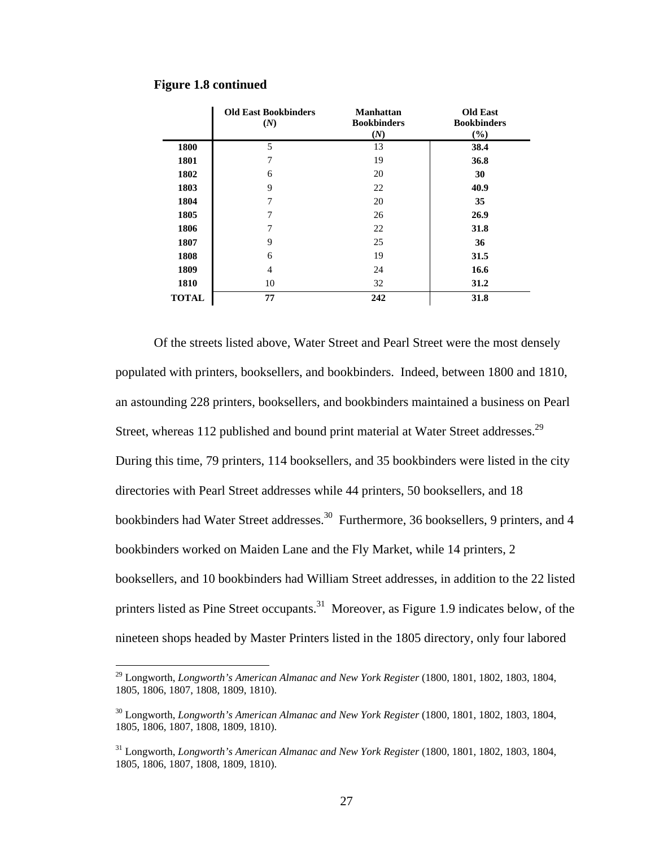|              | <b>Old East Bookbinders</b><br>(N) | <b>Manhattan</b><br><b>Bookbinders</b><br>(N) | <b>Old East</b><br><b>Bookbinders</b><br>$(\%)$ |
|--------------|------------------------------------|-----------------------------------------------|-------------------------------------------------|
| 1800         | 5                                  | 13                                            | 38.4                                            |
| 1801         | 7                                  | 19                                            | 36.8                                            |
| 1802         | 6                                  | 20                                            | 30                                              |
| 1803         | 9                                  | 22                                            | 40.9                                            |
| 1804         | 7                                  | 20                                            | 35                                              |
| 1805         | 7                                  | 26                                            | 26.9                                            |
| 1806         | 7                                  | 22                                            | 31.8                                            |
| 1807         | 9                                  | 25                                            | 36                                              |
| 1808         | 6                                  | 19                                            | 31.5                                            |
| 1809         | 4                                  | 24                                            | 16.6                                            |
| 1810         | 10                                 | 32                                            | 31.2                                            |
| <b>TOTAL</b> | 77                                 | 242                                           | 31.8                                            |

#### **Figure 1.8 continued**

1

Of the streets listed above, Water Street and Pearl Street were the most densely populated with printers, booksellers, and bookbinders. Indeed, between 1800 and 1810, an astounding 228 printers, booksellers, and bookbinders maintained a business on Pearl Street, whereas 112 published and bound print material at Water Street addresses.<sup>29</sup> During this time, 79 printers, 114 booksellers, and 35 bookbinders were listed in the city directories with Pearl Street addresses while 44 printers, 50 booksellers, and 18 bookbinders had Water Street addresses.<sup>30</sup> Furthermore, 36 booksellers, 9 printers, and 4 bookbinders worked on Maiden Lane and the Fly Market, while 14 printers, 2 booksellers, and 10 bookbinders had William Street addresses, in addition to the 22 listed printers listed as Pine Street occupants.<sup>31</sup> Moreover, as Figure 1.9 indicates below, of the nineteen shops headed by Master Printers listed in the 1805 directory, only four labored

<sup>&</sup>lt;sup>29</sup> Longworth, *Longworth's American Almanac and New York Register* (1800, 1801, 1802, 1803, 1804, 1805, 1806, 1807, 1808, 1809, 1810).

<sup>30</sup> Longworth, *Longworth's American Almanac and New York Register* (1800, 1801, 1802, 1803, 1804, 1805, 1806, 1807, 1808, 1809, 1810).

<sup>&</sup>lt;sup>31</sup> Longworth, *Longworth's American Almanac and New York Register* (1800, 1801, 1802, 1803, 1804, 1805, 1806, 1807, 1808, 1809, 1810).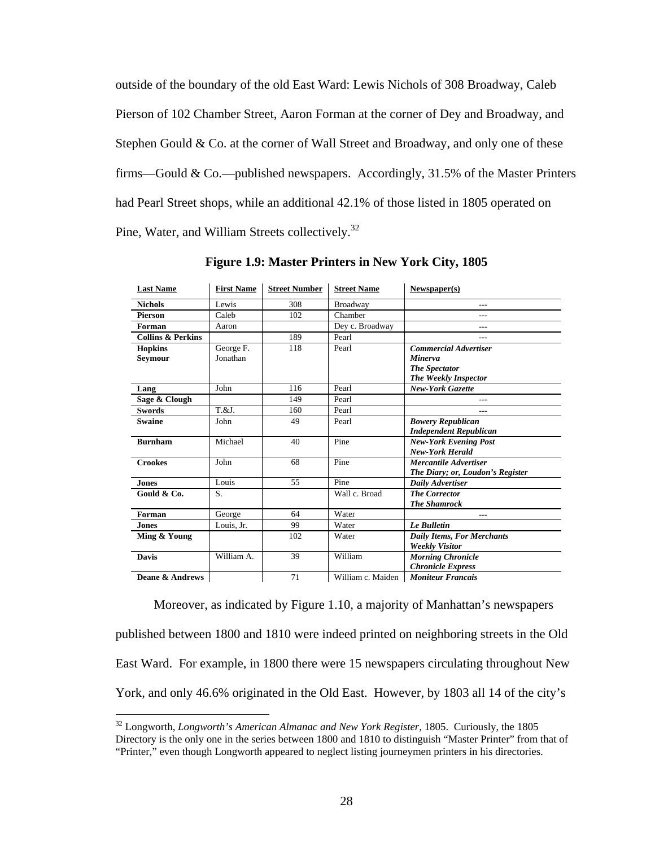outside of the boundary of the old East Ward: Lewis Nichols of 308 Broadway, Caleb Pierson of 102 Chamber Street, Aaron Forman at the corner of Dey and Broadway, and Stephen Gould  $& Co.$  at the corner of Wall Street and Broadway, and only one of these firms—Gould & Co.—published newspapers. Accordingly, 31.5% of the Master Printers had Pearl Street shops, while an additional 42.1% of those listed in 1805 operated on Pine, Water, and William Streets collectively.32

| <b>Last Name</b>             | <b>First Name</b> | <b>Street Number</b> | <b>Street Name</b> | Newspaper(s)                      |
|------------------------------|-------------------|----------------------|--------------------|-----------------------------------|
| <b>Nichols</b>               | Lewis             | 308                  | <b>Broadway</b>    | $---$                             |
| <b>Pierson</b>               | Caleb             | 102                  | Chamber            | $---$                             |
| Forman                       | Aaron             |                      | Dev c. Broadway    | ---                               |
| <b>Collins &amp; Perkins</b> |                   | 189                  | Pearl              |                                   |
| <b>Hopkins</b>               | George F.         | 118                  | Pearl              | <b>Commercial Advertiser</b>      |
| Seymour                      | Jonathan          |                      |                    | <b>Minerva</b>                    |
|                              |                   |                      |                    | <b>The Spectator</b>              |
|                              |                   |                      |                    | <b>The Weekly Inspector</b>       |
| Lang                         | John              | 116                  | Pearl              | <b>New-York Gazette</b>           |
| Sage & Clough                |                   | 149                  | Pearl              | $---$                             |
| <b>Swords</b>                | T.&J.             | 160                  | Pearl              | ---                               |
| <b>Swaine</b>                | John              | 49                   | Pearl              | <b>Bowery Republican</b>          |
|                              |                   |                      |                    | <b>Independent Republican</b>     |
| <b>Burnham</b>               | Michael           | 40                   | Pine               | <b>New-York Evening Post</b>      |
|                              |                   |                      |                    | <b>New-York Herald</b>            |
| <b>Crookes</b>               | John              | 68                   | Pine               | <b>Mercantile Advertiser</b>      |
|                              |                   |                      |                    | The Diary; or, Loudon's Register  |
| <b>Jones</b>                 | Louis             | 55                   | Pine               | Daily Advertiser                  |
| Gould & Co.                  | S.                |                      | Wall c. Broad      | <b>The Corrector</b>              |
|                              |                   |                      |                    | <b>The Shamrock</b>               |
| Forman                       | George            | 64                   | Water              | ---                               |
| <b>Jones</b>                 | Louis, Jr.        | 99                   | Water              | <b>Le Bulletin</b>                |
| Ming & Young                 |                   | 102                  | Water              | <b>Daily Items, For Merchants</b> |
|                              |                   |                      |                    | <b>Weekly Visitor</b>             |
| <b>Davis</b>                 | William A.        | 39                   | William            | <b>Morning Chronicle</b>          |
|                              |                   |                      |                    | <b>Chronicle Express</b>          |
| Deane & Andrews              |                   | 71                   | William c. Maiden  | <b>Moniteur Francais</b>          |

**Figure 1.9: Master Printers in New York City, 1805**

 Moreover, as indicated by Figure 1.10, a majority of Manhattan's newspapers published between 1800 and 1810 were indeed printed on neighboring streets in the Old East Ward. For example, in 1800 there were 15 newspapers circulating throughout New York, and only 46.6% originated in the Old East. However, by 1803 all 14 of the city's

<sup>32</sup> Longworth, *Longworth's American Almanac and New York Register,* 1805. Curiously, the 1805 Directory is the only one in the series between 1800 and 1810 to distinguish "Master Printer" from that of "Printer," even though Longworth appeared to neglect listing journeymen printers in his directories.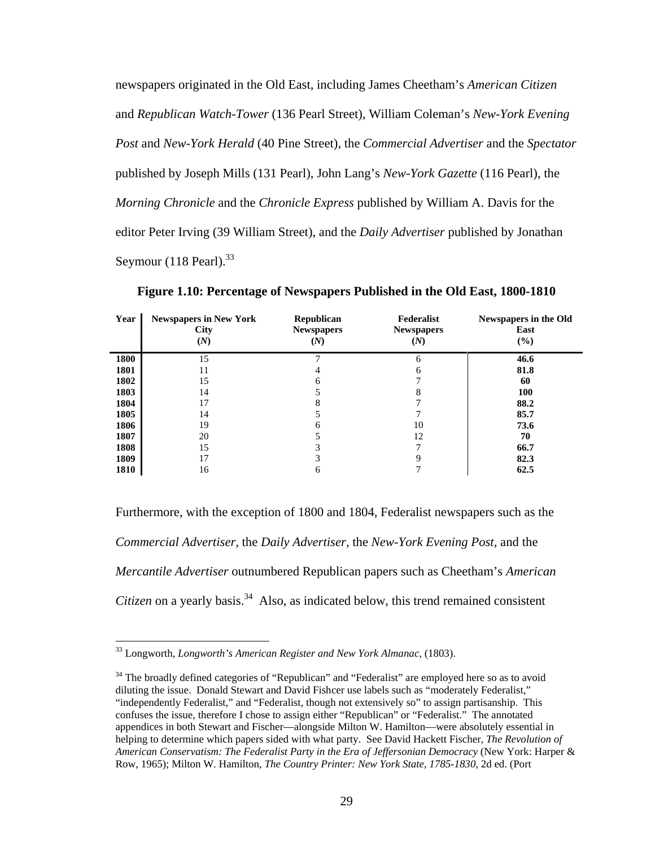newspapers originated in the Old East, including James Cheetham's *American Citizen*  and *Republican Watch-Tower* (136 Pearl Street)*,* William Coleman's *New-York Evening Post* and *New-York Herald* (40 Pine Street), the *Commercial Advertiser* and the *Spectator*  published by Joseph Mills (131 Pearl), John Lang's *New-York Gazette* (116 Pearl), the *Morning Chronicle* and the *Chronicle Express* published by William A. Davis for the editor Peter Irving (39 William Street), and the *Daily Advertiser* published by Jonathan Seymour  $(118$  Pearl).<sup>33</sup>

| Year | <b>Newspapers in New York</b><br><b>City</b><br>(N) | <b>Republican</b><br><b>Newspapers</b><br>(N) | Federalist<br><b>Newspapers</b><br>(N) | <b>Newspapers in the Old</b><br>East<br>(%) |
|------|-----------------------------------------------------|-----------------------------------------------|----------------------------------------|---------------------------------------------|
| 1800 | 15                                                  |                                               | 6                                      | 46.6                                        |
| 1801 | 11                                                  | 4                                             | 6                                      | 81.8                                        |
| 1802 | 15                                                  | 6                                             |                                        | 60                                          |
| 1803 | 14                                                  |                                               | 8                                      | <b>100</b>                                  |
| 1804 | 17                                                  |                                               |                                        | 88.2                                        |
| 1805 | 14                                                  |                                               |                                        | 85.7                                        |
| 1806 | 19                                                  | 6                                             | 10                                     | 73.6                                        |
| 1807 | 20                                                  |                                               | 12                                     | 70                                          |
| 1808 | 15                                                  |                                               |                                        | 66.7                                        |
| 1809 | 17                                                  |                                               |                                        | 82.3                                        |
| 1810 | 16                                                  | 6                                             |                                        | 62.5                                        |

**Figure 1.10: Percentage of Newspapers Published in the Old East, 1800-1810** 

Furthermore, with the exception of 1800 and 1804, Federalist newspapers such as the *Commercial Advertiser,* the *Daily Advertiser,* the *New-York Evening Post,* and the *Mercantile Advertiser* outnumbered Republican papers such as Cheetham's *American Citizen* on a yearly basis.<sup>34</sup> Also, as indicated below, this trend remained consistent

<sup>33</sup> Longworth, *Longworth's American Register and New York Almanac,* (1803).

<sup>&</sup>lt;sup>34</sup> The broadly defined categories of "Republican" and "Federalist" are employed here so as to avoid diluting the issue. Donald Stewart and David Fishcer use labels such as "moderately Federalist," "independently Federalist," and "Federalist, though not extensively so" to assign partisanship. This confuses the issue, therefore I chose to assign either "Republican" or "Federalist." The annotated appendices in both Stewart and Fischer—alongside Milton W. Hamilton—were absolutely essential in helping to determine which papers sided with what party. See David Hackett Fischer, *The Revolution of American Conservatism: The Federalist Party in the Era of Jeffersonian Democracy* (New York: Harper & Row, 1965); Milton W. Hamilton, *The Country Printer: New York State, 1785-1830*, 2d ed. (Port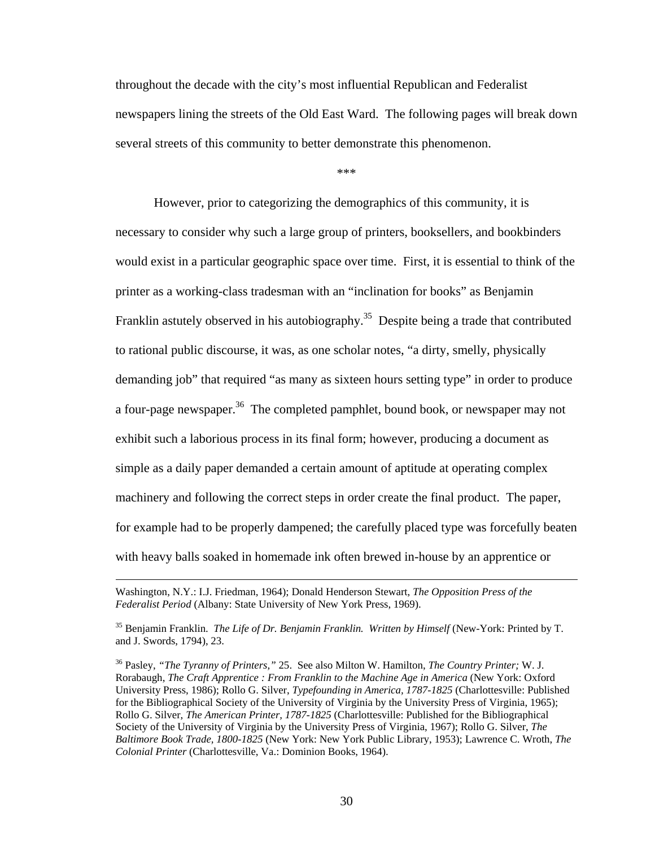throughout the decade with the city's most influential Republican and Federalist newspapers lining the streets of the Old East Ward. The following pages will break down several streets of this community to better demonstrate this phenomenon.

\*\*\*

However, prior to categorizing the demographics of this community, it is necessary to consider why such a large group of printers, booksellers, and bookbinders would exist in a particular geographic space over time. First, it is essential to think of the printer as a working-class tradesman with an "inclination for books" as Benjamin Franklin astutely observed in his autobiography.<sup>35</sup> Despite being a trade that contributed to rational public discourse, it was, as one scholar notes, "a dirty, smelly, physically demanding job" that required "as many as sixteen hours setting type" in order to produce a four-page newspaper.<sup>36</sup> The completed pamphlet, bound book, or newspaper may not exhibit such a laborious process in its final form; however, producing a document as simple as a daily paper demanded a certain amount of aptitude at operating complex machinery and following the correct steps in order create the final product. The paper, for example had to be properly dampened; the carefully placed type was forcefully beaten with heavy balls soaked in homemade ink often brewed in-house by an apprentice or

Washington, N.Y.: I.J. Friedman, 1964); Donald Henderson Stewart, *The Opposition Press of the Federalist Period* (Albany: State University of New York Press, 1969).

<sup>35</sup> Benjamin Franklin. *The Life of Dr. Benjamin Franklin. Written by Himself* (New-York: Printed by T. and J. Swords, 1794), 23.

<sup>36</sup> Pasley, *"The Tyranny of Printers,"* 25. See also Milton W. Hamilton, *The Country Printer;* W. J. Rorabaugh, *The Craft Apprentice : From Franklin to the Machine Age in America* (New York: Oxford University Press, 1986); Rollo G. Silver, *Typefounding in America, 1787-1825* (Charlottesville: Published for the Bibliographical Society of the University of Virginia by the University Press of Virginia, 1965); Rollo G. Silver, *The American Printer, 1787-1825* (Charlottesville: Published for the Bibliographical Society of the University of Virginia by the University Press of Virginia, 1967); Rollo G. Silver, *The Baltimore Book Trade, 1800-1825* (New York: New York Public Library, 1953); Lawrence C. Wroth, *The Colonial Printer* (Charlottesville, Va.: Dominion Books, 1964).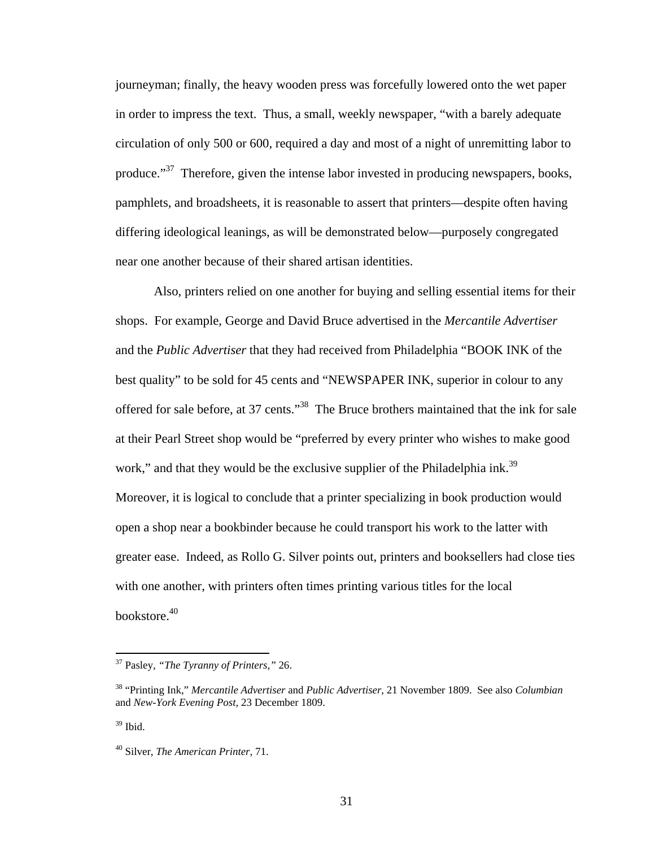journeyman; finally, the heavy wooden press was forcefully lowered onto the wet paper in order to impress the text. Thus, a small, weekly newspaper, "with a barely adequate circulation of only 500 or 600, required a day and most of a night of unremitting labor to produce."<sup>37</sup> Therefore, given the intense labor invested in producing newspapers, books, pamphlets, and broadsheets, it is reasonable to assert that printers—despite often having differing ideological leanings, as will be demonstrated below—purposely congregated near one another because of their shared artisan identities.

Also, printers relied on one another for buying and selling essential items for their shops. For example, George and David Bruce advertised in the *Mercantile Advertiser*  and the *Public Advertiser* that they had received from Philadelphia "BOOK INK of the best quality" to be sold for 45 cents and "NEWSPAPER INK, superior in colour to any offered for sale before, at 37 cents."38 The Bruce brothers maintained that the ink for sale at their Pearl Street shop would be "preferred by every printer who wishes to make good work," and that they would be the exclusive supplier of the Philadelphia ink.<sup>39</sup> Moreover, it is logical to conclude that a printer specializing in book production would open a shop near a bookbinder because he could transport his work to the latter with greater ease. Indeed, as Rollo G. Silver points out, printers and booksellers had close ties with one another, with printers often times printing various titles for the local bookstore.40

 $39$  Ibid.

<sup>37</sup> Pasley, *"The Tyranny of Printers,"* 26.

<sup>38 &</sup>quot;Printing Ink," *Mercantile Advertiser* and *Public Advertiser,* 21 November 1809. See also *Columbian*  and *New-York Evening Post,* 23 December 1809.

<sup>40</sup> Silver, *The American Printer,* 71.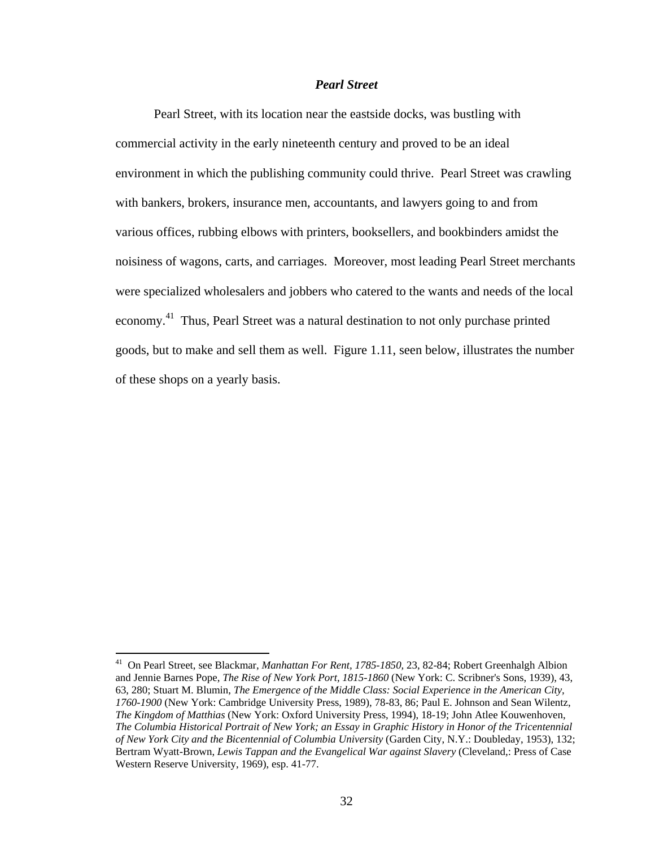# *Pearl Street*

Pearl Street, with its location near the eastside docks, was bustling with commercial activity in the early nineteenth century and proved to be an ideal environment in which the publishing community could thrive. Pearl Street was crawling with bankers, brokers, insurance men, accountants, and lawyers going to and from various offices, rubbing elbows with printers, booksellers, and bookbinders amidst the noisiness of wagons, carts, and carriages. Moreover, most leading Pearl Street merchants were specialized wholesalers and jobbers who catered to the wants and needs of the local economy.<sup>41</sup> Thus, Pearl Street was a natural destination to not only purchase printed goods, but to make and sell them as well. Figure 1.11, seen below, illustrates the number of these shops on a yearly basis.

<sup>41</sup> On Pearl Street, see Blackmar, *Manhattan For Rent, 1785-1850,* 23, 82-84; Robert Greenhalgh Albion and Jennie Barnes Pope, *The Rise of New York Port, 1815-1860* (New York: C. Scribner's Sons, 1939), 43, 63, 280; Stuart M. Blumin, *The Emergence of the Middle Class: Social Experience in the American City, 1760-1900* (New York: Cambridge University Press, 1989), 78-83, 86; Paul E. Johnson and Sean Wilentz, *The Kingdom of Matthias* (New York: Oxford University Press, 1994), 18-19; John Atlee Kouwenhoven, *The Columbia Historical Portrait of New York; an Essay in Graphic History in Honor of the Tricentennial of New York City and the Bicentennial of Columbia University* (Garden City, N.Y.: Doubleday, 1953), 132; Bertram Wyatt-Brown, *Lewis Tappan and the Evangelical War against Slavery* (Cleveland,: Press of Case Western Reserve University, 1969), esp. 41-77.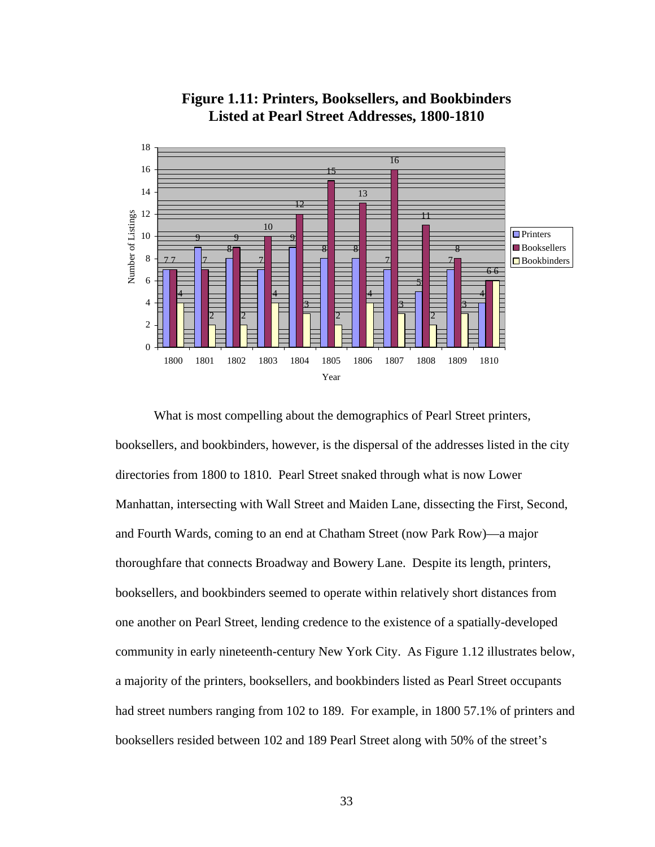



What is most compelling about the demographics of Pearl Street printers, booksellers, and bookbinders, however, is the dispersal of the addresses listed in the city directories from 1800 to 1810. Pearl Street snaked through what is now Lower Manhattan, intersecting with Wall Street and Maiden Lane, dissecting the First, Second, and Fourth Wards, coming to an end at Chatham Street (now Park Row)—a major thoroughfare that connects Broadway and Bowery Lane. Despite its length, printers, booksellers, and bookbinders seemed to operate within relatively short distances from one another on Pearl Street, lending credence to the existence of a spatially-developed community in early nineteenth-century New York City. As Figure 1.12 illustrates below, a majority of the printers, booksellers, and bookbinders listed as Pearl Street occupants had street numbers ranging from 102 to 189. For example, in 1800 57.1% of printers and booksellers resided between 102 and 189 Pearl Street along with 50% of the street's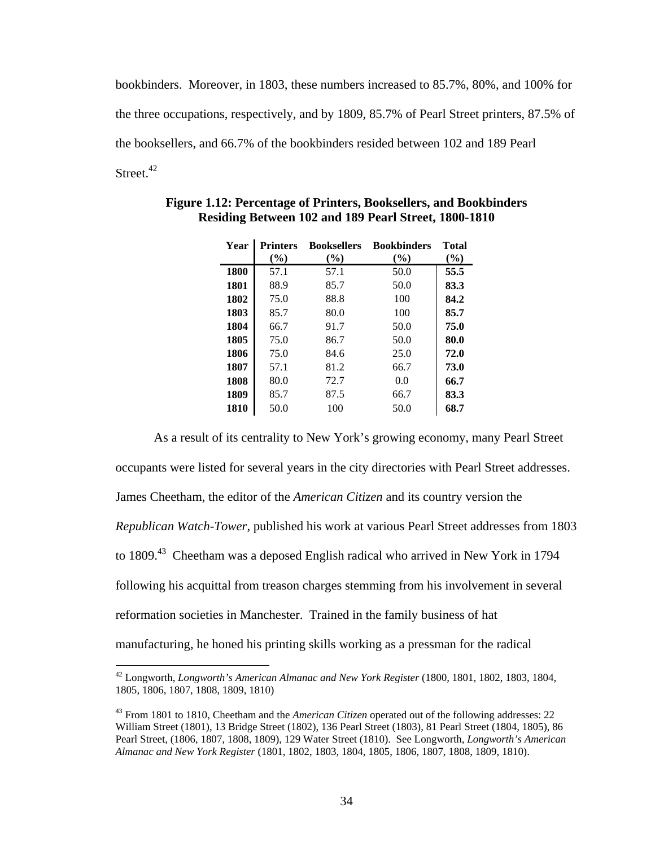bookbinders. Moreover, in 1803, these numbers increased to 85.7%, 80%, and 100% for the three occupations, respectively, and by 1809, 85.7% of Pearl Street printers, 87.5% of the booksellers, and 66.7% of the bookbinders resided between 102 and 189 Pearl Street.<sup>42</sup>

| Year | <b>Printers</b> | <b>Booksellers</b> | <b>Bookbinders</b> | <b>Total</b> |
|------|-----------------|--------------------|--------------------|--------------|
|      | $($ %)          | (%)                | (%)                | $(\%)$       |
| 1800 | 57.1            | 57.1               | 50.0               | 55.5         |
| 1801 | 88.9            | 85.7               | 50.0               | 83.3         |
| 1802 | 75.0            | 88.8               | 100                | 84.2         |
| 1803 | 85.7            | 80.0               | 100                | 85.7         |
| 1804 | 66.7            | 91.7               | 50.0               | 75.0         |
| 1805 | 75.0            | 86.7               | 50.0               | 80.0         |
| 1806 | 75.0            | 84.6               | 25.0               | 72.0         |
| 1807 | 57.1            | 81.2               | 66.7               | 73.0         |
| 1808 | 80.0            | 72.7               | 0.0                | 66.7         |
| 1809 | 85.7            | 87.5               | 66.7               | 83.3         |
| 1810 | 50.0            | 100                | 50.0               | 68.7         |

**Figure 1.12: Percentage of Printers, Booksellers, and Bookbinders Residing Between 102 and 189 Pearl Street, 1800-1810** 

As a result of its centrality to New York's growing economy, many Pearl Street occupants were listed for several years in the city directories with Pearl Street addresses. James Cheetham, the editor of the *American Citizen* and its country version the *Republican Watch-Tower*, published his work at various Pearl Street addresses from 1803 to 1809.<sup>43</sup> Cheetham was a deposed English radical who arrived in New York in 1794 following his acquittal from treason charges stemming from his involvement in several reformation societies in Manchester. Trained in the family business of hat manufacturing, he honed his printing skills working as a pressman for the radical

<sup>42</sup> Longworth, *Longworth's American Almanac and New York Register* (1800, 1801, 1802, 1803, 1804, 1805, 1806, 1807, 1808, 1809, 1810)

<sup>43</sup> From 1801 to 1810, Cheetham and the *American Citizen* operated out of the following addresses: 22 William Street (1801), 13 Bridge Street (1802), 136 Pearl Street (1803), 81 Pearl Street (1804, 1805), 86 Pearl Street, (1806, 1807, 1808, 1809), 129 Water Street (1810). See Longworth, *Longworth's American Almanac and New York Register* (1801, 1802, 1803, 1804, 1805, 1806, 1807, 1808, 1809, 1810).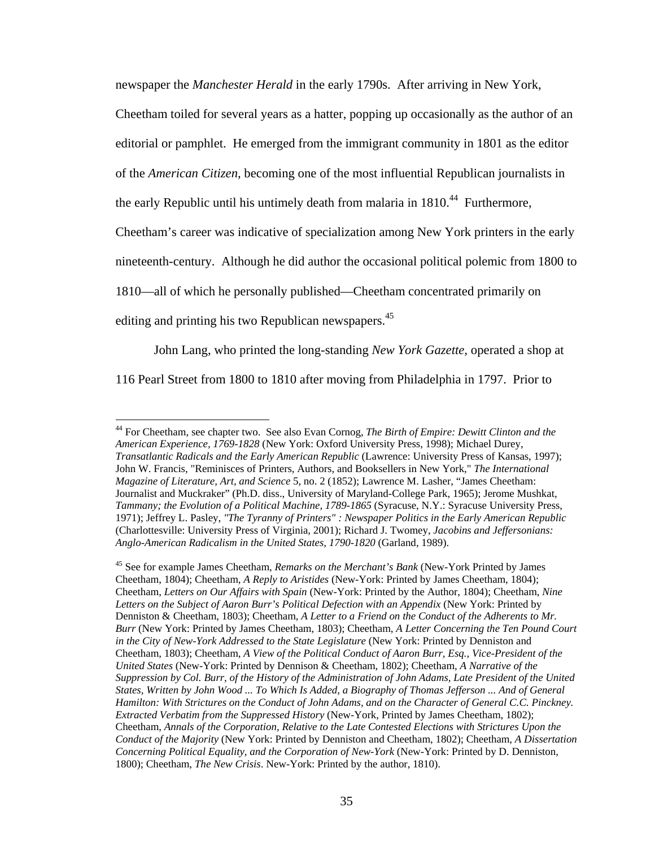newspaper the *Manchester Herald* in the early 1790s. After arriving in New York,

Cheetham toiled for several years as a hatter, popping up occasionally as the author of an

editorial or pamphlet. He emerged from the immigrant community in 1801 as the editor

of the *American Citizen*, becoming one of the most influential Republican journalists in

the early Republic until his untimely death from malaria in  $1810<sup>44</sup>$  Furthermore,

Cheetham's career was indicative of specialization among New York printers in the early

nineteenth-century. Although he did author the occasional political polemic from 1800 to

1810—all of which he personally published—Cheetham concentrated primarily on

editing and printing his two Republican newspapers.<sup>45</sup>

1

John Lang, who printed the long-standing *New York Gazette,* operated a shop at

116 Pearl Street from 1800 to 1810 after moving from Philadelphia in 1797. Prior to

<sup>44</sup> For Cheetham, see chapter two. See also Evan Cornog, *The Birth of Empire: Dewitt Clinton and the American Experience, 1769-1828* (New York: Oxford University Press, 1998); Michael Durey, *Transatlantic Radicals and the Early American Republic* (Lawrence: University Press of Kansas, 1997); John W. Francis, "Reminisces of Printers, Authors, and Booksellers in New York," *The International Magazine of Literature, Art, and Science* 5, no. 2 (1852); Lawrence M. Lasher, "James Cheetham: Journalist and Muckraker" (Ph.D. diss., University of Maryland-College Park, 1965); Jerome Mushkat, *Tammany; the Evolution of a Political Machine, 1789-1865* (Syracuse, N.Y.: Syracuse University Press, 1971); Jeffrey L. Pasley, *"The Tyranny of Printers" : Newspaper Politics in the Early American Republic* (Charlottesville: University Press of Virginia, 2001); Richard J. Twomey, *Jacobins and Jeffersonians: Anglo-American Radicalism in the United States, 1790-1820* (Garland, 1989).

<sup>45</sup> See for example James Cheetham, *Remarks on the Merchant's Bank* (New-York Printed by James Cheetham, 1804); Cheetham, *A Reply to Aristides* (New-York: Printed by James Cheetham, 1804); Cheetham, *Letters on Our Affairs with Spain* (New-York: Printed by the Author, 1804); Cheetham, *Nine*  Letters on the Subject of Aaron Burr's Political Defection with an Appendix (New York: Printed by Denniston & Cheetham, 1803); Cheetham, *A Letter to a Friend on the Conduct of the Adherents to Mr. Burr* (New York: Printed by James Cheetham, 1803); Cheetham, *A Letter Concerning the Ten Pound Court in the City of New-York Addressed to the State Legislature* (New York: Printed by Denniston and Cheetham, 1803); Cheetham, *A View of the Political Conduct of Aaron Burr, Esq., Vice-President of the United States* (New-York: Printed by Dennison & Cheetham, 1802); Cheetham, *A Narrative of the Suppression by Col. Burr, of the History of the Administration of John Adams, Late President of the United States, Written by John Wood ... To Which Is Added, a Biography of Thomas Jefferson ... And of General Hamilton: With Strictures on the Conduct of John Adams, and on the Character of General C.C. Pinckney. Extracted Verbatim from the Suppressed History* (New-York, Printed by James Cheetham, 1802); Cheetham, *Annals of the Corporation, Relative to the Late Contested Elections with Strictures Upon the Conduct of the Majority* (New York: Printed by Denniston and Cheetham, 1802); Cheetham, *A Dissertation Concerning Political Equality, and the Corporation of New-York* (New-York: Printed by D. Denniston, 1800); Cheetham, *The New Crisis*. New-York: Printed by the author, 1810).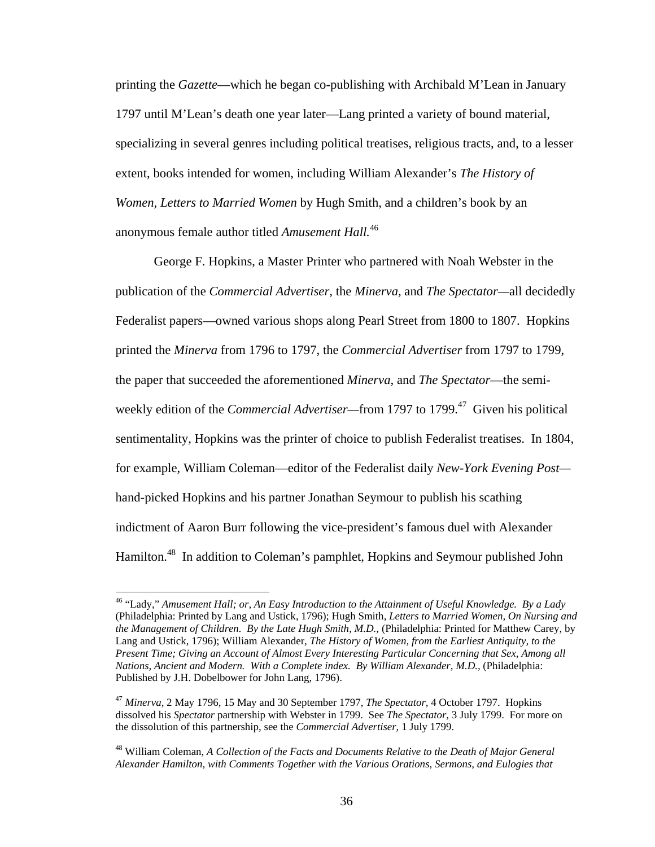printing the *Gazette*—which he began co-publishing with Archibald M'Lean in January 1797 until M'Lean's death one year later—Lang printed a variety of bound material, specializing in several genres including political treatises, religious tracts, and, to a lesser extent, books intended for women, including William Alexander's *The History of Women, Letters to Married Women* by Hugh Smith, and a children's book by an anonymous female author titled *Amusement Hall.*<sup>46</sup>

George F. Hopkins, a Master Printer who partnered with Noah Webster in the publication of the *Commercial Advertiser,* the *Minerva,* and *The Spectator—*all decidedly Federalist papers—owned various shops along Pearl Street from 1800 to 1807. Hopkins printed the *Minerva* from 1796 to 1797, the *Commercial Advertiser* from 1797 to 1799, the paper that succeeded the aforementioned *Minerva*, and *The Spectator*—the semiweekly edition of the *Commercial Advertiser*—from 1797 to 1799.<sup>47</sup> Given his political sentimentality, Hopkins was the printer of choice to publish Federalist treatises. In 1804, for example, William Coleman—editor of the Federalist daily *New-York Evening Post* hand-picked Hopkins and his partner Jonathan Seymour to publish his scathing indictment of Aaron Burr following the vice-president's famous duel with Alexander Hamilton.<sup>48</sup> In addition to Coleman's pamphlet, Hopkins and Seymour published John

<sup>46 &</sup>quot;Lady," *Amusement Hall; or, An Easy Introduction to the Attainment of Useful Knowledge. By a Lady*  (Philadelphia: Printed by Lang and Ustick, 1796); Hugh Smith, *Letters to Married Women, On Nursing and the Management of Children. By the Late Hugh Smith, M.D.,* (Philadelphia: Printed for Matthew Carey, by Lang and Ustick, 1796); William Alexander, *The History of Women, from the Earliest Antiquity, to the Present Time; Giving an Account of Almost Every Interesting Particular Concerning that Sex, Among all Nations, Ancient and Modern. With a Complete index. By William Alexander, M.D.,* (Philadelphia: Published by J.H. Dobelbower for John Lang, 1796).

<sup>47</sup> *Minerva,* 2 May 1796, 15 May and 30 September 1797, *The Spectator,* 4 October 1797. Hopkins dissolved his *Spectator* partnership with Webster in 1799. See *The Spectator,* 3 July 1799. For more on the dissolution of this partnership, see the *Commercial Advertiser,* 1 July 1799.

<sup>48</sup> William Coleman, *A Collection of the Facts and Documents Relative to the Death of Major General Alexander Hamilton, with Comments Together with the Various Orations, Sermons, and Eulogies that*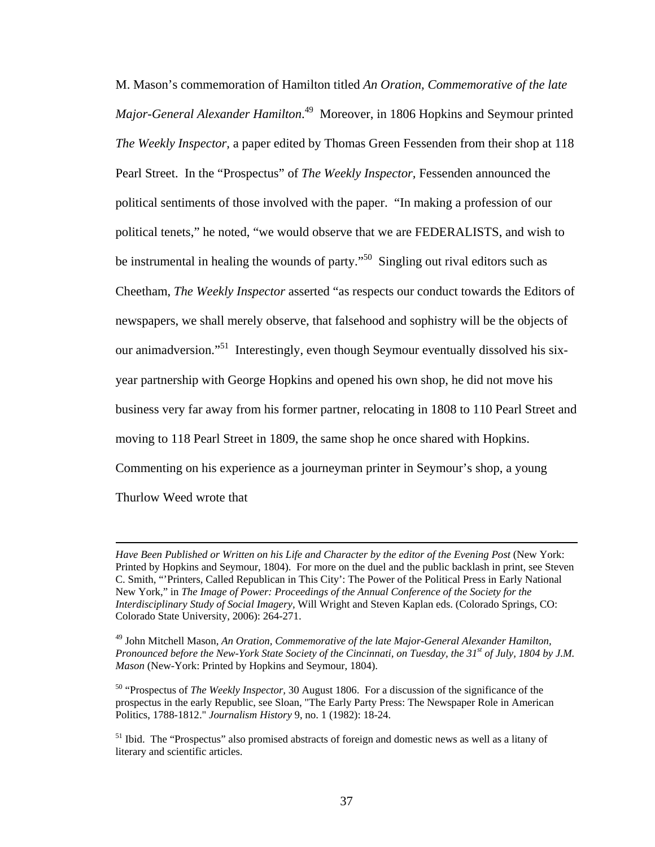M. Mason's commemoration of Hamilton titled *An Oration, Commemorative of the late Major-General Alexander Hamilton*. 49 Moreover, in 1806 Hopkins and Seymour printed *The Weekly Inspector,* a paper edited by Thomas Green Fessenden from their shop at 118 Pearl Street. In the "Prospectus" of *The Weekly Inspector,* Fessenden announced the political sentiments of those involved with the paper. "In making a profession of our political tenets," he noted, "we would observe that we are FEDERALISTS, and wish to be instrumental in healing the wounds of party."<sup>50</sup> Singling out rival editors such as Cheetham, *The Weekly Inspector* asserted "as respects our conduct towards the Editors of newspapers, we shall merely observe, that falsehood and sophistry will be the objects of our animadversion."51 Interestingly, even though Seymour eventually dissolved his sixyear partnership with George Hopkins and opened his own shop, he did not move his business very far away from his former partner, relocating in 1808 to 110 Pearl Street and moving to 118 Pearl Street in 1809, the same shop he once shared with Hopkins. Commenting on his experience as a journeyman printer in Seymour's shop, a young Thurlow Weed wrote that

Have Been Published or Written on his Life and Character by the editor of the Evening Post (New York: Printed by Hopkins and Seymour, 1804). For more on the duel and the public backlash in print, see Steven C. Smith, "'Printers, Called Republican in This City': The Power of the Political Press in Early National New York," in *The Image of Power: Proceedings of the Annual Conference of the Society for the Interdisciplinary Study of Social Imagery,* Will Wright and Steven Kaplan eds. (Colorado Springs, CO: Colorado State University, 2006): 264-271.

<sup>49</sup> John Mitchell Mason, *An Oration, Commemorative of the late Major-General Alexander Hamilton, Pronounced before the New-York State Society of the Cincinnati, on Tuesday, the 31st of July, 1804 by J.M. Mason* (New-York: Printed by Hopkins and Seymour, 1804).

<sup>50 &</sup>quot;Prospectus of *The Weekly Inspector,* 30 August 1806. For a discussion of the significance of the prospectus in the early Republic, see Sloan, "The Early Party Press: The Newspaper Role in American Politics, 1788-1812." *Journalism History* 9, no. 1 (1982): 18-24.

<sup>&</sup>lt;sup>51</sup> Ibid. The "Prospectus" also promised abstracts of foreign and domestic news as well as a litany of literary and scientific articles.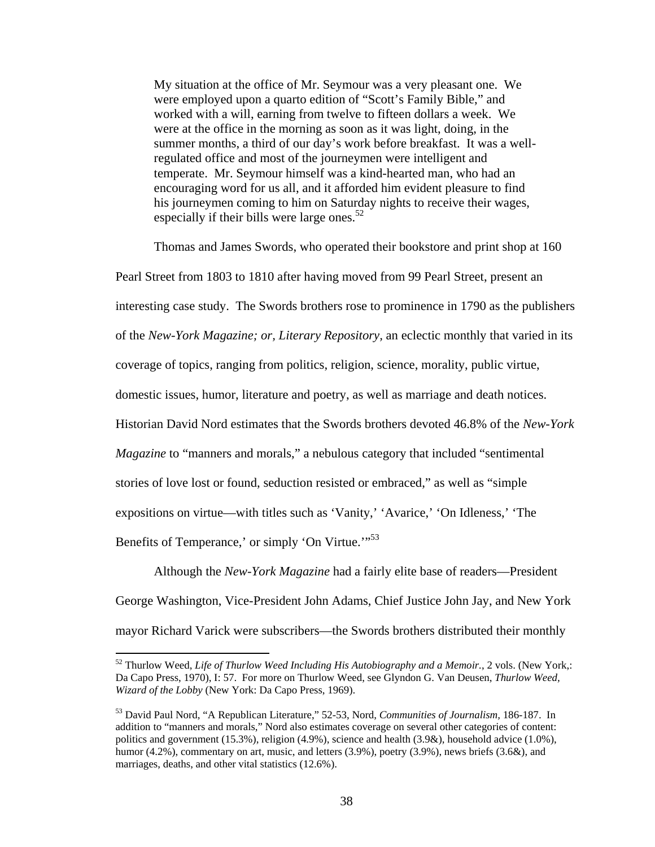My situation at the office of Mr. Seymour was a very pleasant one. We were employed upon a quarto edition of "Scott's Family Bible," and worked with a will, earning from twelve to fifteen dollars a week. We were at the office in the morning as soon as it was light, doing, in the summer months, a third of our day's work before breakfast. It was a wellregulated office and most of the journeymen were intelligent and temperate. Mr. Seymour himself was a kind-hearted man, who had an encouraging word for us all, and it afforded him evident pleasure to find his journeymen coming to him on Saturday nights to receive their wages, especially if their bills were large ones. $52$ 

Thomas and James Swords, who operated their bookstore and print shop at 160 Pearl Street from 1803 to 1810 after having moved from 99 Pearl Street, present an interesting case study. The Swords brothers rose to prominence in 1790 as the publishers of the *New-York Magazine; or, Literary Repository,* an eclectic monthly that varied in its coverage of topics, ranging from politics, religion, science, morality, public virtue, domestic issues, humor, literature and poetry, as well as marriage and death notices. Historian David Nord estimates that the Swords brothers devoted 46.8% of the *New-York Magazine* to "manners and morals," a nebulous category that included "sentimental stories of love lost or found, seduction resisted or embraced," as well as "simple expositions on virtue—with titles such as 'Vanity,' 'Avarice,' 'On Idleness,' 'The Benefits of Temperance,' or simply 'On Virtue.'"<sup>53</sup>

Although the *New-York Magazine* had a fairly elite base of readers—President George Washington, Vice-President John Adams, Chief Justice John Jay, and New York mayor Richard Varick were subscribers—the Swords brothers distributed their monthly

<sup>52</sup> Thurlow Weed, *Life of Thurlow Weed Including His Autobiography and a Memoir.*, 2 vols. (New York,: Da Capo Press, 1970), I: 57. For more on Thurlow Weed, see Glyndon G. Van Deusen, *Thurlow Weed, Wizard of the Lobby* (New York: Da Capo Press, 1969).

<sup>53</sup> David Paul Nord, "A Republican Literature," 52-53, Nord, *Communities of Journalism,* 186-187. In addition to "manners and morals," Nord also estimates coverage on several other categories of content: politics and government (15.3%), religion (4.9%), science and health (3.9&), household advice (1.0%), humor (4.2%), commentary on art, music, and letters (3.9%), poetry (3.9%), news briefs (3.6&), and marriages, deaths, and other vital statistics (12.6%).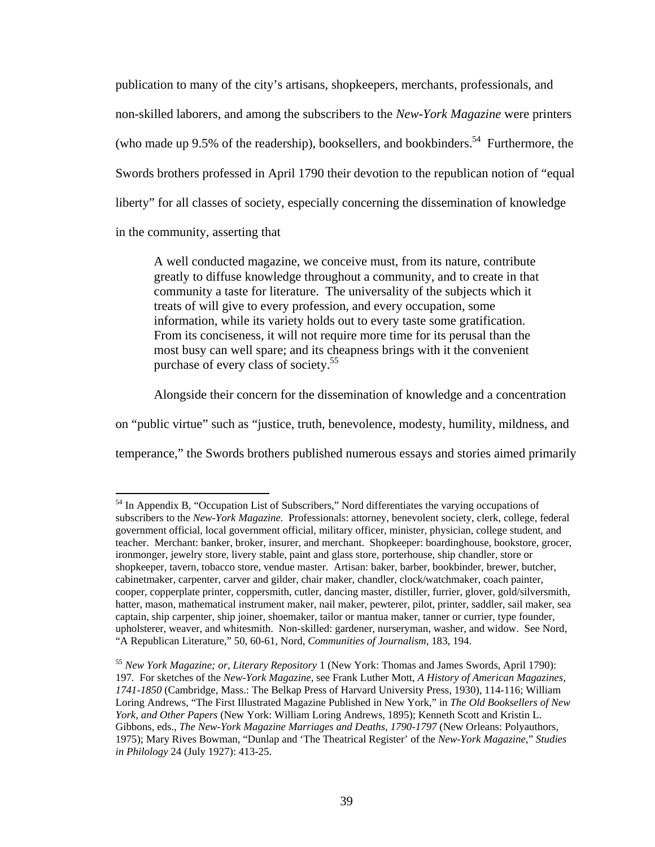publication to many of the city's artisans, shopkeepers, merchants, professionals, and non-skilled laborers, and among the subscribers to the *New-York Magazine* were printers (who made up 9.5% of the readership), booksellers, and bookbinders.<sup>54</sup> Furthermore, the Swords brothers professed in April 1790 their devotion to the republican notion of "equal liberty" for all classes of society, especially concerning the dissemination of knowledge in the community, asserting that

A well conducted magazine, we conceive must, from its nature, contribute greatly to diffuse knowledge throughout a community, and to create in that community a taste for literature. The universality of the subjects which it treats of will give to every profession, and every occupation, some information, while its variety holds out to every taste some gratification. From its conciseness, it will not require more time for its perusal than the most busy can well spare; and its cheapness brings with it the convenient purchase of every class of society.<sup>55</sup>

Alongside their concern for the dissemination of knowledge and a concentration

on "public virtue" such as "justice, truth, benevolence, modesty, humility, mildness, and

temperance," the Swords brothers published numerous essays and stories aimed primarily

<sup>&</sup>lt;sup>54</sup> In Appendix B, "Occupation List of Subscribers," Nord differentiates the varying occupations of subscribers to the *New-York Magazine.* Professionals: attorney, benevolent society, clerk, college, federal government official, local government official, military officer, minister, physician, college student, and teacher. Merchant: banker, broker, insurer, and merchant. Shopkeeper: boardinghouse, bookstore, grocer, ironmonger, jewelry store, livery stable, paint and glass store, porterhouse, ship chandler, store or shopkeeper, tavern, tobacco store, vendue master. Artisan: baker, barber, bookbinder, brewer, butcher, cabinetmaker, carpenter, carver and gilder, chair maker, chandler, clock/watchmaker, coach painter, cooper, copperplate printer, coppersmith, cutler, dancing master, distiller, furrier, glover, gold/silversmith, hatter, mason, mathematical instrument maker, nail maker, pewterer, pilot, printer, saddler, sail maker, sea captain, ship carpenter, ship joiner, shoemaker, tailor or mantua maker, tanner or currier, type founder, upholsterer, weaver, and whitesmith. Non-skilled: gardener, nurseryman, washer, and widow. See Nord, "A Republican Literature," 50, 60-61, Nord, *Communities of Journalism,* 183, 194.

<sup>55</sup> *New York Magazine; or, Literary Repository* 1 (New York: Thomas and James Swords, April 1790): 197. For sketches of the *New-York Magazine,* see Frank Luther Mott, *A History of American Magazines, 1741-1850* (Cambridge, Mass.: The Belkap Press of Harvard University Press, 1930), 114-116; William Loring Andrews, "The First Illustrated Magazine Published in New York," in *The Old Booksellers of New York, and Other Papers* (New York: William Loring Andrews, 1895); Kenneth Scott and Kristin L. Gibbons, eds., *The New-York Magazine Marriages and Deaths, 1790-1797* (New Orleans: Polyauthors, 1975); Mary Rives Bowman, "Dunlap and 'The Theatrical Register' of the *New-York Magazine,*" *Studies in Philology* 24 (July 1927): 413-25.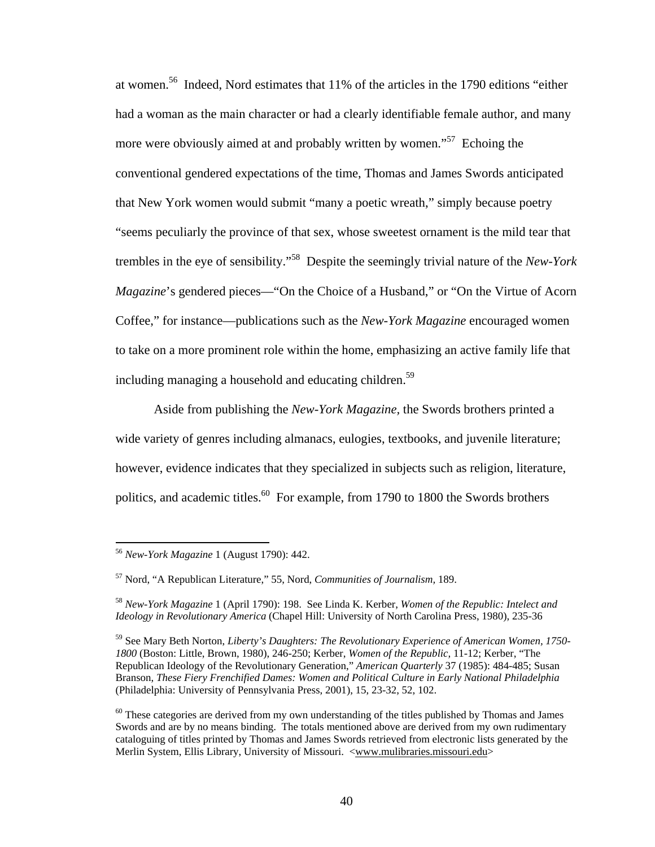at women.56 Indeed, Nord estimates that 11% of the articles in the 1790 editions "either had a woman as the main character or had a clearly identifiable female author, and many more were obviously aimed at and probably written by women.<sup>57</sup> Echoing the conventional gendered expectations of the time, Thomas and James Swords anticipated that New York women would submit "many a poetic wreath," simply because poetry "seems peculiarly the province of that sex, whose sweetest ornament is the mild tear that trembles in the eye of sensibility."58 Despite the seemingly trivial nature of the *New-York Magazine*'s gendered pieces—"On the Choice of a Husband," or "On the Virtue of Acorn Coffee," for instance—publications such as the *New-York Magazine* encouraged women to take on a more prominent role within the home, emphasizing an active family life that including managing a household and educating children.<sup>59</sup>

 Aside from publishing the *New-York Magazine,* the Swords brothers printed a wide variety of genres including almanacs, eulogies, textbooks, and juvenile literature; however, evidence indicates that they specialized in subjects such as religion, literature, politics, and academic titles.<sup>60</sup> For example, from 1790 to 1800 the Swords brothers

<sup>56</sup> *New-York Magazine* 1 (August 1790): 442.

<sup>57</sup> Nord, "A Republican Literature," 55, Nord, *Communities of Journalism,* 189.

<sup>58</sup> *New-York Magazine* 1 (April 1790): 198. See Linda K. Kerber, *Women of the Republic: Intelect and Ideology in Revolutionary America* (Chapel Hill: University of North Carolina Press, 1980), 235-36

<sup>59</sup> See Mary Beth Norton, *Liberty's Daughters: The Revolutionary Experience of American Women, 1750- 1800* (Boston: Little, Brown, 1980), 246-250; Kerber, *Women of the Republic,* 11-12; Kerber, "The Republican Ideology of the Revolutionary Generation," *American Quarterly* 37 (1985): 484-485; Susan Branson, *These Fiery Frenchified Dames: Women and Political Culture in Early National Philadelphia*  (Philadelphia: University of Pennsylvania Press, 2001), 15, 23-32, 52, 102.

 $60$  These categories are derived from my own understanding of the titles published by Thomas and James Swords and are by no means binding. The totals mentioned above are derived from my own rudimentary cataloguing of titles printed by Thomas and James Swords retrieved from electronic lists generated by the Merlin System, Ellis Library, University of Missouri. <www.mulibraries.missouri.edu>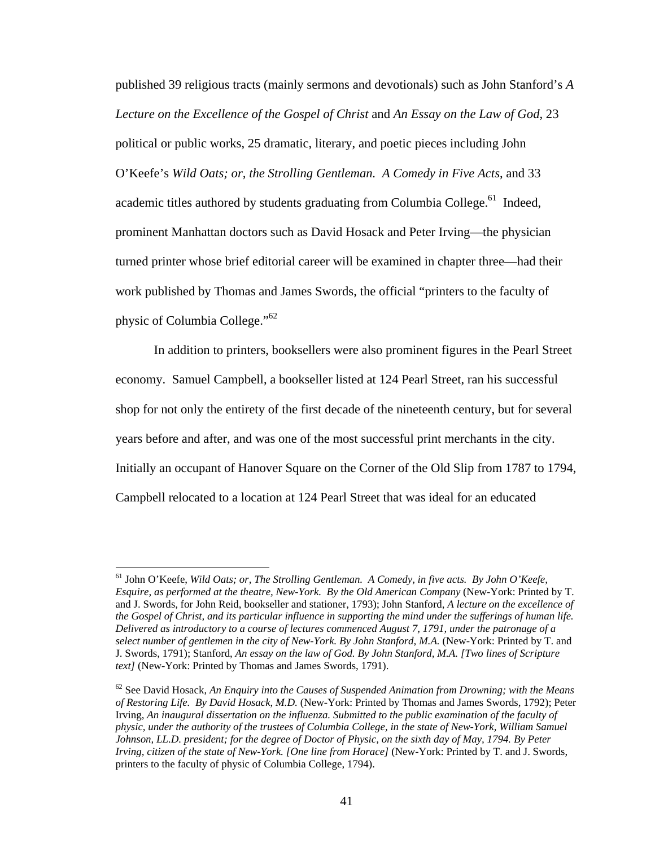published 39 religious tracts (mainly sermons and devotionals) such as John Stanford's *A Lecture on the Excellence of the Gospel of Christ* and *An Essay on the Law of God*, 23 political or public works, 25 dramatic, literary, and poetic pieces including John O'Keefe's *Wild Oats; or, the Strolling Gentleman. A Comedy in Five Acts*, and 33 academic titles authored by students graduating from Columbia College.<sup>61</sup> Indeed, prominent Manhattan doctors such as David Hosack and Peter Irving—the physician turned printer whose brief editorial career will be examined in chapter three—had their work published by Thomas and James Swords, the official "printers to the faculty of physic of Columbia College."<sup>62</sup>

In addition to printers, booksellers were also prominent figures in the Pearl Street economy. Samuel Campbell, a bookseller listed at 124 Pearl Street, ran his successful shop for not only the entirety of the first decade of the nineteenth century, but for several years before and after, and was one of the most successful print merchants in the city. Initially an occupant of Hanover Square on the Corner of the Old Slip from 1787 to 1794, Campbell relocated to a location at 124 Pearl Street that was ideal for an educated

<sup>61</sup> John O'Keefe, *Wild Oats; or, The Strolling Gentleman. A Comedy, in five acts. By John O'Keefe, Esquire, as performed at the theatre, New-York. By the Old American Company* (New-York: Printed by T. and J. Swords, for John Reid, bookseller and stationer, 1793); John Stanford, *A lecture on the excellence of the Gospel of Christ, and its particular influence in supporting the mind under the sufferings of human life. Delivered as introductory to a course of lectures commenced August 7, 1791, under the patronage of a select number of gentlemen in the city of New-York. By John Stanford, M.A.* (New-York: Printed by T. and J. Swords, 1791); Stanford, *An essay on the law of God. By John Stanford, M.A. [Two lines of Scripture text]* (New-York: Printed by Thomas and James Swords, 1791).

 $62$  See David Hosack, An Enquiry into the Causes of Suspended Animation from Drowning; with the Means *of Restoring Life. By David Hosack, M.D.* (New-York: Printed by Thomas and James Swords, 1792); Peter Irving, *An inaugural dissertation on the influenza. Submitted to the public examination of the faculty of physic, under the authority of the trustees of Columbia College, in the state of New-York, William Samuel Johnson, LL.D. president; for the degree of Doctor of Physic, on the sixth day of May, 1794. By Peter Irving, citizen of the state of New-York. [One line from Horace]* (New-York: Printed by T. and J. Swords, printers to the faculty of physic of Columbia College, 1794).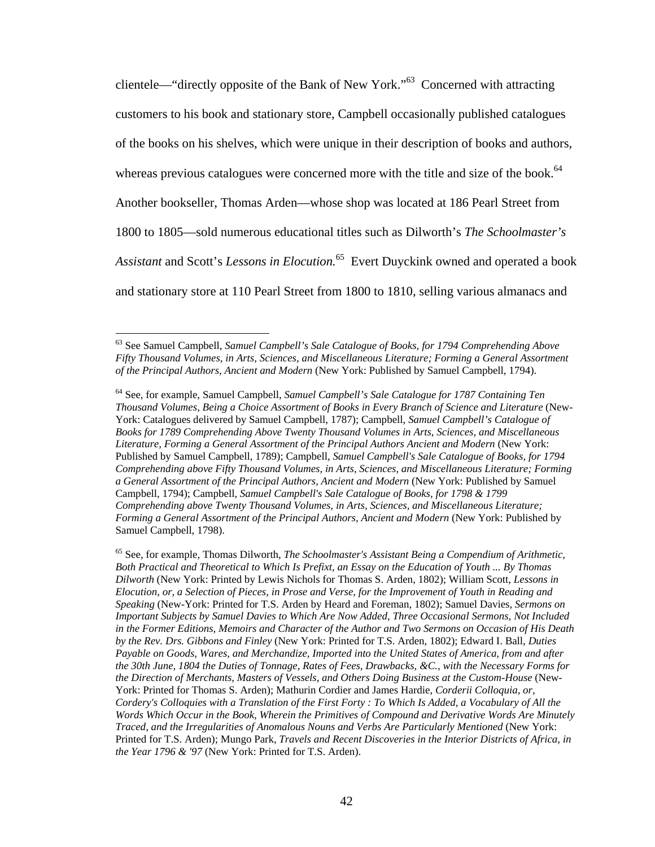clientele—"directly opposite of the Bank of New York."63 Concerned with attracting customers to his book and stationary store, Campbell occasionally published catalogues of the books on his shelves, which were unique in their description of books and authors, whereas previous catalogues were concerned more with the title and size of the book.<sup>64</sup> Another bookseller, Thomas Arden—whose shop was located at 186 Pearl Street from 1800 to 1805—sold numerous educational titles such as Dilworth's *The Schoolmaster's Assistant* and Scott's *Lessons in Elocution.*65 Evert Duyckink owned and operated a book and stationary store at 110 Pearl Street from 1800 to 1810, selling various almanacs and

<sup>63</sup> See Samuel Campbell, *Samuel Campbell's Sale Catalogue of Books, for 1794 Comprehending Above Fifty Thousand Volumes, in Arts, Sciences, and Miscellaneous Literature; Forming a General Assortment of the Principal Authors, Ancient and Modern* (New York: Published by Samuel Campbell, 1794).

<sup>64</sup> See, for example, Samuel Campbell, *Samuel Campbell's Sale Catalogue for 1787 Containing Ten Thousand Volumes, Being a Choice Assortment of Books in Every Branch of Science and Literature* (New-York: Catalogues delivered by Samuel Campbell, 1787); Campbell, *Samuel Campbell's Catalogue of Books for 1789 Comprehending Above Twenty Thousand Volumes in Arts, Sciences, and Miscellaneous*  Literature, Forming a General Assortment of the Principal Authors Ancient and Modern (New York: Published by Samuel Campbell, 1789); Campbell, *Samuel Campbell's Sale Catalogue of Books, for 1794 Comprehending above Fifty Thousand Volumes, in Arts, Sciences, and Miscellaneous Literature; Forming a General Assortment of the Principal Authors, Ancient and Modern* (New York: Published by Samuel Campbell, 1794); Campbell, *Samuel Campbell's Sale Catalogue of Books, for 1798 & 1799 Comprehending above Twenty Thousand Volumes, in Arts, Sciences, and Miscellaneous Literature; Forming a General Assortment of the Principal Authors, Ancient and Modern* (New York: Published by Samuel Campbell, 1798).

<sup>65</sup> See, for example, Thomas Dilworth, *The Schoolmaster's Assistant Being a Compendium of Arithmetic, Both Practical and Theoretical to Which Is Prefixt, an Essay on the Education of Youth ... By Thomas Dilworth* (New York: Printed by Lewis Nichols for Thomas S. Arden, 1802); William Scott, *Lessons in Elocution, or, a Selection of Pieces, in Prose and Verse, for the Improvement of Youth in Reading and Speaking* (New-York: Printed for T.S. Arden by Heard and Foreman, 1802); Samuel Davies, *Sermons on Important Subjects by Samuel Davies to Which Are Now Added, Three Occasional Sermons, Not Included in the Former Editions, Memoirs and Character of the Author and Two Sermons on Occasion of His Death by the Rev. Drs. Gibbons and Finley* (New York: Printed for T.S. Arden, 1802); Edward I. Ball, *Duties Payable on Goods, Wares, and Merchandize, Imported into the United States of America, from and after the 30th June, 1804 the Duties of Tonnage, Rates of Fees, Drawbacks, &C., with the Necessary Forms for the Direction of Merchants, Masters of Vessels, and Others Doing Business at the Custom-House* (New-York: Printed for Thomas S. Arden); Mathurin Cordier and James Hardie, *Corderii Colloquia, or, Cordery's Colloquies with a Translation of the First Forty : To Which Is Added, a Vocabulary of All the Words Which Occur in the Book, Wherein the Primitives of Compound and Derivative Words Are Minutely Traced, and the Irregularities of Anomalous Nouns and Verbs Are Particularly Mentioned* (New York: Printed for T.S. Arden); Mungo Park, *Travels and Recent Discoveries in the Interior Districts of Africa, in the Year 1796 & '97* (New York: Printed for T.S. Arden).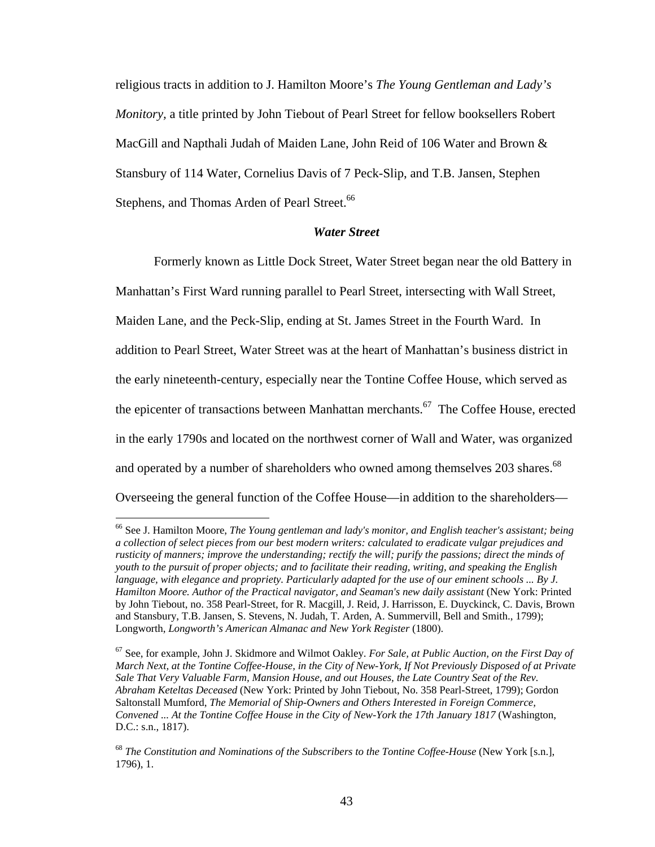religious tracts in addition to J. Hamilton Moore's *The Young Gentleman and Lady's Monitory,* a title printed by John Tiebout of Pearl Street for fellow booksellers Robert MacGill and Napthali Judah of Maiden Lane, John Reid of 106 Water and Brown & Stansbury of 114 Water, Cornelius Davis of 7 Peck-Slip, and T.B. Jansen, Stephen Stephens, and Thomas Arden of Pearl Street.<sup>66</sup>

### *Water Street*

Formerly known as Little Dock Street, Water Street began near the old Battery in Manhattan's First Ward running parallel to Pearl Street, intersecting with Wall Street, Maiden Lane, and the Peck-Slip, ending at St. James Street in the Fourth Ward. In addition to Pearl Street, Water Street was at the heart of Manhattan's business district in the early nineteenth-century, especially near the Tontine Coffee House, which served as the epicenter of transactions between Manhattan merchants.<sup>67</sup> The Coffee House, erected in the early 1790s and located on the northwest corner of Wall and Water, was organized and operated by a number of shareholders who owned among themselves 203 shares.<sup>68</sup> Overseeing the general function of the Coffee House—in addition to the shareholders—

<sup>66</sup> See J. Hamilton Moore, *The Young gentleman and lady's monitor, and English teacher's assistant; being a collection of select pieces from our best modern writers: calculated to eradicate vulgar prejudices and rusticity of manners; improve the understanding; rectify the will; purify the passions; direct the minds of youth to the pursuit of proper objects; and to facilitate their reading, writing, and speaking the English language, with elegance and propriety. Particularly adapted for the use of our eminent schools ... By J. Hamilton Moore. Author of the Practical navigator, and Seaman's new daily assistant* (New York: Printed by John Tiebout, no. 358 Pearl-Street, for R. Macgill, J. Reid, J. Harrisson, E. Duyckinck, C. Davis, Brown and Stansbury, T.B. Jansen, S. Stevens, N. Judah, T. Arden, A. Summervill, Bell and Smith., 1799); Longworth, *Longworth's American Almanac and New York Register* (1800).

<sup>67</sup> See, for example, John J. Skidmore and Wilmot Oakley. *For Sale, at Public Auction, on the First Day of March Next, at the Tontine Coffee-House, in the City of New-York, If Not Previously Disposed of at Private Sale That Very Valuable Farm, Mansion House, and out Houses, the Late Country Seat of the Rev. Abraham Keteltas Deceased* (New York: Printed by John Tiebout, No. 358 Pearl-Street, 1799); Gordon Saltonstall Mumford, *The Memorial of Ship-Owners and Others Interested in Foreign Commerce, Convened ... At the Tontine Coffee House in the City of New-York the 17th January 1817* (Washington, D.C.: s.n., 1817).

<sup>&</sup>lt;sup>68</sup> The Constitution and Nominations of the Subscribers to the Tontine Coffee-House (New York [s.n.], 1796), 1.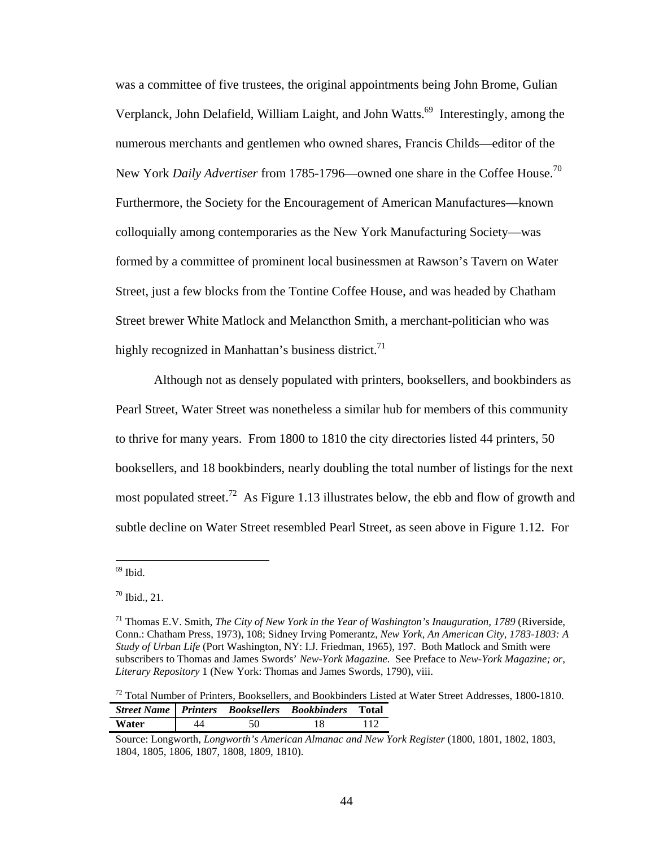was a committee of five trustees, the original appointments being John Brome, Gulian Verplanck, John Delafield, William Laight, and John Watts.<sup>69</sup> Interestingly, among the numerous merchants and gentlemen who owned shares, Francis Childs—editor of the New York *Daily Advertiser* from 1785-1796—owned one share in the Coffee House.70 Furthermore, the Society for the Encouragement of American Manufactures—known colloquially among contemporaries as the New York Manufacturing Society—was formed by a committee of prominent local businessmen at Rawson's Tavern on Water Street, just a few blocks from the Tontine Coffee House, and was headed by Chatham Street brewer White Matlock and Melancthon Smith, a merchant-politician who was highly recognized in Manhattan's business district.<sup>71</sup>

 Although not as densely populated with printers, booksellers, and bookbinders as Pearl Street, Water Street was nonetheless a similar hub for members of this community to thrive for many years. From 1800 to 1810 the city directories listed 44 printers, 50 booksellers, and 18 bookbinders, nearly doubling the total number of listings for the next most populated street.<sup>72</sup> As Figure 1.13 illustrates below, the ebb and flow of growth and subtle decline on Water Street resembled Pearl Street, as seen above in Figure 1.12. For

<sup>&</sup>lt;sup>69</sup> Ibid.

 $70$  Ibid., 21.

<sup>&</sup>lt;sup>71</sup> Thomas E.V. Smith, *The City of New York in the Year of Washington's Inauguration, 1789* (Riverside, Conn.: Chatham Press, 1973), 108; Sidney Irving Pomerantz, *New York, An American City, 1783-1803: A Study of Urban Life* (Port Washington, NY: I.J. Friedman, 1965), 197. Both Matlock and Smith were subscribers to Thomas and James Swords' *New-York Magazine.* See Preface to *New-York Magazine; or, Literary Repository* 1 (New York: Thomas and James Swords, 1790), viii.

 $72$  Total Number of Printers, Booksellers, and Bookbinders Listed at Water Street Addresses, 1800-1810. *Street Name Printers Booksellers Bookbinders* **Total Water** | 44 50 18 112

Source: Longworth, *Longworth's American Almanac and New York Register* (1800, 1801, 1802, 1803, 1804, 1805, 1806, 1807, 1808, 1809, 1810).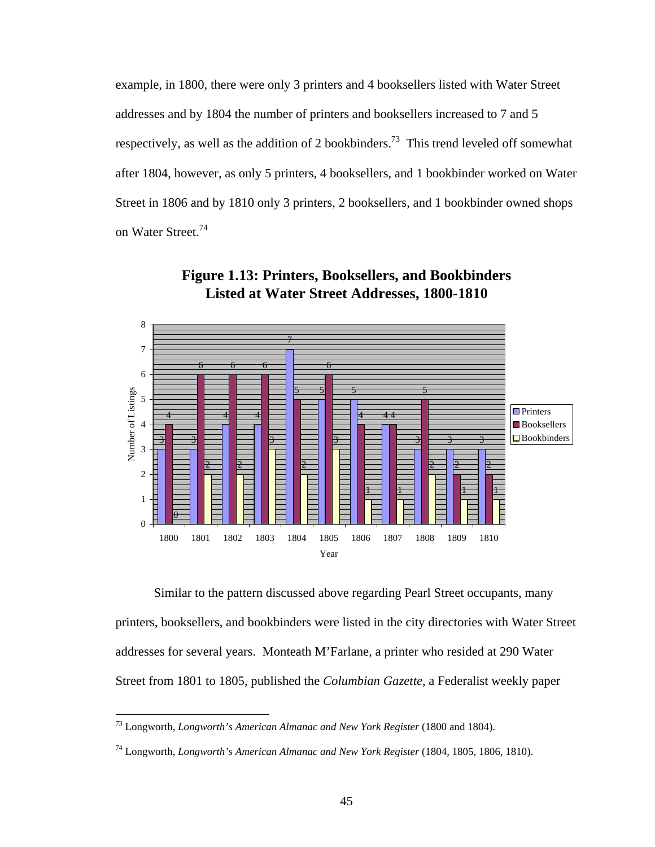example, in 1800, there were only 3 printers and 4 booksellers listed with Water Street addresses and by 1804 the number of printers and booksellers increased to 7 and 5 respectively, as well as the addition of 2 bookbinders.<sup>73</sup> This trend leveled off somewhat after 1804, however, as only 5 printers, 4 booksellers, and 1 bookbinder worked on Water Street in 1806 and by 1810 only 3 printers, 2 booksellers, and 1 bookbinder owned shops on Water Street.<sup>74</sup>



**Figure 1.13: Printers, Booksellers, and Bookbinders Listed at Water Street Addresses, 1800-1810**

 Similar to the pattern discussed above regarding Pearl Street occupants, many printers, booksellers, and bookbinders were listed in the city directories with Water Street addresses for several years. Monteath M'Farlane, a printer who resided at 290 Water Street from 1801 to 1805, published the *Columbian Gazette,* a Federalist weekly paper

<u>.</u>

<sup>73</sup> Longworth, *Longworth's American Almanac and New York Register* (1800 and 1804).

<sup>74</sup> Longworth, *Longworth's American Almanac and New York Register* (1804, 1805, 1806, 1810).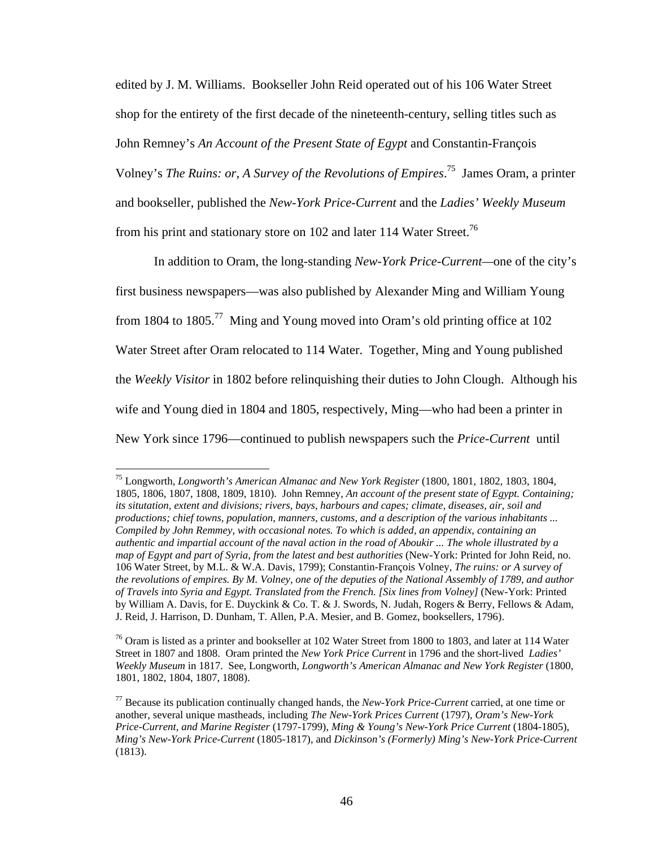edited by J. M. Williams. Bookseller John Reid operated out of his 106 Water Street shop for the entirety of the first decade of the nineteenth-century, selling titles such as John Remney's *An Account of the Present State of Egypt* and Constantin-François Volney's *The Ruins: or, A Survey of the Revolutions of Empires*. 75 James Oram, a printer and bookseller, published the *New-York Price-Current* and the *Ladies' Weekly Museum*  from his print and stationary store on 102 and later 114 Water Street.<sup>76</sup>

In addition to Oram, the long-standing *New-York Price-Current—*one of the city's first business newspapers—was also published by Alexander Ming and William Young from 1804 to 1805.<sup>77</sup> Ming and Young moved into Oram's old printing office at 102 Water Street after Oram relocated to 114 Water. Together, Ming and Young published the *Weekly Visitor* in 1802 before relinquishing their duties to John Clough. Although his wife and Young died in 1804 and 1805, respectively, Ming—who had been a printer in New York since 1796—continued to publish newspapers such the *Price-Current* until

<sup>75</sup> Longworth, *Longworth's American Almanac and New York Register* (1800, 1801, 1802, 1803, 1804, 1805, 1806, 1807, 1808, 1809, 1810). John Remney, *An account of the present state of Egypt. Containing; its situtation, extent and divisions; rivers, bays, harbours and capes; climate, diseases, air, soil and productions; chief towns, population, manners, customs, and a description of the various inhabitants ... Compiled by John Remmey, with occasional notes. To which is added, an appendix, containing an authentic and impartial account of the naval action in the road of Aboukir ... The whole illustrated by a map of Egypt and part of Syria, from the latest and best authorities* (New-York: Printed for John Reid, no. 106 Water Street, by M.L. & W.A. Davis, 1799); Constantin-François Volney, *The ruins: or A survey of the revolutions of empires. By M. Volney, one of the deputies of the National Assembly of 1789, and author of Travels into Syria and Egypt. Translated from the French. [Six lines from Volney]* (New-York: Printed by William A. Davis, for E. Duyckink & Co. T. & J. Swords, N. Judah, Rogers & Berry, Fellows & Adam, J. Reid, J. Harrison, D. Dunham, T. Allen, P.A. Mesier, and B. Gomez, booksellers, 1796).

 $76$  Oram is listed as a printer and bookseller at 102 Water Street from 1800 to 1803, and later at 114 Water Street in 1807 and 1808. Oram printed the *New York Price Current* in 1796 and the short-lived *Ladies' Weekly Museum* in 1817. See, Longworth, *Longworth's American Almanac and New York Register* (1800, 1801, 1802, 1804, 1807, 1808).

<sup>77</sup> Because its publication continually changed hands, the *New-York Price-Current* carried, at one time or another, several unique mastheads, including *The New-York Prices Current* (1797), *Oram's New-York Price-Current, and Marine Register* (1797-1799), *Ming & Young's New-York Price Current* (1804-1805), *Ming's New-York Price-Current* (1805-1817), and *Dickinson's (Formerly) Ming's New-York Price-Current*  (1813).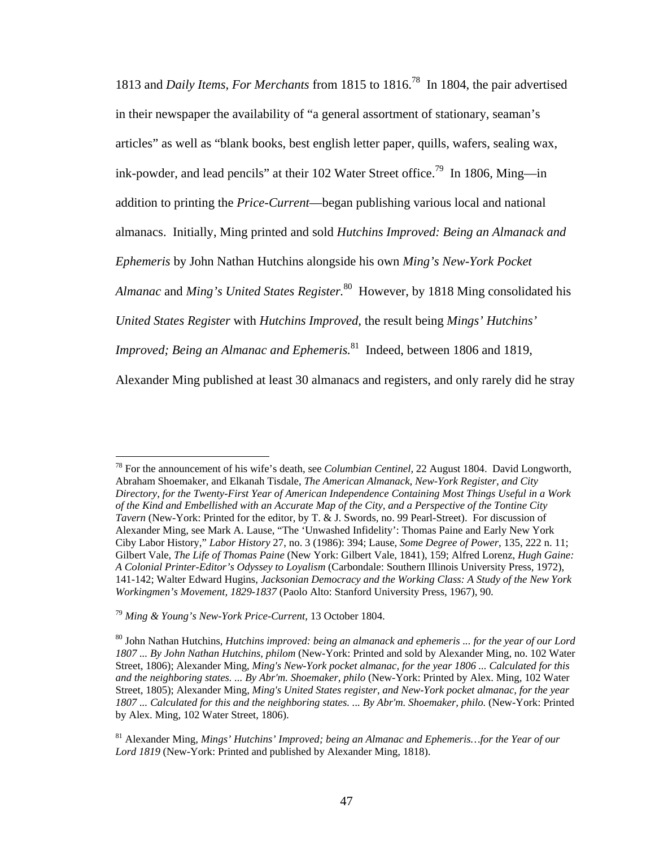1813 and *Daily Items, For Merchants* from 1815 to 1816.78 In 1804, the pair advertised in their newspaper the availability of "a general assortment of stationary, seaman's articles" as well as "blank books, best english letter paper, quills, wafers, sealing wax, ink-powder, and lead pencils" at their 102 Water Street office.<sup>79</sup> In 1806, Ming—in addition to printing the *Price-Current*—began publishing various local and national almanacs. Initially, Ming printed and sold *Hutchins Improved: Being an Almanack and Ephemeris* by John Nathan Hutchins alongside his own *Ming's New-York Pocket Almanac* and *Ming's United States Register.*<sup>80</sup>However, by 1818 Ming consolidated his *United States Register* with *Hutchins Improved,* the result being *Mings' Hutchins' Improved; Being an Almanac and Ephemeris.*<sup>81</sup> Indeed, between 1806 and 1819, Alexander Ming published at least 30 almanacs and registers, and only rarely did he stray

<sup>78</sup> For the announcement of his wife's death, see *Columbian Centinel,* 22 August 1804. David Longworth, Abraham Shoemaker, and Elkanah Tisdale, *The American Almanack, New-York Register, and City Directory, for the Twenty-First Year of American Independence Containing Most Things Useful in a Work of the Kind and Embellished with an Accurate Map of the City, and a Perspective of the Tontine City Tavern* (New-York: Printed for the editor, by T. & J. Swords, no. 99 Pearl-Street). For discussion of Alexander Ming, see Mark A. Lause, "The 'Unwashed Infidelity': Thomas Paine and Early New York Ciby Labor History," *Labor History* 27, no. 3 (1986): 394; Lause, *Some Degree of Power,* 135, 222 n. 11; Gilbert Vale, *The Life of Thomas Paine* (New York: Gilbert Vale, 1841), 159; Alfred Lorenz, *Hugh Gaine: A Colonial Printer-Editor's Odyssey to Loyalism* (Carbondale: Southern Illinois University Press, 1972), 141-142; Walter Edward Hugins, *Jacksonian Democracy and the Working Class: A Study of the New York Workingmen's Movement, 1829-1837* (Paolo Alto: Stanford University Press, 1967), 90.

<sup>79</sup> *Ming & Young's New-York Price-Current,* 13 October 1804.

<sup>80</sup> John Nathan Hutchins, *Hutchins improved: being an almanack and ephemeris ... for the year of our Lord 1807 ... By John Nathan Hutchins, philom* (New-York: Printed and sold by Alexander Ming, no. 102 Water Street, 1806); Alexander Ming, *Ming's New-York pocket almanac, for the year 1806 ... Calculated for this and the neighboring states. ... By Abr'm. Shoemaker, philo* (New-York: Printed by Alex. Ming, 102 Water Street, 1805); Alexander Ming, *Ming's United States register, and New-York pocket almanac, for the year 1807 ... Calculated for this and the neighboring states. ... By Abr'm. Shoemaker, philo.* (New-York: Printed by Alex. Ming, 102 Water Street, 1806).

<sup>81</sup> Alexander Ming, *Mings' Hutchins' Improved; being an Almanac and Ephemeris…for the Year of our Lord 1819* (New-York: Printed and published by Alexander Ming, 1818).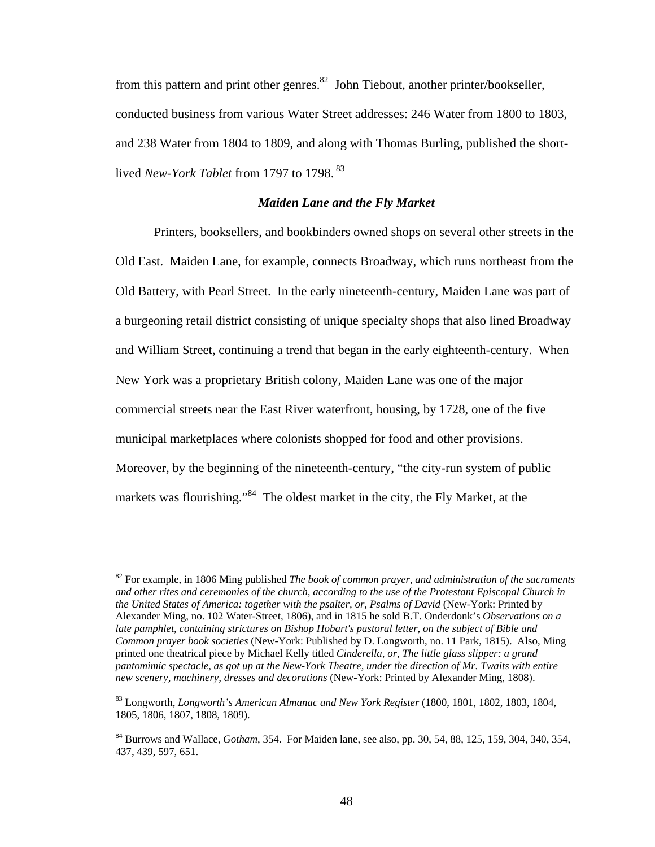from this pattern and print other genres.<sup>82</sup> John Tiebout, another printer/bookseller, conducted business from various Water Street addresses: 246 Water from 1800 to 1803, and 238 Water from 1804 to 1809, and along with Thomas Burling, published the shortlived *New-York Tablet* from 1797 to 1798. 83

### *Maiden Lane and the Fly Market*

Printers, booksellers, and bookbinders owned shops on several other streets in the Old East. Maiden Lane, for example, connects Broadway, which runs northeast from the Old Battery, with Pearl Street. In the early nineteenth-century, Maiden Lane was part of a burgeoning retail district consisting of unique specialty shops that also lined Broadway and William Street, continuing a trend that began in the early eighteenth-century. When New York was a proprietary British colony, Maiden Lane was one of the major commercial streets near the East River waterfront, housing, by 1728, one of the five municipal marketplaces where colonists shopped for food and other provisions. Moreover, by the beginning of the nineteenth-century, "the city-run system of public markets was flourishing."<sup>84</sup> The oldest market in the city, the Fly Market, at the

<sup>82</sup> For example, in 1806 Ming published *The book of common prayer, and administration of the sacraments and other rites and ceremonies of the church, according to the use of the Protestant Episcopal Church in the United States of America: together with the psalter, or, Psalms of David* (New-York: Printed by Alexander Ming, no. 102 Water-Street, 1806), and in 1815 he sold B.T. Onderdonk's *Observations on a late pamphlet, containing strictures on Bishop Hobart's pastoral letter, on the subject of Bible and Common prayer book societies* (New-York: Published by D. Longworth, no. 11 Park, 1815). Also, Ming printed one theatrical piece by Michael Kelly titled *Cinderella, or, The little glass slipper: a grand pantomimic spectacle, as got up at the New-York Theatre, under the direction of Mr. Twaits with entire new scenery, machinery, dresses and decorations* (New-York: Printed by Alexander Ming, 1808).

<sup>83</sup> Longworth, *Longworth's American Almanac and New York Register* (1800, 1801, 1802, 1803, 1804, 1805, 1806, 1807, 1808, 1809).

<sup>84</sup> Burrows and Wallace, *Gotham*, 354. For Maiden lane, see also, pp. 30, 54, 88, 125, 159, 304, 340, 354, 437, 439, 597, 651.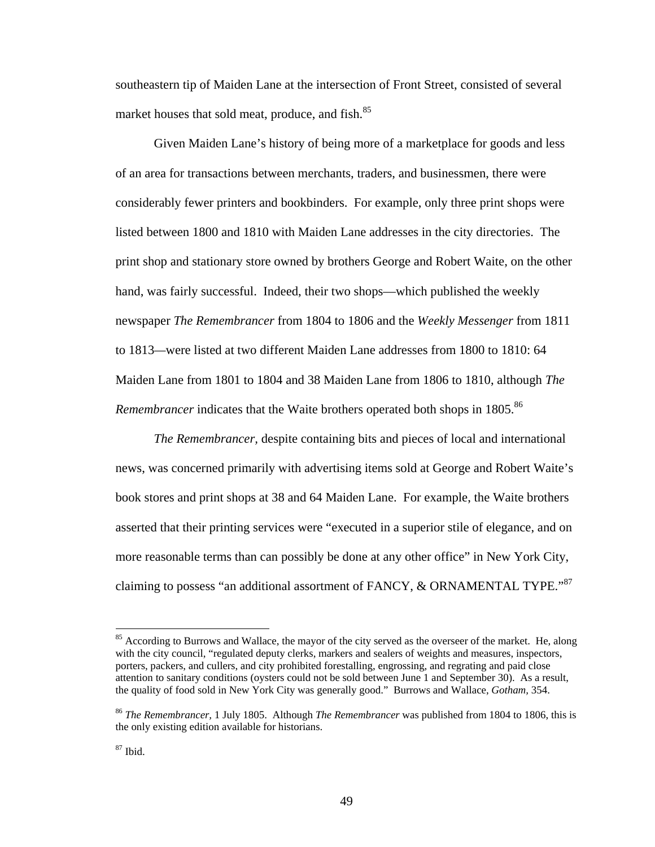southeastern tip of Maiden Lane at the intersection of Front Street, consisted of several market houses that sold meat, produce, and fish.<sup>85</sup>

 Given Maiden Lane's history of being more of a marketplace for goods and less of an area for transactions between merchants, traders, and businessmen, there were considerably fewer printers and bookbinders. For example, only three print shops were listed between 1800 and 1810 with Maiden Lane addresses in the city directories. The print shop and stationary store owned by brothers George and Robert Waite, on the other hand, was fairly successful. Indeed, their two shops—which published the weekly newspaper *The Remembrancer* from 1804 to 1806 and the *Weekly Messenger* from 1811 to 1813*—*were listed at two different Maiden Lane addresses from 1800 to 1810: 64 Maiden Lane from 1801 to 1804 and 38 Maiden Lane from 1806 to 1810, although *The Remembrancer* indicates that the Waite brothers operated both shops in 1805.<sup>86</sup>

*The Remembrancer,* despite containing bits and pieces of local and international news, was concerned primarily with advertising items sold at George and Robert Waite's book stores and print shops at 38 and 64 Maiden Lane. For example, the Waite brothers asserted that their printing services were "executed in a superior stile of elegance, and on more reasonable terms than can possibly be done at any other office" in New York City, claiming to possess "an additional assortment of FANCY, & ORNAMENTAL TYPE."<sup>87</sup>

<sup>&</sup>lt;sup>85</sup> According to Burrows and Wallace, the mayor of the city served as the overseer of the market. He, along with the city council, "regulated deputy clerks, markers and sealers of weights and measures, inspectors, porters, packers, and cullers, and city prohibited forestalling, engrossing, and regrating and paid close attention to sanitary conditions (oysters could not be sold between June 1 and September 30). As a result, the quality of food sold in New York City was generally good." Burrows and Wallace, *Gotham,* 354.

<sup>86</sup> *The Remembrancer,* 1 July 1805. Although *The Remembrancer* was published from 1804 to 1806, this is the only existing edition available for historians.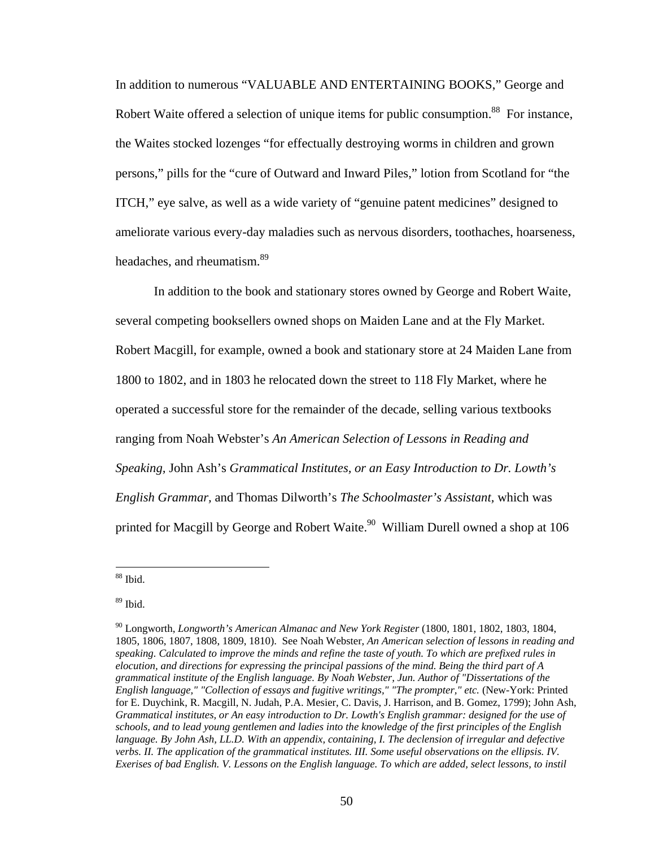In addition to numerous "VALUABLE AND ENTERTAINING BOOKS," George and Robert Waite offered a selection of unique items for public consumption.<sup>88</sup> For instance, the Waites stocked lozenges "for effectually destroying worms in children and grown persons," pills for the "cure of Outward and Inward Piles," lotion from Scotland for "the ITCH," eye salve, as well as a wide variety of "genuine patent medicines" designed to ameliorate various every-day maladies such as nervous disorders, toothaches, hoarseness, headaches, and rheumatism.<sup>89</sup>

 In addition to the book and stationary stores owned by George and Robert Waite, several competing booksellers owned shops on Maiden Lane and at the Fly Market. Robert Macgill, for example, owned a book and stationary store at 24 Maiden Lane from 1800 to 1802, and in 1803 he relocated down the street to 118 Fly Market, where he operated a successful store for the remainder of the decade, selling various textbooks ranging from Noah Webster's *An American Selection of Lessons in Reading and Speaking,* John Ash's *Grammatical Institutes, or an Easy Introduction to Dr. Lowth's English Grammar,* and Thomas Dilworth's *The Schoolmaster's Assistant,* which was printed for Macgill by George and Robert Waite.<sup>90</sup> William Durell owned a shop at 106

<sup>88</sup> Ibid.

 $89$  Ibid.

<sup>90</sup> Longworth, *Longworth's American Almanac and New York Register* (1800, 1801, 1802, 1803, 1804, 1805, 1806, 1807, 1808, 1809, 1810). See Noah Webster, *An American selection of lessons in reading and speaking. Calculated to improve the minds and refine the taste of youth. To which are prefixed rules in elocution, and directions for expressing the principal passions of the mind. Being the third part of A grammatical institute of the English language. By Noah Webster, Jun. Author of "Dissertations of the English language," "Collection of essays and fugitive writings," "The prompter," etc.* (New-York: Printed for E. Duychink, R. Macgill, N. Judah, P.A. Mesier, C. Davis, J. Harrison, and B. Gomez, 1799); John Ash, *Grammatical institutes, or An easy introduction to Dr. Lowth's English grammar: designed for the use of schools, and to lead young gentlemen and ladies into the knowledge of the first principles of the English language. By John Ash, LL.D. With an appendix, containing, I. The declension of irregular and defective verbs. II. The application of the grammatical institutes. III. Some useful observations on the ellipsis. IV. Exerises of bad English. V. Lessons on the English language. To which are added, select lessons, to instil*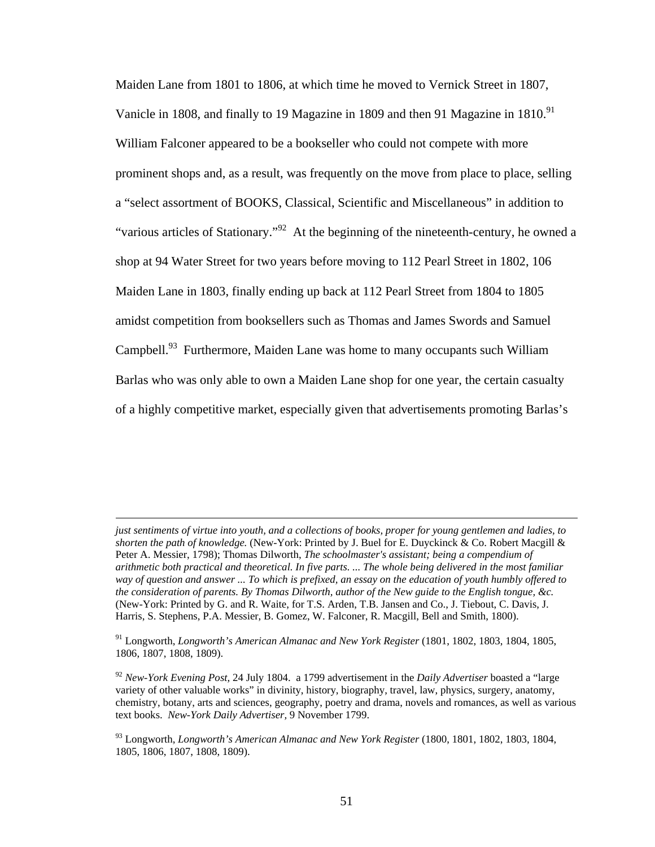Maiden Lane from 1801 to 1806, at which time he moved to Vernick Street in 1807, Vanicle in 1808, and finally to 19 Magazine in 1809 and then 91 Magazine in 1810.<sup>91</sup> William Falconer appeared to be a bookseller who could not compete with more prominent shops and, as a result, was frequently on the move from place to place, selling a "select assortment of BOOKS, Classical, Scientific and Miscellaneous" in addition to "various articles of Stationary."<sup>92</sup> At the beginning of the nineteenth-century, he owned a shop at 94 Water Street for two years before moving to 112 Pearl Street in 1802, 106 Maiden Lane in 1803, finally ending up back at 112 Pearl Street from 1804 to 1805 amidst competition from booksellers such as Thomas and James Swords and Samuel Campbell.<sup>93</sup> Furthermore, Maiden Lane was home to many occupants such William Barlas who was only able to own a Maiden Lane shop for one year, the certain casualty of a highly competitive market, especially given that advertisements promoting Barlas's

*just sentiments of virtue into youth, and a collections of books, proper for young gentlemen and ladies, to shorten the path of knowledge.* (New-York: Printed by J. Buel for E. Duyckinck & Co. Robert Macgill & Peter A. Messier, 1798); Thomas Dilworth, *The schoolmaster's assistant; being a compendium of arithmetic both practical and theoretical. In five parts. ... The whole being delivered in the most familiar way of question and answer ... To which is prefixed, an essay on the education of youth humbly offered to the consideration of parents. By Thomas Dilworth, author of the New guide to the English tongue, &c.*  (New-York: Printed by G. and R. Waite, for T.S. Arden, T.B. Jansen and Co., J. Tiebout, C. Davis, J. Harris, S. Stephens, P.A. Messier, B. Gomez, W. Falconer, R. Macgill, Bell and Smith, 1800).

<sup>&</sup>lt;sup>91</sup> Longworth, *Longworth's American Almanac and New York Register* (1801, 1802, 1803, 1804, 1805, 1806, 1807, 1808, 1809).

<sup>92</sup> *New-York Evening Post,* 24 July 1804. a 1799 advertisement in the *Daily Advertiser* boasted a "large variety of other valuable works" in divinity, history, biography, travel, law, physics, surgery, anatomy, chemistry, botany, arts and sciences, geography, poetry and drama, novels and romances, as well as various text books. *New-York Daily Advertiser,* 9 November 1799.

<sup>93</sup> Longworth, *Longworth's American Almanac and New York Register* (1800, 1801, 1802, 1803, 1804, 1805, 1806, 1807, 1808, 1809).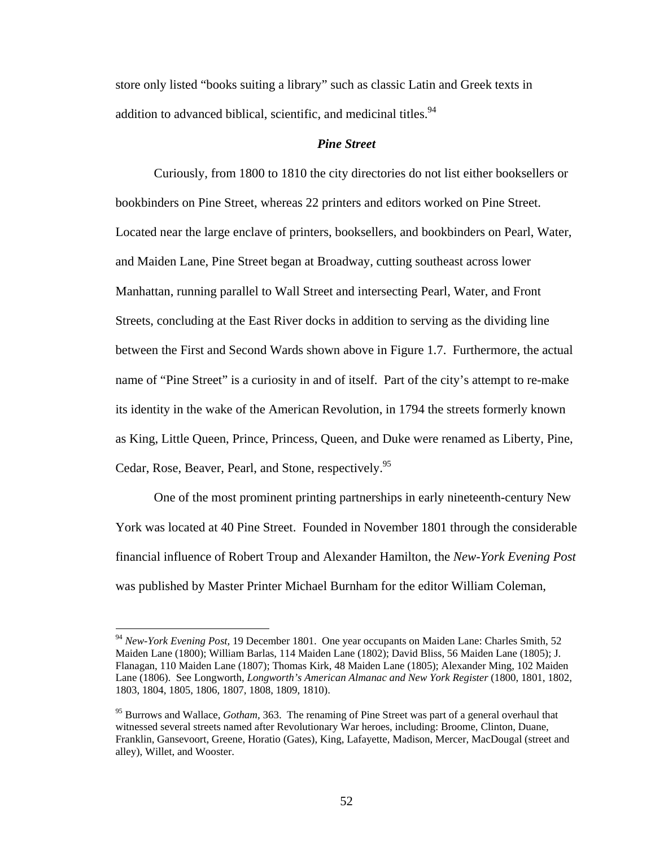store only listed "books suiting a library" such as classic Latin and Greek texts in addition to advanced biblical, scientific, and medicinal titles.<sup>94</sup>

# *Pine Street*

Curiously, from 1800 to 1810 the city directories do not list either booksellers or bookbinders on Pine Street, whereas 22 printers and editors worked on Pine Street. Located near the large enclave of printers, booksellers, and bookbinders on Pearl, Water, and Maiden Lane, Pine Street began at Broadway, cutting southeast across lower Manhattan, running parallel to Wall Street and intersecting Pearl, Water, and Front Streets, concluding at the East River docks in addition to serving as the dividing line between the First and Second Wards shown above in Figure 1.7. Furthermore, the actual name of "Pine Street" is a curiosity in and of itself. Part of the city's attempt to re-make its identity in the wake of the American Revolution, in 1794 the streets formerly known as King, Little Queen, Prince, Princess, Queen, and Duke were renamed as Liberty, Pine, Cedar, Rose, Beaver, Pearl, and Stone, respectively.<sup>95</sup>

 One of the most prominent printing partnerships in early nineteenth-century New York was located at 40 Pine Street. Founded in November 1801 through the considerable financial influence of Robert Troup and Alexander Hamilton, the *New-York Evening Post*  was published by Master Printer Michael Burnham for the editor William Coleman,

<sup>94</sup> *New-York Evening Post,* 19 December 1801. One year occupants on Maiden Lane: Charles Smith, 52 Maiden Lane (1800); William Barlas, 114 Maiden Lane (1802); David Bliss, 56 Maiden Lane (1805); J. Flanagan, 110 Maiden Lane (1807); Thomas Kirk, 48 Maiden Lane (1805); Alexander Ming, 102 Maiden Lane (1806). See Longworth, *Longworth's American Almanac and New York Register* (1800, 1801, 1802, 1803, 1804, 1805, 1806, 1807, 1808, 1809, 1810).

<sup>95</sup> Burrows and Wallace, *Gotham,* 363. The renaming of Pine Street was part of a general overhaul that witnessed several streets named after Revolutionary War heroes, including: Broome, Clinton, Duane, Franklin, Gansevoort, Greene, Horatio (Gates), King, Lafayette, Madison, Mercer, MacDougal (street and alley), Willet, and Wooster.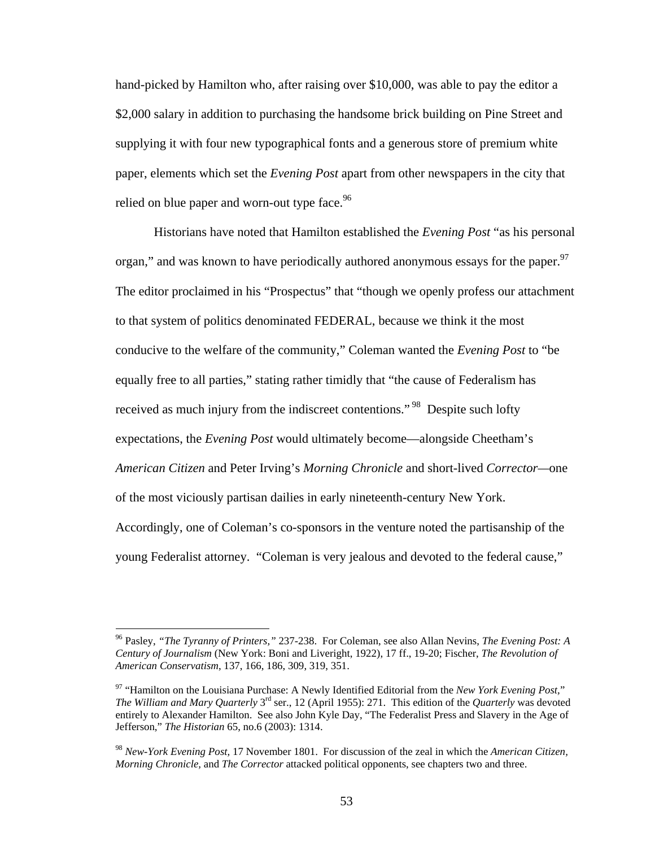hand-picked by Hamilton who, after raising over \$10,000, was able to pay the editor a \$2,000 salary in addition to purchasing the handsome brick building on Pine Street and supplying it with four new typographical fonts and a generous store of premium white paper, elements which set the *Evening Post* apart from other newspapers in the city that relied on blue paper and worn-out type face. $96$ 

Historians have noted that Hamilton established the *Evening Post* "as his personal organ," and was known to have periodically authored anonymous essays for the paper.<sup>97</sup> The editor proclaimed in his "Prospectus" that "though we openly profess our attachment to that system of politics denominated FEDERAL, because we think it the most conducive to the welfare of the community," Coleman wanted the *Evening Post* to "be equally free to all parties," stating rather timidly that "the cause of Federalism has received as much injury from the indiscreet contentions."<sup>98</sup> Despite such lofty expectations, the *Evening Post* would ultimately become—alongside Cheetham's *American Citizen* and Peter Irving's *Morning Chronicle* and short-lived *Corrector—*one of the most viciously partisan dailies in early nineteenth-century New York. Accordingly, one of Coleman's co-sponsors in the venture noted the partisanship of the young Federalist attorney. "Coleman is very jealous and devoted to the federal cause,"

<sup>96</sup> Pasley, *"The Tyranny of Printers,"* 237-238. For Coleman, see also Allan Nevins, *The Evening Post: A Century of Journalism* (New York: Boni and Liveright, 1922), 17 ff., 19-20; Fischer, *The Revolution of American Conservatism*, 137, 166, 186, 309, 319, 351.

<sup>97 &</sup>quot;Hamilton on the Louisiana Purchase: A Newly Identified Editorial from the *New York Evening Post,*" *The William and Mary Quarterly* 3rd ser., 12 (April 1955): 271. This edition of the *Quarterly* was devoted entirely to Alexander Hamilton. See also John Kyle Day, "The Federalist Press and Slavery in the Age of Jefferson," *The Historian* 65, no.6 (2003): 1314.

<sup>98</sup> *New-York Evening Post,* 17 November 1801. For discussion of the zeal in which the *American Citizen, Morning Chronicle,* and *The Corrector* attacked political opponents, see chapters two and three.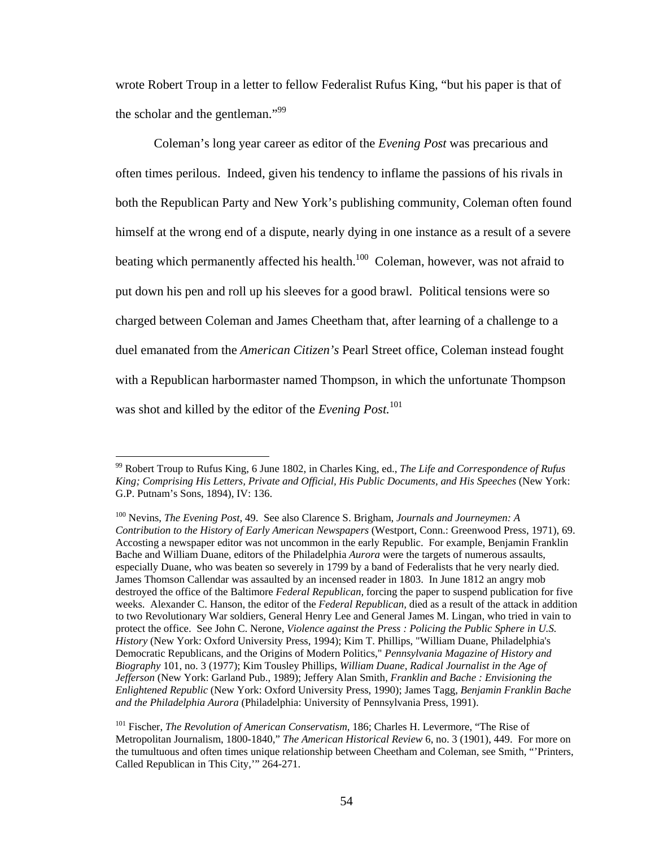wrote Robert Troup in a letter to fellow Federalist Rufus King, "but his paper is that of the scholar and the gentleman."<sup>99</sup>

 Coleman's long year career as editor of the *Evening Post* was precarious and often times perilous. Indeed, given his tendency to inflame the passions of his rivals in both the Republican Party and New York's publishing community, Coleman often found himself at the wrong end of a dispute, nearly dying in one instance as a result of a severe beating which permanently affected his health.<sup>100</sup> Coleman, however, was not afraid to put down his pen and roll up his sleeves for a good brawl. Political tensions were so charged between Coleman and James Cheetham that, after learning of a challenge to a duel emanated from the *American Citizen's* Pearl Street office, Coleman instead fought with a Republican harbormaster named Thompson, in which the unfortunate Thompson was shot and killed by the editor of the *Evening Post.*<sup>101</sup>

<sup>99</sup> Robert Troup to Rufus King, 6 June 1802, in Charles King, ed., *The Life and Correspondence of Rufus King; Comprising His Letters, Private and Official, His Public Documents, and His Speeches* (New York: G.P. Putnam's Sons, 1894), IV: 136.

<sup>100</sup> Nevins, *The Evening Post,* 49. See also Clarence S. Brigham, *Journals and Journeymen: A Contribution to the History of Early American Newspapers* (Westport, Conn.: Greenwood Press, 1971), 69. Accosting a newspaper editor was not uncommon in the early Republic. For example, Benjamin Franklin Bache and William Duane, editors of the Philadelphia *Aurora* were the targets of numerous assaults, especially Duane, who was beaten so severely in 1799 by a band of Federalists that he very nearly died. James Thomson Callendar was assaulted by an incensed reader in 1803. In June 1812 an angry mob destroyed the office of the Baltimore *Federal Republican,* forcing the paper to suspend publication for five weeks. Alexander C. Hanson, the editor of the *Federal Republican,* died as a result of the attack in addition to two Revolutionary War soldiers, General Henry Lee and General James M. Lingan, who tried in vain to protect the office. See John C. Nerone, *Violence against the Press : Policing the Public Sphere in U.S. History* (New York: Oxford University Press, 1994); Kim T. Phillips, "William Duane, Philadelphia's Democratic Republicans, and the Origins of Modern Politics," *Pennsylvania Magazine of History and Biography* 101, no. 3 (1977); Kim Tousley Phillips, *William Duane, Radical Journalist in the Age of Jefferson* (New York: Garland Pub., 1989); Jeffery Alan Smith, *Franklin and Bache : Envisioning the Enlightened Republic* (New York: Oxford University Press, 1990); James Tagg, *Benjamin Franklin Bache and the Philadelphia Aurora* (Philadelphia: University of Pennsylvania Press, 1991).

<sup>101</sup> Fischer, *The Revolution of American Conservatism,* 186; Charles H. Levermore, "The Rise of Metropolitan Journalism, 1800-1840," *The American Historical Review* 6, no. 3 (1901), 449. For more on the tumultuous and often times unique relationship between Cheetham and Coleman, see Smith, "'Printers, Called Republican in This City,'" 264-271.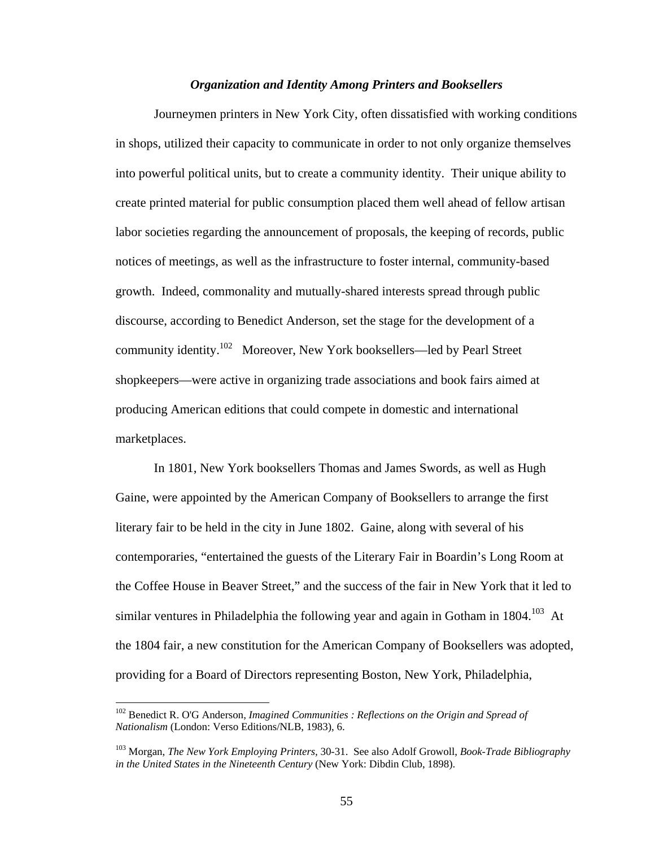#### *Organization and Identity Among Printers and Booksellers*

 Journeymen printers in New York City, often dissatisfied with working conditions in shops, utilized their capacity to communicate in order to not only organize themselves into powerful political units, but to create a community identity. Their unique ability to create printed material for public consumption placed them well ahead of fellow artisan labor societies regarding the announcement of proposals, the keeping of records, public notices of meetings, as well as the infrastructure to foster internal, community-based growth. Indeed, commonality and mutually-shared interests spread through public discourse, according to Benedict Anderson, set the stage for the development of a community identity.102 Moreover, New York booksellers—led by Pearl Street shopkeepers—were active in organizing trade associations and book fairs aimed at producing American editions that could compete in domestic and international marketplaces.

 In 1801, New York booksellers Thomas and James Swords, as well as Hugh Gaine, were appointed by the American Company of Booksellers to arrange the first literary fair to be held in the city in June 1802. Gaine, along with several of his contemporaries, "entertained the guests of the Literary Fair in Boardin's Long Room at the Coffee House in Beaver Street," and the success of the fair in New York that it led to similar ventures in Philadelphia the following year and again in Gotham in  $1804$ <sup>103</sup> At the 1804 fair, a new constitution for the American Company of Booksellers was adopted, providing for a Board of Directors representing Boston, New York, Philadelphia,

<sup>&</sup>lt;sup>102</sup> Benedict R. O'G Anderson, *Imagined Communities : Reflections on the Origin and Spread of Nationalism* (London: Verso Editions/NLB, 1983), 6.

<sup>103</sup> Morgan, *The New York Employing Printers,* 30-31. See also Adolf Growoll, *Book-Trade Bibliography in the United States in the Nineteenth Century* (New York: Dibdin Club, 1898).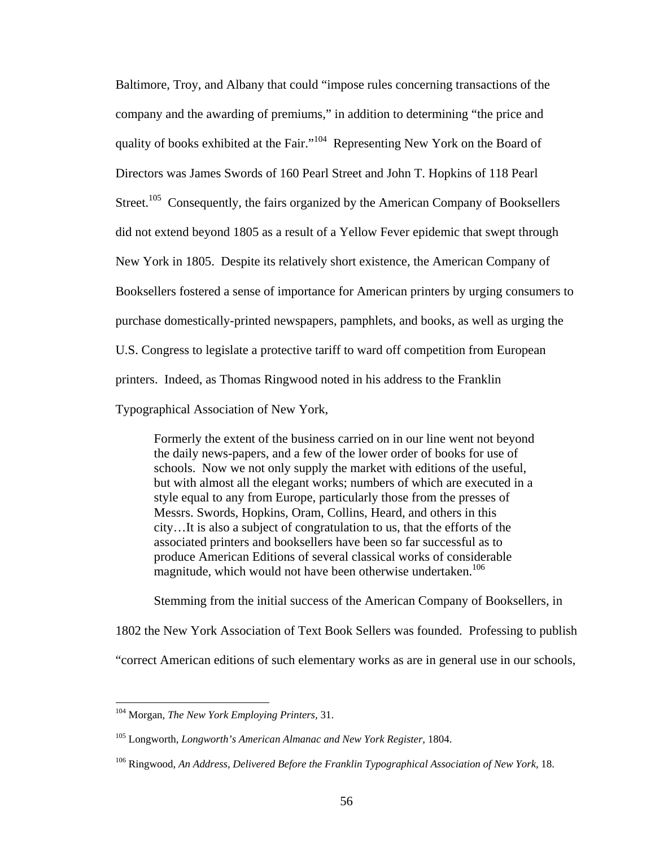Baltimore, Troy, and Albany that could "impose rules concerning transactions of the company and the awarding of premiums," in addition to determining "the price and quality of books exhibited at the Fair."<sup>104</sup> Representing New York on the Board of Directors was James Swords of 160 Pearl Street and John T. Hopkins of 118 Pearl Street.<sup>105</sup> Consequently, the fairs organized by the American Company of Booksellers did not extend beyond 1805 as a result of a Yellow Fever epidemic that swept through New York in 1805. Despite its relatively short existence, the American Company of Booksellers fostered a sense of importance for American printers by urging consumers to purchase domestically-printed newspapers, pamphlets, and books, as well as urging the U.S. Congress to legislate a protective tariff to ward off competition from European printers. Indeed, as Thomas Ringwood noted in his address to the Franklin Typographical Association of New York,

Formerly the extent of the business carried on in our line went not beyond the daily news-papers, and a few of the lower order of books for use of schools. Now we not only supply the market with editions of the useful, but with almost all the elegant works; numbers of which are executed in a style equal to any from Europe, particularly those from the presses of Messrs. Swords, Hopkins, Oram, Collins, Heard, and others in this city…It is also a subject of congratulation to us, that the efforts of the associated printers and booksellers have been so far successful as to produce American Editions of several classical works of considerable magnitude, which would not have been otherwise undertaken.<sup>106</sup>

Stemming from the initial success of the American Company of Booksellers, in

1802 the New York Association of Text Book Sellers was founded. Professing to publish

"correct American editions of such elementary works as are in general use in our schools,

<sup>104</sup> Morgan, *The New York Employing Printers,* 31.

<sup>105</sup> Longworth, *Longworth's American Almanac and New York Register,* 1804.

<sup>&</sup>lt;sup>106</sup> Ringwood, *An Address, Delivered Before the Franklin Typographical Association of New York, 18.*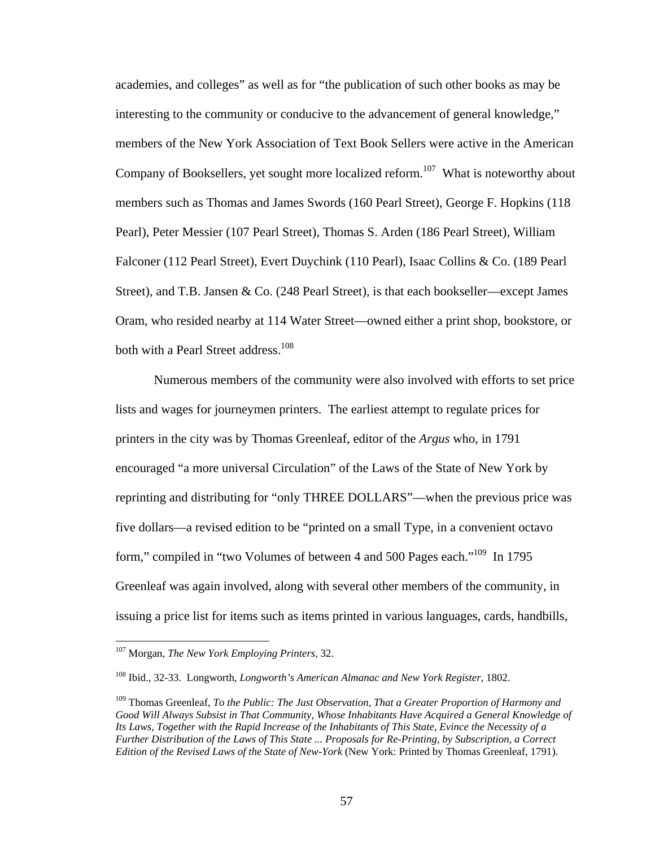academies, and colleges" as well as for "the publication of such other books as may be interesting to the community or conducive to the advancement of general knowledge," members of the New York Association of Text Book Sellers were active in the American Company of Booksellers, yet sought more localized reform.<sup>107</sup> What is noteworthy about members such as Thomas and James Swords (160 Pearl Street), George F. Hopkins (118 Pearl), Peter Messier (107 Pearl Street), Thomas S. Arden (186 Pearl Street), William Falconer (112 Pearl Street), Evert Duychink (110 Pearl), Isaac Collins & Co. (189 Pearl Street), and T.B. Jansen & Co. (248 Pearl Street), is that each bookseller—except James Oram, who resided nearby at 114 Water Street—owned either a print shop, bookstore, or both with a Pearl Street address.<sup>108</sup>

 Numerous members of the community were also involved with efforts to set price lists and wages for journeymen printers. The earliest attempt to regulate prices for printers in the city was by Thomas Greenleaf, editor of the *Argus* who, in 1791 encouraged "a more universal Circulation" of the Laws of the State of New York by reprinting and distributing for "only THREE DOLLARS"—when the previous price was five dollars—a revised edition to be "printed on a small Type, in a convenient octavo form," compiled in "two Volumes of between 4 and 500 Pages each."<sup>109</sup> In 1795 Greenleaf was again involved, along with several other members of the community, in issuing a price list for items such as items printed in various languages, cards, handbills,

<sup>107</sup> Morgan, *The New York Employing Printers,* 32.

<sup>108</sup> Ibid., 32-33. Longworth, *Longworth's American Almanac and New York Register,* 1802.

<sup>109</sup> Thomas Greenleaf, *To the Public: The Just Observation, That a Greater Proportion of Harmony and Good Will Always Subsist in That Community, Whose Inhabitants Have Acquired a General Knowledge of Its Laws, Together with the Rapid Increase of the Inhabitants of This State, Evince the Necessity of a Further Distribution of the Laws of This State ... Proposals for Re-Printing, by Subscription, a Correct Edition of the Revised Laws of the State of New-York* (New York: Printed by Thomas Greenleaf, 1791).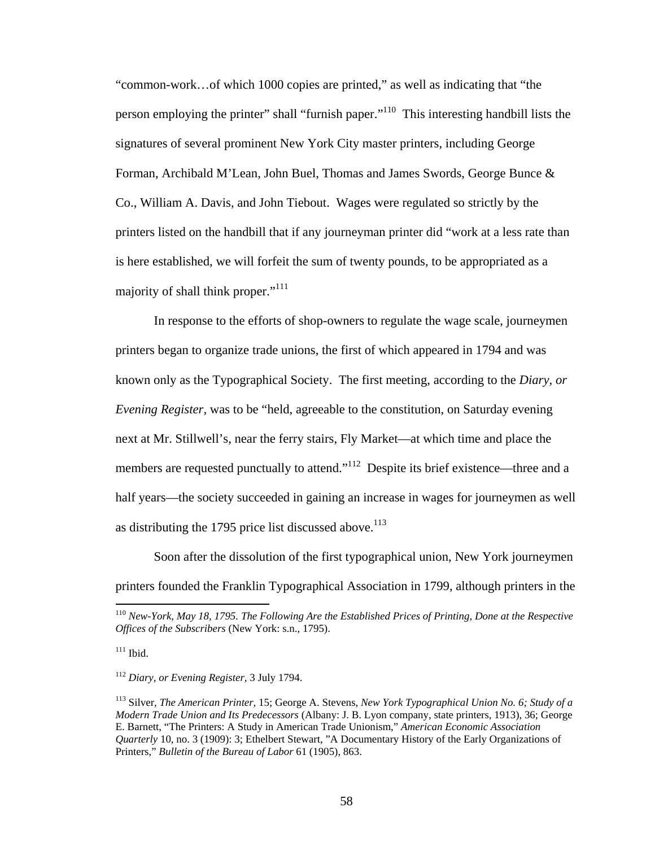"common-work…of which 1000 copies are printed," as well as indicating that "the person employing the printer" shall "furnish paper."110 This interesting handbill lists the signatures of several prominent New York City master printers, including George Forman, Archibald M'Lean, John Buel, Thomas and James Swords, George Bunce & Co., William A. Davis, and John Tiebout. Wages were regulated so strictly by the printers listed on the handbill that if any journeyman printer did "work at a less rate than is here established, we will forfeit the sum of twenty pounds, to be appropriated as a majority of shall think proper."<sup>111</sup>

 In response to the efforts of shop-owners to regulate the wage scale, journeymen printers began to organize trade unions, the first of which appeared in 1794 and was known only as the Typographical Society. The first meeting, according to the *Diary, or Evening Register,* was to be "held, agreeable to the constitution, on Saturday evening next at Mr. Stillwell's, near the ferry stairs, Fly Market—at which time and place the members are requested punctually to attend."<sup>112</sup> Despite its brief existence—three and a half years—the society succeeded in gaining an increase in wages for journeymen as well as distributing the 1795 price list discussed above. $113$ 

Soon after the dissolution of the first typographical union, New York journeymen printers founded the Franklin Typographical Association in 1799, although printers in the

<sup>110</sup> *New-York, May 18, 1795. The Following Are the Established Prices of Printing, Done at the Respective Offices of the Subscribers* (New York: s.n., 1795).

 $111$  Ibid.

<sup>112</sup> *Diary, or Evening Register,* 3 July 1794.

<sup>113</sup> Silver, *The American Printer,* 15; George A. Stevens, *New York Typographical Union No. 6; Study of a Modern Trade Union and Its Predecessors* (Albany: J. B. Lyon company, state printers, 1913), 36; George E. Barnett, "The Printers: A Study in American Trade Unionism," *American Economic Association Quarterly* 10, no. 3 (1909): 3; Ethelbert Stewart, "A Documentary History of the Early Organizations of Printers," *Bulletin of the Bureau of Labor* 61 (1905), 863.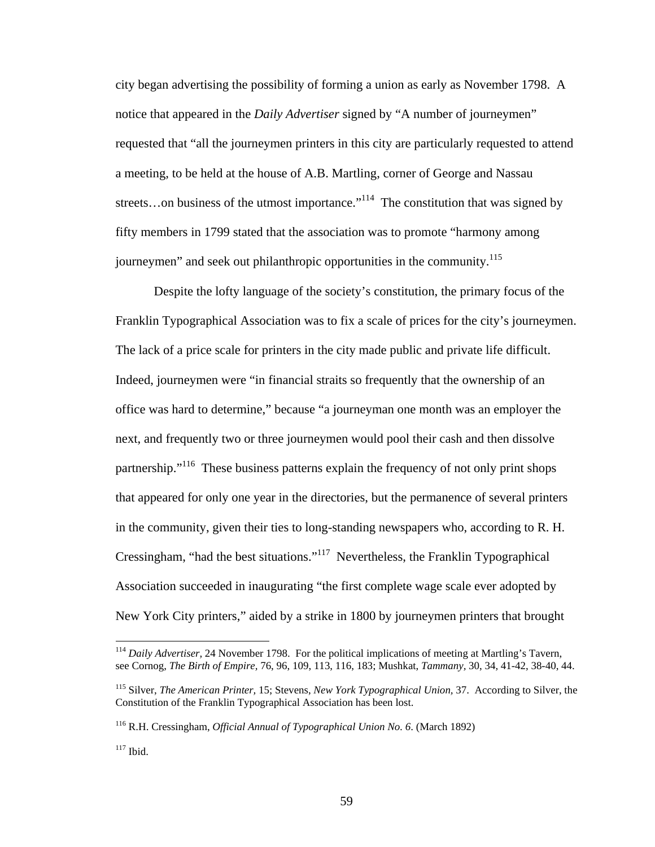city began advertising the possibility of forming a union as early as November 1798. A notice that appeared in the *Daily Advertiser* signed by "A number of journeymen" requested that "all the journeymen printers in this city are particularly requested to attend a meeting, to be held at the house of A.B. Martling, corner of George and Nassau streets...on business of the utmost importance."<sup>114</sup> The constitution that was signed by fifty members in 1799 stated that the association was to promote "harmony among journeymen" and seek out philanthropic opportunities in the community.<sup>115</sup>

Despite the lofty language of the society's constitution, the primary focus of the Franklin Typographical Association was to fix a scale of prices for the city's journeymen. The lack of a price scale for printers in the city made public and private life difficult. Indeed, journeymen were "in financial straits so frequently that the ownership of an office was hard to determine," because "a journeyman one month was an employer the next, and frequently two or three journeymen would pool their cash and then dissolve partnership."<sup>116</sup> These business patterns explain the frequency of not only print shops that appeared for only one year in the directories, but the permanence of several printers in the community, given their ties to long-standing newspapers who, according to R. H. Cressingham, "had the best situations."117 Nevertheless, the Franklin Typographical Association succeeded in inaugurating "the first complete wage scale ever adopted by New York City printers," aided by a strike in 1800 by journeymen printers that brought

<sup>114</sup> *Daily Advertiser,* 24 November 1798. For the political implications of meeting at Martling's Tavern, see Cornog, *The Birth of Empire,* 76, 96, 109, 113, 116, 183; Mushkat, *Tammany,* 30, 34, 41-42, 38-40, 44.

<sup>115</sup> Silver, *The American Printer,* 15; Stevens, *New York Typographical Union,* 37. According to Silver, the Constitution of the Franklin Typographical Association has been lost.

<sup>116</sup> R.H. Cressingham, *Official Annual of Typographical Union No. 6*. (March 1892)

 $117$  Ibid.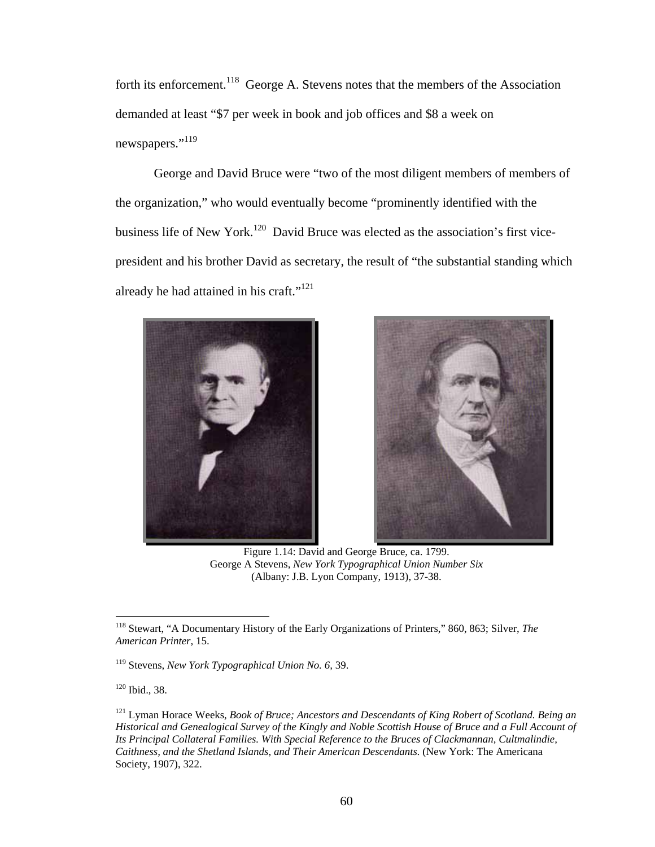forth its enforcement.<sup>118</sup> George A. Stevens notes that the members of the Association demanded at least "\$7 per week in book and job offices and \$8 a week on newspapers."<sup>119</sup>

George and David Bruce were "two of the most diligent members of members of the organization," who would eventually become "prominently identified with the business life of New York.<sup>120</sup> David Bruce was elected as the association's first vicepresident and his brother David as secretary, the result of "the substantial standing which already he had attained in his craft." $121$ 





 Figure 1.14: David and George Bruce, ca. 1799. George A Stevens, *New York Typographical Union Number Six*  (Albany: J.B. Lyon Company, 1913), 37-38.

<sup>118</sup> Stewart, "A Documentary History of the Early Organizations of Printers," 860, 863; Silver, *The American Printer,* 15.

<sup>119</sup> Stevens, *New York Typographical Union No. 6,* 39.

 $120$  Ibid., 38.

<sup>121</sup> Lyman Horace Weeks, *Book of Bruce; Ancestors and Descendants of King Robert of Scotland. Being an Historical and Genealogical Survey of the Kingly and Noble Scottish House of Bruce and a Full Account of Its Principal Collateral Families. With Special Reference to the Bruces of Clackmannan, Cultmalindie, Caithness, and the Shetland Islands, and Their American Descendants.* (New York: The Americana Society, 1907), 322.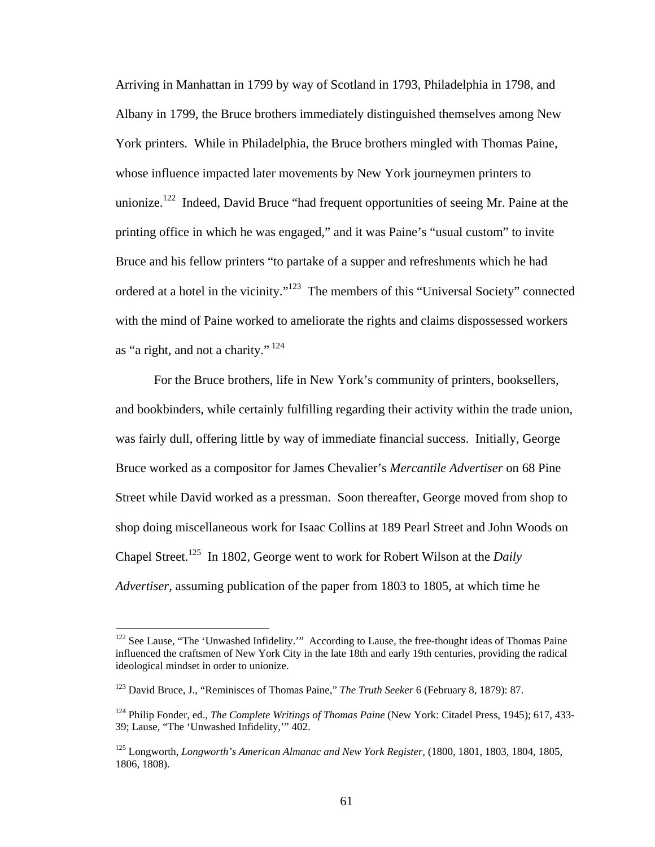Arriving in Manhattan in 1799 by way of Scotland in 1793, Philadelphia in 1798, and Albany in 1799, the Bruce brothers immediately distinguished themselves among New York printers. While in Philadelphia, the Bruce brothers mingled with Thomas Paine, whose influence impacted later movements by New York journeymen printers to unionize.<sup>122</sup> Indeed, David Bruce "had frequent opportunities of seeing Mr. Paine at the printing office in which he was engaged," and it was Paine's "usual custom" to invite Bruce and his fellow printers "to partake of a supper and refreshments which he had ordered at a hotel in the vicinity."123 The members of this "Universal Society" connected with the mind of Paine worked to ameliorate the rights and claims dispossessed workers as "a right, and not a charity."  $124$ 

For the Bruce brothers, life in New York's community of printers, booksellers, and bookbinders, while certainly fulfilling regarding their activity within the trade union, was fairly dull, offering little by way of immediate financial success. Initially, George Bruce worked as a compositor for James Chevalier's *Mercantile Advertiser* on 68 Pine Street while David worked as a pressman. Soon thereafter, George moved from shop to shop doing miscellaneous work for Isaac Collins at 189 Pearl Street and John Woods on Chapel Street.125 In 1802, George went to work for Robert Wilson at the *Daily Advertiser,* assuming publication of the paper from 1803 to 1805, at which time he

<sup>&</sup>lt;sup>122</sup> See Lause, "The 'Unwashed Infidelity." According to Lause, the free-thought ideas of Thomas Paine influenced the craftsmen of New York City in the late 18th and early 19th centuries, providing the radical ideological mindset in order to unionize.

<sup>123</sup> David Bruce, J., "Reminisces of Thomas Paine," *The Truth Seeker* 6 (February 8, 1879): 87.

<sup>124</sup> Philip Fonder, ed., *The Complete Writings of Thomas Paine* (New York: Citadel Press, 1945); 617, 433- 39; Lause, "The 'Unwashed Infidelity,'" 402.

<sup>&</sup>lt;sup>125</sup> Longworth, *Longworth's American Almanac and New York Register*, (1800, 1801, 1803, 1804, 1805, 1806, 1808).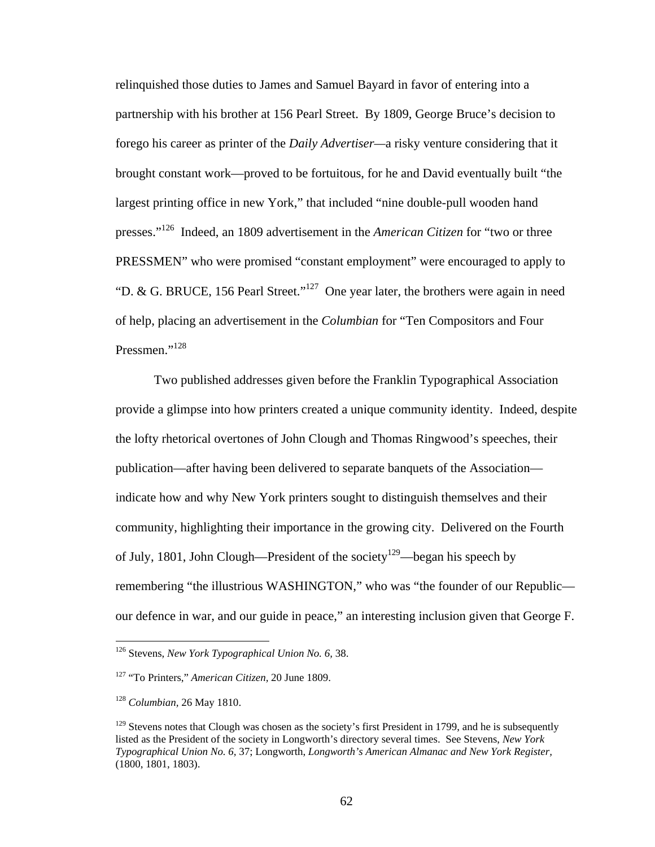relinquished those duties to James and Samuel Bayard in favor of entering into a partnership with his brother at 156 Pearl Street. By 1809, George Bruce's decision to forego his career as printer of the *Daily Advertiser—*a risky venture considering that it brought constant work—proved to be fortuitous, for he and David eventually built "the largest printing office in new York," that included "nine double-pull wooden hand presses."126 Indeed, an 1809 advertisement in the *American Citizen* for "two or three PRESSMEN" who were promised "constant employment" were encouraged to apply to "D. & G. BRUCE, 156 Pearl Street."127 One year later, the brothers were again in need of help, placing an advertisement in the *Columbian* for "Ten Compositors and Four Pressmen."<sup>128</sup>

Two published addresses given before the Franklin Typographical Association provide a glimpse into how printers created a unique community identity. Indeed, despite the lofty rhetorical overtones of John Clough and Thomas Ringwood's speeches, their publication—after having been delivered to separate banquets of the Association indicate how and why New York printers sought to distinguish themselves and their community, highlighting their importance in the growing city. Delivered on the Fourth of July, 1801, John Clough—President of the society<sup>129</sup>—began his speech by remembering "the illustrious WASHINGTON," who was "the founder of our Republic our defence in war, and our guide in peace," an interesting inclusion given that George F.

<sup>126</sup> Stevens, *New York Typographical Union No. 6,* 38.

<sup>127 &</sup>quot;To Printers," *American Citizen,* 20 June 1809.

<sup>128</sup> *Columbian,* 26 May 1810.

 $129$  Stevens notes that Clough was chosen as the society's first President in 1799, and he is subsequently listed as the President of the society in Longworth's directory several times. See Stevens, *New York Typographical Union No. 6,* 37; Longworth, *Longworth's American Almanac and New York Register,*  (1800, 1801, 1803).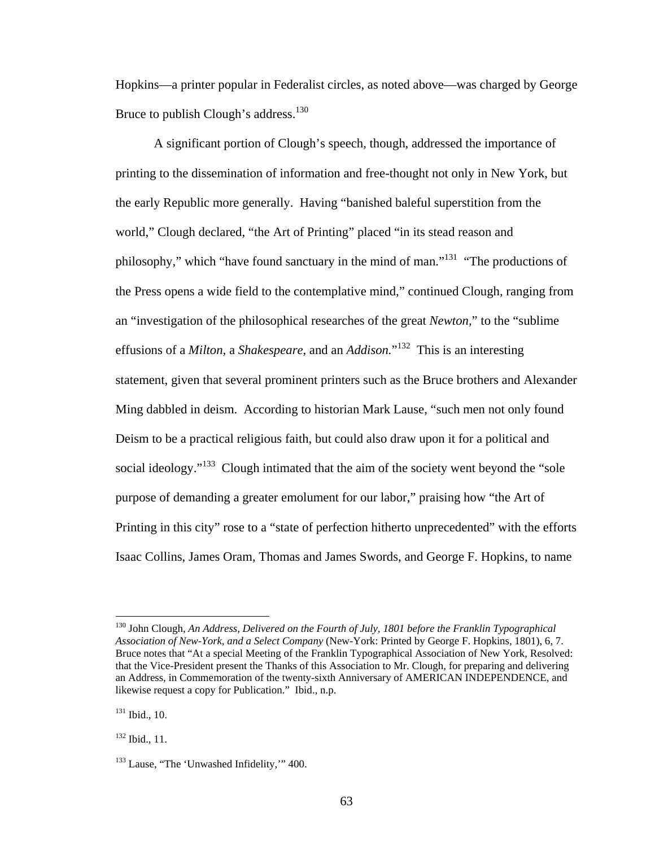Hopkins—a printer popular in Federalist circles, as noted above—was charged by George Bruce to publish Clough's address.<sup>130</sup>

A significant portion of Clough's speech, though, addressed the importance of printing to the dissemination of information and free-thought not only in New York, but the early Republic more generally. Having "banished baleful superstition from the world," Clough declared, "the Art of Printing" placed "in its stead reason and philosophy," which "have found sanctuary in the mind of man."131 "The productions of the Press opens a wide field to the contemplative mind," continued Clough, ranging from an "investigation of the philosophical researches of the great *Newton,*" to the "sublime effusions of a *Milton,* a *Shakespeare,* and an *Addison.*" 132 This is an interesting statement, given that several prominent printers such as the Bruce brothers and Alexander Ming dabbled in deism. According to historian Mark Lause, "such men not only found Deism to be a practical religious faith, but could also draw upon it for a political and social ideology."<sup>133</sup> Clough intimated that the aim of the society went beyond the "sole" purpose of demanding a greater emolument for our labor," praising how "the Art of Printing in this city" rose to a "state of perfection hitherto unprecedented" with the efforts Isaac Collins, James Oram, Thomas and James Swords, and George F. Hopkins, to name

<sup>130</sup> John Clough, *An Address, Delivered on the Fourth of July, 1801 before the Franklin Typographical Association of New-York, and a Select Company* (New-York: Printed by George F. Hopkins, 1801), 6, 7. Bruce notes that "At a special Meeting of the Franklin Typographical Association of New York, Resolved: that the Vice-President present the Thanks of this Association to Mr. Clough, for preparing and delivering an Address, in Commemoration of the twenty-sixth Anniversary of AMERICAN INDEPENDENCE, and likewise request a copy for Publication." Ibid., n.p.

 $131$  Ibid., 10.

<sup>132</sup> Ibid., 11.

<sup>&</sup>lt;sup>133</sup> Lause, "The 'Unwashed Infidelity," 400.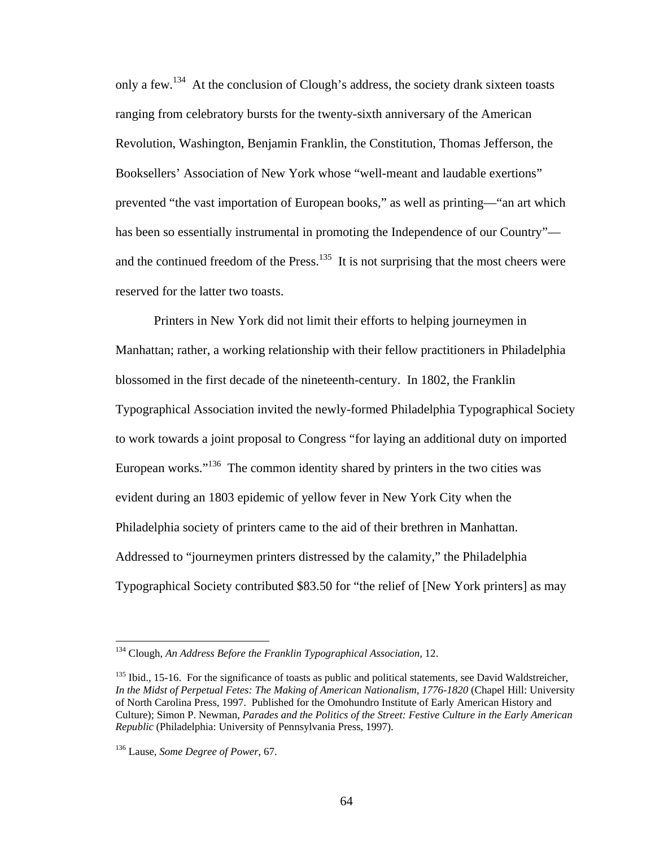only a few.134 At the conclusion of Clough's address, the society drank sixteen toasts ranging from celebratory bursts for the twenty-sixth anniversary of the American Revolution, Washington, Benjamin Franklin, the Constitution, Thomas Jefferson, the Booksellers' Association of New York whose "well-meant and laudable exertions" prevented "the vast importation of European books," as well as printing—"an art which has been so essentially instrumental in promoting the Independence of our Country" and the continued freedom of the Press. $135$  It is not surprising that the most cheers were reserved for the latter two toasts.

Printers in New York did not limit their efforts to helping journeymen in Manhattan; rather, a working relationship with their fellow practitioners in Philadelphia blossomed in the first decade of the nineteenth-century. In 1802, the Franklin Typographical Association invited the newly-formed Philadelphia Typographical Society to work towards a joint proposal to Congress "for laying an additional duty on imported European works."<sup>136</sup> The common identity shared by printers in the two cities was evident during an 1803 epidemic of yellow fever in New York City when the Philadelphia society of printers came to the aid of their brethren in Manhattan. Addressed to "journeymen printers distressed by the calamity," the Philadelphia Typographical Society contributed \$83.50 for "the relief of [New York printers] as may

1

<sup>134</sup> Clough, *An Address Before the Franklin Typographical Association,* 12.

 $135$  Ibid., 15-16. For the significance of toasts as public and political statements, see David Waldstreicher, *In the Midst of Perpetual Fetes: The Making of American Nationalism, 1776-1820* (Chapel Hill: University of North Carolina Press, 1997. Published for the Omohundro Institute of Early American History and Culture); Simon P. Newman, *Parades and the Politics of the Street: Festive Culture in the Early American Republic* (Philadelphia: University of Pennsylvania Press, 1997).

<sup>136</sup> Lause, *Some Degree of Power,* 67.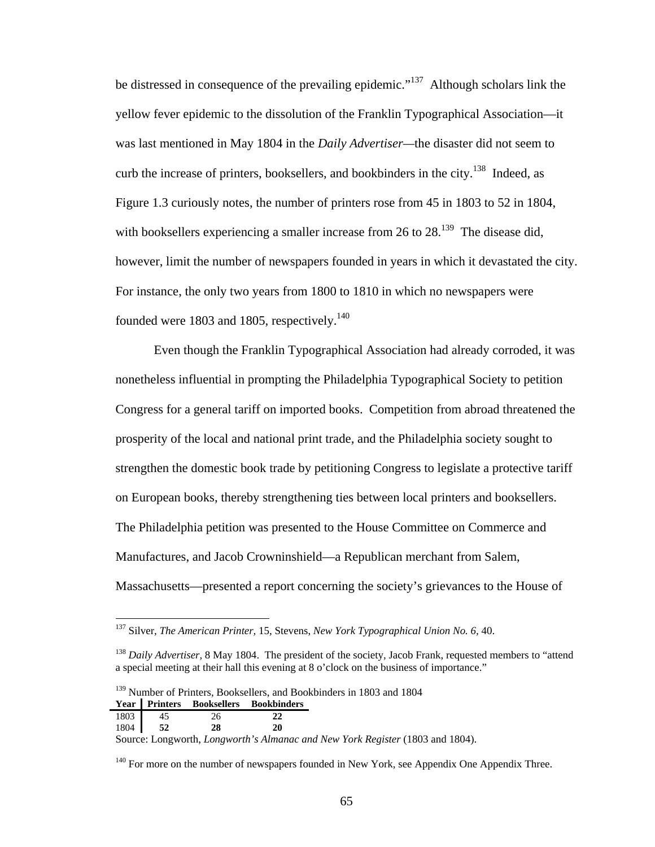be distressed in consequence of the prevailing epidemic."<sup>137</sup> Although scholars link the yellow fever epidemic to the dissolution of the Franklin Typographical Association—it was last mentioned in May 1804 in the *Daily Advertiser—*the disaster did not seem to curb the increase of printers, booksellers, and bookbinders in the city.<sup>138</sup> Indeed, as Figure 1.3 curiously notes, the number of printers rose from 45 in 1803 to 52 in 1804, with booksellers experiencing a smaller increase from 26 to  $28^{139}$  The disease did, however, limit the number of newspapers founded in years in which it devastated the city. For instance, the only two years from 1800 to 1810 in which no newspapers were founded were 1803 and 1805, respectively.<sup>140</sup>

Even though the Franklin Typographical Association had already corroded, it was nonetheless influential in prompting the Philadelphia Typographical Society to petition Congress for a general tariff on imported books. Competition from abroad threatened the prosperity of the local and national print trade, and the Philadelphia society sought to strengthen the domestic book trade by petitioning Congress to legislate a protective tariff on European books, thereby strengthening ties between local printers and booksellers. The Philadelphia petition was presented to the House Committee on Commerce and Manufactures, and Jacob Crowninshield—a Republican merchant from Salem, Massachusetts—presented a report concerning the society's grievances to the House of

<sup>139</sup> Number of Printers, Booksellers, and Bookbinders in 1803 and 1804 **Year Printers Booksellers Bookbinders** 

| 1803 | -45       |    |                                                                               |
|------|-----------|----|-------------------------------------------------------------------------------|
|      | 1804   52 | 20 |                                                                               |
|      |           |    | Source: Longworth, Longworth's Almanac and New York Register (1803 and 1804). |

 $140$  For more on the number of newspapers founded in New York, see Appendix One Appendix Three.

<sup>137</sup> Silver, *The American Printer,* 15, Stevens, *New York Typographical Union No. 6,* 40.

<sup>&</sup>lt;sup>138</sup> *Daily Advertiser*, 8 May 1804. The president of the society, Jacob Frank, requested members to "attend" a special meeting at their hall this evening at 8 o'clock on the business of importance."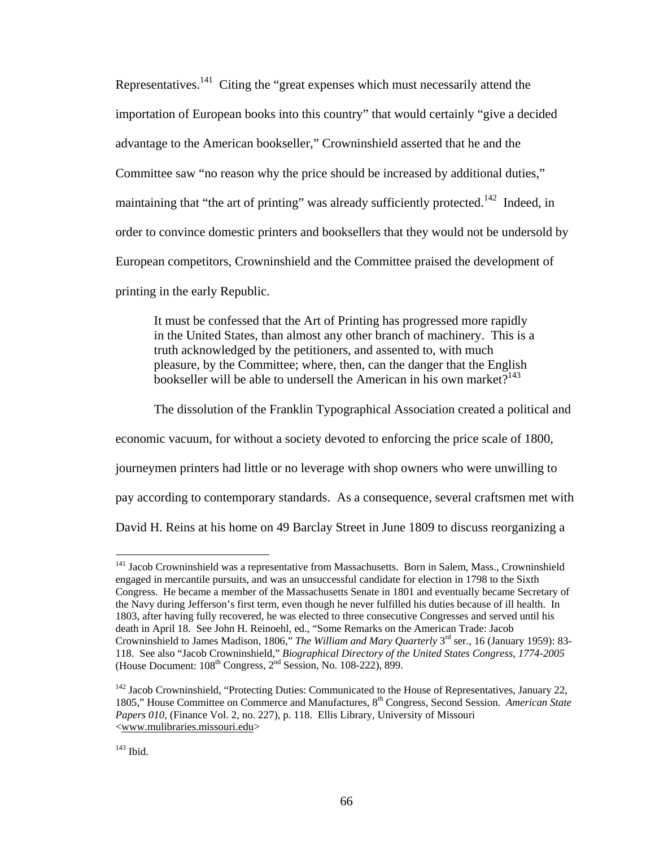Representatives.141 Citing the "great expenses which must necessarily attend the importation of European books into this country" that would certainly "give a decided advantage to the American bookseller," Crowninshield asserted that he and the Committee saw "no reason why the price should be increased by additional duties," maintaining that "the art of printing" was already sufficiently protected.<sup>142</sup> Indeed, in order to convince domestic printers and booksellers that they would not be undersold by European competitors, Crowninshield and the Committee praised the development of printing in the early Republic.

It must be confessed that the Art of Printing has progressed more rapidly in the United States, than almost any other branch of machinery. This is a truth acknowledged by the petitioners, and assented to, with much pleasure, by the Committee; where, then, can the danger that the English bookseller will be able to undersell the American in his own market? $143$ 

The dissolution of the Franklin Typographical Association created a political and

economic vacuum, for without a society devoted to enforcing the price scale of 1800,

journeymen printers had little or no leverage with shop owners who were unwilling to

pay according to contemporary standards. As a consequence, several craftsmen met with

David H. Reins at his home on 49 Barclay Street in June 1809 to discuss reorganizing a

<sup>&</sup>lt;sup>141</sup> Jacob Crowninshield was a representative from Massachusetts. Born in Salem, Mass., Crowninshield engaged in mercantile pursuits, and was an unsuccessful candidate for election in 1798 to the Sixth Congress. He became a member of the Massachusetts Senate in 1801 and eventually became Secretary of the Navy during Jefferson's first term, even though he never fulfilled his duties because of ill health. In 1803, after having fully recovered, he was elected to three consecutive Congresses and served until his death in April 18. See John H. Reinoehl, ed., "Some Remarks on the American Trade: Jacob Crowninshield to James Madison, 1806," *The William and Mary Quarterly* 3rd ser., 16 (January 1959): 83- 118. See also "Jacob Crowninshield," *Biographical Directory of the United States Congress, 1774-2005*  (House Document:  $108<sup>th</sup>$  Congress,  $2<sup>nd</sup>$  Session, No. 108-222), 899.

<sup>&</sup>lt;sup>142</sup> Jacob Crowninshield, "Protecting Duties: Communicated to the House of Representatives, January 22, 1805," House Committee on Commerce and Manufactures, 8th Congress, Second Session. *American State Papers 010,* (Finance Vol. 2, no. 227), p. 118. Ellis Library, University of Missouri <www.mulibraries.missouri.edu>

 $143$  Ibid.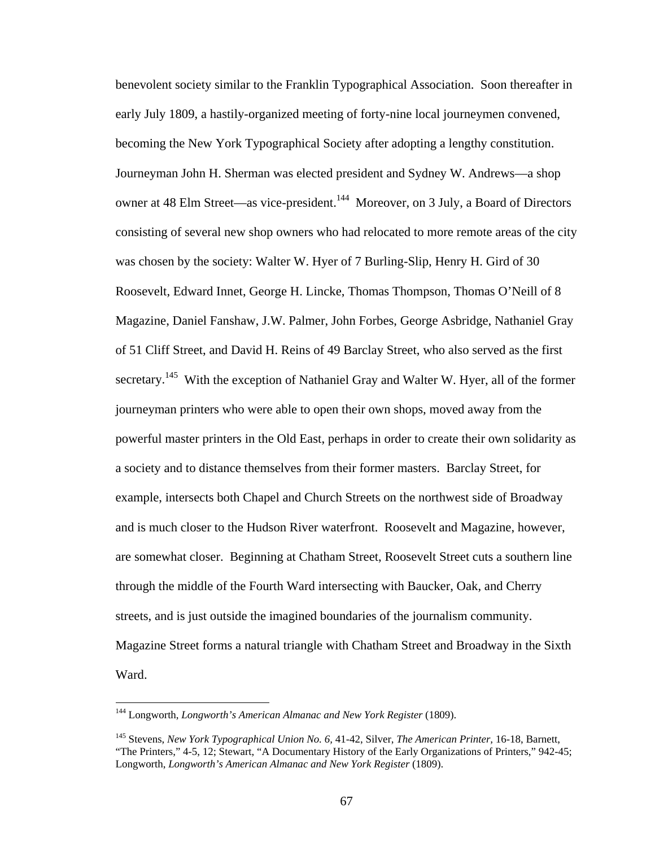benevolent society similar to the Franklin Typographical Association. Soon thereafter in early July 1809, a hastily-organized meeting of forty-nine local journeymen convened, becoming the New York Typographical Society after adopting a lengthy constitution. Journeyman John H. Sherman was elected president and Sydney W. Andrews—a shop owner at 48 Elm Street—as vice-president.<sup>144</sup> Moreover, on 3 July, a Board of Directors consisting of several new shop owners who had relocated to more remote areas of the city was chosen by the society: Walter W. Hyer of 7 Burling-Slip, Henry H. Gird of 30 Roosevelt, Edward Innet, George H. Lincke, Thomas Thompson, Thomas O'Neill of 8 Magazine, Daniel Fanshaw, J.W. Palmer, John Forbes, George Asbridge, Nathaniel Gray of 51 Cliff Street, and David H. Reins of 49 Barclay Street, who also served as the first secretary.<sup>145</sup> With the exception of Nathaniel Gray and Walter W. Hyer, all of the former journeyman printers who were able to open their own shops, moved away from the powerful master printers in the Old East, perhaps in order to create their own solidarity as a society and to distance themselves from their former masters. Barclay Street, for example, intersects both Chapel and Church Streets on the northwest side of Broadway and is much closer to the Hudson River waterfront. Roosevelt and Magazine, however, are somewhat closer. Beginning at Chatham Street, Roosevelt Street cuts a southern line through the middle of the Fourth Ward intersecting with Baucker, Oak, and Cherry streets, and is just outside the imagined boundaries of the journalism community. Magazine Street forms a natural triangle with Chatham Street and Broadway in the Sixth Ward.

<sup>&</sup>lt;sup>144</sup> Longworth, *Longworth's American Almanac and New York Register* (1809).

<sup>145</sup> Stevens, *New York Typographical Union No. 6,* 41-42, Silver, *The American Printer,* 16-18, Barnett, "The Printers," 4-5, 12; Stewart, "A Documentary History of the Early Organizations of Printers," 942-45; Longworth, *Longworth's American Almanac and New York Register* (1809).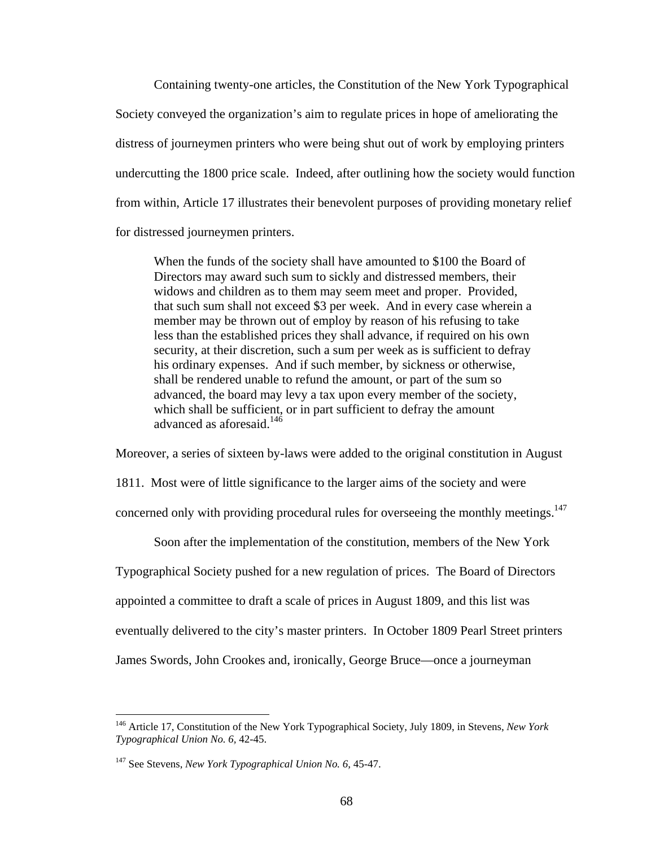Containing twenty-one articles, the Constitution of the New York Typographical Society conveyed the organization's aim to regulate prices in hope of ameliorating the distress of journeymen printers who were being shut out of work by employing printers undercutting the 1800 price scale. Indeed, after outlining how the society would function from within, Article 17 illustrates their benevolent purposes of providing monetary relief for distressed journeymen printers.

When the funds of the society shall have amounted to \$100 the Board of Directors may award such sum to sickly and distressed members, their widows and children as to them may seem meet and proper. Provided, that such sum shall not exceed \$3 per week. And in every case wherein a member may be thrown out of employ by reason of his refusing to take less than the established prices they shall advance, if required on his own security, at their discretion, such a sum per week as is sufficient to defray his ordinary expenses. And if such member, by sickness or otherwise, shall be rendered unable to refund the amount, or part of the sum so advanced, the board may levy a tax upon every member of the society, which shall be sufficient, or in part sufficient to defray the amount advanced as aforesaid.<sup>146</sup>

Moreover, a series of sixteen by-laws were added to the original constitution in August

1811. Most were of little significance to the larger aims of the society and were

concerned only with providing procedural rules for overseeing the monthly meetings.<sup>147</sup>

Soon after the implementation of the constitution, members of the New York

Typographical Society pushed for a new regulation of prices. The Board of Directors

appointed a committee to draft a scale of prices in August 1809, and this list was

eventually delivered to the city's master printers. In October 1809 Pearl Street printers

James Swords, John Crookes and, ironically, George Bruce—once a journeyman

<sup>146</sup> Article 17, Constitution of the New York Typographical Society, July 1809, in Stevens, *New York Typographical Union No. 6,* 42-45.

<sup>147</sup> See Stevens, *New York Typographical Union No. 6,* 45-47.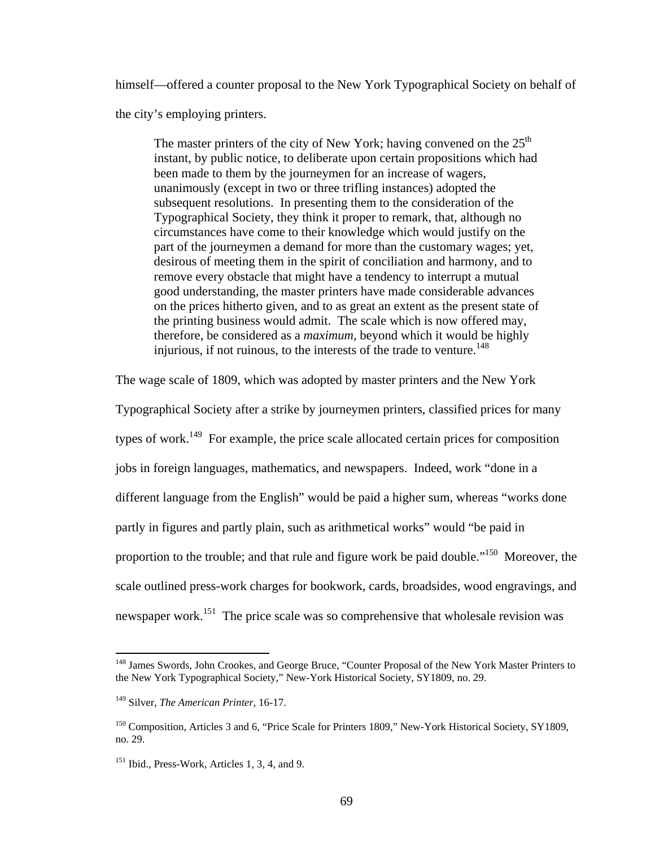himself—offered a counter proposal to the New York Typographical Society on behalf of the city's employing printers.

The master printers of the city of New York; having convened on the  $25<sup>th</sup>$ instant, by public notice, to deliberate upon certain propositions which had been made to them by the journeymen for an increase of wagers, unanimously (except in two or three trifling instances) adopted the subsequent resolutions. In presenting them to the consideration of the Typographical Society, they think it proper to remark, that, although no circumstances have come to their knowledge which would justify on the part of the journeymen a demand for more than the customary wages; yet, desirous of meeting them in the spirit of conciliation and harmony, and to remove every obstacle that might have a tendency to interrupt a mutual good understanding, the master printers have made considerable advances on the prices hitherto given, and to as great an extent as the present state of the printing business would admit. The scale which is now offered may, therefore, be considered as a *maximum,* beyond which it would be highly injurious, if not ruinous, to the interests of the trade to venture.<sup>148</sup>

The wage scale of 1809, which was adopted by master printers and the New York

Typographical Society after a strike by journeymen printers, classified prices for many types of work.<sup>149</sup> For example, the price scale allocated certain prices for composition jobs in foreign languages, mathematics, and newspapers. Indeed, work "done in a different language from the English" would be paid a higher sum, whereas "works done partly in figures and partly plain, such as arithmetical works" would "be paid in proportion to the trouble; and that rule and figure work be paid double."<sup>150</sup> Moreover, the scale outlined press-work charges for bookwork, cards, broadsides, wood engravings, and newspaper work.<sup>151</sup> The price scale was so comprehensive that wholesale revision was

<sup>&</sup>lt;sup>148</sup> James Swords, John Crookes, and George Bruce, "Counter Proposal of the New York Master Printers to the New York Typographical Society," New-York Historical Society, SY1809, no. 29.

<sup>149</sup> Silver, *The American Printer,* 16-17.

<sup>&</sup>lt;sup>150</sup> Composition, Articles 3 and 6, "Price Scale for Printers 1809," New-York Historical Society, SY1809, no. 29.

<sup>&</sup>lt;sup>151</sup> Ibid., Press-Work, Articles 1, 3, 4, and 9.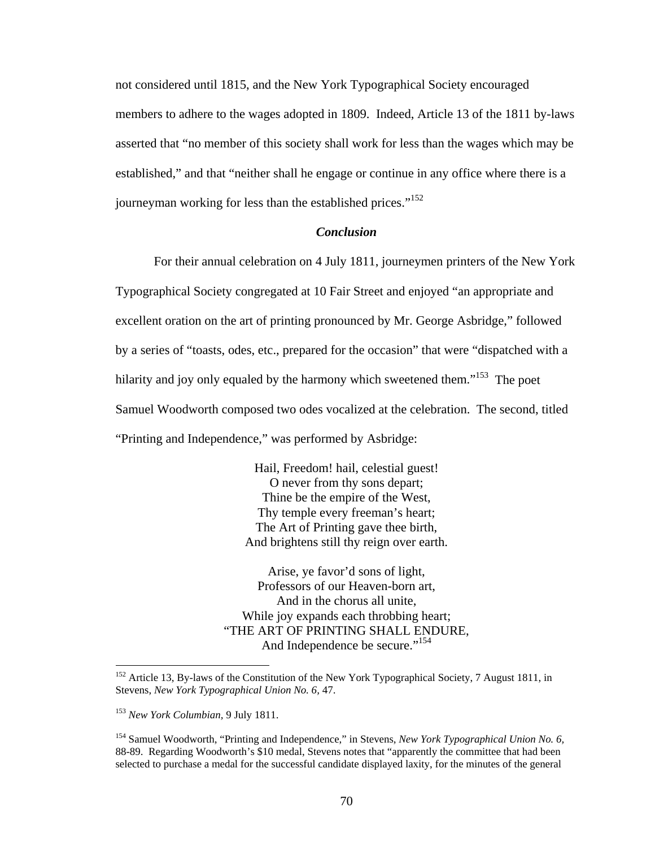not considered until 1815, and the New York Typographical Society encouraged members to adhere to the wages adopted in 1809. Indeed, Article 13 of the 1811 by-laws asserted that "no member of this society shall work for less than the wages which may be established," and that "neither shall he engage or continue in any office where there is a journeyman working for less than the established prices."<sup>152</sup>

### *Conclusion*

For their annual celebration on 4 July 1811, journeymen printers of the New York Typographical Society congregated at 10 Fair Street and enjoyed "an appropriate and excellent oration on the art of printing pronounced by Mr. George Asbridge," followed by a series of "toasts, odes, etc., prepared for the occasion" that were "dispatched with a hilarity and joy only equaled by the harmony which sweetened them."<sup>153</sup> The poet Samuel Woodworth composed two odes vocalized at the celebration. The second, titled "Printing and Independence," was performed by Asbridge:

> Hail, Freedom! hail, celestial guest! O never from thy sons depart; Thine be the empire of the West, Thy temple every freeman's heart; The Art of Printing gave thee birth, And brightens still thy reign over earth.

Arise, ye favor'd sons of light, Professors of our Heaven-born art, And in the chorus all unite, While joy expands each throbbing heart; "THE ART OF PRINTING SHALL ENDURE, And Independence be secure."<sup>154</sup>

1

<sup>&</sup>lt;sup>152</sup> Article 13, By-laws of the Constitution of the New York Typographical Society, 7 August 1811, in Stevens, *New York Typographical Union No. 6,* 47.

<sup>153</sup> *New York Columbian,* 9 July 1811.

<sup>154</sup> Samuel Woodworth, "Printing and Independence," in Stevens, *New York Typographical Union No. 6,*  88-89. Regarding Woodworth's \$10 medal, Stevens notes that "apparently the committee that had been selected to purchase a medal for the successful candidate displayed laxity, for the minutes of the general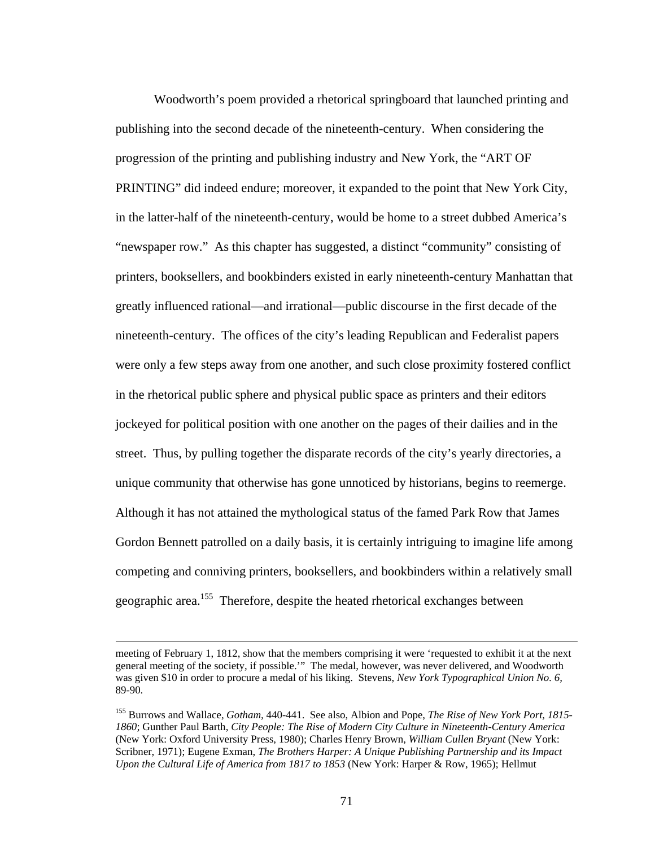Woodworth's poem provided a rhetorical springboard that launched printing and publishing into the second decade of the nineteenth-century. When considering the progression of the printing and publishing industry and New York, the "ART OF PRINTING" did indeed endure; moreover, it expanded to the point that New York City, in the latter-half of the nineteenth-century, would be home to a street dubbed America's "newspaper row." As this chapter has suggested, a distinct "community" consisting of printers, booksellers, and bookbinders existed in early nineteenth-century Manhattan that greatly influenced rational—and irrational—public discourse in the first decade of the nineteenth-century. The offices of the city's leading Republican and Federalist papers were only a few steps away from one another, and such close proximity fostered conflict in the rhetorical public sphere and physical public space as printers and their editors jockeyed for political position with one another on the pages of their dailies and in the street. Thus, by pulling together the disparate records of the city's yearly directories, a unique community that otherwise has gone unnoticed by historians, begins to reemerge. Although it has not attained the mythological status of the famed Park Row that James Gordon Bennett patrolled on a daily basis, it is certainly intriguing to imagine life among competing and conniving printers, booksellers, and bookbinders within a relatively small geographic area.155 Therefore, despite the heated rhetorical exchanges between

meeting of February 1, 1812, show that the members comprising it were 'requested to exhibit it at the next general meeting of the society, if possible.'" The medal, however, was never delivered, and Woodworth was given \$10 in order to procure a medal of his liking. Stevens, *New York Typographical Union No. 6,*  89-90.

<sup>155</sup> Burrows and Wallace, *Gotham,* 440-441. See also, Albion and Pope, *The Rise of New York Port, 1815- 1860*; Gunther Paul Barth, *City People: The Rise of Modern City Culture in Nineteenth-Century America*  (New York: Oxford University Press, 1980); Charles Henry Brown, *William Cullen Bryant* (New York: Scribner, 1971); Eugene Exman, *The Brothers Harper: A Unique Publishing Partnership and its Impact Upon the Cultural Life of America from 1817 to 1853* (New York: Harper & Row, 1965); Hellmut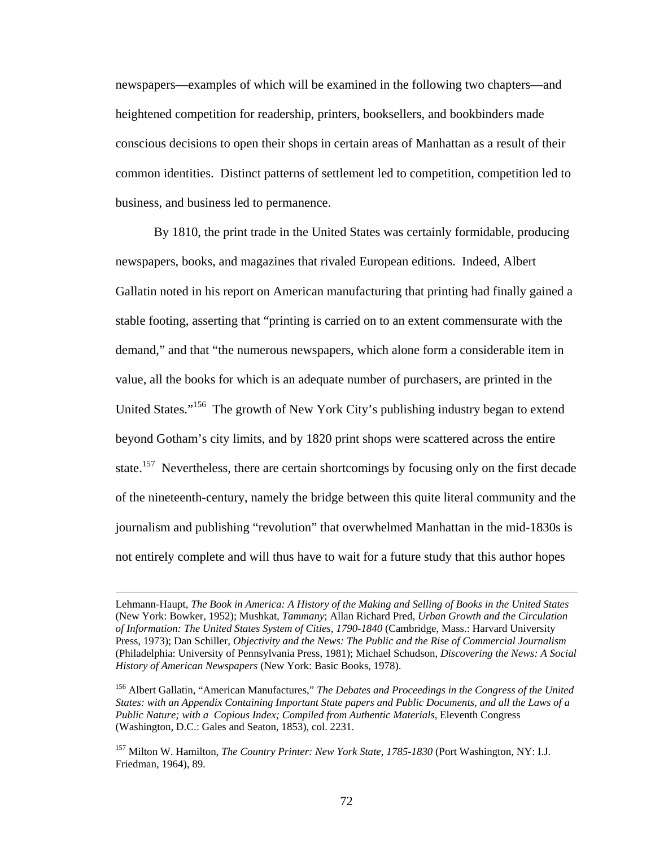newspapers—examples of which will be examined in the following two chapters—and heightened competition for readership, printers, booksellers, and bookbinders made conscious decisions to open their shops in certain areas of Manhattan as a result of their common identities. Distinct patterns of settlement led to competition, competition led to business, and business led to permanence.

 By 1810, the print trade in the United States was certainly formidable, producing newspapers, books, and magazines that rivaled European editions. Indeed, Albert Gallatin noted in his report on American manufacturing that printing had finally gained a stable footing, asserting that "printing is carried on to an extent commensurate with the demand," and that "the numerous newspapers, which alone form a considerable item in value, all the books for which is an adequate number of purchasers, are printed in the United States."<sup>156</sup> The growth of New York City's publishing industry began to extend beyond Gotham's city limits, and by 1820 print shops were scattered across the entire state.<sup>157</sup> Nevertheless, there are certain shortcomings by focusing only on the first decade of the nineteenth-century, namely the bridge between this quite literal community and the journalism and publishing "revolution" that overwhelmed Manhattan in the mid-1830s is not entirely complete and will thus have to wait for a future study that this author hopes

Lehmann-Haupt, *The Book in America: A History of the Making and Selling of Books in the United States*  (New York: Bowker, 1952); Mushkat, *Tammany*; Allan Richard Pred, *Urban Growth and the Circulation of Information: The United States System of Cities, 1790-1840* (Cambridge, Mass.: Harvard University Press, 1973); Dan Schiller, *Objectivity and the News: The Public and the Rise of Commercial Journalism*  (Philadelphia: University of Pennsylvania Press, 1981); Michael Schudson, *Discovering the News: A Social History of American Newspapers* (New York: Basic Books, 1978).

<sup>156</sup> Albert Gallatin, "American Manufactures," *The Debates and Proceedings in the Congress of the United States: with an Appendix Containing Important State papers and Public Documents, and all the Laws of a*  Public Nature; with a Copious Index; Compiled from Authentic Materials, Eleventh Congress (Washington, D.C.: Gales and Seaton, 1853), col. 2231.

<sup>157</sup> Milton W. Hamilton, *The Country Printer: New York State, 1785-1830* (Port Washington, NY: I.J. Friedman, 1964), 89.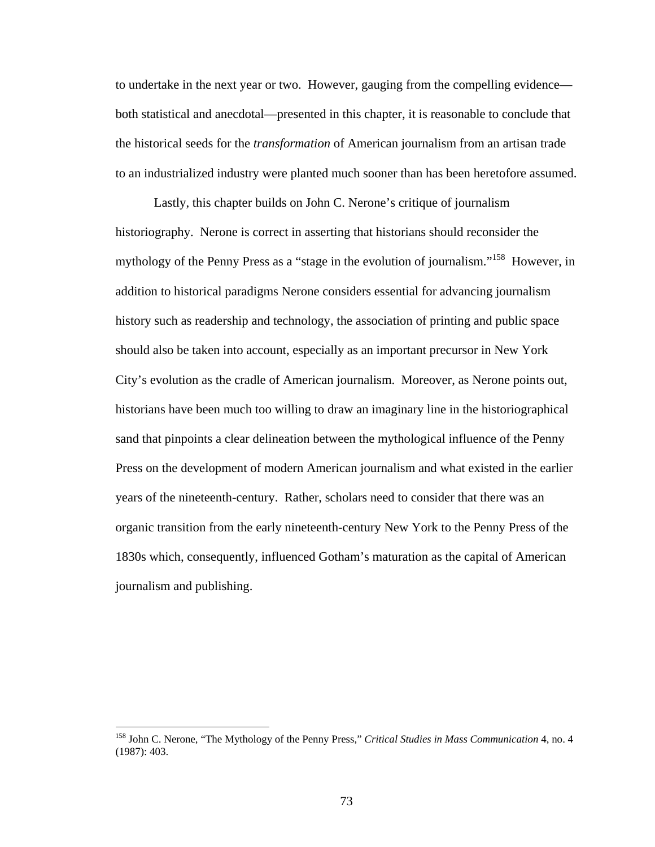to undertake in the next year or two. However, gauging from the compelling evidence both statistical and anecdotal—presented in this chapter, it is reasonable to conclude that the historical seeds for the *transformation* of American journalism from an artisan trade to an industrialized industry were planted much sooner than has been heretofore assumed.

Lastly, this chapter builds on John C. Nerone's critique of journalism historiography. Nerone is correct in asserting that historians should reconsider the mythology of the Penny Press as a "stage in the evolution of journalism."<sup>158</sup> However, in addition to historical paradigms Nerone considers essential for advancing journalism history such as readership and technology, the association of printing and public space should also be taken into account, especially as an important precursor in New York City's evolution as the cradle of American journalism. Moreover, as Nerone points out, historians have been much too willing to draw an imaginary line in the historiographical sand that pinpoints a clear delineation between the mythological influence of the Penny Press on the development of modern American journalism and what existed in the earlier years of the nineteenth-century. Rather, scholars need to consider that there was an organic transition from the early nineteenth-century New York to the Penny Press of the 1830s which, consequently, influenced Gotham's maturation as the capital of American journalism and publishing.

<sup>158</sup> John C. Nerone, "The Mythology of the Penny Press," *Critical Studies in Mass Communication* 4, no. 4 (1987): 403.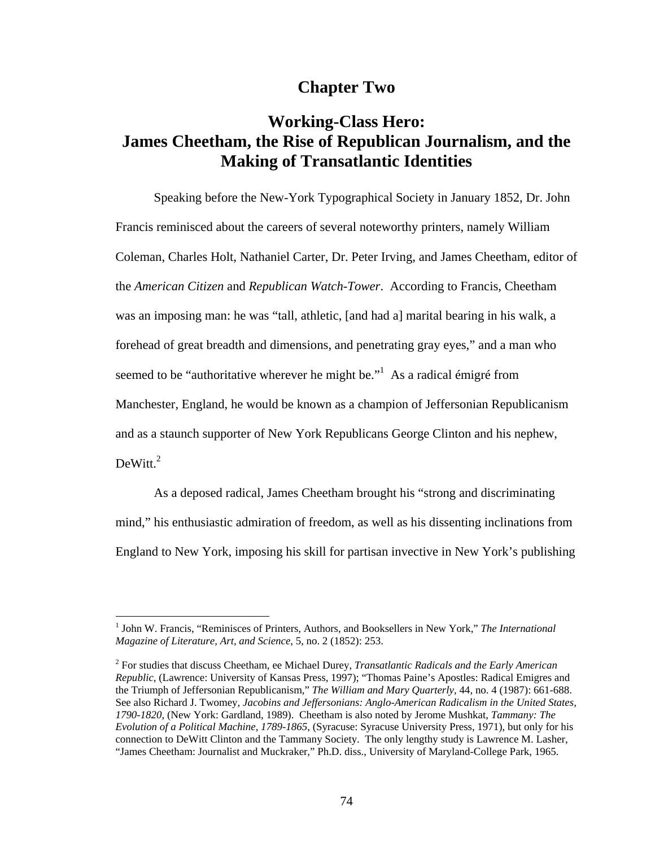## **Chapter Two**

# **Working-Class Hero: James Cheetham, the Rise of Republican Journalism, and the Making of Transatlantic Identities**

Speaking before the New-York Typographical Society in January 1852, Dr. John Francis reminisced about the careers of several noteworthy printers, namely William Coleman, Charles Holt, Nathaniel Carter, Dr. Peter Irving, and James Cheetham, editor of the *American Citizen* and *Republican Watch-Tower*. According to Francis, Cheetham was an imposing man: he was "tall, athletic, [and had a] marital bearing in his walk, a forehead of great breadth and dimensions, and penetrating gray eyes," and a man who seemed to be "authoritative wherever he might be."<sup>1</sup> As a radical émigré from Manchester, England, he would be known as a champion of Jeffersonian Republicanism and as a staunch supporter of New York Republicans George Clinton and his nephew,  $DeWitt.<sup>2</sup>$ 

As a deposed radical, James Cheetham brought his "strong and discriminating mind," his enthusiastic admiration of freedom, as well as his dissenting inclinations from England to New York, imposing his skill for partisan invective in New York's publishing

<sup>&</sup>lt;sup>1</sup> John W. Francis, "Reminisces of Printers, Authors, and Booksellers in New York," The International *Magazine of Literature, Art, and Science*, 5, no. 2 (1852): 253.

<sup>2</sup> For studies that discuss Cheetham, ee Michael Durey, *Transatlantic Radicals and the Early American Republic*, (Lawrence: University of Kansas Press, 1997); "Thomas Paine's Apostles: Radical Emigres and the Triumph of Jeffersonian Republicanism," *The William and Mary Quarterly*, 44, no. 4 (1987): 661-688. See also Richard J. Twomey, *Jacobins and Jeffersonians: Anglo-American Radicalism in the United States, 1790-1820*, (New York: Gardland, 1989). Cheetham is also noted by Jerome Mushkat, *Tammany: The Evolution of a Political Machine, 1789-1865*, (Syracuse: Syracuse University Press, 1971), but only for his connection to DeWitt Clinton and the Tammany Society. The only lengthy study is Lawrence M. Lasher, "James Cheetham: Journalist and Muckraker," Ph.D. diss., University of Maryland-College Park, 1965.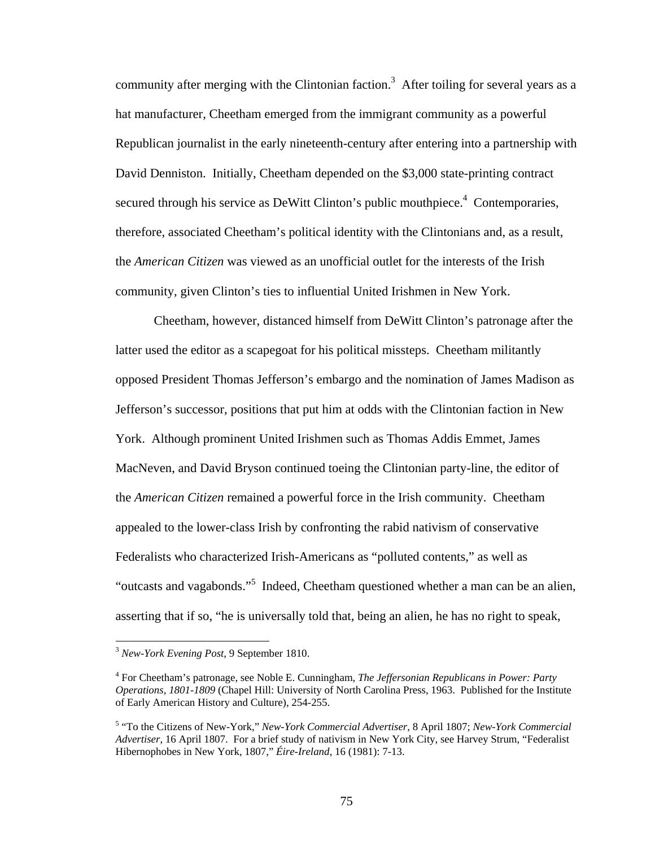community after merging with the Clintonian faction.<sup>3</sup> After toiling for several years as a hat manufacturer, Cheetham emerged from the immigrant community as a powerful Republican journalist in the early nineteenth-century after entering into a partnership with David Denniston. Initially, Cheetham depended on the \$3,000 state-printing contract secured through his service as DeWitt Clinton's public mouthpiece.<sup>4</sup> Contemporaries, therefore, associated Cheetham's political identity with the Clintonians and, as a result, the *American Citizen* was viewed as an unofficial outlet for the interests of the Irish community, given Clinton's ties to influential United Irishmen in New York.

Cheetham, however, distanced himself from DeWitt Clinton's patronage after the latter used the editor as a scapegoat for his political missteps. Cheetham militantly opposed President Thomas Jefferson's embargo and the nomination of James Madison as Jefferson's successor, positions that put him at odds with the Clintonian faction in New York. Although prominent United Irishmen such as Thomas Addis Emmet, James MacNeven, and David Bryson continued toeing the Clintonian party-line, the editor of the *American Citizen* remained a powerful force in the Irish community. Cheetham appealed to the lower-class Irish by confronting the rabid nativism of conservative Federalists who characterized Irish-Americans as "polluted contents," as well as "outcasts and vagabonds."<sup>5</sup> Indeed, Cheetham questioned whether a man can be an alien, asserting that if so, "he is universally told that, being an alien, he has no right to speak,

<sup>3</sup> *New-York Evening Post*, 9 September 1810.

<sup>4</sup> For Cheetham's patronage, see Noble E. Cunningham, *The Jeffersonian Republicans in Power: Party Operations, 1801-1809* (Chapel Hill: University of North Carolina Press, 1963. Published for the Institute of Early American History and Culture), 254-255.

<sup>5</sup> "To the Citizens of New-York," *New-York Commercial Advertiser*, 8 April 1807; *New-York Commercial Advertiser*, 16 April 1807. For a brief study of nativism in New York City, see Harvey Strum, "Federalist Hibernophobes in New York, 1807," *Éire-Ireland*, 16 (1981): 7-13.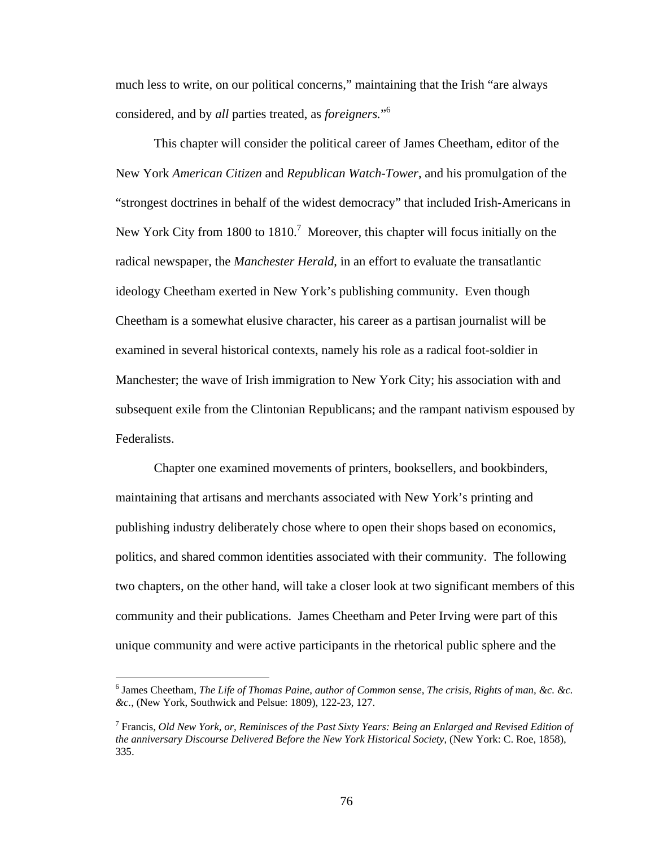much less to write, on our political concerns," maintaining that the Irish "are always considered, and by *all* parties treated, as *foreigners.*" 6

This chapter will consider the political career of James Cheetham, editor of the New York *American Citizen* and *Republican Watch-Tower*, and his promulgation of the "strongest doctrines in behalf of the widest democracy" that included Irish-Americans in New York City from 1800 to  $1810$ .<sup>7</sup> Moreover, this chapter will focus initially on the radical newspaper, the *Manchester Herald*, in an effort to evaluate the transatlantic ideology Cheetham exerted in New York's publishing community. Even though Cheetham is a somewhat elusive character, his career as a partisan journalist will be examined in several historical contexts, namely his role as a radical foot-soldier in Manchester; the wave of Irish immigration to New York City; his association with and subsequent exile from the Clintonian Republicans; and the rampant nativism espoused by Federalists.

Chapter one examined movements of printers, booksellers, and bookbinders, maintaining that artisans and merchants associated with New York's printing and publishing industry deliberately chose where to open their shops based on economics, politics, and shared common identities associated with their community. The following two chapters, on the other hand, will take a closer look at two significant members of this community and their publications. James Cheetham and Peter Irving were part of this unique community and were active participants in the rhetorical public sphere and the

 $\overline{a}$ 

76

<sup>6</sup> James Cheetham, *The Life of Thomas Paine, author of Common sense, The crisis, Rights of man, &c. &c. &c.*, (New York, Southwick and Pelsue: 1809), 122-23, 127.

<sup>7</sup> Francis, *Old New York, or, Reminisces of the Past Sixty Years: Being an Enlarged and Revised Edition of the anniversary Discourse Delivered Before the New York Historical Society*, (New York: C. Roe, 1858), 335.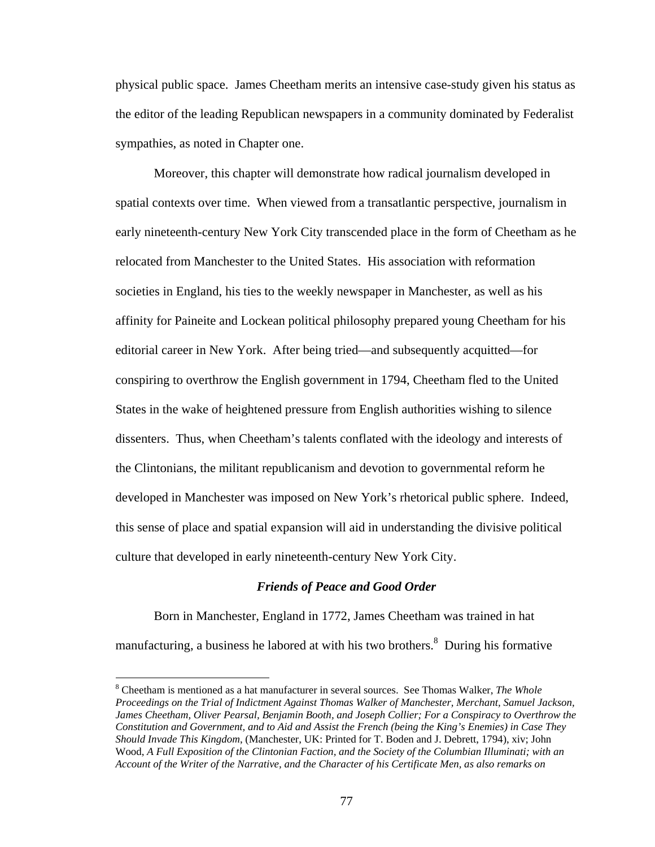physical public space. James Cheetham merits an intensive case-study given his status as the editor of the leading Republican newspapers in a community dominated by Federalist sympathies, as noted in Chapter one.

Moreover, this chapter will demonstrate how radical journalism developed in spatial contexts over time. When viewed from a transatlantic perspective, journalism in early nineteenth-century New York City transcended place in the form of Cheetham as he relocated from Manchester to the United States. His association with reformation societies in England, his ties to the weekly newspaper in Manchester, as well as his affinity for Paineite and Lockean political philosophy prepared young Cheetham for his editorial career in New York. After being tried—and subsequently acquitted—for conspiring to overthrow the English government in 1794, Cheetham fled to the United States in the wake of heightened pressure from English authorities wishing to silence dissenters. Thus, when Cheetham's talents conflated with the ideology and interests of the Clintonians, the militant republicanism and devotion to governmental reform he developed in Manchester was imposed on New York's rhetorical public sphere. Indeed, this sense of place and spatial expansion will aid in understanding the divisive political culture that developed in early nineteenth-century New York City.

#### *Friends of Peace and Good Order*

Born in Manchester, England in 1772, James Cheetham was trained in hat manufacturing, a business he labored at with his two brothers.<sup>8</sup> During his formative

<sup>8</sup> Cheetham is mentioned as a hat manufacturer in several sources. See Thomas Walker, *The Whole Proceedings on the Trial of Indictment Against Thomas Walker of Manchester, Merchant, Samuel Jackson, James Cheetham, Oliver Pearsal, Benjamin Booth, and Joseph Collier; For a Conspiracy to Overthrow the Constitution and Government, and to Aid and Assist the French (being the King's Enemies) in Case They Should Invade This Kingdom*, (Manchester, UK: Printed for T. Boden and J. Debrett, 1794), xiv; John Wood, *A Full Exposition of the Clintonian Faction, and the Society of the Columbian Illuminati; with an Account of the Writer of the Narrative, and the Character of his Certificate Men, as also remarks on*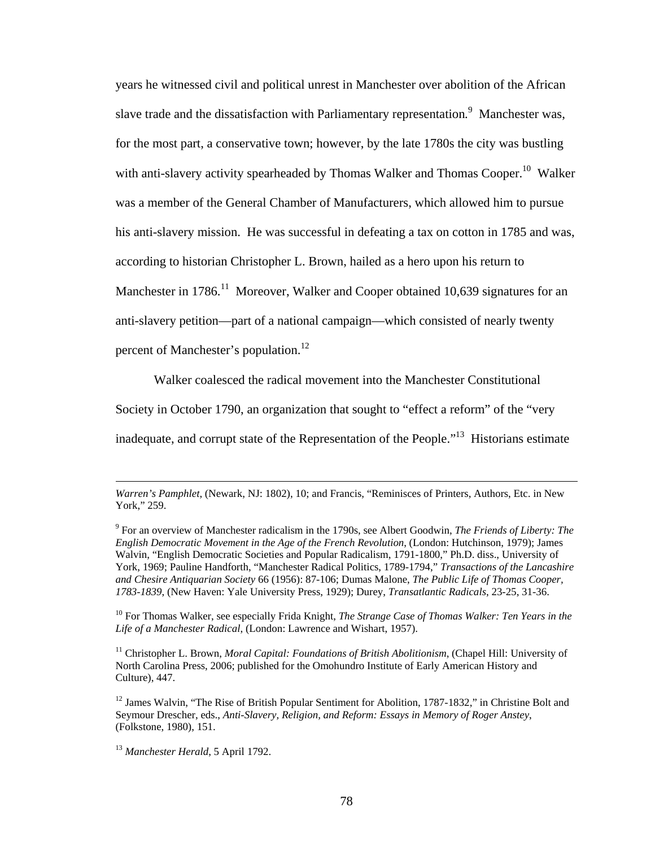years he witnessed civil and political unrest in Manchester over abolition of the African slave trade and the dissatisfaction with Parliamentary representation*.* <sup>9</sup> Manchester was, for the most part, a conservative town; however, by the late 1780s the city was bustling with anti-slavery activity spearheaded by Thomas Walker and Thomas Cooper.<sup>10</sup> Walker was a member of the General Chamber of Manufacturers, which allowed him to pursue his anti-slavery mission. He was successful in defeating a tax on cotton in 1785 and was, according to historian Christopher L. Brown, hailed as a hero upon his return to Manchester in 1786.<sup>11</sup> Moreover, Walker and Cooper obtained 10,639 signatures for an anti-slavery petition—part of a national campaign—which consisted of nearly twenty percent of Manchester's population.<sup>12</sup>

Walker coalesced the radical movement into the Manchester Constitutional

Society in October 1790, an organization that sought to "effect a reform" of the "very

inadequate, and corrupt state of the Representation of the People."13 Historians estimate

*Warren's Pamphlet*, (Newark, NJ: 1802), 10; and Francis, "Reminisces of Printers, Authors, Etc. in New York," 259.

<sup>9</sup> For an overview of Manchester radicalism in the 1790s, see Albert Goodwin, *The Friends of Liberty: The English Democratic Movement in the Age of the French Revolution*, (London: Hutchinson, 1979); James Walvin, "English Democratic Societies and Popular Radicalism, 1791-1800," Ph.D. diss., University of York, 1969; Pauline Handforth, "Manchester Radical Politics, 1789-1794," *Transactions of the Lancashire and Chesire Antiquarian Society* 66 (1956): 87-106; Dumas Malone, *The Public Life of Thomas Cooper, 1783-1839*, (New Haven: Yale University Press, 1929); Durey, *Transatlantic Radicals*, 23-25, 31-36.

<sup>10</sup> For Thomas Walker, see especially Frida Knight, *The Strange Case of Thomas Walker: Ten Years in the Life of a Manchester Radical*, (London: Lawrence and Wishart, 1957).

<sup>&</sup>lt;sup>11</sup> Christopher L. Brown, *Moral Capital: Foundations of British Abolitionism*, (Chapel Hill: University of North Carolina Press, 2006; published for the Omohundro Institute of Early American History and Culture), 447.

<sup>&</sup>lt;sup>12</sup> James Walvin, "The Rise of British Popular Sentiment for Abolition, 1787-1832," in Christine Bolt and Seymour Drescher, eds., *Anti-Slavery, Religion, and Reform: Essays in Memory of Roger Anstey*, (Folkstone, 1980), 151.

<sup>13</sup> *Manchester Herald*, 5 April 1792.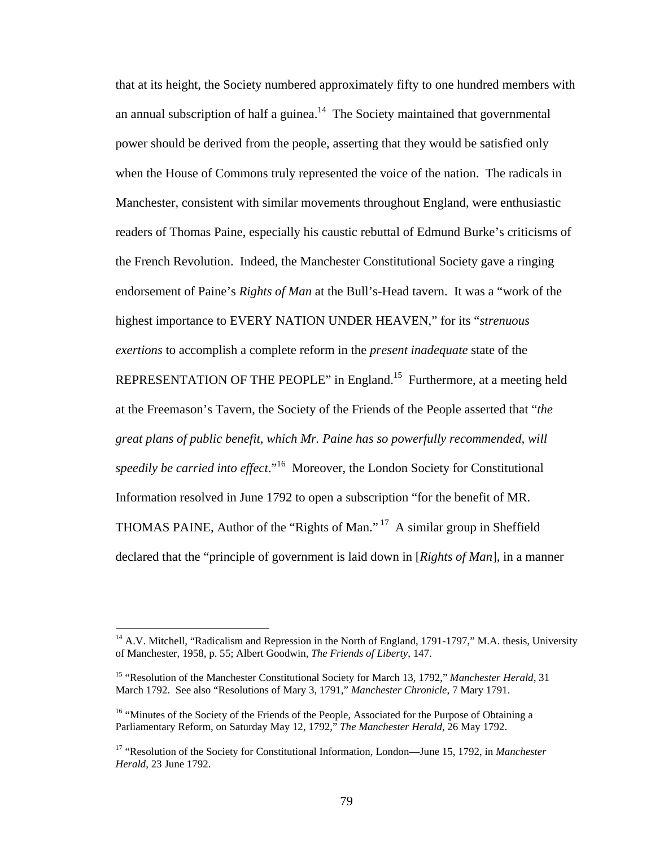that at its height, the Society numbered approximately fifty to one hundred members with an annual subscription of half a guinea.<sup>14</sup> The Society maintained that governmental power should be derived from the people, asserting that they would be satisfied only when the House of Commons truly represented the voice of the nation. The radicals in Manchester, consistent with similar movements throughout England, were enthusiastic readers of Thomas Paine, especially his caustic rebuttal of Edmund Burke's criticisms of the French Revolution. Indeed, the Manchester Constitutional Society gave a ringing endorsement of Paine's *Rights of Man* at the Bull's-Head tavern. It was a "work of the highest importance to EVERY NATION UNDER HEAVEN," for its "*strenuous exertions* to accomplish a complete reform in the *present inadequate* state of the REPRESENTATION OF THE PEOPLE" in England.<sup>15</sup> Furthermore, at a meeting held at the Freemason's Tavern, the Society of the Friends of the People asserted that "*the great plans of public benefit, which Mr. Paine has so powerfully recommended, will speedily be carried into effect*."16 Moreover, the London Society for Constitutional Information resolved in June 1792 to open a subscription "for the benefit of MR. THOMAS PAINE, Author of the "Rights of Man." 17 A similar group in Sheffield declared that the "principle of government is laid down in [*Rights of Man*], in a manner

 $14$  A.V. Mitchell, "Radicalism and Repression in the North of England, 1791-1797," M.A. thesis, University of Manchester, 1958, p. 55; Albert Goodwin, *The Friends of Liberty*, 147.

<sup>&</sup>lt;sup>15</sup> "Resolution of the Manchester Constitutional Society for March 13, 1792," *Manchester Herald*, 31 March 1792. See also "Resolutions of Mary 3, 1791," *Manchester Chronicle*, 7 Mary 1791.

<sup>&</sup>lt;sup>16</sup> "Minutes of the Society of the Friends of the People, Associated for the Purpose of Obtaining a Parliamentary Reform, on Saturday May 12, 1792," *The Manchester Herald*, 26 May 1792.

<sup>17 &</sup>quot;Resolution of the Society for Constitutional Information, London—June 15, 1792, in *Manchester Herald*, 23 June 1792.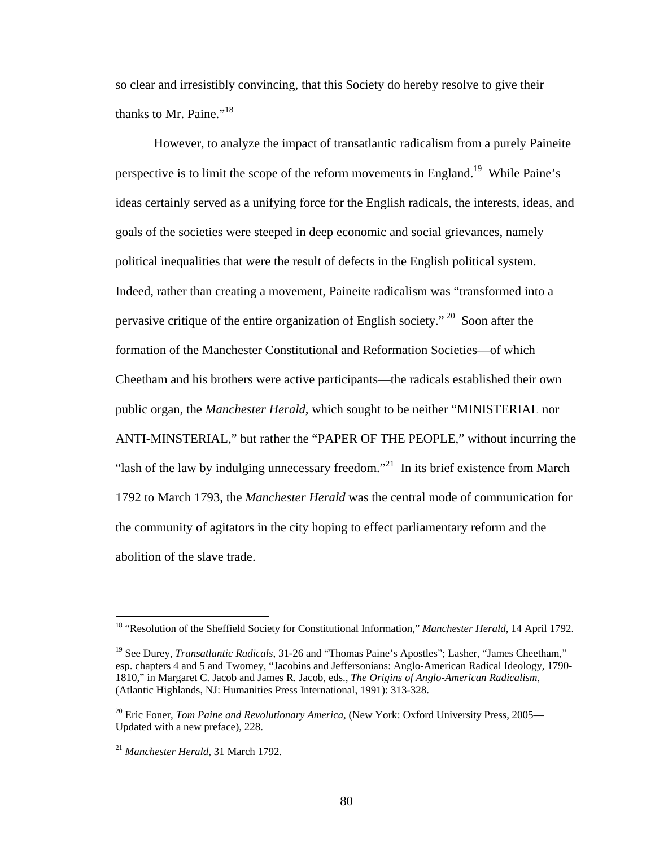so clear and irresistibly convincing, that this Society do hereby resolve to give their thanks to Mr. Paine."<sup>18</sup>

However, to analyze the impact of transatlantic radicalism from a purely Paineite perspective is to limit the scope of the reform movements in England.19 While Paine's ideas certainly served as a unifying force for the English radicals, the interests, ideas, and goals of the societies were steeped in deep economic and social grievances, namely political inequalities that were the result of defects in the English political system. Indeed, rather than creating a movement, Paineite radicalism was "transformed into a pervasive critique of the entire organization of English society."<sup>20</sup> Soon after the formation of the Manchester Constitutional and Reformation Societies—of which Cheetham and his brothers were active participants—the radicals established their own public organ, the *Manchester Herald*, which sought to be neither "MINISTERIAL nor ANTI-MINSTERIAL," but rather the "PAPER OF THE PEOPLE," without incurring the "lash of the law by indulging unnecessary freedom."<sup>21</sup> In its brief existence from March 1792 to March 1793, the *Manchester Herald* was the central mode of communication for the community of agitators in the city hoping to effect parliamentary reform and the abolition of the slave trade.

<sup>&</sup>lt;sup>18</sup> "Resolution of the Sheffield Society for Constitutional Information," *Manchester Herald*, 14 April 1792.

<sup>&</sup>lt;sup>19</sup> See Durey, *Transatlantic Radicals*, 31-26 and "Thomas Paine's Apostles"; Lasher, "James Cheetham," esp. chapters 4 and 5 and Twomey, "Jacobins and Jeffersonians: Anglo-American Radical Ideology, 1790- 1810," in Margaret C. Jacob and James R. Jacob, eds., *The Origins of Anglo-American Radicalism*, (Atlantic Highlands, NJ: Humanities Press International, 1991): 313-328.

<sup>&</sup>lt;sup>20</sup> Eric Foner, *Tom Paine and Revolutionary America*, (New York: Oxford University Press, 2005— Updated with a new preface), 228.

<sup>21</sup> *Manchester Herald*, 31 March 1792.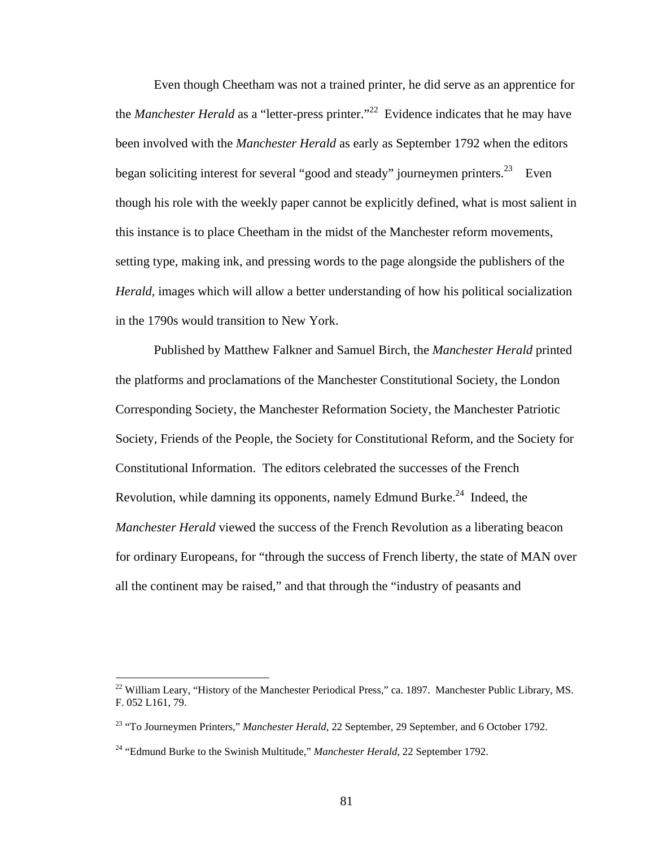Even though Cheetham was not a trained printer, he did serve as an apprentice for the *Manchester Herald* as a "letter-press printer."<sup>22</sup> Evidence indicates that he may have been involved with the *Manchester Herald* as early as September 1792 when the editors began soliciting interest for several "good and steady" journeymen printers.<sup>23</sup> Even though his role with the weekly paper cannot be explicitly defined, what is most salient in this instance is to place Cheetham in the midst of the Manchester reform movements, setting type, making ink, and pressing words to the page alongside the publishers of the *Herald,* images which will allow a better understanding of how his political socialization in the 1790s would transition to New York.

Published by Matthew Falkner and Samuel Birch, the *Manchester Herald* printed the platforms and proclamations of the Manchester Constitutional Society, the London Corresponding Society, the Manchester Reformation Society, the Manchester Patriotic Society, Friends of the People, the Society for Constitutional Reform, and the Society for Constitutional Information. The editors celebrated the successes of the French Revolution, while damning its opponents, namely Edmund Burke.<sup>24</sup> Indeed, the *Manchester Herald* viewed the success of the French Revolution as a liberating beacon for ordinary Europeans, for "through the success of French liberty, the state of MAN over all the continent may be raised," and that through the "industry of peasants and

<u>.</u>

<sup>&</sup>lt;sup>22</sup> William Leary, "History of the Manchester Periodical Press," ca. 1897. Manchester Public Library, MS. F. 052 L161, 79.

<sup>&</sup>lt;sup>23</sup> "To Journeymen Printers," *Manchester Herald*, 22 September, 29 September, and 6 October 1792.

<sup>&</sup>lt;sup>24</sup> "Edmund Burke to the Swinish Multitude," *Manchester Herald*, 22 September 1792.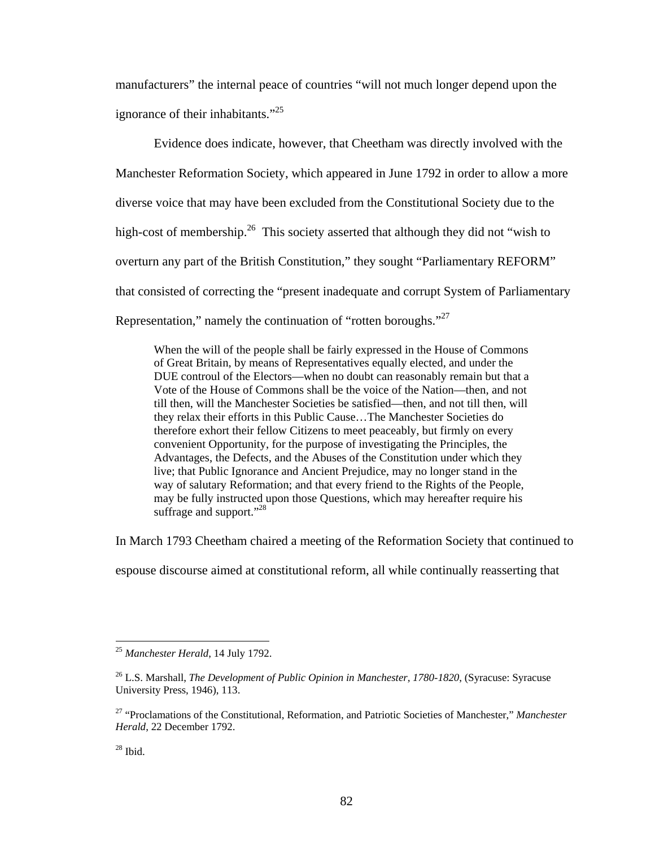manufacturers" the internal peace of countries "will not much longer depend upon the ignorance of their inhabitants."<sup>25</sup>

Evidence does indicate, however, that Cheetham was directly involved with the Manchester Reformation Society, which appeared in June 1792 in order to allow a more diverse voice that may have been excluded from the Constitutional Society due to the high-cost of membership.<sup>26</sup> This society asserted that although they did not "wish to overturn any part of the British Constitution," they sought "Parliamentary REFORM" that consisted of correcting the "present inadequate and corrupt System of Parliamentary Representation," namely the continuation of "rotten boroughs."<sup>27</sup>

When the will of the people shall be fairly expressed in the House of Commons of Great Britain, by means of Representatives equally elected, and under the DUE controul of the Electors—when no doubt can reasonably remain but that a Vote of the House of Commons shall be the voice of the Nation—then, and not till then, will the Manchester Societies be satisfied—then, and not till then, will they relax their efforts in this Public Cause…The Manchester Societies do therefore exhort their fellow Citizens to meet peaceably, but firmly on every convenient Opportunity, for the purpose of investigating the Principles, the Advantages, the Defects, and the Abuses of the Constitution under which they live; that Public Ignorance and Ancient Prejudice, may no longer stand in the way of salutary Reformation; and that every friend to the Rights of the People, may be fully instructed upon those Questions, which may hereafter require his suffrage and support."<sup>28</sup>

In March 1793 Cheetham chaired a meeting of the Reformation Society that continued to

espouse discourse aimed at constitutional reform, all while continually reasserting that

<sup>25</sup> *Manchester Herald*, 14 July 1792.

<sup>&</sup>lt;sup>26</sup> L.S. Marshall, *The Development of Public Opinion in Manchester, 1780-1820*, (Syracuse: Syracuse University Press, 1946), 113.

<sup>27 &</sup>quot;Proclamations of the Constitutional, Reformation, and Patriotic Societies of Manchester," *Manchester Herald*, 22 December 1792.

 $28$  Ibid.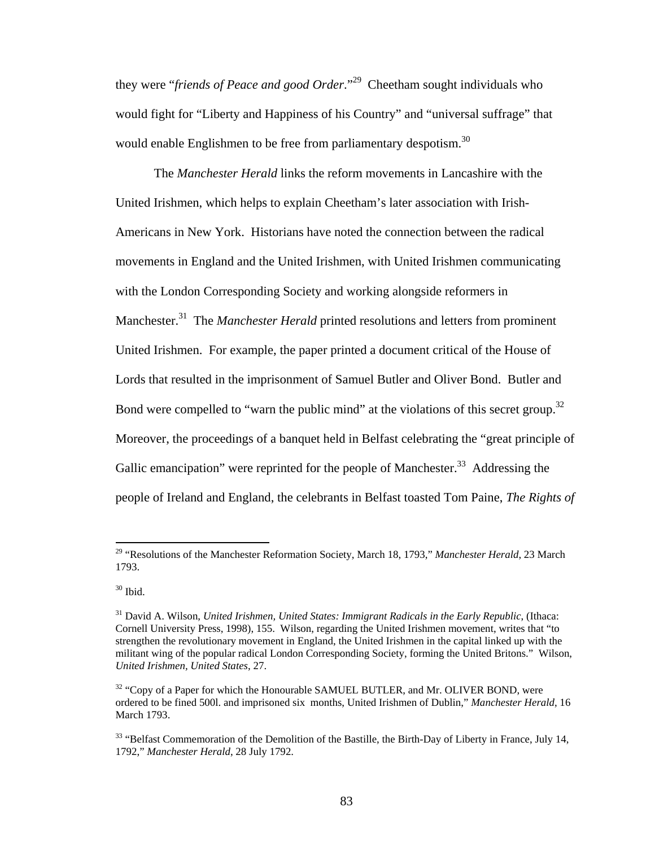they were "*friends of Peace and good Order*."29 Cheetham sought individuals who would fight for "Liberty and Happiness of his Country" and "universal suffrage" that would enable Englishmen to be free from parliamentary despotism.<sup>30</sup>

 The *Manchester Herald* links the reform movements in Lancashire with the United Irishmen, which helps to explain Cheetham's later association with Irish-Americans in New York. Historians have noted the connection between the radical movements in England and the United Irishmen, with United Irishmen communicating with the London Corresponding Society and working alongside reformers in Manchester.31 The *Manchester Herald* printed resolutions and letters from prominent United Irishmen. For example, the paper printed a document critical of the House of Lords that resulted in the imprisonment of Samuel Butler and Oliver Bond. Butler and Bond were compelled to "warn the public mind" at the violations of this secret group.<sup>32</sup> Moreover, the proceedings of a banquet held in Belfast celebrating the "great principle of Gallic emancipation" were reprinted for the people of Manchester.<sup>33</sup> Addressing the people of Ireland and England, the celebrants in Belfast toasted Tom Paine, *The Rights of* 

<sup>29 &</sup>quot;Resolutions of the Manchester Reformation Society, March 18, 1793," *Manchester Herald*, 23 March 1793.

 $30$  Ibid.

<sup>31</sup> David A. Wilson, *United Irishmen, United States: Immigrant Radicals in the Early Republic*, (Ithaca: Cornell University Press, 1998), 155. Wilson, regarding the United Irishmen movement, writes that "to strengthen the revolutionary movement in England, the United Irishmen in the capital linked up with the militant wing of the popular radical London Corresponding Society, forming the United Britons." Wilson, *United Irishmen, United States*, 27.

 $32$  "Copy of a Paper for which the Honourable SAMUEL BUTLER, and Mr. OLIVER BOND, were ordered to be fined 500l. and imprisoned six months, United Irishmen of Dublin," *Manchester Herald*, 16 March 1793.

<sup>&</sup>lt;sup>33</sup> "Belfast Commemoration of the Demolition of the Bastille, the Birth-Day of Liberty in France, July 14, 1792," *Manchester Herald*, 28 July 1792.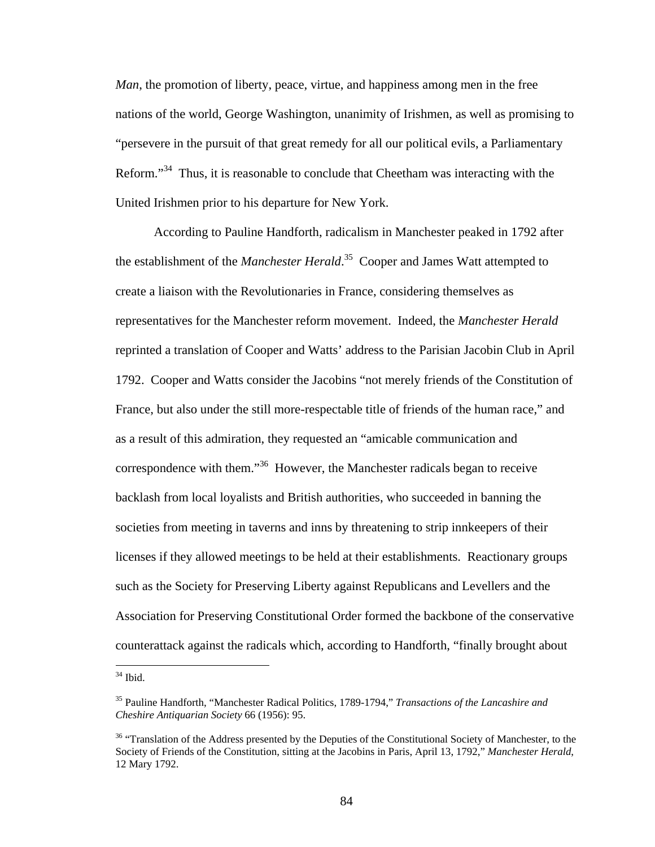*Man*, the promotion of liberty, peace, virtue, and happiness among men in the free nations of the world, George Washington, unanimity of Irishmen, as well as promising to "persevere in the pursuit of that great remedy for all our political evils, a Parliamentary Reform."<sup>34</sup> Thus, it is reasonable to conclude that Cheetham was interacting with the United Irishmen prior to his departure for New York.

 According to Pauline Handforth, radicalism in Manchester peaked in 1792 after the establishment of the *Manchester Herald*. 35 Cooper and James Watt attempted to create a liaison with the Revolutionaries in France, considering themselves as representatives for the Manchester reform movement. Indeed, the *Manchester Herald* reprinted a translation of Cooper and Watts' address to the Parisian Jacobin Club in April 1792. Cooper and Watts consider the Jacobins "not merely friends of the Constitution of France, but also under the still more-respectable title of friends of the human race," and as a result of this admiration, they requested an "amicable communication and correspondence with them."36 However, the Manchester radicals began to receive backlash from local loyalists and British authorities, who succeeded in banning the societies from meeting in taverns and inns by threatening to strip innkeepers of their licenses if they allowed meetings to be held at their establishments. Reactionary groups such as the Society for Preserving Liberty against Republicans and Levellers and the Association for Preserving Constitutional Order formed the backbone of the conservative counterattack against the radicals which, according to Handforth, "finally brought about

 $34$  Ibid.

<sup>35</sup> Pauline Handforth, "Manchester Radical Politics, 1789-1794," *Transactions of the Lancashire and Cheshire Antiquarian Society* 66 (1956): 95.

<sup>&</sup>lt;sup>36</sup> "Translation of the Address presented by the Deputies of the Constitutional Society of Manchester, to the Society of Friends of the Constitution, sitting at the Jacobins in Paris, April 13, 1792," *Manchester Herald*, 12 Mary 1792.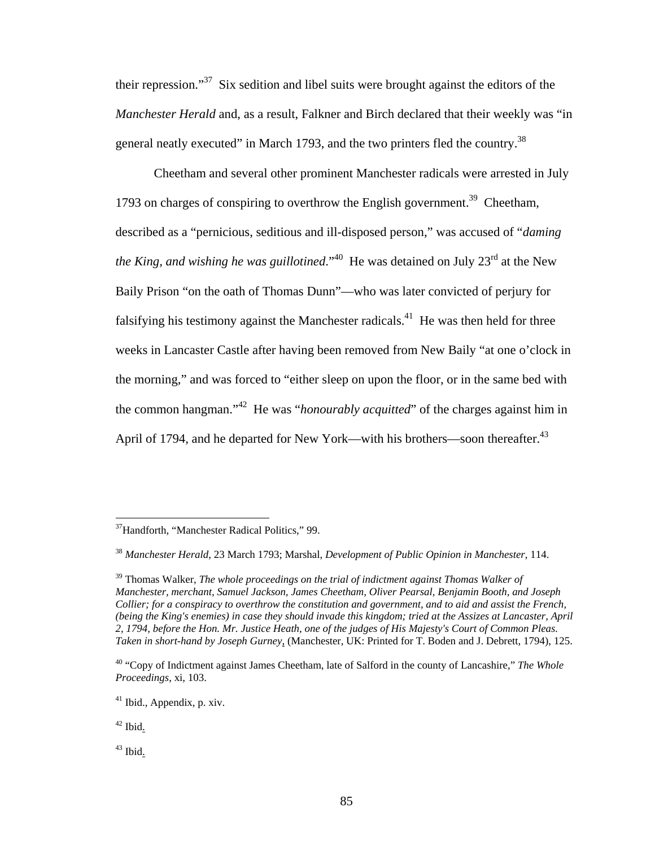their repression."37 Six sedition and libel suits were brought against the editors of the *Manchester Herald* and, as a result, Falkner and Birch declared that their weekly was "in general neatly executed" in March 1793, and the two printers fled the country.38

Cheetham and several other prominent Manchester radicals were arrested in July 1793 on charges of conspiring to overthrow the English government.<sup>39</sup> Cheetham, described as a "pernicious, seditious and ill-disposed person," was accused of "*daming the King, and wishing he was guillotined.*<sup>40</sup> He was detained on July 23<sup>rd</sup> at the New Baily Prison "on the oath of Thomas Dunn"—who was later convicted of perjury for falsifying his testimony against the Manchester radicals.<sup>41</sup> He was then held for three weeks in Lancaster Castle after having been removed from New Baily "at one o'clock in the morning," and was forced to "either sleep on upon the floor, or in the same bed with the common hangman."42 He was "*honourably acquitted*" of the charges against him in April of 1794, and he departed for New York—with his brothers—soon thereafter.<sup>43</sup>

1

<sup>&</sup>lt;sup>37</sup>Handforth, "Manchester Radical Politics," 99.

<sup>38</sup> *Manchester Herald*, 23 March 1793; Marshal, *Development of Public Opinion in Manchester*, 114.

<sup>39</sup> Thomas Walker, *The whole proceedings on the trial of indictment against Thomas Walker of Manchester, merchant, Samuel Jackson, James Cheetham, Oliver Pearsal, Benjamin Booth, and Joseph Collier; for a conspiracy to overthrow the constitution and government, and to aid and assist the French, (being the King's enemies) in case they should invade this kingdom; tried at the Assizes at Lancaster, April 2, 1794, before the Hon. Mr. Justice Heath, one of the judges of His Majesty's Court of Common Pleas. Taken in short-hand by Joseph Gurney*, (Manchester, UK: Printed for T. Boden and J. Debrett, 1794), 125.

<sup>40 &</sup>quot;Copy of Indictment against James Cheetham, late of Salford in the county of Lancashire," *The Whole Proceedings*, xi, 103.

<sup>41</sup> Ibid., Appendix, p. xiv.

 $42$  Ibid.

 $43$  Ibid.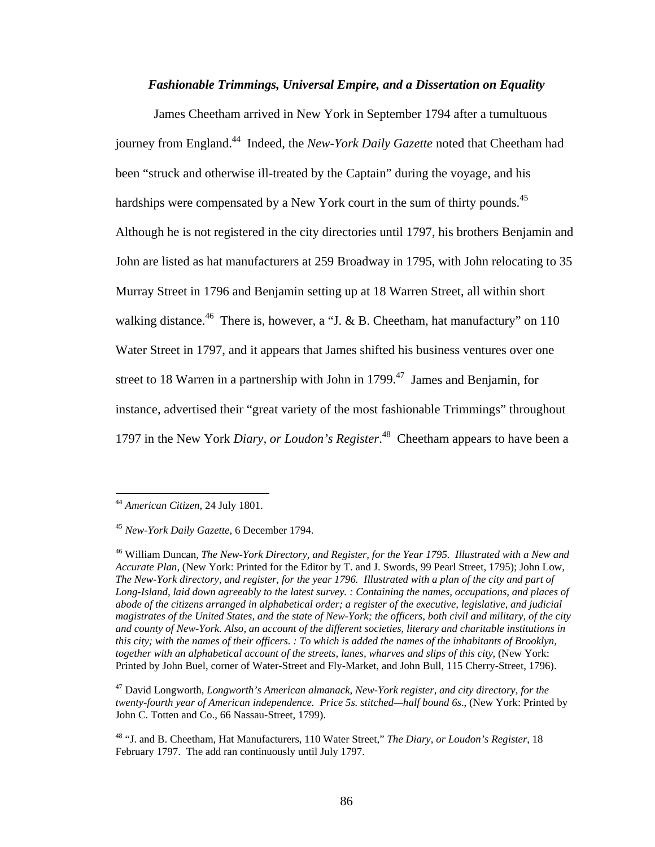#### *Fashionable Trimmings, Universal Empire, and a Dissertation on Equality*

James Cheetham arrived in New York in September 1794 after a tumultuous journey from England.44 Indeed, the *New-York Daily Gazette* noted that Cheetham had been "struck and otherwise ill-treated by the Captain" during the voyage, and his hardships were compensated by a New York court in the sum of thirty pounds.<sup>45</sup> Although he is not registered in the city directories until 1797, his brothers Benjamin and John are listed as hat manufacturers at 259 Broadway in 1795, with John relocating to 35 Murray Street in 1796 and Benjamin setting up at 18 Warren Street, all within short walking distance.<sup>46</sup> There is, however, a "J. & B. Cheetham, hat manufactury" on 110 Water Street in 1797, and it appears that James shifted his business ventures over one street to 18 Warren in a partnership with John in  $1799$ <sup>47</sup> James and Benjamin, for instance, advertised their "great variety of the most fashionable Trimmings" throughout 1797 in the New York *Diary, or Loudon's Register*. 48 Cheetham appears to have been a

 $\overline{a}$ 

47 David Longworth, *Longworth's American almanack, New-York register, and city directory, for the twenty-fourth year of American independence. Price 5s. stitched—half bound 6s*., (New York: Printed by John C. Totten and Co., 66 Nassau-Street, 1799).

<sup>44</sup> *American Citizen*, 24 July 1801.

<sup>45</sup> *New-York Daily Gazette*, 6 December 1794.

<sup>46</sup> William Duncan, *The New-York Directory, and Register, for the Year 1795. Illustrated with a New and Accurate Plan*, (New York: Printed for the Editor by T. and J. Swords, 99 Pearl Street, 1795); John Low, *The New-York directory, and register, for the year 1796. Illustrated with a plan of the city and part of Long-Island, laid down agreeably to the latest survey. : Containing the names, occupations, and places of abode of the citizens arranged in alphabetical order; a register of the executive, legislative, and judicial magistrates of the United States, and the state of New-York; the officers, both civil and military, of the city and county of New-York. Also, an account of the different societies, literary and charitable institutions in this city; with the names of their officers. : To which is added the names of the inhabitants of Brooklyn, together with an alphabetical account of the streets, lanes, wharves and slips of this city*, (New York: Printed by John Buel, corner of Water-Street and Fly-Market, and John Bull, 115 Cherry-Street, 1796).

<sup>48 &</sup>quot;J. and B. Cheetham, Hat Manufacturers, 110 Water Street," *The Diary, or Loudon's Register*, 18 February 1797. The add ran continuously until July 1797.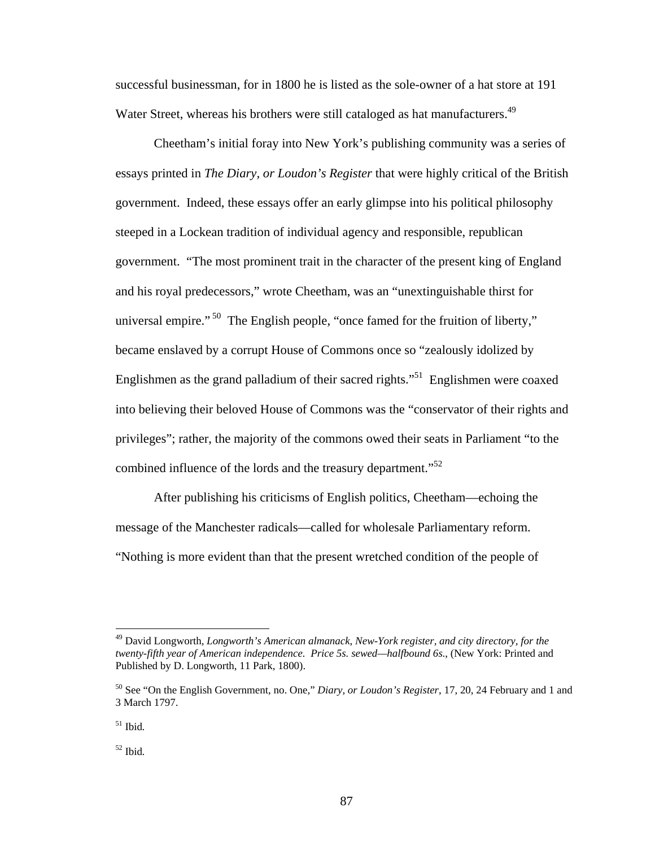successful businessman, for in 1800 he is listed as the sole-owner of a hat store at 191 Water Street, whereas his brothers were still cataloged as hat manufacturers.<sup>49</sup>

 Cheetham's initial foray into New York's publishing community was a series of essays printed in *The Diary, or Loudon's Register* that were highly critical of the British government. Indeed, these essays offer an early glimpse into his political philosophy steeped in a Lockean tradition of individual agency and responsible, republican government. "The most prominent trait in the character of the present king of England and his royal predecessors," wrote Cheetham, was an "unextinguishable thirst for universal empire." <sup>50</sup> The English people, "once famed for the fruition of liberty," became enslaved by a corrupt House of Commons once so "zealously idolized by Englishmen as the grand palladium of their sacred rights."51 Englishmen were coaxed into believing their beloved House of Commons was the "conservator of their rights and privileges"; rather, the majority of the commons owed their seats in Parliament "to the combined influence of the lords and the treasury department."<sup>52</sup>

After publishing his criticisms of English politics, Cheetham—echoing the message of the Manchester radicals—called for wholesale Parliamentary reform. "Nothing is more evident than that the present wretched condition of the people of

<sup>49</sup> David Longworth, *Longworth's American almanack, New-York register, and city directory, for the twenty-fifth year of American independence. Price 5s. sewed—halfbound 6s*., (New York: Printed and Published by D. Longworth, 11 Park, 1800).

<sup>50</sup> See "On the English Government, no. One," *Diary, or Loudon's Register*, 17, 20, 24 February and 1 and 3 March 1797.

<sup>51</sup> Ibid*.* 

<sup>52</sup> Ibid*.*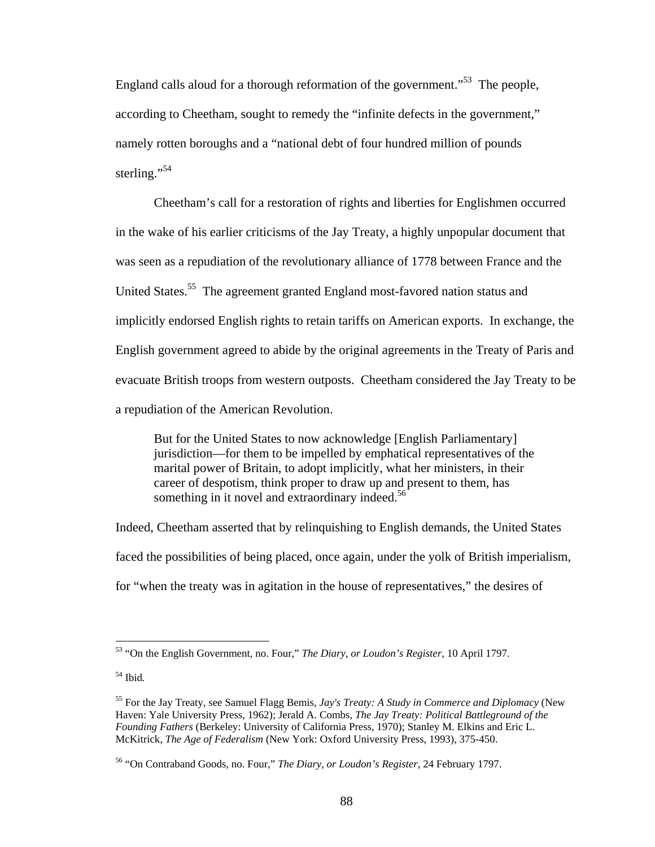England calls aloud for a thorough reformation of the government."<sup>53</sup> The people, according to Cheetham, sought to remedy the "infinite defects in the government," namely rotten boroughs and a "national debt of four hundred million of pounds sterling."<sup>54</sup>

Cheetham's call for a restoration of rights and liberties for Englishmen occurred in the wake of his earlier criticisms of the Jay Treaty, a highly unpopular document that was seen as a repudiation of the revolutionary alliance of 1778 between France and the United States.<sup>55</sup> The agreement granted England most-favored nation status and implicitly endorsed English rights to retain tariffs on American exports. In exchange, the English government agreed to abide by the original agreements in the Treaty of Paris and evacuate British troops from western outposts. Cheetham considered the Jay Treaty to be a repudiation of the American Revolution.

But for the United States to now acknowledge [English Parliamentary] jurisdiction—for them to be impelled by emphatical representatives of the marital power of Britain, to adopt implicitly, what her ministers, in their career of despotism, think proper to draw up and present to them, has something in it novel and extraordinary indeed.<sup>56</sup>

Indeed, Cheetham asserted that by relinquishing to English demands, the United States faced the possibilities of being placed, once again, under the yolk of British imperialism, for "when the treaty was in agitation in the house of representatives," the desires of

1

<sup>53 &</sup>quot;On the English Government, no. Four," *The Diary, or Loudon's Register,* 10 April 1797.

<sup>54</sup> Ibid*.* 

<sup>55</sup> For the Jay Treaty, see Samuel Flagg Bemis, *Jay's Treaty: A Study in Commerce and Diplomacy* (New Haven: Yale University Press, 1962); Jerald A. Combs, *The Jay Treaty: Political Battleground of the Founding Fathers* (Berkeley: University of California Press, 1970); Stanley M. Elkins and Eric L. McKitrick, *The Age of Federalism* (New York: Oxford University Press, 1993), 375-450.

<sup>56 &</sup>quot;On Contraband Goods, no. Four," *The Diary, or Loudon's Register,* 24 February 1797.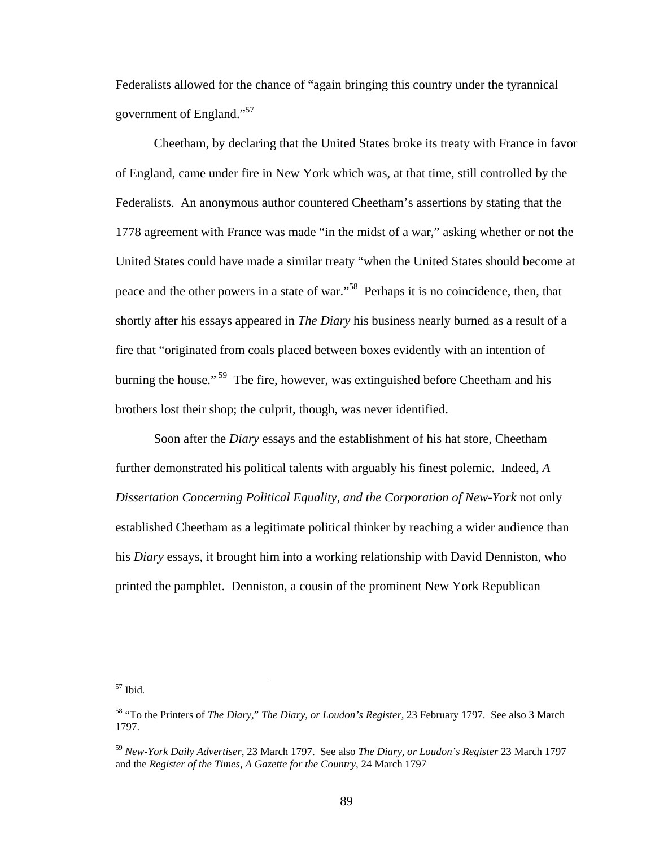Federalists allowed for the chance of "again bringing this country under the tyrannical government of England."<sup>57</sup>

Cheetham, by declaring that the United States broke its treaty with France in favor of England, came under fire in New York which was, at that time, still controlled by the Federalists. An anonymous author countered Cheetham's assertions by stating that the 1778 agreement with France was made "in the midst of a war," asking whether or not the United States could have made a similar treaty "when the United States should become at peace and the other powers in a state of war."58 Perhaps it is no coincidence, then, that shortly after his essays appeared in *The Diary* his business nearly burned as a result of a fire that "originated from coals placed between boxes evidently with an intention of burning the house."<sup>59</sup> The fire, however, was extinguished before Cheetham and his brothers lost their shop; the culprit, though, was never identified.

Soon after the *Diary* essays and the establishment of his hat store, Cheetham further demonstrated his political talents with arguably his finest polemic. Indeed, *A Dissertation Concerning Political Equality, and the Corporation of New-York* not only established Cheetham as a legitimate political thinker by reaching a wider audience than his *Diary* essays, it brought him into a working relationship with David Denniston, who printed the pamphlet. Denniston, a cousin of the prominent New York Republican

<u>.</u>

<sup>57</sup> Ibid*.* 

<sup>58 &</sup>quot;To the Printers of *The Diary,*" *The Diary, or Loudon's Register,* 23 February 1797. See also 3 March 1797.

<sup>59</sup> *New-York Daily Advertiser*, 23 March 1797. See also *The Diary, or Loudon's Register* 23 March 1797 and the *Register of the Times, A Gazette for the Country*, 24 March 1797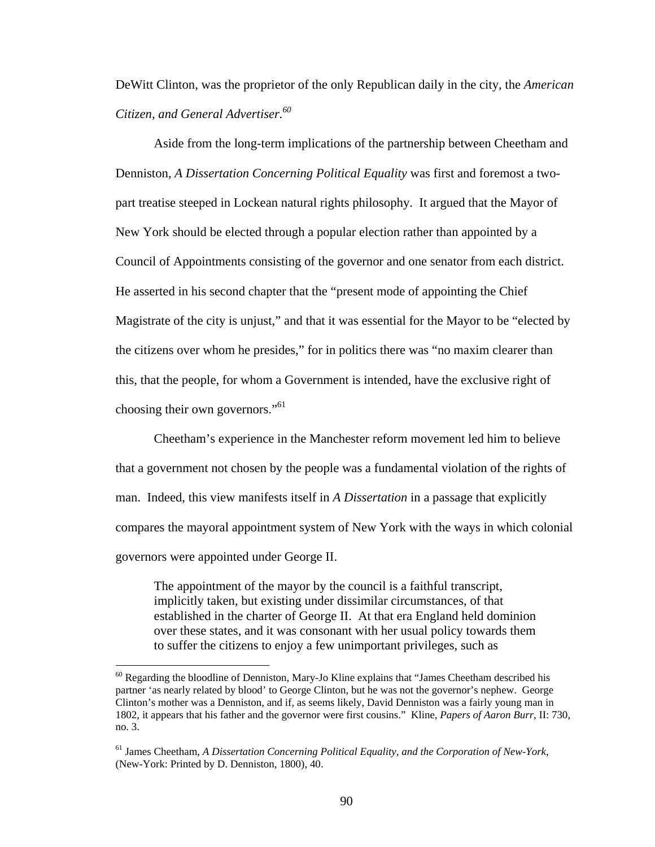DeWitt Clinton, was the proprietor of the only Republican daily in the city, the *American Citizen, and General Advertiser.60* 

Aside from the long-term implications of the partnership between Cheetham and Denniston, *A Dissertation Concerning Political Equality* was first and foremost a twopart treatise steeped in Lockean natural rights philosophy. It argued that the Mayor of New York should be elected through a popular election rather than appointed by a Council of Appointments consisting of the governor and one senator from each district. He asserted in his second chapter that the "present mode of appointing the Chief Magistrate of the city is unjust," and that it was essential for the Mayor to be "elected by the citizens over whom he presides," for in politics there was "no maxim clearer than this, that the people, for whom a Government is intended, have the exclusive right of choosing their own governors."<sup>61</sup>

Cheetham's experience in the Manchester reform movement led him to believe that a government not chosen by the people was a fundamental violation of the rights of man. Indeed, this view manifests itself in *A Dissertation* in a passage that explicitly compares the mayoral appointment system of New York with the ways in which colonial governors were appointed under George II.

The appointment of the mayor by the council is a faithful transcript, implicitly taken, but existing under dissimilar circumstances, of that established in the charter of George II. At that era England held dominion over these states, and it was consonant with her usual policy towards them to suffer the citizens to enjoy a few unimportant privileges, such as

 $60$  Regarding the bloodline of Denniston, Mary-Jo Kline explains that "James Cheetham described his partner 'as nearly related by blood' to George Clinton, but he was not the governor's nephew. George Clinton's mother was a Denniston, and if, as seems likely, David Denniston was a fairly young man in 1802, it appears that his father and the governor were first cousins." Kline, *Papers of Aaron Burr,* II: 730, no. 3.

<sup>61</sup> James Cheetham, *A Dissertation Concerning Political Equality, and the Corporation of New-York*, (New-York: Printed by D. Denniston, 1800), 40.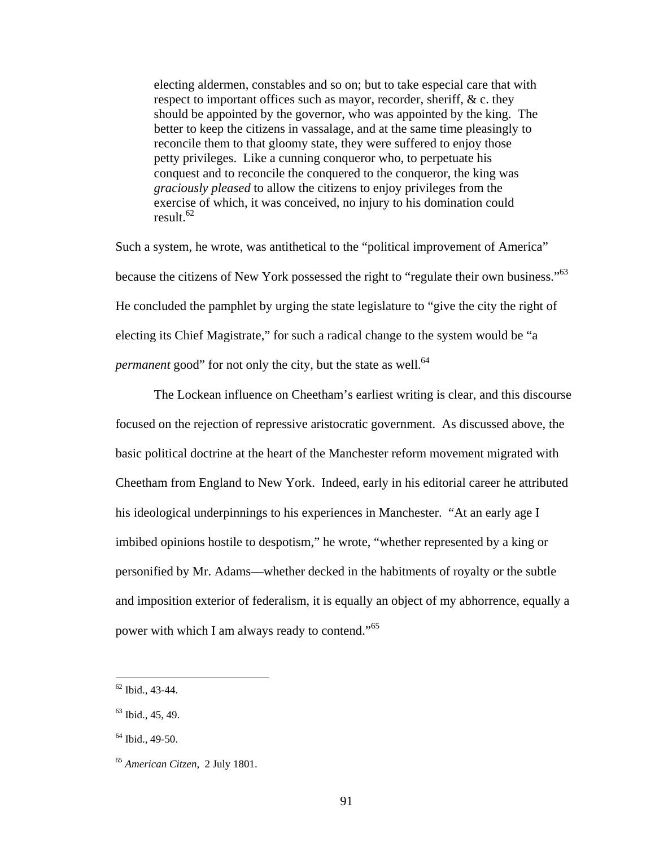electing aldermen, constables and so on; but to take especial care that with respect to important offices such as mayor, recorder, sheriff, & c. they should be appointed by the governor, who was appointed by the king. The better to keep the citizens in vassalage, and at the same time pleasingly to reconcile them to that gloomy state, they were suffered to enjoy those petty privileges. Like a cunning conqueror who, to perpetuate his conquest and to reconcile the conquered to the conqueror, the king was *graciously pleased* to allow the citizens to enjoy privileges from the exercise of which, it was conceived, no injury to his domination could result. $62$ 

Such a system, he wrote, was antithetical to the "political improvement of America" because the citizens of New York possessed the right to "regulate their own business."<sup>63</sup> He concluded the pamphlet by urging the state legislature to "give the city the right of electing its Chief Magistrate," for such a radical change to the system would be "a *permanent* good" for not only the city, but the state as well.<sup>64</sup>

 The Lockean influence on Cheetham's earliest writing is clear, and this discourse focused on the rejection of repressive aristocratic government. As discussed above, the basic political doctrine at the heart of the Manchester reform movement migrated with Cheetham from England to New York. Indeed, early in his editorial career he attributed his ideological underpinnings to his experiences in Manchester. "At an early age I imbibed opinions hostile to despotism," he wrote, "whether represented by a king or personified by Mr. Adams—whether decked in the habitments of royalty or the subtle and imposition exterior of federalism, it is equally an object of my abhorrence, equally a power with which I am always ready to contend."<sup>65</sup>

 $62$  Ibid., 43-44.

 $63$  Ibid., 45, 49.

 $64$  Ibid., 49-50.

<sup>65</sup> *American Citzen,* 2 July 1801.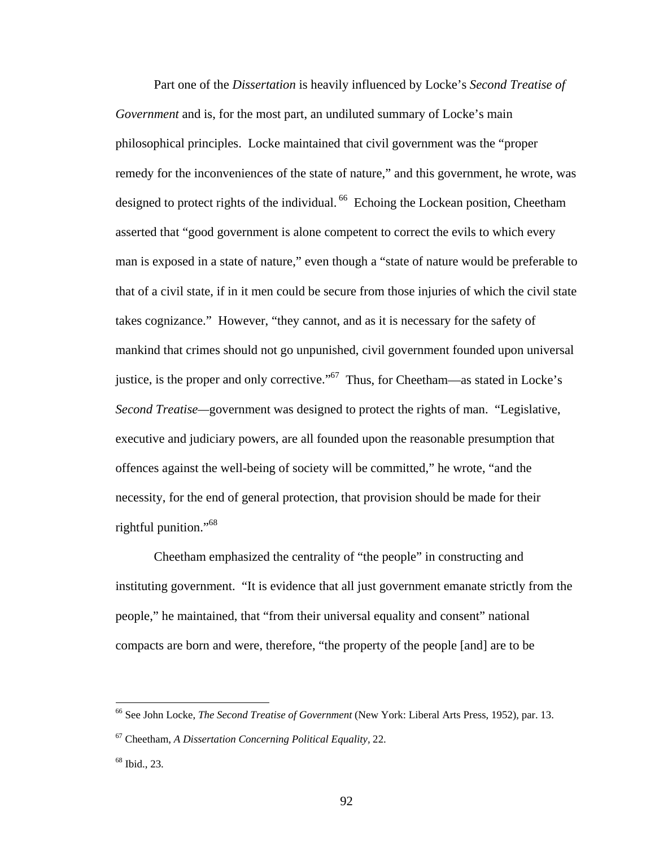Part one of the *Dissertation* is heavily influenced by Locke's *Second Treatise of Government* and is, for the most part, an undiluted summary of Locke's main philosophical principles. Locke maintained that civil government was the "proper remedy for the inconveniences of the state of nature," and this government, he wrote, was designed to protect rights of the individual. <sup>66</sup> Echoing the Lockean position, Cheetham asserted that "good government is alone competent to correct the evils to which every man is exposed in a state of nature," even though a "state of nature would be preferable to that of a civil state, if in it men could be secure from those injuries of which the civil state takes cognizance." However, "they cannot, and as it is necessary for the safety of mankind that crimes should not go unpunished, civil government founded upon universal justice, is the proper and only corrective."<sup>67</sup> Thus, for Cheetham—as stated in Locke's *Second Treatise—*government was designed to protect the rights of man. "Legislative, executive and judiciary powers, are all founded upon the reasonable presumption that offences against the well-being of society will be committed," he wrote, "and the necessity, for the end of general protection, that provision should be made for their rightful punition."68

 Cheetham emphasized the centrality of "the people" in constructing and instituting government. "It is evidence that all just government emanate strictly from the people," he maintained, that "from their universal equality and consent" national compacts are born and were, therefore, "the property of the people [and] are to be

<sup>66</sup> See John Locke, *The Second Treatise of Government* (New York: Liberal Arts Press, 1952), par. 13.

<sup>67</sup> Cheetham, *A Dissertation Concerning Political Equality,* 22.

<sup>68</sup> Ibid., 23.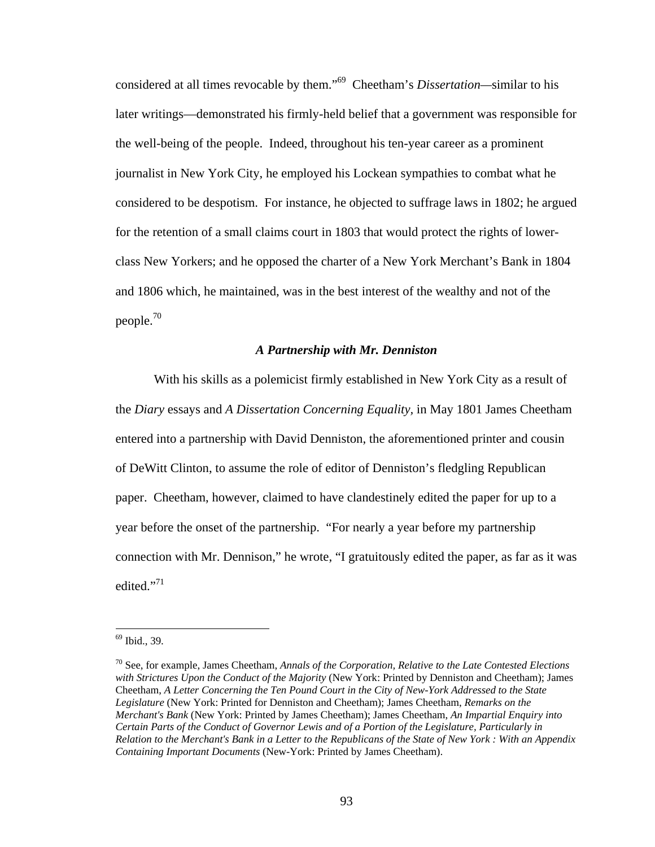considered at all times revocable by them."69 Cheetham's *Dissertation—*similar to his later writings—demonstrated his firmly-held belief that a government was responsible for the well-being of the people. Indeed, throughout his ten-year career as a prominent journalist in New York City, he employed his Lockean sympathies to combat what he considered to be despotism. For instance, he objected to suffrage laws in 1802; he argued for the retention of a small claims court in 1803 that would protect the rights of lowerclass New Yorkers; and he opposed the charter of a New York Merchant's Bank in 1804 and 1806 which, he maintained, was in the best interest of the wealthy and not of the people.70

#### *A Partnership with Mr. Denniston*

With his skills as a polemicist firmly established in New York City as a result of the *Diary* essays and *A Dissertation Concerning Equality,* in May 1801 James Cheetham entered into a partnership with David Denniston, the aforementioned printer and cousin of DeWitt Clinton, to assume the role of editor of Denniston's fledgling Republican paper. Cheetham, however, claimed to have clandestinely edited the paper for up to a year before the onset of the partnership. "For nearly a year before my partnership connection with Mr. Dennison," he wrote, "I gratuitously edited the paper, as far as it was edited."<sup>71</sup>

<sup>69</sup> Ibid., 39.

<sup>70</sup> See, for example, James Cheetham, *Annals of the Corporation, Relative to the Late Contested Elections with Strictures Upon the Conduct of the Majority* (New York: Printed by Denniston and Cheetham); James Cheetham, *A Letter Concerning the Ten Pound Court in the City of New-York Addressed to the State Legislature* (New York: Printed for Denniston and Cheetham); James Cheetham, *Remarks on the Merchant's Bank* (New York: Printed by James Cheetham); James Cheetham, *An Impartial Enquiry into Certain Parts of the Conduct of Governor Lewis and of a Portion of the Legislature, Particularly in Relation to the Merchant's Bank in a Letter to the Republicans of the State of New York : With an Appendix Containing Important Documents* (New-York: Printed by James Cheetham).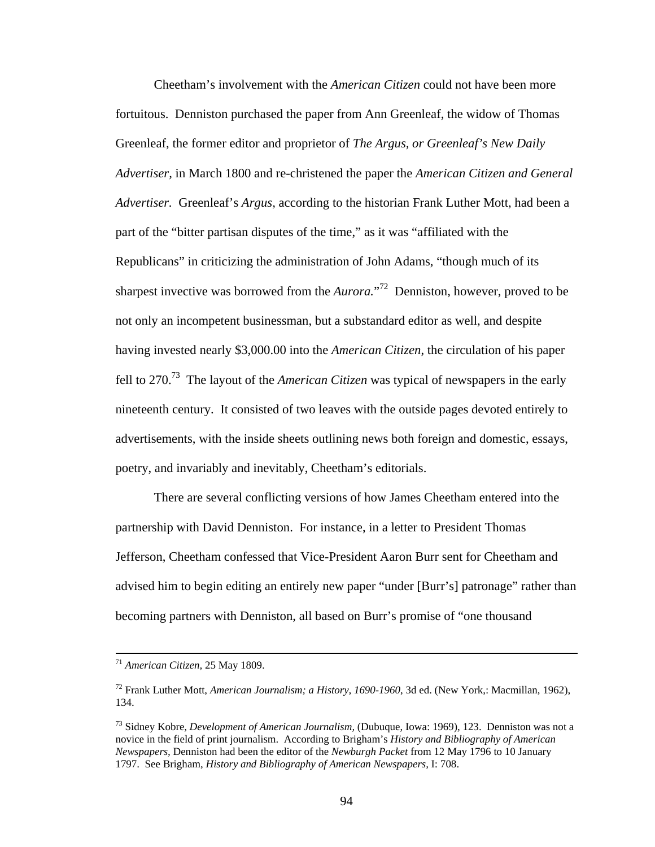Cheetham's involvement with the *American Citizen* could not have been more fortuitous. Denniston purchased the paper from Ann Greenleaf, the widow of Thomas Greenleaf, the former editor and proprietor of *The Argus, or Greenleaf's New Daily Advertiser,* in March 1800 and re-christened the paper the *American Citizen and General Advertiser.* Greenleaf's *Argus,* according to the historian Frank Luther Mott, had been a part of the "bitter partisan disputes of the time," as it was "affiliated with the Republicans" in criticizing the administration of John Adams, "though much of its sharpest invective was borrowed from the *Aurora.*" 72 Denniston, however, proved to be not only an incompetent businessman, but a substandard editor as well, and despite having invested nearly \$3,000.00 into the *American Citizen*, the circulation of his paper fell to 270.73 The layout of the *American Citizen* was typical of newspapers in the early nineteenth century. It consisted of two leaves with the outside pages devoted entirely to advertisements, with the inside sheets outlining news both foreign and domestic, essays, poetry, and invariably and inevitably, Cheetham's editorials.

 There are several conflicting versions of how James Cheetham entered into the partnership with David Denniston. For instance, in a letter to President Thomas Jefferson, Cheetham confessed that Vice-President Aaron Burr sent for Cheetham and advised him to begin editing an entirely new paper "under [Burr's] patronage" rather than becoming partners with Denniston, all based on Burr's promise of "one thousand

 <sup>71</sup> *American Citizen,* 25 May 1809.

<sup>72</sup> Frank Luther Mott, *American Journalism; a History, 1690-1960*, 3d ed. (New York,: Macmillan, 1962), 134.

<sup>73</sup> Sidney Kobre, *Development of American Journalism,* (Dubuque, Iowa: 1969), 123. Denniston was not a novice in the field of print journalism. According to Brigham's *History and Bibliography of American Newspapers,* Denniston had been the editor of the *Newburgh Packet* from 12 May 1796 to 10 January 1797. See Brigham, *History and Bibliography of American Newspapers,* I: 708.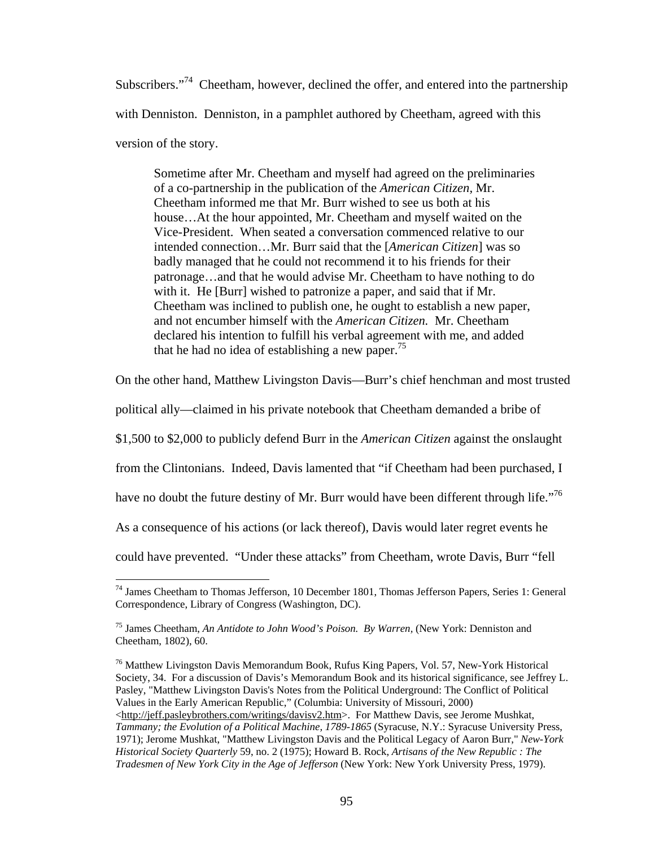Subscribers."<sup>74</sup> Cheetham, however, declined the offer, and entered into the partnership with Denniston. Denniston, in a pamphlet authored by Cheetham, agreed with this version of the story.

Sometime after Mr. Cheetham and myself had agreed on the preliminaries of a co-partnership in the publication of the *American Citizen,* Mr. Cheetham informed me that Mr. Burr wished to see us both at his house... At the hour appointed, Mr. Cheetham and myself waited on the Vice-President. When seated a conversation commenced relative to our intended connection…Mr. Burr said that the [*American Citizen*] was so badly managed that he could not recommend it to his friends for their patronage…and that he would advise Mr. Cheetham to have nothing to do with it. He [Burr] wished to patronize a paper, and said that if Mr. Cheetham was inclined to publish one, he ought to establish a new paper, and not encumber himself with the *American Citizen.* Mr. Cheetham declared his intention to fulfill his verbal agreement with me, and added that he had no idea of establishing a new paper.<sup>75</sup>

On the other hand, Matthew Livingston Davis—Burr's chief henchman and most trusted

political ally—claimed in his private notebook that Cheetham demanded a bribe of

\$1,500 to \$2,000 to publicly defend Burr in the *American Citizen* against the onslaught

from the Clintonians. Indeed, Davis lamented that "if Cheetham had been purchased, I

have no doubt the future destiny of Mr. Burr would have been different through life.<sup>76</sup>

As a consequence of his actions (or lack thereof), Davis would later regret events he

could have prevented. "Under these attacks" from Cheetham, wrote Davis, Burr "fell

 $\overline{a}$ <sup>74</sup> James Cheetham to Thomas Jefferson, 10 December 1801, Thomas Jefferson Papers, Series 1: General Correspondence, Library of Congress (Washington, DC).

<sup>75</sup> James Cheetham, *An Antidote to John Wood's Poison. By Warren,* (New York: Denniston and Cheetham, 1802), 60.

 $76$  Matthew Livingston Davis Memorandum Book, Rufus King Papers, Vol. 57, New-York Historical Society, 34. For a discussion of Davis's Memorandum Book and its historical significance, see Jeffrey L. Pasley, "Matthew Livingston Davis's Notes from the Political Underground: The Conflict of Political Values in the Early American Republic," (Columbia: University of Missouri, 2000) <http://jeff.pasleybrothers.com/writings/davisv2.htm>. For Matthew Davis, see Jerome Mushkat, *Tammany; the Evolution of a Political Machine, 1789-1865* (Syracuse, N.Y.: Syracuse University Press, 1971); Jerome Mushkat, "Matthew Livingston Davis and the Political Legacy of Aaron Burr," *New-York Historical Society Quarterly* 59, no. 2 (1975); Howard B. Rock, *Artisans of the New Republic : The Tradesmen of New York City in the Age of Jefferson* (New York: New York University Press, 1979).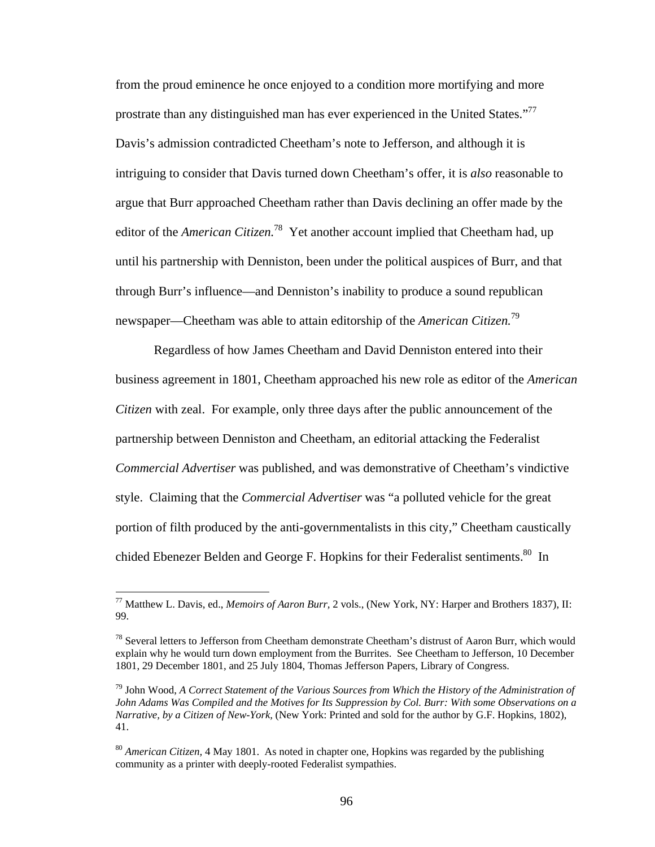from the proud eminence he once enjoyed to a condition more mortifying and more prostrate than any distinguished man has ever experienced in the United States."<sup>77</sup> Davis's admission contradicted Cheetham's note to Jefferson, and although it is intriguing to consider that Davis turned down Cheetham's offer, it is *also* reasonable to argue that Burr approached Cheetham rather than Davis declining an offer made by the editor of the *American Citizen.*<sup>78</sup>Yet another account implied that Cheetham had, up until his partnership with Denniston, been under the political auspices of Burr, and that through Burr's influence—and Denniston's inability to produce a sound republican newspaper—Cheetham was able to attain editorship of the *American Citizen.*<sup>79</sup>

Regardless of how James Cheetham and David Denniston entered into their business agreement in 1801, Cheetham approached his new role as editor of the *American Citizen* with zeal. For example, only three days after the public announcement of the partnership between Denniston and Cheetham, an editorial attacking the Federalist *Commercial Advertiser* was published, and was demonstrative of Cheetham's vindictive style. Claiming that the *Commercial Advertiser* was "a polluted vehicle for the great portion of filth produced by the anti-governmentalists in this city," Cheetham caustically chided Ebenezer Belden and George F. Hopkins for their Federalist sentiments.<sup>80</sup> In

1

<sup>77</sup> Matthew L. Davis, ed., *Memoirs of Aaron Burr,* 2 vols., (New York, NY: Harper and Brothers 1837), II: 99.

<sup>&</sup>lt;sup>78</sup> Several letters to Jefferson from Cheetham demonstrate Cheetham's distrust of Aaron Burr, which would explain why he would turn down employment from the Burrites. See Cheetham to Jefferson, 10 December 1801, 29 December 1801, and 25 July 1804, Thomas Jefferson Papers, Library of Congress.

<sup>79</sup> John Wood, *A Correct Statement of the Various Sources from Which the History of the Administration of John Adams Was Compiled and the Motives for Its Suppression by Col. Burr: With some Observations on a Narrative, by a Citizen of New-York,* (New York: Printed and sold for the author by G.F. Hopkins, 1802), 41.

<sup>80</sup> *American Citizen,* 4 May 1801. As noted in chapter one, Hopkins was regarded by the publishing community as a printer with deeply-rooted Federalist sympathies.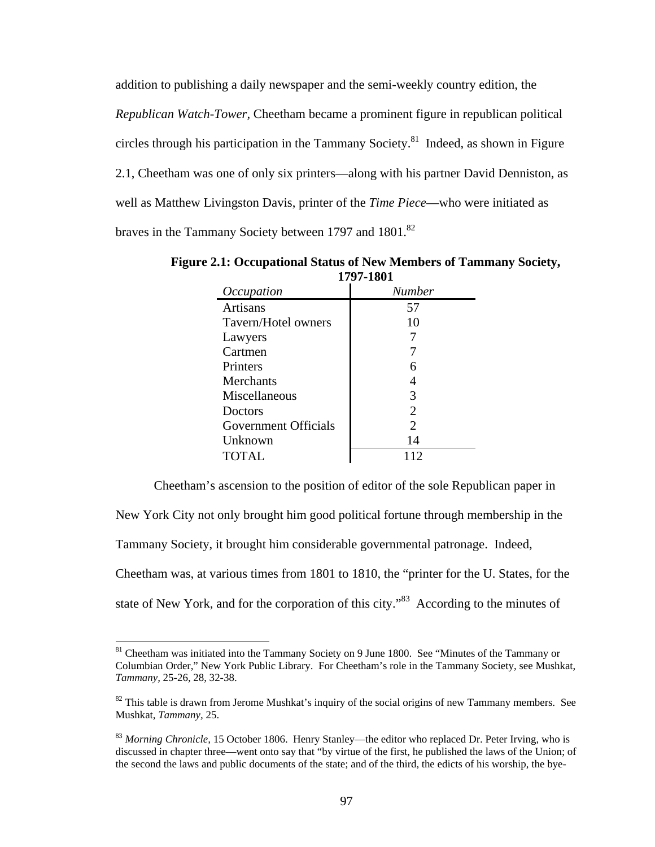addition to publishing a daily newspaper and the semi-weekly country edition, the *Republican Watch-Tower,* Cheetham became a prominent figure in republican political circles through his participation in the Tammany Society.<sup>81</sup> Indeed, as shown in Figure 2.1, Cheetham was one of only six printers—along with his partner David Denniston, as well as Matthew Livingston Davis, printer of the *Time Piece*—who were initiated as braves in the Tammany Society between 1797 and 1801.<sup>82</sup>

| 1771-1001                   |               |  |  |  |
|-----------------------------|---------------|--|--|--|
| Occupation                  | <b>Number</b> |  |  |  |
| Artisans                    | 57            |  |  |  |
| Tavern/Hotel owners         | 10            |  |  |  |
| Lawyers                     |               |  |  |  |
| Cartmen                     |               |  |  |  |
| Printers                    | 6             |  |  |  |
| <b>Merchants</b>            |               |  |  |  |
| Miscellaneous               | 3             |  |  |  |
| Doctors                     | 2             |  |  |  |
| <b>Government Officials</b> | 2             |  |  |  |
| Unknown                     | 14            |  |  |  |
| TOTAL                       |               |  |  |  |
|                             |               |  |  |  |

**Figure 2.1: Occupational Status of New Members of Tammany Society, 1797-1801** 

Cheetham's ascension to the position of editor of the sole Republican paper in

New York City not only brought him good political fortune through membership in the

Tammany Society, it brought him considerable governmental patronage. Indeed,

 $\overline{a}$ 

Cheetham was, at various times from 1801 to 1810, the "printer for the U. States, for the

state of New York, and for the corporation of this city."<sup>83</sup> According to the minutes of

<sup>&</sup>lt;sup>81</sup> Cheetham was initiated into the Tammany Society on 9 June 1800. See "Minutes of the Tammany or Columbian Order," New York Public Library. For Cheetham's role in the Tammany Society, see Mushkat, *Tammany,* 25-26, 28, 32-38.

 $82$  This table is drawn from Jerome Mushkat's inquiry of the social origins of new Tammany members. See Mushkat, *Tammany,* 25.

<sup>83</sup> *Morning Chronicle,* 15 October 1806. Henry Stanley—the editor who replaced Dr. Peter Irving, who is discussed in chapter three—went onto say that "by virtue of the first, he published the laws of the Union; of the second the laws and public documents of the state; and of the third, the edicts of his worship, the bye-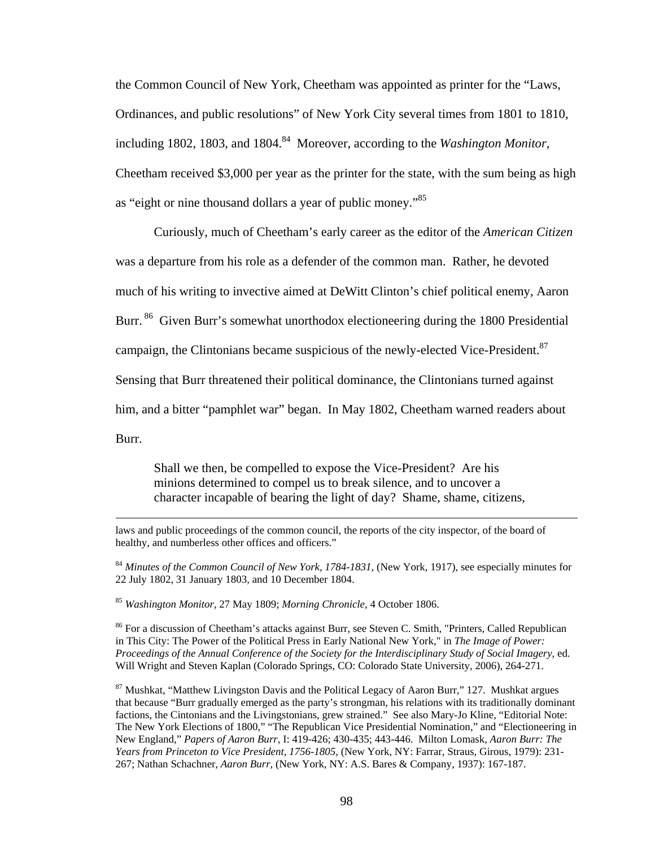the Common Council of New York, Cheetham was appointed as printer for the "Laws, Ordinances, and public resolutions" of New York City several times from 1801 to 1810, including 1802, 1803, and 1804.<sup>84</sup> Moreover, according to the *Washington Monitor*, Cheetham received \$3,000 per year as the printer for the state, with the sum being as high as "eight or nine thousand dollars a year of public money."85

Curiously, much of Cheetham's early career as the editor of the *American Citizen*  was a departure from his role as a defender of the common man. Rather, he devoted much of his writing to invective aimed at DeWitt Clinton's chief political enemy, Aaron Burr. <sup>86</sup> Given Burr's somewhat unorthodox electioneering during the 1800 Presidential campaign, the Clintonians became suspicious of the newly-elected Vice-President.<sup>87</sup> Sensing that Burr threatened their political dominance, the Clintonians turned against him, and a bitter "pamphlet war" began. In May 1802, Cheetham warned readers about Burr.

Shall we then, be compelled to expose the Vice-President? Are his minions determined to compel us to break silence, and to uncover a character incapable of bearing the light of day? Shame, shame, citizens,

<sup>84</sup> Minutes of the Common Council of New York, 1784-1831, (New York, 1917), see especially minutes for 22 July 1802, 31 January 1803, and 10 December 1804.

<sup>85</sup> *Washington Monitor,* 27 May 1809; *Morning Chronicle,* 4 October 1806.

<sup>86</sup> For a discussion of Cheetham's attacks against Burr, see Steven C. Smith, "Printers, Called Republican in This City: The Power of the Political Press in Early National New York," in *The Image of Power: Proceedings of the Annual Conference of the Society for the Interdisciplinary Study of Social Imagery*, ed. Will Wright and Steven Kaplan (Colorado Springs, CO: Colorado State University, 2006), 264-271.

 $87$  Mushkat, "Matthew Livingston Davis and the Political Legacy of Aaron Burr," 127. Mushkat argues that because "Burr gradually emerged as the party's strongman, his relations with its traditionally dominant factions, the Cintonians and the Livingstonians, grew strained." See also Mary-Jo Kline, "Editorial Note: The New York Elections of 1800," "The Republican Vice Presidential Nomination," and "Electioneering in New England," *Papers of Aaron Burr,* I: 419-426; 430-435; 443-446. Milton Lomask, *Aaron Burr: The Years from Princeton to Vice President, 1756-1805,* (New York, NY: Farrar, Straus, Girous, 1979): 231- 267; Nathan Schachner, *Aaron Burr,* (New York, NY: A.S. Bares & Company, 1937): 167-187.

laws and public proceedings of the common council, the reports of the city inspector, of the board of healthy, and numberless other offices and officers."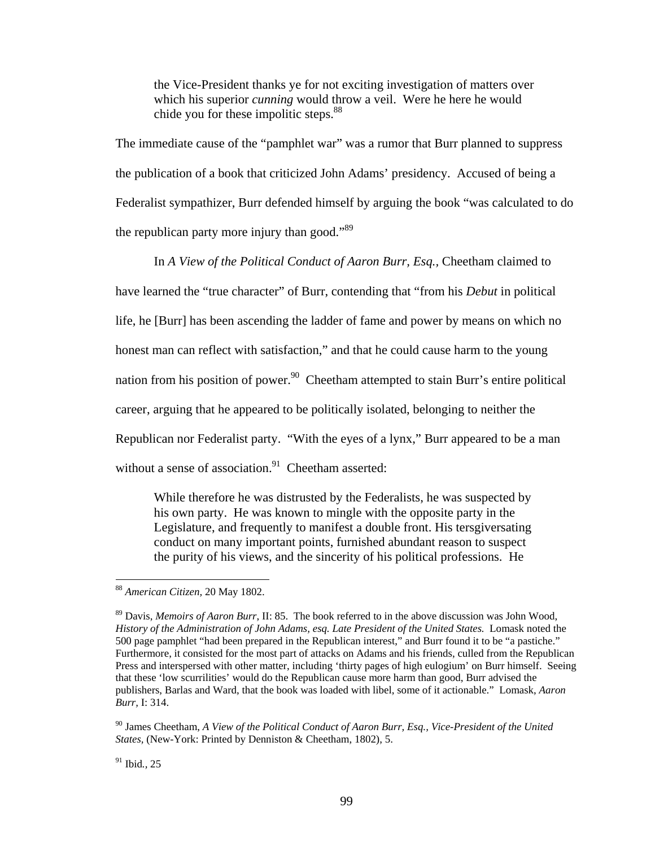the Vice-President thanks ye for not exciting investigation of matters over which his superior *cunning* would throw a veil. Were he here he would chide you for these impolitic steps.<sup>88</sup>

The immediate cause of the "pamphlet war" was a rumor that Burr planned to suppress the publication of a book that criticized John Adams' presidency.Accused of being a Federalist sympathizer, Burr defended himself by arguing the book "was calculated to do the republican party more injury than good."<sup>89</sup>

In *A View of the Political Conduct of Aaron Burr, Esq.,* Cheetham claimed to have learned the "true character" of Burr, contending that "from his *Debut* in political life, he [Burr] has been ascending the ladder of fame and power by means on which no honest man can reflect with satisfaction," and that he could cause harm to the young nation from his position of power.<sup>90</sup> Cheetham attempted to stain Burr's entire political career, arguing that he appeared to be politically isolated, belonging to neither the Republican nor Federalist party. "With the eyes of a lynx," Burr appeared to be a man without a sense of association. $91$  Cheetham asserted:

While therefore he was distrusted by the Federalists, he was suspected by his own party. He was known to mingle with the opposite party in the Legislature, and frequently to manifest a double front. His tersgiversating conduct on many important points, furnished abundant reason to suspect the purity of his views, and the sincerity of his political professions. He

1

<sup>88</sup> *American Citizen,* 20 May 1802.

<sup>89</sup> Davis, *Memoirs of Aaron Burr*, II: 85. The book referred to in the above discussion was John Wood, *History of the Administration of John Adams, esq. Late President of the United States.* Lomask noted the 500 page pamphlet "had been prepared in the Republican interest," and Burr found it to be "a pastiche." Furthermore, it consisted for the most part of attacks on Adams and his friends, culled from the Republican Press and interspersed with other matter, including 'thirty pages of high eulogium' on Burr himself. Seeing that these 'low scurrilities' would do the Republican cause more harm than good, Burr advised the publishers, Barlas and Ward, that the book was loaded with libel, some of it actionable." Lomask, *Aaron Burr,* I: 314.

<sup>90</sup> James Cheetham, *A View of the Political Conduct of Aaron Burr, Esq., Vice-President of the United States,* (New-York: Printed by Denniston & Cheetham, 1802), 5.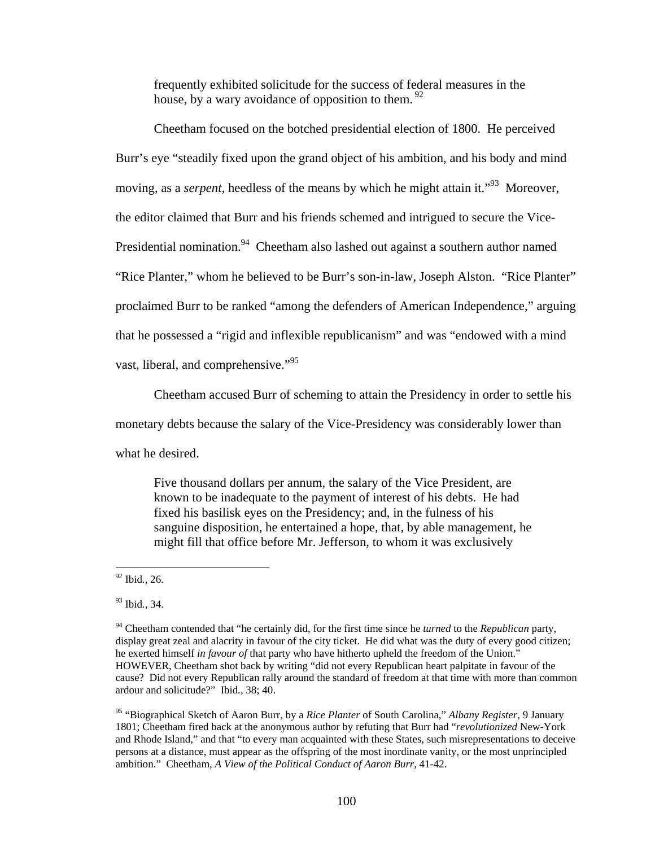frequently exhibited solicitude for the success of federal measures in the house, by a wary avoidance of opposition to them.  $92$ 

 Cheetham focused on the botched presidential election of 1800. He perceived Burr's eye "steadily fixed upon the grand object of his ambition, and his body and mind moving, as a *serpent*, heedless of the means by which he might attain it."<sup>93</sup> Moreover, the editor claimed that Burr and his friends schemed and intrigued to secure the Vice-Presidential nomination.<sup>94</sup> Cheetham also lashed out against a southern author named "Rice Planter," whom he believed to be Burr's son-in-law, Joseph Alston. "Rice Planter" proclaimed Burr to be ranked "among the defenders of American Independence," arguing that he possessed a "rigid and inflexible republicanism" and was "endowed with a mind vast, liberal, and comprehensive."<sup>95</sup>

Cheetham accused Burr of scheming to attain the Presidency in order to settle his

monetary debts because the salary of the Vice-Presidency was considerably lower than

what he desired.

Five thousand dollars per annum, the salary of the Vice President, are known to be inadequate to the payment of interest of his debts. He had fixed his basilisk eyes on the Presidency; and, in the fulness of his sanguine disposition, he entertained a hope, that, by able management*,* he might fill that office before Mr. Jefferson, to whom it was exclusively

<sup>92</sup> Ibid*.,* 26.

<sup>93</sup> Ibid*.,* 34.

<sup>94</sup> Cheetham contended that "he certainly did, for the first time since he *turned* to the *Republican* party, display great zeal and alacrity in favour of the city ticket. He did what was the duty of every good citizen; he exerted himself *in favour of* that party who have hitherto upheld the freedom of the Union." HOWEVER, Cheetham shot back by writing "did not every Republican heart palpitate in favour of the cause? Did not every Republican rally around the standard of freedom at that time with more than common ardour and solicitude?" Ibid*.,* 38; 40.

<sup>95 &</sup>quot;Biographical Sketch of Aaron Burr, by a *Rice Planter* of South Carolina," *Albany Register,* 9 January 1801; Cheetham fired back at the anonymous author by refuting that Burr had "*revolutionized* New-York and Rhode Island," and that "to every man acquainted with these States, such misrepresentations to deceive persons at a distance, must appear as the offspring of the most inordinate vanity, or the most unprincipled ambition." Cheetham, *A View of the Political Conduct of Aaron Burr*, 41-42.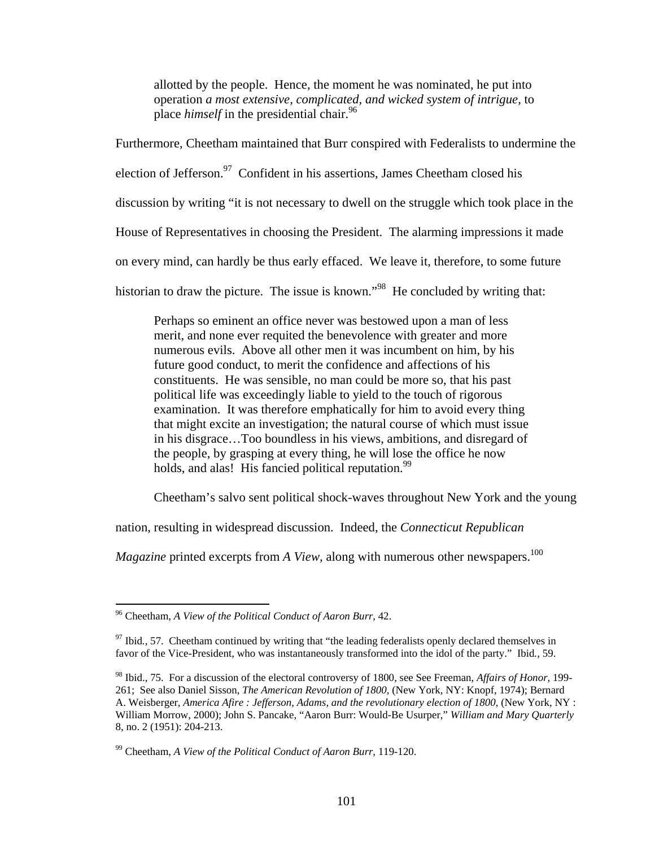allotted by the people. Hence, the moment he was nominated, he put into operation *a most extensive, complicated, and wicked system of intrigue,* to place *himself* in the presidential chair.<sup>96</sup>

Furthermore, Cheetham maintained that Burr conspired with Federalists to undermine the

election of Jefferson.<sup>97</sup> Confident in his assertions, James Cheetham closed his

discussion by writing "it is not necessary to dwell on the struggle which took place in the

House of Representatives in choosing the President. The alarming impressions it made

on every mind, can hardly be thus early effaced. We leave it, therefore, to some future

historian to draw the picture. The issue is known."<sup>98</sup> He concluded by writing that:

Perhaps so eminent an office never was bestowed upon a man of less merit, and none ever requited the benevolence with greater and more numerous evils. Above all other men it was incumbent on him, by his future good conduct, to merit the confidence and affections of his constituents. He was sensible, no man could be more so, that his past political life was exceedingly liable to yield to the touch of rigorous examination. It was therefore emphatically for him to avoid every thing that might excite an investigation; the natural course of which must issue in his disgrace…Too boundless in his views, ambitions, and disregard of the people, by grasping at every thing, he will lose the office he now holds, and alas! His fancied political reputation.<sup>99</sup>

Cheetham's salvo sent political shock-waves throughout New York and the young

nation, resulting in widespread discussion. Indeed, the *Connecticut Republican* 

*Magazine* printed excerpts from *A View*, along with numerous other newspapers.<sup>100</sup>

1

<sup>96</sup> Cheetham, *A View of the Political Conduct of Aaron Burr,* 42.

<sup>&</sup>lt;sup>97</sup> Ibid., 57. Cheetham continued by writing that "the leading federalists openly declared themselves in favor of the Vice-President, who was instantaneously transformed into the idol of the party." Ibid*.,* 59.

<sup>98</sup> Ibid.*,* 75. For a discussion of the electoral controversy of 1800, see See Freeman, *Affairs of Honor,* 199- 261; See also Daniel Sisson, *The American Revolution of 1800,* (New York, NY: Knopf, 1974); Bernard A. Weisberger, *America Afire : Jefferson, Adams, and the revolutionary election of 1800*, (New York, NY : William Morrow, 2000); John S. Pancake, "Aaron Burr: Would-Be Usurper," *William and Mary Quarterly*  8, no. 2 (1951): 204-213.

<sup>99</sup> Cheetham, *A View of the Political Conduct of Aaron Burr,* 119-120.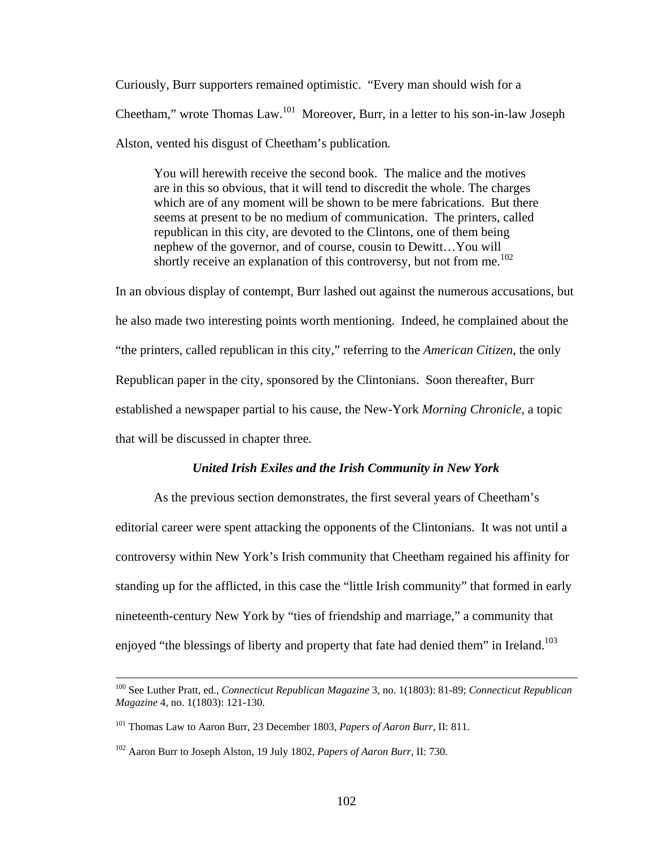Curiously, Burr supporters remained optimistic. "Every man should wish for a Cheetham," wrote Thomas Law.101 Moreover, Burr, in a letter to his son-in-law Joseph Alston, vented his disgust of Cheetham's publication*.*

You will herewith receive the second book. The malice and the motives are in this so obvious, that it will tend to discredit the whole. The charges which are of any moment will be shown to be mere fabrications. But there seems at present to be no medium of communication. The printers, called republican in this city, are devoted to the Clintons, one of them being nephew of the governor, and of course, cousin to Dewitt…You will shortly receive an explanation of this controversy, but not from me.<sup>102</sup>

In an obvious display of contempt, Burr lashed out against the numerous accusations, but he also made two interesting points worth mentioning. Indeed, he complained about the "the printers, called republican in this city," referring to the *American Citizen*, the only Republican paper in the city, sponsored by the Clintonians. Soon thereafter, Burr established a newspaper partial to his cause, the New-York *Morning Chronicle,* a topic that will be discussed in chapter three*.*

#### *United Irish Exiles and the Irish Community in New York*

As the previous section demonstrates, the first several years of Cheetham's editorial career were spent attacking the opponents of the Clintonians. It was not until a controversy within New York's Irish community that Cheetham regained his affinity for standing up for the afflicted, in this case the "little Irish community" that formed in early nineteenth-century New York by "ties of friendship and marriage," a community that enjoyed "the blessings of liberty and property that fate had denied them" in Ireland.<sup>103</sup>

 <sup>100</sup> See Luther Pratt, ed., *Connecticut Republican Magazine* 3, no. 1(1803): 81-89; *Connecticut Republican Magazine* 4, no. 1(1803): 121-130.

<sup>101</sup> Thomas Law to Aaron Burr, 23 December 1803, *Papers of Aaron Burr,* II: 811.

<sup>102</sup> Aaron Burr to Joseph Alston, 19 July 1802, *Papers of Aaron Burr,* II: 730.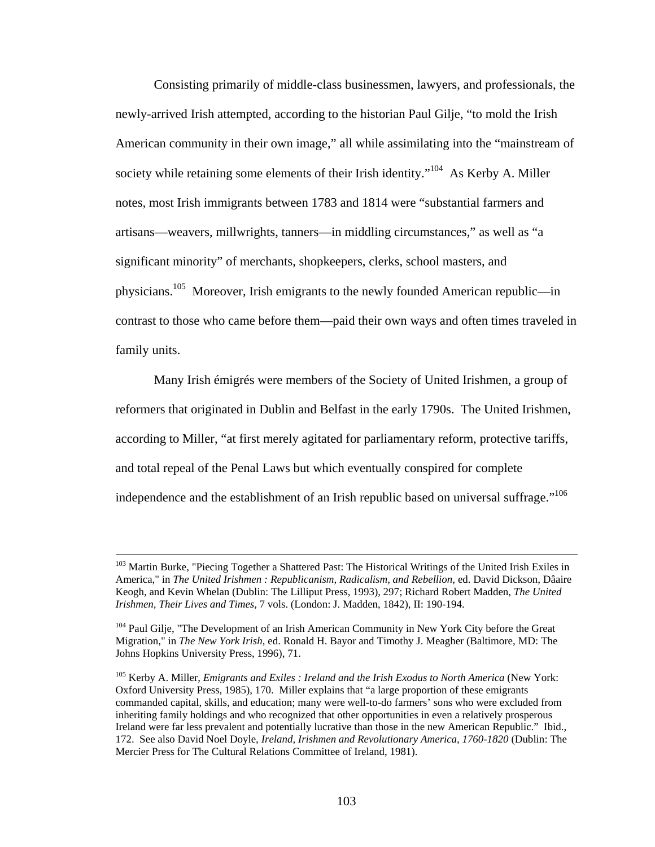Consisting primarily of middle-class businessmen, lawyers, and professionals, the newly-arrived Irish attempted, according to the historian Paul Gilje, "to mold the Irish American community in their own image," all while assimilating into the "mainstream of society while retaining some elements of their Irish identity."<sup>104</sup> As Kerby A. Miller notes*,* most Irish immigrants between 1783 and 1814 were "substantial farmers and artisans—weavers, millwrights, tanners—in middling circumstances," as well as "a significant minority" of merchants, shopkeepers, clerks, school masters, and physicians.<sup>105</sup> Moreover, Irish emigrants to the newly founded American republic—in contrast to those who came before them—paid their own ways and often times traveled in family units.

Many Irish émigrés were members of the Society of United Irishmen, a group of reformers that originated in Dublin and Belfast in the early 1790s. The United Irishmen, according to Miller, "at first merely agitated for parliamentary reform, protective tariffs, and total repeal of the Penal Laws but which eventually conspired for complete independence and the establishment of an Irish republic based on universal suffrage."<sup>106</sup>

<sup>&</sup>lt;sup>103</sup> Martin Burke, "Piecing Together a Shattered Past: The Historical Writings of the United Irish Exiles in America," in *The United Irishmen : Republicanism, Radicalism, and Rebellion*, ed. David Dickson, Dâaire Keogh, and Kevin Whelan (Dublin: The Lilliput Press, 1993), 297; Richard Robert Madden, *The United Irishmen, Their Lives and Times*, 7 vols. (London: J. Madden, 1842), II: 190-194.

<sup>&</sup>lt;sup>104</sup> Paul Gilje, "The Development of an Irish American Community in New York City before the Great Migration," in *The New York Irish*, ed. Ronald H. Bayor and Timothy J. Meagher (Baltimore, MD: The Johns Hopkins University Press, 1996), 71.

<sup>105</sup> Kerby A. Miller, *Emigrants and Exiles : Ireland and the Irish Exodus to North America* (New York: Oxford University Press, 1985), 170. Miller explains that "a large proportion of these emigrants commanded capital, skills, and education; many were well-to-do farmers' sons who were excluded from inheriting family holdings and who recognized that other opportunities in even a relatively prosperous Ireland were far less prevalent and potentially lucrative than those in the new American Republic." Ibid., 172. See also David Noel Doyle, *Ireland, Irishmen and Revolutionary America, 1760-1820* (Dublin: The Mercier Press for The Cultural Relations Committee of Ireland, 1981).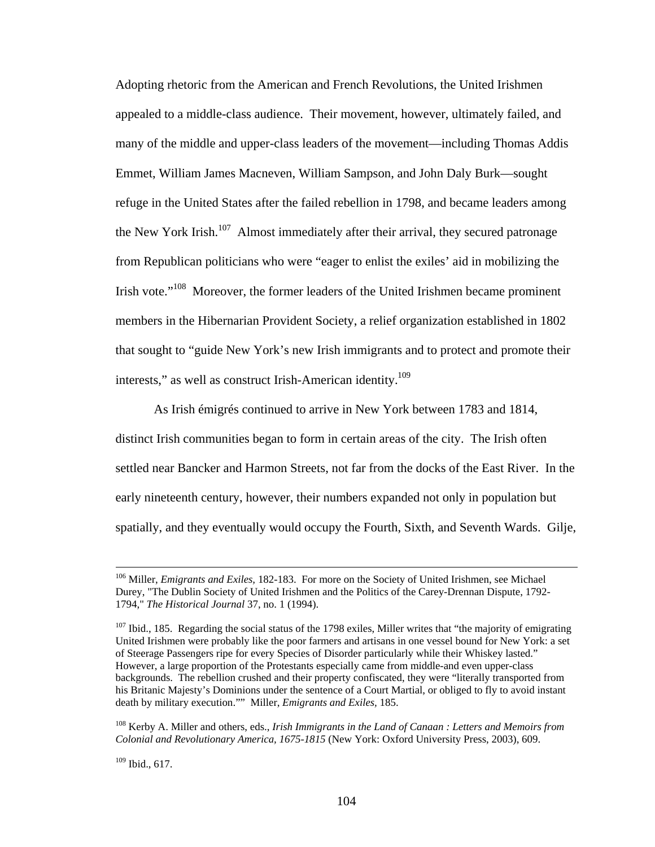Adopting rhetoric from the American and French Revolutions, the United Irishmen appealed to a middle-class audience. Their movement, however, ultimately failed, and many of the middle and upper-class leaders of the movement—including Thomas Addis Emmet, William James Macneven, William Sampson, and John Daly Burk—sought refuge in the United States after the failed rebellion in 1798, and became leaders among the New York Irish.<sup>107</sup> Almost immediately after their arrival, they secured patronage from Republican politicians who were "eager to enlist the exiles' aid in mobilizing the Irish vote."<sup>108</sup> Moreover, the former leaders of the United Irishmen became prominent members in the Hibernarian Provident Society, a relief organization established in 1802 that sought to "guide New York's new Irish immigrants and to protect and promote their interests," as well as construct Irish-American identity.<sup>109</sup>

As Irish émigrés continued to arrive in New York between 1783 and 1814, distinct Irish communities began to form in certain areas of the city. The Irish often settled near Bancker and Harmon Streets, not far from the docks of the East River. In the early nineteenth century, however, their numbers expanded not only in population but spatially, and they eventually would occupy the Fourth, Sixth, and Seventh Wards. Gilje,

108 Kerby A. Miller and others, eds., *Irish Immigrants in the Land of Canaan : Letters and Memoirs from Colonial and Revolutionary America, 1675-1815* (New York: Oxford University Press, 2003), 609.

109 Ibid., 617.

 <sup>106</sup> Miller, *Emigrants and Exiles,* 182-183. For more on the Society of United Irishmen, see Michael Durey, "The Dublin Society of United Irishmen and the Politics of the Carey-Drennan Dispute, 1792- 1794," *The Historical Journal* 37, no. 1 (1994).

<sup>&</sup>lt;sup>107</sup> Ibid., 185. Regarding the social status of the 1798 exiles, Miller writes that "the majority of emigrating United Irishmen were probably like the poor farmers and artisans in one vessel bound for New York: a set of Steerage Passengers ripe for every Species of Disorder particularly while their Whiskey lasted." However, a large proportion of the Protestants especially came from middle-and even upper-class backgrounds. The rebellion crushed and their property confiscated, they were "literally transported from his Britanic Majesty's Dominions under the sentence of a Court Martial, or obliged to fly to avoid instant death by military execution."" Miller, *Emigrants and Exiles,* 185.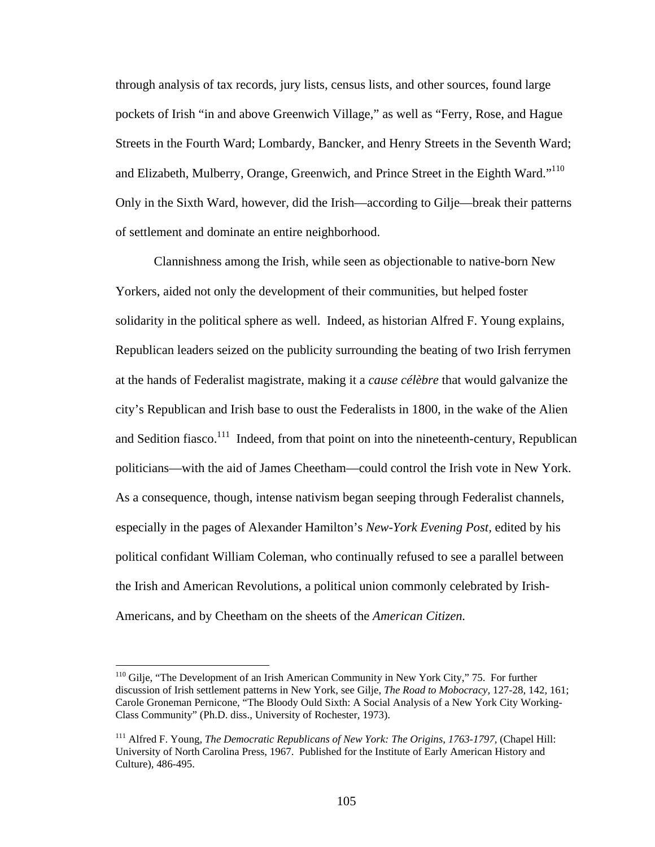through analysis of tax records, jury lists, census lists, and other sources, found large pockets of Irish "in and above Greenwich Village," as well as "Ferry, Rose, and Hague Streets in the Fourth Ward; Lombardy, Bancker, and Henry Streets in the Seventh Ward; and Elizabeth, Mulberry, Orange, Greenwich, and Prince Street in the Eighth Ward."<sup>110</sup> Only in the Sixth Ward, however, did the Irish—according to Gilje—break their patterns of settlement and dominate an entire neighborhood.

Clannishness among the Irish, while seen as objectionable to native-born New Yorkers, aided not only the development of their communities, but helped foster solidarity in the political sphere as well. Indeed, as historian Alfred F. Young explains, Republican leaders seized on the publicity surrounding the beating of two Irish ferrymen at the hands of Federalist magistrate, making it a *cause célèbre* that would galvanize the city's Republican and Irish base to oust the Federalists in 1800, in the wake of the Alien and Sedition fiasco.<sup>111</sup> Indeed, from that point on into the nineteenth-century, Republican politicians—with the aid of James Cheetham—could control the Irish vote in New York. As a consequence, though, intense nativism began seeping through Federalist channels, especially in the pages of Alexander Hamilton's *New-York Evening Post,* edited by his political confidant William Coleman, who continually refused to see a parallel between the Irish and American Revolutions, a political union commonly celebrated by Irish-Americans, and by Cheetham on the sheets of the *American Citizen.* 

<sup>&</sup>lt;sup>110</sup> Gilje, "The Development of an Irish American Community in New York City," 75. For further discussion of Irish settlement patterns in New York, see Gilje, *The Road to Mobocracy,* 127-28, 142, 161; Carole Groneman Pernicone, "The Bloody Ould Sixth: A Social Analysis of a New York City Working-Class Community" (Ph.D. diss., University of Rochester, 1973).

<sup>&</sup>lt;sup>111</sup> Alfred F. Young, *The Democratic Republicans of New York: The Origins, 1763-1797, (Chapel Hill:* University of North Carolina Press, 1967. Published for the Institute of Early American History and Culture), 486-495.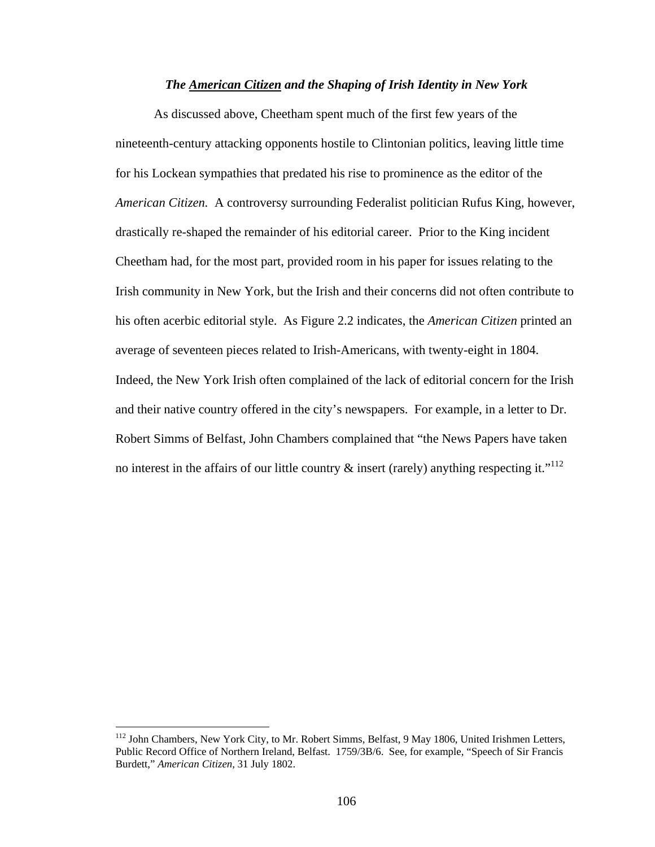### *The American Citizen and the Shaping of Irish Identity in New York*

As discussed above, Cheetham spent much of the first few years of the nineteenth-century attacking opponents hostile to Clintonian politics, leaving little time for his Lockean sympathies that predated his rise to prominence as the editor of the *American Citizen.* A controversy surrounding Federalist politician Rufus King, however, drastically re-shaped the remainder of his editorial career. Prior to the King incident Cheetham had, for the most part, provided room in his paper for issues relating to the Irish community in New York, but the Irish and their concerns did not often contribute to his often acerbic editorial style. As Figure 2.2 indicates, the *American Citizen* printed an average of seventeen pieces related to Irish-Americans, with twenty-eight in 1804. Indeed, the New York Irish often complained of the lack of editorial concern for the Irish and their native country offered in the city's newspapers. For example, in a letter to Dr. Robert Simms of Belfast, John Chambers complained that "the News Papers have taken no interest in the affairs of our little country  $\&$  insert (rarely) anything respecting it."<sup>112</sup>

1

<sup>&</sup>lt;sup>112</sup> John Chambers, New York City, to Mr. Robert Simms, Belfast, 9 May 1806, United Irishmen Letters, Public Record Office of Northern Ireland, Belfast. 1759/3B/6. See, for example, "Speech of Sir Francis Burdett," *American Citizen,* 31 July 1802.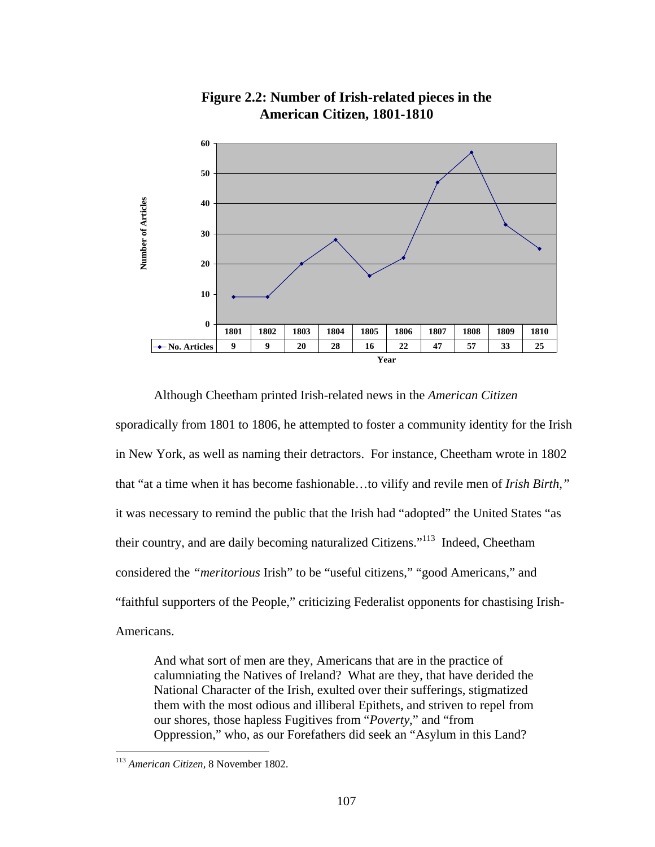

**Figure 2.2: Number of Irish-related pieces in the American Citizen, 1801-1810**

 Although Cheetham printed Irish-related news in the *American Citizen*  sporadically from 1801 to 1806, he attempted to foster a community identity for the Irish in New York, as well as naming their detractors. For instance, Cheetham wrote in 1802 that "at a time when it has become fashionable…to vilify and revile men of *Irish Birth,"*  it was necessary to remind the public that the Irish had "adopted" the United States "as their country, and are daily becoming naturalized Citizens."113 Indeed, Cheetham considered the *"meritorious* Irish" to be "useful citizens," "good Americans," and "faithful supporters of the People," criticizing Federalist opponents for chastising Irish-Americans.

And what sort of men are they, Americans that are in the practice of calumniating the Natives of Ireland? What are they, that have derided the National Character of the Irish, exulted over their sufferings, stigmatized them with the most odious and illiberal Epithets, and striven to repel from our shores, those hapless Fugitives from "*Poverty*," and "from Oppression," who, as our Forefathers did seek an "Asylum in this Land?

<sup>113</sup> *American Citizen,* 8 November 1802.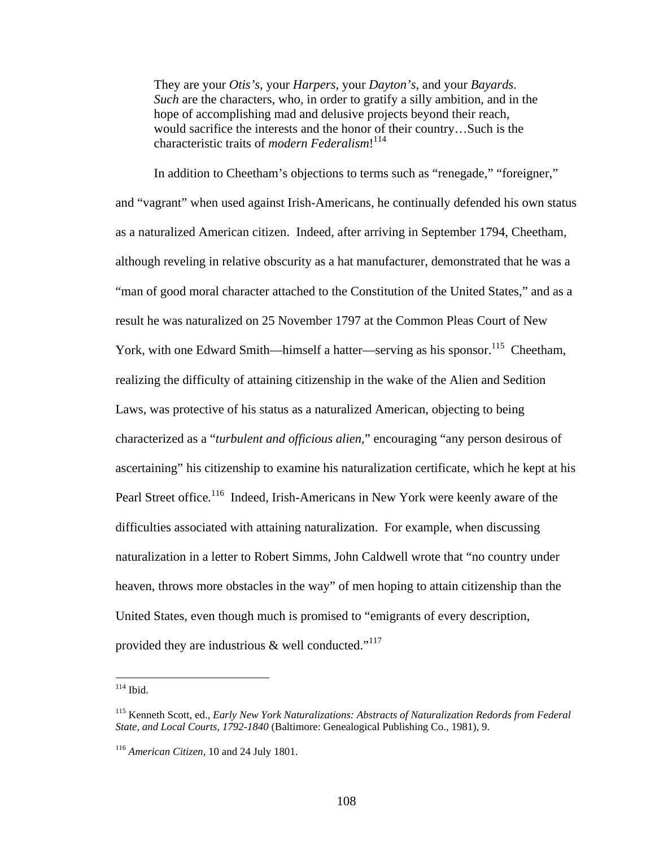They are your *Otis's,* your *Harpers,* your *Dayton's,* and your *Bayards. Such* are the characters, who, in order to gratify a silly ambition, and in the hope of accomplishing mad and delusive projects beyond their reach, would sacrifice the interests and the honor of their country…Such is the characteristic traits of *modern Federalism*! 114

 In addition to Cheetham's objections to terms such as "renegade," "foreigner," and "vagrant" when used against Irish-Americans, he continually defended his own status as a naturalized American citizen. Indeed, after arriving in September 1794, Cheetham, although reveling in relative obscurity as a hat manufacturer, demonstrated that he was a "man of good moral character attached to the Constitution of the United States," and as a result he was naturalized on 25 November 1797 at the Common Pleas Court of New York, with one Edward Smith—himself a hatter—serving as his sponsor.<sup>115</sup> Cheetham, realizing the difficulty of attaining citizenship in the wake of the Alien and Sedition Laws, was protective of his status as a naturalized American, objecting to being characterized as a "*turbulent and officious alien*," encouraging "any person desirous of ascertaining" his citizenship to examine his naturalization certificate, which he kept at his Pearl Street office.<sup>116</sup> Indeed, Irish-Americans in New York were keenly aware of the difficulties associated with attaining naturalization. For example, when discussing naturalization in a letter to Robert Simms, John Caldwell wrote that "no country under heaven, throws more obstacles in the way" of men hoping to attain citizenship than the United States, even though much is promised to "emigrants of every description, provided they are industrious  $\&$  well conducted."<sup>117</sup>

 $114$  Ibid.

<sup>115</sup> Kenneth Scott, ed., *Early New York Naturalizations: Abstracts of Naturalization Redords from Federal State, and Local Courts, 1792-1840* (Baltimore: Genealogical Publishing Co., 1981), 9.

<sup>116</sup> *American Citizen,* 10 and 24 July 1801.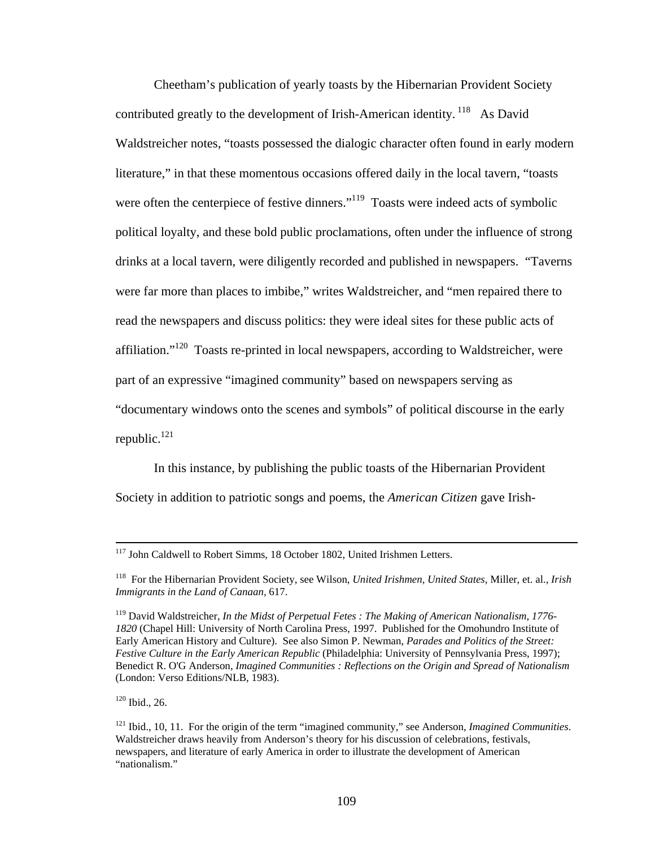Cheetham's publication of yearly toasts by the Hibernarian Provident Society contributed greatly to the development of Irish-American identity.<sup>118</sup> As David Waldstreicher notes, "toasts possessed the dialogic character often found in early modern literature," in that these momentous occasions offered daily in the local tavern, "toasts were often the centerpiece of festive dinners."<sup>119</sup> Toasts were indeed acts of symbolic political loyalty, and these bold public proclamations, often under the influence of strong drinks at a local tavern, were diligently recorded and published in newspapers. "Taverns were far more than places to imbibe," writes Waldstreicher, and "men repaired there to read the newspapers and discuss politics: they were ideal sites for these public acts of affiliation."120 Toasts re-printed in local newspapers, according to Waldstreicher, were part of an expressive "imagined community" based on newspapers serving as "documentary windows onto the scenes and symbols" of political discourse in the early republic. $121$ 

In this instance, by publishing the public toasts of the Hibernarian Provident Society in addition to patriotic songs and poems, the *American Citizen* gave Irish-

120 Ibid., 26.

<sup>&</sup>lt;sup>117</sup> John Caldwell to Robert Simms, 18 October 1802, United Irishmen Letters.

<sup>118</sup> For the Hibernarian Provident Society, see Wilson, *United Irishmen, United States,* Miller, et. al., *Irish Immigrants in the Land of Canaan,* 617.

<sup>119</sup> David Waldstreicher, *In the Midst of Perpetual Fetes : The Making of American Nationalism, 1776- 1820* (Chapel Hill: University of North Carolina Press, 1997. Published for the Omohundro Institute of Early American History and Culture). See also Simon P. Newman, *Parades and Politics of the Street: Festive Culture in the Early American Republic* (Philadelphia: University of Pennsylvania Press, 1997); Benedict R. O'G Anderson, *Imagined Communities : Reflections on the Origin and Spread of Nationalism* (London: Verso Editions/NLB, 1983).

<sup>121</sup> Ibid., 10, 11. For the origin of the term "imagined community," see Anderson, *Imagined Communities*. Waldstreicher draws heavily from Anderson's theory for his discussion of celebrations, festivals, newspapers, and literature of early America in order to illustrate the development of American "nationalism."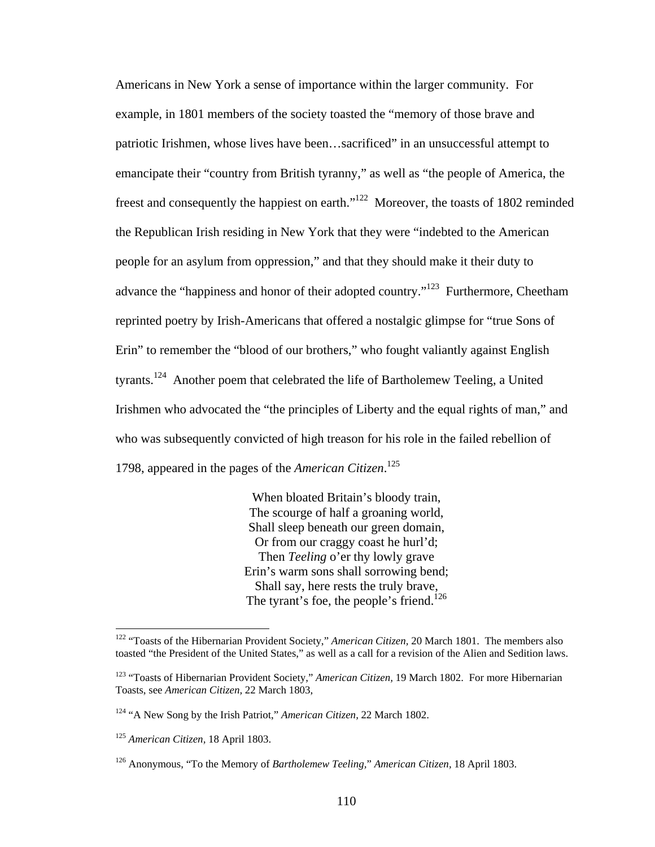Americans in New York a sense of importance within the larger community. For example, in 1801 members of the society toasted the "memory of those brave and patriotic Irishmen, whose lives have been…sacrificed" in an unsuccessful attempt to emancipate their "country from British tyranny," as well as "the people of America, the freest and consequently the happiest on earth."122 Moreover, the toasts of 1802 reminded the Republican Irish residing in New York that they were "indebted to the American people for an asylum from oppression," and that they should make it their duty to advance the "happiness and honor of their adopted country."<sup>123</sup> Furthermore, Cheetham reprinted poetry by Irish-Americans that offered a nostalgic glimpse for "true Sons of Erin" to remember the "blood of our brothers," who fought valiantly against English tyrants.124 Another poem that celebrated the life of Bartholemew Teeling, a United Irishmen who advocated the "the principles of Liberty and the equal rights of man," and who was subsequently convicted of high treason for his role in the failed rebellion of 1798, appeared in the pages of the *American Citizen*. 125

> When bloated Britain's bloody train, The scourge of half a groaning world, Shall sleep beneath our green domain, Or from our craggy coast he hurl'd; Then *Teeling* o'er thy lowly grave Erin's warm sons shall sorrowing bend; Shall say, here rests the truly brave, The tyrant's foe, the people's friend.<sup>126</sup>

<sup>122 &</sup>quot;Toasts of the Hibernarian Provident Society," *American Citizen,* 20 March 1801. The members also toasted "the President of the United States," as well as a call for a revision of the Alien and Sedition laws.

<sup>123 &</sup>quot;Toasts of Hibernarian Provident Society," *American Citizen,* 19 March 1802. For more Hibernarian Toasts, see *American Citizen,* 22 March 1803,

<sup>124 &</sup>quot;A New Song by the Irish Patriot," *American Citizen,* 22 March 1802.

<sup>125</sup> *American Citizen,* 18 April 1803.

<sup>126</sup> Anonymous, "To the Memory of *Bartholemew Teeling,*" *American Citizen,* 18 April 1803.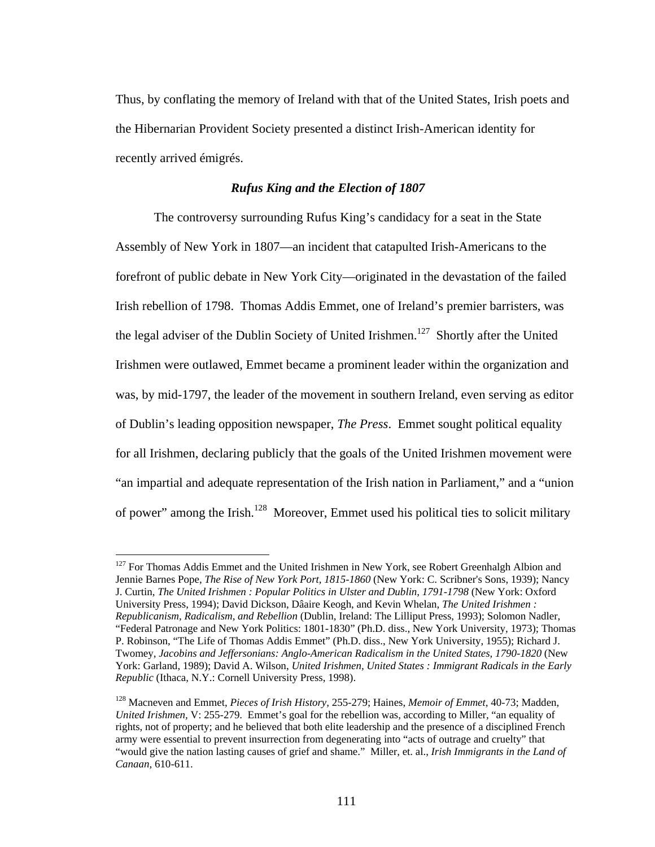Thus, by conflating the memory of Ireland with that of the United States, Irish poets and the Hibernarian Provident Society presented a distinct Irish-American identity for recently arrived émigrés.

# *Rufus King and the Election of 1807*

The controversy surrounding Rufus King's candidacy for a seat in the State Assembly of New York in 1807—an incident that catapulted Irish-Americans to the forefront of public debate in New York City—originated in the devastation of the failed Irish rebellion of 1798. Thomas Addis Emmet, one of Ireland's premier barristers, was the legal adviser of the Dublin Society of United Irishmen.<sup>127</sup> Shortly after the United Irishmen were outlawed, Emmet became a prominent leader within the organization and was, by mid-1797, the leader of the movement in southern Ireland, even serving as editor of Dublin's leading opposition newspaper, *The Press*. Emmet sought political equality for all Irishmen, declaring publicly that the goals of the United Irishmen movement were "an impartial and adequate representation of the Irish nation in Parliament," and a "union of power" among the Irish.<sup>128</sup> Moreover, Emmet used his political ties to solicit military

<sup>&</sup>lt;sup>127</sup> For Thomas Addis Emmet and the United Irishmen in New York, see Robert Greenhalgh Albion and Jennie Barnes Pope, *The Rise of New York Port, 1815-1860* (New York: C. Scribner's Sons, 1939); Nancy J. Curtin, *The United Irishmen : Popular Politics in Ulster and Dublin, 1791-1798* (New York: Oxford University Press, 1994); David Dickson, Dâaire Keogh, and Kevin Whelan, *The United Irishmen : Republicanism, Radicalism, and Rebellion* (Dublin, Ireland: The Lilliput Press, 1993); Solomon Nadler, "Federal Patronage and New York Politics: 1801-1830" (Ph.D. diss., New York University, 1973); Thomas P. Robinson, "The Life of Thomas Addis Emmet" (Ph.D. diss., New York University, 1955); Richard J. Twomey, *Jacobins and Jeffersonians: Anglo-American Radicalism in the United States, 1790-1820* (New York: Garland, 1989); David A. Wilson, *United Irishmen, United States : Immigrant Radicals in the Early Republic* (Ithaca, N.Y.: Cornell University Press, 1998).

<sup>128</sup> Macneven and Emmet, *Pieces of Irish History,* 255-279; Haines, *Memoir of Emmet,* 40-73; Madden, *United Irishmen,* V: 255-279. Emmet's goal for the rebellion was, according to Miller, "an equality of rights, not of property; and he believed that both elite leadership and the presence of a disciplined French army were essential to prevent insurrection from degenerating into "acts of outrage and cruelty" that "would give the nation lasting causes of grief and shame." Miller, et. al., *Irish Immigrants in the Land of Canaan,* 610-611.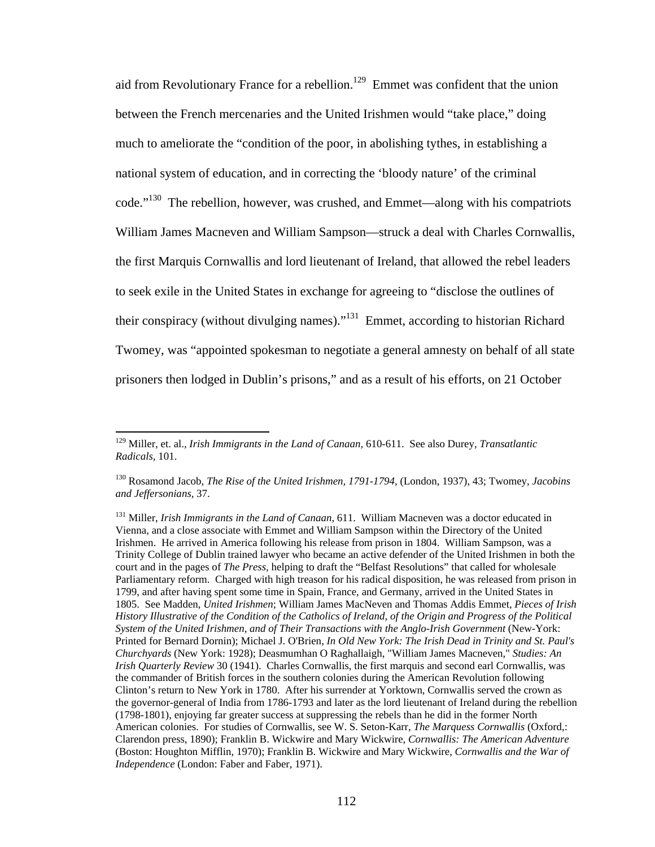aid from Revolutionary France for a rebellion.<sup>129</sup> Emmet was confident that the union between the French mercenaries and the United Irishmen would "take place," doing much to ameliorate the "condition of the poor, in abolishing tythes, in establishing a national system of education, and in correcting the 'bloody nature' of the criminal code."130 The rebellion, however, was crushed, and Emmet—along with his compatriots William James Macneven and William Sampson—struck a deal with Charles Cornwallis, the first Marquis Cornwallis and lord lieutenant of Ireland, that allowed the rebel leaders to seek exile in the United States in exchange for agreeing to "disclose the outlines of their conspiracy (without divulging names)."131 Emmet, according to historian Richard Twomey, was "appointed spokesman to negotiate a general amnesty on behalf of all state prisoners then lodged in Dublin's prisons," and as a result of his efforts, on 21 October

<sup>129</sup> Miller, et. al., *Irish Immigrants in the Land of Canaan,* 610-611. See also Durey, *Transatlantic Radicals,* 101.

<sup>130</sup> Rosamond Jacob, *The Rise of the United Irishmen, 1791-1794,* (London, 1937), 43; Twomey, *Jacobins and Jeffersonians,* 37.

<sup>131</sup> Miller, *Irish Immigrants in the Land of Canaan*, 611. William Macneven was a doctor educated in Vienna, and a close associate with Emmet and William Sampson within the Directory of the United Irishmen. He arrived in America following his release from prison in 1804. William Sampson, was a Trinity College of Dublin trained lawyer who became an active defender of the United Irishmen in both the court and in the pages of *The Press,* helping to draft the "Belfast Resolutions" that called for wholesale Parliamentary reform. Charged with high treason for his radical disposition, he was released from prison in 1799, and after having spent some time in Spain, France, and Germany, arrived in the United States in 1805. See Madden, *United Irishmen*; William James MacNeven and Thomas Addis Emmet, *Pieces of Irish History Illustrative of the Condition of the Catholics of Ireland, of the Origin and Progress of the Political System of the United Irishmen, and of Their Transactions with the Anglo-Irish Government* (New-York: Printed for Bernard Dornin); Michael J. O'Brien, *In Old New York: The Irish Dead in Trinity and St. Paul's Churchyards* (New York: 1928); Deasmumhan O Raghallaigh, "William James Macneven," *Studies: An Irish Quarterly Review* 30 (1941). Charles Cornwallis, the first marquis and second earl Cornwallis, was the commander of British forces in the southern colonies during the American Revolution following Clinton's return to New York in 1780. After his surrender at Yorktown, Cornwallis served the crown as the governor-general of India from 1786-1793 and later as the lord lieutenant of Ireland during the rebellion (1798-1801), enjoying far greater success at suppressing the rebels than he did in the former North American colonies. For studies of Cornwallis, see W. S. Seton-Karr, *The Marquess Cornwallis* (Oxford,: Clarendon press, 1890); Franklin B. Wickwire and Mary Wickwire, *Cornwallis: The American Adventure* (Boston: Houghton Mifflin, 1970); Franklin B. Wickwire and Mary Wickwire, *Cornwallis and the War of Independence* (London: Faber and Faber, 1971).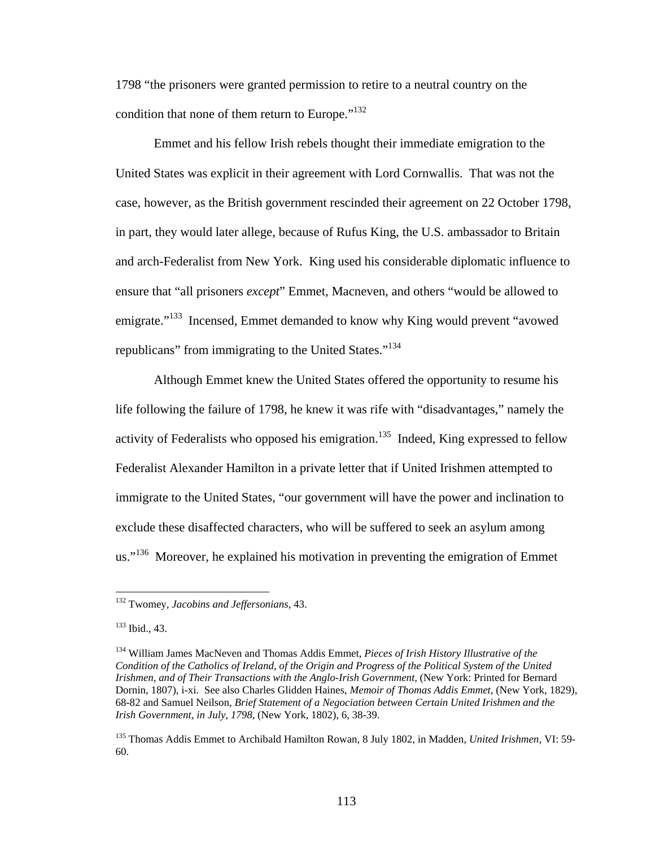1798 "the prisoners were granted permission to retire to a neutral country on the condition that none of them return to Europe."<sup>132</sup>

Emmet and his fellow Irish rebels thought their immediate emigration to the United States was explicit in their agreement with Lord Cornwallis. That was not the case, however, as the British government rescinded their agreement on 22 October 1798, in part, they would later allege, because of Rufus King, the U.S. ambassador to Britain and arch-Federalist from New York. King used his considerable diplomatic influence to ensure that "all prisoners *except*" Emmet, Macneven, and others "would be allowed to emigrate."<sup>133</sup> Incensed, Emmet demanded to know why King would prevent "avowed" republicans" from immigrating to the United States."<sup>134</sup>

Although Emmet knew the United States offered the opportunity to resume his life following the failure of 1798, he knew it was rife with "disadvantages," namely the activity of Federalists who opposed his emigration.<sup>135</sup> Indeed, King expressed to fellow Federalist Alexander Hamilton in a private letter that if United Irishmen attempted to immigrate to the United States, "our government will have the power and inclination to exclude these disaffected characters, who will be suffered to seek an asylum among us."<sup>136</sup> Moreover, he explained his motivation in preventing the emigration of Emmet

<sup>132</sup> Twomey, *Jacobins and Jeffersonians,* 43.

<sup>133</sup> Ibid.*,* 43.

<sup>134</sup> William James MacNeven and Thomas Addis Emmet, *Pieces of Irish History Illustrative of the Condition of the Catholics of Ireland, of the Origin and Progress of the Political System of the United Irishmen, and of Their Transactions with the Anglo-Irish Government,* (New York: Printed for Bernard Dornin, 1807), i-xi. See also Charles Glidden Haines, *Memoir of Thomas Addis Emmet,* (New York, 1829), 68-82 and Samuel Neilson, *Brief Statement of a Negociation between Certain United Irishmen and the Irish Government, in July, 1798,* (New York, 1802), 6, 38-39.

<sup>135</sup> Thomas Addis Emmet to Archibald Hamilton Rowan, 8 July 1802, in Madden, *United Irishmen,* VI: 59- 60.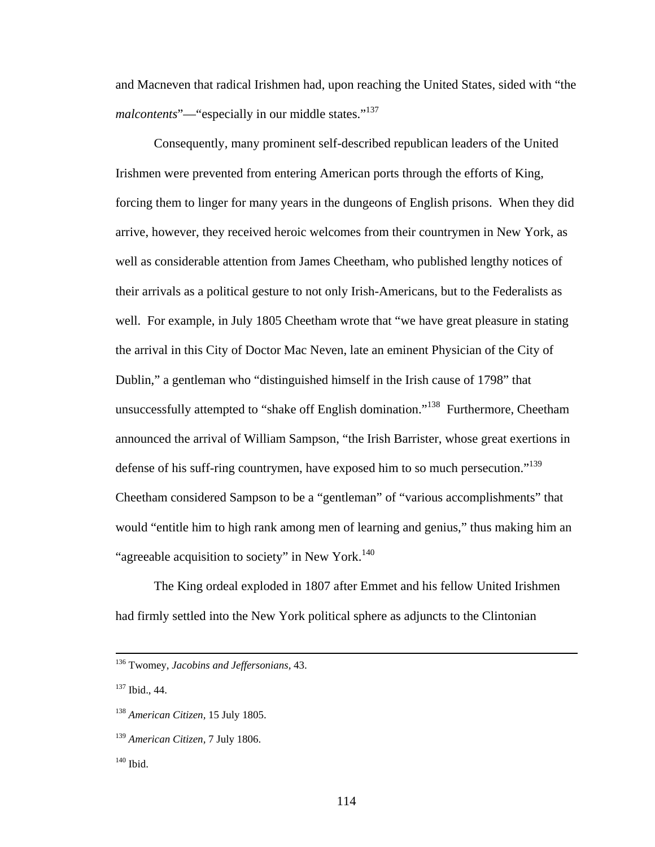and Macneven that radical Irishmen had, upon reaching the United States, sided with "the *malcontents*"—"especially in our middle states."<sup>137</sup>

 Consequently, many prominent self-described republican leaders of the United Irishmen were prevented from entering American ports through the efforts of King, forcing them to linger for many years in the dungeons of English prisons. When they did arrive, however, they received heroic welcomes from their countrymen in New York, as well as considerable attention from James Cheetham, who published lengthy notices of their arrivals as a political gesture to not only Irish-Americans, but to the Federalists as well. For example, in July 1805 Cheetham wrote that "we have great pleasure in stating the arrival in this City of Doctor Mac Neven, late an eminent Physician of the City of Dublin," a gentleman who "distinguished himself in the Irish cause of 1798" that unsuccessfully attempted to "shake off English domination."138 Furthermore, Cheetham announced the arrival of William Sampson, "the Irish Barrister, whose great exertions in defense of his suff-ring countrymen, have exposed him to so much persecution."<sup>139</sup> Cheetham considered Sampson to be a "gentleman" of "various accomplishments" that would "entitle him to high rank among men of learning and genius," thus making him an "agreeable acquisition to society" in New York.<sup>140</sup>

 The King ordeal exploded in 1807 after Emmet and his fellow United Irishmen had firmly settled into the New York political sphere as adjuncts to the Clintonian

137 Ibid., 44.

 <sup>136</sup> Twomey, *Jacobins and Jeffersonians,* 43.

<sup>138</sup> *American Citizen,* 15 July 1805.

<sup>139</sup> *American Citizen,* 7 July 1806.

 $140$  Ibid.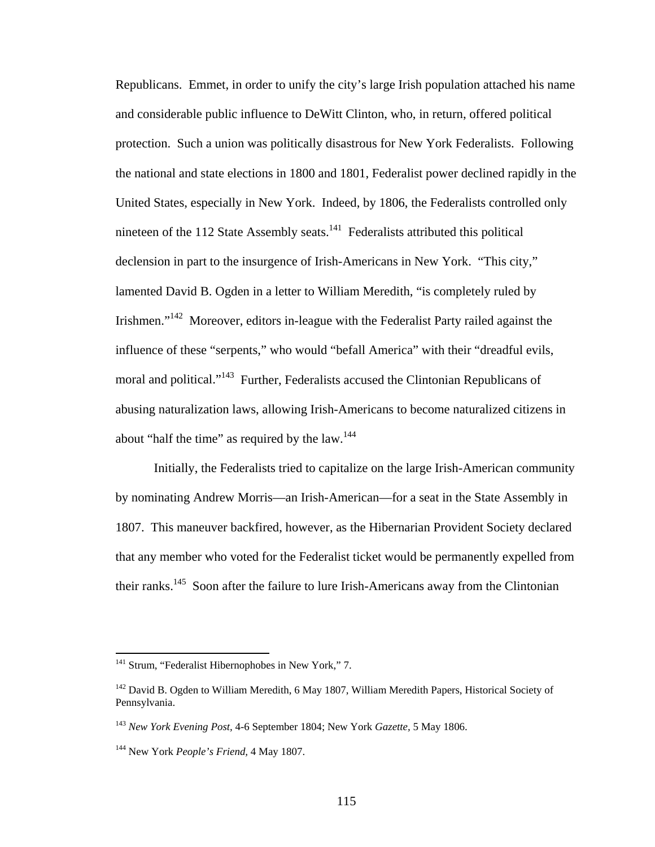Republicans. Emmet, in order to unify the city's large Irish population attached his name and considerable public influence to DeWitt Clinton, who, in return, offered political protection. Such a union was politically disastrous for New York Federalists. Following the national and state elections in 1800 and 1801, Federalist power declined rapidly in the United States, especially in New York. Indeed, by 1806, the Federalists controlled only nineteen of the 112 State Assembly seats.<sup>141</sup> Federalists attributed this political declension in part to the insurgence of Irish-Americans in New York. "This city," lamented David B. Ogden in a letter to William Meredith, "is completely ruled by Irishmen."<sup>142</sup> Moreover, editors in-league with the Federalist Party railed against the influence of these "serpents," who would "befall America" with their "dreadful evils, moral and political."143 Further, Federalists accused the Clintonian Republicans of abusing naturalization laws, allowing Irish-Americans to become naturalized citizens in about "half the time" as required by the law.<sup>144</sup>

Initially, the Federalists tried to capitalize on the large Irish-American community by nominating Andrew Morris—an Irish-American—for a seat in the State Assembly in 1807. This maneuver backfired, however, as the Hibernarian Provident Society declared that any member who voted for the Federalist ticket would be permanently expelled from their ranks.<sup>145</sup> Soon after the failure to lure Irish-Americans away from the Clintonian

<sup>&</sup>lt;sup>141</sup> Strum, "Federalist Hibernophobes in New York," 7.

<sup>&</sup>lt;sup>142</sup> David B. Ogden to William Meredith, 6 May 1807, William Meredith Papers, Historical Society of Pennsylvania.

<sup>143</sup> *New York Evening Post,* 4-6 September 1804; New York *Gazette,* 5 May 1806.

<sup>144</sup> New York *People's Friend,* 4 May 1807.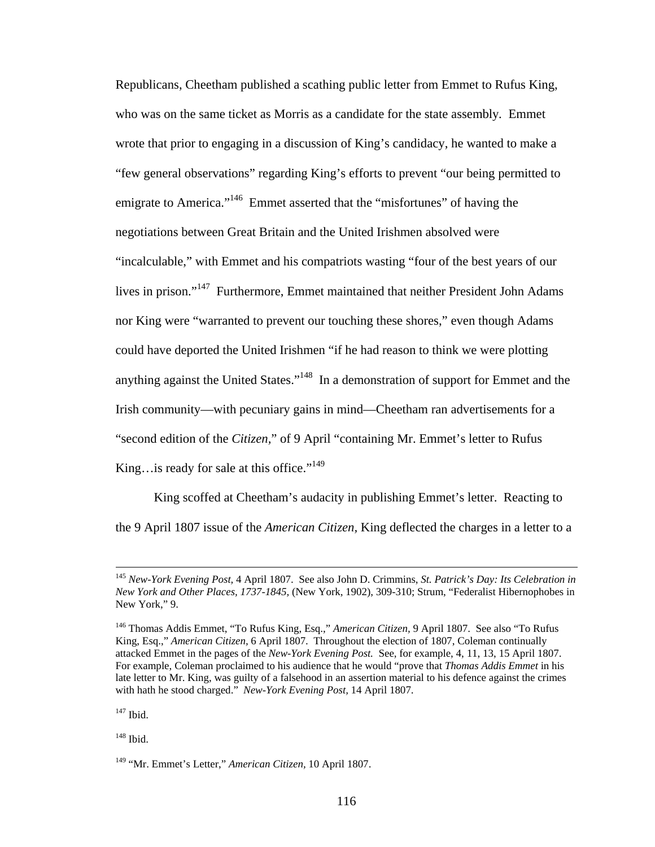Republicans, Cheetham published a scathing public letter from Emmet to Rufus King, who was on the same ticket as Morris as a candidate for the state assembly*.* Emmet wrote that prior to engaging in a discussion of King's candidacy, he wanted to make a "few general observations" regarding King's efforts to prevent "our being permitted to emigrate to America."<sup>146</sup> Emmet asserted that the "misfortunes" of having the negotiations between Great Britain and the United Irishmen absolved were "incalculable," with Emmet and his compatriots wasting "four of the best years of our lives in prison."<sup>147</sup> Furthermore, Emmet maintained that neither President John Adams nor King were "warranted to prevent our touching these shores," even though Adams could have deported the United Irishmen "if he had reason to think we were plotting anything against the United States."148 In a demonstration of support for Emmet and the Irish community—with pecuniary gains in mind—Cheetham ran advertisements for a "second edition of the *Citizen,*" of 9 April "containing Mr. Emmet's letter to Rufus King…is ready for sale at this office." $149$ 

 King scoffed at Cheetham's audacity in publishing Emmet's letter. Reacting to the 9 April 1807 issue of the *American Citizen,* King deflected the charges in a letter to a

<sup>147</sup> Ibid.

148 Ibid.

 <sup>145</sup> *New-York Evening Post,* 4 April 1807. See also John D. Crimmins, *St. Patrick's Day: Its Celebration in New York and Other Places, 1737-1845,* (New York, 1902), 309-310; Strum, "Federalist Hibernophobes in New York," 9.

<sup>146</sup> Thomas Addis Emmet, "To Rufus King, Esq.," *American Citizen,* 9 April 1807. See also "To Rufus King, Esq.," *American Citizen,* 6 April 1807. Throughout the election of 1807, Coleman continually attacked Emmet in the pages of the *New-York Evening Post.* See, for example, 4, 11, 13, 15 April 1807. For example, Coleman proclaimed to his audience that he would "prove that *Thomas Addis Emmet* in his late letter to Mr. King, was guilty of a falsehood in an assertion material to his defence against the crimes with hath he stood charged." *New-York Evening Post,* 14 April 1807.

<sup>149 &</sup>quot;Mr. Emmet's Letter," *American Citizen,* 10 April 1807.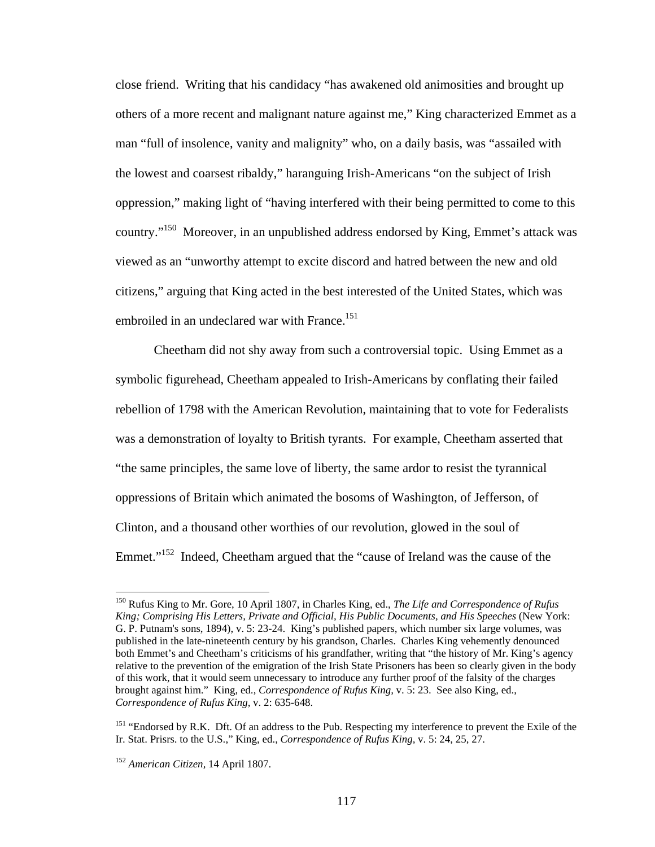close friend. Writing that his candidacy "has awakened old animosities and brought up others of a more recent and malignant nature against me," King characterized Emmet as a man "full of insolence, vanity and malignity" who, on a daily basis, was "assailed with the lowest and coarsest ribaldy," haranguing Irish-Americans "on the subject of Irish oppression," making light of "having interfered with their being permitted to come to this country."150 Moreover, in an unpublished address endorsed by King, Emmet's attack was viewed as an "unworthy attempt to excite discord and hatred between the new and old citizens," arguing that King acted in the best interested of the United States, which was embroiled in an undeclared war with France.<sup>151</sup>

Cheetham did not shy away from such a controversial topic. Using Emmet as a symbolic figurehead, Cheetham appealed to Irish-Americans by conflating their failed rebellion of 1798 with the American Revolution, maintaining that to vote for Federalists was a demonstration of loyalty to British tyrants. For example, Cheetham asserted that "the same principles, the same love of liberty, the same ardor to resist the tyrannical oppressions of Britain which animated the bosoms of Washington, of Jefferson, of Clinton, and a thousand other worthies of our revolution, glowed in the soul of Emmet."<sup>152</sup> Indeed, Cheetham argued that the "cause of Ireland was the cause of the

<sup>150</sup> Rufus King to Mr. Gore, 10 April 1807, in Charles King, ed., *The Life and Correspondence of Rufus King; Comprising His Letters, Private and Official, His Public Documents, and His Speeches* (New York: G. P. Putnam's sons, 1894), v. 5: 23-24. King's published papers, which number six large volumes, was published in the late-nineteenth century by his grandson, Charles. Charles King vehemently denounced both Emmet's and Cheetham's criticisms of his grandfather, writing that "the history of Mr. King's agency relative to the prevention of the emigration of the Irish State Prisoners has been so clearly given in the body of this work, that it would seem unnecessary to introduce any further proof of the falsity of the charges brought against him." King, ed., *Correspondence of Rufus King,* v. 5: 23. See also King, ed., *Correspondence of Rufus King,* v. 2: 635-648.

<sup>&</sup>lt;sup>151</sup> "Endorsed by R.K. Dft. Of an address to the Pub. Respecting my interference to prevent the Exile of the Ir. Stat. Prisrs. to the U.S.," King, ed., *Correspondence of Rufus King,* v. 5: 24, 25, 27.

<sup>152</sup> *American Citizen,* 14 April 1807.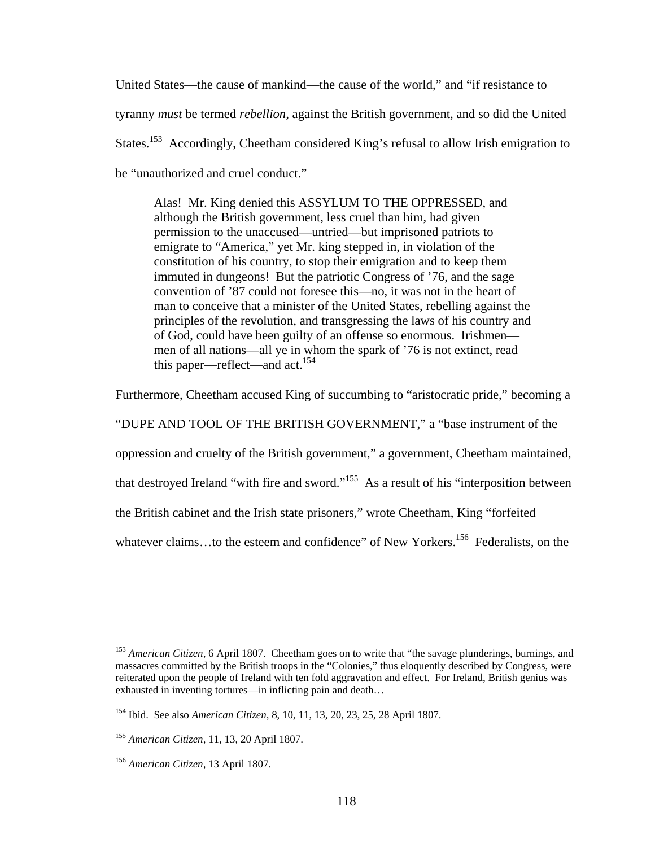United States—the cause of mankind—the cause of the world," and "if resistance to tyranny *must* be termed *rebellion,* against the British government, and so did the United States.<sup>153</sup> Accordingly, Cheetham considered King's refusal to allow Irish emigration to be "unauthorized and cruel conduct."

Alas! Mr. King denied this ASSYLUM TO THE OPPRESSED, and although the British government, less cruel than him, had given permission to the unaccused—untried—but imprisoned patriots to emigrate to "America," yet Mr. king stepped in, in violation of the constitution of his country, to stop their emigration and to keep them immuted in dungeons! But the patriotic Congress of '76, and the sage convention of '87 could not foresee this—no, it was not in the heart of man to conceive that a minister of the United States, rebelling against the principles of the revolution, and transgressing the laws of his country and of God, could have been guilty of an offense so enormous. Irishmen men of all nations—all ye in whom the spark of '76 is not extinct, read this paper—reflect—and act.<sup>154</sup>

Furthermore, Cheetham accused King of succumbing to "aristocratic pride," becoming a

"DUPE AND TOOL OF THE BRITISH GOVERNMENT," a "base instrument of the

oppression and cruelty of the British government," a government, Cheetham maintained,

that destroyed Ireland "with fire and sword."155 As a result of his "interposition between

the British cabinet and the Irish state prisoners," wrote Cheetham, King "forfeited

whatever claims...to the esteem and confidence" of New Yorkers.<sup>156</sup> Federalists, on the

<sup>153</sup> *American Citizen,* 6 April 1807. Cheetham goes on to write that "the savage plunderings, burnings, and massacres committed by the British troops in the "Colonies," thus eloquently described by Congress, were reiterated upon the people of Ireland with ten fold aggravation and effect. For Ireland, British genius was exhausted in inventing tortures—in inflicting pain and death…

<sup>154</sup> Ibid. See also *American Citizen,* 8, 10, 11, 13, 20, 23, 25, 28 April 1807.

<sup>155</sup> *American Citizen,* 11, 13, 20 April 1807.

<sup>156</sup> *American Citizen,* 13 April 1807.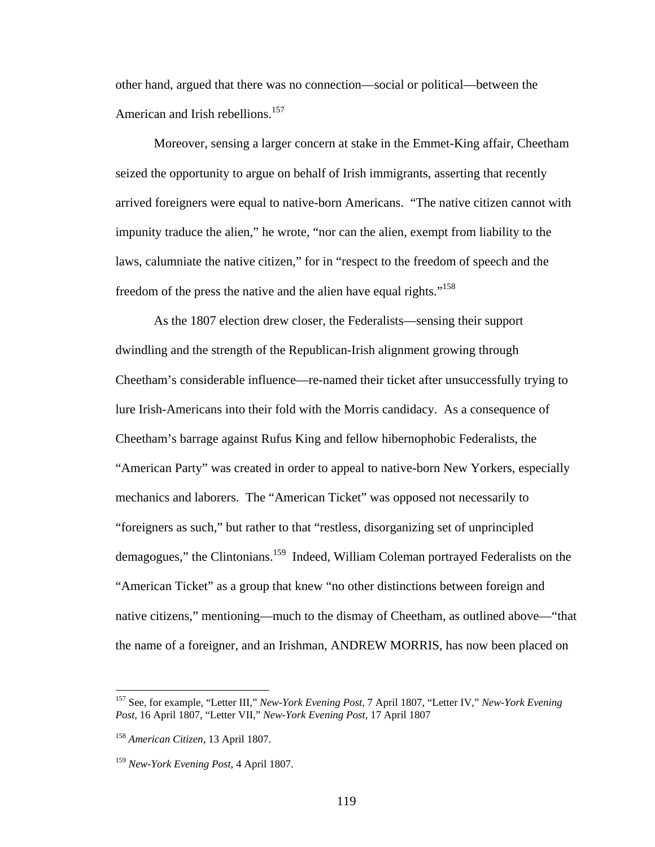other hand, argued that there was no connection—social or political—between the American and Irish rebellions.<sup>157</sup>

Moreover, sensing a larger concern at stake in the Emmet-King affair, Cheetham seized the opportunity to argue on behalf of Irish immigrants, asserting that recently arrived foreigners were equal to native-born Americans. "The native citizen cannot with impunity traduce the alien," he wrote, "nor can the alien, exempt from liability to the laws, calumniate the native citizen," for in "respect to the freedom of speech and the freedom of the press the native and the alien have equal rights."<sup>158</sup>

 As the 1807 election drew closer, the Federalists—sensing their support dwindling and the strength of the Republican-Irish alignment growing through Cheetham's considerable influence—re-named their ticket after unsuccessfully trying to lure Irish-Americans into their fold with the Morris candidacy. As a consequence of Cheetham's barrage against Rufus King and fellow hibernophobic Federalists, the "American Party" was created in order to appeal to native-born New Yorkers, especially mechanics and laborers. The "American Ticket" was opposed not necessarily to "foreigners as such," but rather to that "restless, disorganizing set of unprincipled demagogues," the Clintonians.<sup>159</sup> Indeed, William Coleman portrayed Federalists on the "American Ticket" as a group that knew "no other distinctions between foreign and native citizens," mentioning—much to the dismay of Cheetham, as outlined above—"that the name of a foreigner, and an Irishman, ANDREW MORRIS, has now been placed on

1

<sup>157</sup> See, for example, "Letter III," *New-York Evening Post,* 7 April 1807, "Letter IV," *New-York Evening Post,* 16 April 1807, "Letter VII," *New-York Evening Post,* 17 April 1807

<sup>158</sup> *American Citizen,* 13 April 1807.

<sup>159</sup> *New-York Evening Post,* 4 April 1807.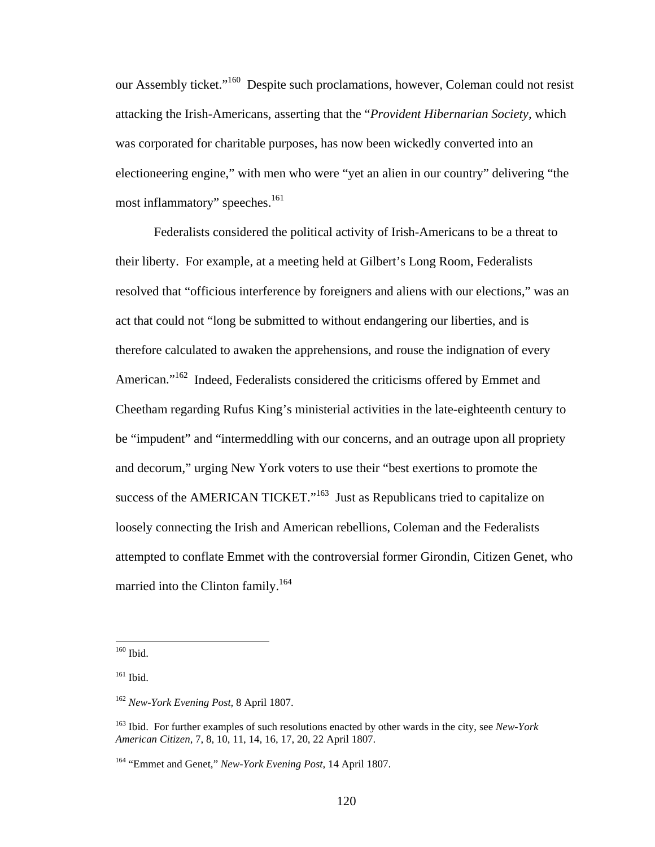our Assembly ticket."<sup>160</sup> Despite such proclamations, however, Coleman could not resist attacking the Irish-Americans, asserting that the "*Provident Hibernarian Society,* which was corporated for charitable purposes, has now been wickedly converted into an electioneering engine," with men who were "yet an alien in our country" delivering "the most inflammatory" speeches.<sup>161</sup>

Federalists considered the political activity of Irish-Americans to be a threat to their liberty. For example, at a meeting held at Gilbert's Long Room, Federalists resolved that "officious interference by foreigners and aliens with our elections," was an act that could not "long be submitted to without endangering our liberties, and is therefore calculated to awaken the apprehensions, and rouse the indignation of every American."<sup>162</sup> Indeed, Federalists considered the criticisms offered by Emmet and Cheetham regarding Rufus King's ministerial activities in the late-eighteenth century to be "impudent" and "intermeddling with our concerns, and an outrage upon all propriety and decorum," urging New York voters to use their "best exertions to promote the success of the AMERICAN TICKET."<sup>163</sup> Just as Republicans tried to capitalize on loosely connecting the Irish and American rebellions, Coleman and the Federalists attempted to conflate Emmet with the controversial former Girondin, Citizen Genet, who married into the Clinton family.<sup>164</sup>

<sup>160</sup> Ibid.

<sup>&</sup>lt;sup>161</sup> Ibid.

<sup>162</sup> *New-York Evening Post,* 8 April 1807.

<sup>163</sup> Ibid. For further examples of such resolutions enacted by other wards in the city, see *New-York American Citizen,* 7, 8, 10, 11, 14, 16, 17, 20, 22 April 1807.

<sup>164 &</sup>quot;Emmet and Genet," *New-York Evening Post,* 14 April 1807.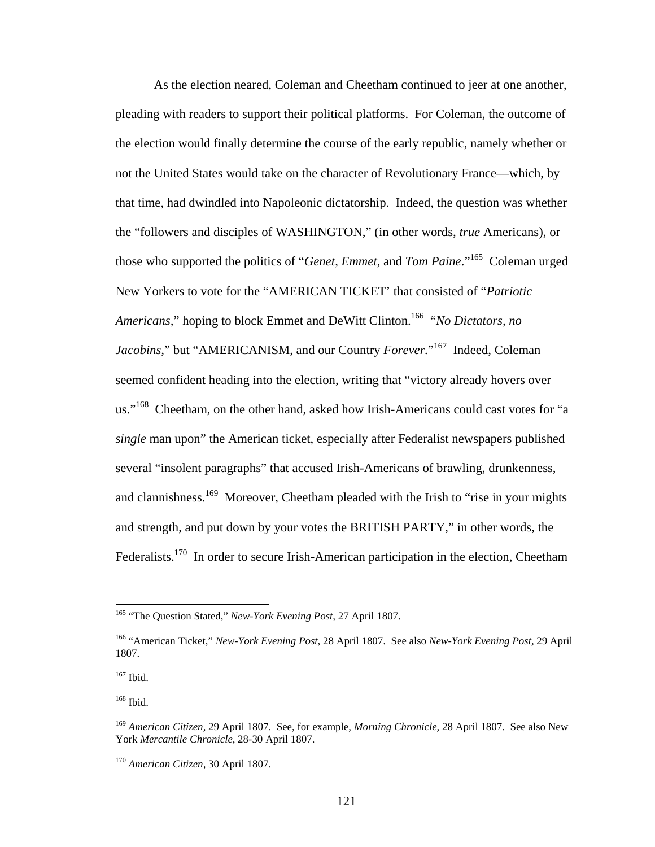As the election neared, Coleman and Cheetham continued to jeer at one another, pleading with readers to support their political platforms. For Coleman, the outcome of the election would finally determine the course of the early republic, namely whether or not the United States would take on the character of Revolutionary France—which, by that time, had dwindled into Napoleonic dictatorship. Indeed, the question was whether the "followers and disciples of WASHINGTON," (in other words, *true* Americans), or those who supported the politics of "*Genet, Emmet,* and *Tom Paine*."165 Coleman urged New Yorkers to vote for the "AMERICAN TICKET' that consisted of "*Patriotic Americans,*" hoping to block Emmet and DeWitt Clinton.166 "*No Dictators, no Jacobins,*" but "AMERICANISM, and our Country *Forever.*" 167 Indeed, Coleman seemed confident heading into the election, writing that "victory already hovers over us."<sup>168</sup> Cheetham, on the other hand, asked how Irish-Americans could cast votes for "a *single* man upon" the American ticket, especially after Federalist newspapers published several "insolent paragraphs" that accused Irish-Americans of brawling, drunkenness, and clannishness.<sup>169</sup> Moreover, Cheetham pleaded with the Irish to "rise in your mights" and strength, and put down by your votes the BRITISH PARTY," in other words, the Federalists.<sup>170</sup> In order to secure Irish-American participation in the election, Cheetham

1

168 Ibid.

<sup>165 &</sup>quot;The Question Stated," *New-York Evening Post,* 27 April 1807.

<sup>166 &</sup>quot;American Ticket," *New-York Evening Post,* 28 April 1807. See also *New-York Evening Post,* 29 April 1807.

<sup>167</sup> Ibid.

<sup>169</sup> *American Citizen,* 29 April 1807. See, for example, *Morning Chronicle,* 28 April 1807. See also New York *Mercantile Chronicle,* 28-30 April 1807.

<sup>170</sup> *American Citizen,* 30 April 1807.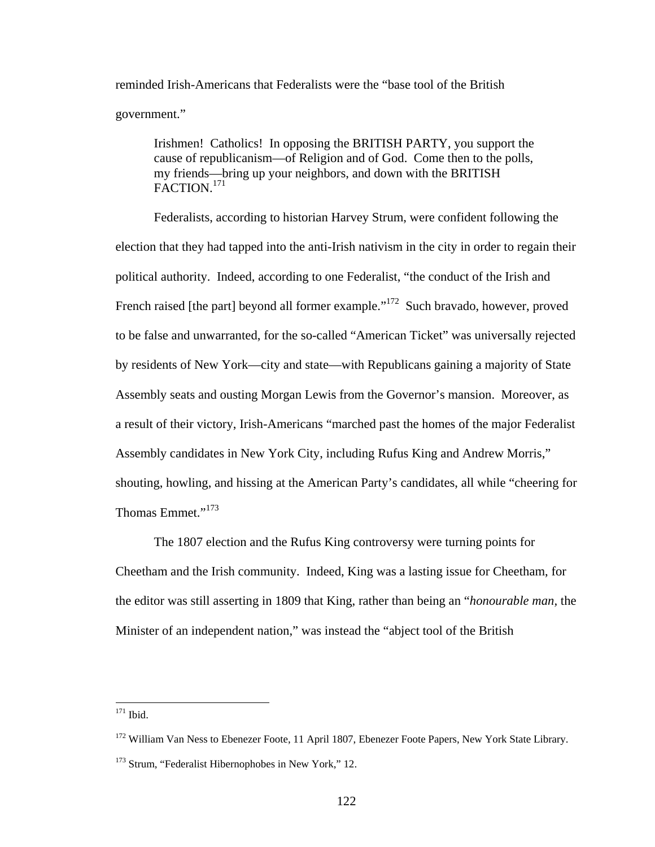reminded Irish-Americans that Federalists were the "base tool of the British government."

Irishmen! Catholics! In opposing the BRITISH PARTY, you support the cause of republicanism—of Religion and of God. Come then to the polls, my friends—bring up your neighbors, and down with the BRITISH FACTION.<sup>171</sup>

 Federalists, according to historian Harvey Strum, were confident following the election that they had tapped into the anti-Irish nativism in the city in order to regain their political authority. Indeed, according to one Federalist, "the conduct of the Irish and French raised [the part] beyond all former example."<sup>172</sup> Such bravado, however, proved to be false and unwarranted, for the so-called "American Ticket" was universally rejected by residents of New York—city and state—with Republicans gaining a majority of State Assembly seats and ousting Morgan Lewis from the Governor's mansion. Moreover, as a result of their victory, Irish-Americans "marched past the homes of the major Federalist Assembly candidates in New York City, including Rufus King and Andrew Morris," shouting, howling, and hissing at the American Party's candidates, all while "cheering for Thomas Emmet."<sup>173</sup>

 The 1807 election and the Rufus King controversy were turning points for Cheetham and the Irish community. Indeed, King was a lasting issue for Cheetham, for the editor was still asserting in 1809 that King, rather than being an "*honourable man,* the Minister of an independent nation," was instead the "abject tool of the British

<sup>&</sup>lt;sup>171</sup> Ibid.

<sup>&</sup>lt;sup>172</sup> William Van Ness to Ebenezer Foote, 11 April 1807, Ebenezer Foote Papers, New York State Library.

<sup>&</sup>lt;sup>173</sup> Strum, "Federalist Hibernophobes in New York," 12.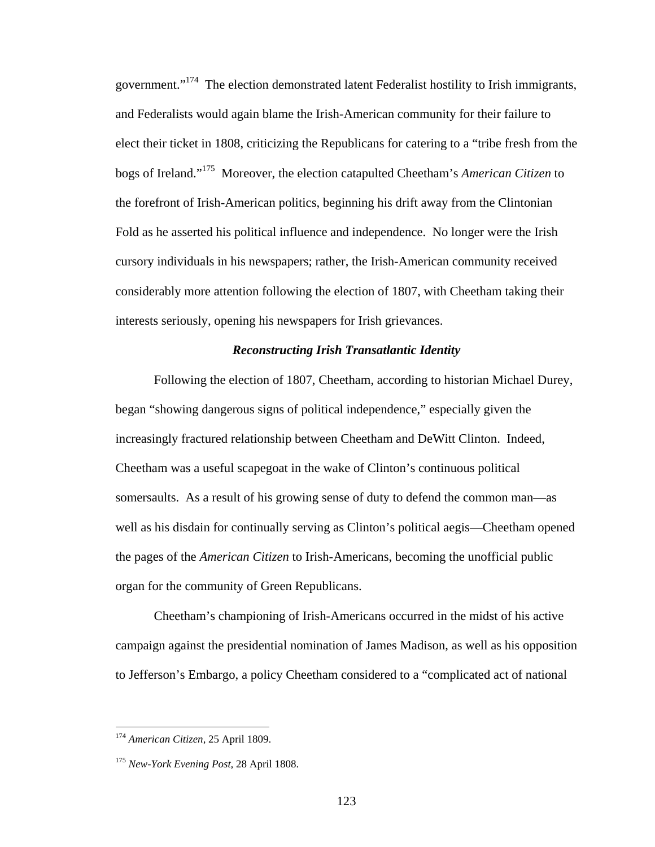government."<sup>174</sup> The election demonstrated latent Federalist hostility to Irish immigrants, and Federalists would again blame the Irish-American community for their failure to elect their ticket in 1808, criticizing the Republicans for catering to a "tribe fresh from the bogs of Ireland."175 Moreover, the election catapulted Cheetham's *American Citizen* to the forefront of Irish-American politics, beginning his drift away from the Clintonian Fold as he asserted his political influence and independence. No longer were the Irish cursory individuals in his newspapers; rather, the Irish-American community received considerably more attention following the election of 1807, with Cheetham taking their interests seriously, opening his newspapers for Irish grievances.

## *Reconstructing Irish Transatlantic Identity*

Following the election of 1807, Cheetham, according to historian Michael Durey, began "showing dangerous signs of political independence," especially given the increasingly fractured relationship between Cheetham and DeWitt Clinton. Indeed, Cheetham was a useful scapegoat in the wake of Clinton's continuous political somersaults. As a result of his growing sense of duty to defend the common man—as well as his disdain for continually serving as Clinton's political aegis—Cheetham opened the pages of the *American Citizen* to Irish-Americans, becoming the unofficial public organ for the community of Green Republicans.

Cheetham's championing of Irish-Americans occurred in the midst of his active campaign against the presidential nomination of James Madison, as well as his opposition to Jefferson's Embargo, a policy Cheetham considered to a "complicated act of national

<sup>174</sup> *American Citizen,* 25 April 1809.

<sup>175</sup> *New-York Evening Post,* 28 April 1808.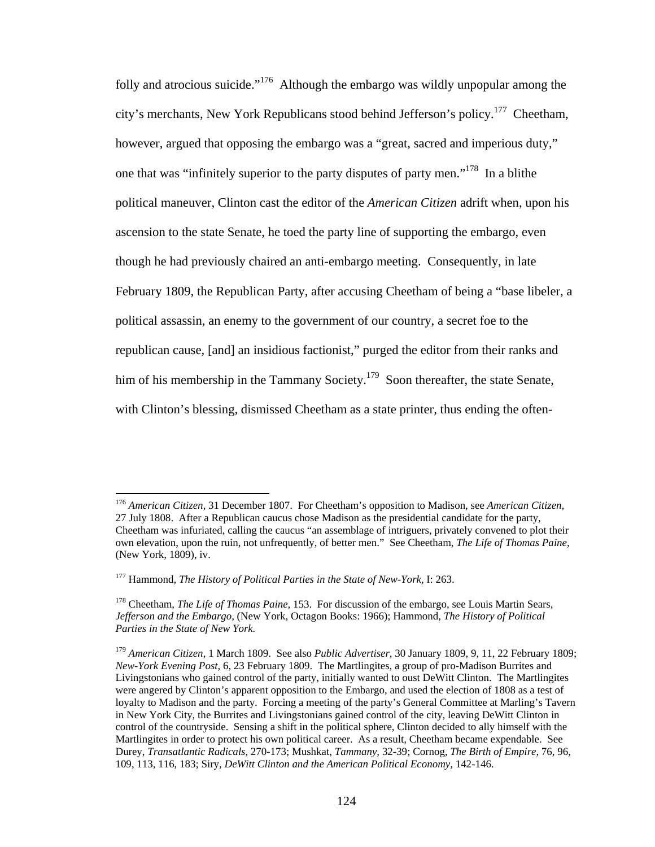folly and atrocious suicide."176 Although the embargo was wildly unpopular among the city's merchants, New York Republicans stood behind Jefferson's policy.177 Cheetham, however, argued that opposing the embargo was a "great, sacred and imperious duty," one that was "infinitely superior to the party disputes of party men."178 In a blithe political maneuver, Clinton cast the editor of the *American Citizen* adrift when, upon his ascension to the state Senate, he toed the party line of supporting the embargo, even though he had previously chaired an anti-embargo meeting. Consequently, in late February 1809, the Republican Party, after accusing Cheetham of being a "base libeler, a political assassin, an enemy to the government of our country, a secret foe to the republican cause, [and] an insidious factionist," purged the editor from their ranks and him of his membership in the Tammany Society.<sup>179</sup> Soon thereafter, the state Senate, with Clinton's blessing, dismissed Cheetham as a state printer, thus ending the often-

<sup>176</sup> *American Citizen,* 31 December 1807. For Cheetham's opposition to Madison, see *American Citizen,*  27 July 1808. After a Republican caucus chose Madison as the presidential candidate for the party, Cheetham was infuriated, calling the caucus "an assemblage of intriguers, privately convened to plot their own elevation, upon the ruin, not unfrequently, of better men." See Cheetham, *The Life of Thomas Paine,*  (New York, 1809), iv.

<sup>177</sup> Hammond, *The History of Political Parties in the State of New-York,* I: 263.

<sup>178</sup> Cheetham, *The Life of Thomas Paine,* 153. For discussion of the embargo, see Louis Martin Sears, *Jefferson and the Embargo,* (New York, Octagon Books: 1966); Hammond, *The History of Political Parties in the State of New York.* 

<sup>179</sup> *American Citizen,* 1 March 1809. See also *Public Advertiser,* 30 January 1809, 9, 11, 22 February 1809; *New-York Evening Post,* 6, 23 February 1809. The Martlingites, a group of pro-Madison Burrites and Livingstonians who gained control of the party, initially wanted to oust DeWitt Clinton. The Martlingites were angered by Clinton's apparent opposition to the Embargo, and used the election of 1808 as a test of loyalty to Madison and the party. Forcing a meeting of the party's General Committee at Marling's Tavern in New York City, the Burrites and Livingstonians gained control of the city, leaving DeWitt Clinton in control of the countryside. Sensing a shift in the political sphere, Clinton decided to ally himself with the Martlingites in order to protect his own political career. As a result, Cheetham became expendable. See Durey, *Transatlantic Radicals,* 270-173; Mushkat, *Tammany,* 32-39; Cornog, *The Birth of Empire,* 76, 96, 109, 113, 116, 183; Siry, *DeWitt Clinton and the American Political Economy,* 142-146.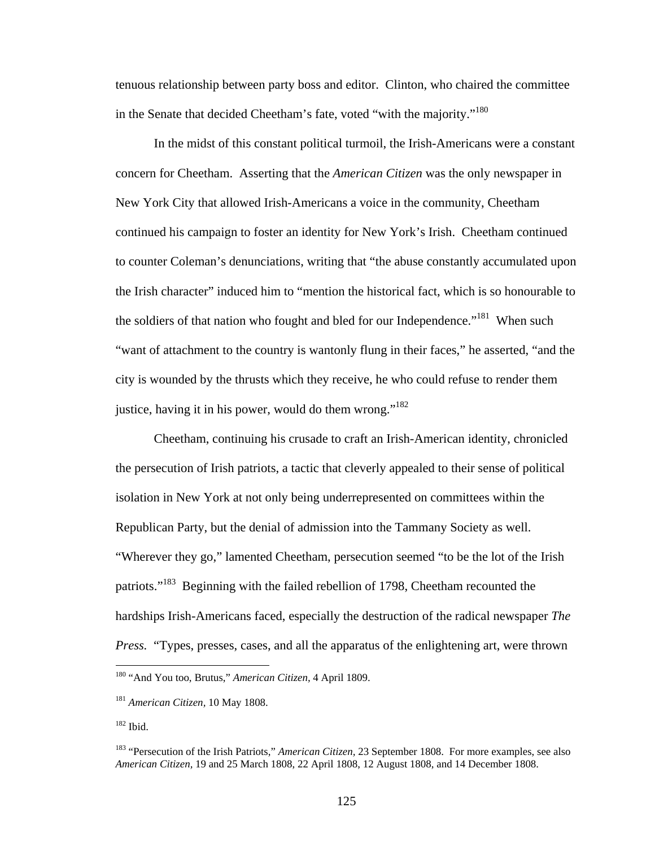tenuous relationship between party boss and editor. Clinton, who chaired the committee in the Senate that decided Cheetham's fate, voted "with the majority."180

 In the midst of this constant political turmoil, the Irish-Americans were a constant concern for Cheetham. Asserting that the *American Citizen* was the only newspaper in New York City that allowed Irish-Americans a voice in the community, Cheetham continued his campaign to foster an identity for New York's Irish. Cheetham continued to counter Coleman's denunciations, writing that "the abuse constantly accumulated upon the Irish character" induced him to "mention the historical fact, which is so honourable to the soldiers of that nation who fought and bled for our Independence."<sup>181</sup> When such "want of attachment to the country is wantonly flung in their faces," he asserted, "and the city is wounded by the thrusts which they receive, he who could refuse to render them justice, having it in his power, would do them wrong." $182$ 

 Cheetham, continuing his crusade to craft an Irish-American identity, chronicled the persecution of Irish patriots, a tactic that cleverly appealed to their sense of political isolation in New York at not only being underrepresented on committees within the Republican Party, but the denial of admission into the Tammany Society as well. "Wherever they go," lamented Cheetham, persecution seemed "to be the lot of the Irish patriots."<sup>183</sup> Beginning with the failed rebellion of 1798, Cheetham recounted the hardships Irish-Americans faced, especially the destruction of the radical newspaper *The Press.* "Types, presses, cases, and all the apparatus of the enlightening art, were thrown

<sup>180 &</sup>quot;And You too, Brutus," *American Citizen,* 4 April 1809.

<sup>181</sup> *American Citizen,* 10 May 1808.

<sup>182</sup> Ibid.

<sup>183 &</sup>quot;Persecution of the Irish Patriots," *American Citizen,* 23 September 1808. For more examples, see also *American Citizen,* 19 and 25 March 1808, 22 April 1808, 12 August 1808, and 14 December 1808.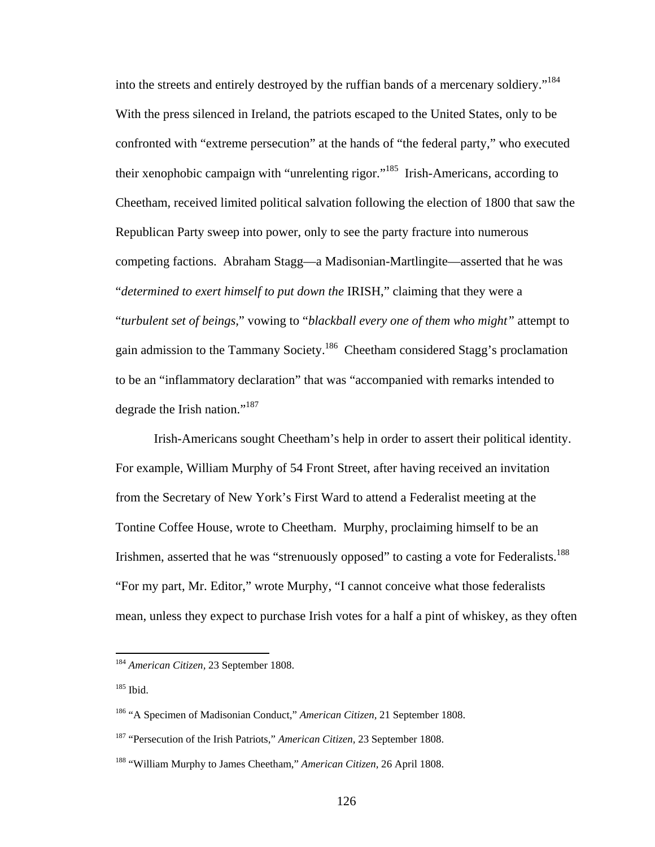into the streets and entirely destroyed by the ruffian bands of a mercenary soldiery."<sup>184</sup> With the press silenced in Ireland, the patriots escaped to the United States, only to be confronted with "extreme persecution" at the hands of "the federal party," who executed their xenophobic campaign with "unrelenting rigor."185 Irish-Americans, according to Cheetham, received limited political salvation following the election of 1800 that saw the Republican Party sweep into power, only to see the party fracture into numerous competing factions. Abraham Stagg—a Madisonian-Martlingite—asserted that he was "*determined to exert himself to put down the* IRISH," claiming that they were a "*turbulent set of beings,*" vowing to "*blackball every one of them who might"* attempt to gain admission to the Tammany Society.186 Cheetham considered Stagg's proclamation to be an "inflammatory declaration" that was "accompanied with remarks intended to degrade the Irish nation."<sup>187</sup>

 Irish-Americans sought Cheetham's help in order to assert their political identity. For example, William Murphy of 54 Front Street, after having received an invitation from the Secretary of New York's First Ward to attend a Federalist meeting at the Tontine Coffee House, wrote to Cheetham. Murphy, proclaiming himself to be an Irishmen, asserted that he was "strenuously opposed" to casting a vote for Federalists.<sup>188</sup> "For my part, Mr. Editor," wrote Murphy, "I cannot conceive what those federalists mean, unless they expect to purchase Irish votes for a half a pint of whiskey, as they often

1

<sup>184</sup> *American Citizen,* 23 September 1808.

<sup>185</sup> Ibid.

<sup>186 &</sup>quot;A Specimen of Madisonian Conduct," *American Citizen,* 21 September 1808.

<sup>187 &</sup>quot;Persecution of the Irish Patriots," *American Citizen,* 23 September 1808.

<sup>188 &</sup>quot;William Murphy to James Cheetham," *American Citizen,* 26 April 1808.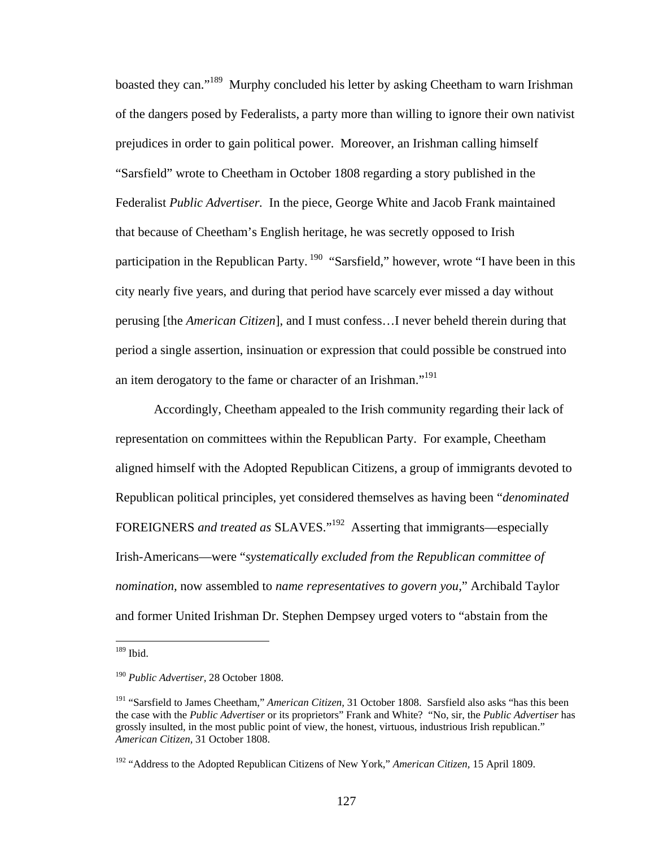boasted they can."189 Murphy concluded his letter by asking Cheetham to warn Irishman of the dangers posed by Federalists, a party more than willing to ignore their own nativist prejudices in order to gain political power. Moreover, an Irishman calling himself "Sarsfield" wrote to Cheetham in October 1808 regarding a story published in the Federalist *Public Advertiser.* In the piece, George White and Jacob Frank maintained that because of Cheetham's English heritage, he was secretly opposed to Irish participation in the Republican Party.<sup>190</sup> "Sarsfield," however, wrote "I have been in this city nearly five years, and during that period have scarcely ever missed a day without perusing [the *American Citizen*], and I must confess…I never beheld therein during that period a single assertion, insinuation or expression that could possible be construed into an item derogatory to the fame or character of an Irishman."<sup>191</sup>

Accordingly, Cheetham appealed to the Irish community regarding their lack of representation on committees within the Republican Party. For example, Cheetham aligned himself with the Adopted Republican Citizens, a group of immigrants devoted to Republican political principles, yet considered themselves as having been "*denominated*  FOREIGNERS *and treated as* SLAVES."192 Asserting that immigrants—especially Irish-Americans—were "*systematically excluded from the Republican committee of nomination,* now assembled to *name representatives to govern you,*" Archibald Taylor and former United Irishman Dr. Stephen Dempsey urged voters to "abstain from the

<sup>189</sup> Ibid.

<sup>190</sup> *Public Advertiser,* 28 October 1808.

<sup>191 &</sup>quot;Sarsfield to James Cheetham," *American Citizen,* 31 October 1808. Sarsfield also asks "has this been the case with the *Public Advertiser* or its proprietors" Frank and White? "No, sir, the *Public Advertiser* has grossly insulted, in the most public point of view, the honest, virtuous, industrious Irish republican." *American Citizen,* 31 October 1808.

<sup>192 &</sup>quot;Address to the Adopted Republican Citizens of New York," *American Citizen,* 15 April 1809.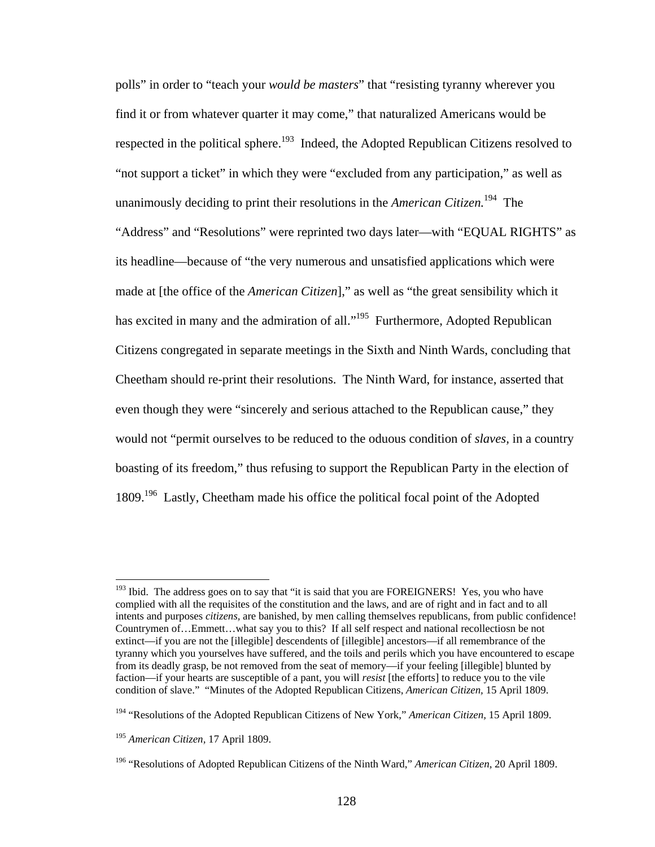polls" in order to "teach your *would be masters*" that "resisting tyranny wherever you find it or from whatever quarter it may come," that naturalized Americans would be respected in the political sphere.<sup>193</sup> Indeed, the Adopted Republican Citizens resolved to "not support a ticket" in which they were "excluded from any participation," as well as unanimously deciding to print their resolutions in the *American Citizen.*<sup>194</sup>The "Address" and "Resolutions" were reprinted two days later—with "EQUAL RIGHTS" as its headline—because of "the very numerous and unsatisfied applications which were made at [the office of the *American Citizen*]," as well as "the great sensibility which it has excited in many and the admiration of all."<sup>195</sup> Furthermore, Adopted Republican Citizens congregated in separate meetings in the Sixth and Ninth Wards, concluding that Cheetham should re-print their resolutions. The Ninth Ward, for instance, asserted that even though they were "sincerely and serious attached to the Republican cause," they would not "permit ourselves to be reduced to the oduous condition of *slaves,* in a country boasting of its freedom," thus refusing to support the Republican Party in the election of 1809.196 Lastly, Cheetham made his office the political focal point of the Adopted

 $193$  Ibid. The address goes on to say that "it is said that you are FOREIGNERS! Yes, you who have complied with all the requisites of the constitution and the laws, and are of right and in fact and to all intents and purposes *citizens,* are banished, by men calling themselves republicans, from public confidence! Countrymen of…Emmett…what say you to this? If all self respect and national recollectiosn be not extinct—if you are not the [illegible] descendents of [illegible] ancestors—if all remembrance of the tyranny which you yourselves have suffered, and the toils and perils which you have encountered to escape from its deadly grasp, be not removed from the seat of memory—if your feeling [illegible] blunted by faction—if your hearts are susceptible of a pant, you will *resist* [the efforts] to reduce you to the vile condition of slave." "Minutes of the Adopted Republican Citizens, *American Citizen,* 15 April 1809.

<sup>194 &</sup>quot;Resolutions of the Adopted Republican Citizens of New York," *American Citizen,* 15 April 1809.

<sup>195</sup> *American Citizen,* 17 April 1809.

<sup>196 &</sup>quot;Resolutions of Adopted Republican Citizens of the Ninth Ward," *American Citizen,* 20 April 1809.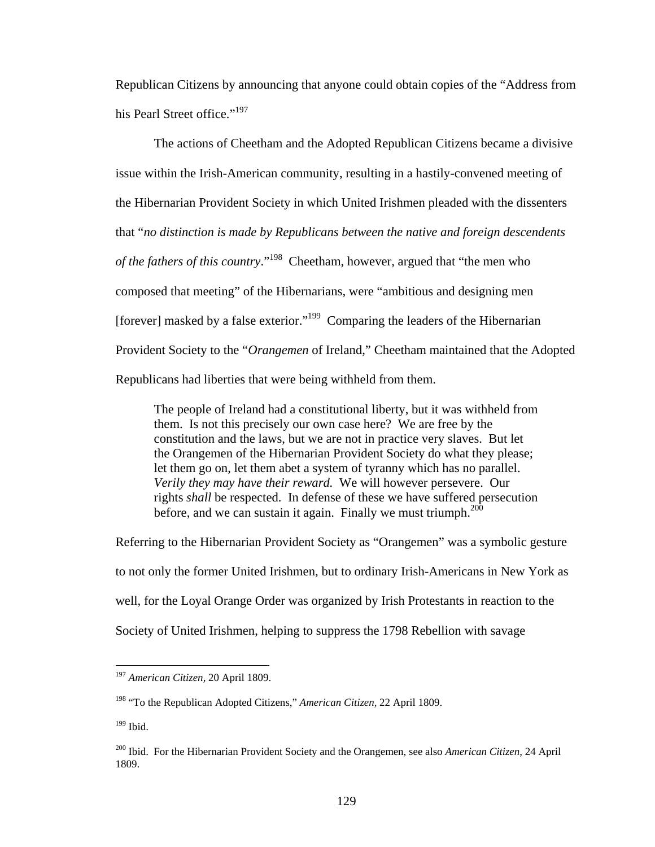Republican Citizens by announcing that anyone could obtain copies of the "Address from his Pearl Street office."<sup>197</sup>

 The actions of Cheetham and the Adopted Republican Citizens became a divisive issue within the Irish-American community, resulting in a hastily-convened meeting of the Hibernarian Provident Society in which United Irishmen pleaded with the dissenters that "*no distinction is made by Republicans between the native and foreign descendents of the fathers of this country*."198 Cheetham, however, argued that "the men who composed that meeting" of the Hibernarians, were "ambitious and designing men [forever] masked by a false exterior."<sup>199</sup> Comparing the leaders of the Hibernarian Provident Society to the "*Orangemen* of Ireland," Cheetham maintained that the Adopted Republicans had liberties that were being withheld from them.

The people of Ireland had a constitutional liberty, but it was withheld from them. Is not this precisely our own case here? We are free by the constitution and the laws, but we are not in practice very slaves. But let the Orangemen of the Hibernarian Provident Society do what they please; let them go on, let them abet a system of tyranny which has no parallel. *Verily they may have their reward.* We will however persevere. Our rights *shall* be respected. In defense of these we have suffered persecution before, and we can sustain it again. Finally we must triumph. $200$ 

Referring to the Hibernarian Provident Society as "Orangemen" was a symbolic gesture to not only the former United Irishmen, but to ordinary Irish-Americans in New York as well, for the Loyal Orange Order was organized by Irish Protestants in reaction to the Society of United Irishmen, helping to suppress the 1798 Rebellion with savage

<sup>197</sup> *American Citizen,* 20 April 1809.

<sup>198 &</sup>quot;To the Republican Adopted Citizens," *American Citizen,* 22 April 1809.

 $199$  Ibid.

<sup>200</sup> Ibid. For the Hibernarian Provident Society and the Orangemen, see also *American Citizen,* 24 April 1809.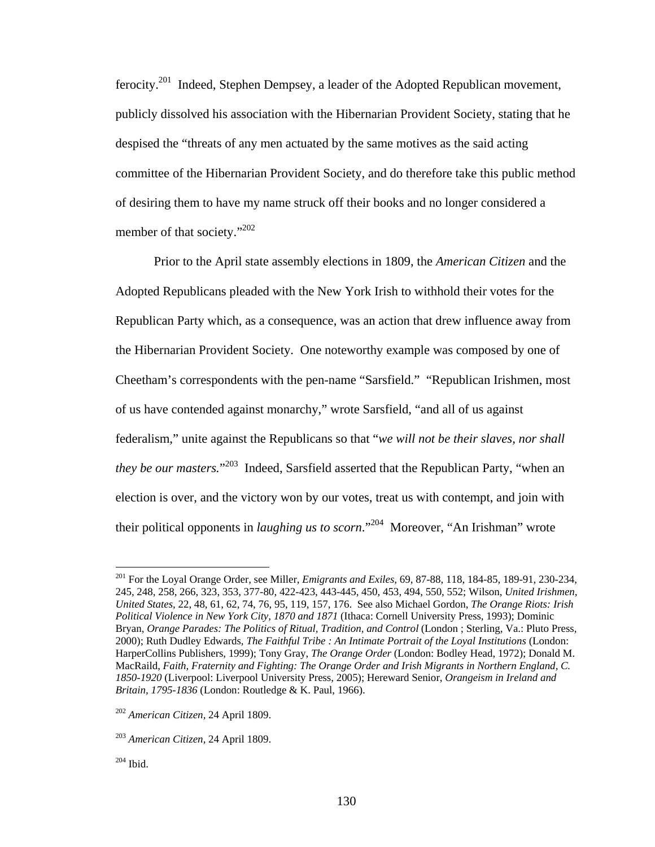ferocity.201 Indeed, Stephen Dempsey, a leader of the Adopted Republican movement, publicly dissolved his association with the Hibernarian Provident Society, stating that he despised the "threats of any men actuated by the same motives as the said acting committee of the Hibernarian Provident Society, and do therefore take this public method of desiring them to have my name struck off their books and no longer considered a member of that society."<sup>202</sup>

 Prior to the April state assembly elections in 1809, the *American Citizen* and the Adopted Republicans pleaded with the New York Irish to withhold their votes for the Republican Party which, as a consequence, was an action that drew influence away from the Hibernarian Provident Society. One noteworthy example was composed by one of Cheetham's correspondents with the pen-name "Sarsfield." "Republican Irishmen, most of us have contended against monarchy," wrote Sarsfield, "and all of us against federalism," unite against the Republicans so that "*we will not be their slaves, nor shall they be our masters.*" 203 Indeed, Sarsfield asserted that the Republican Party, "when an election is over, and the victory won by our votes, treat us with contempt, and join with their political opponents in *laughing us to scorn*."204 Moreover, "An Irishman" wrote

<sup>201</sup> For the Loyal Orange Order, see Miller, *Emigrants and Exiles,* 69, 87-88, 118, 184-85, 189-91, 230-234, 245, 248, 258, 266, 323, 353, 377-80, 422-423, 443-445, 450, 453, 494, 550, 552; Wilson, *United Irishmen, United States,* 22, 48, 61, 62, 74, 76, 95, 119, 157, 176. See also Michael Gordon, *The Orange Riots: Irish Political Violence in New York City, 1870 and 1871* (Ithaca: Cornell University Press, 1993); Dominic Bryan, *Orange Parades: The Politics of Ritual, Tradition, and Control* (London ; Sterling, Va.: Pluto Press, 2000); Ruth Dudley Edwards, *The Faithful Tribe : An Intimate Portrait of the Loyal Institutions* (London: HarperCollins Publishers, 1999); Tony Gray, *The Orange Order* (London: Bodley Head, 1972); Donald M. MacRaild, *Faith, Fraternity and Fighting: The Orange Order and Irish Migrants in Northern England, C. 1850-1920* (Liverpool: Liverpool University Press, 2005); Hereward Senior, *Orangeism in Ireland and Britain, 1795-1836* (London: Routledge & K. Paul, 1966).

<sup>202</sup> *American Citizen,* 24 April 1809.

<sup>203</sup> *American Citizen,* 24 April 1809.

 $204$  Ibid.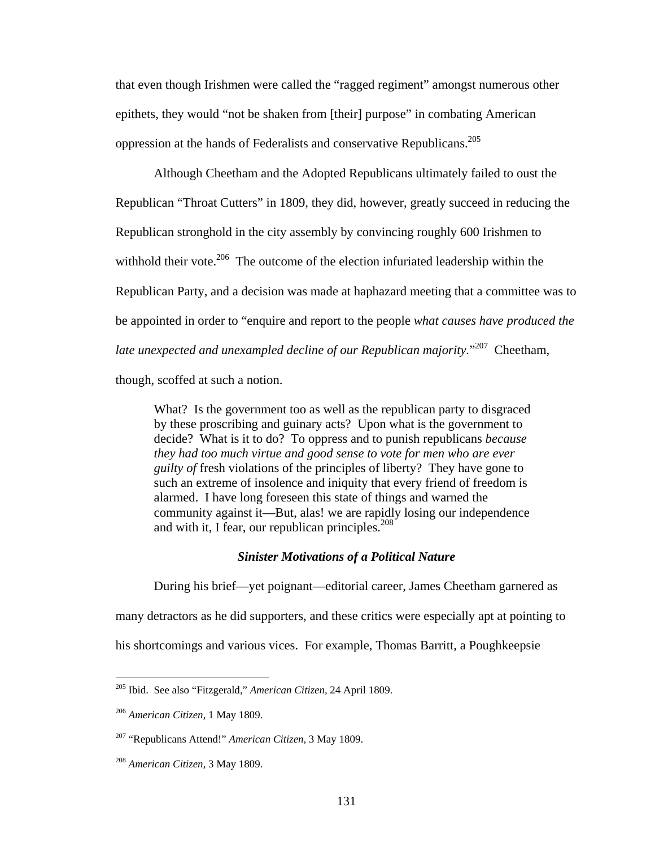that even though Irishmen were called the "ragged regiment" amongst numerous other epithets, they would "not be shaken from [their] purpose" in combating American oppression at the hands of Federalists and conservative Republicans.205

 Although Cheetham and the Adopted Republicans ultimately failed to oust the Republican "Throat Cutters" in 1809, they did, however, greatly succeed in reducing the Republican stronghold in the city assembly by convincing roughly 600 Irishmen to withhold their vote.<sup>206</sup> The outcome of the election infuriated leadership within the Republican Party, and a decision was made at haphazard meeting that a committee was to be appointed in order to "enquire and report to the people *what causes have produced the late unexpected and unexampled decline of our Republican majority.*" 207 Cheetham, though, scoffed at such a notion.

What? Is the government too as well as the republican party to disgraced by these proscribing and guinary acts? Upon what is the government to decide? What is it to do? To oppress and to punish republicans *because they had too much virtue and good sense to vote for men who are ever guilty of* fresh violations of the principles of liberty? They have gone to such an extreme of insolence and iniquity that every friend of freedom is alarmed. I have long foreseen this state of things and warned the community against it—But, alas! we are rapidly losing our independence and with it, I fear, our republican principles.<sup>208</sup>

### *Sinister Motivations of a Political Nature*

 During his brief—yet poignant—editorial career, James Cheetham garnered as many detractors as he did supporters, and these critics were especially apt at pointing to his shortcomings and various vices. For example, Thomas Barritt, a Poughkeepsie

<sup>205</sup> Ibid. See also "Fitzgerald," *American Citizen,* 24 April 1809.

<sup>206</sup> *American Citizen,* 1 May 1809.

<sup>207 &</sup>quot;Republicans Attend!" *American Citizen,* 3 May 1809.

<sup>208</sup> *American Citizen,* 3 May 1809.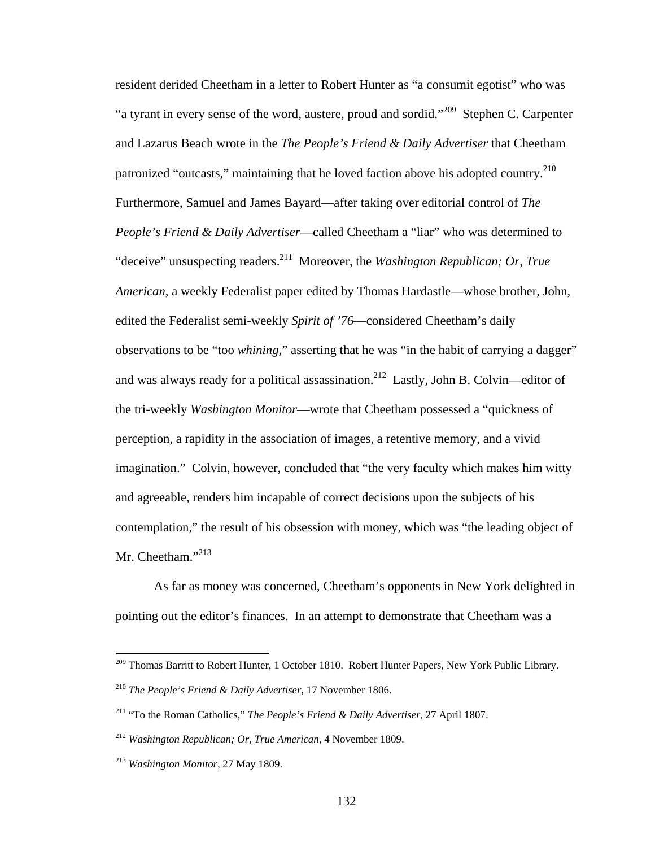resident derided Cheetham in a letter to Robert Hunter as "a consumit egotist" who was "a tyrant in every sense of the word, austere, proud and sordid."209 Stephen C. Carpenter and Lazarus Beach wrote in the *The People's Friend & Daily Advertiser* that Cheetham patronized "outcasts," maintaining that he loved faction above his adopted country.<sup>210</sup> Furthermore, Samuel and James Bayard—after taking over editorial control of *The People's Friend & Daily Advertiser*—called Cheetham a "liar" who was determined to "deceive" unsuspecting readers.211 Moreover, the *Washington Republican; Or, True American,* a weekly Federalist paper edited by Thomas Hardastle—whose brother, John, edited the Federalist semi-weekly *Spirit of '76*—considered Cheetham's daily observations to be "too *whining,*" asserting that he was "in the habit of carrying a dagger" and was always ready for a political assassination.<sup>212</sup> Lastly, John B. Colvin—editor of the tri-weekly *Washington Monitor*—wrote that Cheetham possessed a "quickness of perception, a rapidity in the association of images, a retentive memory, and a vivid imagination." Colvin, however, concluded that "the very faculty which makes him witty and agreeable, renders him incapable of correct decisions upon the subjects of his contemplation," the result of his obsession with money, which was "the leading object of Mr. Cheetham."<sup>213</sup>

 As far as money was concerned, Cheetham's opponents in New York delighted in pointing out the editor's finances. In an attempt to demonstrate that Cheetham was a

1

<sup>&</sup>lt;sup>209</sup> Thomas Barritt to Robert Hunter, 1 October 1810. Robert Hunter Papers, New York Public Library.

<sup>210</sup> *The People's Friend & Daily Advertiser,* 17 November 1806.

<sup>211 &</sup>quot;To the Roman Catholics," *The People's Friend & Daily Advertiser,* 27 April 1807.

<sup>212</sup> *Washington Republican; Or, True American,* 4 November 1809.

<sup>213</sup> *Washington Monitor,* 27 May 1809.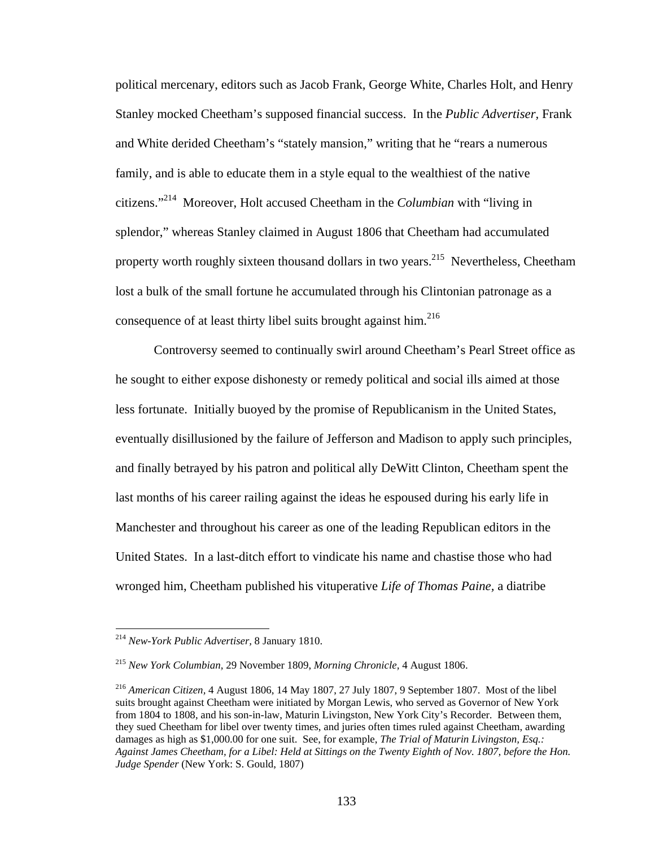political mercenary, editors such as Jacob Frank, George White, Charles Holt, and Henry Stanley mocked Cheetham's supposed financial success. In the *Public Advertiser,* Frank and White derided Cheetham's "stately mansion," writing that he "rears a numerous family, and is able to educate them in a style equal to the wealthiest of the native citizens."214 Moreover, Holt accused Cheetham in the *Columbian* with "living in splendor," whereas Stanley claimed in August 1806 that Cheetham had accumulated property worth roughly sixteen thousand dollars in two years.<sup>215</sup> Nevertheless, Cheetham lost a bulk of the small fortune he accumulated through his Clintonian patronage as a consequence of at least thirty libel suits brought against him.<sup>216</sup>

Controversy seemed to continually swirl around Cheetham's Pearl Street office as he sought to either expose dishonesty or remedy political and social ills aimed at those less fortunate. Initially buoyed by the promise of Republicanism in the United States, eventually disillusioned by the failure of Jefferson and Madison to apply such principles, and finally betrayed by his patron and political ally DeWitt Clinton, Cheetham spent the last months of his career railing against the ideas he espoused during his early life in Manchester and throughout his career as one of the leading Republican editors in the United States. In a last-ditch effort to vindicate his name and chastise those who had wronged him, Cheetham published his vituperative *Life of Thomas Paine,* a diatribe

1

<sup>214</sup> *New-York Public Advertiser,* 8 January 1810.

<sup>215</sup> *New York Columbian,* 29 November 1809, *Morning Chronicle,* 4 August 1806.

<sup>216</sup> *American Citizen,* 4 August 1806, 14 May 1807, 27 July 1807, 9 September 1807. Most of the libel suits brought against Cheetham were initiated by Morgan Lewis, who served as Governor of New York from 1804 to 1808, and his son-in-law, Maturin Livingston, New York City's Recorder. Between them, they sued Cheetham for libel over twenty times, and juries often times ruled against Cheetham, awarding damages as high as \$1,000.00 for one suit. See, for example, *The Trial of Maturin Livingston, Esq.: Against James Cheetham, for a Libel: Held at Sittings on the Twenty Eighth of Nov. 1807, before the Hon. Judge Spender* (New York: S. Gould, 1807)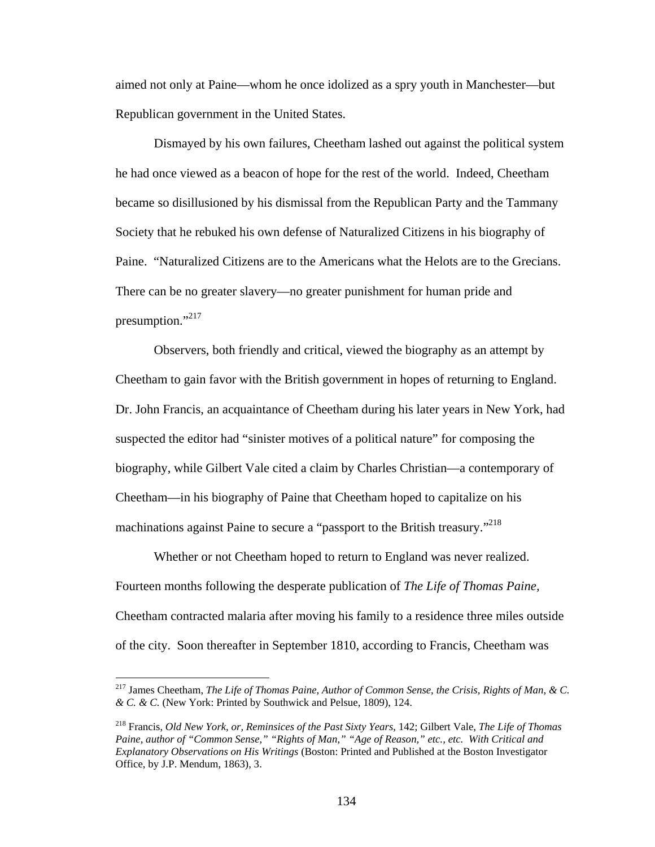aimed not only at Paine—whom he once idolized as a spry youth in Manchester—but Republican government in the United States.

Dismayed by his own failures, Cheetham lashed out against the political system he had once viewed as a beacon of hope for the rest of the world. Indeed, Cheetham became so disillusioned by his dismissal from the Republican Party and the Tammany Society that he rebuked his own defense of Naturalized Citizens in his biography of Paine. "Naturalized Citizens are to the Americans what the Helots are to the Grecians. There can be no greater slavery—no greater punishment for human pride and presumption."<sup>217</sup>

Observers, both friendly and critical, viewed the biography as an attempt by Cheetham to gain favor with the British government in hopes of returning to England. Dr. John Francis, an acquaintance of Cheetham during his later years in New York, had suspected the editor had "sinister motives of a political nature" for composing the biography, while Gilbert Vale cited a claim by Charles Christian—a contemporary of Cheetham—in his biography of Paine that Cheetham hoped to capitalize on his machinations against Paine to secure a "passport to the British treasury."<sup>218</sup>

 Whether or not Cheetham hoped to return to England was never realized. Fourteen months following the desperate publication of *The Life of Thomas Paine,*  Cheetham contracted malaria after moving his family to a residence three miles outside of the city. Soon thereafter in September 1810, according to Francis, Cheetham was

<sup>217</sup> James Cheetham, *The Life of Thomas Paine, Author of Common Sense, the Crisis, Rights of Man, & C. & C. & C.* (New York: Printed by Southwick and Pelsue, 1809), 124.

<sup>218</sup> Francis, *Old New York, or, Reminsices of the Past Sixty Years*, 142; Gilbert Vale, *The Life of Thomas Paine, author of "Common Sense," "Rights of Man," "Age of Reason," etc., etc. With Critical and Explanatory Observations on His Writings* (Boston: Printed and Published at the Boston Investigator Office, by J.P. Mendum, 1863), 3.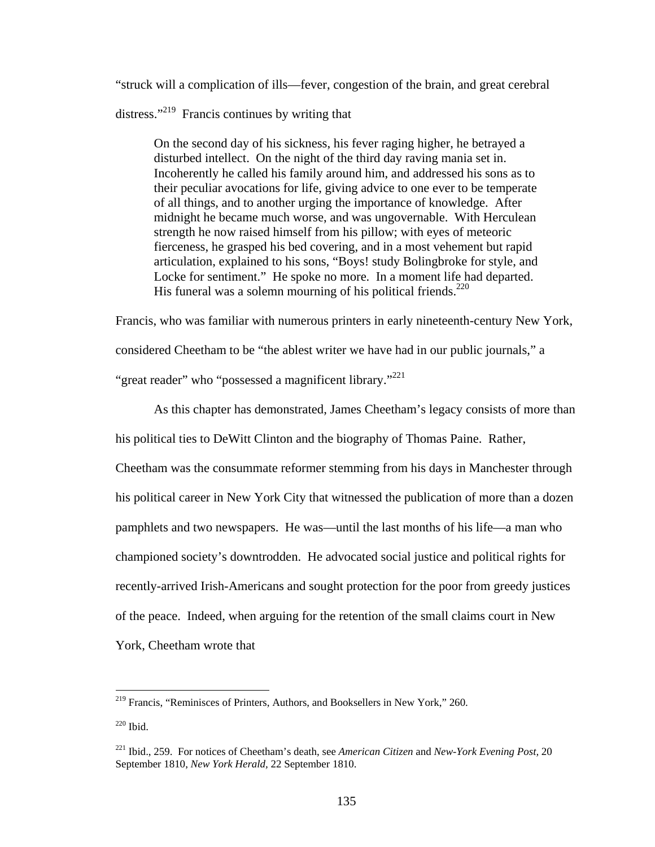"struck will a complication of ills—fever, congestion of the brain, and great cerebral distress."<sup>219</sup> Francis continues by writing that

On the second day of his sickness, his fever raging higher, he betrayed a disturbed intellect. On the night of the third day raving mania set in. Incoherently he called his family around him, and addressed his sons as to their peculiar avocations for life, giving advice to one ever to be temperate of all things, and to another urging the importance of knowledge. After midnight he became much worse, and was ungovernable. With Herculean strength he now raised himself from his pillow; with eyes of meteoric fierceness, he grasped his bed covering, and in a most vehement but rapid articulation, explained to his sons, "Boys! study Bolingbroke for style, and Locke for sentiment." He spoke no more. In a moment life had departed. His funeral was a solemn mourning of his political friends.<sup>220</sup>

Francis, who was familiar with numerous printers in early nineteenth-century New York,

considered Cheetham to be "the ablest writer we have had in our public journals," a

"great reader" who "possessed a magnificent library."<sup>221</sup>

As this chapter has demonstrated, James Cheetham's legacy consists of more than

his political ties to DeWitt Clinton and the biography of Thomas Paine. Rather,

Cheetham was the consummate reformer stemming from his days in Manchester through his political career in New York City that witnessed the publication of more than a dozen pamphlets and two newspapers. He was—until the last months of his life—a man who championed society's downtrodden. He advocated social justice and political rights for recently-arrived Irish-Americans and sought protection for the poor from greedy justices of the peace. Indeed, when arguing for the retention of the small claims court in New York, Cheetham wrote that

 $\overline{a}$ <sup>219</sup> Francis, "Reminisces of Printers, Authors, and Booksellers in New York," 260.

<sup>220</sup> Ibid.

<sup>221</sup> Ibid., 259. For notices of Cheetham's death, see *American Citizen* and *New-York Evening Post,* 20 September 1810, *New York Herald,* 22 September 1810.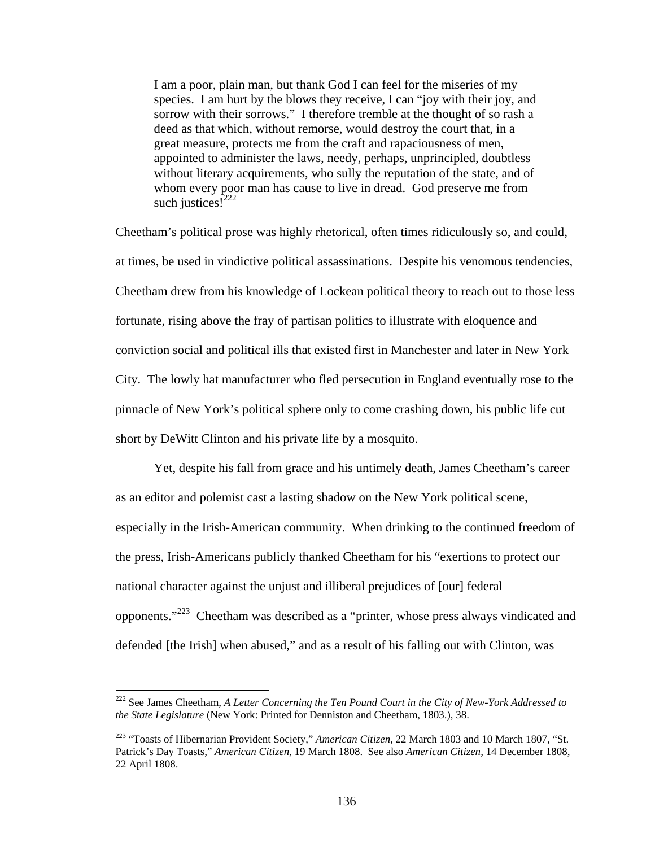I am a poor, plain man, but thank God I can feel for the miseries of my species. I am hurt by the blows they receive, I can "joy with their joy, and sorrow with their sorrows." I therefore tremble at the thought of so rash a deed as that which, without remorse, would destroy the court that, in a great measure, protects me from the craft and rapaciousness of men, appointed to administer the laws, needy, perhaps, unprincipled, doubtless without literary acquirements, who sully the reputation of the state, and of whom every poor man has cause to live in dread. God preserve me from such justices! $^{222}$ 

Cheetham's political prose was highly rhetorical, often times ridiculously so, and could, at times, be used in vindictive political assassinations. Despite his venomous tendencies, Cheetham drew from his knowledge of Lockean political theory to reach out to those less fortunate, rising above the fray of partisan politics to illustrate with eloquence and conviction social and political ills that existed first in Manchester and later in New York City. The lowly hat manufacturer who fled persecution in England eventually rose to the pinnacle of New York's political sphere only to come crashing down, his public life cut short by DeWitt Clinton and his private life by a mosquito.

Yet, despite his fall from grace and his untimely death, James Cheetham's career as an editor and polemist cast a lasting shadow on the New York political scene, especially in the Irish-American community. When drinking to the continued freedom of the press, Irish-Americans publicly thanked Cheetham for his "exertions to protect our national character against the unjust and illiberal prejudices of [our] federal opponents."223 Cheetham was described as a "printer, whose press always vindicated and defended [the Irish] when abused," and as a result of his falling out with Clinton, was

<sup>222</sup> See James Cheetham, *A Letter Concerning the Ten Pound Court in the City of New-York Addressed to the State Legislature* (New York: Printed for Denniston and Cheetham, 1803.), 38.

<sup>223 &</sup>quot;Toasts of Hibernarian Provident Society," *American Citizen,* 22 March 1803 and 10 March 1807, "St. Patrick's Day Toasts," *American Citizen,* 19 March 1808. See also *American Citizen,* 14 December 1808, 22 April 1808.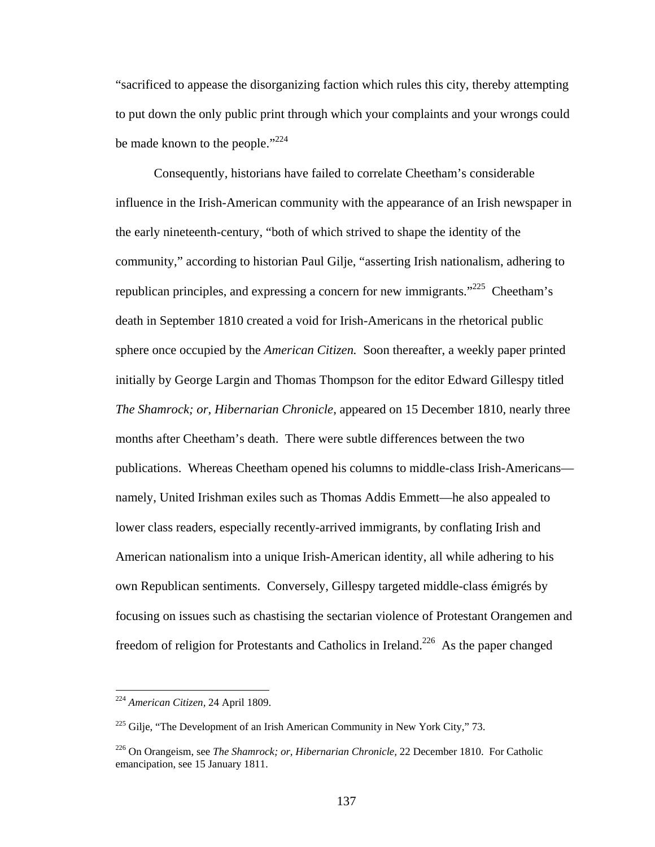"sacrificed to appease the disorganizing faction which rules this city, thereby attempting to put down the only public print through which your complaints and your wrongs could be made known to the people." $^{224}$ 

Consequently, historians have failed to correlate Cheetham's considerable influence in the Irish-American community with the appearance of an Irish newspaper in the early nineteenth-century, "both of which strived to shape the identity of the community," according to historian Paul Gilje, "asserting Irish nationalism, adhering to republican principles, and expressing a concern for new immigrants."<sup>225</sup> Cheetham's death in September 1810 created a void for Irish-Americans in the rhetorical public sphere once occupied by the *American Citizen.* Soon thereafter, a weekly paper printed initially by George Largin and Thomas Thompson for the editor Edward Gillespy titled *The Shamrock; or, Hibernarian Chronicle*, appeared on 15 December 1810, nearly three months after Cheetham's death. There were subtle differences between the two publications. Whereas Cheetham opened his columns to middle-class Irish-Americans namely, United Irishman exiles such as Thomas Addis Emmett—he also appealed to lower class readers, especially recently-arrived immigrants, by conflating Irish and American nationalism into a unique Irish-American identity, all while adhering to his own Republican sentiments. Conversely, Gillespy targeted middle-class émigrés by focusing on issues such as chastising the sectarian violence of Protestant Orangemen and freedom of religion for Protestants and Catholics in Ireland.<sup>226</sup> As the paper changed

<sup>224</sup> *American Citizen,* 24 April 1809.

 $225$  Gilje, "The Development of an Irish American Community in New York City," 73.

<sup>226</sup> On Orangeism, see *The Shamrock; or, Hibernarian Chronicle,* 22 December 1810. For Catholic emancipation, see 15 January 1811.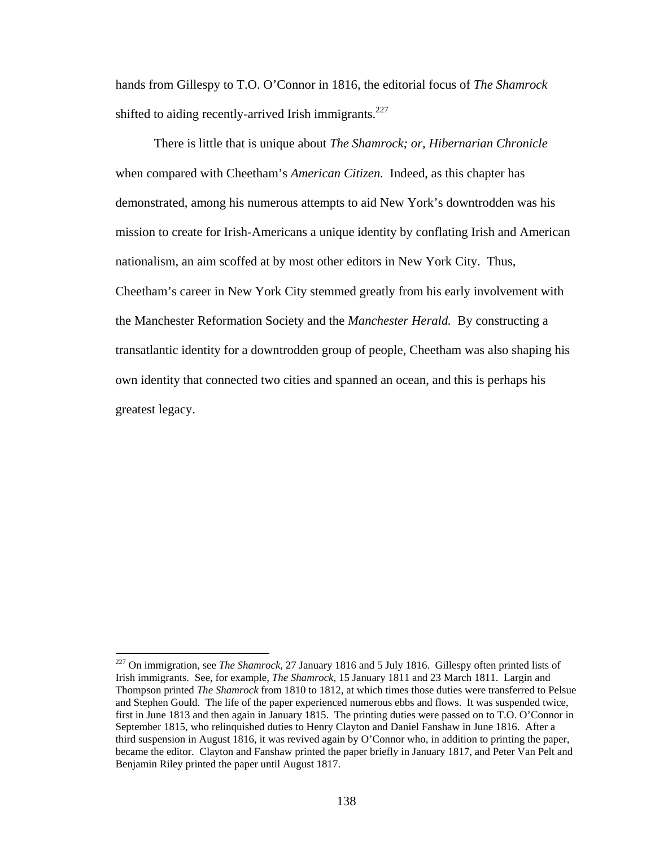hands from Gillespy to T.O. O'Connor in 1816, the editorial focus of *The Shamrock*  shifted to aiding recently-arrived Irish immigrants.<sup>227</sup>

There is little that is unique about *The Shamrock; or, Hibernarian Chronicle*  when compared with Cheetham's *American Citizen.* Indeed, as this chapter has demonstrated, among his numerous attempts to aid New York's downtrodden was his mission to create for Irish-Americans a unique identity by conflating Irish and American nationalism, an aim scoffed at by most other editors in New York City. Thus, Cheetham's career in New York City stemmed greatly from his early involvement with the Manchester Reformation Society and the *Manchester Herald.* By constructing a transatlantic identity for a downtrodden group of people, Cheetham was also shaping his own identity that connected two cities and spanned an ocean, and this is perhaps his greatest legacy.

1

<sup>227</sup> On immigration, see *The Shamrock,* 27 January 1816 and 5 July 1816. Gillespy often printed lists of Irish immigrants. See, for example, *The Shamrock,* 15 January 1811 and 23 March 1811. Largin and Thompson printed *The Shamrock* from 1810 to 1812, at which times those duties were transferred to Pelsue and Stephen Gould. The life of the paper experienced numerous ebbs and flows. It was suspended twice, first in June 1813 and then again in January 1815. The printing duties were passed on to T.O. O'Connor in September 1815, who relinquished duties to Henry Clayton and Daniel Fanshaw in June 1816. After a third suspension in August 1816, it was revived again by O'Connor who, in addition to printing the paper, became the editor. Clayton and Fanshaw printed the paper briefly in January 1817, and Peter Van Pelt and Benjamin Riley printed the paper until August 1817.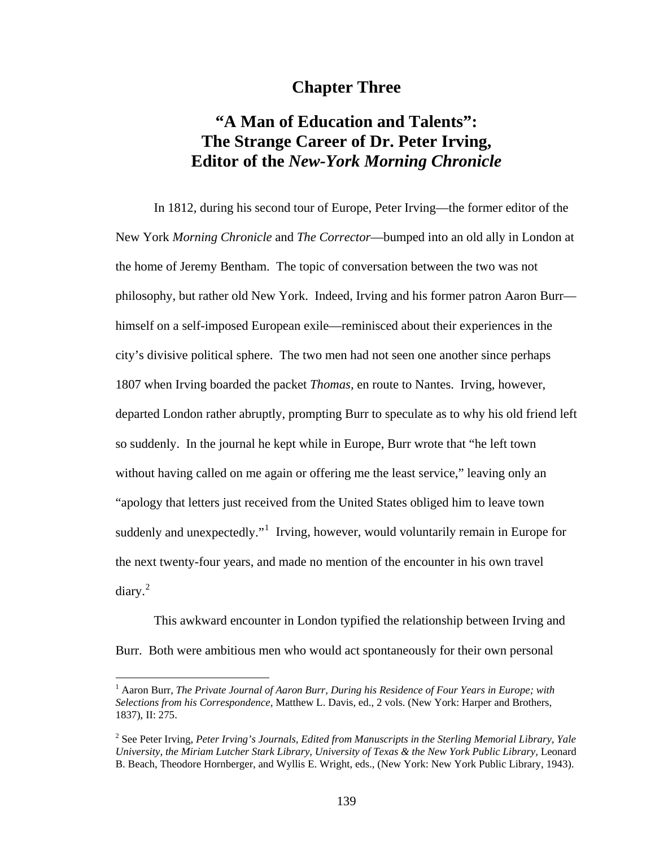## **Chapter Three**

# **"A Man of Education and Talents": The Strange Career of Dr. Peter Irving, Editor of the** *New-York Morning Chronicle*

In 1812, during his second tour of Europe, Peter Irving—the former editor of the New York *Morning Chronicle* and *The Corrector*—bumped into an old ally in London at the home of Jeremy Bentham. The topic of conversation between the two was not philosophy, but rather old New York. Indeed, Irving and his former patron Aaron Burr himself on a self-imposed European exile—reminisced about their experiences in the city's divisive political sphere. The two men had not seen one another since perhaps 1807 when Irving boarded the packet *Thomas,* en route to Nantes. Irving, however, departed London rather abruptly, prompting Burr to speculate as to why his old friend left so suddenly. In the journal he kept while in Europe, Burr wrote that "he left town without having called on me again or offering me the least service," leaving only an "apology that letters just received from the United States obliged him to leave town suddenly and unexpectedly."<sup>1</sup> Irving, however, would voluntarily remain in Europe for the next twenty-four years, and made no mention of the encounter in his own travel  $diary.<sup>2</sup>$ 

This awkward encounter in London typified the relationship between Irving and Burr. Both were ambitious men who would act spontaneously for their own personal

<sup>&</sup>lt;sup>1</sup> Aaron Burr, *The Private Journal of Aaron Burr, During his Residence of Four Years in Europe; with Selections from his Correspondence,* Matthew L. Davis, ed., 2 vols. (New York: Harper and Brothers, 1837), II: 275.

<sup>2</sup> See Peter Irving, *Peter Irving's Journals, Edited from Manuscripts in the Sterling Memorial Library, Yale University, the Miriam Lutcher Stark Library, University of Texas & the New York Public Library,* Leonard B. Beach, Theodore Hornberger, and Wyllis E. Wright, eds., (New York: New York Public Library, 1943).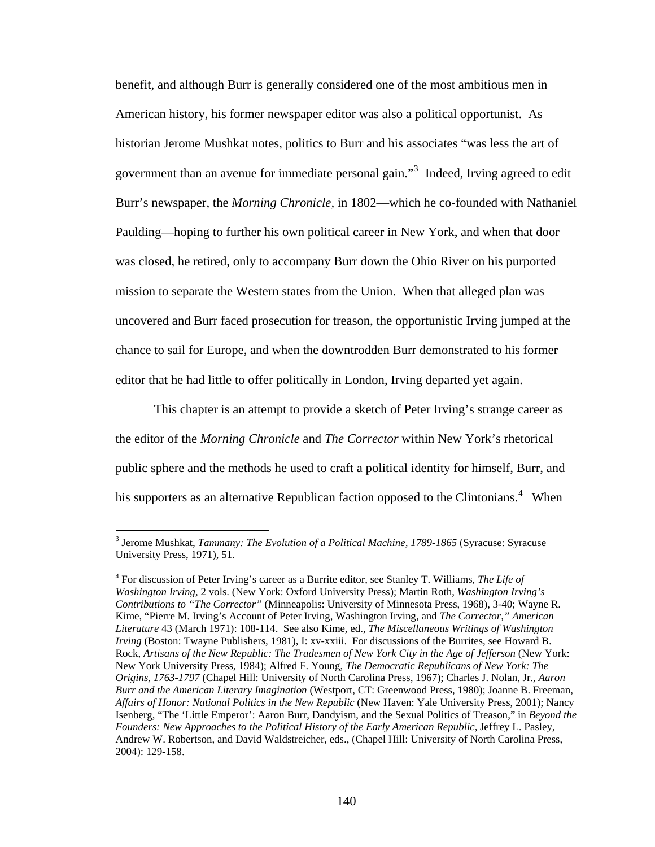benefit, and although Burr is generally considered one of the most ambitious men in American history, his former newspaper editor was also a political opportunist. As historian Jerome Mushkat notes, politics to Burr and his associates "was less the art of government than an avenue for immediate personal gain."<sup>3</sup> Indeed, Irving agreed to edit Burr's newspaper, the *Morning Chronicle,* in 1802—which he co-founded with Nathaniel Paulding—hoping to further his own political career in New York, and when that door was closed, he retired, only to accompany Burr down the Ohio River on his purported mission to separate the Western states from the Union. When that alleged plan was uncovered and Burr faced prosecution for treason, the opportunistic Irving jumped at the chance to sail for Europe, and when the downtrodden Burr demonstrated to his former editor that he had little to offer politically in London, Irving departed yet again.

 This chapter is an attempt to provide a sketch of Peter Irving's strange career as the editor of the *Morning Chronicle* and *The Corrector* within New York's rhetorical public sphere and the methods he used to craft a political identity for himself, Burr, and his supporters as an alternative Republican faction opposed to the Clintonians.<sup>4</sup> When

1

<sup>&</sup>lt;sup>3</sup> Jerome Mushkat, *Tammany: The Evolution of a Political Machine, 1789-1865* (Syracuse: Syracuse University Press, 1971), 51.

<sup>4</sup> For discussion of Peter Irving's career as a Burrite editor, see Stanley T. Williams, *The Life of Washington Irving,* 2 vols. (New York: Oxford University Press); Martin Roth, *Washington Irving's Contributions to "The Corrector"* (Minneapolis: University of Minnesota Press, 1968), 3-40; Wayne R. Kime, "Pierre M. Irving's Account of Peter Irving, Washington Irving, and *The Corrector," American Literature* 43 (March 1971): 108-114. See also Kime, ed., *The Miscellaneous Writings of Washington Irving* (Boston: Twayne Publishers, 1981), I: xv-xxiii. For discussions of the Burrites, see Howard B. Rock, Artisans of the New Republic: The Tradesmen of New York City in the Age of Jefferson (New York: New York University Press, 1984); Alfred F. Young, *The Democratic Republicans of New York: The Origins, 1763-1797* (Chapel Hill: University of North Carolina Press, 1967); Charles J. Nolan, Jr., *Aaron Burr and the American Literary Imagination* (Westport, CT: Greenwood Press, 1980); Joanne B. Freeman, *Affairs of Honor: National Politics in the New Republic* (New Haven: Yale University Press, 2001); Nancy Isenberg, "The 'Little Emperor': Aaron Burr, Dandyism, and the Sexual Politics of Treason," in *Beyond the Founders: New Approaches to the Political History of the Early American Republic,* Jeffrey L. Pasley, Andrew W. Robertson, and David Waldstreicher, eds., (Chapel Hill: University of North Carolina Press, 2004): 129-158.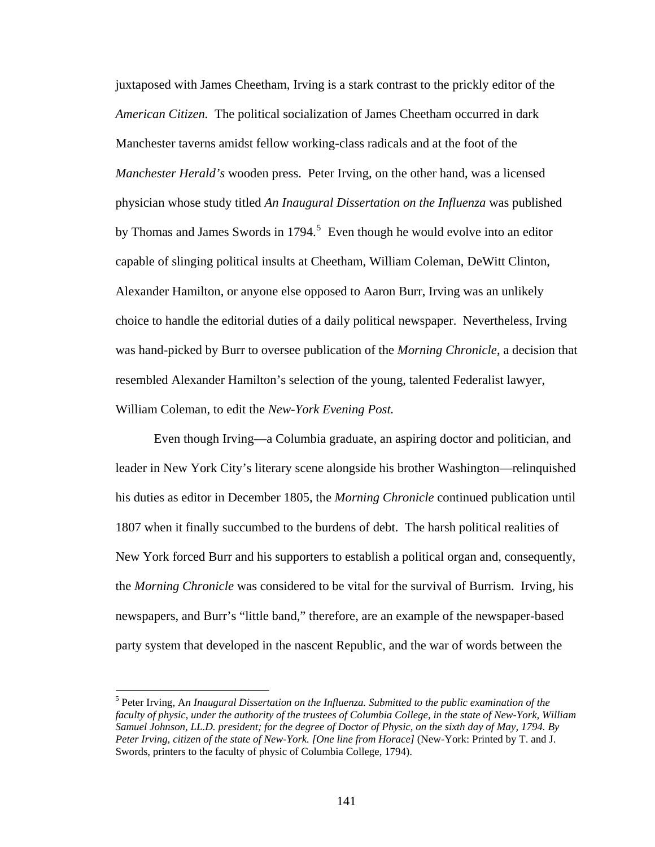juxtaposed with James Cheetham, Irving is a stark contrast to the prickly editor of the *American Citizen.* The political socialization of James Cheetham occurred in dark Manchester taverns amidst fellow working-class radicals and at the foot of the *Manchester Herald's* wooden press. Peter Irving, on the other hand, was a licensed physician whose study titled *An Inaugural Dissertation on the Influenza* was published by Thomas and James Swords in  $1794$ <sup>5</sup> Even though he would evolve into an editor capable of slinging political insults at Cheetham, William Coleman, DeWitt Clinton, Alexander Hamilton, or anyone else opposed to Aaron Burr, Irving was an unlikely choice to handle the editorial duties of a daily political newspaper. Nevertheless, Irving was hand-picked by Burr to oversee publication of the *Morning Chronicle*, a decision that resembled Alexander Hamilton's selection of the young, talented Federalist lawyer, William Coleman, to edit the *New-York Evening Post.* 

Even though Irving—a Columbia graduate, an aspiring doctor and politician, and leader in New York City's literary scene alongside his brother Washington—relinquished his duties as editor in December 1805, the *Morning Chronicle* continued publication until 1807 when it finally succumbed to the burdens of debt. The harsh political realities of New York forced Burr and his supporters to establish a political organ and, consequently, the *Morning Chronicle* was considered to be vital for the survival of Burrism. Irving, his newspapers, and Burr's "little band," therefore, are an example of the newspaper-based party system that developed in the nascent Republic, and the war of words between the

<sup>5</sup> Peter Irving, A*n Inaugural Dissertation on the Influenza. Submitted to the public examination of the faculty of physic, under the authority of the trustees of Columbia College, in the state of New-York, William Samuel Johnson, LL.D. president; for the degree of Doctor of Physic, on the sixth day of May, 1794. By Peter Irving, citizen of the state of New-York. [One line from Horace]* (New-York: Printed by T. and J. Swords, printers to the faculty of physic of Columbia College, 1794).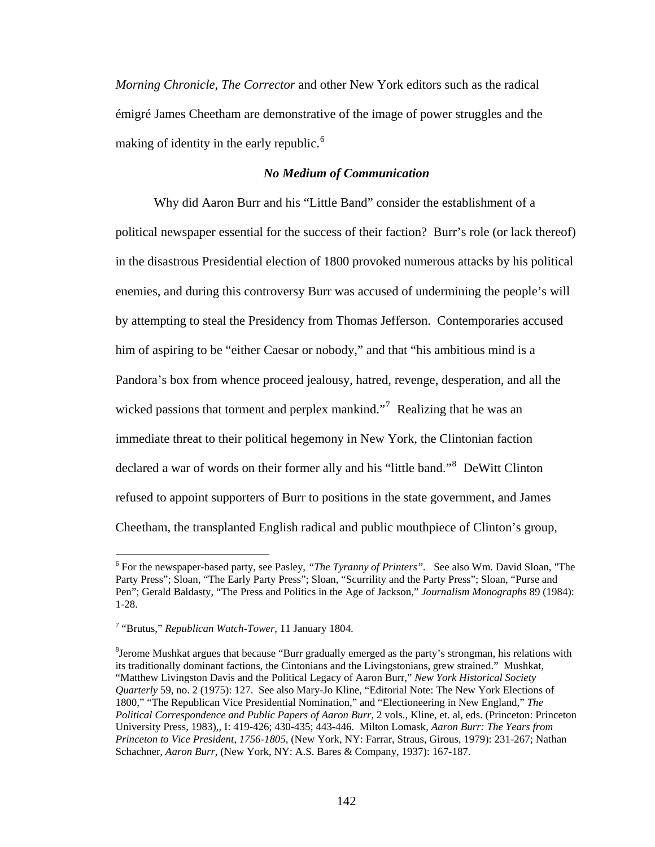*Morning Chronicle, The Corrector* and other New York editors such as the radical émigré James Cheetham are demonstrative of the image of power struggles and the making of identity in the early republic.<sup>6</sup>

### *No Medium of Communication*

 Why did Aaron Burr and his "Little Band" consider the establishment of a political newspaper essential for the success of their faction? Burr's role (or lack thereof) in the disastrous Presidential election of 1800 provoked numerous attacks by his political enemies, and during this controversy Burr was accused of undermining the people's will by attempting to steal the Presidency from Thomas Jefferson. Contemporaries accused him of aspiring to be "either Caesar or nobody," and that "his ambitious mind is a Pandora's box from whence proceed jealousy, hatred, revenge, desperation, and all the wicked passions that torment and perplex mankind."<sup>7</sup> Realizing that he was an immediate threat to their political hegemony in New York, the Clintonian faction declared a war of words on their former ally and his "little band."<sup>8</sup> DeWitt Clinton refused to appoint supporters of Burr to positions in the state government, and James Cheetham, the transplanted English radical and public mouthpiece of Clinton's group,

1

<sup>6</sup> For the newspaper-based party, see Pasley, *"The Tyranny of Printers".* See also Wm. David Sloan, "The Party Press"; Sloan, "The Early Party Press"; Sloan, "Scurrility and the Party Press"; Sloan, "Purse and Pen"; Gerald Baldasty, "The Press and Politics in the Age of Jackson," *Journalism Monographs* 89 (1984): 1-28.

<sup>7</sup> "Brutus," *Republican Watch-Tower,* 11 January 1804.

<sup>&</sup>lt;sup>8</sup>Jerome Mushkat argues that because "Burr gradually emerged as the party's strongman, his relations with its traditionally dominant factions, the Cintonians and the Livingstonians, grew strained." Mushkat, "Matthew Livingston Davis and the Political Legacy of Aaron Burr," *New York Historical Society Quarterly* 59, no. 2 (1975): 127. See also Mary-Jo Kline, "Editorial Note: The New York Elections of 1800," "The Republican Vice Presidential Nomination," and "Electioneering in New England," *The Political Correspondence and Public Papers of Aaron Burr,* 2 vols., Kline, et. al, eds. (Princeton: Princeton University Press, 1983),*,* I: 419-426; 430-435; 443-446. Milton Lomask, *Aaron Burr: The Years from Princeton to Vice President, 1756-1805,* (New York, NY: Farrar, Straus, Girous, 1979): 231-267; Nathan Schachner, *Aaron Burr,* (New York, NY: A.S. Bares & Company, 1937): 167-187.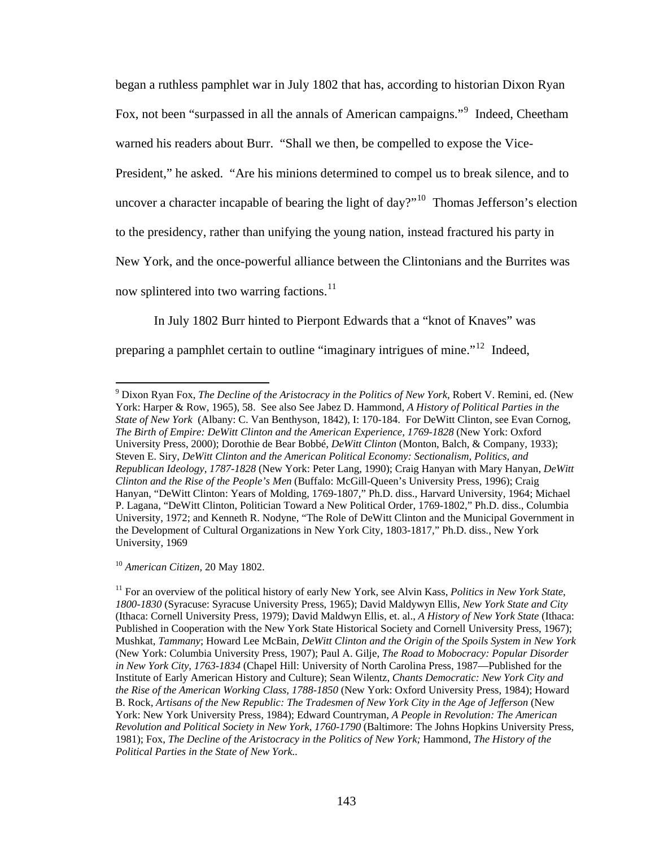began a ruthless pamphlet war in July 1802 that has, according to historian Dixon Ryan Fox, not been "surpassed in all the annals of American campaigns."<sup>9</sup> Indeed, Cheetham warned his readers about Burr. "Shall we then, be compelled to expose the Vice-President," he asked. "Are his minions determined to compel us to break silence, and to uncover a character incapable of bearing the light of day?"<sup>10</sup> Thomas Jefferson's election to the presidency, rather than unifying the young nation, instead fractured his party in New York, and the once-powerful alliance between the Clintonians and the Burrites was now splintered into two warring factions.<sup>11</sup>

In July 1802 Burr hinted to Pierpont Edwards that a "knot of Knaves" was

preparing a pamphlet certain to outline "imaginary intrigues of mine."12 Indeed,

<sup>10</sup> *American Citizen,* 20 May 1802.

<sup>&</sup>lt;sup>9</sup> Dixon Ryan Fox, *The Decline of the Aristocracy in the Politics of New York*, Robert V. Remini, ed. (New York: Harper & Row, 1965), 58. See also See Jabez D. Hammond, *A History of Political Parties in the State of New York* (Albany: C. Van Benthyson, 1842), I: 170-184. For DeWitt Clinton, see Evan Cornog, *The Birth of Empire: DeWitt Clinton and the American Experience, 1769-1828* (New York: Oxford University Press, 2000); Dorothie de Bear Bobbé, *DeWitt Clinton* (Monton, Balch, & Company, 1933); Steven E. Siry, *DeWitt Clinton and the American Political Economy: Sectionalism, Politics, and Republican Ideology, 1787-1828* (New York: Peter Lang, 1990); Craig Hanyan with Mary Hanyan, *DeWitt Clinton and the Rise of the People's Men* (Buffalo: McGill-Queen's University Press, 1996); Craig Hanyan, "DeWitt Clinton: Years of Molding, 1769-1807," Ph.D. diss., Harvard University, 1964; Michael P. Lagana, "DeWitt Clinton, Politician Toward a New Political Order, 1769-1802," Ph.D. diss., Columbia University, 1972; and Kenneth R. Nodyne, "The Role of DeWitt Clinton and the Municipal Government in the Development of Cultural Organizations in New York City, 1803-1817," Ph.D. diss., New York University, 1969

<sup>&</sup>lt;sup>11</sup> For an overview of the political history of early New York, see Alvin Kass, *Politics in New York State*, *1800-1830* (Syracuse: Syracuse University Press, 1965); David Maldywyn Ellis, *New York State and City*  (Ithaca: Cornell University Press, 1979); David Maldwyn Ellis, et. al., *A History of New York State* (Ithaca: Published in Cooperation with the New York State Historical Society and Cornell University Press, 1967); Mushkat, *Tammany*; Howard Lee McBain, *DeWitt Clinton and the Origin of the Spoils System in New York*  (New York: Columbia University Press, 1907); Paul A. Gilje, *The Road to Mobocracy: Popular Disorder in New York City, 1763-1834* (Chapel Hill: University of North Carolina Press, 1987—Published for the Institute of Early American History and Culture); Sean Wilentz, *Chants Democratic: New York City and the Rise of the American Working Class, 1788-1850* (New York: Oxford University Press, 1984); Howard B. Rock, *Artisans of the New Republic: The Tradesmen of New York City in the Age of Jefferson* (New York: New York University Press, 1984); Edward Countryman, *A People in Revolution: The American Revolution and Political Society in New York, 1760-1790* (Baltimore: The Johns Hopkins University Press, 1981); Fox, *The Decline of the Aristocracy in the Politics of New York;* Hammond, *The History of the Political Parties in the State of New York..*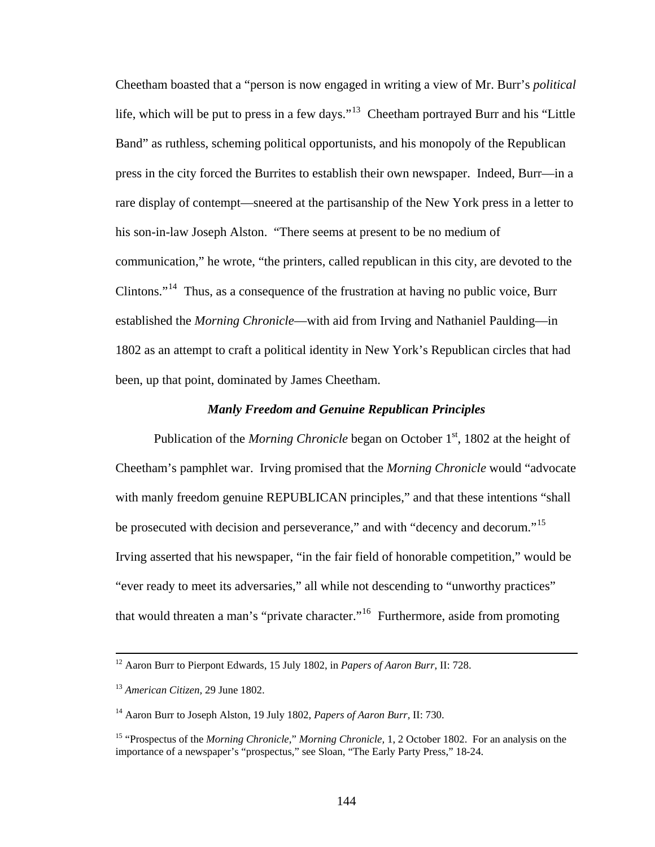Cheetham boasted that a "person is now engaged in writing a view of Mr. Burr's *political*  life, which will be put to press in a few days."<sup>13</sup> Cheetham portrayed Burr and his "Little" Band" as ruthless, scheming political opportunists, and his monopoly of the Republican press in the city forced the Burrites to establish their own newspaper. Indeed, Burr—in a rare display of contempt—sneered at the partisanship of the New York press in a letter to his son-in-law Joseph Alston. "There seems at present to be no medium of communication," he wrote, "the printers, called republican in this city, are devoted to the Clintons."<sup>14</sup> Thus, as a consequence of the frustration at having no public voice, Burr established the *Morning Chronicle*—with aid from Irving and Nathaniel Paulding—in 1802 as an attempt to craft a political identity in New York's Republican circles that had been, up that point, dominated by James Cheetham.

#### *Manly Freedom and Genuine Republican Principles*

Publication of the *Morning Chronicle* began on October 1<sup>st</sup>, 1802 at the height of Cheetham's pamphlet war. Irving promised that the *Morning Chronicle* would "advocate with manly freedom genuine REPUBLICAN principles," and that these intentions "shall be prosecuted with decision and perseverance," and with "decency and decorum."<sup>15</sup> Irving asserted that his newspaper, "in the fair field of honorable competition," would be "ever ready to meet its adversaries," all while not descending to "unworthy practices" that would threaten a man's "private character."<sup>16</sup> Furthermore, aside from promoting

 <sup>12</sup> Aaron Burr to Pierpont Edwards, 15 July 1802, in *Papers of Aaron Burr*, II: 728.

<sup>13</sup> *American Citizen,* 29 June 1802.

<sup>14</sup> Aaron Burr to Joseph Alston, 19 July 1802, *Papers of Aaron Burr,* II: 730.

<sup>15 &</sup>quot;Prospectus of the *Morning Chronicle,*" *Morning Chronicle,* 1, 2 October 1802. For an analysis on the importance of a newspaper's "prospectus," see Sloan, "The Early Party Press," 18-24.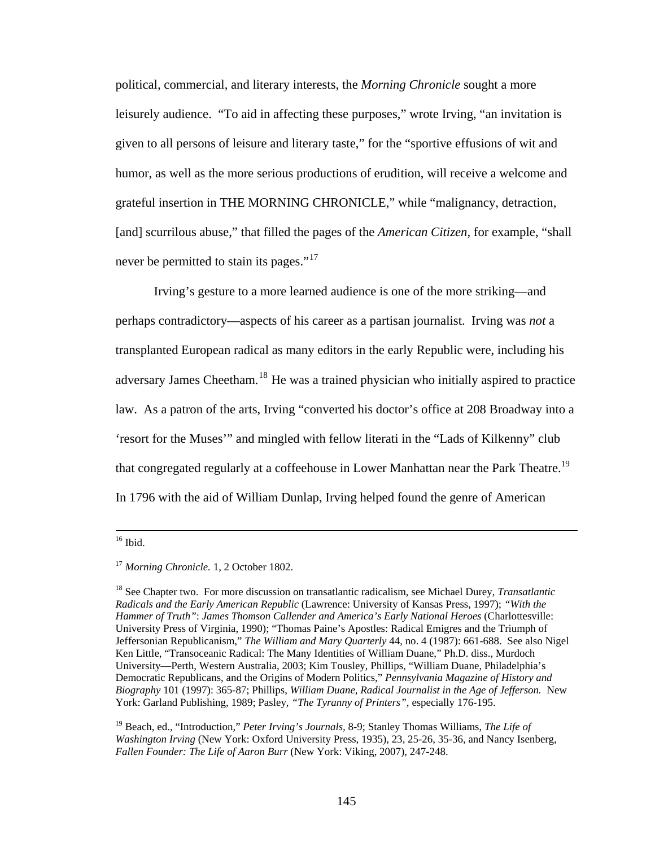political, commercial, and literary interests, the *Morning Chronicle* sought a more leisurely audience. "To aid in affecting these purposes," wrote Irving, "an invitation is given to all persons of leisure and literary taste," for the "sportive effusions of wit and humor, as well as the more serious productions of erudition, will receive a welcome and grateful insertion in THE MORNING CHRONICLE," while "malignancy, detraction, [and] scurrilous abuse," that filled the pages of the *American Citizen,* for example, "shall never be permitted to stain its pages."<sup>17</sup>

Irving's gesture to a more learned audience is one of the more striking—and perhaps contradictory—aspects of his career as a partisan journalist. Irving was *not* a transplanted European radical as many editors in the early Republic were, including his adversary James Cheetham.<sup>18</sup> He was a trained physician who initially aspired to practice law. As a patron of the arts, Irving "converted his doctor's office at 208 Broadway into a 'resort for the Muses'" and mingled with fellow literati in the "Lads of Kilkenny" club that congregated regularly at a coffeehouse in Lower Manhattan near the Park Theatre.<sup>19</sup> In 1796 with the aid of William Dunlap, Irving helped found the genre of American

 $16$  Ibid.

<sup>17</sup> *Morning Chronicle.* 1, 2 October 1802.

<sup>18</sup> See Chapter two. For more discussion on transatlantic radicalism, see Michael Durey, *Transatlantic Radicals and the Early American Republic* (Lawrence: University of Kansas Press, 1997); *"With the Hammer of Truth"*: *James Thomson Callender and America's Early National Heroes* (Charlottesville: University Press of Virginia, 1990); "Thomas Paine's Apostles: Radical Emigres and the Triumph of Jeffersonian Republicanism," *The William and Mary Quarterly* 44, no. 4 (1987): 661-688. See also Nigel Ken Little, "Transoceanic Radical: The Many Identities of William Duane," Ph.D. diss., Murdoch University—Perth, Western Australia, 2003; Kim Tousley, Phillips, "William Duane, Philadelphia's Democratic Republicans, and the Origins of Modern Politics," *Pennsylvania Magazine of History and Biography* 101 (1997): 365-87; Phillips, *William Duane, Radical Journalist in the Age of Jefferson.* New York: Garland Publishing, 1989; Pasley, *"The Tyranny of Printers",* especially 176-195.

<sup>19</sup> Beach, ed., "Introduction," *Peter Irving's Journals,* 8-9; Stanley Thomas Williams, *The Life of Washington Irving* (New York: Oxford University Press, 1935), 23, 25-26, 35-36, and Nancy Isenberg, *Fallen Founder: The Life of Aaron Burr* (New York: Viking, 2007), 247-248.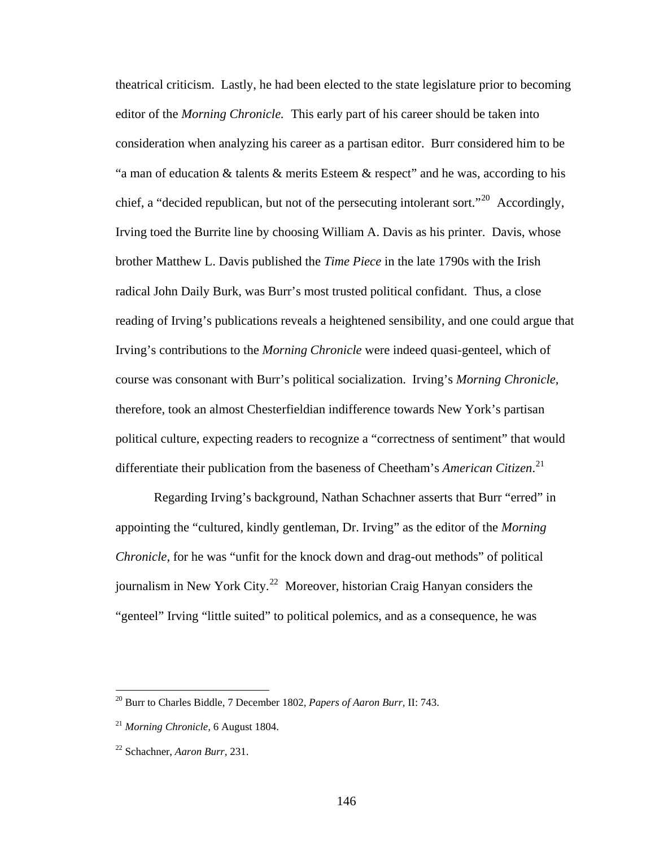theatrical criticism. Lastly, he had been elected to the state legislature prior to becoming editor of the *Morning Chronicle.* This early part of his career should be taken into consideration when analyzing his career as a partisan editor. Burr considered him to be "a man of education & talents & merits Esteem & respect" and he was, according to his chief, a "decided republican, but not of the persecuting intolerant sort."<sup>20</sup> Accordingly, Irving toed the Burrite line by choosing William A. Davis as his printer. Davis, whose brother Matthew L. Davis published the *Time Piece* in the late 1790s with the Irish radical John Daily Burk, was Burr's most trusted political confidant. Thus, a close reading of Irving's publications reveals a heightened sensibility, and one could argue that Irving's contributions to the *Morning Chronicle* were indeed quasi-genteel, which of course was consonant with Burr's political socialization. Irving's *Morning Chronicle,*  therefore, took an almost Chesterfieldian indifference towards New York's partisan political culture, expecting readers to recognize a "correctness of sentiment" that would differentiate their publication from the baseness of Cheetham's *American Citizen*. 21

Regarding Irving's background, Nathan Schachner asserts that Burr "erred" in appointing the "cultured, kindly gentleman, Dr. Irving" as the editor of the *Morning Chronicle,* for he was "unfit for the knock down and drag-out methods" of political journalism in New York City.<sup>22</sup> Moreover, historian Craig Hanyan considers the "genteel" Irving "little suited" to political polemics, and as a consequence, he was

<sup>20</sup> Burr to Charles Biddle, 7 December 1802, *Papers of Aaron Burr,* II: 743.

<sup>21</sup> *Morning Chronicle,* 6 August 1804.

<sup>22</sup> Schachner, *Aaron Burr*, 231.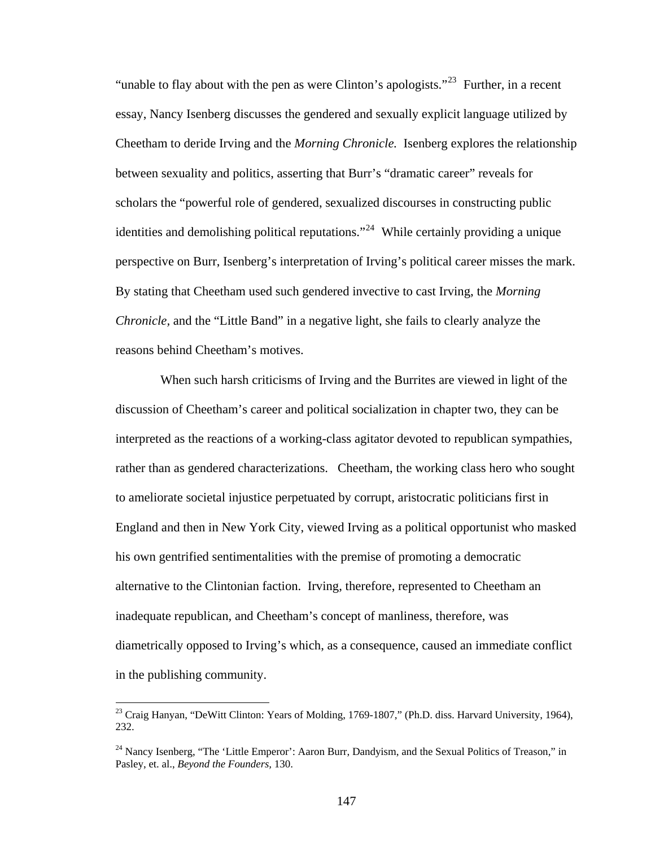"unable to flay about with the pen as were Clinton's apologists."<sup>23</sup> Further, in a recent essay, Nancy Isenberg discusses the gendered and sexually explicit language utilized by Cheetham to deride Irving and the *Morning Chronicle.* Isenberg explores the relationship between sexuality and politics, asserting that Burr's "dramatic career" reveals for scholars the "powerful role of gendered, sexualized discourses in constructing public identities and demolishing political reputations."<sup>24</sup> While certainly providing a unique perspective on Burr, Isenberg's interpretation of Irving's political career misses the mark. By stating that Cheetham used such gendered invective to cast Irving, the *Morning Chronicle*, and the "Little Band" in a negative light, she fails to clearly analyze the reasons behind Cheetham's motives.

 When such harsh criticisms of Irving and the Burrites are viewed in light of the discussion of Cheetham's career and political socialization in chapter two, they can be interpreted as the reactions of a working-class agitator devoted to republican sympathies, rather than as gendered characterizations. Cheetham, the working class hero who sought to ameliorate societal injustice perpetuated by corrupt, aristocratic politicians first in England and then in New York City, viewed Irving as a political opportunist who masked his own gentrified sentimentalities with the premise of promoting a democratic alternative to the Clintonian faction. Irving, therefore, represented to Cheetham an inadequate republican, and Cheetham's concept of manliness, therefore, was diametrically opposed to Irving's which, as a consequence, caused an immediate conflict in the publishing community.

<sup>&</sup>lt;sup>23</sup> Craig Hanyan, "DeWitt Clinton: Years of Molding, 1769-1807," (Ph.D. diss. Harvard University, 1964), 232.

<sup>&</sup>lt;sup>24</sup> Nancy Isenberg, "The 'Little Emperor': Aaron Burr, Dandyism, and the Sexual Politics of Treason," in Pasley, et. al., *Beyond the Founders,* 130.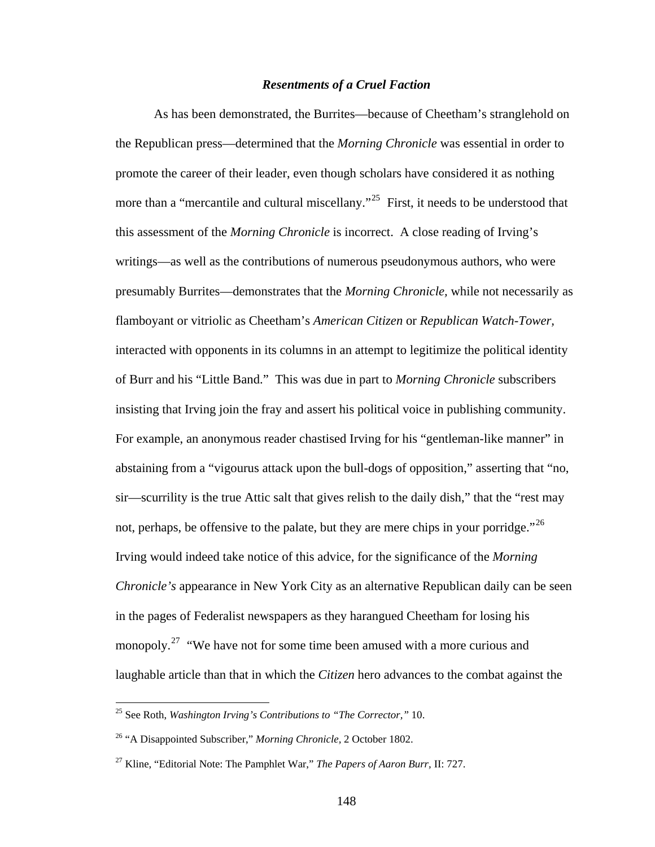### *Resentments of a Cruel Faction*

 As has been demonstrated, the Burrites—because of Cheetham's stranglehold on the Republican press—determined that the *Morning Chronicle* was essential in order to promote the career of their leader, even though scholars have considered it as nothing more than a "mercantile and cultural miscellany."<sup>25</sup> First, it needs to be understood that this assessment of the *Morning Chronicle* is incorrect. A close reading of Irving's writings—as well as the contributions of numerous pseudonymous authors, who were presumably Burrites—demonstrates that the *Morning Chronicle,* while not necessarily as flamboyant or vitriolic as Cheetham's *American Citizen* or *Republican Watch-Tower,*  interacted with opponents in its columns in an attempt to legitimize the political identity of Burr and his "Little Band." This was due in part to *Morning Chronicle* subscribers insisting that Irving join the fray and assert his political voice in publishing community. For example, an anonymous reader chastised Irving for his "gentleman-like manner" in abstaining from a "vigourus attack upon the bull-dogs of opposition," asserting that "no, sir—scurrility is the true Attic salt that gives relish to the daily dish," that the "rest may not, perhaps, be offensive to the palate, but they are mere chips in your porridge."<sup>26</sup> Irving would indeed take notice of this advice, for the significance of the *Morning Chronicle's* appearance in New York City as an alternative Republican daily can be seen in the pages of Federalist newspapers as they harangued Cheetham for losing his monopoly.<sup>27</sup> "We have not for some time been amused with a more curious and laughable article than that in which the *Citizen* hero advances to the combat against the

1

<sup>25</sup> See Roth, *Washington Irving's Contributions to "The Corrector,"* 10.

<sup>26 &</sup>quot;A Disappointed Subscriber," *Morning Chronicle,* 2 October 1802.

<sup>27</sup> Kline, "Editorial Note: The Pamphlet War," *The Papers of Aaron Burr,* II: 727.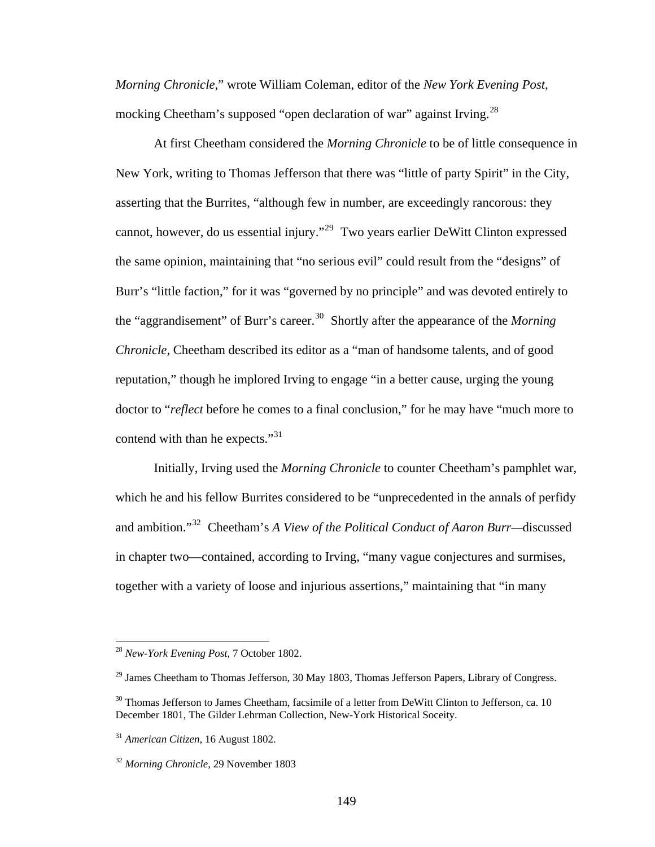*Morning Chronicle*," wrote William Coleman, editor of the *New York Evening Post,*  mocking Cheetham's supposed "open declaration of war" against Irving.<sup>28</sup>

At first Cheetham considered the *Morning Chronicle* to be of little consequence in New York, writing to Thomas Jefferson that there was "little of party Spirit" in the City, asserting that the Burrites, "although few in number, are exceedingly rancorous: they cannot, however, do us essential injury."29 Two years earlier DeWitt Clinton expressed the same opinion, maintaining that "no serious evil" could result from the "designs" of Burr's "little faction," for it was "governed by no principle" and was devoted entirely to the "aggrandisement" of Burr's career.<sup>30</sup> Shortly after the appearance of the *Morning Chronicle,* Cheetham described its editor as a "man of handsome talents, and of good reputation," though he implored Irving to engage "in a better cause, urging the young doctor to "*reflect* before he comes to a final conclusion," for he may have "much more to contend with than he expects."<sup>31</sup>

Initially, Irving used the *Morning Chronicle* to counter Cheetham's pamphlet war, which he and his fellow Burrites considered to be "unprecedented in the annals of perfidy and ambition."32 Cheetham's *A View of the Political Conduct of Aaron Burr—*discussed in chapter two—contained, according to Irving, "many vague conjectures and surmises, together with a variety of loose and injurious assertions," maintaining that "in many

1

<sup>28</sup> *New-York Evening Post,* 7 October 1802.

<sup>&</sup>lt;sup>29</sup> James Cheetham to Thomas Jefferson, 30 May 1803, Thomas Jefferson Papers, Library of Congress.

<sup>&</sup>lt;sup>30</sup> Thomas Jefferson to James Cheetham, facsimile of a letter from DeWitt Clinton to Jefferson, ca. 10 December 1801, The Gilder Lehrman Collection, New-York Historical Soceity.

<sup>31</sup> *American Citizen,* 16 August 1802.

<sup>32</sup> *Morning Chronicle,* 29 November 1803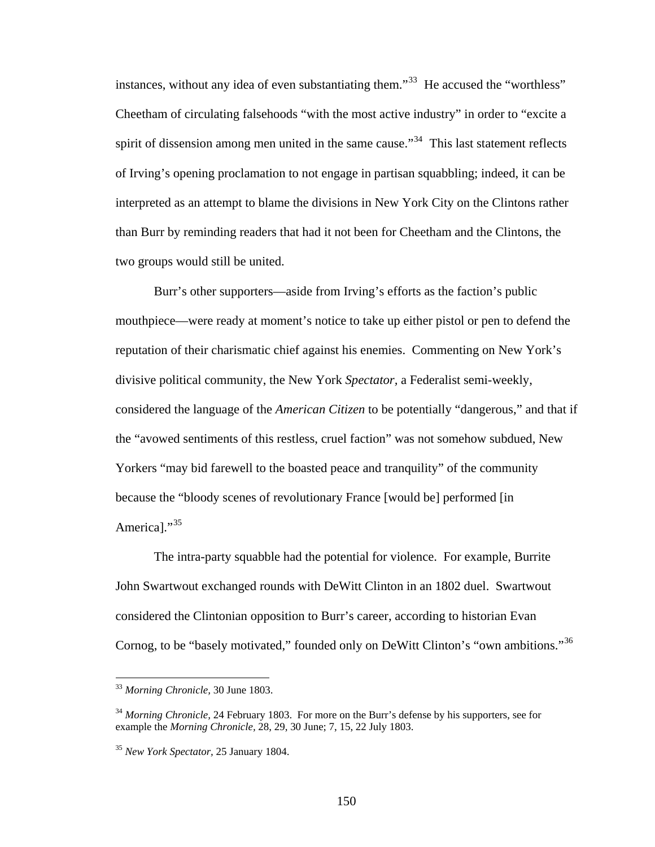instances, without any idea of even substantiating them."<sup>33</sup> He accused the "worthless" Cheetham of circulating falsehoods "with the most active industry" in order to "excite a spirit of dissension among men united in the same cause."<sup>34</sup> This last statement reflects of Irving's opening proclamation to not engage in partisan squabbling; indeed, it can be interpreted as an attempt to blame the divisions in New York City on the Clintons rather than Burr by reminding readers that had it not been for Cheetham and the Clintons, the two groups would still be united.

Burr's other supporters—aside from Irving's efforts as the faction's public mouthpiece—were ready at moment's notice to take up either pistol or pen to defend the reputation of their charismatic chief against his enemies. Commenting on New York's divisive political community, the New York *Spectator,* a Federalist semi-weekly, considered the language of the *American Citizen* to be potentially "dangerous," and that if the "avowed sentiments of this restless, cruel faction" was not somehow subdued, New Yorkers "may bid farewell to the boasted peace and tranquility" of the community because the "bloody scenes of revolutionary France [would be] performed [in Americal."<sup>35</sup>

The intra-party squabble had the potential for violence. For example, Burrite John Swartwout exchanged rounds with DeWitt Clinton in an 1802 duel. Swartwout considered the Clintonian opposition to Burr's career, according to historian Evan Cornog, to be "basely motivated," founded only on DeWitt Clinton's "own ambitions."<sup>36</sup>

<u>.</u>

<sup>33</sup> *Morning Chronicle,* 30 June 1803.

<sup>34</sup> *Morning Chronicle,* 24 February 1803. For more on the Burr's defense by his supporters, see for example the *Morning Chronicle,* 28, 29, 30 June; 7, 15, 22 July 1803.

<sup>35</sup> *New York Spectator,* 25 January 1804.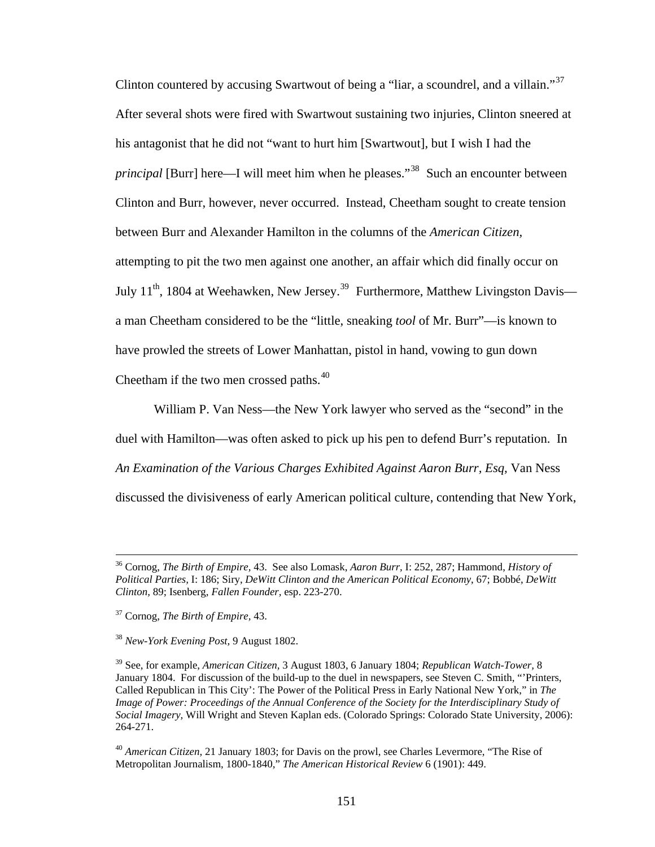Clinton countered by accusing Swartwout of being a "liar, a scoundrel, and a villain."<sup>37</sup> After several shots were fired with Swartwout sustaining two injuries, Clinton sneered at his antagonist that he did not "want to hurt him [Swartwout], but I wish I had the *principal* [Burr] here—I will meet him when he pleases."<sup>38</sup> Such an encounter between Clinton and Burr, however, never occurred. Instead, Cheetham sought to create tension between Burr and Alexander Hamilton in the columns of the *American Citizen,*  attempting to pit the two men against one another, an affair which did finally occur on July 11<sup>th</sup>, 1804 at Weehawken, New Jersey.<sup>39</sup> Furthermore, Matthew Livingston Davis a man Cheetham considered to be the "little, sneaking *tool* of Mr. Burr"—is known to have prowled the streets of Lower Manhattan, pistol in hand, vowing to gun down Cheetham if the two men crossed paths.<sup>40</sup>

William P. Van Ness—the New York lawyer who served as the "second" in the duel with Hamilton—was often asked to pick up his pen to defend Burr's reputation. In *An Examination of the Various Charges Exhibited Against Aaron Burr, Esq,* Van Ness discussed the divisiveness of early American political culture, contending that New York,

 <sup>36</sup> Cornog, *The Birth of Empire,* 43. See also Lomask, *Aaron Burr,* I: 252, 287; Hammond, *History of Political Parties,* I: 186; Siry, *DeWitt Clinton and the American Political Economy*, 67; Bobbé, *DeWitt Clinton,* 89; Isenberg, *Fallen Founder,* esp. 223-270.

<sup>37</sup> Cornog, *The Birth of Empire,* 43.

<sup>38</sup> *New-York Evening Post,* 9 August 1802.

<sup>39</sup> See, for example, *American Citizen,* 3 August 1803, 6 January 1804; *Republican Watch-Tower,* 8 January 1804. For discussion of the build-up to the duel in newspapers, see Steven C. Smith, "Printers, Called Republican in This City': The Power of the Political Press in Early National New York," in *The Image of Power: Proceedings of the Annual Conference of the Society for the Interdisciplinary Study of Social Imagery,* Will Wright and Steven Kaplan eds. (Colorado Springs: Colorado State University, 2006): 264-271.

<sup>40</sup> *American Citizen,* 21 January 1803; for Davis on the prowl, see Charles Levermore, "The Rise of Metropolitan Journalism, 1800-1840," *The American Historical Review* 6 (1901): 449.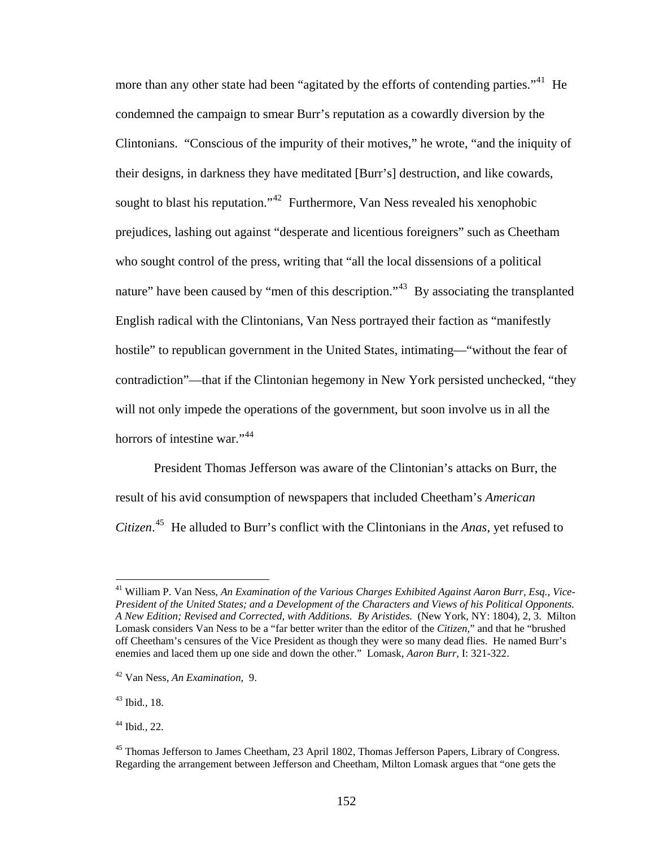more than any other state had been "agitated by the efforts of contending parties."<sup>41</sup> He condemned the campaign to smear Burr's reputation as a cowardly diversion by the Clintonians. "Conscious of the impurity of their motives," he wrote, "and the iniquity of their designs, in darkness they have meditated [Burr's] destruction, and like cowards, sought to blast his reputation."<sup>42</sup> Furthermore, Van Ness revealed his xenophobic prejudices, lashing out against "desperate and licentious foreigners" such as Cheetham who sought control of the press, writing that "all the local dissensions of a political nature" have been caused by "men of this description."<sup>43</sup> By associating the transplanted English radical with the Clintonians, Van Ness portrayed their faction as "manifestly hostile" to republican government in the United States, intimating—"without the fear of contradiction"—that if the Clintonian hegemony in New York persisted unchecked, "they will not only impede the operations of the government, but soon involve us in all the horrors of intestine war."<sup>44</sup>

President Thomas Jefferson was aware of the Clintonian's attacks on Burr, the result of his avid consumption of newspapers that included Cheetham's *American Citizen*. 45 He alluded to Burr's conflict with the Clintonians in the *Anas*, yet refused to

43 Ibid*.,* 18.

<sup>41</sup> William P. Van Ness, *An Examination of the Various Charges Exhibited Against Aaron Burr, Esq., Vice-President of the United States; and a Development of the Characters and Views of his Political Opponents. A New Edition; Revised and Corrected, with Additions. By Aristides.* (New York, NY: 1804), 2, 3. Milton Lomask considers Van Ness to be a "far better writer than the editor of the *Citizen,*" and that he "brushed off Cheetham's censures of the Vice President as though they were so many dead flies. He named Burr's enemies and laced them up one side and down the other." Lomask, *Aaron Burr,* I: 321-322.

<sup>42</sup> Van Ness, *An Examination,* 9.

<sup>44</sup> Ibid*.,* 22.

<sup>&</sup>lt;sup>45</sup> Thomas Jefferson to James Cheetham, 23 April 1802, Thomas Jefferson Papers, Library of Congress. Regarding the arrangement between Jefferson and Cheetham, Milton Lomask argues that "one gets the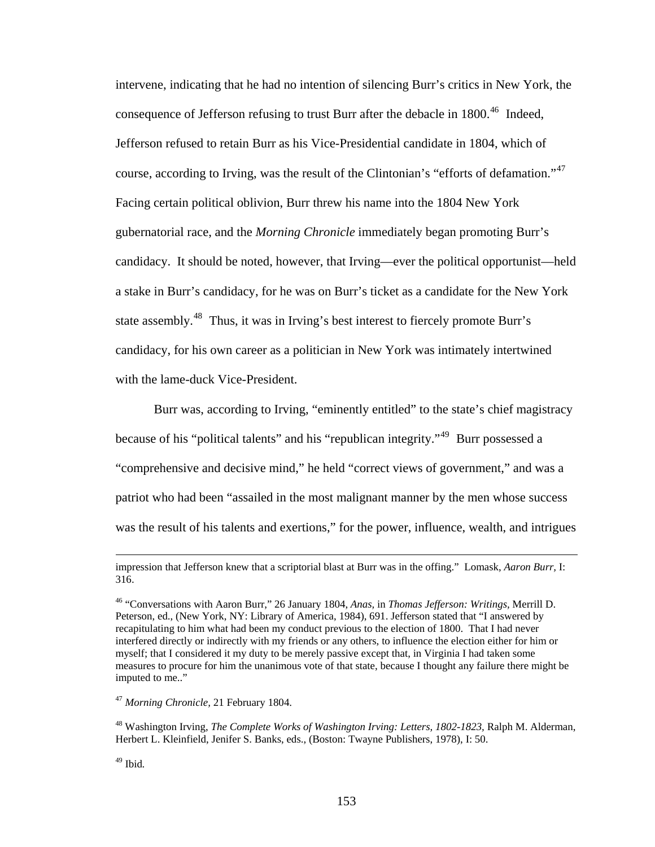intervene, indicating that he had no intention of silencing Burr's critics in New York, the consequence of Jefferson refusing to trust Burr after the debacle in  $1800<sup>46</sup>$  Indeed, Jefferson refused to retain Burr as his Vice-Presidential candidate in 1804, which of course, according to Irving, was the result of the Clintonian's "efforts of defamation."<sup>47</sup> Facing certain political oblivion, Burr threw his name into the 1804 New York gubernatorial race, and the *Morning Chronicle* immediately began promoting Burr's candidacy. It should be noted, however, that Irving—ever the political opportunist—held a stake in Burr's candidacy, for he was on Burr's ticket as a candidate for the New York state assembly.<sup>48</sup> Thus, it was in Irving's best interest to fiercely promote Burr's candidacy, for his own career as a politician in New York was intimately intertwined with the lame-duck Vice-President.

Burr was, according to Irving, "eminently entitled" to the state's chief magistracy because of his "political talents" and his "republican integrity."49 Burr possessed a "comprehensive and decisive mind," he held "correct views of government," and was a patriot who had been "assailed in the most malignant manner by the men whose success was the result of his talents and exertions," for the power, influence, wealth, and intrigues

49 Ibid*.*

impression that Jefferson knew that a scriptorial blast at Burr was in the offing." Lomask, *Aaron Burr,* I: 316.

<sup>46 &</sup>quot;Conversations with Aaron Burr," 26 January 1804, *Anas,* in *Thomas Jefferson: Writings,* Merrill D. Peterson, ed., (New York, NY: Library of America, 1984), 691. Jefferson stated that "I answered by recapitulating to him what had been my conduct previous to the election of 1800. That I had never interfered directly or indirectly with my friends or any others, to influence the election either for him or myself; that I considered it my duty to be merely passive except that, in Virginia I had taken some measures to procure for him the unanimous vote of that state, because I thought any failure there might be imputed to me.."

<sup>47</sup> *Morning Chronicle,* 21 February 1804.

<sup>48</sup> Washington Irving, *The Complete Works of Washington Irving: Letters, 1802-1823,* Ralph M. Alderman, Herbert L. Kleinfield, Jenifer S. Banks, eds., (Boston: Twayne Publishers, 1978), I: 50.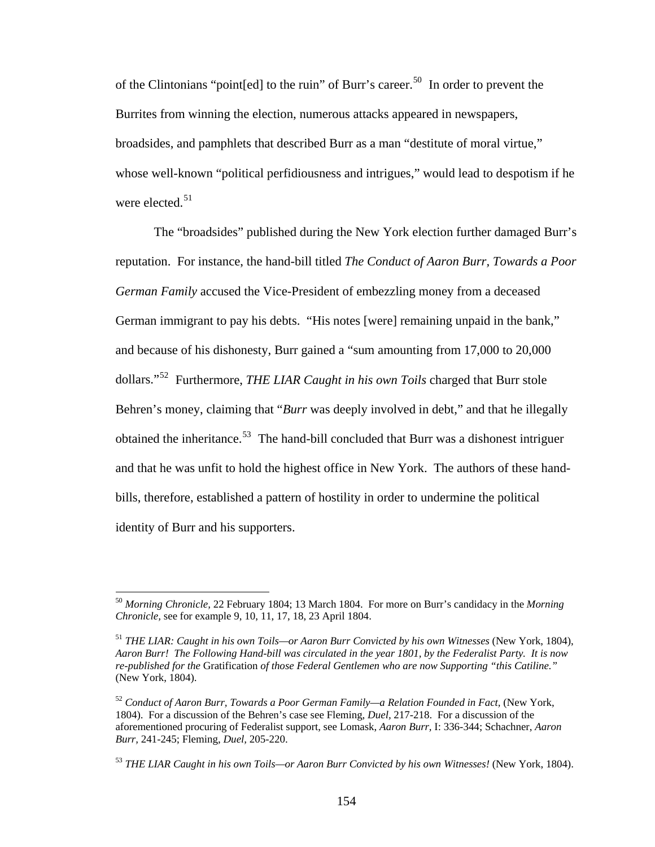of the Clintonians "point [ed] to the ruin" of Burr's career.<sup>50</sup> In order to prevent the Burrites from winning the election, numerous attacks appeared in newspapers, broadsides, and pamphlets that described Burr as a man "destitute of moral virtue," whose well-known "political perfidiousness and intrigues," would lead to despotism if he were elected. $51$ 

The "broadsides" published during the New York election further damaged Burr's reputation. For instance, the hand-bill titled *The Conduct of Aaron Burr, Towards a Poor German Family* accused the Vice-President of embezzling money from a deceased German immigrant to pay his debts. "His notes [were] remaining unpaid in the bank," and because of his dishonesty, Burr gained a "sum amounting from 17,000 to 20,000 dollars."52 Furthermore, *THE LIAR Caught in his own Toils* charged that Burr stole Behren's money, claiming that "*Burr* was deeply involved in debt," and that he illegally obtained the inheritance.<sup>53</sup> The hand-bill concluded that Burr was a dishonest intriguer and that he was unfit to hold the highest office in New York. The authors of these handbills, therefore, established a pattern of hostility in order to undermine the political identity of Burr and his supporters.

<sup>50</sup> *Morning Chronicle,* 22 February 1804; 13 March 1804. For more on Burr's candidacy in the *Morning Chronicle,* see for example 9, 10, 11, 17, 18, 23 April 1804.

<sup>51</sup> *THE LIAR: Caught in his own Toils—or Aaron Burr Convicted by his own Witnesses* (New York, 1804), *Aaron Burr! The Following Hand-bill was circulated in the year 1801, by the Federalist Party. It is now re-published for the* Gratification *of those Federal Gentlemen who are now Supporting "this Catiline."*  (New York, 1804).

<sup>&</sup>lt;sup>52</sup> Conduct of Aaron Burr, Towards a Poor German Family—a Relation Founded in Fact, (New York, 1804). For a discussion of the Behren's case see Fleming, *Duel,* 217-218. For a discussion of the aforementioned procuring of Federalist support, see Lomask, *Aaron Burr,* I: 336-344; Schachner, *Aaron Burr,* 241-245; Fleming, *Duel,* 205-220.

<sup>53</sup> *THE LIAR Caught in his own Toils—or Aaron Burr Convicted by his own Witnesses!* (New York, 1804).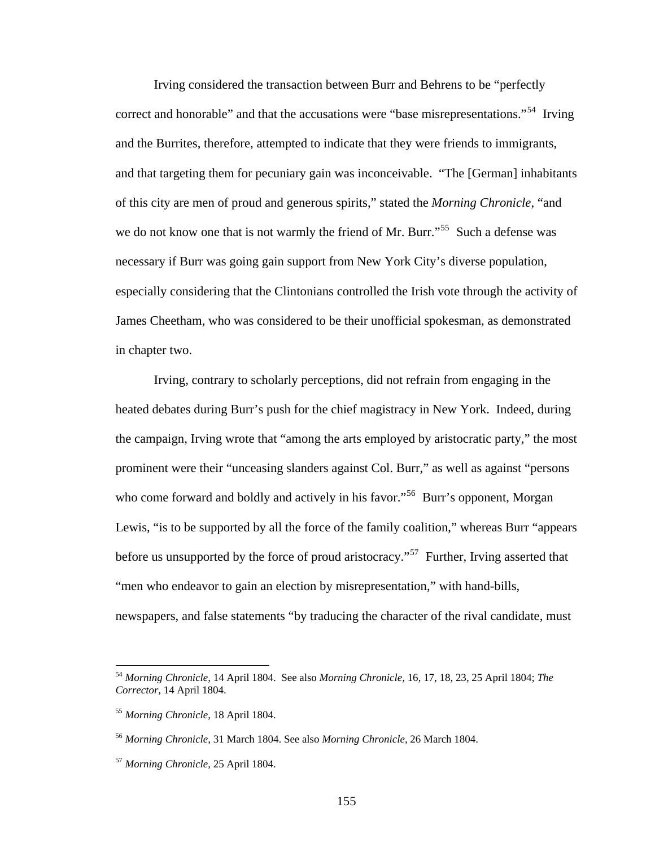Irving considered the transaction between Burr and Behrens to be "perfectly correct and honorable" and that the accusations were "base misrepresentations."<sup>54</sup> Irving and the Burrites, therefore, attempted to indicate that they were friends to immigrants, and that targeting them for pecuniary gain was inconceivable. "The [German] inhabitants of this city are men of proud and generous spirits," stated the *Morning Chronicle,* "and we do not know one that is not warmly the friend of Mr. Burr."<sup>55</sup> Such a defense was necessary if Burr was going gain support from New York City's diverse population, especially considering that the Clintonians controlled the Irish vote through the activity of James Cheetham, who was considered to be their unofficial spokesman, as demonstrated in chapter two.

Irving, contrary to scholarly perceptions, did not refrain from engaging in the heated debates during Burr's push for the chief magistracy in New York. Indeed, during the campaign, Irving wrote that "among the arts employed by aristocratic party," the most prominent were their "unceasing slanders against Col. Burr," as well as against "persons who come forward and boldly and actively in his favor."<sup>56</sup> Burr's opponent, Morgan Lewis, "is to be supported by all the force of the family coalition," whereas Burr "appears before us unsupported by the force of proud aristocracy."<sup>57</sup> Further, Irving asserted that "men who endeavor to gain an election by misrepresentation," with hand-bills, newspapers, and false statements "by traducing the character of the rival candidate, must

<sup>54</sup> *Morning Chronicle,* 14 April 1804. See also *Morning Chronicle,* 16, 17, 18, 23, 25 April 1804; *The Corrector,* 14 April 1804.

<sup>55</sup> *Morning Chronicle,* 18 April 1804.

<sup>56</sup> *Morning Chronicle,* 31 March 1804. See also *Morning Chronicle,* 26 March 1804.

<sup>57</sup> *Morning Chronicle,* 25 April 1804.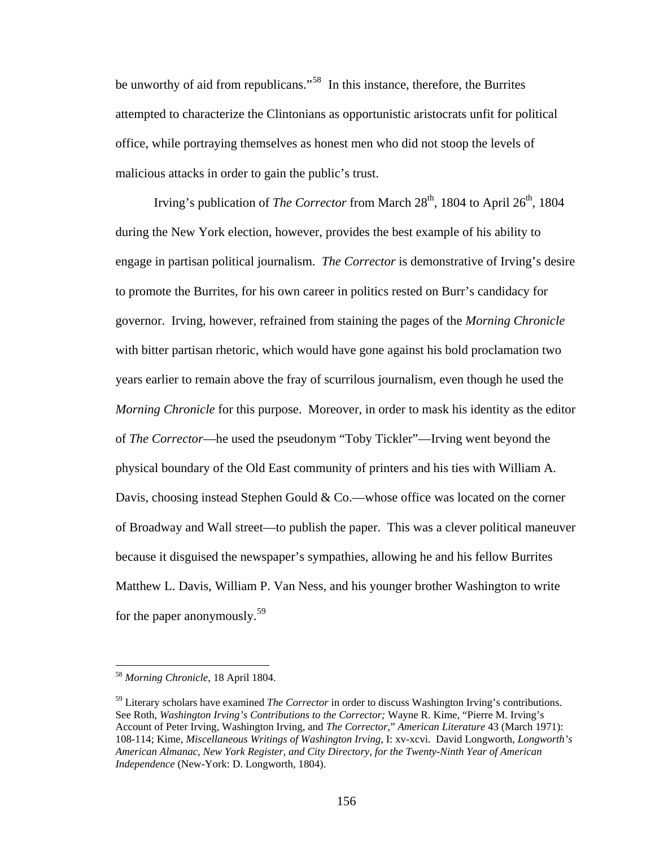be unworthy of aid from republicans."<sup>58</sup> In this instance, therefore, the Burrites attempted to characterize the Clintonians as opportunistic aristocrats unfit for political office, while portraying themselves as honest men who did not stoop the levels of malicious attacks in order to gain the public's trust.

Irving's publication of *The Corrector* from March 28<sup>th</sup>, 1804 to April 26<sup>th</sup>, 1804 during the New York election, however, provides the best example of his ability to engage in partisan political journalism. *The Corrector* is demonstrative of Irving's desire to promote the Burrites, for his own career in politics rested on Burr's candidacy for governor. Irving, however, refrained from staining the pages of the *Morning Chronicle*  with bitter partisan rhetoric, which would have gone against his bold proclamation two years earlier to remain above the fray of scurrilous journalism, even though he used the *Morning Chronicle* for this purpose. Moreover, in order to mask his identity as the editor of *The Corrector*—he used the pseudonym "Toby Tickler"—Irving went beyond the physical boundary of the Old East community of printers and his ties with William A. Davis, choosing instead Stephen Gould & Co.—whose office was located on the corner of Broadway and Wall street—to publish the paper. This was a clever political maneuver because it disguised the newspaper's sympathies, allowing he and his fellow Burrites Matthew L. Davis, William P. Van Ness, and his younger brother Washington to write for the paper anonymously.<sup>59</sup>

<sup>58</sup> *Morning Chronicle,* 18 April 1804.

<sup>59</sup> Literary scholars have examined *The Corrector* in order to discuss Washington Irving's contributions. See Roth, *Washington Irving's Contributions to the Corrector;* Wayne R. Kime, "Pierre M. Irving's Account of Peter Irving, Washington Irving, and *The Corrector,*" *American Literature* 43 (March 1971): 108-114; Kime, *Miscellaneous Writings of Washington Irving,* I: xv-xcvi. David Longworth, *Longworth's American Almanac, New York Register, and City Directory, for the Twenty-Ninth Year of American Independence* (New-York: D. Longworth, 1804).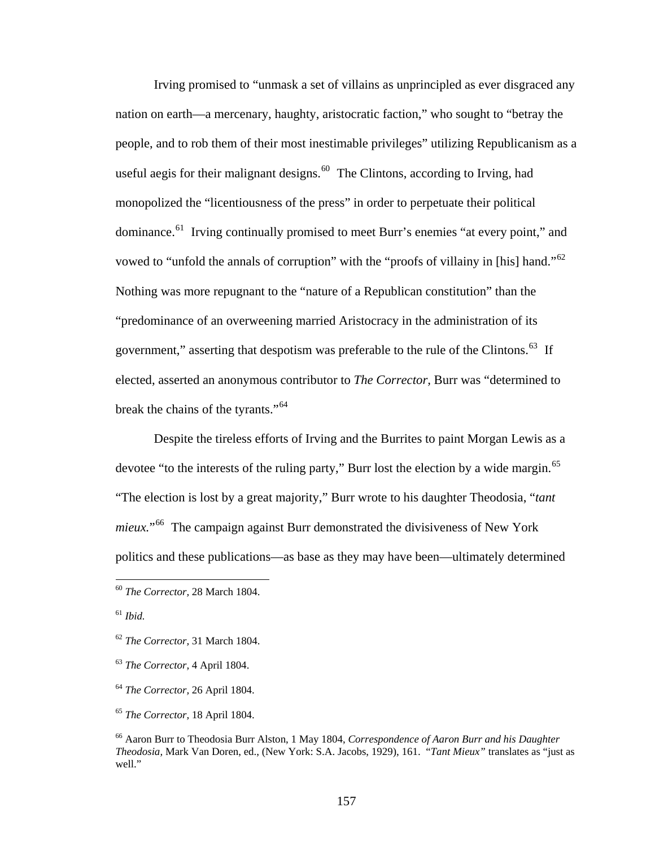Irving promised to "unmask a set of villains as unprincipled as ever disgraced any nation on earth—a mercenary, haughty, aristocratic faction," who sought to "betray the people, and to rob them of their most inestimable privileges" utilizing Republicanism as a useful aegis for their malignant designs.<sup>60</sup> The Clintons, according to Irving, had monopolized the "licentiousness of the press" in order to perpetuate their political dominance.<sup>61</sup> Irving continually promised to meet Burr's enemies "at every point," and vowed to "unfold the annals of corruption" with the "proofs of villainy in [his] hand."62 Nothing was more repugnant to the "nature of a Republican constitution" than the "predominance of an overweening married Aristocracy in the administration of its government," asserting that despotism was preferable to the rule of the Clintons.<sup>63</sup> If elected, asserted an anonymous contributor to *The Corrector,* Burr was "determined to break the chains of the tyrants."<sup>64</sup>

Despite the tireless efforts of Irving and the Burrites to paint Morgan Lewis as a devotee "to the interests of the ruling party," Burr lost the election by a wide margin.<sup>65</sup> "The election is lost by a great majority," Burr wrote to his daughter Theodosia, "*tant mieux.*"66 The campaign against Burr demonstrated the divisiveness of New York politics and these publications—as base as they may have been—ultimately determined

<sup>60</sup> *The Corrector,* 28 March 1804.

<sup>61</sup> *Ibid.*

<sup>62</sup> *The Corrector,* 31 March 1804.

<sup>63</sup> *The Corrector,* 4 April 1804.

<sup>64</sup> *The Corrector,* 26 April 1804.

<sup>65</sup> *The Corrector,* 18 April 1804.

<sup>66</sup> Aaron Burr to Theodosia Burr Alston, 1 May 1804, *Correspondence of Aaron Burr and his Daughter Theodosia,* Mark Van Doren, ed., (New York: S.A. Jacobs, 1929), 161. "*Tant Mieux"* translates as "just as well."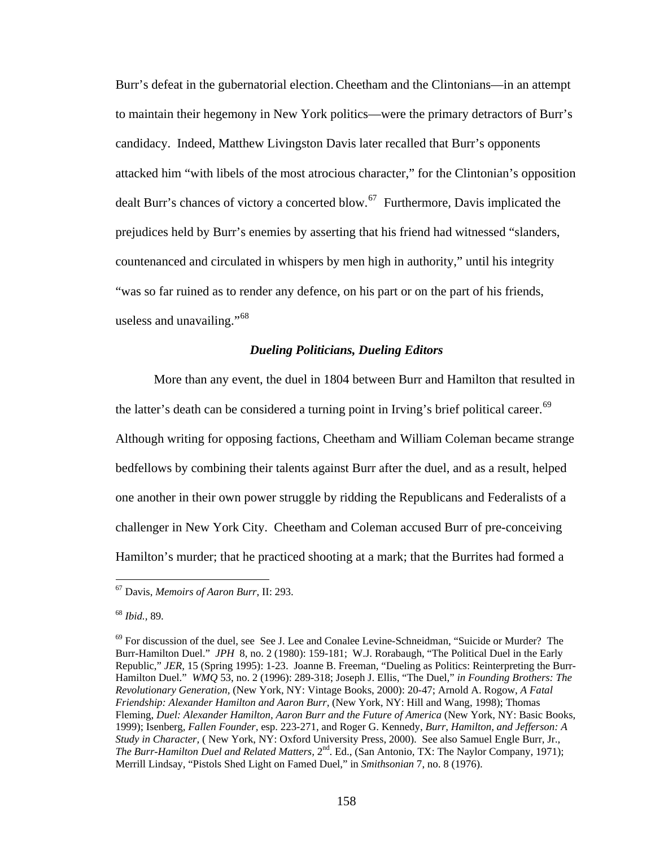Burr's defeat in the gubernatorial election.Cheetham and the Clintonians—in an attempt to maintain their hegemony in New York politics—were the primary detractors of Burr's candidacy. Indeed, Matthew Livingston Davis later recalled that Burr's opponents attacked him "with libels of the most atrocious character," for the Clintonian's opposition dealt Burr's chances of victory a concerted blow.<sup>67</sup> Furthermore, Davis implicated the prejudices held by Burr's enemies by asserting that his friend had witnessed "slanders, countenanced and circulated in whispers by men high in authority," until his integrity "was so far ruined as to render any defence, on his part or on the part of his friends, useless and unavailing."<sup>68</sup>

### *Dueling Politicians, Dueling Editors*

More than any event, the duel in 1804 between Burr and Hamilton that resulted in the latter's death can be considered a turning point in Irving's brief political career.<sup>69</sup> Although writing for opposing factions, Cheetham and William Coleman became strange bedfellows by combining their talents against Burr after the duel, and as a result, helped one another in their own power struggle by ridding the Republicans and Federalists of a challenger in New York City. Cheetham and Coleman accused Burr of pre-conceiving Hamilton's murder; that he practiced shooting at a mark; that the Burrites had formed a

1

<sup>67</sup> Davis, *Memoirs of Aaron Burr*, II: 293.

<sup>68</sup> *Ibid.,* 89.

 $69$  For discussion of the duel, see See J. Lee and Conalee Levine-Schneidman, "Suicide or Murder? The Burr-Hamilton Duel." *JPH* 8, no. 2 (1980): 159-181; W.J. Rorabaugh, "The Political Duel in the Early Republic," *JER,* 15 (Spring 1995): 1-23. Joanne B. Freeman, "Dueling as Politics: Reinterpreting the Burr-Hamilton Duel." *WMQ* 53, no. 2 (1996): 289-318; Joseph J. Ellis, "The Duel," *in Founding Brothers: The Revolutionary Generation,* (New York, NY: Vintage Books, 2000): 20-47; Arnold A. Rogow, *A Fatal Friendship: Alexander Hamilton and Aaron Burr,* (New York, NY: Hill and Wang, 1998); Thomas Fleming, *Duel: Alexander Hamilton, Aaron Burr and the Future of America* (New York, NY: Basic Books, 1999); Isenberg, *Fallen Founder,* esp. 223-271, and Roger G. Kennedy, *Burr, Hamilton, and Jefferson: A Study in Character,* ( New York, NY: Oxford University Press, 2000). See also Samuel Engle Burr, Jr., *The Burr-Hamilton Duel and Related Matters,*  $2<sup>nd</sup>$ . Ed., (San Antonio, TX: The Naylor Company, 1971); Merrill Lindsay, "Pistols Shed Light on Famed Duel," in *Smithsonian* 7, no. 8 (1976).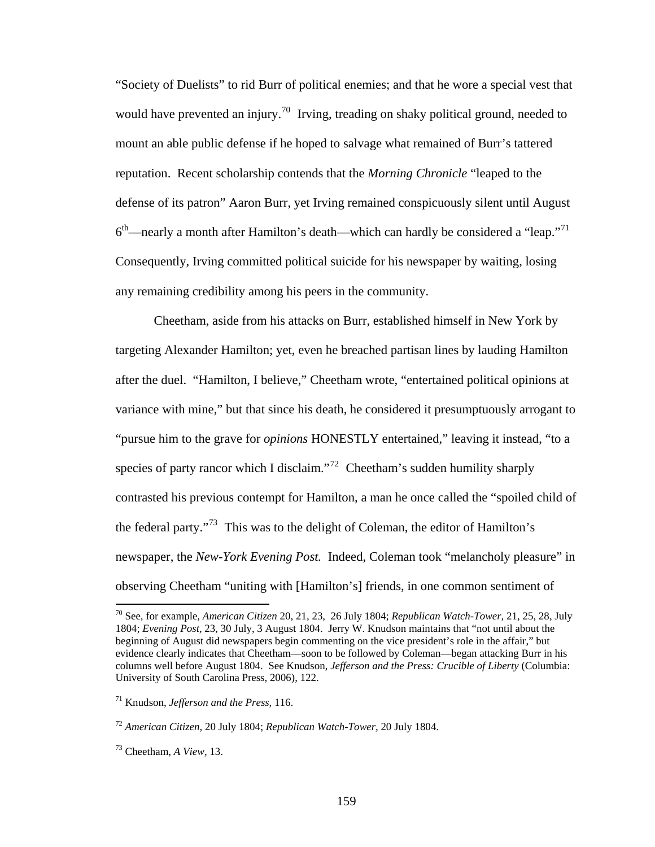"Society of Duelists" to rid Burr of political enemies; and that he wore a special vest that would have prevented an injury.<sup>70</sup> Irving, treading on shaky political ground, needed to mount an able public defense if he hoped to salvage what remained of Burr's tattered reputation. Recent scholarship contends that the *Morning Chronicle* "leaped to the defense of its patron" Aaron Burr, yet Irving remained conspicuously silent until August  $6<sup>th</sup>$ —nearly a month after Hamilton's death—which can hardly be considered a "leap."<sup>71</sup> Consequently, Irving committed political suicide for his newspaper by waiting, losing any remaining credibility among his peers in the community.

Cheetham, aside from his attacks on Burr, established himself in New York by targeting Alexander Hamilton; yet, even he breached partisan lines by lauding Hamilton after the duel. "Hamilton, I believe," Cheetham wrote, "entertained political opinions at variance with mine," but that since his death, he considered it presumptuously arrogant to "pursue him to the grave for *opinions* HONESTLY entertained," leaving it instead, "to a species of party rancor which I disclaim."<sup>72</sup> Cheetham's sudden humility sharply contrasted his previous contempt for Hamilton, a man he once called the "spoiled child of the federal party."73 This was to the delight of Coleman, the editor of Hamilton's newspaper, the *New-York Evening Post.* Indeed, Coleman took "melancholy pleasure" in observing Cheetham "uniting with [Hamilton's] friends, in one common sentiment of

<sup>70</sup> See, for example, *American Citizen* 20, 21, 23, 26 July 1804; *Republican Watch-Tower,* 21, 25, 28, July 1804; *Evening Post,* 23, 30 July, 3 August 1804. Jerry W. Knudson maintains that "not until about the beginning of August did newspapers begin commenting on the vice president's role in the affair," but evidence clearly indicates that Cheetham—soon to be followed by Coleman—began attacking Burr in his columns well before August 1804. See Knudson, *Jefferson and the Press: Crucible of Liberty* (Columbia: University of South Carolina Press, 2006), 122.

<sup>71</sup> Knudson, *Jefferson and the Press*, 116.

<sup>72</sup> *American Citizen,* 20 July 1804; *Republican Watch-Tower,* 20 July 1804.

<sup>73</sup> Cheetham, *A View,* 13.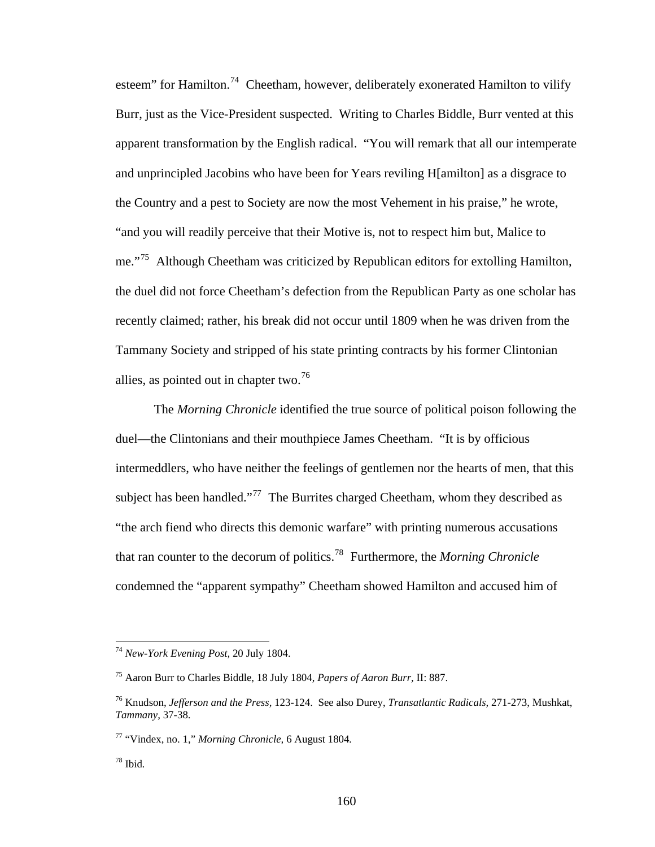esteem" for Hamilton.<sup>74</sup> Cheetham, however, deliberately exonerated Hamilton to vilify Burr, just as the Vice-President suspected. Writing to Charles Biddle, Burr vented at this apparent transformation by the English radical. "You will remark that all our intemperate and unprincipled Jacobins who have been for Years reviling H[amilton] as a disgrace to the Country and a pest to Society are now the most Vehement in his praise," he wrote, "and you will readily perceive that their Motive is, not to respect him but, Malice to me."<sup>75</sup> Although Cheetham was criticized by Republican editors for extolling Hamilton, the duel did not force Cheetham's defection from the Republican Party as one scholar has recently claimed; rather, his break did not occur until 1809 when he was driven from the Tammany Society and stripped of his state printing contracts by his former Clintonian allies, as pointed out in chapter two.<sup>76</sup>

The *Morning Chronicle* identified the true source of political poison following the duel—the Clintonians and their mouthpiece James Cheetham. "It is by officious intermeddlers, who have neither the feelings of gentlemen nor the hearts of men, that this subject has been handled."<sup>77</sup> The Burrites charged Cheetham, whom they described as "the arch fiend who directs this demonic warfare" with printing numerous accusations that ran counter to the decorum of politics.78 Furthermore, the *Morning Chronicle* condemned the "apparent sympathy" Cheetham showed Hamilton and accused him of

<sup>74</sup> *New-York Evening Post,* 20 July 1804.

<sup>75</sup> Aaron Burr to Charles Biddle, 18 July 1804, *Papers of Aaron Burr,* II: 887.

<sup>76</sup> Knudson, *Jefferson and the Press,* 123-124. See also Durey, *Transatlantic Radicals,* 271-273, Mushkat, *Tammany,* 37-38.

<sup>77 &</sup>quot;Vindex, no. 1," *Morning Chronicle,* 6 August 1804*.*

<sup>78</sup> Ibid*.*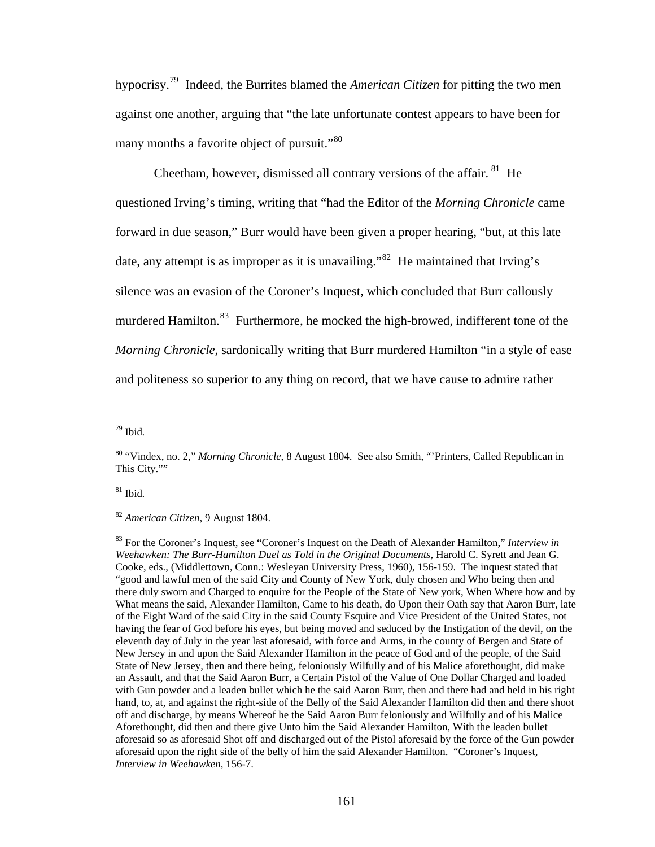hypocrisy.79 Indeed, the Burrites blamed the *American Citizen* for pitting the two men against one another, arguing that "the late unfortunate contest appears to have been for many months a favorite object of pursuit."<sup>80</sup>

Cheetham, however, dismissed all contrary versions of the affair. <sup>81</sup> He questioned Irving's timing, writing that "had the Editor of the *Morning Chronicle* came forward in due season," Burr would have been given a proper hearing, "but, at this late date, any attempt is as improper as it is unavailing."<sup>82</sup> He maintained that Irving's silence was an evasion of the Coroner's Inquest, which concluded that Burr callously murdered Hamilton.<sup>83</sup> Furthermore, he mocked the high-browed, indifferent tone of the *Morning Chronicle*, sardonically writing that Burr murdered Hamilton "in a style of ease and politeness so superior to any thing on record, that we have cause to admire rather

1

81 Ibid*.*

<sup>82</sup> *American Citizen,* 9 August 1804.

83 For the Coroner's Inquest, see "Coroner's Inquest on the Death of Alexander Hamilton," *Interview in Weehawken: The Burr-Hamilton Duel as Told in the Original Documents,* Harold C. Syrett and Jean G. Cooke, eds., (Middlettown, Conn.: Wesleyan University Press, 1960), 156-159. The inquest stated that "good and lawful men of the said City and County of New York, duly chosen and Who being then and there duly sworn and Charged to enquire for the People of the State of New york, When Where how and by What means the said, Alexander Hamilton, Came to his death, do Upon their Oath say that Aaron Burr, late of the Eight Ward of the said City in the said County Esquire and Vice President of the United States, not having the fear of God before his eyes, but being moved and seduced by the Instigation of the devil, on the eleventh day of July in the year last aforesaid, with force and Arms, in the county of Bergen and State of New Jersey in and upon the Said Alexander Hamilton in the peace of God and of the people, of the Said State of New Jersey, then and there being, feloniously Wilfully and of his Malice aforethought, did make an Assault, and that the Said Aaron Burr, a Certain Pistol of the Value of One Dollar Charged and loaded with Gun powder and a leaden bullet which he the said Aaron Burr, then and there had and held in his right hand, to, at, and against the right-side of the Belly of the Said Alexander Hamilton did then and there shoot off and discharge, by means Whereof he the Said Aaron Burr feloniously and Wilfully and of his Malice Aforethought, did then and there give Unto him the Said Alexander Hamilton, With the leaden bullet aforesaid so as aforesaid Shot off and discharged out of the Pistol aforesaid by the force of the Gun powder aforesaid upon the right side of the belly of him the said Alexander Hamilton. "Coroner's Inquest, *Interview in Weehawken,* 156-7.

<sup>79</sup> Ibid*.*

<sup>80 &</sup>quot;Vindex, no. 2," *Morning Chronicle,* 8 August 1804. See also Smith, "'Printers, Called Republican in This City.""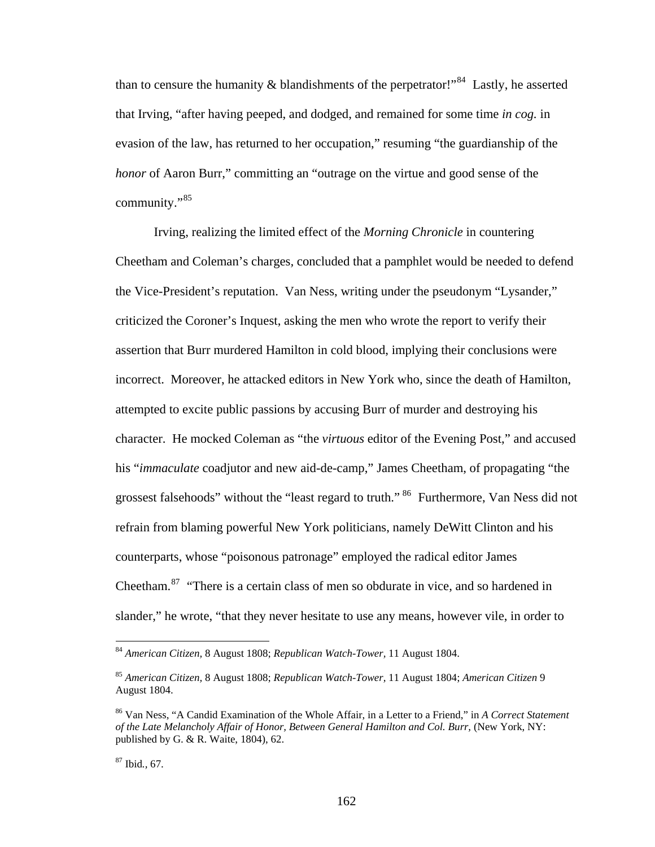than to censure the humanity  $\&$  blandishments of the perpetrator!"<sup>84</sup> Lastly, he asserted that Irving, "after having peeped, and dodged, and remained for some time *in cog.* in evasion of the law, has returned to her occupation," resuming "the guardianship of the *honor* of Aaron Burr," committing an "outrage on the virtue and good sense of the community."<sup>85</sup>

Irving, realizing the limited effect of the *Morning Chronicle* in countering Cheetham and Coleman's charges*,* concluded that a pamphlet would be needed to defend the Vice-President's reputation. Van Ness, writing under the pseudonym "Lysander," criticized the Coroner's Inquest, asking the men who wrote the report to verify their assertion that Burr murdered Hamilton in cold blood, implying their conclusions were incorrect. Moreover, he attacked editors in New York who, since the death of Hamilton, attempted to excite public passions by accusing Burr of murder and destroying his character. He mocked Coleman as "the *virtuous* editor of the Evening Post," and accused his "*immaculate* coadjutor and new aid-de-camp," James Cheetham, of propagating "the grossest falsehoods" without the "least regard to truth." 86 Furthermore, Van Ness did not refrain from blaming powerful New York politicians, namely DeWitt Clinton and his counterparts, whose "poisonous patronage" employed the radical editor James Cheetham.<sup>87</sup> "There is a certain class of men so obdurate in vice, and so hardened in slander," he wrote, "that they never hesitate to use any means, however vile, in order to

<sup>84</sup> *American Citizen,* 8 August 1808; *Republican Watch-Tower,* 11 August 1804.

<sup>85</sup> *American Citizen,* 8 August 1808; *Republican Watch-Tower,* 11 August 1804; *American Citizen* 9 August 1804.

<sup>86</sup> Van Ness, "A Candid Examination of the Whole Affair, in a Letter to a Friend," in *A Correct Statement of the Late Melancholy Affair of Honor, Between General Hamilton and Col. Burr, (New York, NY:* published by G. & R. Waite, 1804), 62.

<sup>87</sup> Ibid*.,* 67.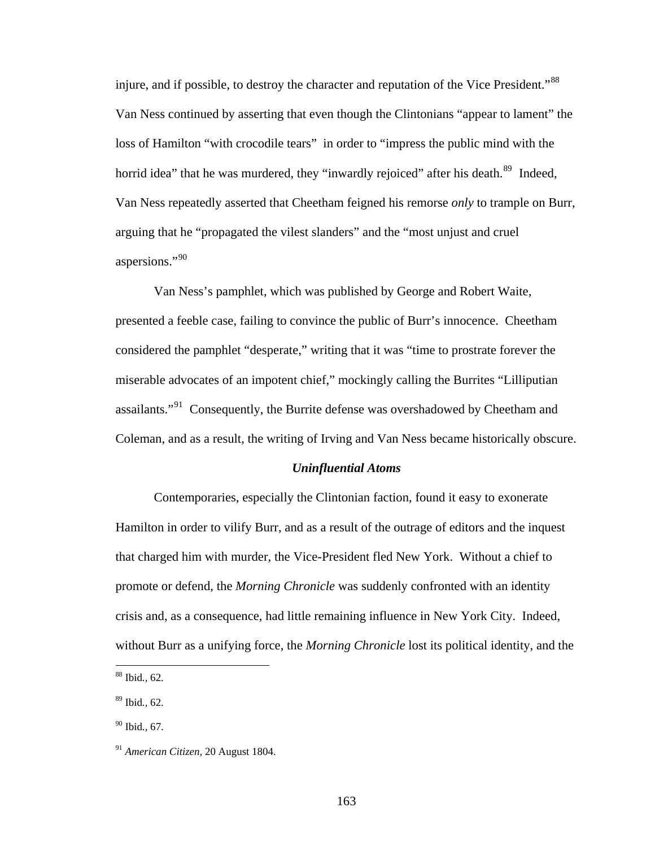injure, and if possible, to destroy the character and reputation of the Vice President."<sup>88</sup> Van Ness continued by asserting that even though the Clintonians "appear to lament" the loss of Hamilton "with crocodile tears" in order to "impress the public mind with the horrid idea" that he was murdered, they "inwardly rejoiced" after his death.<sup>89</sup> Indeed, Van Ness repeatedly asserted that Cheetham feigned his remorse *only* to trample on Burr, arguing that he "propagated the vilest slanders" and the "most unjust and cruel aspersions."90

Van Ness's pamphlet, which was published by George and Robert Waite, presented a feeble case, failing to convince the public of Burr's innocence. Cheetham considered the pamphlet "desperate," writing that it was "time to prostrate forever the miserable advocates of an impotent chief," mockingly calling the Burrites "Lilliputian assailants."<sup>91</sup> Consequently, the Burrite defense was overshadowed by Cheetham and Coleman, and as a result, the writing of Irving and Van Ness became historically obscure.

#### *Uninfluential Atoms*

Contemporaries, especially the Clintonian faction, found it easy to exonerate Hamilton in order to vilify Burr, and as a result of the outrage of editors and the inquest that charged him with murder, the Vice-President fled New York. Without a chief to promote or defend, the *Morning Chronicle* was suddenly confronted with an identity crisis and, as a consequence, had little remaining influence in New York City. Indeed, without Burr as a unifying force, the *Morning Chronicle* lost its political identity, and the

<sup>88</sup> Ibid*.,* 62.

<sup>89</sup> Ibid*.,* 62.

<sup>90</sup> Ibid*.,* 67.

<sup>91</sup> *American Citizen,* 20 August 1804.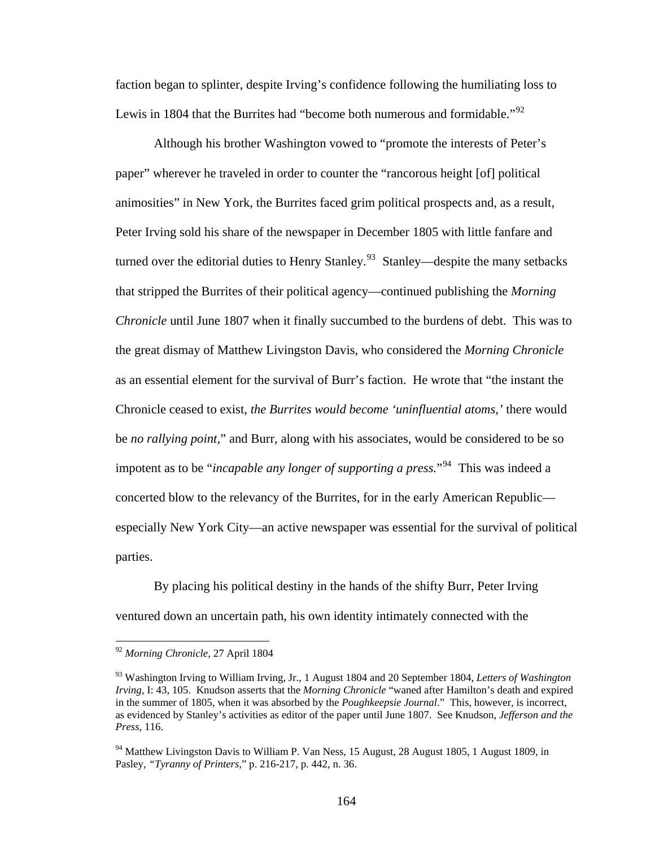faction began to splinter, despite Irving's confidence following the humiliating loss to Lewis in 1804 that the Burrites had "become both numerous and formidable."<sup>92</sup>

Although his brother Washington vowed to "promote the interests of Peter's paper" wherever he traveled in order to counter the "rancorous height [of] political animosities" in New York, the Burrites faced grim political prospects and, as a result, Peter Irving sold his share of the newspaper in December 1805 with little fanfare and turned over the editorial duties to Henry Stanley.<sup>93</sup> Stanley—despite the many setbacks that stripped the Burrites of their political agency—continued publishing the *Morning Chronicle* until June 1807 when it finally succumbed to the burdens of debt. This was to the great dismay of Matthew Livingston Davis, who considered the *Morning Chronicle*  as an essential element for the survival of Burr's faction. He wrote that "the instant the Chronicle ceased to exist, *the Burrites would become 'uninfluential atoms,'* there would be *no rallying point,*" and Burr, along with his associates, would be considered to be so impotent as to be "*incapable any longer of supporting a press*."<sup>94</sup> This was indeed a concerted blow to the relevancy of the Burrites, for in the early American Republic especially New York City—an active newspaper was essential for the survival of political parties.

By placing his political destiny in the hands of the shifty Burr, Peter Irving ventured down an uncertain path, his own identity intimately connected with the

<sup>92</sup> *Morning Chronicle,* 27 April 1804

<sup>93</sup> Washington Irving to William Irving, Jr., 1 August 1804 and 20 September 1804, *Letters of Washington Irving,* I: 43, 105. Knudson asserts that the *Morning Chronicle* "waned after Hamilton's death and expired in the summer of 1805, when it was absorbed by the *Poughkeepsie Journal*." This, however, is incorrect, as evidenced by Stanley's activities as editor of the paper until June 1807. See Knudson, *Jefferson and the Press,* 116.

<sup>&</sup>lt;sup>94</sup> Matthew Livingston Davis to William P. Van Ness, 15 August, 28 August 1805, 1 August 1809, in Pasley, *"Tyranny of Printers,*" p. 216-217, p. 442, n. 36.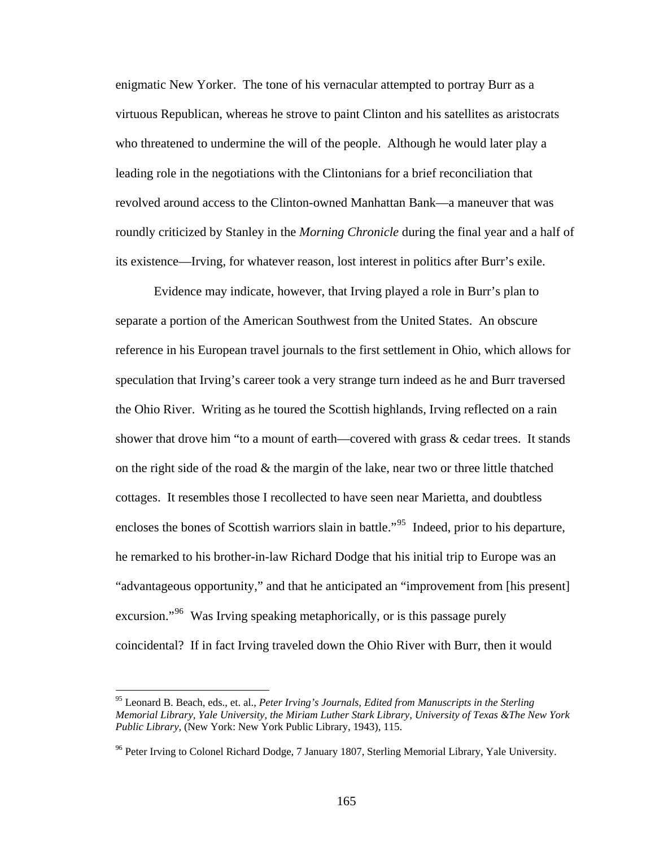enigmatic New Yorker. The tone of his vernacular attempted to portray Burr as a virtuous Republican, whereas he strove to paint Clinton and his satellites as aristocrats who threatened to undermine the will of the people. Although he would later play a leading role in the negotiations with the Clintonians for a brief reconciliation that revolved around access to the Clinton-owned Manhattan Bank—a maneuver that was roundly criticized by Stanley in the *Morning Chronicle* during the final year and a half of its existence—Irving, for whatever reason, lost interest in politics after Burr's exile.

Evidence may indicate, however, that Irving played a role in Burr's plan to separate a portion of the American Southwest from the United States. An obscure reference in his European travel journals to the first settlement in Ohio, which allows for speculation that Irving's career took a very strange turn indeed as he and Burr traversed the Ohio River. Writing as he toured the Scottish highlands, Irving reflected on a rain shower that drove him "to a mount of earth—covered with grass & cedar trees. It stands on the right side of the road  $\&$  the margin of the lake, near two or three little thatched cottages. It resembles those I recollected to have seen near Marietta, and doubtless encloses the bones of Scottish warriors slain in battle."<sup>95</sup> Indeed, prior to his departure, he remarked to his brother-in-law Richard Dodge that his initial trip to Europe was an "advantageous opportunity," and that he anticipated an "improvement from [his present] excursion."<sup>96</sup> Was Irving speaking metaphorically, or is this passage purely coincidental? If in fact Irving traveled down the Ohio River with Burr, then it would

<sup>95</sup> Leonard B. Beach, eds., et. al., *Peter Irving's Journals, Edited from Manuscripts in the Sterling Memorial Library, Yale University, the Miriam Luther Stark Library, University of Texas &The New York Public Library,* (New York: New York Public Library, 1943), 115.

<sup>&</sup>lt;sup>96</sup> Peter Irving to Colonel Richard Dodge, 7 January 1807, Sterling Memorial Library, Yale University.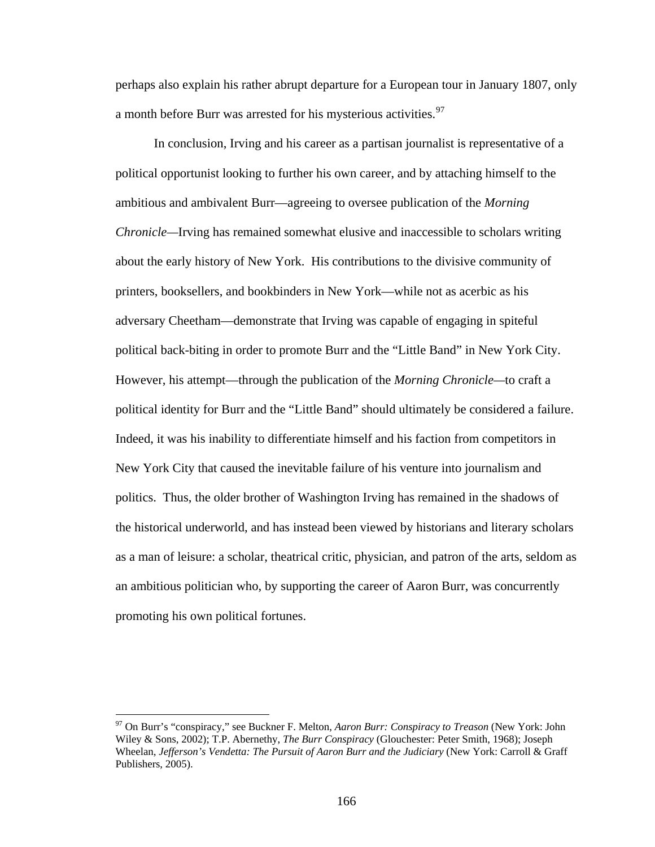perhaps also explain his rather abrupt departure for a European tour in January 1807, only a month before Burr was arrested for his mysterious activities.<sup>97</sup>

In conclusion, Irving and his career as a partisan journalist is representative of a political opportunist looking to further his own career, and by attaching himself to the ambitious and ambivalent Burr—agreeing to oversee publication of the *Morning Chronicle—*Irving has remained somewhat elusive and inaccessible to scholars writing about the early history of New York. His contributions to the divisive community of printers, booksellers, and bookbinders in New York—while not as acerbic as his adversary Cheetham—demonstrate that Irving was capable of engaging in spiteful political back-biting in order to promote Burr and the "Little Band" in New York City. However, his attempt—through the publication of the *Morning Chronicle—*to craft a political identity for Burr and the "Little Band" should ultimately be considered a failure. Indeed, it was his inability to differentiate himself and his faction from competitors in New York City that caused the inevitable failure of his venture into journalism and politics. Thus, the older brother of Washington Irving has remained in the shadows of the historical underworld, and has instead been viewed by historians and literary scholars as a man of leisure: a scholar, theatrical critic, physician, and patron of the arts, seldom as an ambitious politician who, by supporting the career of Aaron Burr, was concurrently promoting his own political fortunes.

<sup>97</sup> On Burr's "conspiracy," see Buckner F. Melton, *Aaron Burr: Conspiracy to Treason* (New York: John Wiley & Sons, 2002); T.P. Abernethy, *The Burr Conspiracy* (Glouchester: Peter Smith, 1968); Joseph Wheelan, *Jefferson's Vendetta: The Pursuit of Aaron Burr and the Judiciary* (New York: Carroll & Graff Publishers, 2005).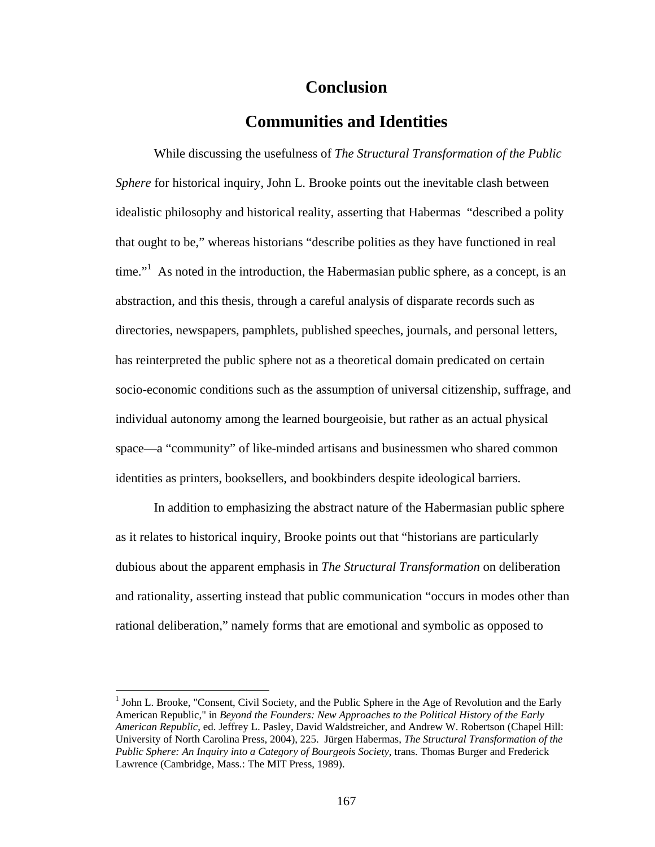## **Conclusion**

### **Communities and Identities**

 While discussing the usefulness of *The Structural Transformation of the Public Sphere* for historical inquiry, John L. Brooke points out the inevitable clash between idealistic philosophy and historical reality, asserting that Habermas "described a polity that ought to be," whereas historians "describe polities as they have functioned in real time."<sup>1</sup> As noted in the introduction, the Habermasian public sphere, as a concept, is an abstraction, and this thesis, through a careful analysis of disparate records such as directories, newspapers, pamphlets, published speeches, journals, and personal letters, has reinterpreted the public sphere not as a theoretical domain predicated on certain socio-economic conditions such as the assumption of universal citizenship, suffrage, and individual autonomy among the learned bourgeoisie, but rather as an actual physical space—a "community" of like-minded artisans and businessmen who shared common identities as printers, booksellers, and bookbinders despite ideological barriers.

In addition to emphasizing the abstract nature of the Habermasian public sphere as it relates to historical inquiry, Brooke points out that "historians are particularly dubious about the apparent emphasis in *The Structural Transformation* on deliberation and rationality, asserting instead that public communication "occurs in modes other than rational deliberation," namely forms that are emotional and symbolic as opposed to

<sup>&</sup>lt;sup>1</sup> John L. Brooke, "Consent, Civil Society, and the Public Sphere in the Age of Revolution and the Early American Republic," in *Beyond the Founders: New Approaches to the Political History of the Early American Republic*, ed. Jeffrey L. Pasley, David Waldstreicher, and Andrew W. Robertson (Chapel Hill: University of North Carolina Press, 2004), 225. Jürgen Habermas, *The Structural Transformation of the Public Sphere: An Inquiry into a Category of Bourgeois Society*, trans. Thomas Burger and Frederick Lawrence (Cambridge, Mass.: The MIT Press, 1989).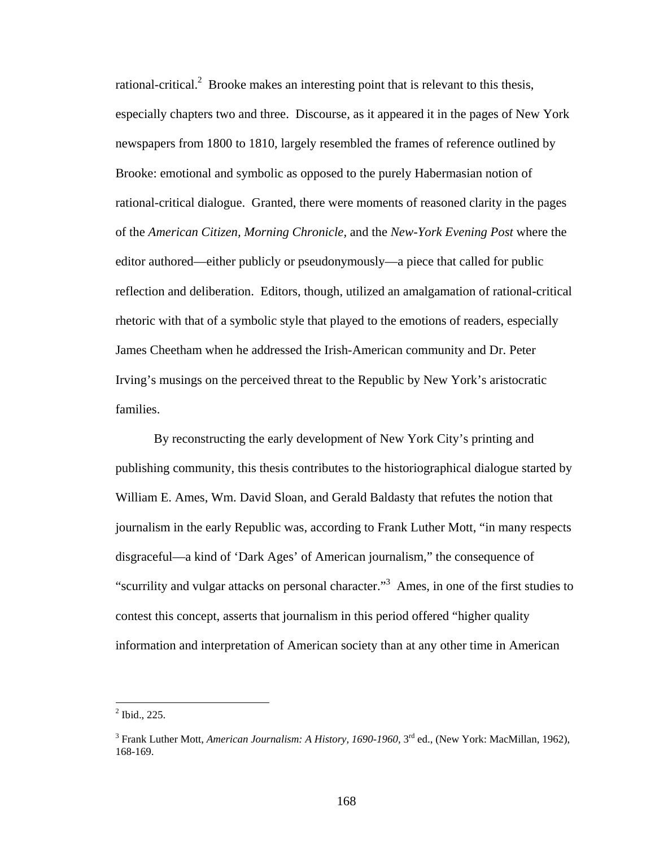rational-critical.<sup>2</sup> Brooke makes an interesting point that is relevant to this thesis, especially chapters two and three. Discourse, as it appeared it in the pages of New York newspapers from 1800 to 1810, largely resembled the frames of reference outlined by Brooke: emotional and symbolic as opposed to the purely Habermasian notion of rational-critical dialogue. Granted, there were moments of reasoned clarity in the pages of the *American Citizen, Morning Chronicle,* and the *New-York Evening Post* where the editor authored—either publicly or pseudonymously—a piece that called for public reflection and deliberation. Editors, though, utilized an amalgamation of rational-critical rhetoric with that of a symbolic style that played to the emotions of readers, especially James Cheetham when he addressed the Irish-American community and Dr. Peter Irving's musings on the perceived threat to the Republic by New York's aristocratic families.

 By reconstructing the early development of New York City's printing and publishing community, this thesis contributes to the historiographical dialogue started by William E. Ames, Wm. David Sloan, and Gerald Baldasty that refutes the notion that journalism in the early Republic was, according to Frank Luther Mott, "in many respects disgraceful—a kind of 'Dark Ages' of American journalism," the consequence of "scurrility and vulgar attacks on personal character."<sup>3</sup> Ames, in one of the first studies to contest this concept, asserts that journalism in this period offered "higher quality information and interpretation of American society than at any other time in American

 $2^2$  Ibid., 225.

<sup>&</sup>lt;sup>3</sup> Frank Luther Mott, *American Journalism: A History, 1690-1960, 3*<sup>rd</sup> ed., (New York: MacMillan, 1962), 168-169.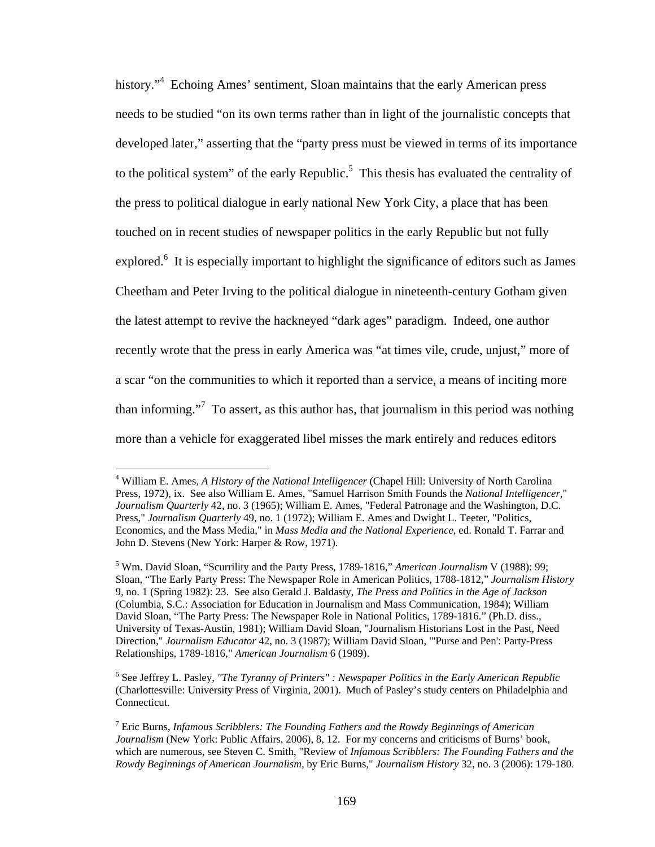history."<sup>4</sup> Echoing Ames' sentiment, Sloan maintains that the early American press needs to be studied "on its own terms rather than in light of the journalistic concepts that developed later," asserting that the "party press must be viewed in terms of its importance to the political system" of the early Republic.<sup>5</sup> This thesis has evaluated the centrality of the press to political dialogue in early national New York City, a place that has been touched on in recent studies of newspaper politics in the early Republic but not fully explored.<sup>6</sup> It is especially important to highlight the significance of editors such as James Cheetham and Peter Irving to the political dialogue in nineteenth-century Gotham given the latest attempt to revive the hackneyed "dark ages" paradigm. Indeed, one author recently wrote that the press in early America was "at times vile, crude, unjust," more of a scar "on the communities to which it reported than a service, a means of inciting more than informing."<sup>7</sup> To assert, as this author has, that journalism in this period was nothing more than a vehicle for exaggerated libel misses the mark entirely and reduces editors

<sup>4</sup> William E. Ames, *A History of the National Intelligencer* (Chapel Hill: University of North Carolina Press, 1972), ix. See also William E. Ames, "Samuel Harrison Smith Founds the *National Intelligencer*," *Journalism Quarterly* 42, no. 3 (1965); William E. Ames, "Federal Patronage and the Washington, D.C. Press," *Journalism Quarterly* 49, no. 1 (1972); William E. Ames and Dwight L. Teeter, "Politics, Economics, and the Mass Media," in *Mass Media and the National Experience*, ed. Ronald T. Farrar and John D. Stevens (New York: Harper & Row, 1971).

<sup>5</sup> Wm. David Sloan, "Scurrility and the Party Press, 1789-1816," *American Journalism* V (1988): 99; Sloan, "The Early Party Press: The Newspaper Role in American Politics, 1788-1812," *Journalism History*  9, no. 1 (Spring 1982): 23. See also Gerald J. Baldasty, *The Press and Politics in the Age of Jackson* (Columbia, S.C.: Association for Education in Journalism and Mass Communication, 1984); William David Sloan, "The Party Press: The Newspaper Role in National Politics, 1789-1816." (Ph.D. diss., University of Texas-Austin, 1981); William David Sloan, "Journalism Historians Lost in the Past, Need Direction," *Journalism Educator* 42, no. 3 (1987); William David Sloan, "'Purse and Pen': Party-Press Relationships, 1789-1816," *American Journalism* 6 (1989).

<sup>6</sup> See Jeffrey L. Pasley, *"The Tyranny of Printers" : Newspaper Politics in the Early American Republic* (Charlottesville: University Press of Virginia, 2001). Much of Pasley's study centers on Philadelphia and Connecticut.

<sup>7</sup> Eric Burns, *Infamous Scribblers: The Founding Fathers and the Rowdy Beginnings of American Journalism* (New York: Public Affairs, 2006), 8, 12. For my concerns and criticisms of Burns' book, which are numerous, see Steven C. Smith, "Review of *Infamous Scribblers: The Founding Fathers and the Rowdy Beginnings of American Journalism,* by Eric Burns," *Journalism History* 32, no. 3 (2006): 179-180.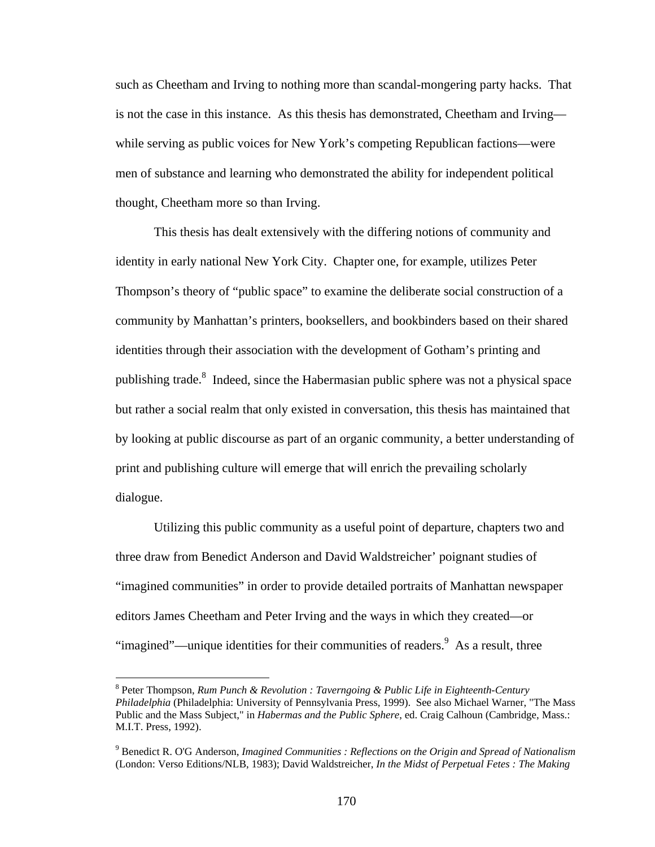such as Cheetham and Irving to nothing more than scandal-mongering party hacks. That is not the case in this instance. As this thesis has demonstrated, Cheetham and Irving while serving as public voices for New York's competing Republican factions—were men of substance and learning who demonstrated the ability for independent political thought, Cheetham more so than Irving.

 This thesis has dealt extensively with the differing notions of community and identity in early national New York City. Chapter one, for example, utilizes Peter Thompson's theory of "public space" to examine the deliberate social construction of a community by Manhattan's printers, booksellers, and bookbinders based on their shared identities through their association with the development of Gotham's printing and publishing trade.<sup>8</sup> Indeed, since the Habermasian public sphere was not a physical space but rather a social realm that only existed in conversation, this thesis has maintained that by looking at public discourse as part of an organic community, a better understanding of print and publishing culture will emerge that will enrich the prevailing scholarly dialogue.

Utilizing this public community as a useful point of departure, chapters two and three draw from Benedict Anderson and David Waldstreicher' poignant studies of "imagined communities" in order to provide detailed portraits of Manhattan newspaper editors James Cheetham and Peter Irving and the ways in which they created—or "imagined"—unique identities for their communities of readers.  $\frac{9}{5}$  As a result, three

<sup>8</sup> Peter Thompson, *Rum Punch & Revolution : Taverngoing & Public Life in Eighteenth-Century Philadelphia* (Philadelphia: University of Pennsylvania Press, 1999). See also Michael Warner, "The Mass Public and the Mass Subject," in *Habermas and the Public Sphere*, ed. Craig Calhoun (Cambridge, Mass.: M.I.T. Press, 1992).

<sup>9</sup> Benedict R. O'G Anderson, *Imagined Communities : Reflections on the Origin and Spread of Nationalism* (London: Verso Editions/NLB, 1983); David Waldstreicher, *In the Midst of Perpetual Fetes : The Making*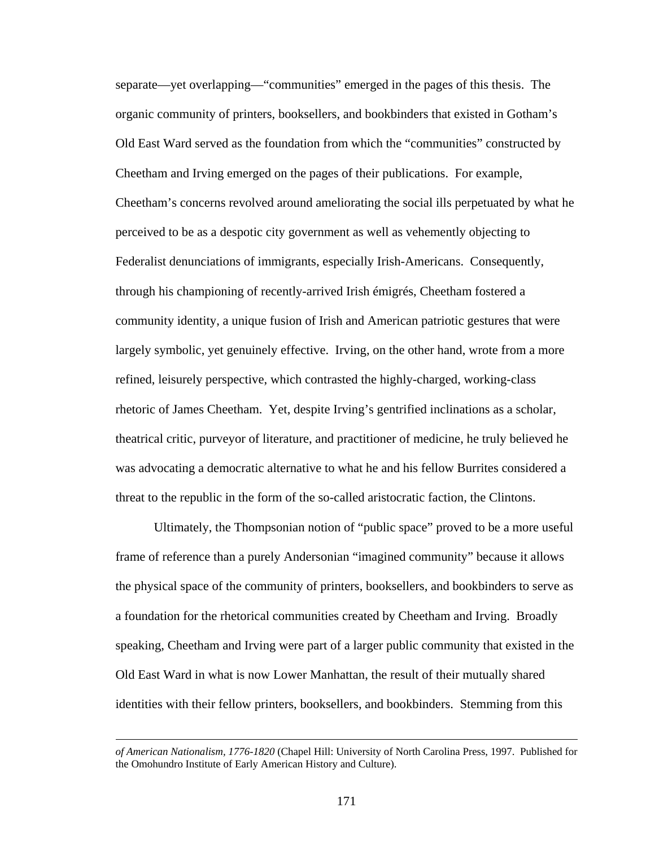separate—yet overlapping—"communities" emerged in the pages of this thesis. The organic community of printers, booksellers, and bookbinders that existed in Gotham's Old East Ward served as the foundation from which the "communities" constructed by Cheetham and Irving emerged on the pages of their publications. For example, Cheetham's concerns revolved around ameliorating the social ills perpetuated by what he perceived to be as a despotic city government as well as vehemently objecting to Federalist denunciations of immigrants, especially Irish-Americans. Consequently, through his championing of recently-arrived Irish émigrés, Cheetham fostered a community identity, a unique fusion of Irish and American patriotic gestures that were largely symbolic, yet genuinely effective. Irving, on the other hand, wrote from a more refined, leisurely perspective, which contrasted the highly-charged, working-class rhetoric of James Cheetham. Yet, despite Irving's gentrified inclinations as a scholar, theatrical critic, purveyor of literature, and practitioner of medicine, he truly believed he was advocating a democratic alternative to what he and his fellow Burrites considered a threat to the republic in the form of the so-called aristocratic faction, the Clintons.

Ultimately, the Thompsonian notion of "public space" proved to be a more useful frame of reference than a purely Andersonian "imagined community" because it allows the physical space of the community of printers, booksellers, and bookbinders to serve as a foundation for the rhetorical communities created by Cheetham and Irving. Broadly speaking, Cheetham and Irving were part of a larger public community that existed in the Old East Ward in what is now Lower Manhattan, the result of their mutually shared identities with their fellow printers, booksellers, and bookbinders. Stemming from this

*of American Nationalism, 1776-1820* (Chapel Hill: University of North Carolina Press, 1997. Published for the Omohundro Institute of Early American History and Culture).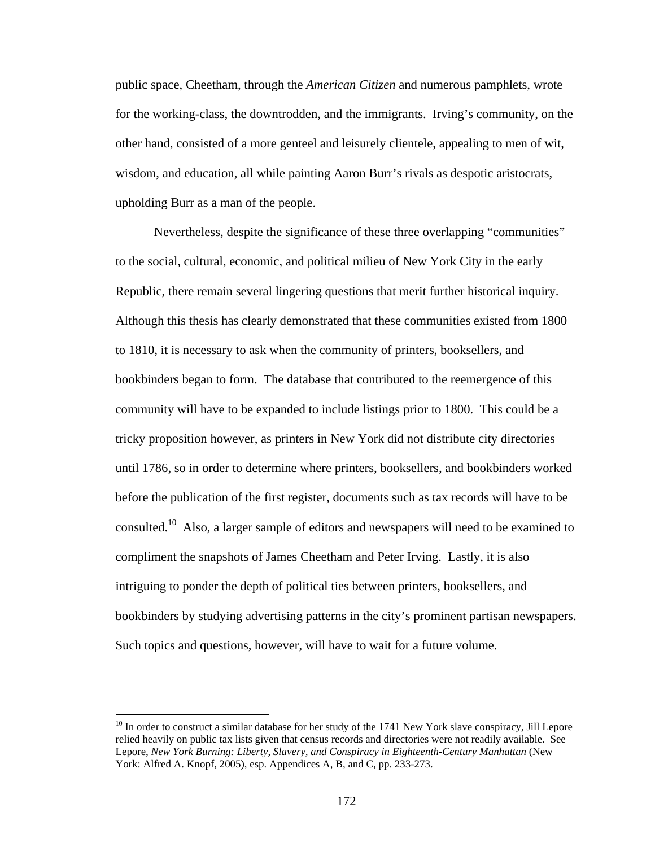public space, Cheetham, through the *American Citizen* and numerous pamphlets, wrote for the working-class, the downtrodden, and the immigrants. Irving's community, on the other hand, consisted of a more genteel and leisurely clientele, appealing to men of wit, wisdom, and education, all while painting Aaron Burr's rivals as despotic aristocrats, upholding Burr as a man of the people.

Nevertheless, despite the significance of these three overlapping "communities" to the social, cultural, economic, and political milieu of New York City in the early Republic, there remain several lingering questions that merit further historical inquiry. Although this thesis has clearly demonstrated that these communities existed from 1800 to 1810, it is necessary to ask when the community of printers, booksellers, and bookbinders began to form. The database that contributed to the reemergence of this community will have to be expanded to include listings prior to 1800. This could be a tricky proposition however, as printers in New York did not distribute city directories until 1786, so in order to determine where printers, booksellers, and bookbinders worked before the publication of the first register, documents such as tax records will have to be consulted.10 Also, a larger sample of editors and newspapers will need to be examined to compliment the snapshots of James Cheetham and Peter Irving. Lastly, it is also intriguing to ponder the depth of political ties between printers, booksellers, and bookbinders by studying advertising patterns in the city's prominent partisan newspapers. Such topics and questions, however, will have to wait for a future volume.

 $\overline{a}$ 

 $10$  In order to construct a similar database for her study of the 1741 New York slave conspiracy, Jill Lepore relied heavily on public tax lists given that census records and directories were not readily available. See Lepore, *New York Burning: Liberty, Slavery, and Conspiracy in Eighteenth-Century Manhattan* (New York: Alfred A. Knopf, 2005), esp. Appendices A, B, and C, pp. 233-273.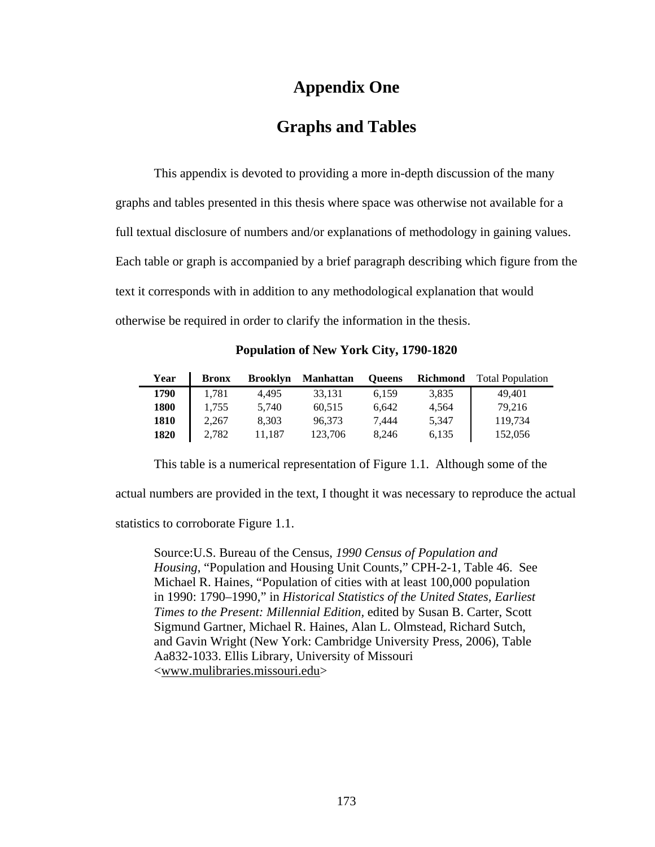### **Appendix One**

### **Graphs and Tables**

 This appendix is devoted to providing a more in-depth discussion of the many graphs and tables presented in this thesis where space was otherwise not available for a full textual disclosure of numbers and/or explanations of methodology in gaining values. Each table or graph is accompanied by a brief paragraph describing which figure from the text it corresponds with in addition to any methodological explanation that would otherwise be required in order to clarify the information in the thesis.

**Population of New York City, 1790-1820** 

| Year | <b>Bronx</b> | <b>Brooklyn</b> | <b>Manhattan</b> | <b>Oueens</b> | <b>Richmond</b> | <b>Total Population</b> |
|------|--------------|-----------------|------------------|---------------|-----------------|-------------------------|
| 1790 | 1,781        | 4.495           | 33.131           | 6.159         | 3,835           | 49.401                  |
| 1800 | 1,755        | 5,740           | 60,515           | 6.642         | 4.564           | 79.216                  |
| 1810 | 2.267        | 8.303           | 96.373           | 7.444         | 5.347           | 119.734                 |
| 1820 | 2.782        | 11.187          | 123,706          | 8.246         | 6.135           | 152,056                 |

This table is a numerical representation of Figure 1.1. Although some of the actual numbers are provided in the text, I thought it was necessary to reproduce the actual

statistics to corroborate Figure 1.1.

Source:U.S. Bureau of the Census, *1990 Census of Population and Housing*, "Population and Housing Unit Counts," CPH-2-1, Table 46. See Michael R. Haines, "Population of cities with at least 100,000 population in 1990: 1790–1990," in *Historical Statistics of the United States, Earliest Times to the Present: Millennial Edition,* edited by Susan B. Carter, Scott Sigmund Gartner, Michael R. Haines, Alan L. Olmstead, Richard Sutch, and Gavin Wright (New York: Cambridge University Press, 2006), Table Aa832-1033. Ellis Library, University of Missouri <www.mulibraries.missouri.edu>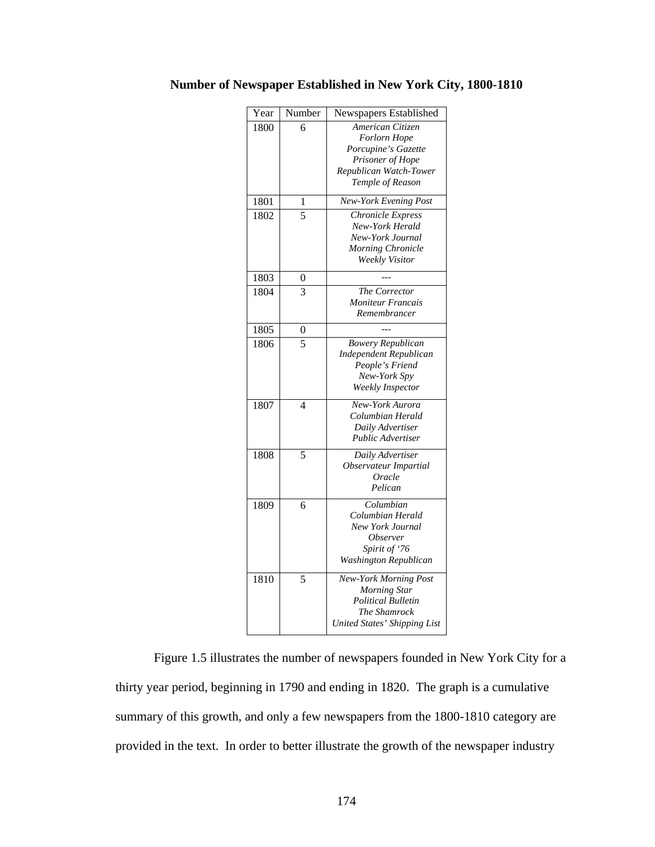| Year | Number         | Newspapers Established                    |
|------|----------------|-------------------------------------------|
| 1800 | 6              | American Citizen                          |
|      |                | <b>Forlorn Hope</b>                       |
|      |                | Porcupine's Gazette                       |
|      |                | Prisoner of Hope                          |
|      |                | Republican Watch-Tower                    |
|      |                | Temple of Reason                          |
| 1801 | 1              | New-York Evening Post                     |
| 1802 | 5              | Chronicle Express                         |
|      |                | New-York Herald                           |
|      |                | New-York Journal                          |
|      |                | Morning Chronicle                         |
|      |                | Weekly Visitor                            |
| 1803 | 0              |                                           |
| 1804 | 3              | The Corrector                             |
|      |                | <b>Moniteur Francais</b>                  |
|      |                | Remembrancer                              |
| 1805 | 0              |                                           |
| 1806 | 5              | <b>Bowery Republican</b>                  |
|      |                |                                           |
|      |                | Independent Republican<br>People's Friend |
|      |                | New-York Spy                              |
|      |                | Weekly Inspector                          |
|      |                |                                           |
| 1807 | $\overline{4}$ | New-York Aurora                           |
|      |                | Columbian Herald                          |
|      |                | Daily Advertiser                          |
|      |                | <b>Public Advertiser</b>                  |
| 1808 | 5              | Daily Advertiser                          |
|      |                | Observateur Impartial                     |
|      |                | Oracle                                    |
|      |                | Pelican                                   |
| 1809 | 6              | Columbian                                 |
|      |                | Columbian Herald                          |
|      |                | New York Journal                          |
|      |                | <i>Observer</i>                           |
|      |                | Spirit of '76                             |
|      |                | Washington Republican                     |
| 1810 | 5              | <b>New-York Morning Post</b>              |
|      |                | <b>Morning Star</b>                       |
|      |                | <b>Political Bulletin</b>                 |
|      |                | The Shamrock                              |
|      |                | <b>United States' Shipping List</b>       |
|      |                |                                           |

**Number of Newspaper Established in New York City, 1800-1810** 

Figure 1.5 illustrates the number of newspapers founded in New York City for a thirty year period, beginning in 1790 and ending in 1820. The graph is a cumulative summary of this growth, and only a few newspapers from the 1800-1810 category are provided in the text. In order to better illustrate the growth of the newspaper industry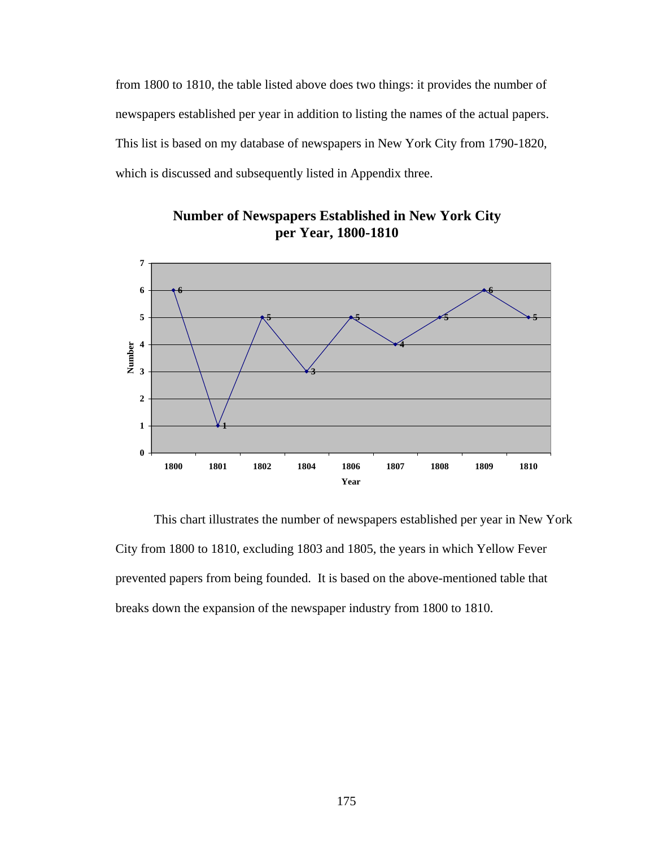from 1800 to 1810, the table listed above does two things: it provides the number of newspapers established per year in addition to listing the names of the actual papers. This list is based on my database of newspapers in New York City from 1790-1820, which is discussed and subsequently listed in Appendix three.



**Number of Newspapers Established in New York City per Year, 1800-1810**

This chart illustrates the number of newspapers established per year in New York City from 1800 to 1810, excluding 1803 and 1805, the years in which Yellow Fever prevented papers from being founded. It is based on the above-mentioned table that breaks down the expansion of the newspaper industry from 1800 to 1810.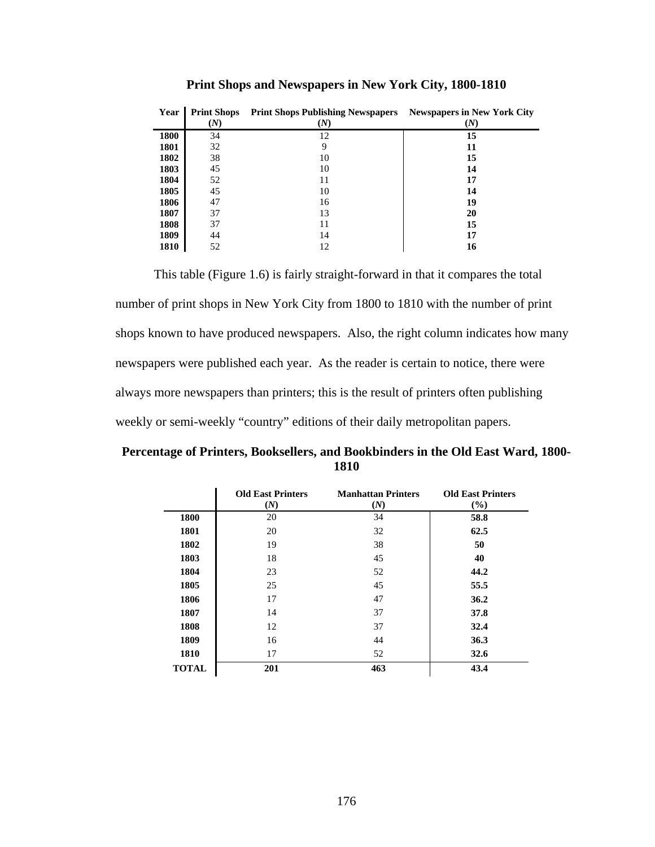| Year        | <b>Print Shops</b><br>M) | <b>Print Shops Publishing Newspapers</b><br>(N) | <b>Newspapers in New York City</b><br>(N) |
|-------------|--------------------------|-------------------------------------------------|-------------------------------------------|
| <b>1800</b> | 34                       | 12                                              | 15                                        |
| 1801        | 32                       |                                                 | 11                                        |
| 1802        | 38                       | 10                                              | 15                                        |
| 1803        | 45                       | 10                                              | 14                                        |
| 1804        | 52                       | 11                                              | 17                                        |
| 1805        | 45                       | 10                                              | 14                                        |
| 1806        | 47                       | 16                                              | 19                                        |
| 1807        | 37                       | 13                                              | 20                                        |
| 1808        | 37                       | 11                                              | 15                                        |
| 1809        | 44                       | 14                                              | 17                                        |
| 1810        | 52                       | 12                                              | 16                                        |

**Print Shops and Newspapers in New York City, 1800-1810** 

This table (Figure 1.6) is fairly straight-forward in that it compares the total number of print shops in New York City from 1800 to 1810 with the number of print shops known to have produced newspapers. Also, the right column indicates how many newspapers were published each year. As the reader is certain to notice, there were always more newspapers than printers; this is the result of printers often publishing weekly or semi-weekly "country" editions of their daily metropolitan papers.

**Percentage of Printers, Booksellers, and Bookbinders in the Old East Ward, 1800- 1810** 

|              | <b>Old East Printers</b><br>(N) | <b>Manhattan Printers</b><br>(N) | <b>Old East Printers</b><br>$($ %) |
|--------------|---------------------------------|----------------------------------|------------------------------------|
| 1800         | 20                              | 34                               | 58.8                               |
| 1801         | 20                              | 32                               | 62.5                               |
| 1802         | 19                              | 38                               | 50                                 |
| 1803         | 18                              | 45                               | 40                                 |
| 1804         | 23                              | 52                               | 44.2                               |
| 1805         | 25                              | 45                               | 55.5                               |
| 1806         | 17                              | 47                               | 36.2                               |
| 1807         | 14                              | 37                               | 37.8                               |
| 1808         | 12                              | 37                               | 32.4                               |
| 1809         | 16                              | 44                               | 36.3                               |
| 1810         | 17                              | 52                               | 32.6                               |
| <b>TOTAL</b> | 201                             | 463                              | 43.4                               |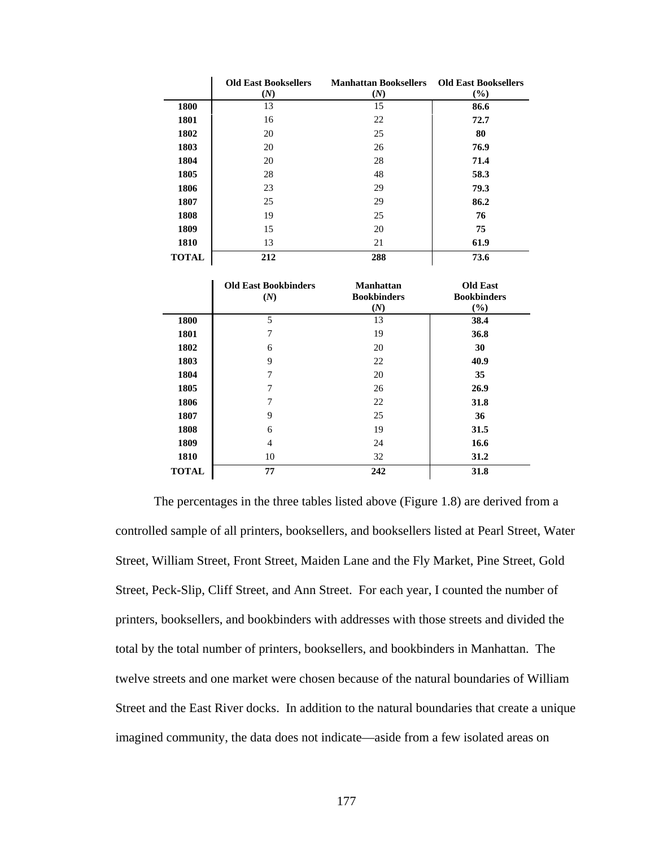|              | <b>Old East Booksellers</b><br>(N) | <b>Manhattan Booksellers</b><br>(N) | <b>Old East Booksellers</b><br>(%) |
|--------------|------------------------------------|-------------------------------------|------------------------------------|
| 1800         | 13                                 | 15                                  | 86.6                               |
| 1801         | 16                                 | 22                                  | 72.7                               |
| 1802         | 20                                 | 25                                  | 80                                 |
| 1803         | 20                                 | 26                                  | 76.9                               |
| 1804         | 20                                 | 28                                  | 71.4                               |
| 1805         | 28                                 | 48                                  | 58.3                               |
| 1806         | 23                                 | 29                                  | 79.3                               |
| 1807         | 25                                 | 29                                  | 86.2                               |
| 1808         | 19                                 | 25                                  | 76                                 |
| 1809         | 15                                 | 20                                  | 75                                 |
| 1810         | 13                                 | 21                                  | 61.9                               |
| <b>TOTAL</b> | 212                                | 288                                 | 73.6                               |

|              | <b>Old East Bookbinders</b><br>(N) | <b>Manhattan</b><br><b>Bookbinders</b><br>(N) | <b>Old East</b><br><b>Bookbinders</b><br>(%) |
|--------------|------------------------------------|-----------------------------------------------|----------------------------------------------|
| 1800         | 5                                  | 13                                            | 38.4                                         |
| 1801         | 7                                  | 19                                            | 36.8                                         |
| 1802         | 6                                  | 20                                            | 30                                           |
| 1803         | 9                                  | 22                                            | 40.9                                         |
| 1804         | 7                                  | 20                                            | 35                                           |
| 1805         | 7                                  | 26                                            | 26.9                                         |
| 1806         | 7                                  | 22                                            | 31.8                                         |
| 1807         | 9                                  | 25                                            | 36                                           |
| 1808         | 6                                  | 19                                            | 31.5                                         |
| 1809         | 4                                  | 24                                            | 16.6                                         |
| 1810         | 10                                 | 32                                            | 31.2                                         |
| <b>TOTAL</b> | 77                                 | 242                                           | 31.8                                         |

The percentages in the three tables listed above (Figure 1.8) are derived from a controlled sample of all printers, booksellers, and booksellers listed at Pearl Street, Water Street, William Street, Front Street, Maiden Lane and the Fly Market, Pine Street, Gold Street, Peck-Slip, Cliff Street, and Ann Street. For each year, I counted the number of printers, booksellers, and bookbinders with addresses with those streets and divided the total by the total number of printers, booksellers, and bookbinders in Manhattan. The twelve streets and one market were chosen because of the natural boundaries of William Street and the East River docks. In addition to the natural boundaries that create a unique imagined community, the data does not indicate—aside from a few isolated areas on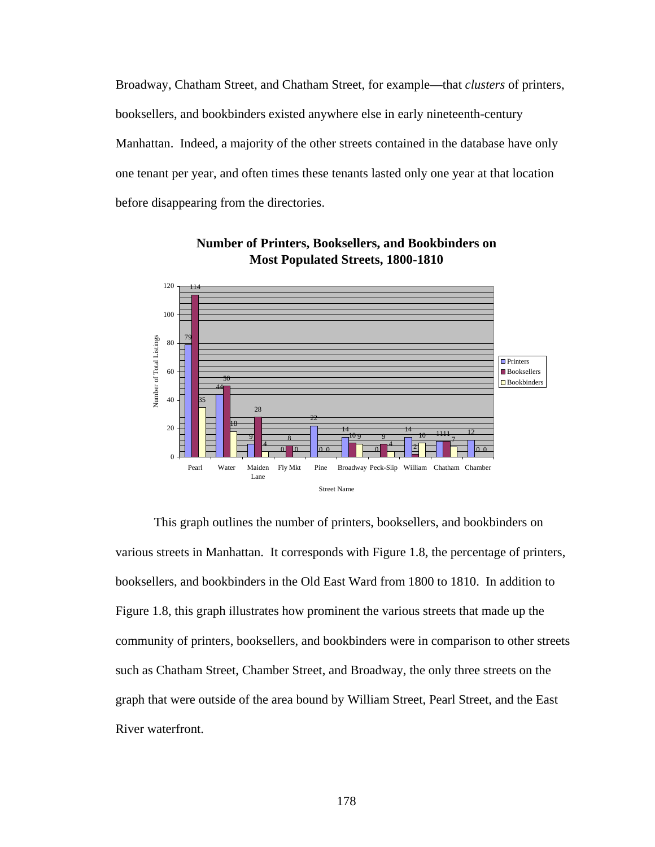Broadway, Chatham Street, and Chatham Street, for example—that *clusters* of printers, booksellers, and bookbinders existed anywhere else in early nineteenth-century Manhattan. Indeed, a majority of the other streets contained in the database have only one tenant per year, and often times these tenants lasted only one year at that location before disappearing from the directories.



**Number of Printers, Booksellers, and Bookbinders on Most Populated Streets, 1800-1810**

This graph outlines the number of printers, booksellers, and bookbinders on various streets in Manhattan. It corresponds with Figure 1.8, the percentage of printers, booksellers, and bookbinders in the Old East Ward from 1800 to 1810. In addition to Figure 1.8, this graph illustrates how prominent the various streets that made up the community of printers, booksellers, and bookbinders were in comparison to other streets such as Chatham Street, Chamber Street, and Broadway, the only three streets on the graph that were outside of the area bound by William Street, Pearl Street, and the East River waterfront.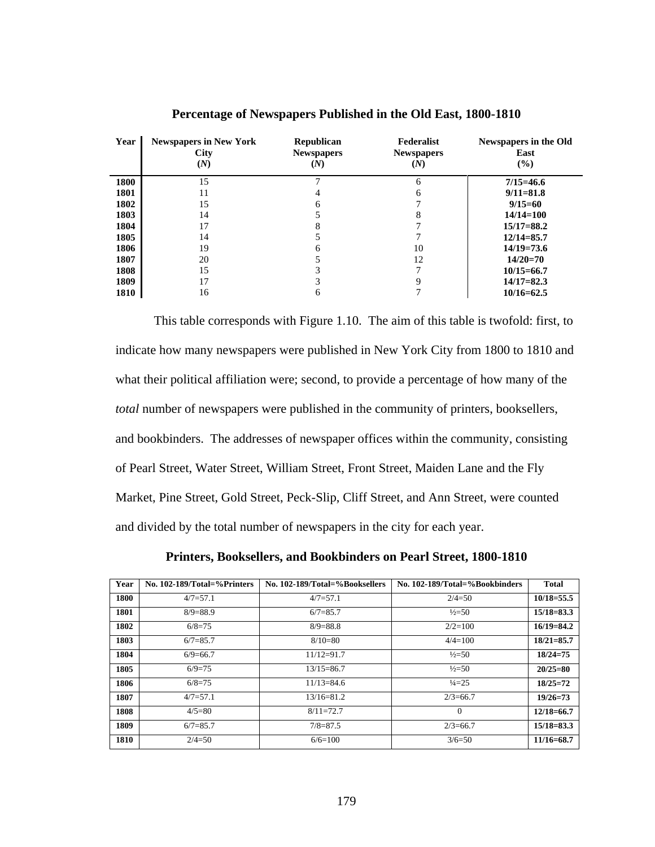| Year | <b>Newspapers in New York</b><br><b>City</b><br>(N) | <b>Republican</b><br><b>Newspapers</b><br>(N) | Federalist<br><b>Newspapers</b><br>(N) | Newspapers in the Old<br>East<br>$(\%)$ |
|------|-----------------------------------------------------|-----------------------------------------------|----------------------------------------|-----------------------------------------|
| 1800 | 15                                                  | $\mathbf{r}$                                  | 6                                      | $7/15 = 46.6$                           |
| 1801 | 11                                                  |                                               | 6                                      | $9/11 = 81.8$                           |
| 1802 | 15                                                  | 6                                             |                                        | $9/15=60$                               |
| 1803 | 14                                                  |                                               | 8                                      | $14/14=100$                             |
| 1804 | 17                                                  | 8                                             |                                        | $15/17 = 88.2$                          |
| 1805 | 14                                                  |                                               | ┑                                      | $12/14 = 85.7$                          |
| 1806 | 19                                                  | 6                                             | 10                                     | $14/19=73.6$                            |
| 1807 | 20                                                  |                                               | 12                                     | $14/20=70$                              |
| 1808 | 15                                                  | 3                                             |                                        | $10/15 = 66.7$                          |
| 1809 | 17                                                  | 3                                             | 9                                      | $14/17 = 82.3$                          |
| 1810 | 16                                                  | 6                                             |                                        | $10/16 = 62.5$                          |

**Percentage of Newspapers Published in the Old East, 1800-1810** 

This table corresponds with Figure 1.10. The aim of this table is twofold: first, to indicate how many newspapers were published in New York City from 1800 to 1810 and what their political affiliation were; second, to provide a percentage of how many of the *total* number of newspapers were published in the community of printers, booksellers, and bookbinders. The addresses of newspaper offices within the community, consisting of Pearl Street, Water Street, William Street, Front Street, Maiden Lane and the Fly Market, Pine Street, Gold Street, Peck-Slip, Cliff Street, and Ann Street, were counted and divided by the total number of newspapers in the city for each year.

**Printers, Booksellers, and Bookbinders on Pearl Street, 1800-1810** 

| Year | No. 102-189/Total=%Printers | No. 102-189/Total=%Booksellers | No. 102-189/Total=%Bookbinders | <b>Total</b>   |
|------|-----------------------------|--------------------------------|--------------------------------|----------------|
| 1800 | $4/7 = 57.1$                | $4/7 = 57.1$                   | $2/4=50$                       | $10/18 = 55.5$ |
| 1801 | $8/9=88.9$                  | $6/7 = 85.7$                   | $\frac{1}{2}$ =50              | $15/18 = 83.3$ |
| 1802 | $6/8=75$                    | $8/9=88.8$                     | $2/2=100$                      | $16/19 = 84.2$ |
| 1803 | $6/7 = 85.7$                | $8/10=80$                      | $4/4=100$                      | $18/21 = 85.7$ |
| 1804 | $6/9=66.7$                  | $11/12 = 91.7$                 | $\frac{1}{2}$ =50              | $18/24=75$     |
| 1805 | $6/9=75$                    | $13/15 = 86.7$                 | $\frac{1}{2}$ =50              | $20/25 = 80$   |
| 1806 | $6/8=75$                    | $11/13=84.6$                   | $\frac{1}{4}$ = 25             | $18/25=72$     |
| 1807 | $4/7 = 57.1$                | $13/16 = 81.2$                 | $2/3 = 66.7$                   | $19/26=73$     |
| 1808 | $4/5=80$                    | $8/11=72.7$                    | $\Omega$                       | $12/18 = 66.7$ |
| 1809 | $6/7 = 85.7$                | $7/8 = 87.5$                   | $2/3 = 66.7$                   | $15/18 = 83.3$ |
| 1810 | $2/4=50$                    | $6/6=100$                      | $3/6=50$                       | $11/16 = 68.7$ |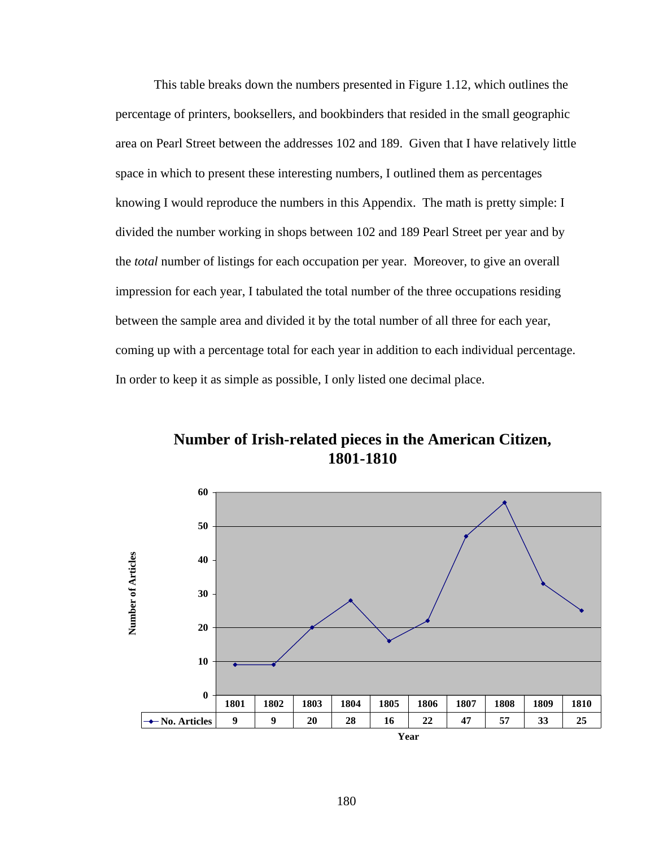This table breaks down the numbers presented in Figure 1.12, which outlines the percentage of printers, booksellers, and bookbinders that resided in the small geographic area on Pearl Street between the addresses 102 and 189. Given that I have relatively little space in which to present these interesting numbers, I outlined them as percentages knowing I would reproduce the numbers in this Appendix. The math is pretty simple: I divided the number working in shops between 102 and 189 Pearl Street per year and by the *total* number of listings for each occupation per year. Moreover, to give an overall impression for each year, I tabulated the total number of the three occupations residing between the sample area and divided it by the total number of all three for each year, coming up with a percentage total for each year in addition to each individual percentage. In order to keep it as simple as possible, I only listed one decimal place.

**Number of Irish-related pieces in the American Citizen, 1801-1810**

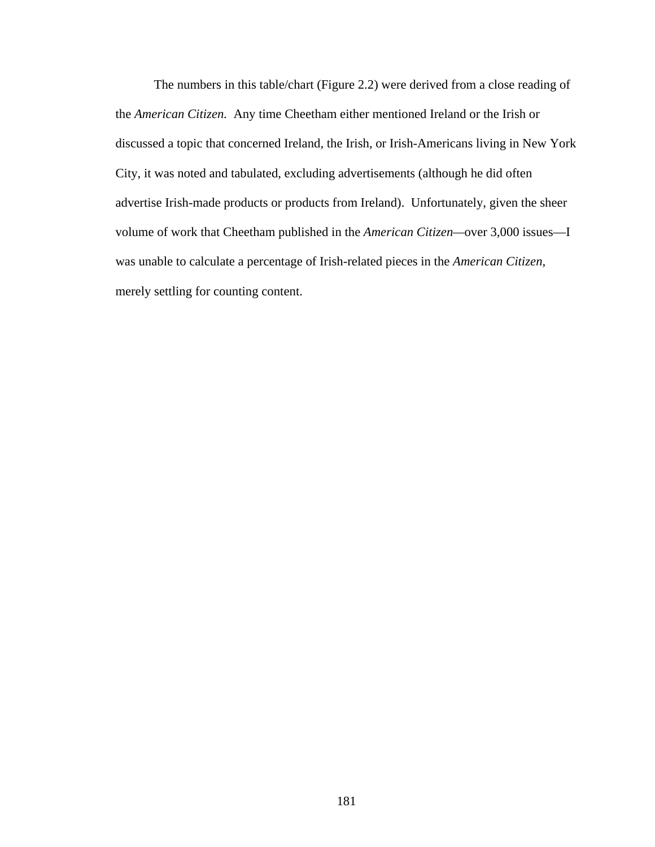The numbers in this table/chart (Figure 2.2) were derived from a close reading of the *American Citizen.* Any time Cheetham either mentioned Ireland or the Irish or discussed a topic that concerned Ireland, the Irish, or Irish-Americans living in New York City, it was noted and tabulated, excluding advertisements (although he did often advertise Irish-made products or products from Ireland). Unfortunately, given the sheer volume of work that Cheetham published in the *American Citizen—*over 3,000 issues—I was unable to calculate a percentage of Irish-related pieces in the *American Citizen,*  merely settling for counting content.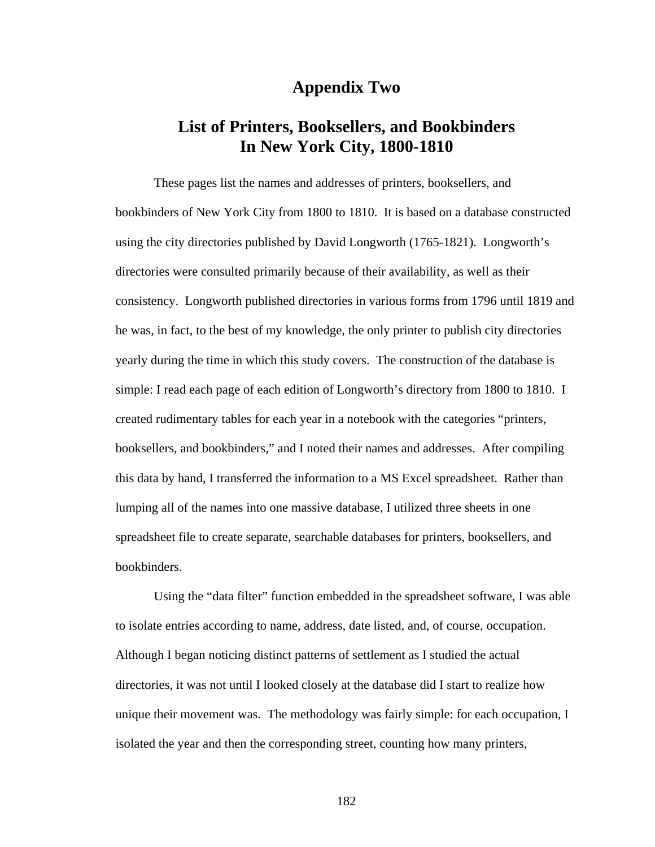#### **Appendix Two**

## **List of Printers, Booksellers, and Bookbinders In New York City, 1800-1810**

These pages list the names and addresses of printers, booksellers, and bookbinders of New York City from 1800 to 1810. It is based on a database constructed using the city directories published by David Longworth (1765-1821). Longworth's directories were consulted primarily because of their availability, as well as their consistency. Longworth published directories in various forms from 1796 until 1819 and he was, in fact, to the best of my knowledge, the only printer to publish city directories yearly during the time in which this study covers. The construction of the database is simple: I read each page of each edition of Longworth's directory from 1800 to 1810. I created rudimentary tables for each year in a notebook with the categories "printers, booksellers, and bookbinders," and I noted their names and addresses. After compiling this data by hand, I transferred the information to a MS Excel spreadsheet. Rather than lumping all of the names into one massive database, I utilized three sheets in one spreadsheet file to create separate, searchable databases for printers, booksellers, and bookbinders.

Using the "data filter" function embedded in the spreadsheet software, I was able to isolate entries according to name, address, date listed, and, of course, occupation. Although I began noticing distinct patterns of settlement as I studied the actual directories, it was not until I looked closely at the database did I start to realize how unique their movement was. The methodology was fairly simple: for each occupation, I isolated the year and then the corresponding street, counting how many printers,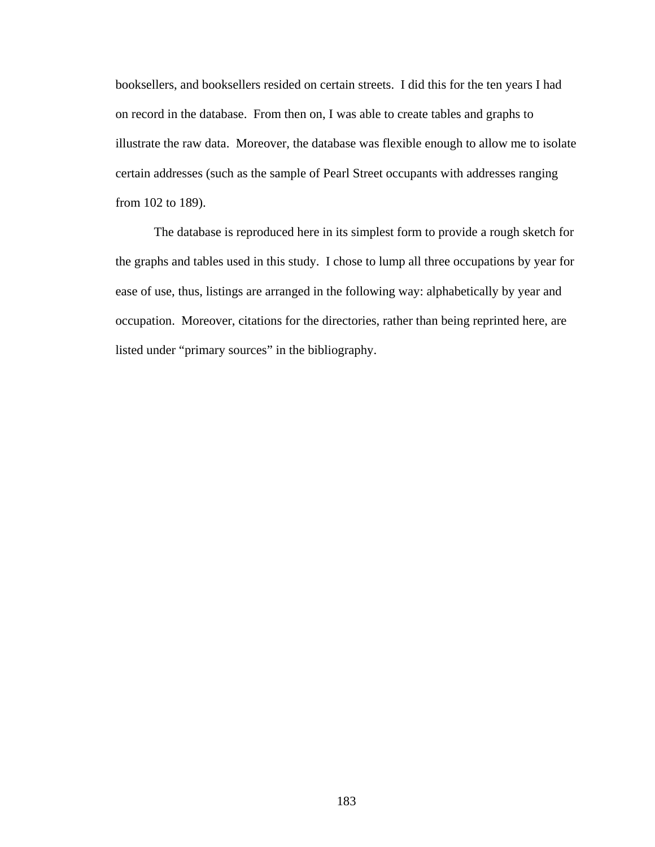booksellers, and booksellers resided on certain streets. I did this for the ten years I had on record in the database. From then on, I was able to create tables and graphs to illustrate the raw data. Moreover, the database was flexible enough to allow me to isolate certain addresses (such as the sample of Pearl Street occupants with addresses ranging from 102 to 189).

The database is reproduced here in its simplest form to provide a rough sketch for the graphs and tables used in this study. I chose to lump all three occupations by year for ease of use, thus, listings are arranged in the following way: alphabetically by year and occupation. Moreover, citations for the directories, rather than being reprinted here, are listed under "primary sources" in the bibliography.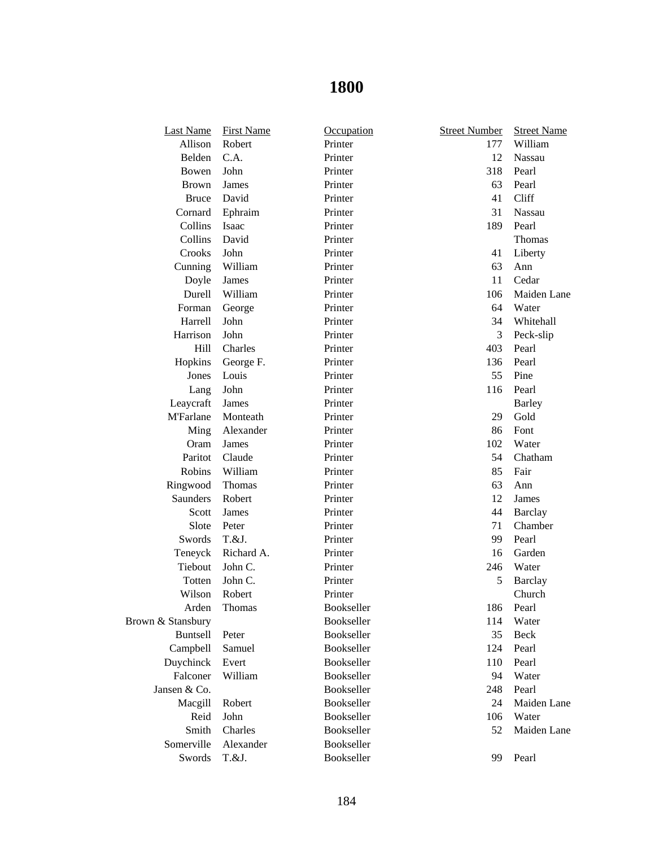| <b>Last Name</b>  | <b>First Name</b> | Occupation        | <b>Street Number</b> | <b>Street Name</b> |
|-------------------|-------------------|-------------------|----------------------|--------------------|
| Allison           | Robert            | Printer           | 177                  | William            |
| Belden            | C.A.              | Printer           | 12                   | Nassau             |
| Bowen             | John              | Printer           | 318                  | Pearl              |
| <b>Brown</b>      | James             | Printer           | 63                   | Pearl              |
| <b>Bruce</b>      | David             | Printer           | 41                   | Cliff              |
| Cornard           | Ephraim           | Printer           | 31                   | Nassau             |
| Collins           | Isaac             | Printer           | 189                  | Pearl              |
| Collins           | David             | Printer           |                      | Thomas             |
| Crooks            | John              | Printer           | 41                   | Liberty            |
| Cunning           | William           | Printer           | 63                   | Ann                |
| Doyle             | James             | Printer           | 11                   | Cedar              |
| Durell            | William           | Printer           | 106                  | Maiden Lane        |
| Forman            | George            | Printer           | 64                   | Water              |
| Harrell           | John              | Printer           | 34                   | Whitehall          |
| Harrison          | John              | Printer           | 3                    | Peck-slip          |
| Hill              | Charles           | Printer           | 403                  | Pearl              |
| Hopkins           | George F.         | Printer           | 136                  | Pearl              |
| Jones             | Louis             | Printer           | 55                   | Pine               |
| Lang              | John              | Printer           | 116                  | Pearl              |
| Leaycraft         | James             | Printer           |                      | <b>Barley</b>      |
| <b>M'Farlane</b>  | Monteath          | Printer           | 29                   | Gold               |
| Ming              | Alexander         | Printer           | 86                   | Font               |
| Oram              | James             | Printer           | 102                  | Water              |
| Paritot           | Claude            | Printer           | 54                   | Chatham            |
| Robins            | William           | Printer           | 85                   | Fair               |
| Ringwood          | Thomas            | Printer           | 63                   | Ann                |
| Saunders          | Robert            | Printer           | 12                   | James              |
| Scott             | James             | Printer           | 44                   | <b>Barclay</b>     |
| Slote             | Peter             | Printer           | 71                   | Chamber            |
| Swords            | T.&J.             | Printer           | 99                   | Pearl              |
| Teneyck           | Richard A.        | Printer           | 16                   | Garden             |
| Tiebout           | John C.           | Printer           | 246                  | Water              |
| Totten            | John C.           | Printer           | 5                    | <b>Barclay</b>     |
| Wilson            | Robert            | Printer           |                      | Church             |
| Arden             | Thomas            | Bookseller        |                      | 186 Pearl          |
| Brown & Stansbury |                   | Bookseller        | 114                  | Water              |
| <b>Buntsell</b>   | Peter             | <b>Bookseller</b> | 35                   | Beck               |
| Campbell          | Samuel            | Bookseller        | 124                  | Pearl              |
| Duychinck         | Evert             | <b>Bookseller</b> | 110                  | Pearl              |
| Falconer          | William           | Bookseller        | 94                   | Water              |
| Jansen & Co.      |                   | Bookseller        | 248                  | Pearl              |
| Macgill           | Robert            | Bookseller        | 24                   | Maiden Lane        |
| Reid              | John              | Bookseller        | 106                  | Water              |
| Smith             | Charles           | <b>Bookseller</b> | 52                   | Maiden Lane        |
| Somerville        | Alexander         | Bookseller        |                      |                    |
| Swords            | T.&J.             | Bookseller        | 99                   | Pearl              |
|                   |                   |                   |                      |                    |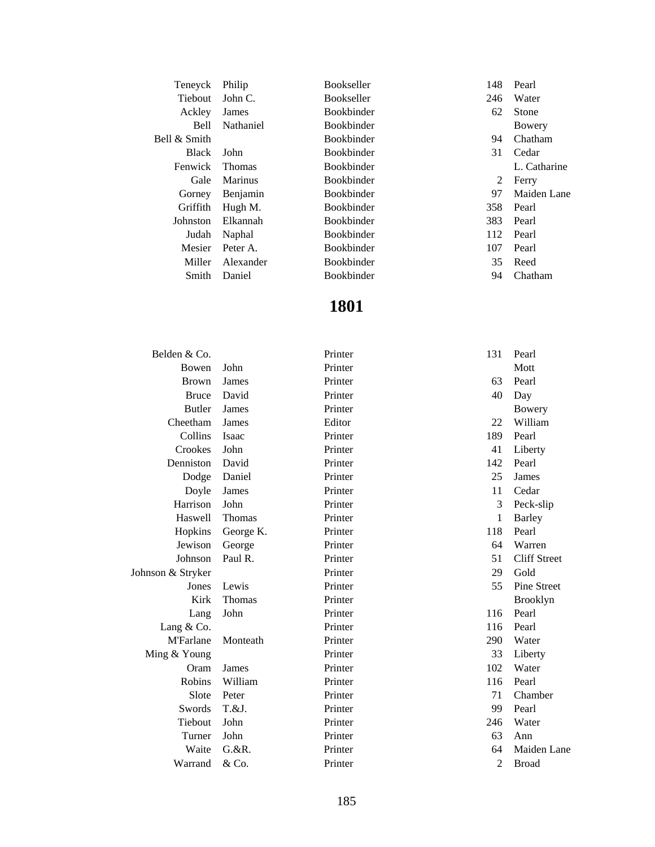| Teneyck        | Philip         | <b>Bookseller</b> | 148 | Pearl        |
|----------------|----------------|-------------------|-----|--------------|
| <b>Tiebout</b> | John $C$ .     | <b>Bookseller</b> | 246 | Water        |
| Ackley         | James          | <b>Bookbinder</b> | 62  | <b>Stone</b> |
| Bell           | Nathaniel      | <b>Bookbinder</b> |     | Bowery       |
| Bell & Smith   |                | <b>Bookbinder</b> | 94  | Chatham      |
| Black          | John           | <b>Bookbinder</b> | 31  | Cedar        |
| Fenwick        | <b>Thomas</b>  | <b>Bookbinder</b> |     | L. Catharine |
| Gale           | <b>Marinus</b> | <b>Bookbinder</b> | 2   | Ferry        |
| Gorney         | Benjamin       | <b>Bookbinder</b> | 97  | Maiden Lane  |
| Griffith       | Hugh M.        | <b>Bookbinder</b> | 358 | Pearl        |
| Johnston       | Elkannah       | <b>Bookbinder</b> | 383 | Pearl        |
| Judah          | Naphal         | <b>Bookbinder</b> | 112 | Pearl        |
| Mesier         | Peter A.       | <b>Bookbinder</b> | 107 | Pearl        |
| Miller         | Alexander      | <b>Bookbinder</b> | 35  | Reed         |
| Smith          | Daniel         | <b>Bookbinder</b> | 94  | Chatham      |

| Belden & Co.      |               | Printer | 131            | Pearl               |
|-------------------|---------------|---------|----------------|---------------------|
| Bowen             | John          | Printer |                | Mott                |
| <b>Brown</b>      | James         | Printer | 63             | Pearl               |
| <b>Bruce</b>      | David         | Printer | 40             | Day                 |
| <b>Butler</b>     | James         | Printer |                | <b>Bowery</b>       |
| Cheetham          | James         | Editor  | 22             | William             |
| Collins           | Isaac         | Printer | 189            | Pearl               |
| Crookes           | John          | Printer | 41             | Liberty             |
| Denniston         | David         | Printer | 142            | Pearl               |
| Dodge             | Daniel        | Printer | 25             | James               |
| Doyle             | James         | Printer | 11             | Cedar               |
| Harrison          | John          | Printer | 3              | Peck-slip           |
| Haswell           | Thomas        | Printer | 1              | <b>Barley</b>       |
| Hopkins           | George K.     | Printer | 118            | Pearl               |
| Jewison           | George        | Printer | 64             | Warren              |
| Johnson           | Paul R.       | Printer | 51             | <b>Cliff Street</b> |
| Johnson & Stryker |               | Printer | 29             | Gold                |
| Jones             | Lewis         | Printer | 55             | Pine Street         |
| Kirk              | <b>Thomas</b> | Printer |                | <b>Brooklyn</b>     |
| Lang              | John          | Printer | 116            | Pearl               |
| Lang $& Co.$      |               | Printer | 116            | Pearl               |
| <b>M'Farlane</b>  | Monteath      | Printer | 290            | Water               |
| Ming & Young      |               | Printer | 33             | Liberty             |
| Oram              | James         | Printer | 102            | Water               |
| Robins            | William       | Printer | 116            | Pearl               |
| Slote             | Peter         | Printer | 71             | Chamber             |
| Swords            | T.&J.         | Printer | 99             | Pearl               |
| Tiebout           | John          | Printer | 246            | Water               |
| Turner            | John          | Printer | 63             | Ann                 |
| Waite             | G. & R.       | Printer | 64             | Maiden Lane         |
| Warrand           | & Co.         | Printer | $\overline{2}$ | <b>Broad</b>        |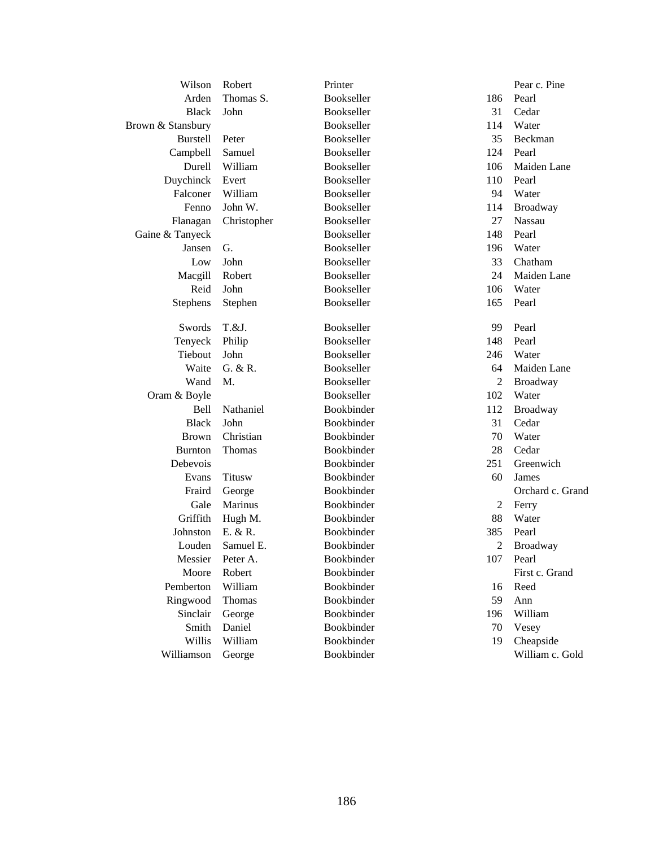| Wilson            | Robert        | Printer           |     | Pear c. Pine     |
|-------------------|---------------|-------------------|-----|------------------|
| Arden             | Thomas S.     | Bookseller        | 186 | Pearl            |
| <b>Black</b>      | John          | Bookseller        | 31  | Cedar            |
| Brown & Stansbury |               | Bookseller        | 114 | Water            |
| <b>Burstell</b>   | Peter         | Bookseller        | 35  | Beckman          |
| Campbell          | Samuel        | Bookseller        | 124 | Pearl            |
| Durell            | William       | Bookseller        | 106 | Maiden Lane      |
| Duychinck         | Evert         | Bookseller        | 110 | Pearl            |
| Falconer          | William       | Bookseller        | 94  | Water            |
| Fenno             | John W.       | Bookseller        | 114 | Broadway         |
| Flanagan          | Christopher   | Bookseller        | 27  | <b>Nassau</b>    |
| Gaine & Tanyeck   |               | <b>Bookseller</b> | 148 | Pearl            |
| Jansen            | G.            | Bookseller        | 196 | Water            |
| Low               | John          | Bookseller        | 33  | Chatham          |
| Macgill           | Robert        | Bookseller        | 24  | Maiden Lane      |
| Reid              | John          | Bookseller        | 106 | Water            |
| Stephens          | Stephen       | Bookseller        | 165 | Pearl            |
| Swords            | T.&J.         | Bookseller        | 99  | Pearl            |
| Tenyeck           | Philip        | Bookseller        | 148 | Pearl            |
| Tiebout           | John          | Bookseller        | 246 | Water            |
| Waite             | G. & R.       | Bookseller        | 64  | Maiden Lane      |
| Wand              | M.            | Bookseller        | 2   | Broadway         |
| Oram & Boyle      |               | Bookseller        | 102 | Water            |
| Bell              | Nathaniel     | Bookbinder        | 112 | <b>Broadway</b>  |
| <b>Black</b>      | John          | Bookbinder        | 31  | Cedar            |
| <b>Brown</b>      | Christian     | Bookbinder        | 70  | Water            |
| <b>Burnton</b>    | Thomas        | Bookbinder        | 28  | Cedar            |
| Debevois          |               | Bookbinder        | 251 | Greenwich        |
| Evans             | <b>Titusw</b> | Bookbinder        | 60  | James            |
| Fraird            | George        | Bookbinder        |     | Orchard c. Grand |
| Gale              | Marinus       | Bookbinder        | 2   | Ferry            |
| Griffith          | Hugh M.       | Bookbinder        | 88  | Water            |
| Johnston          | E. & R.       | Bookbinder        | 385 | Pearl            |
| Louden            | Samuel E.     | Bookbinder        | 2   | Broadway         |
| Messier           | Peter A.      | Bookbinder        |     | 107 Pearl        |
| Moore             | Robert        | Bookbinder        |     | First c. Grand   |
| Pemberton         | William       | Bookbinder        | 16  | Reed             |
| Ringwood          | Thomas        | Bookbinder        | 59  | Ann              |
| Sinclair          | George        | Bookbinder        | 196 | William          |
| Smith             | Daniel        | Bookbinder        | 70  | Vesey            |
| Willis            | William       | Bookbinder        | 19  | Cheapside        |
| Williamson        | George        | Bookbinder        |     | William c. Gold  |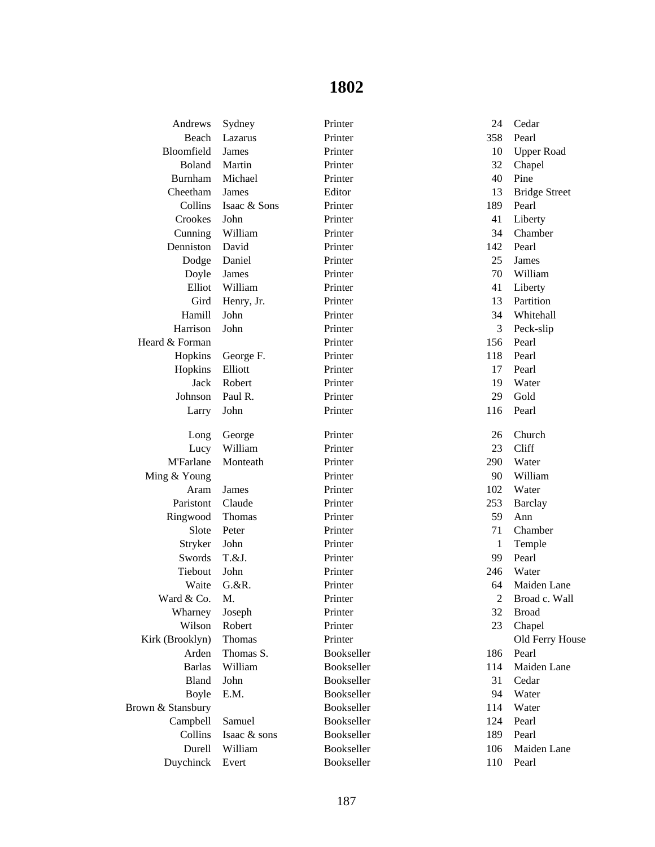| Andrews           | Sydney       | Printer    | 24             | Cedar                |
|-------------------|--------------|------------|----------------|----------------------|
| Beach             | Lazarus      | Printer    | 358            | Pearl                |
| Bloomfield        | James        | Printer    | 10             | <b>Upper Road</b>    |
| Boland            | Martin       | Printer    | 32             | Chapel               |
| Burnham           | Michael      | Printer    | 40             | Pine                 |
| Cheetham          | James        | Editor     | 13             | <b>Bridge Street</b> |
| Collins           | Isaac & Sons | Printer    | 189            | Pearl                |
| Crookes           | John         | Printer    | 41             | Liberty              |
| Cunning           | William      | Printer    | 34             | Chamber              |
| Denniston         | David        | Printer    | 142            | Pearl                |
| Dodge             | Daniel       | Printer    | 25             | James                |
| Doyle             | James        | Printer    | 70             | William              |
| Elliot            | William      | Printer    | 41             | Liberty              |
| Gird              | Henry, Jr.   | Printer    | 13             | Partition            |
| Hamill            | John         | Printer    | 34             | Whitehall            |
| Harrison          | John         | Printer    | 3              | Peck-slip            |
| Heard & Forman    |              | Printer    | 156            | Pearl                |
| Hopkins           | George F.    | Printer    | 118            | Pearl                |
| Hopkins           | Elliott      | Printer    | 17             | Pearl                |
| Jack              | Robert       | Printer    | 19             | Water                |
| Johnson           | Paul R.      | Printer    | 29             | Gold                 |
| Larry             | John         | Printer    | 116            | Pearl                |
| Long              | George       | Printer    | 26             | Church               |
| Lucy              | William      | Printer    | 23             | Cliff                |
| <b>M'Farlane</b>  | Monteath     | Printer    | 290            | Water                |
| Ming & Young      |              | Printer    | 90             | William              |
| Aram              | James        | Printer    | 102            | Water                |
| Paristont         | Claude       | Printer    | 253            | <b>Barclay</b>       |
| Ringwood          | Thomas       | Printer    | 59             | Ann                  |
| Slote             | Peter        | Printer    | 71             | Chamber              |
| Stryker           | John         | Printer    | 1              | Temple               |
| Swords            | T.&J.        | Printer    | 99             | Pearl                |
| Tiebout           | John         | Printer    | 246            | Water                |
| Waite             | $G.$ & R.    | Printer    | 64             | Maiden Lane          |
| Ward & Co.        | M.           | Printer    | $\overline{2}$ | Broad c. Wall        |
| Wharney           | Joseph       | Printer    | 32             | <b>Broad</b>         |
| Wilson            | Robert       | Printer    | 23             | Chapel               |
| Kirk (Brooklyn)   | Thomas       | Printer    |                | Old Ferry House      |
| Arden             | Thomas S.    | Bookseller | 186            | Pearl                |
| <b>Barlas</b>     | William      | Bookseller | 114            | Maiden Lane          |
| Bland             | John         | Bookseller | 31             | Cedar                |
| <b>Boyle</b>      | E.M.         | Bookseller | 94             | Water                |
| Brown & Stansbury |              | Bookseller | 114            | Water                |
| Campbell          | Samuel       | Bookseller | 124            | Pearl                |
| Collins           | Isaac & sons | Bookseller | 189            | Pearl                |
| Durell            | William      | Bookseller | 106            | Maiden Lane          |
| Duychinck         | Evert        | Bookseller | 110            | Pearl                |
|                   |              |            |                |                      |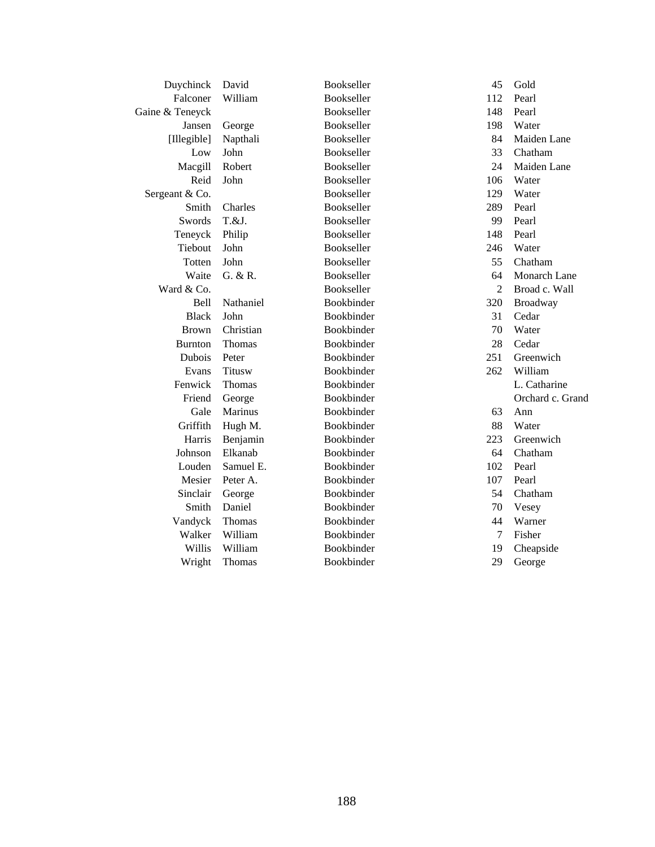| Duychinck       | David         | Bookseller        | 45             | Gold             |
|-----------------|---------------|-------------------|----------------|------------------|
| Falconer        | William       | Bookseller        | 112            | Pearl            |
| Gaine & Teneyck |               | Bookseller        | 148            | Pearl            |
| Jansen          | George        | Bookseller        | 198            | Water            |
| [Illegible]     | Napthali      | Bookseller        | 84             | Maiden Lane      |
| Low             | John          | Bookseller        | 33             | Chatham          |
| Macgill         | Robert        | Bookseller        | 24             | Maiden Lane      |
| Reid            | John          | Bookseller        | 106            | Water            |
| Sergeant & Co.  |               | Bookseller        | 129            | Water            |
| Smith           | Charles       | Bookseller        | 289            | Pearl            |
| Swords          | T.&J.         | Bookseller        | 99             | Pearl            |
| Teneyck         | Philip        | Bookseller        | 148            | Pearl            |
| Tiebout         | John          | Bookseller        | 246            | Water            |
| Totten          | John          | <b>Bookseller</b> | 55             | Chatham          |
| Waite           | G. & R.       | Bookseller        | 64             | Monarch Lane     |
| Ward & Co.      |               | Bookseller        | $\overline{2}$ | Broad c. Wall    |
| <b>Bell</b>     | Nathaniel     | Bookbinder        | 320            | Broadway         |
| <b>Black</b>    | John          | Bookbinder        | 31             | Cedar            |
| <b>Brown</b>    | Christian     | Bookbinder        | 70             | Water            |
| <b>Burnton</b>  | Thomas        | Bookbinder        | 28             | Cedar            |
| Dubois          | Peter         | Bookbinder        | 251            | Greenwich        |
| Evans           | <b>Titusw</b> | Bookbinder        | 262            | William          |
| Fenwick         | Thomas        | Bookbinder        |                | L. Catharine     |
| Friend          | George        | Bookbinder        |                | Orchard c. Grand |
| Gale            | Marinus       | Bookbinder        | 63             | Ann              |
| Griffith        | Hugh M.       | Bookbinder        | 88             | Water            |
| Harris          | Benjamin      | Bookbinder        | 223            | Greenwich        |
| Johnson         | Elkanab       | Bookbinder        | 64             | Chatham          |
| Louden          | Samuel E.     | Bookbinder        | 102            | Pearl            |
| Mesier          | Peter A.      | Bookbinder        | 107            | Pearl            |
| Sinclair        | George        | Bookbinder        | 54             | Chatham          |
| Smith           | Daniel        | Bookbinder        | 70             | Vesey            |
| Vandyck         | Thomas        | Bookbinder        | 44             | Warner           |
| Walker          | William       | Bookbinder        | $\overline{7}$ | Fisher           |
| Willis          | William       | Bookbinder        | 19             | Cheapside        |
| Wright          | <b>Thomas</b> | Bookbinder        | 29             | George           |
|                 |               |                   |                |                  |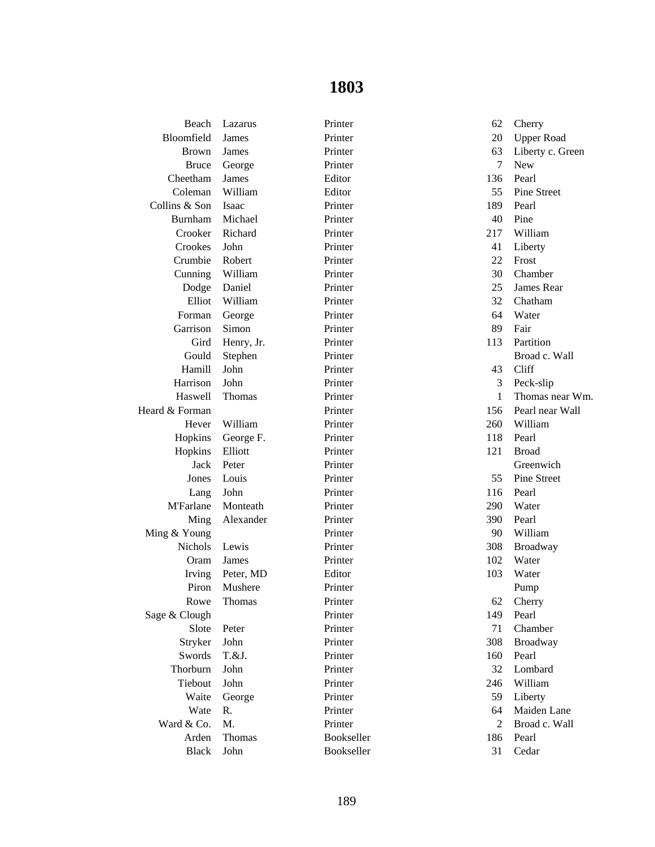| Beach            | Lazarus    | Printer    | 62           | Cherry             |
|------------------|------------|------------|--------------|--------------------|
| Bloomfield       | James      | Printer    | 20           | <b>Upper Road</b>  |
| <b>Brown</b>     | James      | Printer    | 63           | Liberty c. Green   |
| <b>Bruce</b>     | George     | Printer    | 7            | <b>New</b>         |
| Cheetham         | James      | Editor     | 136          | Pearl              |
| Coleman          | William    | Editor     | 55           | <b>Pine Street</b> |
| Collins & Son    | Isaac      | Printer    | 189          | Pearl              |
| Burnham          | Michael    | Printer    | 40           | Pine               |
| Crooker          | Richard    | Printer    | 217          | William            |
| Crookes          | John       | Printer    | 41           | Liberty            |
| Crumbie          | Robert     | Printer    | 22           | Frost              |
| Cunning          | William    | Printer    | 30           | Chamber            |
| Dodge            | Daniel     | Printer    | 25           | James Rear         |
| Elliot           | William    | Printer    | 32           | Chatham            |
| Forman           | George     | Printer    | 64           | Water              |
| Garrison         | Simon      | Printer    | 89           | Fair               |
| Gird             | Henry, Jr. | Printer    | 113          | Partition          |
| Gould            | Stephen    | Printer    |              | Broad c. Wall      |
| Hamill           | John       | Printer    | 43           | Cliff              |
| Harrison         | John       | Printer    | 3            | Peck-slip          |
| Haswell          | Thomas     | Printer    | $\mathbf{1}$ | Thomas near Wm.    |
| Heard & Forman   |            | Printer    | 156          | Pearl near Wall    |
| Hever            | William    | Printer    | 260          | William            |
| Hopkins          | George F.  | Printer    | 118          | Pearl              |
| Hopkins          | Elliott    | Printer    | 121          | <b>Broad</b>       |
| Jack             | Peter      | Printer    |              | Greenwich          |
| Jones            | Louis      | Printer    | 55           | Pine Street        |
| Lang             | John       | Printer    | 116          | Pearl              |
| <b>M'Farlane</b> | Monteath   | Printer    | 290          | Water              |
| Ming             | Alexander  | Printer    | 390          | Pearl              |
| Ming & Young     |            | Printer    | 90           | William            |
| <b>Nichols</b>   | Lewis      | Printer    | 308          | Broadway           |
| Oram             | James      | Printer    | 102          | Water              |
| Irving           | Peter, MD  | Editor     | 103          | Water              |
| Piron            | Mushere    | Printer    |              | Pump               |
| Rowe             | Thomas     | Printer    | 62           | Cherry             |
| Sage & Clough    |            | Printer    | 149          | Pearl              |
| Slote            | Peter      | Printer    | 71           | Chamber            |
| Stryker          | John       | Printer    | 308          | Broadway           |
| Swords           | T.&J.      | Printer    | 160          | Pearl              |
| Thorburn         | John       | Printer    | 32           | Lombard            |
| Tiebout          | John       | Printer    | 246          | William            |
| Waite            | George     | Printer    | 59           | Liberty            |
| Wate             | R.         | Printer    | 64           | Maiden Lane        |
| Ward & Co.       | M.         | Printer    | 2            | Broad c. Wall      |
| Arden            | Thomas     | Bookseller | 186          | Pearl              |
| <b>Black</b>     | John       | Bookseller | 31           | Cedar              |
|                  |            |            |              |                    |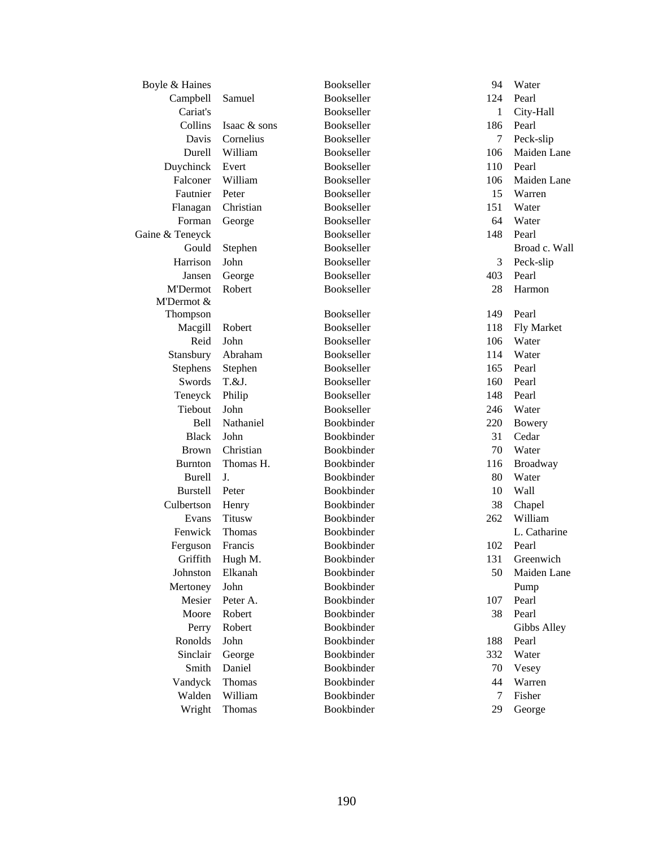| Boyle & Haines  |               | Bookseller | 94           | Water         |
|-----------------|---------------|------------|--------------|---------------|
| Campbell        | Samuel        | Bookseller | 124          | Pearl         |
| Cariat's        |               | Bookseller | $\mathbf{1}$ | City-Hall     |
| Collins         | Isaac & sons  | Bookseller | 186          | Pearl         |
| Davis           | Cornelius     | Bookseller | 7            | Peck-slip     |
| Durell          | William       | Bookseller | 106          | Maiden Lane   |
| Duychinck       | Evert         | Bookseller | 110          | Pearl         |
| Falconer        | William       | Bookseller | 106          | Maiden Lane   |
| Fautnier        | Peter         | Bookseller | 15           | Warren        |
| Flanagan        | Christian     | Bookseller | 151          | Water         |
| Forman          | George        | Bookseller | 64           | Water         |
| Gaine & Teneyck |               | Bookseller | 148          | Pearl         |
| Gould           | Stephen       | Bookseller |              | Broad c. Wall |
| Harrison        | John          | Bookseller | 3            | Peck-slip     |
| Jansen          | George        | Bookseller | 403          | Pearl         |
| <b>M'Dermot</b> | Robert        | Bookseller | 28           | Harmon        |
| M'Dermot &      |               |            |              |               |
| Thompson        |               | Bookseller | 149          | Pearl         |
| Macgill         | Robert        | Bookseller | 118          | Fly Market    |
| Reid            | John          | Bookseller | 106          | Water         |
| Stansbury       | Abraham       | Bookseller | 114          | Water         |
| Stephens        | Stephen       | Bookseller | 165          | Pearl         |
| Swords          | $T.\&J.$      | Bookseller | 160          | Pearl         |
| Teneyck         | Philip        | Bookseller | 148          | Pearl         |
| Tiebout         | John          | Bookseller | 246          | Water         |
| <b>Bell</b>     | Nathaniel     | Bookbinder | 220          | <b>Bowery</b> |
| <b>Black</b>    | John          | Bookbinder | 31           | Cedar         |
| <b>Brown</b>    | Christian     | Bookbinder | 70           | Water         |
| <b>Burnton</b>  | Thomas H.     | Bookbinder | 116          | Broadway      |
| <b>Burell</b>   | J.            | Bookbinder | 80           | Water         |
| <b>Burstell</b> | Peter         | Bookbinder | 10           | <b>Wall</b>   |
| Culbertson      | Henry         | Bookbinder | 38           | Chapel        |
| Evans           | <b>Titusw</b> | Bookbinder | 262          | William       |
| Fenwick         | Thomas        | Bookbinder |              | L. Catharine  |
| Ferguson        | Francis       | Bookbinder | 102          | Pearl         |
| Griffith        | Hugh M.       | Bookbinder |              | 131 Greenwich |
| Johnston        | Elkanah       | Bookbinder | 50           | Maiden Lane   |
| Mertoney        | John          | Bookbinder |              | Pump          |
| Mesier          | Peter A.      | Bookbinder | 107          | Pearl         |
| Moore           | Robert        | Bookbinder | 38           | Pearl         |
| Perry           | Robert        | Bookbinder |              | Gibbs Alley   |
| Ronolds         | John          | Bookbinder | 188          | Pearl         |
| Sinclair        | George        | Bookbinder | 332          | Water         |
| Smith           | Daniel        | Bookbinder | 70           | Vesey         |
| Vandyck         | Thomas        | Bookbinder | 44           | Warren        |
| Walden          | William       | Bookbinder | 7            | Fisher        |
| Wright          | Thomas        | Bookbinder | 29           | George        |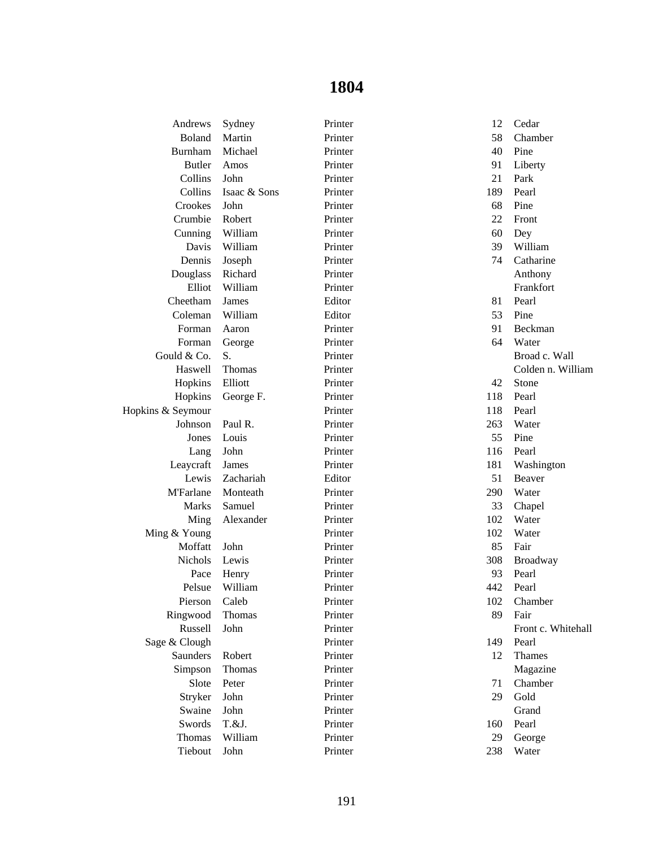| Andrews           | Sydney       | Printer | 12  | Cedar              |
|-------------------|--------------|---------|-----|--------------------|
| <b>Boland</b>     | Martin       | Printer | 58  | Chamber            |
| Burnham           | Michael      | Printer | 40  | Pine               |
| <b>Butler</b>     | Amos         | Printer | 91  | Liberty            |
| Collins           | John         | Printer | 21  | Park               |
| Collins           | Isaac & Sons | Printer | 189 | Pearl              |
| Crookes           | John         | Printer | 68  | Pine               |
| Crumbie           | Robert       | Printer | 22  | Front              |
| Cunning           | William      | Printer | 60  | Dey                |
| Davis             | William      | Printer | 39  | William            |
| Dennis            | Joseph       | Printer | 74  | Catharine          |
| Douglass          | Richard      | Printer |     | Anthony            |
| Elliot            | William      | Printer |     | Frankfort          |
| Cheetham          | James        | Editor  | 81  | Pearl              |
| Coleman           | William      | Editor  | 53  | Pine               |
| Forman            | Aaron        | Printer | 91  | Beckman            |
| Forman            | George       | Printer | 64  | Water              |
| Gould & Co.       | S.           | Printer |     | Broad c. Wall      |
| Haswell           | Thomas       | Printer |     | Colden n. William  |
| Hopkins           | Elliott      | Printer | 42  | Stone              |
| Hopkins           | George F.    | Printer | 118 | Pearl              |
| Hopkins & Seymour |              | Printer | 118 | Pearl              |
| Johnson           | Paul R.      | Printer | 263 | Water              |
| Jones             | Louis        | Printer | 55  | Pine               |
| Lang              | John         | Printer | 116 | Pearl              |
| Leaycraft         | James        | Printer | 181 | Washington         |
| Lewis             | Zachariah    | Editor  | 51  | Beaver             |
| <b>M'Farlane</b>  | Monteath     | Printer | 290 | Water              |
| <b>Marks</b>      | Samuel       | Printer | 33  | Chapel             |
| Ming              | Alexander    | Printer | 102 | Water              |
| Ming & Young      |              | Printer | 102 | Water              |
| Moffatt           | John         | Printer | 85  | Fair               |
| <b>Nichols</b>    | Lewis        | Printer | 308 | Broadway           |
| Pace              | Henry        | Printer | 93  | Pearl              |
| Pelsue            | William      | Printer | 442 | Pearl              |
| Pierson           | Caleb        | Printer | 102 | Chamber            |
| Ringwood          | Thomas       | Printer | 89  | Fair               |
| Russell           | John         | Printer |     | Front c. Whitehall |
| Sage & Clough     |              | Printer | 149 | Pearl              |
| Saunders          | Robert       | Printer | 12  | Thames             |
| Simpson           | Thomas       | Printer |     | Magazine           |
| Slote             | Peter        | Printer | 71  | Chamber            |
| Stryker           | John         | Printer | 29  | Gold               |
| Swaine            | John         | Printer |     | Grand              |
| Swords            | T.&J.        | Printer | 160 | Pearl              |
| Thomas            | William      | Printer | 29  | George             |
| Tiebout           | John         | Printer | 238 | Water              |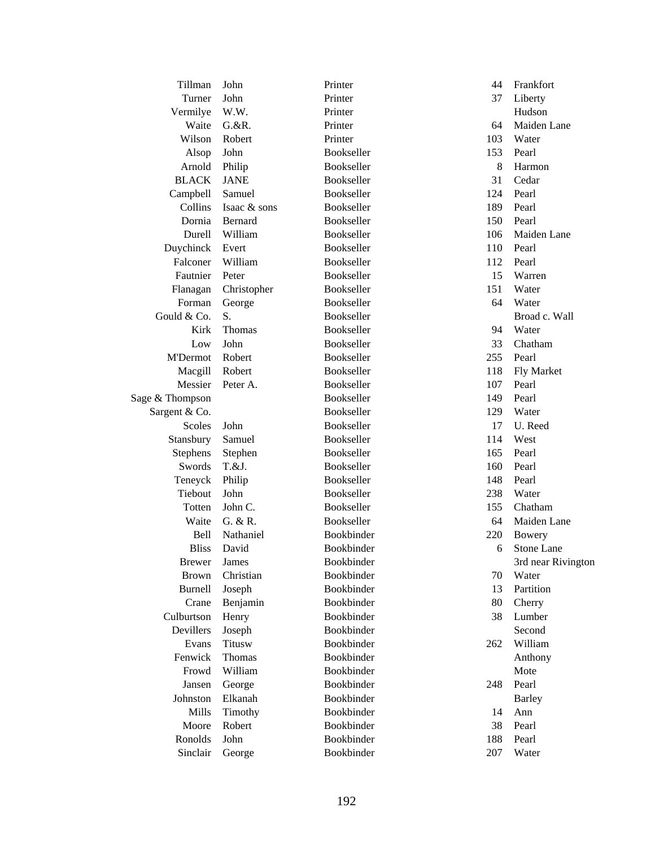| Tillman         | John           | Printer           | 44  | Frankfort          |
|-----------------|----------------|-------------------|-----|--------------------|
| Turner          | John           | Printer           | 37  | Liberty            |
| Vermilye        | W.W.           | Printer           |     | Hudson             |
| Waite           | $G.$ &R.       | Printer           | 64  | Maiden Lane        |
| Wilson          | Robert         | Printer           | 103 | Water              |
| Alsop           | John           | Bookseller        | 153 | Pearl              |
| Arnold          | Philip         | Bookseller        | 8   | Harmon             |
| <b>BLACK</b>    | <b>JANE</b>    | Bookseller        | 31  | Cedar              |
| Campbell        | Samuel         | Bookseller        | 124 | Pearl              |
| Collins         | Isaac & sons   | Bookseller        | 189 | Pearl              |
| Dornia          | <b>Bernard</b> | Bookseller        | 150 | Pearl              |
| Durell          | William        | Bookseller        | 106 | Maiden Lane        |
| Duychinck       | Evert          | Bookseller        | 110 | Pearl              |
| Falconer        | William        | Bookseller        | 112 | Pearl              |
| Fautnier        | Peter          | Bookseller        | 15  | Warren             |
| Flanagan        | Christopher    | Bookseller        | 151 | Water              |
| Forman          | George         | Bookseller        | 64  | Water              |
| Gould & Co.     | S.             | Bookseller        |     | Broad c. Wall      |
| Kirk            | <b>Thomas</b>  | Bookseller        | 94  | Water              |
| Low             | John           | Bookseller        | 33  | Chatham            |
| <b>M'Dermot</b> | Robert         | Bookseller        | 255 | Pearl              |
| Macgill         | Robert         | Bookseller        | 118 | Fly Market         |
| Messier         | Peter A.       | Bookseller        | 107 | Pearl              |
| Sage & Thompson |                | Bookseller        | 149 | Pearl              |
| Sargent & Co.   |                | Bookseller        | 129 | Water              |
| Scoles          | John           | Bookseller        | 17  | U. Reed            |
| Stansbury       | Samuel         | Bookseller        | 114 | West               |
| Stephens        | Stephen        | Bookseller        | 165 | Pearl              |
| Swords          | $T.\&J.$       | Bookseller        | 160 | Pearl              |
| Teneyck         | Philip         | Bookseller        | 148 | Pearl              |
| Tiebout         | John           | Bookseller        | 238 | Water              |
| Totten          | John C.        | Bookseller        | 155 | Chatham            |
| Waite           | G. & R.        | Bookseller        | 64  | Maiden Lane        |
|                 | Nathaniel      | Bookbinder        | 220 |                    |
| Bell            |                |                   |     | <b>Bowery</b>      |
| <b>Bliss</b>    | David          | Bookbinder        | 6   | Stone Lane         |
| <b>Brewer</b>   | James          | Bookbinder        |     | 3rd near Rivington |
| <b>Brown</b>    | Christian      | Bookbinder        | 70  | Water              |
| Burnell         | Joseph         | Bookbinder        | 13  | Partition          |
| Crane           | Benjamin       | Bookbinder        | 80  | Cherry             |
| Culburtson      | Henry          | Bookbinder        | 38  | Lumber             |
| Devillers       | Joseph         | <b>Bookbinder</b> |     | Second             |
| Evans           | <b>Titusw</b>  | Bookbinder        | 262 | William            |
| Fenwick         | Thomas         | Bookbinder        |     | Anthony            |
| Frowd           | William        | Bookbinder        |     | Mote               |
| Jansen          | George         | Bookbinder        | 248 | Pearl              |
| Johnston        | Elkanah        | Bookbinder        |     | <b>Barley</b>      |
| Mills           | Timothy        | Bookbinder        | 14  | Ann                |
| Moore           | Robert         | Bookbinder        | 38  | Pearl              |
| Ronolds         | John           | Bookbinder        | 188 | Pearl              |
| Sinclair        | George         | Bookbinder        | 207 | Water              |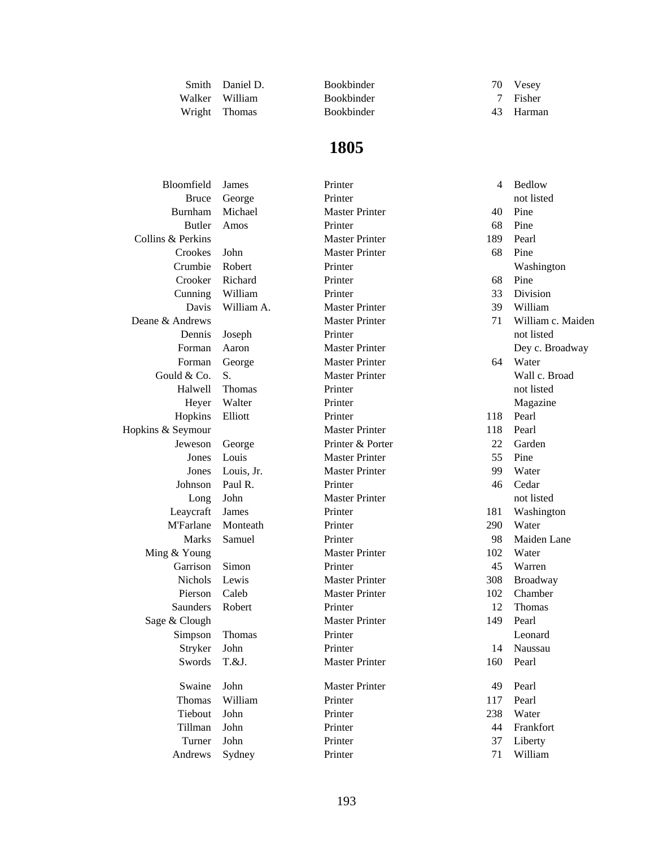| Smith  | Daniel D.     |
|--------|---------------|
| Walker | William       |
| Wright | <b>Thomas</b> |

Bookbinder 70 Vesey<br>Bookbinder 7 Fisher Bookbinder Bookbinder 43 Harman

| Bloomfield        | James      | Printer               | 4   | Bedlow            |
|-------------------|------------|-----------------------|-----|-------------------|
| <b>Bruce</b>      | George     | Printer               |     | not listed        |
| Burnham           | Michael    | <b>Master Printer</b> | 40  | Pine              |
| <b>Butler</b>     | Amos       | Printer               | 68  | Pine              |
| Collins & Perkins |            | <b>Master Printer</b> | 189 | Pearl             |
| Crookes           | John       | <b>Master Printer</b> | 68  | Pine              |
| Crumbie           | Robert     | Printer               |     | Washington        |
| Crooker           | Richard    | Printer               | 68  | Pine              |
| Cunning           | William    | Printer               | 33  | Division          |
| Davis             | William A. | <b>Master Printer</b> | 39  | William           |
| Deane & Andrews   |            | <b>Master Printer</b> | 71  | William c. Maiden |
| Dennis            | Joseph     | Printer               |     | not listed        |
| Forman            | Aaron      | <b>Master Printer</b> |     | Dey c. Broadway   |
| Forman            | George     | <b>Master Printer</b> | 64  | Water             |
| Gould & Co.       | S.         | <b>Master Printer</b> |     | Wall c. Broad     |
| Halwell           | Thomas     | Printer               |     | not listed        |
| Heyer             | Walter     | Printer               |     | Magazine          |
| Hopkins           | Elliott    | Printer               | 118 | Pearl             |
| Hopkins & Seymour |            | <b>Master Printer</b> | 118 | Pearl             |
| Jeweson           | George     | Printer & Porter      | 22  | Garden            |
| Jones             | Louis      | <b>Master Printer</b> | 55  | Pine              |
| Jones             | Louis, Jr. | <b>Master Printer</b> | 99  | Water             |
| Johnson           | Paul R.    | Printer               | 46  | Cedar             |
| Long              | John       | <b>Master Printer</b> |     | not listed        |
| Leaycraft         | James      | Printer               | 181 | Washington        |
| <b>M'Farlane</b>  | Monteath   | Printer               | 290 | Water             |
| <b>Marks</b>      | Samuel     | Printer               | 98  | Maiden Lane       |
| Ming & Young      |            | <b>Master Printer</b> | 102 | Water             |
| Garrison          | Simon      | Printer               | 45  | Warren            |
| Nichols           | Lewis      | <b>Master Printer</b> | 308 | Broadway          |
| Pierson           | Caleb      | <b>Master Printer</b> | 102 | Chamber           |
| Saunders          | Robert     | Printer               | 12  | Thomas            |
| Sage & Clough     |            | <b>Master Printer</b> | 149 | Pearl             |
| Simpson           | Thomas     | Printer               |     | Leonard           |
| Stryker           | John       | Printer               | 14  | Naussau           |
| Swords            | T.&J.      | <b>Master Printer</b> |     | 160 Pearl         |
| Swaine            | John       | <b>Master Printer</b> | 49  | Pearl             |
| Thomas            | William    | Printer               | 117 | Pearl             |
| Tiebout           | John       | Printer               | 238 | Water             |
| Tillman           | John       | Printer               | 44  | Frankfort         |
| Turner            | John       | Printer               | 37  | Liberty           |
| Andrews           | Sydney     | Printer               | 71  | William           |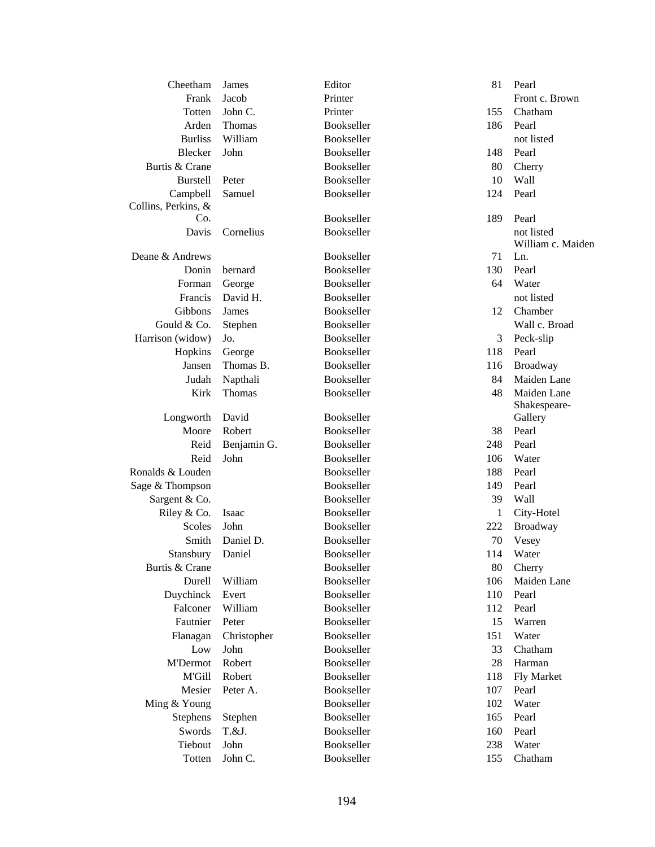| Cheetham            | James       | Editor     | 81           | Pearl             |
|---------------------|-------------|------------|--------------|-------------------|
| Frank               | Jacob       | Printer    |              | Front c. Brown    |
| Totten              | John C.     | Printer    | 155          | Chatham           |
| Arden               | Thomas      | Bookseller | 186          | Pearl             |
| <b>Burliss</b>      | William     | Bookseller |              | not listed        |
| Blecker             | John        | Bookseller | 148          | Pearl             |
| Burtis & Crane      |             | Bookseller | 80           | Cherry            |
| <b>Burstell</b>     | Peter       | Bookseller | 10           | Wall              |
| Campbell            | Samuel      | Bookseller | 124          | Pearl             |
| Collins, Perkins, & |             |            |              |                   |
| Co.                 |             | Bookseller | 189          | Pearl             |
| Davis               | Cornelius   | Bookseller |              | not listed        |
|                     |             |            |              | William c. Maiden |
| Deane & Andrews     |             | Bookseller | 71           | Ln.               |
| Donin               | bernard     | Bookseller | 130          | Pearl             |
| Forman              | George      | Bookseller | 64           | Water             |
| Francis             | David H.    | Bookseller |              | not listed        |
| Gibbons             | James       | Bookseller | 12           | Chamber           |
| Gould & Co.         | Stephen     | Bookseller |              | Wall c. Broad     |
| Harrison (widow)    | Jo.         | Bookseller | 3            | Peck-slip         |
| Hopkins             | George      | Bookseller | 118          | Pearl             |
| Jansen              | Thomas B.   | Bookseller | 116          | Broadway          |
| Judah               | Napthali    | Bookseller | 84           | Maiden Lane       |
| Kirk                | Thomas      | Bookseller | 48           | Maiden Lane       |
|                     |             |            |              | Shakespeare-      |
| Longworth           | David       | Bookseller |              | Gallery           |
| Moore               | Robert      | Bookseller | 38           | Pearl             |
| Reid                | Benjamin G. | Bookseller | 248          | Pearl             |
| Reid                | John        | Bookseller | 106          | Water             |
| Ronalds & Louden    |             | Bookseller | 188          | Pearl             |
| Sage & Thompson     |             | Bookseller | 149          | Pearl             |
| Sargent & Co.       |             | Bookseller | 39           | Wall              |
| Riley & Co.         | Isaac       | Bookseller | $\mathbf{1}$ | City-Hotel        |
| Scoles              | John        | Bookseller | 222          | Broadway          |
| Smith               | Daniel D.   | Bookseller | 70           | Vesey             |
| Stansbury           | Daniel      | Bookseller | 114          | Water             |
| Burtis & Crane      |             | Bookseller | 80           | Cherry            |
| Durell              | William     | Bookseller | 106          | Maiden Lane       |
| Duychinck           | Evert       | Bookseller | 110          | Pearl             |
| Falconer            | William     | Bookseller | 112          | Pearl             |
| Fautnier            | Peter       | Bookseller | 15           | Warren            |
| Flanagan            | Christopher | Bookseller | 151          | Water             |
| Low                 | John        | Bookseller | 33           | Chatham           |
| <b>M'Dermot</b>     | Robert      | Bookseller | 28           | Harman            |
| M'Gill              | Robert      | Bookseller | 118          | Fly Market        |
| Mesier              | Peter A.    | Bookseller | 107          | Pearl             |
| Ming & Young        |             | Bookseller | 102          | Water             |
| Stephens            | Stephen     | Bookseller | 165          | Pearl             |
| Swords              | T.&J.       | Bookseller | 160          | Pearl             |
| Tiebout             | John        | Bookseller | 238          | Water             |
|                     |             |            |              |                   |
| Totten              | John C.     | Bookseller | 155          | Chatham           |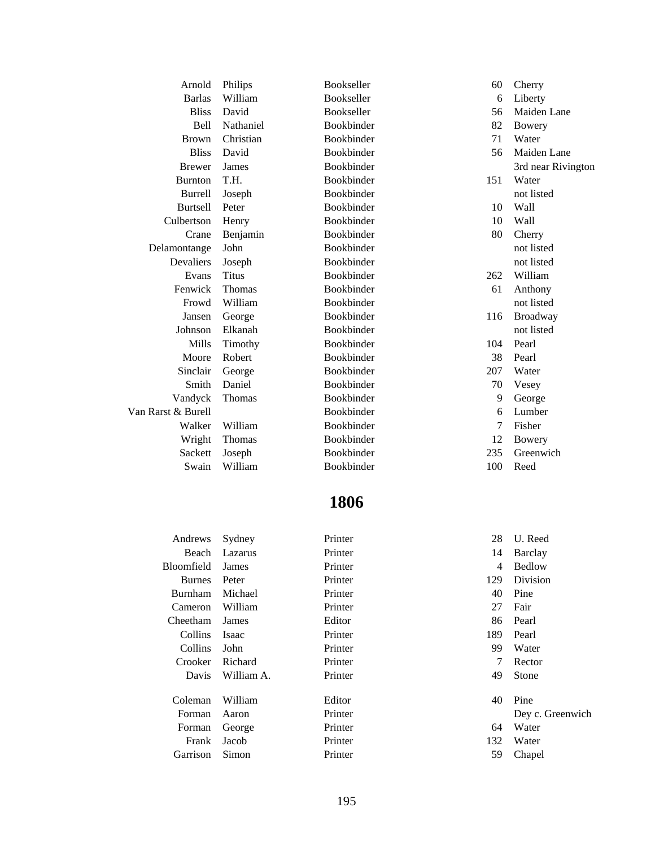| Arnold             | Philips      | Bookseller | 60  | Cherry             |
|--------------------|--------------|------------|-----|--------------------|
| <b>Barlas</b>      | William      | Bookseller | 6   | Liberty            |
| <b>Bliss</b>       | David        | Bookseller | 56  | Maiden Lane        |
| <b>Bell</b>        | Nathaniel    | Bookbinder | 82  | Bowery             |
| <b>Brown</b>       | Christian    | Bookbinder | 71  | Water              |
| <b>Bliss</b>       | David        | Bookbinder | 56  | Maiden Lane        |
| <b>Brewer</b>      | James        | Bookbinder |     | 3rd near Rivington |
| <b>Burnton</b>     | T.H.         | Bookbinder | 151 | Water              |
| Burrell            | Joseph       | Bookbinder |     | not listed         |
| <b>Burtsell</b>    | Peter        | Bookbinder | 10  | Wall               |
| Culbertson         | Henry        | Bookbinder | 10  | Wall               |
| Crane              | Benjamin     | Bookbinder | 80  | Cherry             |
| Delamontange       | John         | Bookbinder |     | not listed         |
| Devaliers          | Joseph       | Bookbinder |     | not listed         |
| Evans              | <b>Titus</b> | Bookbinder | 262 | William            |
| Fenwick            | Thomas       | Bookbinder | 61  | Anthony            |
| Frowd              | William      | Bookbinder |     | not listed         |
| Jansen             | George       | Bookbinder | 116 | Broadway           |
| Johnson            | Elkanah      | Bookbinder |     | not listed         |
| Mills              | Timothy      | Bookbinder | 104 | Pearl              |
| Moore              | Robert       | Bookbinder | 38  | Pearl              |
| Sinclair           | George       | Bookbinder | 207 | Water              |
| Smith              | Daniel       | Bookbinder | 70  | Vesey              |
| Vandyck            | Thomas       | Bookbinder | 9   | George             |
| Van Rarst & Burell |              | Bookbinder | 6   | Lumber             |
| Walker             | William      | Bookbinder | 7   | Fisher             |
| Wright             | Thomas       | Bookbinder | 12  | Bowery             |
| Sackett            | Joseph       | Bookbinder | 235 | Greenwich          |
| Swain              | William      | Bookbinder | 100 | Reed               |
|                    |              |            |     |                    |

| Andrews        | Sydney       | Printer | 28  | U. Reed          |
|----------------|--------------|---------|-----|------------------|
| Beach          | Lazarus      | Printer | 14  | Barclay          |
| Bloomfield     | James        | Printer | 4   | <b>Bedlow</b>    |
| <b>Burnes</b>  | Peter        | Printer | 129 | Division         |
| <b>Burnham</b> | Michael      | Printer | 40  | Pine             |
| Cameron        | William      | Printer | 27  | Fair             |
| Cheetham       | James        | Editor  | 86  | Pearl            |
| Collins        | <b>Isaac</b> | Printer | 189 | Pearl            |
| Collins        | John         | Printer | 99  | Water            |
| Crooker        | Richard      | Printer | 7   | Rector           |
| Davis          | William A.   | Printer | 49  | Stone            |
|                |              |         |     |                  |
| Coleman        | William      | Editor  | 40  | Pine             |
| Forman         | Aaron        | Printer |     | Dey c. Greenwich |
| Forman         | George       | Printer | 64  | Water            |
| Frank          | Jacob        | Printer | 132 | Water            |
| Garrison       | Simon        | Printer | 59  | Chapel           |
|                |              |         |     |                  |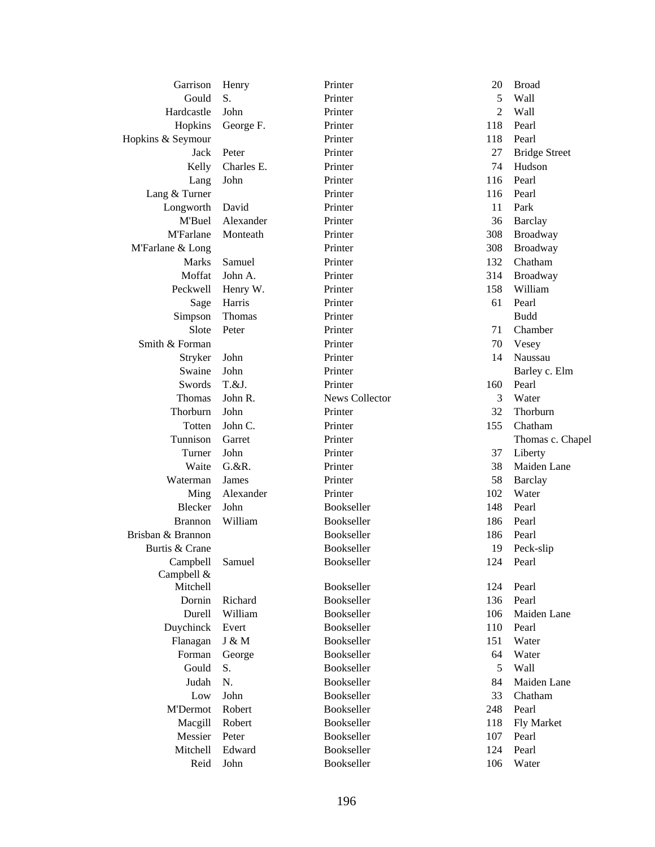| Garrison          | Henry      | Printer               | 20  | <b>Broad</b>         |
|-------------------|------------|-----------------------|-----|----------------------|
| Gould             | S.         | Printer               | 5   | Wall                 |
| Hardcastle        | John       | Printer               | 2   | Wall                 |
| Hopkins           | George F.  | Printer               | 118 | Pearl                |
| Hopkins & Seymour |            | Printer               | 118 | Pearl                |
| Jack              | Peter      | Printer               | 27  | <b>Bridge Street</b> |
| Kelly             | Charles E. | Printer               | 74  | Hudson               |
| Lang              | John       | Printer               | 116 | Pearl                |
| Lang & Turner     |            | Printer               | 116 | Pearl                |
| Longworth         | David      | Printer               | 11  | Park                 |
| M'Buel            | Alexander  | Printer               | 36  | <b>Barclay</b>       |
| <b>M'Farlane</b>  | Monteath   | Printer               | 308 | <b>Broadway</b>      |
| M'Farlane & Long  |            | Printer               | 308 | Broadway             |
| Marks             | Samuel     | Printer               | 132 | Chatham              |
| Moffat            | John A.    | Printer               | 314 | Broadway             |
| Peckwell          | Henry W.   | Printer               | 158 | William              |
| Sage              | Harris     | Printer               | 61  | Pearl                |
| Simpson           | Thomas     | Printer               |     | <b>Budd</b>          |
| Slote             | Peter      | Printer               | 71  | Chamber              |
| Smith & Forman    |            | Printer               | 70  | Vesey                |
| Stryker           | John       | Printer               | 14  | Naussau              |
| Swaine            | John       | Printer               |     | Barley c. Elm        |
| Swords            | T.&J.      | Printer               | 160 | Pearl                |
| Thomas            | John R.    | <b>News Collector</b> | 3   | Water                |
| Thorburn          | John       | Printer               | 32  | Thorburn             |
| Totten            | John C.    | Printer               | 155 | Chatham              |
| Tunnison          | Garret     | Printer               |     | Thomas c. Chapel     |
| Turner            | John       | Printer               | 37  | Liberty              |
| Waite             | $G.$ &R.   | Printer               | 38  | Maiden Lane          |
| Waterman          | James      | Printer               | 58  | <b>Barclay</b>       |
| Ming              | Alexander  | Printer               | 102 | Water                |
| Blecker           | John       | <b>Bookseller</b>     | 148 | Pearl                |
| <b>Brannon</b>    | William    | Bookseller            | 186 | Pearl                |
| Brisban & Brannon |            | Bookseller            | 186 | Pearl                |
| Burtis & Crane    |            | Bookseller            | 19  | Peck-slip            |
| Campbell          | Samuel     | Bookseller            | 124 | Pearl                |
| Campbell &        |            |                       |     |                      |
| Mitchell          |            | Bookseller            | 124 | Pearl                |
| Dornin            | Richard    | Bookseller            | 136 | Pearl                |
| Durell            | William    | Bookseller            | 106 | Maiden Lane          |
| Duychinck         | Evert      | Bookseller            | 110 | Pearl                |
| Flanagan          | J & M      | Bookseller            | 151 | Water                |
| Forman            | George     | Bookseller            | 64  | Water                |
| Gould             | S.         | Bookseller            | 5   | Wall                 |
| Judah             | N.         | Bookseller            | 84  | Maiden Lane          |
| Low               | John       | Bookseller            | 33  | Chatham              |
| M'Dermot          | Robert     | Bookseller            | 248 | Pearl                |
| Macgill           | Robert     | Bookseller            | 118 | Fly Market           |
| Messier           | Peter      | Bookseller            | 107 | Pearl                |
| Mitchell          | Edward     | Bookseller            | 124 | Pearl                |
| Reid              | John       | Bookseller            | 106 | Water                |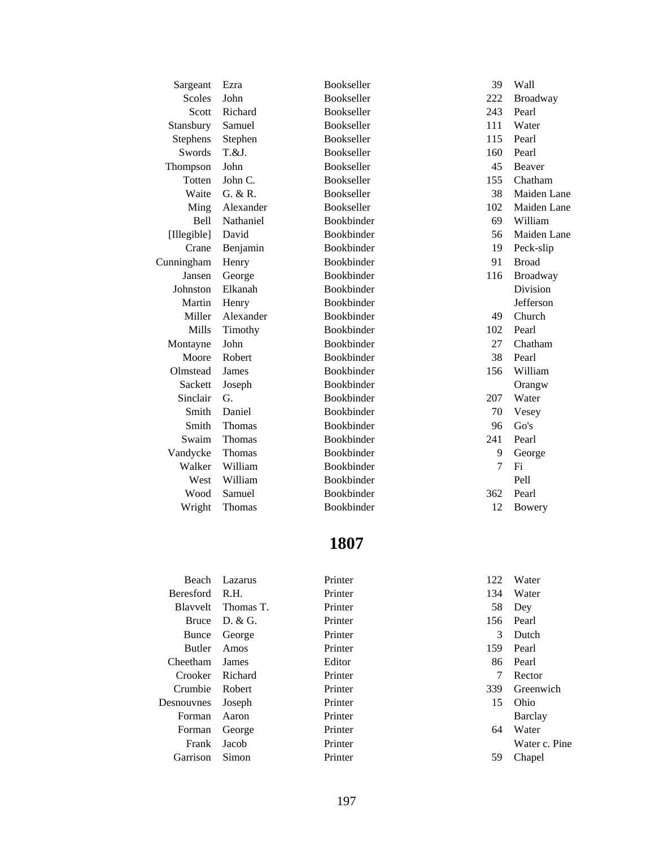| Sargeant        | Ezra          | Bookseller        | 39  | Wall         |
|-----------------|---------------|-------------------|-----|--------------|
| Scoles          | John          | Bookseller        | 222 | Broadway     |
| Scott           | Richard       | Bookseller        | 243 | Pearl        |
| Stansbury       | Samuel        | Bookseller        | 111 | Water        |
| <b>Stephens</b> | Stephen       | <b>Bookseller</b> | 115 | Pearl        |
| Swords          | T.&J.         | Bookseller        | 160 | Pearl        |
| Thompson        | John          | Bookseller        | 45  | Beaver       |
| Totten          | John C.       | Bookseller        | 155 | Chatham      |
| Waite           | G. & R.       | Bookseller        | 38  | Maiden Lane  |
| Ming            | Alexander     | Bookseller        | 102 | Maiden Lane  |
| Bell            | Nathaniel     | Bookbinder        | 69  | William      |
| [Illegible]     | David         | Bookbinder        | 56  | Maiden Lane  |
| Crane           | Benjamin      | Bookbinder        | 19  | Peck-slip    |
| Cunningham      | Henry         | Bookbinder        | 91  | <b>Broad</b> |
| Jansen          | George        | Bookbinder        | 116 | Broadway     |
| Johnston        | Elkanah       | Bookbinder        |     | Division     |
| Martin          | Henry         | Bookbinder        |     | Jefferson    |
| Miller          | Alexander     | Bookbinder        | 49  | Church       |
| Mills           | Timothy       | Bookbinder        | 102 | Pearl        |
| Montayne        | John          | Bookbinder        | 27  | Chatham      |
| Moore           | Robert        | Bookbinder        | 38  | Pearl        |
| Olmstead        | James         | Bookbinder        | 156 | William      |
| Sackett         | Joseph        | Bookbinder        |     | Orangw       |
| Sinclair        | G.            | Bookbinder        | 207 | Water        |
| Smith           | Daniel        | Bookbinder        | 70  | Vesey        |
| Smith           | Thomas        | Bookbinder        | 96  | Go's         |
| Swaim           | <b>Thomas</b> | Bookbinder        | 241 | Pearl        |
| Vandycke        | <b>Thomas</b> | Bookbinder        | 9   | George       |
| Walker          | William       | Bookbinder        | 7   | Fi           |
| West            | William       | Bookbinder        |     | Pell         |
| Wood            | Samuel        | Bookbinder        | 362 | Pearl        |
| Wright          | Thomas        | Bookbinder        | 12  | Bowery       |

| Beach            | Lazarus   | Printer | 122 | Water         |
|------------------|-----------|---------|-----|---------------|
| <b>Beresford</b> | R.H.      | Printer | 134 | Water         |
| <b>Blayvelt</b>  | Thomas T. | Printer | 58  | Dey           |
| Bruce            | D. & G.   | Printer | 156 | Pearl         |
| Bunce            | George    | Printer | 3   | Dutch         |
| <b>Butler</b>    | Amos      | Printer | 159 | Pearl         |
| Cheetham         | James     | Editor  |     | 86 Pearl      |
| <b>Crooker</b>   | Richard   | Printer | 7   | Rector        |
| Crumbie          | Robert    | Printer | 339 | Greenwich     |
| Desnouvnes       | Joseph    | Printer | 15  | Ohio          |
| Forman           | Aaron     | Printer |     | Barclay       |
| Forman           | George    | Printer | 64  | Water         |
| Frank            | Jacob     | Printer |     | Water c. Pine |
| Garrison         | Simon     | Printer | 59  | Chapel        |
|                  |           |         |     |               |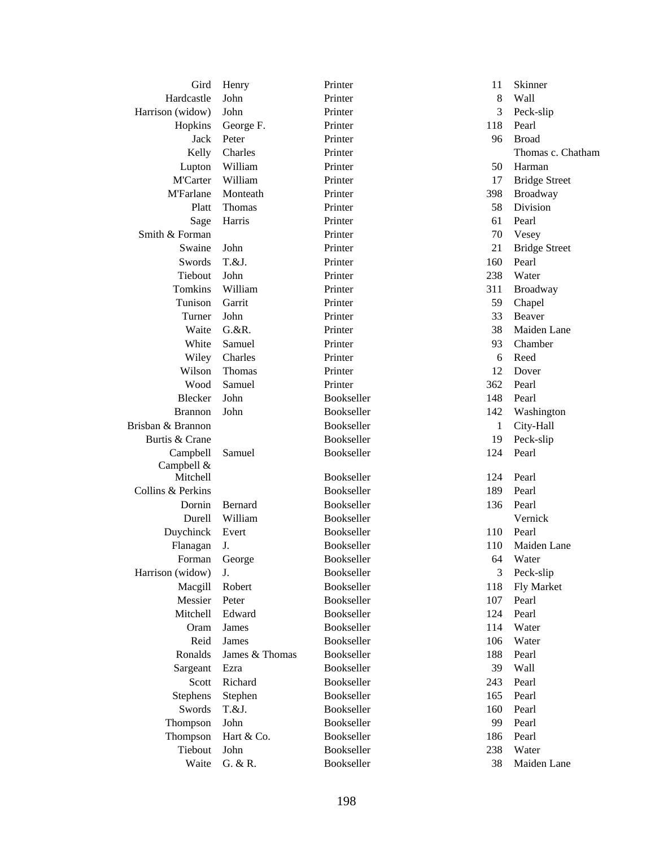| Gird              | Henry          | Printer    | 11  | Skinner              |
|-------------------|----------------|------------|-----|----------------------|
| Hardcastle        | John           | Printer    | 8   | Wall                 |
| Harrison (widow)  | John           | Printer    | 3   | Peck-slip            |
| Hopkins           | George F.      | Printer    | 118 | Pearl                |
| Jack              | Peter          | Printer    | 96  | <b>Broad</b>         |
| Kelly             | Charles        | Printer    |     | Thomas c. Chatham    |
| Lupton            | William        | Printer    | 50  | Harman               |
| M'Carter          | William        | Printer    | 17  | <b>Bridge Street</b> |
| <b>M'Farlane</b>  | Monteath       | Printer    | 398 | Broadway             |
| Platt             | Thomas         | Printer    | 58  | Division             |
| Sage              | Harris         | Printer    | 61  | Pearl                |
| Smith & Forman    |                | Printer    | 70  | Vesey                |
| Swaine            | John           | Printer    | 21  | <b>Bridge Street</b> |
| Swords            | T.&J.          | Printer    | 160 | Pearl                |
| Tiebout           | John           | Printer    | 238 | Water                |
| Tomkins           | William        | Printer    | 311 | Broadway             |
| Tunison           | Garrit         | Printer    | 59  | Chapel               |
| Turner            | John           | Printer    | 33  | Beaver               |
| Waite             | $G.$ &R.       | Printer    | 38  | Maiden Lane          |
| White             | Samuel         | Printer    | 93  | Chamber              |
| Wiley             | Charles        | Printer    | 6   | Reed                 |
| Wilson            | Thomas         | Printer    | 12  | Dover                |
| Wood              | Samuel         | Printer    | 362 | Pearl                |
| Blecker           | John           | Bookseller | 148 | Pearl                |
| <b>Brannon</b>    | John           | Bookseller | 142 | Washington           |
| Brisban & Brannon |                | Bookseller | 1   | City-Hall            |
| Burtis & Crane    |                | Bookseller | 19  | Peck-slip            |
| Campbell          | Samuel         | Bookseller | 124 | Pearl                |
| Campbell &        |                |            |     |                      |
| Mitchell          |                | Bookseller | 124 | Pearl                |
| Collins & Perkins |                | Bookseller | 189 | Pearl                |
| Dornin            | Bernard        | Bookseller | 136 | Pearl                |
| Durell            | William        | Bookseller |     | Vernick              |
| Duychinck         | Evert          | Bookseller | 110 | Pearl                |
| Flanagan          | J.             | Bookseller | 110 | Maiden Lane          |
| Forman            | George         | Bookseller | 64  | Water                |
| Harrison (widow)  | J.             | Bookseller | 3   | Peck-slip            |
| Macgill           | Robert         | Bookseller | 118 | Fly Market           |
| Messier           | Peter          | Bookseller | 107 | Pearl                |
| Mitchell          | Edward         | Bookseller | 124 | Pearl                |
| Oram              | James          | Bookseller | 114 | Water                |
| Reid              | <b>James</b>   | Bookseller | 106 | Water                |
| Ronalds           | James & Thomas | Bookseller | 188 | Pearl                |
| Sargeant          | Ezra           | Bookseller | 39  | Wall                 |
| Scott             | Richard        | Bookseller | 243 | Pearl                |
| Stephens          | Stephen        | Bookseller | 165 | Pearl                |
| Swords            | T.&J.          | Bookseller | 160 | Pearl                |
| Thompson          | John           | Bookseller | 99  | Pearl                |
| Thompson          | Hart & Co.     | Bookseller | 186 | Pearl                |
| Tiebout           | John           | Bookseller | 238 | Water                |
| Waite             | G. & R.        | Bookseller | 38  | Maiden Lane          |
|                   |                |            |     |                      |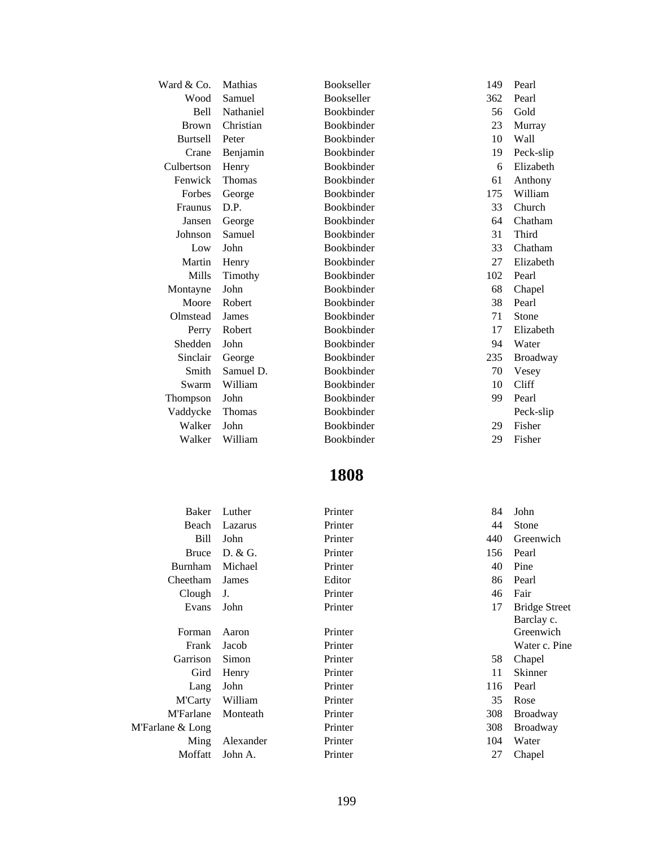| Ward & Co.      | Mathias       | Bookseller        | 149 | Pearl           |
|-----------------|---------------|-------------------|-----|-----------------|
| Wood            | Samuel        | Bookseller        | 362 | Pearl           |
| <b>Bell</b>     | Nathaniel     | Bookbinder        | 56  | Gold            |
| <b>Brown</b>    | Christian     | Bookbinder        | 23  | Murray          |
| <b>Burtsell</b> | Peter         | Bookbinder        | 10  | Wall            |
| Crane           | Benjamin      | Bookbinder        | 19  | Peck-slip       |
| Culbertson      | Henry         | <b>Bookbinder</b> | 6   | Elizabeth       |
| Fenwick         | <b>Thomas</b> | Bookbinder        | 61  | Anthony         |
| Forbes          | George        | Bookbinder        | 175 | William         |
| Fraunus         | D.P.          | Bookbinder        | 33  | Church          |
| Jansen          | George        | Bookbinder        | 64  | Chatham         |
| Johnson         | Samuel        | Bookbinder        | 31  | Third           |
| Low             | John          | Bookbinder        | 33  | Chatham         |
| Martin          | Henry         | Bookbinder        | 27  | Elizabeth       |
| Mills           | Timothy       | <b>Bookbinder</b> | 102 | Pearl           |
| Montayne        | John          | Bookbinder        | 68  | Chapel          |
| Moore           | Robert        | Bookbinder        | 38  | Pearl           |
| Olmstead        | James         | Bookbinder        | 71  | Stone           |
| Perry           | Robert        | <b>Bookbinder</b> | 17  | Elizabeth       |
| Shedden         | John          | <b>Bookbinder</b> | 94  | Water           |
| Sinclair        | George        | Bookbinder        | 235 | <b>Broadway</b> |
| Smith           | Samuel D.     | Bookbinder        | 70  | Vesey           |
| Swarm           | William       | Bookbinder        | 10  | Cliff           |
| Thompson        | John          | Bookbinder        | 99  | Pearl           |
| Vaddycke        | Thomas        | Bookbinder        |     | Peck-slip       |
| Walker          | John          | Bookbinder        | 29  | Fisher          |
| Walker          | William       | Bookbinder        | 29  | Fisher          |

| Baker            | Luther    | Printer | 84  | John                 |
|------------------|-----------|---------|-----|----------------------|
| Beach            | Lazarus   | Printer | 44  | <b>Stone</b>         |
| Bill             | John      | Printer | 440 | Greenwich            |
| <b>Bruce</b>     | D. & G.   | Printer | 156 | Pearl                |
| Burnham          | Michael   | Printer | 40  | Pine                 |
| Cheetham         | James     | Editor  | 86  | Pearl                |
| Clough           | J.        | Printer | 46  | Fair                 |
| Evans            | John      | Printer | 17  | <b>Bridge Street</b> |
|                  |           |         |     | Barclay c.           |
| Forman           | Aaron     | Printer |     | Greenwich            |
| Frank            | Jacob     | Printer |     | Water c. Pine        |
| Garrison         | Simon     | Printer | 58  | Chapel               |
| Gird             | Henry     | Printer | 11  | <b>Skinner</b>       |
| Lang             | John      | Printer | 116 | Pearl                |
| <b>M'Carty</b>   | William   | Printer | 35  | Rose                 |
| <b>M'Farlane</b> | Monteath  | Printer | 308 | <b>Broadway</b>      |
| M'Farlane & Long |           | Printer | 308 | <b>Broadway</b>      |
| Ming             | Alexander | Printer | 104 | Water                |
| Moffatt          | John A.   | Printer | 27  | Chapel               |
|                  |           |         |     |                      |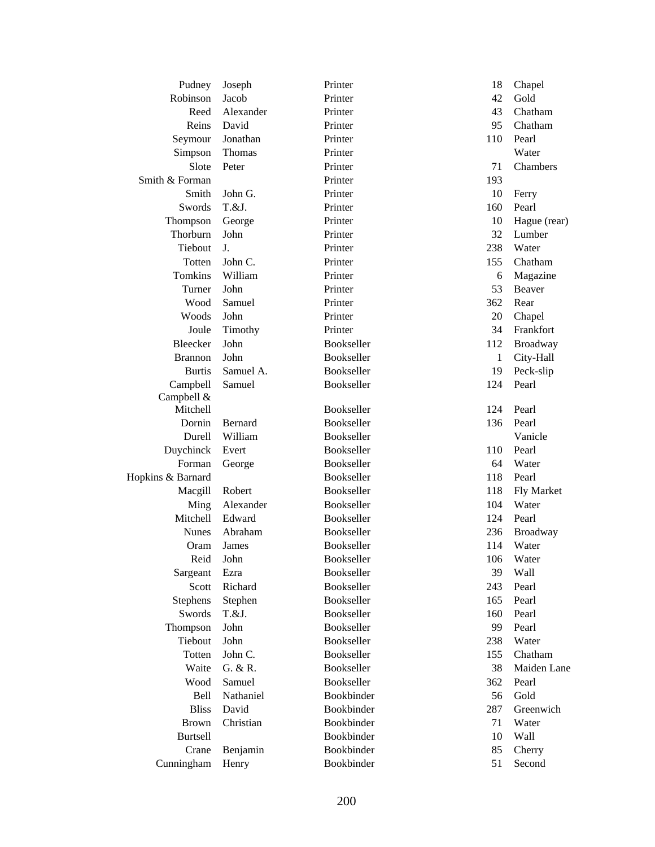| Pudney            | Joseph    | Printer    | 18  | Chapel          |
|-------------------|-----------|------------|-----|-----------------|
| Robinson          | Jacob     | Printer    | 42  | Gold            |
| Reed              | Alexander | Printer    | 43  | Chatham         |
| Reins             | David     | Printer    | 95  | Chatham         |
| Seymour           | Jonathan  | Printer    | 110 | Pearl           |
| Simpson           | Thomas    | Printer    |     | Water           |
| Slote             | Peter     | Printer    | 71  | Chambers        |
| Smith & Forman    |           | Printer    | 193 |                 |
| Smith             | John G.   | Printer    | 10  | Ferry           |
| Swords            | T.&J.     | Printer    | 160 | Pearl           |
| Thompson          | George    | Printer    | 10  | Hague (rear)    |
| Thorburn          | John      | Printer    | 32  | Lumber          |
| Tiebout           | J.        | Printer    | 238 | Water           |
| Totten            | John C.   | Printer    | 155 | Chatham         |
| Tomkins           | William   | Printer    | 6   | Magazine        |
| Turner            | John      | Printer    | 53  | Beaver          |
| Wood              | Samuel    | Printer    | 362 | Rear            |
| Woods             | John      | Printer    | 20  | Chapel          |
| Joule             | Timothy   | Printer    | 34  | Frankfort       |
| Bleecker          | John      | Bookseller | 112 | <b>Broadway</b> |
| <b>Brannon</b>    | John      | Bookseller | 1   | City-Hall       |
| <b>Burtis</b>     | Samuel A. | Bookseller | 19  | Peck-slip       |
| Campbell          | Samuel    | Bookseller | 124 | Pearl           |
| Campbell &        |           |            |     |                 |
| Mitchell          |           | Bookseller | 124 | Pearl           |
| Dornin            | Bernard   | Bookseller | 136 | Pearl           |
| Durell            | William   | Bookseller |     | Vanicle         |
| Duychinck         | Evert     | Bookseller | 110 | Pearl           |
| Forman            | George    | Bookseller | 64  | Water           |
| Hopkins & Barnard |           | Bookseller | 118 | Pearl           |
| Macgill           | Robert    | Bookseller | 118 | Fly Market      |
| Ming              | Alexander | Bookseller | 104 | Water           |
| Mitchell          | Edward    | Bookseller | 124 | Pearl           |
| <b>Nunes</b>      | Abraham   | Bookseller | 236 | Broadway        |
| Oram              | James     | Bookseller | 114 | Water           |
|                   | Reid John | Bookseller | 106 | Water           |
| Sargeant          | Ezra      | Bookseller | 39  | Wall            |
| Scott             | Richard   | Bookseller | 243 | Pearl           |
| Stephens          | Stephen   | Bookseller | 165 | Pearl           |
| Swords            | T.&J.     | Bookseller | 160 | Pearl           |
| Thompson          | John      | Bookseller | 99  | Pearl           |
| Tiebout           | John      | Bookseller | 238 | Water           |
| Totten            | John C.   | Bookseller | 155 | Chatham         |
| Waite             | G. & R.   | Bookseller | 38  | Maiden Lane     |
| Wood              | Samuel    | Bookseller | 362 | Pearl           |
| Bell              | Nathaniel | Bookbinder | 56  | Gold            |
| <b>Bliss</b>      | David     | Bookbinder | 287 | Greenwich       |
| <b>Brown</b>      | Christian | Bookbinder | 71  | Water           |
| <b>Burtsell</b>   |           | Bookbinder | 10  | Wall            |
| Crane             | Benjamin  | Bookbinder | 85  | Cherry          |
| Cunningham        | Henry     | Bookbinder | 51  | Second          |
|                   |           |            |     |                 |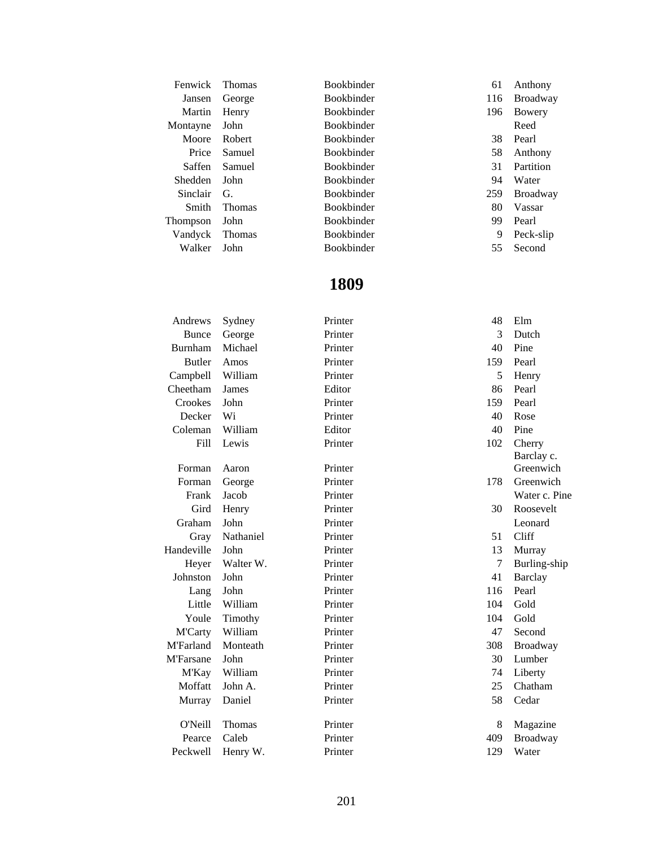| Fenwick         | <b>Thomas</b> | <b>Bookbinder</b> | 61  | Anthony         |
|-----------------|---------------|-------------------|-----|-----------------|
| Jansen          | George        | <b>Bookbinder</b> | 116 | <b>Broadway</b> |
| Martin          | Henry         | <b>Bookbinder</b> | 196 | Bowery          |
| Montayne        | John          | <b>Bookbinder</b> |     | Reed            |
| Moore           | Robert        | <b>Bookbinder</b> | 38  | Pearl           |
| Price           | Samuel        | <b>Bookbinder</b> | 58  | Anthony         |
| Saffen          | Samuel        | <b>Bookbinder</b> | 31  | Partition       |
| <b>Shedden</b>  | John          | <b>Bookbinder</b> | 94  | Water           |
| <b>Sinclair</b> | G.            | <b>Bookbinder</b> | 259 | <b>Broadway</b> |
| Smith           | <b>Thomas</b> | <b>Bookbinder</b> | 80  | Vassar          |
| Thompson        | John          | <b>Bookbinder</b> | 99  | Pearl           |
| Vandyck         | <b>Thomas</b> | <b>Bookbinder</b> | 9   | Peck-slip       |
| Walker          | John          | <b>Bookbinder</b> | 55  | Second          |
|                 |               |                   |     |                 |

| Andrews          | Sydney    | Printer | 48  | Elm            |
|------------------|-----------|---------|-----|----------------|
| <b>Bunce</b>     | George    | Printer | 3   | Dutch          |
| <b>Burnham</b>   | Michael   | Printer | 40  | Pine           |
| <b>Butler</b>    | Amos      | Printer | 159 | Pearl          |
| Campbell         | William   | Printer | 5   | Henry          |
| Cheetham         | James     | Editor  | 86  | Pearl          |
| Crookes          | John      | Printer | 159 | Pearl          |
| Decker           | Wi        | Printer | 40  | Rose           |
| Coleman          | William   | Editor  | 40  | Pine           |
| Fill             | Lewis     | Printer | 102 | Cherry         |
|                  |           |         |     | Barclay c.     |
| Forman           | Aaron     | Printer |     | Greenwich      |
| Forman           | George    | Printer | 178 | Greenwich      |
| Frank            | Jacob     | Printer |     | Water c. Pine  |
| Gird             | Henry     | Printer | 30  | Roosevelt      |
| Graham           | John      | Printer |     | Leonard        |
| Gray             | Nathaniel | Printer | 51  | Cliff          |
| Handeville       | John      | Printer | 13  | Murray         |
| Heyer            | Walter W. | Printer | 7   | Burling-ship   |
| Johnston         | John      | Printer | 41  | <b>Barclay</b> |
| Lang             | John      | Printer | 116 | Pearl          |
| Little           | William   | Printer | 104 | Gold           |
| Youle            | Timothy   | Printer | 104 | Gold           |
| <b>M'Carty</b>   | William   | Printer | 47  | Second         |
| <b>M'Farland</b> | Monteath  | Printer | 308 | Broadway       |
| <b>M'Farsane</b> | John      | Printer | 30  | Lumber         |
| M'Kay            | William   | Printer | 74  | Liberty        |
| Moffatt          | John A.   | Printer | 25  | Chatham        |
| Murray           | Daniel    | Printer | 58  | Cedar          |
| <b>O'Neill</b>   | Thomas    | Printer | 8   | Magazine       |
| Pearce           | Caleb     | Printer | 409 | Broadway       |
| Peckwell         | Henry W.  | Printer | 129 | Water          |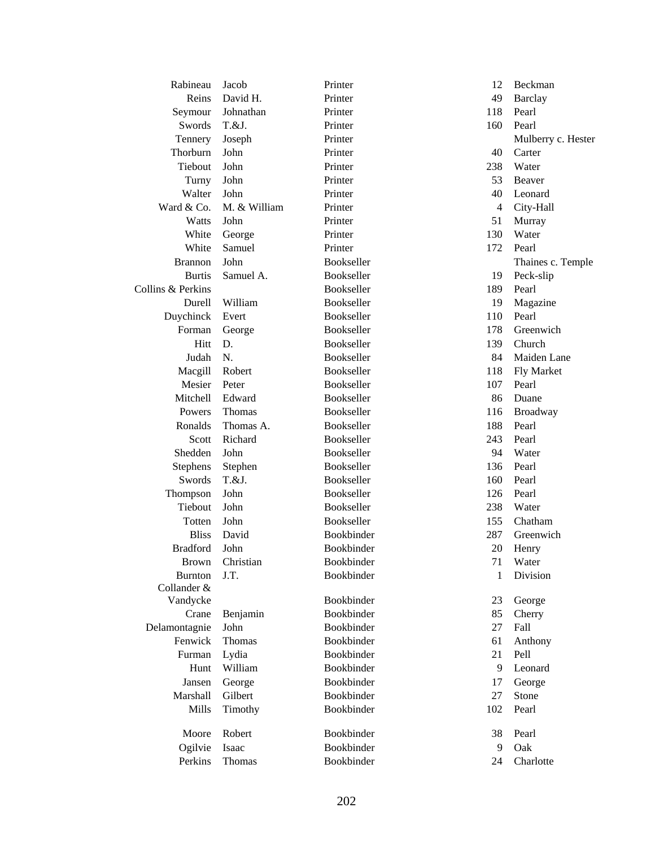| Rabineau          | Jacob        | Printer           | 12             | Beckman            |
|-------------------|--------------|-------------------|----------------|--------------------|
| Reins             | David H.     | Printer           | 49             | <b>Barclay</b>     |
| Seymour           | Johnathan    | Printer           | 118            | Pearl              |
| Swords            | T.&J.        | Printer           | 160            | Pearl              |
| Tennery           | Joseph       | Printer           |                | Mulberry c. Hester |
| Thorburn          | John         | Printer           | 40             | Carter             |
| Tiebout           | John         | Printer           | 238            | Water              |
| Turny             | John         | Printer           | 53             | Beaver             |
| Walter            | John         | Printer           | 40             | Leonard            |
| Ward & Co.        | M. & William | Printer           | $\overline{4}$ | City-Hall          |
| Watts             | John         | Printer           | 51             | Murray             |
| White             | George       | Printer           | 130            | Water              |
| White             | Samuel       | Printer           | 172            | Pearl              |
| <b>Brannon</b>    | John         | Bookseller        |                | Thaines c. Temple  |
| <b>Burtis</b>     | Samuel A.    | Bookseller        | 19             | Peck-slip          |
| Collins & Perkins |              | Bookseller        | 189            | Pearl              |
| Durell            | William      | Bookseller        | 19             | Magazine           |
| Duychinck         | Evert        | Bookseller        | 110            | Pearl              |
| Forman            | George       | Bookseller        | 178            | Greenwich          |
| Hitt              | D.           | Bookseller        | 139            | Church             |
| Judah             | N.           | Bookseller        | 84             | Maiden Lane        |
| Macgill           | Robert       | <b>Bookseller</b> | 118            | Fly Market         |
| Mesier            | Peter        | Bookseller        | 107            | Pearl              |
| Mitchell          | Edward       | Bookseller        | 86             | Duane              |
| Powers            | Thomas       | Bookseller        | 116            | Broadway           |
| Ronalds           | Thomas A.    | Bookseller        | 188            | Pearl              |
| Scott             | Richard      | Bookseller        | 243            | Pearl              |
| Shedden           | John         | Bookseller        | 94             | Water              |
| <b>Stephens</b>   | Stephen      | Bookseller        | 136            | Pearl              |
| Swords            | T.&J.        | Bookseller        | 160            | Pearl              |
| Thompson          | John         | Bookseller        | 126            | Pearl              |
| Tiebout           | John         | Bookseller        | 238            | Water              |
| Totten            | John         | Bookseller        | 155            | Chatham            |
| <b>Bliss</b>      | David        | Bookbinder        | 287            | Greenwich          |
| <b>Bradford</b>   | John         | Bookbinder        | 20             | Henry              |
| Brown             | Christian    | Bookbinder        | 71             | Water              |
| <b>Burnton</b>    | J.T.         | Bookbinder        | 1              | Division           |
| Collander &       |              |                   |                |                    |
| Vandycke          |              | Bookbinder        | 23             | George             |
| Crane             | Benjamin     | Bookbinder        | 85             | Cherry             |
| Delamontagnie     | John         | Bookbinder        | 27             | Fall               |
| Fenwick           | Thomas       | Bookbinder        | 61             | Anthony            |
| Furman            | Lydia        | Bookbinder        | 21             | Pell               |
| Hunt              | William      | Bookbinder        | 9              | Leonard            |
| Jansen            | George       | Bookbinder        | 17             | George             |
| Marshall          | Gilbert      | Bookbinder        | 27             | Stone              |
| Mills             | Timothy      | Bookbinder        | 102            | Pearl              |
| Moore             | Robert       | Bookbinder        | 38             | Pearl              |
| Ogilvie           | Isaac        | Bookbinder        | 9              | Oak                |
| Perkins           | Thomas       | Bookbinder        | 24             | Charlotte          |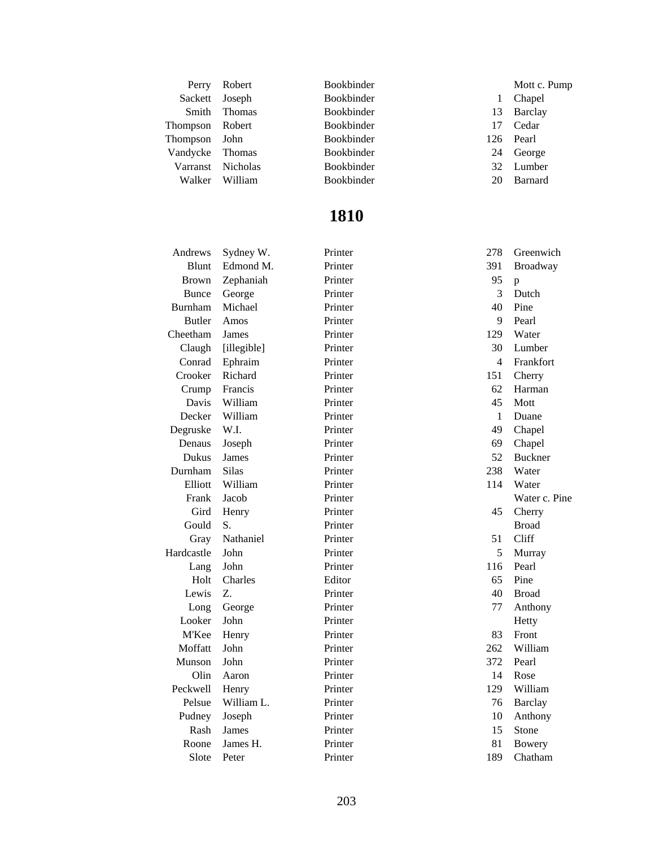| Perry             | Robert  | <b>Bookbinder</b> |     | Mott c. Pump   |
|-------------------|---------|-------------------|-----|----------------|
| Sackett           | Joseph  | <b>Bookbinder</b> |     | Chapel         |
| Smith             | Thomas  | Bookbinder        | 13  | Barclay        |
| Thompson Robert   |         | <b>Bookbinder</b> | 17  | Cedar          |
| Thompson          | John    | <b>Bookbinder</b> | 126 | Pearl          |
| Vandycke          | Thomas  | <b>Bookbinder</b> | 24  | George         |
| Varranst Nicholas |         | <b>Bookbinder</b> | 32  | Lumber         |
| Walker            | William | <b>Bookbinder</b> | 20  | <b>Barnard</b> |

| Andrews        | Sydney W.    | Printer | 278 | Greenwich      |
|----------------|--------------|---------|-----|----------------|
| Blunt          | Edmond M.    | Printer | 391 | Broadway       |
| <b>Brown</b>   | Zephaniah    | Printer | 95  | p              |
| <b>Bunce</b>   | George       | Printer | 3   | Dutch          |
| <b>Burnham</b> | Michael      | Printer | 40  | Pine           |
| <b>Butler</b>  | Amos         | Printer | 9   | Pearl          |
| Cheetham       | James        | Printer | 129 | Water          |
| Claugh         | [illegible]  | Printer | 30  | Lumber         |
| Conrad         | Ephraim      | Printer | 4   | Frankfort      |
| Crooker        | Richard      | Printer | 151 | Cherry         |
| Crump          | Francis      | Printer | 62  | Harman         |
| Davis          | William      | Printer | 45  | Mott           |
| Decker         | William      | Printer | 1   | Duane          |
| Degruske       | W.I.         | Printer | 49  | Chapel         |
| Denaus         | Joseph       | Printer | 69  | Chapel         |
| Dukus          | <b>James</b> | Printer | 52  | <b>Buckner</b> |
| Durnham        | <b>Silas</b> | Printer | 238 | Water          |
| Elliott        | William      | Printer | 114 | Water          |
| Frank          | Jacob        | Printer |     | Water c. Pine  |
| Gird           | Henry        | Printer | 45  | Cherry         |
| Gould          | S.           | Printer |     | <b>Broad</b>   |
| Gray           | Nathaniel    | Printer | 51  | Cliff          |
| Hardcastle     | John         | Printer | 5   | Murray         |
| Lang           | John         | Printer | 116 | Pearl          |
| Holt           | Charles      | Editor  | 65  | Pine           |
| Lewis          | Z.           | Printer | 40  | <b>Broad</b>   |
| Long           | George       | Printer | 77  | Anthony        |
| Looker         | John         | Printer |     | Hetty          |
| M'Kee          | Henry        | Printer | 83  | Front          |
| Moffatt        | John         | Printer | 262 | William        |
| Munson         | John         | Printer | 372 | Pearl          |
| Olin           | Aaron        | Printer | 14  | Rose           |
| Peckwell       | Henry        | Printer | 129 | William        |
| Pelsue         | William L.   | Printer | 76  | <b>Barclay</b> |
| Pudney         | Joseph       | Printer | 10  | Anthony        |
| Rash           | James        | Printer | 15  | Stone          |
| Roone          | James H.     | Printer | 81  | Bowery         |
| Slote          | Peter        | Printer | 189 | Chatham        |
|                |              |         |     |                |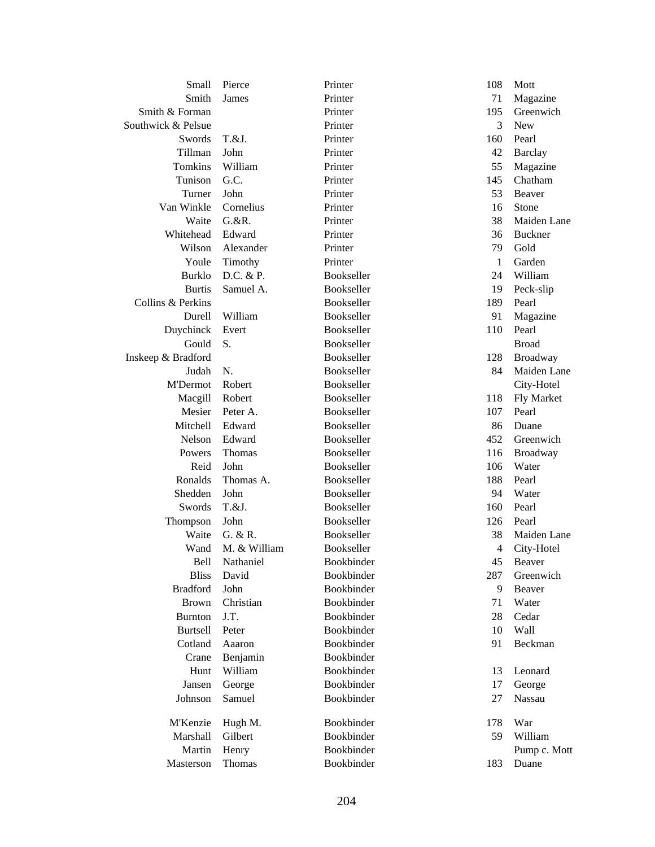| Small              | Pierce       | Printer           | 108 | Mott              |
|--------------------|--------------|-------------------|-----|-------------------|
| Smith              | James        | Printer           | 71  | Magazine          |
| Smith & Forman     |              | Printer           | 195 | Greenwich         |
| Southwick & Pelsue |              | Printer           | 3   | <b>New</b>        |
| Swords             | T.&J.        | Printer           | 160 | Pearl             |
| Tillman            | John         | Printer           | 42  | <b>Barclay</b>    |
| Tomkins            | William      | Printer           | 55  | Magazine          |
| Tunison            | G.C.         | Printer           | 145 | Chatham           |
| Turner             | John         | Printer           | 53  | Beaver            |
| Van Winkle         | Cornelius    | Printer           | 16  | Stone             |
| Waite              | G. & R.      | Printer           | 38  | Maiden Lane       |
| Whitehead          | Edward       | Printer           | 36  | <b>Buckner</b>    |
| Wilson             | Alexander    | Printer           | 79  | Gold              |
| Youle              | Timothy      | Printer           | 1   | Garden            |
| <b>Burklo</b>      | D.C. & P.    | Bookseller        | 24  | William           |
| <b>Burtis</b>      | Samuel A.    | Bookseller        | 19  | Peck-slip         |
| Collins & Perkins  |              | Bookseller        | 189 | Pearl             |
| Durell             | William      | <b>Bookseller</b> | 91  | Magazine          |
| Duychinck          | Evert        | Bookseller        | 110 | Pearl             |
| Gould              | S.           | Bookseller        |     | <b>Broad</b>      |
| Inskeep & Bradford |              | Bookseller        | 128 | Broadway          |
| Judah              | N.           | Bookseller        | 84  | Maiden Lane       |
| <b>M'Dermot</b>    | Robert       | Bookseller        |     | City-Hotel        |
| Macgill            | Robert       | Bookseller        | 118 | <b>Fly Market</b> |
| Mesier             | Peter A.     | Bookseller        | 107 | Pearl             |
| Mitchell           | Edward       | Bookseller        | 86  | Duane             |
| Nelson             | Edward       | Bookseller        | 452 | Greenwich         |
| Powers             | Thomas       | Bookseller        | 116 | Broadway          |
| Reid               | John         | Bookseller        | 106 | Water             |
| Ronalds            | Thomas A.    | Bookseller        | 188 | Pearl             |
| Shedden            | John         | Bookseller        | 94  | Water             |
| Swords             | T.&J.        | Bookseller        | 160 | Pearl             |
| Thompson           | John         | Bookseller        | 126 | Pearl             |
| Waite              | G. & R.      | <b>Bookseller</b> | 38  | Maiden Lane       |
| Wand               | M. & William | Bookseller        | 4   | City-Hotel        |
| Bell               | Nathaniel    | Bookbinder        | 45  | Beaver            |
| <b>Bliss</b>       | David        | Bookbinder        | 287 | Greenwich         |
| <b>Bradford</b>    | John         | Bookbinder        | 9   | Beaver            |
| <b>Brown</b>       | Christian    | Bookbinder        | 71  | Water             |
| <b>Burnton</b>     | J.T.         | Bookbinder        | 28  | Cedar             |
| <b>Burtsell</b>    | Peter        | Bookbinder        | 10  | Wall              |
| Cotland            | Aaaron       | Bookbinder        | 91  | Beckman           |
| Crane              | Benjamin     | <b>Bookbinder</b> |     |                   |
| Hunt               | William      | Bookbinder        | 13  | Leonard           |
| Jansen             | George       | Bookbinder        | 17  | George            |
| Johnson            | Samuel       | Bookbinder        | 27  | Nassau            |
|                    |              |                   |     |                   |
| M'Kenzie           | Hugh M.      | Bookbinder        | 178 | War               |
| Marshall           | Gilbert      | Bookbinder        | 59  | William           |
| Martin             | Henry        | Bookbinder        |     | Pump c. Mott      |
| Masterson          | Thomas       | Bookbinder        | 183 | Duane             |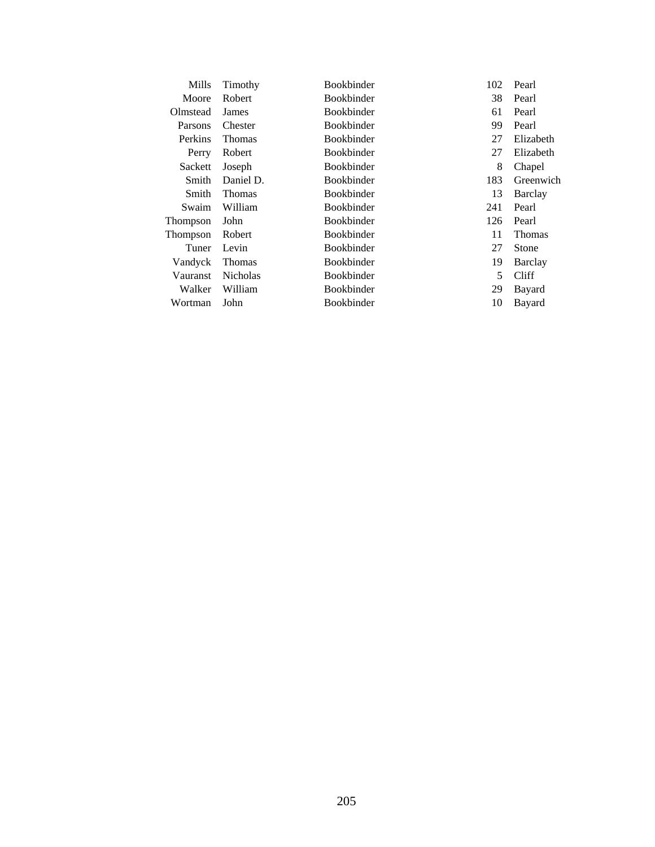| Mills           | Timothy         | <b>Bookbinder</b>       | 102 |               |
|-----------------|-----------------|-------------------------|-----|---------------|
| Moore           | Robert          | <b>Bookbinder</b>       | 38  | Pearl         |
| Olmstead        | James           | <b>Bookbinder</b><br>61 |     | Pearl         |
| Parsons         | Chester         | <b>Bookbinder</b><br>99 |     | Pearl         |
| Perkins         | <b>Thomas</b>   | <b>Bookbinder</b><br>27 |     | Elizabeth     |
| Perry           | Robert          | <b>Bookbinder</b>       | 27  | Elizabeth     |
| Sackett         | Joseph          | <b>Bookbinder</b>       | 8   | Chapel        |
| Smith           | Daniel D.       | Bookbinder              | 183 | Greenwich     |
| Smith           | <b>Thomas</b>   | <b>Bookbinder</b>       | 13  | Barclay       |
| Swaim           | William         | <b>Bookbinder</b>       | 241 | Pearl         |
| Thompson        | John            | <b>Bookbinder</b>       | 126 | Pearl         |
| Thompson        | Robert          | <b>Bookbinder</b>       | 11  | <b>Thomas</b> |
| Tuner           | Levin           | <b>Bookbinder</b>       | 27  | Stone         |
| Vandyck         | <b>Thomas</b>   | <b>Bookbinder</b>       | 19  | Barclay       |
| <b>Vauranst</b> | <b>Nicholas</b> | <b>Bookbinder</b>       | 5   | Cliff         |
| Walker          | William         | <b>Bookbinder</b>       | 29  | Bayard        |
| Wortman         | John            | <b>Bookbinder</b>       | 10  | Bayard        |
|                 |                 |                         |     |               |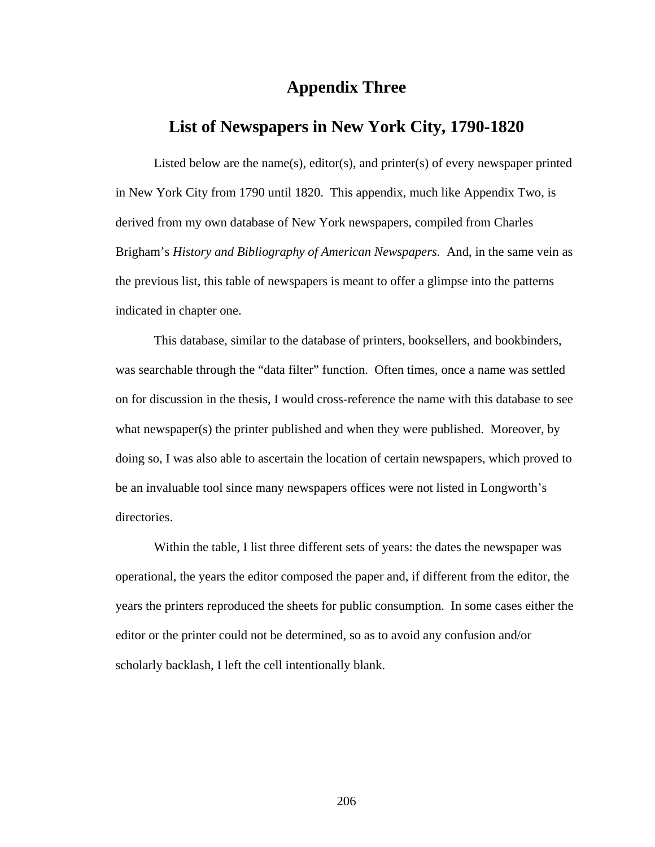#### **Appendix Three**

### **List of Newspapers in New York City, 1790-1820**

Listed below are the name(s), editor(s), and printer(s) of every newspaper printed in New York City from 1790 until 1820. This appendix, much like Appendix Two, is derived from my own database of New York newspapers, compiled from Charles Brigham's *History and Bibliography of American Newspapers.* And, in the same vein as the previous list, this table of newspapers is meant to offer a glimpse into the patterns indicated in chapter one.

 This database, similar to the database of printers, booksellers, and bookbinders, was searchable through the "data filter" function. Often times, once a name was settled on for discussion in the thesis, I would cross-reference the name with this database to see what newspaper(s) the printer published and when they were published. Moreover, by doing so, I was also able to ascertain the location of certain newspapers, which proved to be an invaluable tool since many newspapers offices were not listed in Longworth's directories.

Within the table, I list three different sets of years: the dates the newspaper was operational, the years the editor composed the paper and, if different from the editor, the years the printers reproduced the sheets for public consumption. In some cases either the editor or the printer could not be determined, so as to avoid any confusion and/or scholarly backlash, I left the cell intentionally blank.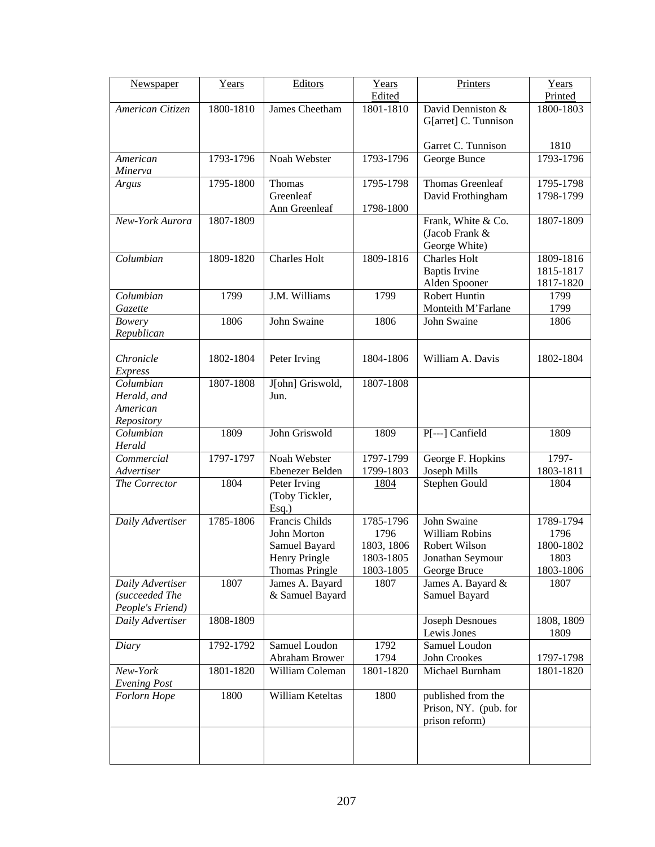| Newspaper                       | Years     | Editors                 | Years      | Printers               | Years         |
|---------------------------------|-----------|-------------------------|------------|------------------------|---------------|
|                                 |           |                         | Edited     |                        | Printed       |
| American Citizen                | 1800-1810 | James Cheetham          | 1801-1810  | David Denniston &      | 1800-1803     |
|                                 |           |                         |            | G[arret] C. Tunnison   |               |
|                                 |           |                         |            | Garret C. Tunnison     | 1810          |
| American                        | 1793-1796 | Noah Webster            | 1793-1796  | George Bunce           | $1793 - 1796$ |
| Minerva                         |           |                         |            |                        |               |
| Argus                           | 1795-1800 | Thomas                  | 1795-1798  | Thomas Greenleaf       | 1795-1798     |
|                                 |           | Greenleaf               |            | David Frothingham      | 1798-1799     |
|                                 |           | Ann Greenleaf           | 1798-1800  |                        |               |
| New-York Aurora                 | 1807-1809 |                         |            | Frank, White & Co.     | 1807-1809     |
|                                 |           |                         |            | (Jacob Frank &         |               |
|                                 |           |                         |            | George White)          |               |
| Columbian                       | 1809-1820 | Charles Holt            | 1809-1816  | <b>Charles Holt</b>    | 1809-1816     |
|                                 |           |                         |            | <b>Baptis Irvine</b>   | 1815-1817     |
|                                 |           |                         |            | Alden Spooner          | 1817-1820     |
| Columbian                       | 1799      | J.M. Williams           | 1799       | Robert Huntin          | 1799          |
| Gazette                         |           |                         |            | Monteith M'Farlane     | 1799          |
| Bowery                          | 1806      | John Swaine             | 1806       | John Swaine            | 1806          |
| Republican                      |           |                         |            |                        |               |
| Chronicle                       | 1802-1804 | Peter Irving            | 1804-1806  | William A. Davis       | 1802-1804     |
| <b>Express</b>                  |           |                         |            |                        |               |
| Columbian                       | 1807-1808 | J[ohn] Griswold,        | 1807-1808  |                        |               |
| Herald, and                     |           | Jun.                    |            |                        |               |
| American                        |           |                         |            |                        |               |
| Repository                      |           |                         |            |                        |               |
| Columbian                       | 1809      | John Griswold           | 1809       | P[---] Canfield        | 1809          |
| Herald                          |           |                         |            |                        |               |
| Commercial                      | 1797-1797 | Noah Webster            | 1797-1799  | George F. Hopkins      | 1797-         |
| Advertiser                      |           | Ebenezer Belden         | 1799-1803  | Joseph Mills           | 1803-1811     |
| The Corrector                   | 1804      | Peter Irving            | 1804       | Stephen Gould          | 1804          |
|                                 |           | (Toby Tickler,<br>Esq.) |            |                        |               |
| Daily Advertiser                | 1785-1806 | Francis Childs          | 1785-1796  | John Swaine            | 1789-1794     |
|                                 |           | <b>John Morton</b>      | 1796       | William Robins         | 1796          |
|                                 |           | Samuel Bayard           | 1803, 1806 | Robert Wilson          | 1800-1802     |
|                                 |           | Henry Pringle           | 1803-1805  | Jonathan Seymour       | 1803          |
|                                 |           | <b>Thomas Pringle</b>   | 1803-1805  | George Bruce           | 1803-1806     |
| Daily Advertiser                | 1807      | James A. Bayard         | 1807       | James A. Bayard &      | 1807          |
| (succeeded The                  |           | & Samuel Bayard         |            | Samuel Bayard          |               |
| People's Friend)                |           |                         |            |                        |               |
| Daily Advertiser                | 1808-1809 |                         |            | <b>Joseph Desnoues</b> | 1808, 1809    |
|                                 |           |                         |            | Lewis Jones            | 1809          |
| Diary                           | 1792-1792 | Samuel Loudon           | 1792       | Samuel Loudon          |               |
|                                 |           | Abraham Brower          | 1794       | John Crookes           | 1797-1798     |
| New-York<br><b>Evening Post</b> | 1801-1820 | William Coleman         | 1801-1820  | Michael Burnham        | 1801-1820     |
| Forlorn Hope                    | 1800      | William Keteltas        | 1800       | published from the     |               |
|                                 |           |                         |            | Prison, NY. (pub. for  |               |
|                                 |           |                         |            | prison reform)         |               |
|                                 |           |                         |            |                        |               |
|                                 |           |                         |            |                        |               |
|                                 |           |                         |            |                        |               |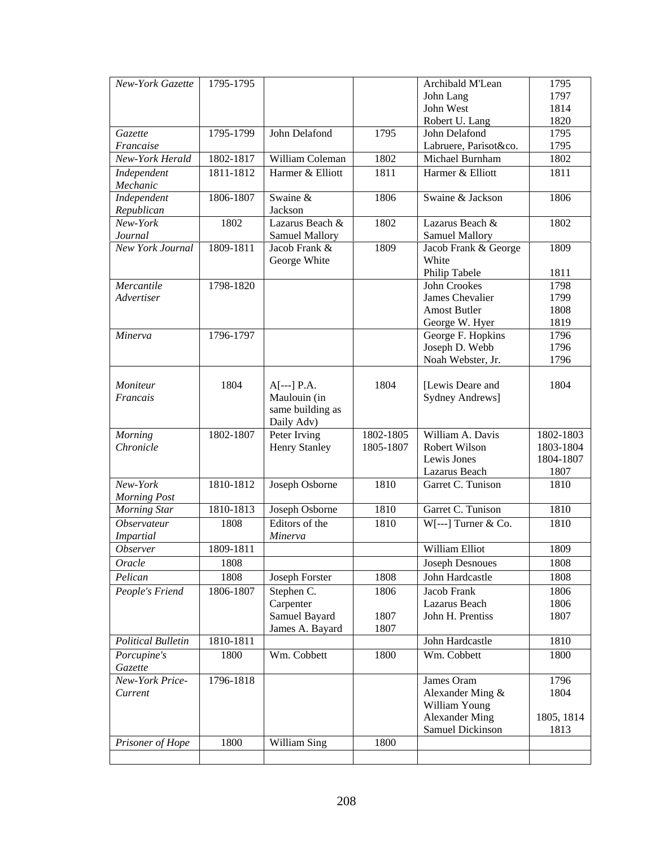| New-York Gazette           | 1795-1795 |                            |           | Archibald M'Lean        | 1795       |
|----------------------------|-----------|----------------------------|-----------|-------------------------|------------|
|                            |           |                            |           | John Lang               | 1797       |
|                            |           |                            |           | John West               | 1814       |
|                            |           |                            |           | Robert U. Lang          | 1820       |
| Gazette                    | 1795-1799 | John Delafond              | 1795      | John Delafond           | 1795       |
| Francaise                  |           |                            |           | Labruere, Parisot&co.   | 1795       |
| New-York Herald            | 1802-1817 | William Coleman            | 1802      | Michael Burnham         | 1802       |
| Independent                | 1811-1812 | Harmer & Elliott           | 1811      | Harmer & Elliott        | 1811       |
| Mechanic                   |           |                            |           |                         |            |
| Independent                | 1806-1807 | Swaine &                   | 1806      | Swaine & Jackson        | 1806       |
| Republican                 |           | Jackson                    |           |                         |            |
| New-York                   | 1802      | Lazarus Beach &            | 1802      | Lazarus Beach &         | 1802       |
| Journal                    |           | <b>Samuel Mallory</b>      |           | <b>Samuel Mallory</b>   |            |
| New York Journal           | 1809-1811 | Jacob Frank &              | 1809      | Jacob Frank & George    | 1809       |
|                            |           | George White               |           | White                   |            |
|                            |           |                            |           | Philip Tabele           | 1811       |
| Mercantile                 | 1798-1820 |                            |           | John Crookes            | 1798       |
| Advertiser                 |           |                            |           | James Chevalier         | 1799       |
|                            |           |                            |           | <b>Amost Butler</b>     | 1808       |
|                            |           |                            |           | George W. Hyer          | 1819       |
| Minerva                    | 1796-1797 |                            |           | George F. Hopkins       | 1796       |
|                            |           |                            |           | Joseph D. Webb          | 1796       |
|                            |           |                            |           | Noah Webster, Jr.       | 1796       |
|                            |           |                            |           |                         |            |
| Moniteur                   | 1804      | $A[-.] P.A.$               | 1804      | [Lewis Deare and        | 1804       |
| Francais                   |           | Maulouin (in               |           | <b>Sydney Andrews</b> ] |            |
|                            |           | same building as           |           |                         |            |
| Morning                    | 1802-1807 | Daily Adv)<br>Peter Irving | 1802-1805 | William A. Davis        | 1802-1803  |
| Chronicle                  |           | <b>Henry Stanley</b>       | 1805-1807 | Robert Wilson           | 1803-1804  |
|                            |           |                            |           | Lewis Jones             | 1804-1807  |
|                            |           |                            |           | Lazarus Beach           | 1807       |
| New-York                   | 1810-1812 | Joseph Osborne             | 1810      | Garret C. Tunison       | 1810       |
| <b>Morning Post</b>        |           |                            |           |                         |            |
| Morning Star               | 1810-1813 | Joseph Osborne             | 1810      | Garret C. Tunison       | 1810       |
| <b>Observateur</b>         | 1808      | Editors of the             | 1810      | $W[-.]$ Turner & Co.    | 1810       |
| <b>Impartial</b>           |           | Minerva                    |           |                         |            |
| <b>Observer</b>            | 1809-1811 |                            |           | William Elliot          | 1809       |
| Oracle                     | 1808      |                            |           | <b>Joseph Desnoues</b>  | 1808       |
| Pelican                    | 1808      | Joseph Forster             | 1808      | John Hardcastle         | 1808       |
|                            | 1806-1807 |                            |           | Jacob Frank             | 1806       |
| People's Friend            |           | Stephen C.                 | 1806      | Lazarus Beach           | 1806       |
|                            |           | Carpenter<br>Samuel Bayard | 1807      | John H. Prentiss        | 1807       |
|                            |           | James A. Bayard            | 1807      |                         |            |
| <b>Political Bulletin</b>  | 1810-1811 |                            |           | John Hardcastle         | 1810       |
|                            |           |                            |           | Wm. Cobbett             |            |
| Porcupine's                | 1800      | Wm. Cobbett                | 1800      |                         | 1800       |
| Gazette<br>New-York Price- | 1796-1818 |                            |           | James Oram              | 1796       |
| Current                    |           |                            |           | Alexander Ming &        | 1804       |
|                            |           |                            |           | William Young           |            |
|                            |           |                            |           | <b>Alexander Ming</b>   | 1805, 1814 |
|                            |           |                            |           | Samuel Dickinson        | 1813       |
| Prisoner of Hope           | 1800      | William Sing               | 1800      |                         |            |
|                            |           |                            |           |                         |            |
|                            |           |                            |           |                         |            |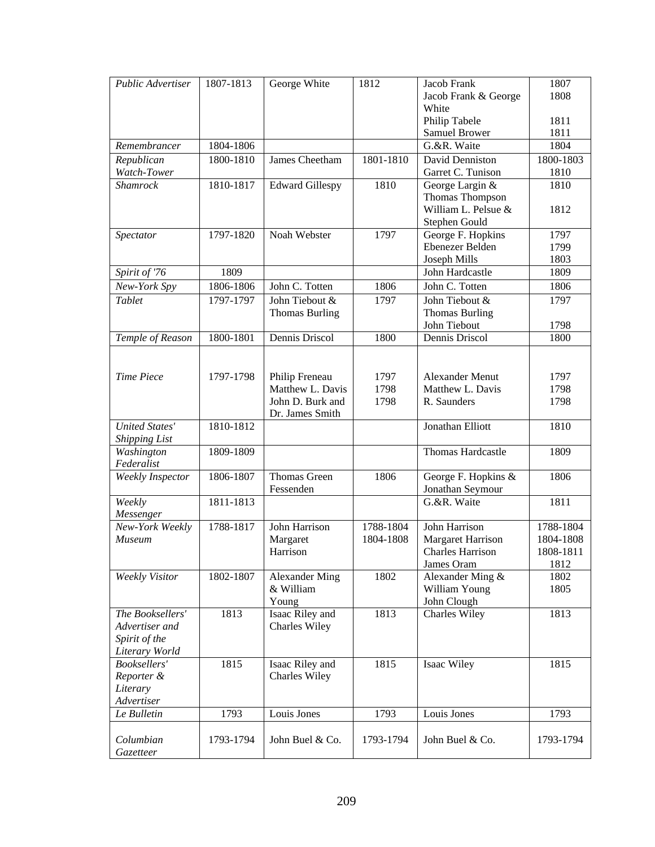| Public Advertiser                             | 1807-1813 | George White           | 1812      | Jacob Frank              | 1807      |
|-----------------------------------------------|-----------|------------------------|-----------|--------------------------|-----------|
|                                               |           |                        |           | Jacob Frank & George     | 1808      |
|                                               |           |                        |           | White                    |           |
|                                               |           |                        |           | Philip Tabele            | 1811      |
|                                               |           |                        |           | <b>Samuel Brower</b>     | 1811      |
| Remembrancer                                  | 1804-1806 |                        |           | G.&R. Waite              | 1804      |
| Republican                                    | 1800-1810 | James Cheetham         | 1801-1810 | David Denniston          | 1800-1803 |
| Watch-Tower                                   |           |                        |           | Garret C. Tunison        | 1810      |
| <b>Shamrock</b>                               | 1810-1817 | <b>Edward Gillespy</b> | 1810      | George Largin &          | 1810      |
|                                               |           |                        |           | Thomas Thompson          |           |
|                                               |           |                        |           | William L. Pelsue &      | 1812      |
|                                               |           |                        |           | Stephen Gould            |           |
| Spectator                                     | 1797-1820 | Noah Webster           | 1797      | George F. Hopkins        | 1797      |
|                                               |           |                        |           | Ebenezer Belden          | 1799      |
|                                               |           |                        |           | Joseph Mills             | 1803      |
| Spirit of '76                                 | 1809      |                        |           | John Hardcastle          | 1809      |
| New-York Spy                                  | 1806-1806 | John C. Totten         | 1806      | John C. Totten           | 1806      |
| Tablet                                        | 1797-1797 | John Tiebout &         | 1797      | John Tiebout &           | 1797      |
|                                               |           | <b>Thomas Burling</b>  |           | <b>Thomas Burling</b>    |           |
|                                               |           |                        |           | John Tiebout             | 1798      |
| Temple of Reason                              | 1800-1801 | Dennis Driscol         | 1800      | Dennis Driscol           | 1800      |
|                                               |           |                        |           |                          |           |
|                                               |           |                        |           |                          |           |
| <b>Time Piece</b>                             | 1797-1798 | Philip Freneau         | 1797      | <b>Alexander Menut</b>   | 1797      |
|                                               |           | Matthew L. Davis       | 1798      | Matthew L. Davis         | 1798      |
|                                               |           | John D. Burk and       | 1798      | R. Saunders              | 1798      |
|                                               |           | Dr. James Smith        |           |                          |           |
| <b>United States'</b><br><b>Shipping List</b> | 1810-1812 |                        |           | Jonathan Elliott         | 1810      |
| Washington<br>Federalist                      | 1809-1809 |                        |           | Thomas Hardcastle        | 1809      |
| Weekly Inspector                              | 1806-1807 | Thomas Green           | 1806      | George F. Hopkins &      | 1806      |
|                                               |           | Fessenden              |           | Jonathan Seymour         |           |
| Weekly                                        | 1811-1813 |                        |           | G.&R. Waite              | 1811      |
| Messenger                                     |           |                        |           |                          |           |
| New-York Weekly                               | 1788-1817 | John Harrison          | 1788-1804 | John Harrison            | 1788-1804 |
| <b>Museum</b>                                 |           | Margaret               | 1804-1808 | <b>Margaret Harrison</b> | 1804-1808 |
|                                               |           | Harrison               |           | <b>Charles Harrison</b>  | 1808-1811 |
|                                               |           |                        |           | James Oram               | 1812      |
| <b>Weekly Visitor</b>                         | 1802-1807 | <b>Alexander Ming</b>  | 1802      | Alexander Ming &         | 1802      |
|                                               |           | & William              |           | William Young            | 1805      |
|                                               |           | Young                  |           | John Clough              |           |
| The Booksellers'                              | 1813      | Isaac Riley and        | 1813      | Charles Wiley            | 1813      |
| Advertiser and                                |           | Charles Wiley          |           |                          |           |
| Spirit of the                                 |           |                        |           |                          |           |
| Literary World                                |           |                        |           |                          |           |
| Booksellers'                                  | 1815      | Isaac Riley and        | 1815      | Isaac Wiley              | 1815      |
| Reporter &                                    |           | Charles Wiley          |           |                          |           |
| Literary                                      |           |                        |           |                          |           |
| Advertiser                                    |           |                        |           |                          |           |
| Le Bulletin                                   | 1793      | Louis Jones            | 1793      | Louis Jones              | 1793      |
|                                               |           |                        |           |                          |           |
| Columbian<br>Gazetteer                        | 1793-1794 | John Buel & Co.        | 1793-1794 | John Buel & Co.          | 1793-1794 |
|                                               |           |                        |           |                          |           |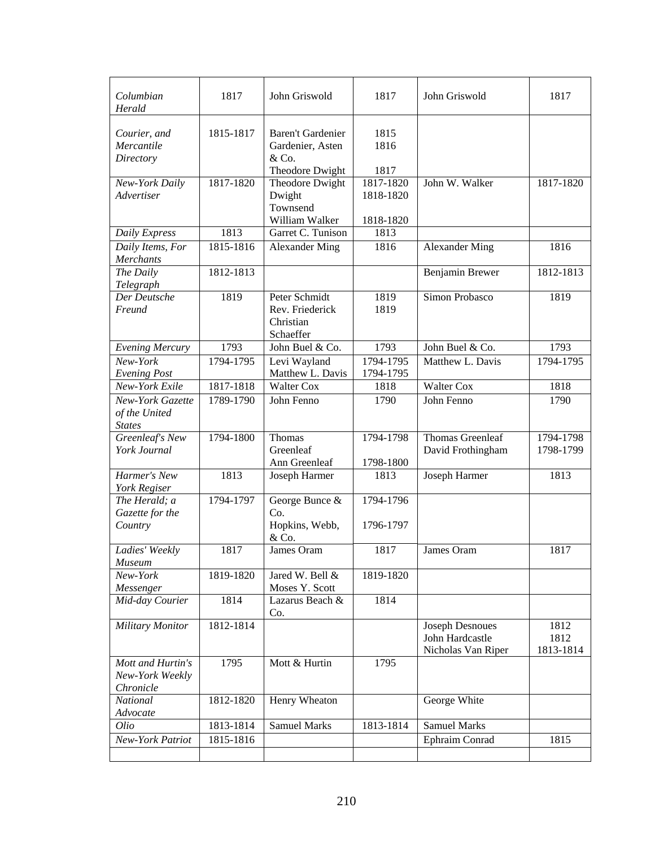| Columbian<br>Herald                                | 1817      | John Griswold                                                     | 1817                                | John Griswold                                            | 1817                      |
|----------------------------------------------------|-----------|-------------------------------------------------------------------|-------------------------------------|----------------------------------------------------------|---------------------------|
| Courier, and<br>Mercantile<br>Directory            | 1815-1817 | Baren't Gardenier<br>Gardenier, Asten<br>& Co.<br>Theodore Dwight | 1815<br>1816<br>1817                |                                                          |                           |
| New-York Daily<br>Advertiser                       | 1817-1820 | Theodore Dwight<br>Dwight<br>Townsend<br>William Walker           | 1817-1820<br>1818-1820<br>1818-1820 | John W. Walker                                           | 1817-1820                 |
| Daily Express                                      | 1813      | Garret C. Tunison                                                 | 1813                                |                                                          |                           |
| Daily Items, For<br>Merchants                      | 1815-1816 | Alexander Ming                                                    | 1816                                | <b>Alexander Ming</b>                                    | 1816                      |
| The Daily<br>Telegraph                             | 1812-1813 |                                                                   |                                     | Benjamin Brewer                                          | 1812-1813                 |
| Der Deutsche<br>Freund                             | 1819      | Peter Schmidt<br>Rev. Friederick<br>Christian<br>Schaeffer        | 1819<br>1819                        | Simon Probasco                                           | 1819                      |
| <b>Evening Mercury</b>                             | 1793      | John Buel & Co.                                                   | 1793                                | John Buel & Co.                                          | 1793                      |
| New-York<br><b>Evening Post</b>                    | 1794-1795 | Levi Wayland<br>Matthew L. Davis                                  | 1794-1795<br>1794-1795              | Matthew L. Davis                                         | 1794-1795                 |
| New-York Exile                                     | 1817-1818 | <b>Walter Cox</b>                                                 | 1818                                | <b>Walter Cox</b>                                        | 1818                      |
| New-York Gazette<br>of the United<br><b>States</b> | 1789-1790 | John Fenno                                                        | 1790                                | John Fenno                                               | 1790                      |
| Greenleaf's New<br>York Journal                    | 1794-1800 | Thomas<br>Greenleaf<br>Ann Greenleaf                              | 1794-1798<br>1798-1800              | Thomas Greenleaf<br>David Frothingham                    | 1794-1798<br>1798-1799    |
| Harmer's New<br>York Regiser                       | 1813      | Joseph Harmer                                                     | 1813                                | Joseph Harmer                                            | 1813                      |
| The Herald; a<br>Gazette for the<br>Country        | 1794-1797 | George Bunce &<br>Co.<br>Hopkins, Webb,<br>& Co.                  | 1794-1796<br>1796-1797              |                                                          |                           |
| Ladies' Weekly<br>Museum                           | 1817      | James Oram                                                        | 1817                                | James Oram                                               | 1817                      |
| New-York<br>Messenger                              | 1819-1820 | Jared W. Bell &<br>Moses Y. Scott                                 | 1819-1820                           |                                                          |                           |
| Mid-day Courier                                    | 1814      | Lazarus Beach &<br>Co.                                            | 1814                                |                                                          |                           |
| <b>Military Monitor</b>                            | 1812-1814 |                                                                   |                                     | Joseph Desnoues<br>John Hardcastle<br>Nicholas Van Riper | 1812<br>1812<br>1813-1814 |
| Mott and Hurtin's<br>New-York Weekly<br>Chronicle  | 1795      | Mott & Hurtin                                                     | 1795                                |                                                          |                           |
| National<br>Advocate                               | 1812-1820 | Henry Wheaton                                                     |                                     | George White                                             |                           |
| Olio                                               | 1813-1814 | <b>Samuel Marks</b>                                               | 1813-1814                           | <b>Samuel Marks</b>                                      |                           |
| New-York Patriot                                   | 1815-1816 |                                                                   |                                     | Ephraim Conrad                                           | 1815                      |
|                                                    |           |                                                                   |                                     |                                                          |                           |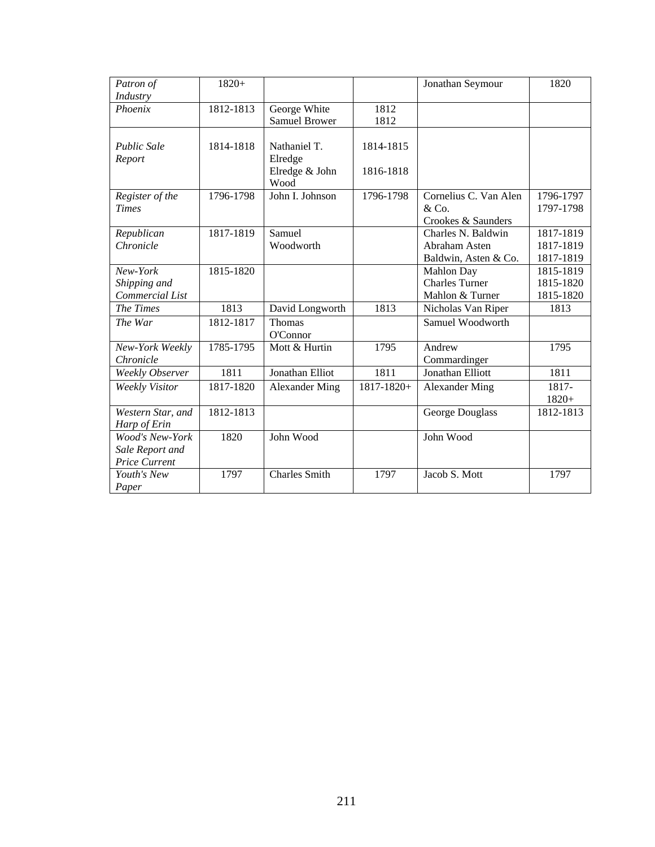| Patron of              | $1820+$   |                       |                 | Jonathan Seymour      | 1820      |
|------------------------|-----------|-----------------------|-----------------|-----------------------|-----------|
| Industry               |           |                       |                 |                       |           |
| Phoenix                | 1812-1813 | George White          | 1812            |                       |           |
|                        |           | Samuel Brower         | 1812            |                       |           |
|                        |           |                       |                 |                       |           |
| <b>Public Sale</b>     | 1814-1818 | Nathaniel T.          | 1814-1815       |                       |           |
| Report                 |           | Elredge               |                 |                       |           |
|                        |           | Elredge & John        | 1816-1818       |                       |           |
|                        |           | Wood                  |                 |                       |           |
| Register of the        | 1796-1798 | John I. Johnson       | 1796-1798       | Cornelius C. Van Alen | 1796-1797 |
| <b>Times</b>           |           |                       |                 | &Co.                  | 1797-1798 |
|                        |           |                       |                 | Crookes & Saunders    |           |
| Republican             | 1817-1819 | Samuel                |                 | Charles N. Baldwin    | 1817-1819 |
| Chronicle              |           | Woodworth             |                 | Abraham Asten         | 1817-1819 |
|                        |           |                       |                 | Baldwin, Asten & Co.  | 1817-1819 |
| New-York               | 1815-1820 |                       |                 | Mahlon Day            | 1815-1819 |
| Shipping and           |           |                       |                 | <b>Charles Turner</b> | 1815-1820 |
| Commercial List        |           |                       |                 | Mahlon & Turner       | 1815-1820 |
| The Times              | 1813      | David Longworth       | 1813            | Nicholas Van Riper    | 1813      |
| The War                | 1812-1817 | Thomas                |                 | Samuel Woodworth      |           |
|                        |           | O'Connor              |                 |                       |           |
| New-York Weekly        | 1785-1795 | Mott & Hurtin         | 1795            | Andrew                | 1795      |
| Chronicle              |           |                       |                 | Commardinger          |           |
| <b>Weekly Observer</b> | 1811      | Jonathan Elliot       | 1811            | Jonathan Elliott      | 1811      |
| <b>Weekly Visitor</b>  | 1817-1820 | <b>Alexander Ming</b> | $1817 - 1820 +$ | <b>Alexander Ming</b> | 1817-     |
|                        |           |                       |                 |                       | $1820+$   |
| Western Star, and      | 1812-1813 |                       |                 | George Douglass       | 1812-1813 |
| Harp of Erin           |           |                       |                 |                       |           |
| <b>Wood's New-York</b> | 1820      | John Wood             |                 | John Wood             |           |
| Sale Report and        |           |                       |                 |                       |           |
| Price Current          |           |                       |                 |                       |           |
| Youth's New            | 1797      | <b>Charles Smith</b>  | 1797            | Jacob S. Mott         | 1797      |
| Paper                  |           |                       |                 |                       |           |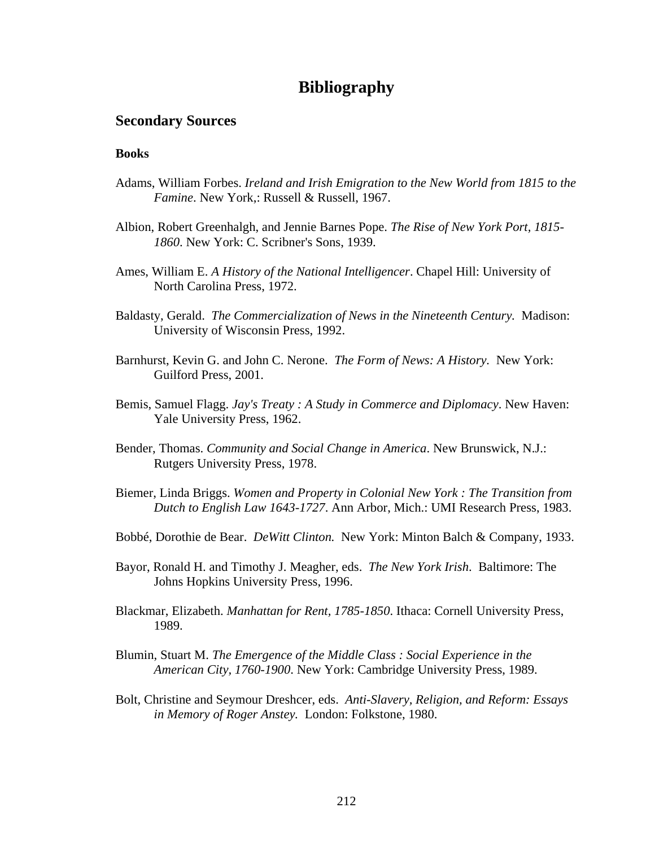# **Bibliography**

## **Secondary Sources**

#### **Books**

- Adams, William Forbes. *Ireland and Irish Emigration to the New World from 1815 to the Famine*. New York,: Russell & Russell, 1967.
- Albion, Robert Greenhalgh, and Jennie Barnes Pope. *The Rise of New York Port, 1815- 1860*. New York: C. Scribner's Sons, 1939.
- Ames, William E. *A History of the National Intelligencer*. Chapel Hill: University of North Carolina Press, 1972.
- Baldasty, Gerald. *The Commercialization of News in the Nineteenth Century.* Madison: University of Wisconsin Press, 1992.
- Barnhurst, Kevin G. and John C. Nerone. *The Form of News: A History.* New York: Guilford Press, 2001.
- Bemis, Samuel Flagg. *Jay's Treaty : A Study in Commerce and Diplomacy*. New Haven: Yale University Press, 1962.
- Bender, Thomas. *Community and Social Change in America*. New Brunswick, N.J.: Rutgers University Press, 1978.
- Biemer, Linda Briggs. *Women and Property in Colonial New York : The Transition from Dutch to English Law 1643-1727*. Ann Arbor, Mich.: UMI Research Press, 1983.
- Bobbé, Dorothie de Bear. *DeWitt Clinton.* New York: Minton Balch & Company, 1933.
- Bayor, Ronald H. and Timothy J. Meagher, eds. *The New York Irish*. Baltimore: The Johns Hopkins University Press, 1996.
- Blackmar, Elizabeth. *Manhattan for Rent, 1785-1850*. Ithaca: Cornell University Press, 1989.
- Blumin, Stuart M. *The Emergence of the Middle Class : Social Experience in the American City, 1760-1900*. New York: Cambridge University Press, 1989.
- Bolt, Christine and Seymour Dreshcer, eds. *Anti-Slavery, Religion, and Reform: Essays in Memory of Roger Anstey.* London: Folkstone, 1980.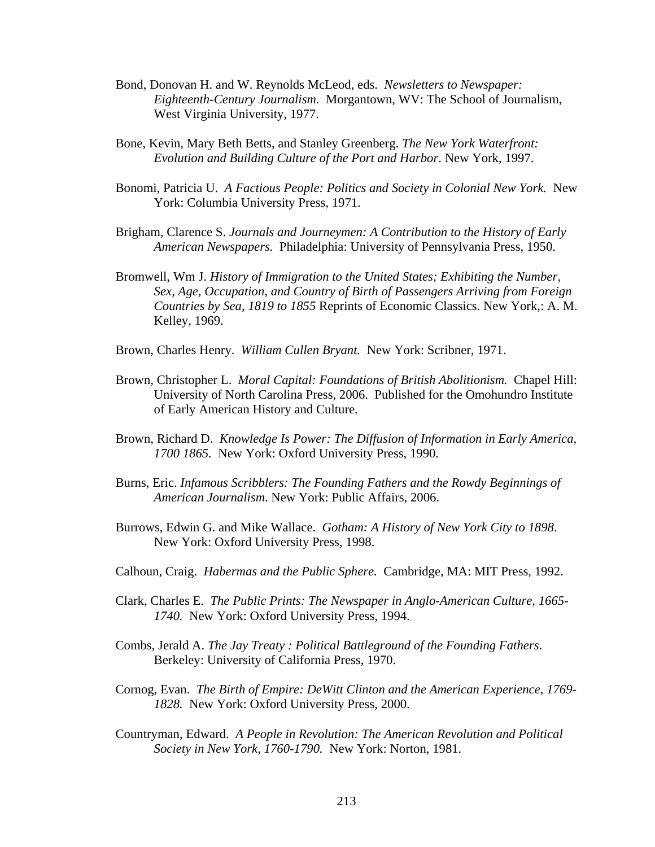- Bond, Donovan H. and W. Reynolds McLeod, eds. *Newsletters to Newspaper: Eighteenth-Century Journalism.* Morgantown, WV: The School of Journalism, West Virginia University, 1977.
- Bone, Kevin, Mary Beth Betts, and Stanley Greenberg. *The New York Waterfront: Evolution and Building Culture of the Port and Harbor*. New York, 1997.
- Bonomi, Patricia U. *A Factious People: Politics and Society in Colonial New York.* New York: Columbia University Press, 1971.
- Brigham, Clarence S. *Journals and Journeymen: A Contribution to the History of Early American Newspapers.* Philadelphia: University of Pennsylvania Press, 1950.
- Bromwell, Wm J. *History of Immigration to the United States; Exhibiting the Number, Sex, Age, Occupation, and Country of Birth of Passengers Arriving from Foreign Countries by Sea, 1819 to 1855* Reprints of Economic Classics. New York,: A. M. Kelley, 1969.
- Brown, Charles Henry. *William Cullen Bryant.* New York: Scribner, 1971.
- Brown, Christopher L. *Moral Capital: Foundations of British Abolitionism.* Chapel Hill: University of North Carolina Press, 2006. Published for the Omohundro Institute of Early American History and Culture.
- Brown, Richard D. *Knowledge Is Power: The Diffusion of Information in Early America, 1700 1865.* New York: Oxford University Press, 1990.
- Burns, Eric. *Infamous Scribblers: The Founding Fathers and the Rowdy Beginnings of American Journalism*. New York: Public Affairs, 2006.
- Burrows, Edwin G. and Mike Wallace. *Gotham: A History of New York City to 1898*. New York: Oxford University Press, 1998.
- Calhoun, Craig. *Habermas and the Public Sphere.* Cambridge, MA: MIT Press, 1992.
- Clark, Charles E. *The Public Prints: The Newspaper in Anglo-American Culture, 1665- 1740.* New York: Oxford University Press, 1994.
- Combs, Jerald A. *The Jay Treaty : Political Battleground of the Founding Fathers*. Berkeley: University of California Press, 1970.
- Cornog, Evan. *The Birth of Empire: DeWitt Clinton and the American Experience, 1769- 1828.* New York: Oxford University Press, 2000.
- Countryman, Edward. *A People in Revolution: The American Revolution and Political Society in New York, 1760-1790.* New York: Norton, 1981.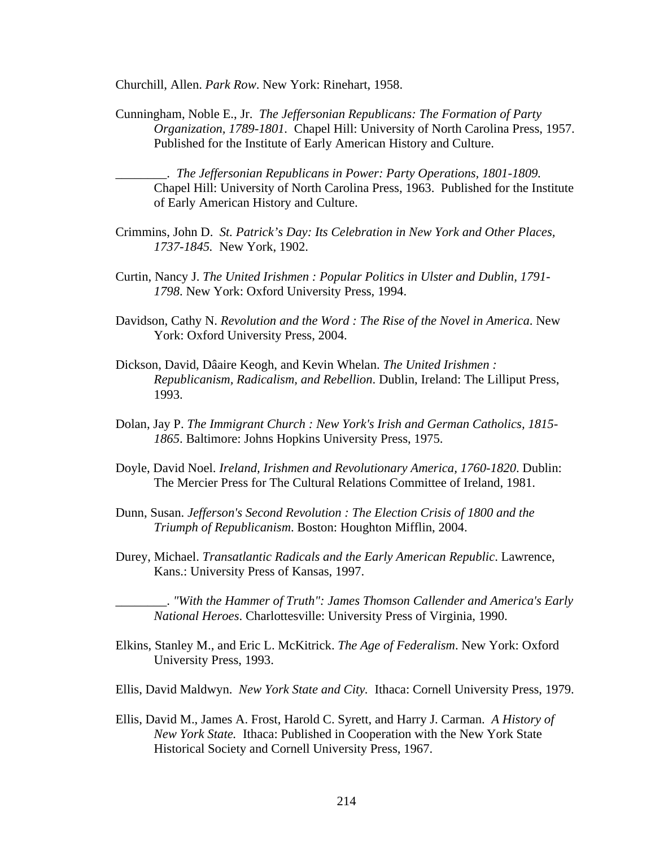Churchill, Allen. *Park Row*. New York: Rinehart, 1958.

Cunningham, Noble E., Jr. *The Jeffersonian Republicans: The Formation of Party Organization, 1789-1801.* Chapel Hill: University of North Carolina Press, 1957. Published for the Institute of Early American History and Culture.

\_\_\_\_\_\_\_\_. *The Jeffersonian Republicans in Power: Party Operations, 1801-1809.*  Chapel Hill: University of North Carolina Press, 1963. Published for the Institute of Early American History and Culture.

- Crimmins, John D. *St. Patrick's Day: Its Celebration in New York and Other Places, 1737-1845.* New York, 1902.
- Curtin, Nancy J. *The United Irishmen : Popular Politics in Ulster and Dublin, 1791- 1798*. New York: Oxford University Press, 1994.
- Davidson, Cathy N. *Revolution and the Word : The Rise of the Novel in America*. New York: Oxford University Press, 2004.
- Dickson, David, Dâaire Keogh, and Kevin Whelan. *The United Irishmen : Republicanism, Radicalism, and Rebellion*. Dublin, Ireland: The Lilliput Press, 1993.
- Dolan, Jay P. *The Immigrant Church : New York's Irish and German Catholics, 1815- 1865*. Baltimore: Johns Hopkins University Press, 1975.
- Doyle, David Noel. *Ireland, Irishmen and Revolutionary America, 1760-1820*. Dublin: The Mercier Press for The Cultural Relations Committee of Ireland, 1981.
- Dunn, Susan. *Jefferson's Second Revolution : The Election Crisis of 1800 and the Triumph of Republicanism*. Boston: Houghton Mifflin, 2004.
- Durey, Michael. *Transatlantic Radicals and the Early American Republic*. Lawrence, Kans.: University Press of Kansas, 1997.

\_\_\_\_\_\_\_\_. *"With the Hammer of Truth": James Thomson Callender and America's Early National Heroes*. Charlottesville: University Press of Virginia, 1990.

- Elkins, Stanley M., and Eric L. McKitrick. *The Age of Federalism*. New York: Oxford University Press, 1993.
- Ellis, David Maldwyn. *New York State and City.* Ithaca: Cornell University Press, 1979.
- Ellis, David M., James A. Frost, Harold C. Syrett, and Harry J. Carman. *A History of New York State.* Ithaca: Published in Cooperation with the New York State Historical Society and Cornell University Press, 1967.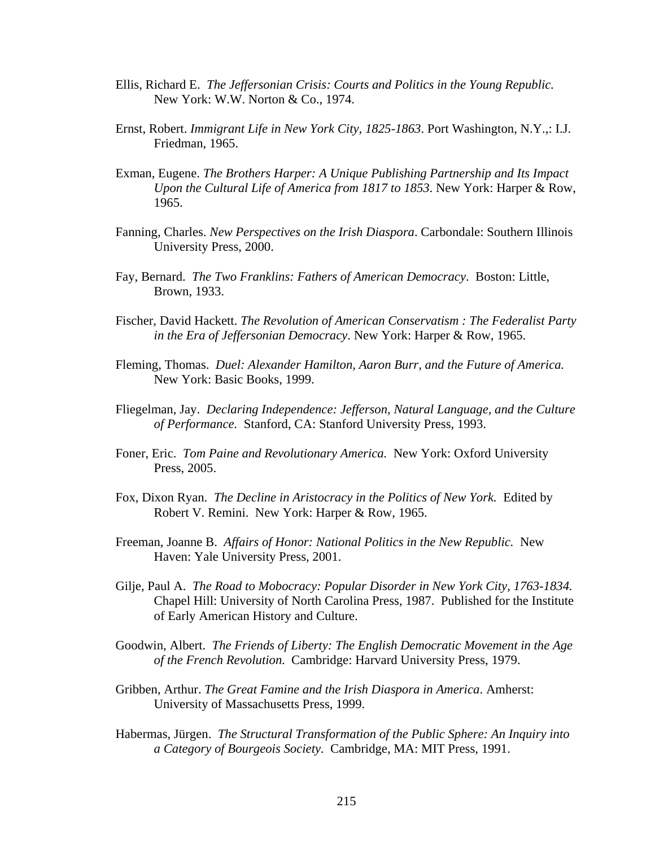- Ellis, Richard E. *The Jeffersonian Crisis: Courts and Politics in the Young Republic.*  New York: W.W. Norton & Co., 1974.
- Ernst, Robert. *Immigrant Life in New York City, 1825-1863*. Port Washington, N.Y.,: I.J. Friedman, 1965.
- Exman, Eugene. *The Brothers Harper: A Unique Publishing Partnership and Its Impact Upon the Cultural Life of America from 1817 to 1853*. New York: Harper & Row, 1965.
- Fanning, Charles. *New Perspectives on the Irish Diaspora*. Carbondale: Southern Illinois University Press, 2000.
- Fay, Bernard. *The Two Franklins: Fathers of American Democracy*. Boston: Little, Brown, 1933.
- Fischer, David Hackett. *The Revolution of American Conservatism : The Federalist Party in the Era of Jeffersonian Democracy*. New York: Harper & Row, 1965.
- Fleming, Thomas. *Duel: Alexander Hamilton, Aaron Burr, and the Future of America.*  New York: Basic Books, 1999.
- Fliegelman, Jay. *Declaring Independence: Jefferson, Natural Language, and the Culture of Performance.* Stanford, CA: Stanford University Press, 1993.
- Foner, Eric. *Tom Paine and Revolutionary America.* New York: Oxford University Press, 2005.
- Fox, Dixon Ryan. *The Decline in Aristocracy in the Politics of New York.* Edited by Robert V. Remini. New York: Harper & Row, 1965.
- Freeman, Joanne B. *Affairs of Honor: National Politics in the New Republic.* New Haven: Yale University Press, 2001.
- Gilje, Paul A. *The Road to Mobocracy: Popular Disorder in New York City, 1763-1834.*  Chapel Hill: University of North Carolina Press, 1987. Published for the Institute of Early American History and Culture.
- Goodwin, Albert. *The Friends of Liberty: The English Democratic Movement in the Age of the French Revolution*. Cambridge: Harvard University Press, 1979.
- Gribben, Arthur. *The Great Famine and the Irish Diaspora in America*. Amherst: University of Massachusetts Press, 1999.
- Habermas, Jürgen. *The Structural Transformation of the Public Sphere: An Inquiry into a Category of Bourgeois Society.* Cambridge, MA: MIT Press, 1991.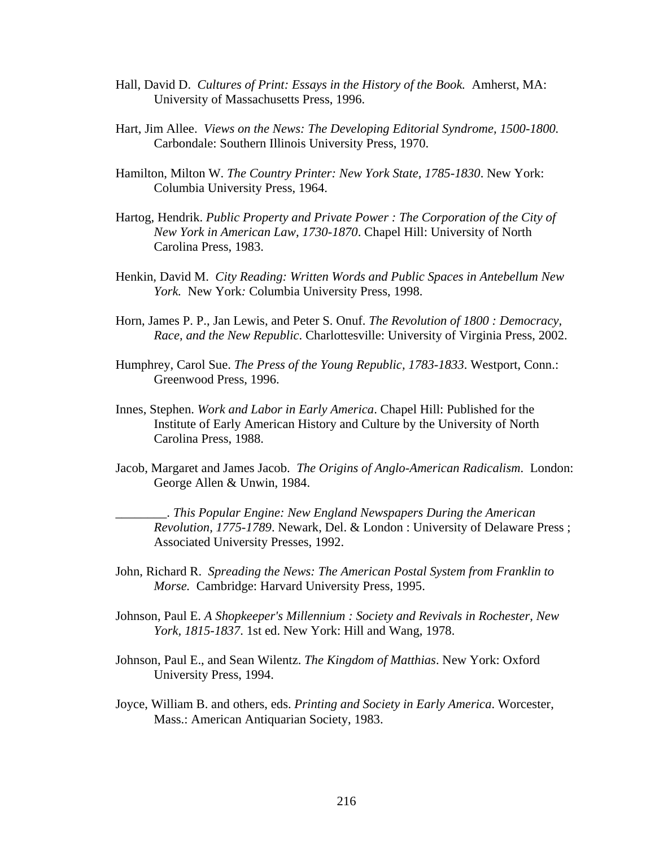- Hall, David D. *Cultures of Print: Essays in the History of the Book.* Amherst, MA: University of Massachusetts Press, 1996.
- Hart, Jim Allee. *Views on the News: The Developing Editorial Syndrome, 1500-1800.*  Carbondale: Southern Illinois University Press, 1970.
- Hamilton, Milton W. *The Country Printer: New York State, 1785-1830*. New York: Columbia University Press, 1964.
- Hartog, Hendrik. *Public Property and Private Power : The Corporation of the City of New York in American Law, 1730-1870*. Chapel Hill: University of North Carolina Press, 1983.
- Henkin, David M. *City Reading: Written Words and Public Spaces in Antebellum New York.* New York*:* Columbia University Press, 1998.
- Horn, James P. P., Jan Lewis, and Peter S. Onuf. *The Revolution of 1800 : Democracy, Race, and the New Republic*. Charlottesville: University of Virginia Press, 2002.
- Humphrey, Carol Sue. *The Press of the Young Republic, 1783-1833*. Westport, Conn.: Greenwood Press, 1996.
- Innes, Stephen. *Work and Labor in Early America*. Chapel Hill: Published for the Institute of Early American History and Culture by the University of North Carolina Press, 1988.
- Jacob, Margaret and James Jacob. *The Origins of Anglo-American Radicalism*. London: George Allen & Unwin, 1984.

\_\_\_\_\_\_\_\_. *This Popular Engine: New England Newspapers During the American Revolution, 1775-1789*. Newark, Del. & London : University of Delaware Press ; Associated University Presses, 1992.

- John, Richard R. *Spreading the News: The American Postal System from Franklin to Morse.* Cambridge: Harvard University Press, 1995.
- Johnson, Paul E. *A Shopkeeper's Millennium : Society and Revivals in Rochester, New York, 1815-1837*. 1st ed. New York: Hill and Wang, 1978.
- Johnson, Paul E., and Sean Wilentz. *The Kingdom of Matthias*. New York: Oxford University Press, 1994.
- Joyce, William B. and others, eds. *Printing and Society in Early America*. Worcester, Mass.: American Antiquarian Society, 1983.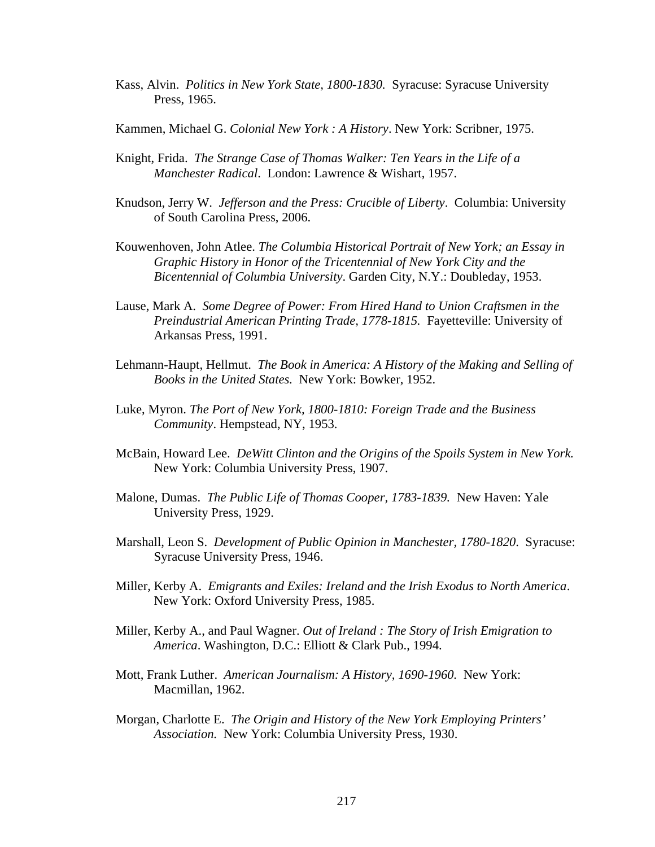- Kass, Alvin. *Politics in New York State, 1800-1830.* Syracuse: Syracuse University Press, 1965.
- Kammen, Michael G. *Colonial New York : A History*. New York: Scribner, 1975.
- Knight, Frida. *The Strange Case of Thomas Walker: Ten Years in the Life of a Manchester Radical*. London: Lawrence & Wishart, 1957.
- Knudson, Jerry W. *Jefferson and the Press: Crucible of Liberty*. Columbia: University of South Carolina Press, 2006.
- Kouwenhoven, John Atlee. *The Columbia Historical Portrait of New York; an Essay in Graphic History in Honor of the Tricentennial of New York City and the Bicentennial of Columbia University*. Garden City, N.Y.: Doubleday, 1953.
- Lause, Mark A. *Some Degree of Power: From Hired Hand to Union Craftsmen in the Preindustrial American Printing Trade, 1778-1815.* Fayetteville: University of Arkansas Press, 1991.
- Lehmann-Haupt, Hellmut. *The Book in America: A History of the Making and Selling of Books in the United States.* New York: Bowker, 1952.
- Luke, Myron. *The Port of New York, 1800-1810: Foreign Trade and the Business Community*. Hempstead, NY, 1953.
- McBain, Howard Lee. *DeWitt Clinton and the Origins of the Spoils System in New York.*  New York: Columbia University Press, 1907.
- Malone, Dumas. *The Public Life of Thomas Cooper, 1783-1839.* New Haven: Yale University Press, 1929.
- Marshall, Leon S. *Development of Public Opinion in Manchester, 1780-1820*. Syracuse: Syracuse University Press, 1946.
- Miller, Kerby A. *Emigrants and Exiles: Ireland and the Irish Exodus to North America*. New York: Oxford University Press, 1985.
- Miller, Kerby A., and Paul Wagner. *Out of Ireland : The Story of Irish Emigration to America*. Washington, D.C.: Elliott & Clark Pub., 1994.
- Mott, Frank Luther. *American Journalism: A History, 1690-1960.* New York: Macmillan, 1962.
- Morgan, Charlotte E. *The Origin and History of the New York Employing Printers' Association.* New York: Columbia University Press, 1930.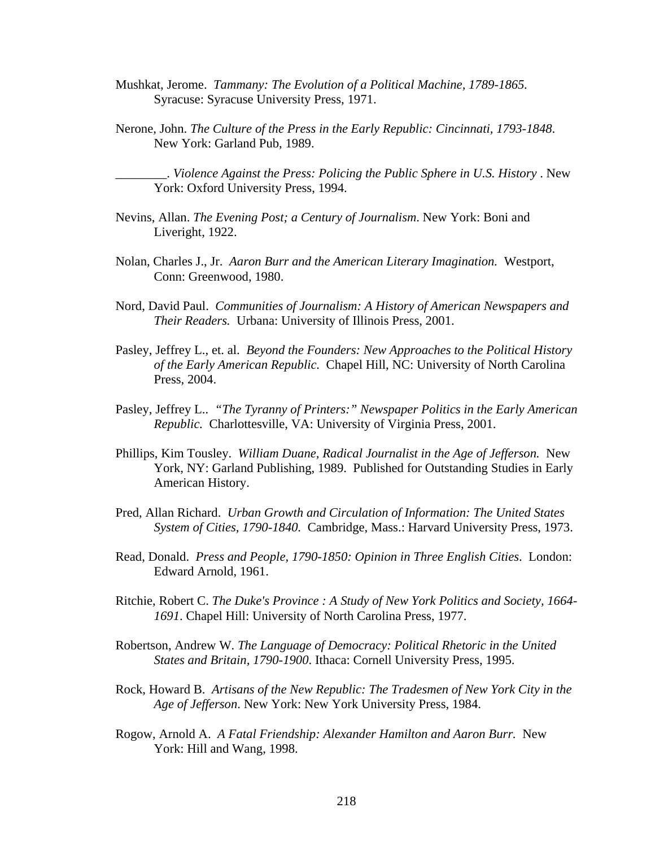- Mushkat, Jerome. *Tammany: The Evolution of a Political Machine, 1789-1865.*  Syracuse: Syracuse University Press, 1971.
- Nerone, John. *The Culture of the Press in the Early Republic: Cincinnati, 1793-1848*. New York: Garland Pub, 1989.

\_\_\_\_\_\_\_\_. *Violence Against the Press: Policing the Public Sphere in U.S. History* . New York: Oxford University Press, 1994.

- Nevins, Allan. *The Evening Post; a Century of Journalism*. New York: Boni and Liveright, 1922.
- Nolan, Charles J., Jr. *Aaron Burr and the American Literary Imagination.* Westport, Conn: Greenwood, 1980.
- Nord, David Paul. *Communities of Journalism: A History of American Newspapers and Their Readers.* Urbana: University of Illinois Press, 2001.
- Pasley, Jeffrey L., et. al. *Beyond the Founders: New Approaches to the Political History of the Early American Republic.* Chapel Hill, NC: University of North Carolina Press, 2004.
- Pasley, Jeffrey L.. *"The Tyranny of Printers:" Newspaper Politics in the Early American Republic.* Charlottesville, VA: University of Virginia Press, 2001.
- Phillips, Kim Tousley. *William Duane, Radical Journalist in the Age of Jefferson.* New York, NY: Garland Publishing, 1989. Published for Outstanding Studies in Early American History.
- Pred, Allan Richard. *Urban Growth and Circulation of Information: The United States System of Cities, 1790-1840.* Cambridge, Mass.: Harvard University Press, 1973.
- Read, Donald. *Press and People, 1790-1850: Opinion in Three English Cities*. London: Edward Arnold, 1961.
- Ritchie, Robert C. *The Duke's Province : A Study of New York Politics and Society, 1664- 1691*. Chapel Hill: University of North Carolina Press, 1977.
- Robertson, Andrew W. *The Language of Democracy: Political Rhetoric in the United States and Britain, 1790-1900*. Ithaca: Cornell University Press, 1995.
- Rock, Howard B. *Artisans of the New Republic: The Tradesmen of New York City in the Age of Jefferson*. New York: New York University Press, 1984.
- Rogow, Arnold A. *A Fatal Friendship: Alexander Hamilton and Aaron Burr.* New York: Hill and Wang, 1998.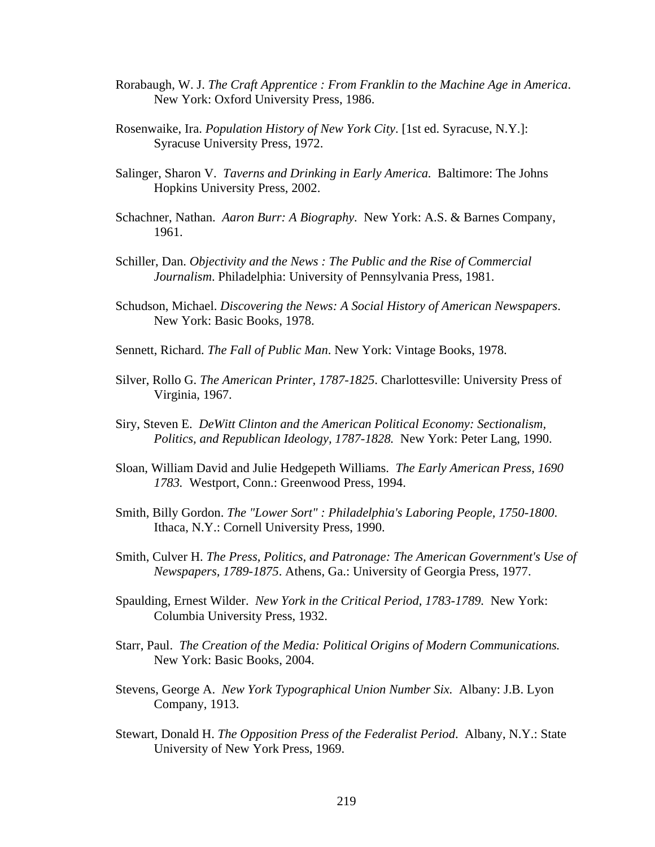- Rorabaugh, W. J. *The Craft Apprentice : From Franklin to the Machine Age in America*. New York: Oxford University Press, 1986.
- Rosenwaike, Ira. *Population History of New York City*. [1st ed. Syracuse, N.Y.]: Syracuse University Press, 1972.
- Salinger, Sharon V. *Taverns and Drinking in Early America.* Baltimore: The Johns Hopkins University Press, 2002.
- Schachner, Nathan. *Aaron Burr: A Biography.* New York: A.S. & Barnes Company, 1961.
- Schiller, Dan. *Objectivity and the News : The Public and the Rise of Commercial Journalism*. Philadelphia: University of Pennsylvania Press, 1981.
- Schudson, Michael. *Discovering the News: A Social History of American Newspapers*. New York: Basic Books, 1978.
- Sennett, Richard. *The Fall of Public Man*. New York: Vintage Books, 1978.
- Silver, Rollo G. *The American Printer, 1787-1825*. Charlottesville: University Press of Virginia, 1967.
- Siry, Steven E. *DeWitt Clinton and the American Political Economy: Sectionalism, Politics, and Republican Ideology, 1787-1828.* New York: Peter Lang, 1990.
- Sloan, William David and Julie Hedgepeth Williams. *The Early American Press, 1690 1783.* Westport, Conn.: Greenwood Press, 1994.
- Smith, Billy Gordon. *The "Lower Sort" : Philadelphia's Laboring People, 1750-1800*. Ithaca, N.Y.: Cornell University Press, 1990.
- Smith, Culver H. *The Press, Politics, and Patronage: The American Government's Use of Newspapers, 1789-1875*. Athens, Ga.: University of Georgia Press, 1977.
- Spaulding, Ernest Wilder. *New York in the Critical Period, 1783-1789.* New York: Columbia University Press, 1932.
- Starr, Paul. *The Creation of the Media: Political Origins of Modern Communications.*  New York: Basic Books, 2004.
- Stevens, George A. *New York Typographical Union Number Six.* Albany: J.B. Lyon Company, 1913.
- Stewart, Donald H. *The Opposition Press of the Federalist Period*. Albany, N.Y.: State University of New York Press, 1969.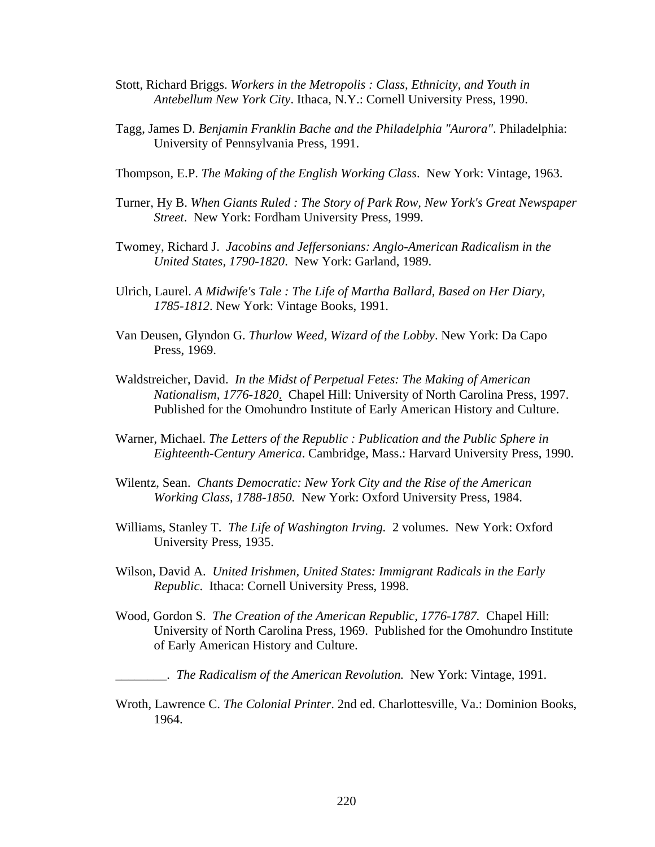- Stott, Richard Briggs. *Workers in the Metropolis : Class, Ethnicity, and Youth in Antebellum New York City*. Ithaca, N.Y.: Cornell University Press, 1990.
- Tagg, James D. *Benjamin Franklin Bache and the Philadelphia "Aurora"*. Philadelphia: University of Pennsylvania Press, 1991.
- Thompson, E.P. *The Making of the English Working Class*. New York: Vintage, 1963.
- Turner, Hy B. *When Giants Ruled : The Story of Park Row, New York's Great Newspaper Street*. New York: Fordham University Press, 1999.
- Twomey, Richard J. *Jacobins and Jeffersonians: Anglo-American Radicalism in the United States, 1790-1820*. New York: Garland, 1989.
- Ulrich, Laurel. *A Midwife's Tale : The Life of Martha Ballard, Based on Her Diary, 1785-1812*. New York: Vintage Books, 1991.
- Van Deusen, Glyndon G. *Thurlow Weed, Wizard of the Lobby*. New York: Da Capo Press, 1969.
- Waldstreicher, David. *In the Midst of Perpetual Fetes: The Making of American Nationalism, 1776-1820*.Chapel Hill: University of North Carolina Press, 1997. Published for the Omohundro Institute of Early American History and Culture.
- Warner, Michael. *The Letters of the Republic : Publication and the Public Sphere in Eighteenth-Century America*. Cambridge, Mass.: Harvard University Press, 1990.
- Wilentz, Sean. *Chants Democratic: New York City and the Rise of the American Working Class, 1788-1850.* New York: Oxford University Press, 1984.
- Williams, Stanley T. *The Life of Washington Irving.* 2 volumes. New York: Oxford University Press, 1935.
- Wilson, David A. *United Irishmen, United States: Immigrant Radicals in the Early Republic*. Ithaca: Cornell University Press, 1998.
- Wood, Gordon S. *The Creation of the American Republic, 1776-1787.* Chapel Hill: University of North Carolina Press, 1969. Published for the Omohundro Institute of Early American History and Culture.

\_\_\_\_\_\_\_\_. *The Radicalism of the American Revolution.* New York: Vintage, 1991.

Wroth, Lawrence C. *The Colonial Printer*. 2nd ed. Charlottesville, Va.: Dominion Books, 1964.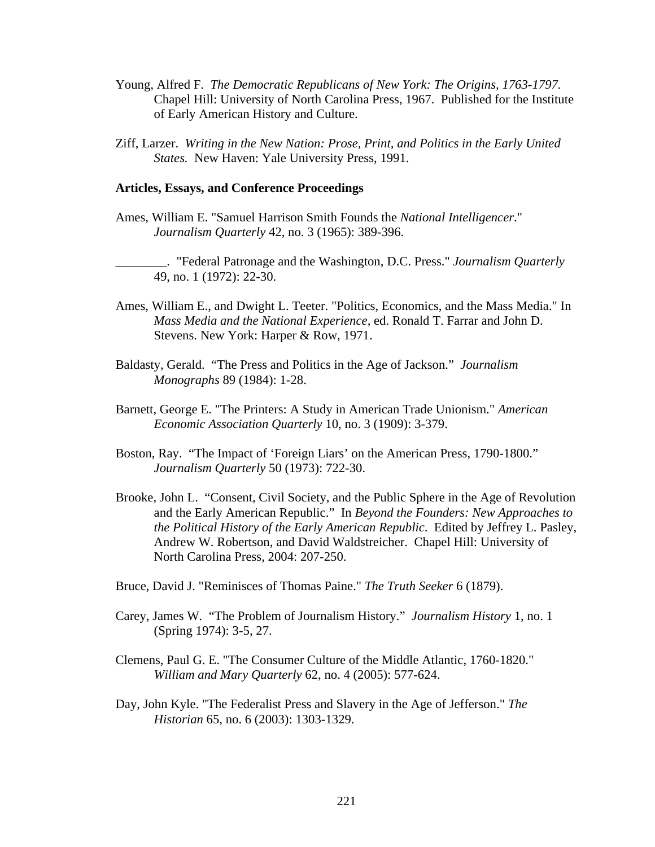- Young, Alfred F. *The Democratic Republicans of New York: The Origins, 1763-1797.*  Chapel Hill: University of North Carolina Press, 1967. Published for the Institute of Early American History and Culture.
- Ziff, Larzer. *Writing in the New Nation: Prose, Print, and Politics in the Early United States.* New Haven: Yale University Press, 1991.

#### **Articles, Essays, and Conference Proceedings**

Ames, William E. "Samuel Harrison Smith Founds the *National Intelligencer*." *Journalism Quarterly* 42, no. 3 (1965): 389-396.

\_\_\_\_\_\_\_\_. "Federal Patronage and the Washington, D.C. Press." *Journalism Quarterly* 49, no. 1 (1972): 22-30.

- Ames, William E., and Dwight L. Teeter. "Politics, Economics, and the Mass Media." In *Mass Media and the National Experience*, ed. Ronald T. Farrar and John D. Stevens. New York: Harper & Row, 1971.
- Baldasty, Gerald. "The Press and Politics in the Age of Jackson." *Journalism Monographs* 89 (1984): 1-28.
- Barnett, George E. "The Printers: A Study in American Trade Unionism." *American Economic Association Quarterly* 10, no. 3 (1909): 3-379.
- Boston, Ray. "The Impact of 'Foreign Liars' on the American Press, 1790-1800." *Journalism Quarterly* 50 (1973): 722-30.
- Brooke, John L. "Consent, Civil Society, and the Public Sphere in the Age of Revolution and the Early American Republic." In *Beyond the Founders: New Approaches to the Political History of the Early American Republic*. Edited by Jeffrey L. Pasley, Andrew W. Robertson, and David Waldstreicher. Chapel Hill: University of North Carolina Press, 2004: 207-250.
- Bruce, David J. "Reminisces of Thomas Paine." *The Truth Seeker* 6 (1879).
- Carey, James W. "The Problem of Journalism History." *Journalism History* 1, no. 1 (Spring 1974): 3-5, 27.
- Clemens, Paul G. E. "The Consumer Culture of the Middle Atlantic, 1760-1820." *William and Mary Quarterly* 62, no. 4 (2005): 577-624.
- Day, John Kyle. "The Federalist Press and Slavery in the Age of Jefferson." *The Historian* 65, no. 6 (2003): 1303-1329.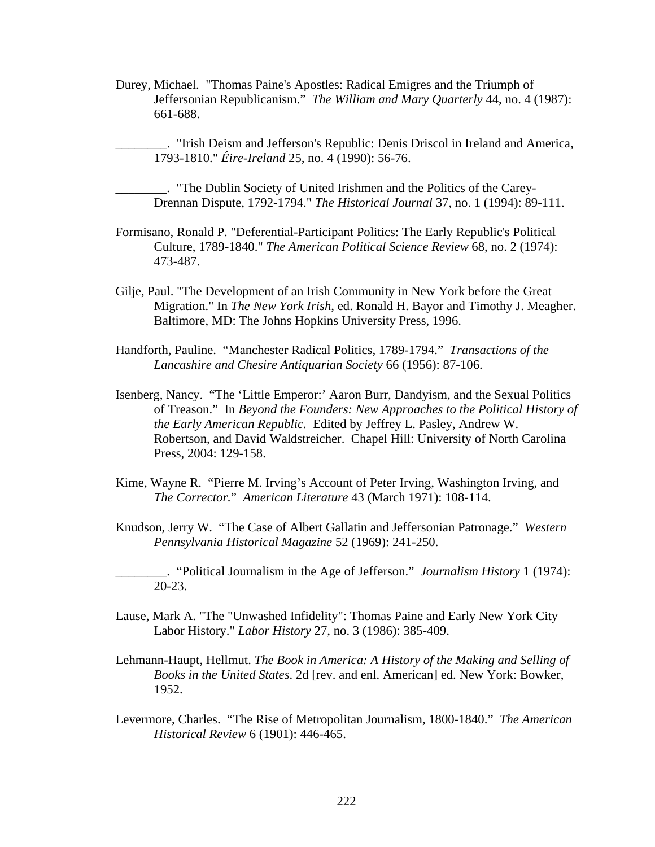Durey, Michael. "Thomas Paine's Apostles: Radical Emigres and the Triumph of Jeffersonian Republicanism." *The William and Mary Quarterly* 44, no. 4 (1987): 661-688.

\_\_\_\_\_\_\_\_. "Irish Deism and Jefferson's Republic: Denis Driscol in Ireland and America, 1793-1810." *Éire-Ireland* 25, no. 4 (1990): 56-76.

\_\_\_\_\_\_\_\_. "The Dublin Society of United Irishmen and the Politics of the Carey-Drennan Dispute, 1792-1794." *The Historical Journal* 37, no. 1 (1994): 89-111.

- Formisano, Ronald P. "Deferential-Participant Politics: The Early Republic's Political Culture, 1789-1840." *The American Political Science Review* 68, no. 2 (1974): 473-487.
- Gilje, Paul. "The Development of an Irish Community in New York before the Great Migration." In *The New York Irish*, ed. Ronald H. Bayor and Timothy J. Meagher. Baltimore, MD: The Johns Hopkins University Press, 1996.
- Handforth, Pauline. "Manchester Radical Politics, 1789-1794." *Transactions of the Lancashire and Chesire Antiquarian Society* 66 (1956): 87-106.
- Isenberg, Nancy. "The 'Little Emperor:' Aaron Burr, Dandyism, and the Sexual Politics of Treason." In *Beyond the Founders: New Approaches to the Political History of the Early American Republic.* Edited by Jeffrey L. Pasley, Andrew W. Robertson, and David Waldstreicher. Chapel Hill: University of North Carolina Press, 2004: 129-158.
- Kime, Wayne R. "Pierre M. Irving's Account of Peter Irving, Washington Irving, and *The Corrector.*" *American Literature* 43 (March 1971): 108-114.
- Knudson, Jerry W. "The Case of Albert Gallatin and Jeffersonian Patronage." *Western Pennsylvania Historical Magazine* 52 (1969): 241-250.

\_\_\_\_\_\_\_\_. "Political Journalism in the Age of Jefferson." *Journalism History* 1 (1974): 20-23.

- Lause, Mark A. "The "Unwashed Infidelity": Thomas Paine and Early New York City Labor History." *Labor History* 27, no. 3 (1986): 385-409.
- Lehmann-Haupt, Hellmut. *The Book in America: A History of the Making and Selling of Books in the United States*. 2d [rev. and enl. American] ed. New York: Bowker, 1952.
- Levermore, Charles. "The Rise of Metropolitan Journalism, 1800-1840." *The American Historical Review* 6 (1901): 446-465.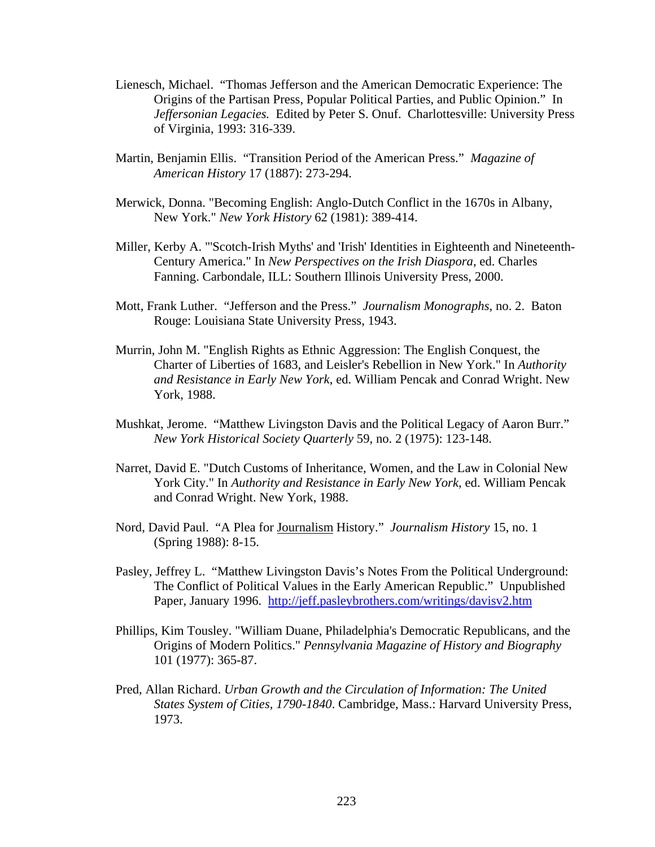- Lienesch, Michael. "Thomas Jefferson and the American Democratic Experience: The Origins of the Partisan Press, Popular Political Parties, and Public Opinion." In *Jeffersonian Legacies.* Edited by Peter S. Onuf. Charlottesville: University Press of Virginia, 1993: 316-339.
- Martin, Benjamin Ellis. "Transition Period of the American Press." *Magazine of American History* 17 (1887): 273-294.
- Merwick, Donna. "Becoming English: Anglo-Dutch Conflict in the 1670s in Albany, New York." *New York History* 62 (1981): 389-414.
- Miller, Kerby A. "'Scotch-Irish Myths' and 'Irish' Identities in Eighteenth and Nineteenth-Century America." In *New Perspectives on the Irish Diaspora*, ed. Charles Fanning. Carbondale, ILL: Southern Illinois University Press, 2000.
- Mott, Frank Luther. "Jefferson and the Press." *Journalism Monographs,* no. 2. Baton Rouge: Louisiana State University Press, 1943.
- Murrin, John M. "English Rights as Ethnic Aggression: The English Conquest, the Charter of Liberties of 1683, and Leisler's Rebellion in New York." In *Authority and Resistance in Early New York*, ed. William Pencak and Conrad Wright. New York, 1988.
- Mushkat, Jerome. "Matthew Livingston Davis and the Political Legacy of Aaron Burr." *New York Historical Society Quarterly* 59, no. 2 (1975): 123-148.
- Narret, David E. "Dutch Customs of Inheritance, Women, and the Law in Colonial New York City." In *Authority and Resistance in Early New York*, ed. William Pencak and Conrad Wright. New York, 1988.
- Nord, David Paul. "A Plea for Journalism History." *Journalism History* 15, no. 1 (Spring 1988): 8-15.
- Pasley, Jeffrey L. "Matthew Livingston Davis's Notes From the Political Underground: The Conflict of Political Values in the Early American Republic." Unpublished Paper, January 1996. http://jeff.pasleybrothers.com/writings/davisv2.htm
- Phillips, Kim Tousley. "William Duane, Philadelphia's Democratic Republicans, and the Origins of Modern Politics." *Pennsylvania Magazine of History and Biography* 101 (1977): 365-87.
- Pred, Allan Richard. *Urban Growth and the Circulation of Information: The United States System of Cities, 1790-1840*. Cambridge, Mass.: Harvard University Press, 1973.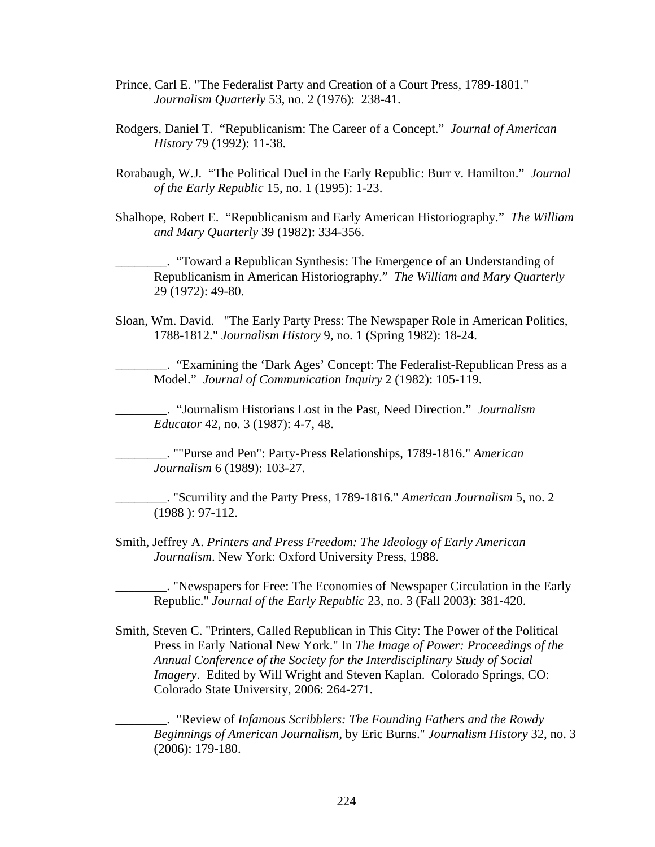- Prince, Carl E. "The Federalist Party and Creation of a Court Press, 1789-1801." *Journalism Quarterly* 53, no. 2 (1976): 238-41.
- Rodgers, Daniel T. "Republicanism: The Career of a Concept." *Journal of American History* 79 (1992): 11-38.
- Rorabaugh, W.J. "The Political Duel in the Early Republic: Burr v. Hamilton." *Journal of the Early Republic* 15, no. 1 (1995): 1-23.
- Shalhope, Robert E. "Republicanism and Early American Historiography." *The William and Mary Quarterly* 39 (1982): 334-356.

\_\_\_\_\_\_\_\_. "Toward a Republican Synthesis: The Emergence of an Understanding of Republicanism in American Historiography." *The William and Mary Quarterly*  29 (1972): 49-80.

Sloan, Wm. David. "The Early Party Press: The Newspaper Role in American Politics, 1788-1812." *Journalism History* 9, no. 1 (Spring 1982): 18-24.

\_\_\_\_\_\_\_\_. "Examining the 'Dark Ages' Concept: The Federalist-Republican Press as a Model." *Journal of Communication Inquiry* 2 (1982): 105-119.

\_\_\_\_\_\_\_\_. "Journalism Historians Lost in the Past, Need Direction." *Journalism Educator* 42, no. 3 (1987): 4-7, 48.

\_\_\_\_\_\_\_\_. ""Purse and Pen": Party-Press Relationships, 1789-1816." *American Journalism* 6 (1989): 103-27.

\_\_\_\_\_\_\_\_. "Scurrility and the Party Press, 1789-1816." *American Journalism* 5, no. 2 (1988 ): 97-112.

Smith, Jeffrey A. *Printers and Press Freedom: The Ideology of Early American Journalism*. New York: Oxford University Press, 1988.

\_\_\_\_\_\_\_\_. "Newspapers for Free: The Economies of Newspaper Circulation in the Early Republic." *Journal of the Early Republic* 23, no. 3 (Fall 2003): 381-420.

Smith, Steven C. "Printers, Called Republican in This City: The Power of the Political Press in Early National New York." In *The Image of Power: Proceedings of the Annual Conference of the Society for the Interdisciplinary Study of Social Imagery*. Edited by Will Wright and Steven Kaplan. Colorado Springs, CO: Colorado State University, 2006: 264-271.

\_\_\_\_\_\_\_\_. "Review of *Infamous Scribblers: The Founding Fathers and the Rowdy Beginnings of American Journalism,* by Eric Burns." *Journalism History* 32, no. 3 (2006): 179-180.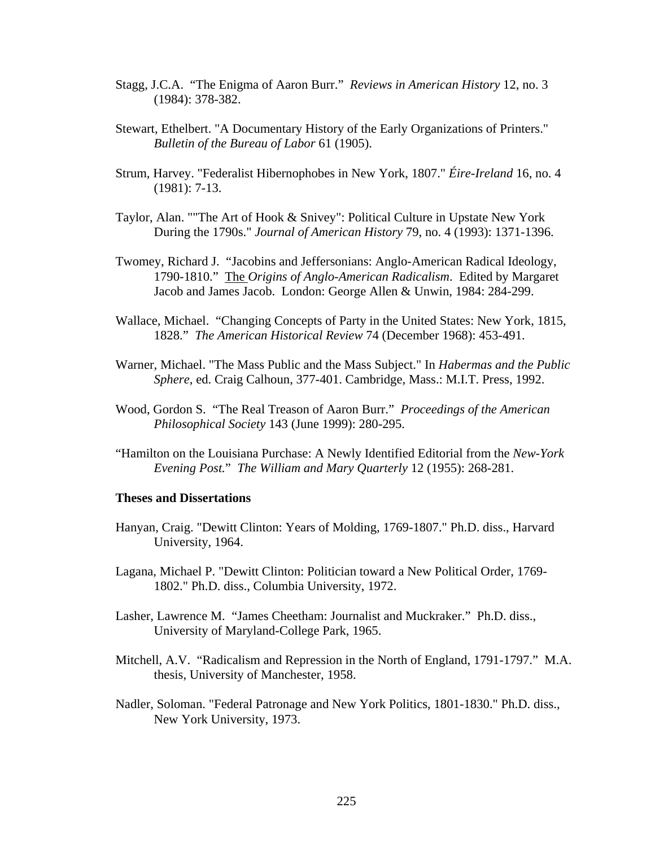- Stagg, J.C.A. "The Enigma of Aaron Burr." *Reviews in American History* 12, no. 3 (1984): 378-382.
- Stewart, Ethelbert. "A Documentary History of the Early Organizations of Printers." *Bulletin of the Bureau of Labor* 61 (1905).
- Strum, Harvey. "Federalist Hibernophobes in New York, 1807." *Éire-Ireland* 16, no. 4 (1981): 7-13.
- Taylor, Alan. ""The Art of Hook & Snivey": Political Culture in Upstate New York During the 1790s." *Journal of American History* 79, no. 4 (1993): 1371-1396.
- Twomey, Richard J. "Jacobins and Jeffersonians: Anglo-American Radical Ideology, 1790-1810." The *Origins of Anglo-American Radicalism*. Edited by Margaret Jacob and James Jacob. London: George Allen & Unwin, 1984: 284-299.
- Wallace, Michael. "Changing Concepts of Party in the United States: New York, 1815, 1828." *The American Historical Review* 74 (December 1968): 453-491.
- Warner, Michael. "The Mass Public and the Mass Subject." In *Habermas and the Public Sphere*, ed. Craig Calhoun, 377-401. Cambridge, Mass.: M.I.T. Press, 1992.
- Wood, Gordon S. "The Real Treason of Aaron Burr." *Proceedings of the American Philosophical Society* 143 (June 1999): 280-295.
- "Hamilton on the Louisiana Purchase: A Newly Identified Editorial from the *New-York Evening Post.*" *The William and Mary Quarterly* 12 (1955): 268-281.

#### **Theses and Dissertations**

- Hanyan, Craig. "Dewitt Clinton: Years of Molding, 1769-1807." Ph.D. diss., Harvard University, 1964.
- Lagana, Michael P. "Dewitt Clinton: Politician toward a New Political Order, 1769- 1802." Ph.D. diss., Columbia University, 1972.
- Lasher, Lawrence M. "James Cheetham: Journalist and Muckraker." Ph.D. diss., University of Maryland-College Park, 1965.
- Mitchell, A.V. "Radicalism and Repression in the North of England, 1791-1797." M.A. thesis, University of Manchester, 1958.
- Nadler, Soloman. "Federal Patronage and New York Politics, 1801-1830." Ph.D. diss., New York University, 1973.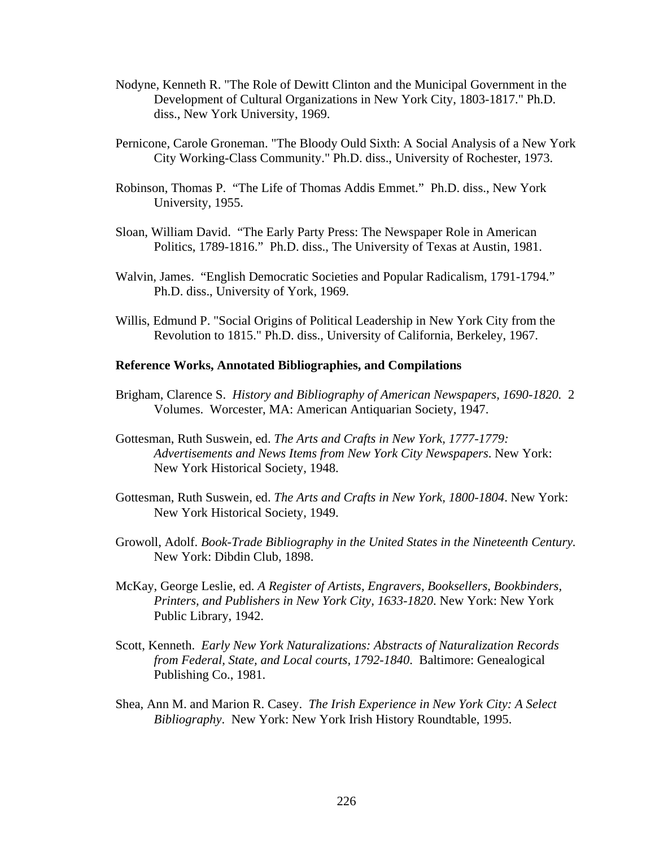- Nodyne, Kenneth R. "The Role of Dewitt Clinton and the Municipal Government in the Development of Cultural Organizations in New York City, 1803-1817." Ph.D. diss., New York University, 1969.
- Pernicone, Carole Groneman. "The Bloody Ould Sixth: A Social Analysis of a New York City Working-Class Community." Ph.D. diss., University of Rochester, 1973.
- Robinson, Thomas P. "The Life of Thomas Addis Emmet." Ph.D. diss., New York University, 1955.
- Sloan, William David. "The Early Party Press: The Newspaper Role in American Politics, 1789-1816." Ph.D. diss., The University of Texas at Austin, 1981.
- Walvin, James. "English Democratic Societies and Popular Radicalism, 1791-1794." Ph.D. diss., University of York, 1969.
- Willis, Edmund P. "Social Origins of Political Leadership in New York City from the Revolution to 1815." Ph.D. diss., University of California, Berkeley, 1967.

#### **Reference Works, Annotated Bibliographies, and Compilations**

- Brigham, Clarence S. *History and Bibliography of American Newspapers, 1690-1820.* 2 Volumes. Worcester, MA: American Antiquarian Society, 1947.
- Gottesman, Ruth Suswein, ed. *The Arts and Crafts in New York, 1777-1779: Advertisements and News Items from New York City Newspapers*. New York: New York Historical Society, 1948.
- Gottesman, Ruth Suswein, ed. *The Arts and Crafts in New York, 1800-1804*. New York: New York Historical Society, 1949.
- Growoll, Adolf. *Book-Trade Bibliography in the United States in the Nineteenth Century.*  New York: Dibdin Club, 1898.
- McKay, George Leslie, ed. *A Register of Artists, Engravers, Booksellers, Bookbinders, Printers, and Publishers in New York City, 1633-1820*. New York: New York Public Library, 1942.
- Scott, Kenneth. *Early New York Naturalizations: Abstracts of Naturalization Records from Federal, State, and Local courts, 1792-1840*. Baltimore: Genealogical Publishing Co., 1981.
- Shea, Ann M. and Marion R. Casey. *The Irish Experience in New York City: A Select Bibliography*. New York: New York Irish History Roundtable, 1995.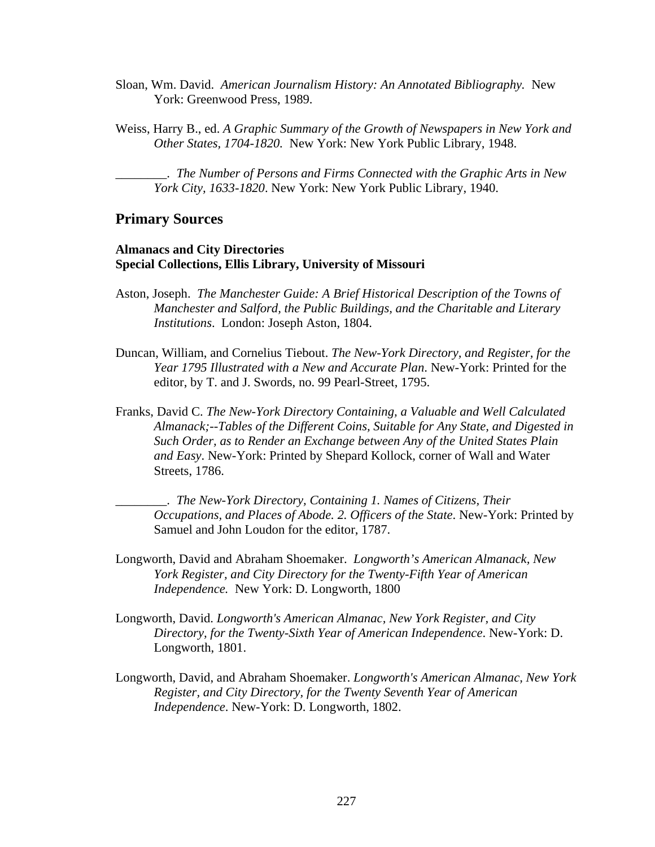- Sloan, Wm. David. *American Journalism History: An Annotated Bibliography.* New York: Greenwood Press, 1989.
- Weiss, Harry B., ed. *A Graphic Summary of the Growth of Newspapers in New York and Other States, 1704-1820.* New York: New York Public Library, 1948.

\_\_\_\_\_\_\_\_. *The Number of Persons and Firms Connected with the Graphic Arts in New York City, 1633-1820*. New York: New York Public Library, 1940.

## **Primary Sources**

## **Almanacs and City Directories Special Collections, Ellis Library, University of Missouri**

- Aston, Joseph. *The Manchester Guide: A Brief Historical Description of the Towns of Manchester and Salford, the Public Buildings, and the Charitable and Literary Institutions*. London: Joseph Aston, 1804.
- Duncan, William, and Cornelius Tiebout. *The New-York Directory, and Register, for the Year 1795 Illustrated with a New and Accurate Plan*. New-York: Printed for the editor, by T. and J. Swords, no. 99 Pearl-Street, 1795.
- Franks, David C. *The New-York Directory Containing, a Valuable and Well Calculated Almanack;--Tables of the Different Coins, Suitable for Any State, and Digested in Such Order, as to Render an Exchange between Any of the United States Plain and Easy*. New-York: Printed by Shepard Kollock, corner of Wall and Water Streets, 1786.

\_\_\_\_\_\_\_\_. *The New-York Directory, Containing 1. Names of Citizens, Their Occupations, and Places of Abode. 2. Officers of the State*. New-York: Printed by Samuel and John Loudon for the editor, 1787.

- Longworth, David and Abraham Shoemaker. *Longworth's American Almanack, New York Register, and City Directory for the Twenty-Fifth Year of American Independence.* New York: D. Longworth, 1800
- Longworth, David. *Longworth's American Almanac, New York Register, and City Directory, for the Twenty-Sixth Year of American Independence*. New-York: D. Longworth, 1801.
- Longworth, David, and Abraham Shoemaker. *Longworth's American Almanac, New York Register, and City Directory, for the Twenty Seventh Year of American Independence*. New-York: D. Longworth, 1802.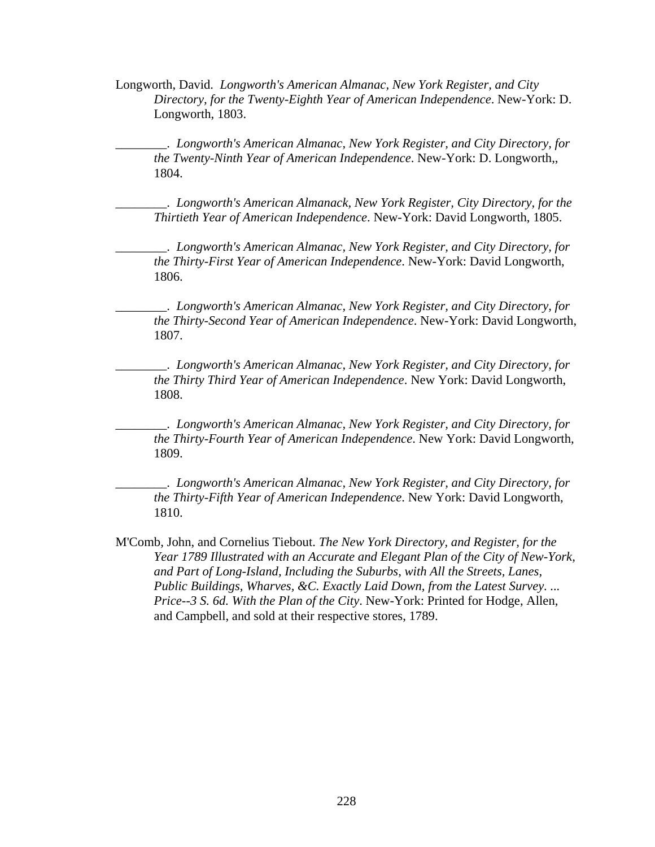Longworth, David. *Longworth's American Almanac, New York Register, and City Directory, for the Twenty-Eighth Year of American Independence*. New-York: D. Longworth, 1803.

\_\_\_\_\_\_\_\_. *Longworth's American Almanac, New York Register, and City Directory, for the Twenty-Ninth Year of American Independence*. New-York: D. Longworth,, 1804.

\_\_\_\_\_\_\_\_. *Longworth's American Almanack, New York Register, City Directory, for the Thirtieth Year of American Independence*. New-York: David Longworth, 1805.

\_\_\_\_\_\_\_\_. *Longworth's American Almanac, New York Register, and City Directory, for the Thirty-First Year of American Independence*. New-York: David Longworth, 1806.

\_\_\_\_\_\_\_\_. *Longworth's American Almanac, New York Register, and City Directory, for the Thirty-Second Year of American Independence*. New-York: David Longworth, 1807.

\_\_\_\_\_\_\_\_. *Longworth's American Almanac, New York Register, and City Directory, for the Thirty Third Year of American Independence*. New York: David Longworth, 1808.

\_\_\_\_\_\_\_\_. *Longworth's American Almanac, New York Register, and City Directory, for the Thirty-Fourth Year of American Independence*. New York: David Longworth, 1809.

\_\_\_\_\_\_\_\_. *Longworth's American Almanac, New York Register, and City Directory, for the Thirty-Fifth Year of American Independence*. New York: David Longworth, 1810.

M'Comb, John, and Cornelius Tiebout. *The New York Directory, and Register, for the Year 1789 Illustrated with an Accurate and Elegant Plan of the City of New-York, and Part of Long-Island, Including the Suburbs, with All the Streets, Lanes, Public Buildings, Wharves, &C. Exactly Laid Down, from the Latest Survey. ... Price--3 S. 6d. With the Plan of the City*. New-York: Printed for Hodge, Allen, and Campbell, and sold at their respective stores, 1789.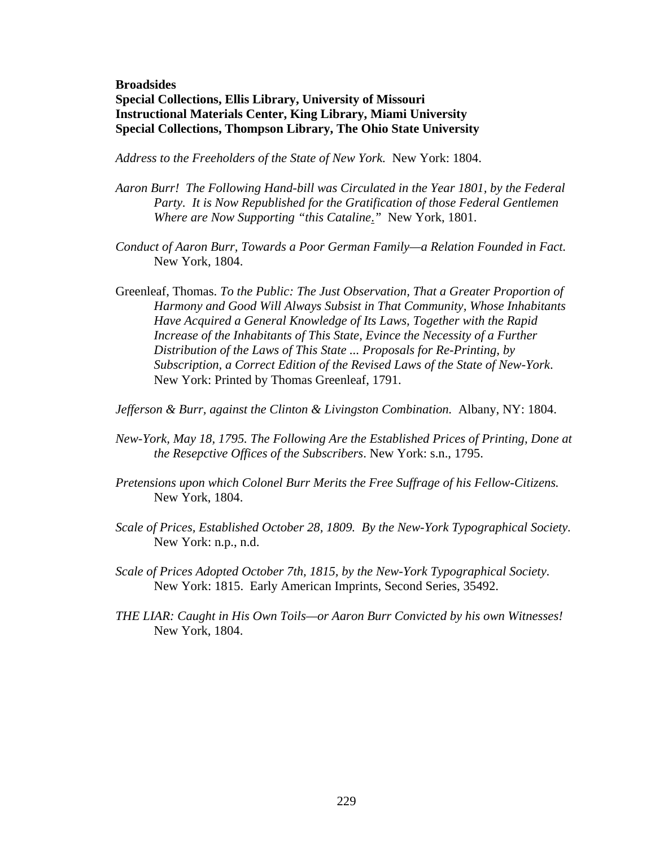## **Broadsides Special Collections, Ellis Library, University of Missouri Instructional Materials Center, King Library, Miami University Special Collections, Thompson Library, The Ohio State University**

*Address to the Freeholders of the State of New York.* New York: 1804.

- *Aaron Burr! The Following Hand-bill was Circulated in the Year 1801, by the Federal Party. It is Now Republished for the Gratification of those Federal Gentlemen Where are Now Supporting "this Cataline*.*"* New York, 1801.
- *Conduct of Aaron Burr, Towards a Poor German Family—a Relation Founded in Fact.*  New York, 1804.
- Greenleaf, Thomas. *To the Public: The Just Observation, That a Greater Proportion of Harmony and Good Will Always Subsist in That Community, Whose Inhabitants Have Acquired a General Knowledge of Its Laws, Together with the Rapid Increase of the Inhabitants of This State, Evince the Necessity of a Further Distribution of the Laws of This State ... Proposals for Re-Printing, by Subscription, a Correct Edition of the Revised Laws of the State of New-York*. New York: Printed by Thomas Greenleaf, 1791.

*Jefferson & Burr, against the Clinton & Livingston Combination.* Albany, NY: 1804.

- *New-York, May 18, 1795. The Following Are the Established Prices of Printing, Done at the Resepctive Offices of the Subscribers*. New York: s.n., 1795.
- *Pretensions upon which Colonel Burr Merits the Free Suffrage of his Fellow-Citizens.*  New York, 1804.
- *Scale of Prices, Established October 28, 1809. By the New-York Typographical Society.*  New York: n.p., n.d.
- *Scale of Prices Adopted October 7th, 1815, by the New-York Typographical Society*. New York: 1815. Early American Imprints, Second Series, 35492.
- *THE LIAR: Caught in His Own Toils—or Aaron Burr Convicted by his own Witnesses!*  New York, 1804.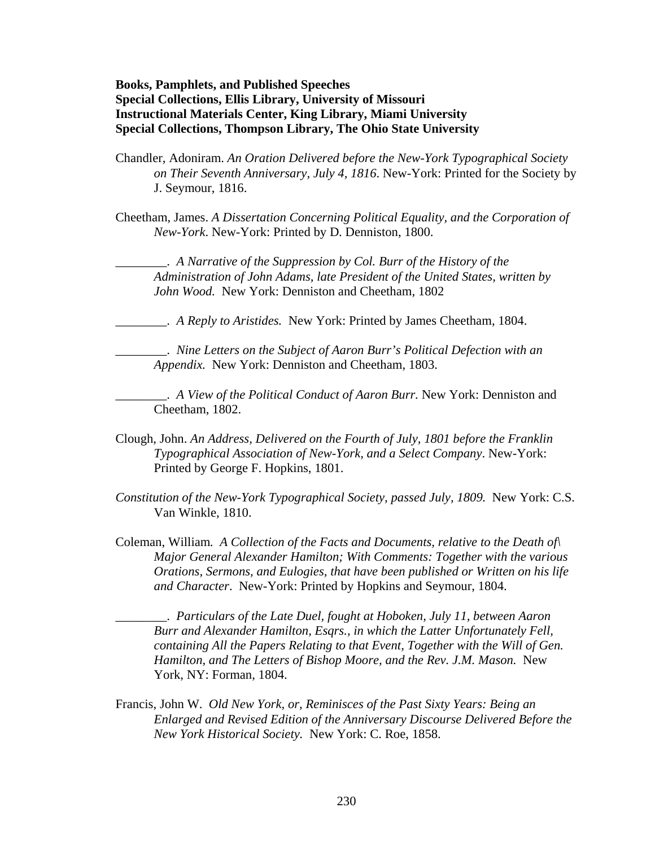**Books, Pamphlets, and Published Speeches Special Collections, Ellis Library, University of Missouri Instructional Materials Center, King Library, Miami University Special Collections, Thompson Library, The Ohio State University** 

Chandler, Adoniram. *An Oration Delivered before the New-York Typographical Society on Their Seventh Anniversary, July 4, 1816*. New-York: Printed for the Society by J. Seymour, 1816.

Cheetham, James. *A Dissertation Concerning Political Equality, and the Corporation of New-York*. New-York: Printed by D. Denniston, 1800.

\_\_\_\_\_\_\_\_. *A Narrative of the Suppression by Col. Burr of the History of the Administration of John Adams, late President of the United States, written by John Wood.* New York: Denniston and Cheetham, 1802

\_\_\_\_\_\_\_\_. *A Reply to Aristides.* New York: Printed by James Cheetham, 1804.

\_\_\_\_\_\_\_\_. *Nine Letters on the Subject of Aaron Burr's Political Defection with an Appendix.* New York: Denniston and Cheetham, 1803.

\_\_\_\_\_\_\_\_. *A View of the Political Conduct of Aaron Burr.* New York: Denniston and Cheetham, 1802.

- Clough, John. *An Address, Delivered on the Fourth of July, 1801 before the Franklin Typographical Association of New-York, and a Select Company*. New-York: Printed by George F. Hopkins, 1801.
- *Constitution of the New-York Typographical Society, passed July, 1809.* New York: C.S. Van Winkle, 1810.
- Coleman, William*. A Collection of the Facts and Documents, relative to the Death of\ Major General Alexander Hamilton; With Comments: Together with the various Orations, Sermons, and Eulogies, that have been published or Written on his life and Character*. New-York: Printed by Hopkins and Seymour, 1804.

\_\_\_\_\_\_\_\_. *Particulars of the Late Duel, fought at Hoboken, July 11, between Aaron Burr and Alexander Hamilton, Esqrs., in which the Latter Unfortunately Fell, containing All the Papers Relating to that Event, Together with the Will of Gen. Hamilton, and The Letters of Bishop Moore, and the Rev. J.M. Mason.* New York, NY: Forman, 1804.

Francis, John W. *Old New York, or, Reminisces of the Past Sixty Years: Being an Enlarged and Revised Edition of the Anniversary Discourse Delivered Before the New York Historical Society.* New York: C. Roe, 1858.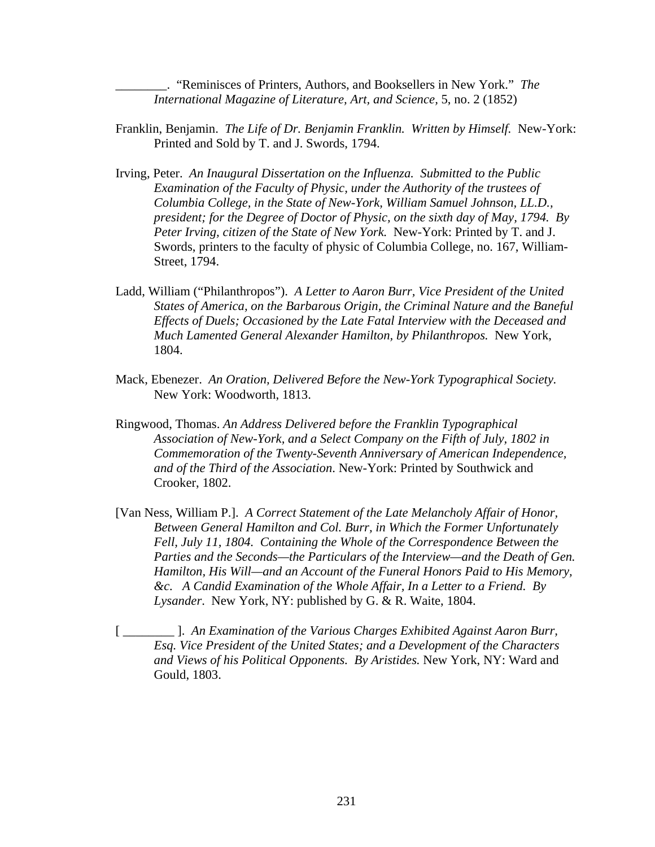\_\_\_\_\_\_\_\_. "Reminisces of Printers, Authors, and Booksellers in New York." *The International Magazine of Literature, Art, and Science,* 5, no. 2 (1852)

- Franklin, Benjamin. *The Life of Dr. Benjamin Franklin. Written by Himself.* New-York: Printed and Sold by T. and J. Swords, 1794.
- Irving, Peter. *An Inaugural Dissertation on the Influenza. Submitted to the Public Examination of the Faculty of Physic, under the Authority of the trustees of Columbia College, in the State of New-York, William Samuel Johnson, LL.D., president; for the Degree of Doctor of Physic, on the sixth day of May, 1794. By Peter Irving, citizen of the State of New York.* New-York: Printed by T. and J. Swords, printers to the faculty of physic of Columbia College, no. 167, William-Street, 1794.
- Ladd, William ("Philanthropos"). *A Letter to Aaron Burr, Vice President of the United States of America, on the Barbarous Origin, the Criminal Nature and the Baneful Effects of Duels; Occasioned by the Late Fatal Interview with the Deceased and Much Lamented General Alexander Hamilton, by Philanthropos.* New York, 1804.
- Mack, Ebenezer. *An Oration, Delivered Before the New-York Typographical Society.*  New York: Woodworth, 1813.
- Ringwood, Thomas. *An Address Delivered before the Franklin Typographical Association of New-York, and a Select Company on the Fifth of July, 1802 in Commemoration of the Twenty-Seventh Anniversary of American Independence, and of the Third of the Association*. New-York: Printed by Southwick and Crooker, 1802.
- [Van Ness, William P.]. *A Correct Statement of the Late Melancholy Affair of Honor, Between General Hamilton and Col. Burr, in Which the Former Unfortunately Fell, July 11, 1804. Containing the Whole of the Correspondence Between the Parties and the Seconds—the Particulars of the Interview—and the Death of Gen. Hamilton, His Will—and an Account of the Funeral Honors Paid to His Memory, &c. A Candid Examination of the Whole Affair, In a Letter to a Friend. By Lysander*. New York, NY: published by G. & R. Waite, 1804.
- [ \_\_\_\_\_\_\_\_ ]. *An Examination of the Various Charges Exhibited Against Aaron Burr, Esq. Vice President of the United States; and a Development of the Characters and Views of his Political Opponents. By Aristides.* New York, NY: Ward and Gould, 1803.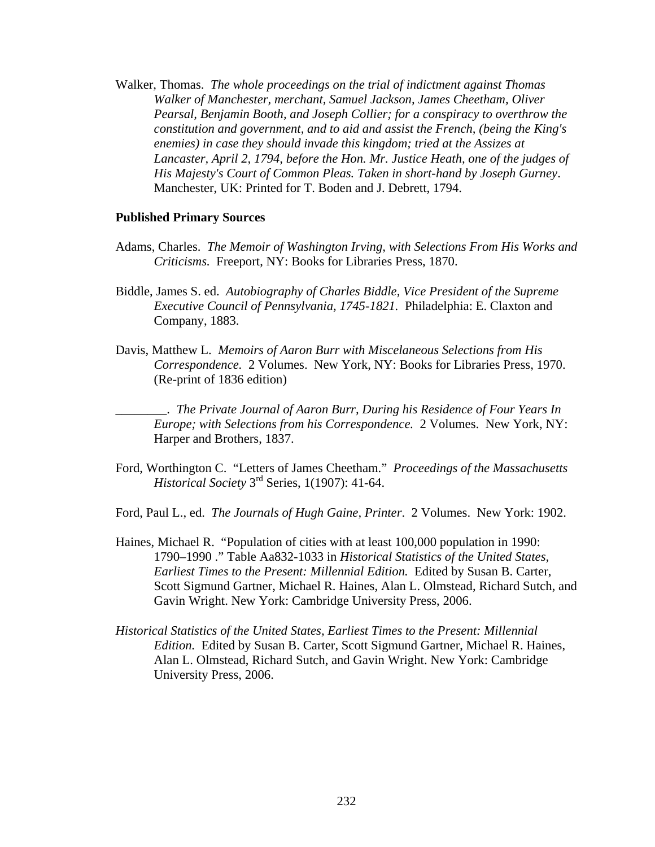Walker, Thomas. *The whole proceedings on the trial of indictment against Thomas Walker of Manchester, merchant, Samuel Jackson, James Cheetham, Oliver Pearsal, Benjamin Booth, and Joseph Collier; for a conspiracy to overthrow the constitution and government, and to aid and assist the French, (being the King's enemies) in case they should invade this kingdom; tried at the Assizes at Lancaster, April 2, 1794, before the Hon. Mr. Justice Heath, one of the judges of His Majesty's Court of Common Pleas. Taken in short-hand by Joseph Gurney*. Manchester, UK: Printed for T. Boden and J. Debrett, 1794.

#### **Published Primary Sources**

- Adams, Charles. *The Memoir of Washington Irving, with Selections From His Works and Criticisms.* Freeport, NY: Books for Libraries Press, 1870.
- Biddle, James S. ed. *Autobiography of Charles Biddle, Vice President of the Supreme Executive Council of Pennsylvania, 1745-1821.* Philadelphia: E. Claxton and Company, 1883.
- Davis, Matthew L. *Memoirs of Aaron Burr with Miscelaneous Selections from His Correspondence.* 2 Volumes. New York, NY: Books for Libraries Press, 1970. (Re-print of 1836 edition)

\_\_\_\_\_\_\_\_. *The Private Journal of Aaron Burr, During his Residence of Four Years In Europe; with Selections from his Correspondence.* 2 Volumes. New York, NY: Harper and Brothers, 1837.

Ford, Worthington C. "Letters of James Cheetham." *Proceedings of the Massachusetts Historical Society* 3rd Series, 1(1907): 41-64.

Ford, Paul L., ed. *The Journals of Hugh Gaine, Printer*. 2 Volumes. New York: 1902.

- Haines, Michael R. "Population of cities with at least 100,000 population in 1990: 1790–1990 ." Table Aa832-1033 in *Historical Statistics of the United States, Earliest Times to the Present: Millennial Edition.* Edited by Susan B. Carter, Scott Sigmund Gartner, Michael R. Haines, Alan L. Olmstead, Richard Sutch, and Gavin Wright. New York: Cambridge University Press, 2006.
- *Historical Statistics of the United States, Earliest Times to the Present: Millennial Edition.* Edited by Susan B. Carter, Scott Sigmund Gartner, Michael R. Haines, Alan L. Olmstead, Richard Sutch, and Gavin Wright. New York: Cambridge University Press, 2006.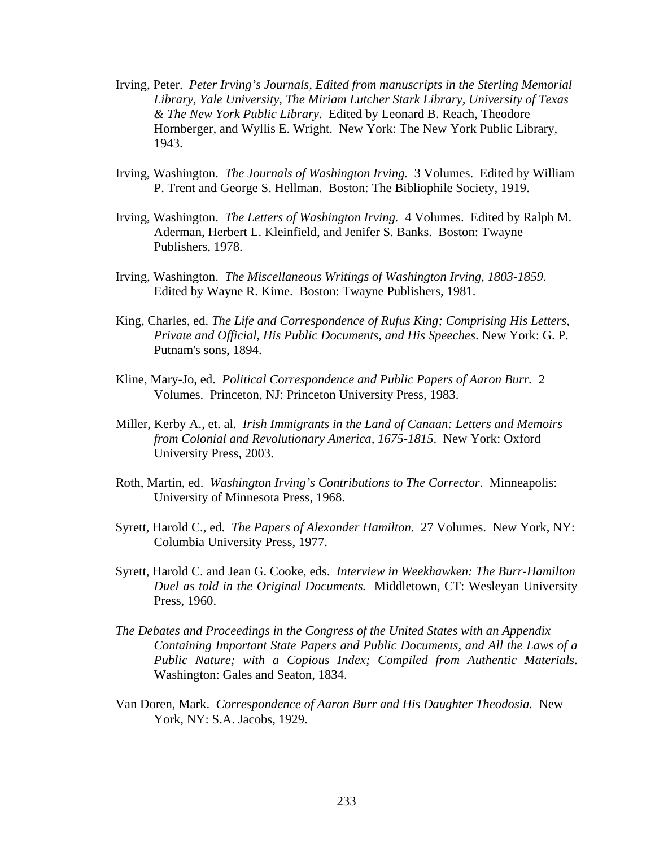- Irving, Peter. *Peter Irving's Journals, Edited from manuscripts in the Sterling Memorial Library, Yale University, The Miriam Lutcher Stark Library, University of Texas & The New York Public Library.* Edited by Leonard B. Reach, Theodore Hornberger, and Wyllis E. Wright. New York: The New York Public Library, 1943.
- Irving, Washington. *The Journals of Washington Irving.* 3 Volumes. Edited by William P. Trent and George S. Hellman. Boston: The Bibliophile Society, 1919.
- Irving, Washington. *The Letters of Washington Irving.* 4 Volumes. Edited by Ralph M. Aderman, Herbert L. Kleinfield, and Jenifer S. Banks. Boston: Twayne Publishers, 1978.
- Irving, Washington. *The Miscellaneous Writings of Washington Irving, 1803-1859.*  Edited by Wayne R. Kime. Boston: Twayne Publishers, 1981.
- King, Charles, ed. *The Life and Correspondence of Rufus King; Comprising His Letters, Private and Official, His Public Documents, and His Speeches*. New York: G. P. Putnam's sons, 1894.
- Kline, Mary-Jo, ed. *Political Correspondence and Public Papers of Aaron Burr.* 2 Volumes. Princeton, NJ: Princeton University Press, 1983.
- Miller, Kerby A., et. al. *Irish Immigrants in the Land of Canaan: Letters and Memoirs from Colonial and Revolutionary America, 1675-1815*. New York: Oxford University Press, 2003.
- Roth, Martin, ed. *Washington Irving's Contributions to The Corrector*. Minneapolis: University of Minnesota Press, 1968.
- Syrett, Harold C., ed. *The Papers of Alexander Hamilton.* 27 Volumes. New York, NY: Columbia University Press, 1977.
- Syrett, Harold C. and Jean G. Cooke, eds. *Interview in Weekhawken: The Burr-Hamilton Duel as told in the Original Documents.* Middletown, CT: Wesleyan University Press, 1960.
- *The Debates and Proceedings in the Congress of the United States with an Appendix Containing Important State Papers and Public Documents, and All the Laws of a Public Nature; with a Copious Index; Compiled from Authentic Materials*. Washington: Gales and Seaton, 1834.
- Van Doren, Mark. *Correspondence of Aaron Burr and His Daughter Theodosia.* New York, NY: S.A. Jacobs, 1929.